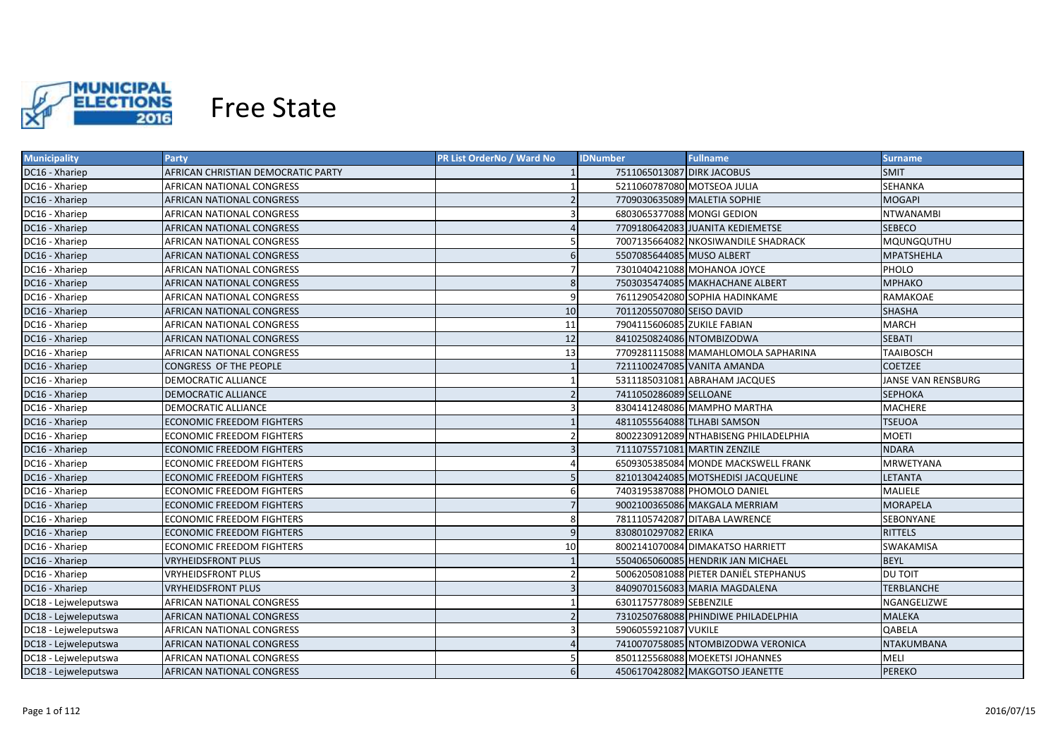

| <b>Municipality</b>  | Party                              | PR List OrderNo / Ward No | <b>IDNumber</b>             | <b>Fullname</b>                       | Surname            |
|----------------------|------------------------------------|---------------------------|-----------------------------|---------------------------------------|--------------------|
| DC16 - Xhariep       | AFRICAN CHRISTIAN DEMOCRATIC PARTY |                           | 7511065013087 DIRK JACOBUS  |                                       | SMIT               |
| DC16 - Xhariep       | AFRICAN NATIONAL CONGRESS          |                           | 5211060787080 MOTSEOA JULIA |                                       | SEHANKA            |
| DC16 - Xhariep       | AFRICAN NATIONAL CONGRESS          |                           |                             | 7709030635089 MALETIA SOPHIE          | <b>MOGAPI</b>      |
| DC16 - Xhariep       | AFRICAN NATIONAL CONGRESS          |                           | 6803065377088 MONGI GEDION  |                                       | <b>NTWANAMBI</b>   |
| DC16 - Xhariep       | AFRICAN NATIONAL CONGRESS          |                           |                             | 7709180642083 JUANITA KEDIEMETSE      | <b>SEBECO</b>      |
| DC16 - Xhariep       | AFRICAN NATIONAL CONGRESS          |                           |                             | 7007135664082 NKOSIWANDILE SHADRACK   | MQUNGQUTHU         |
| DC16 - Xhariep       | AFRICAN NATIONAL CONGRESS          | 6                         | 5507085644085 MUSO ALBERT   |                                       | <b>MPATSHEHLA</b>  |
| DC16 - Xhariep       | AFRICAN NATIONAL CONGRESS          |                           |                             | 7301040421088 MOHANOA JOYCE           | PHOLO              |
| DC16 - Xhariep       | AFRICAN NATIONAL CONGRESS          | 8                         |                             | 7503035474085 MAKHACHANE ALBERT       | <b>MPHAKO</b>      |
| DC16 - Xhariep       | AFRICAN NATIONAL CONGRESS          | 9                         |                             | 7611290542080 SOPHIA HADINKAME        | RAMAKOAE           |
| DC16 - Xhariep       | AFRICAN NATIONAL CONGRESS          | 10                        | 7011205507080 SEISO DAVID   |                                       | <b>SHASHA</b>      |
| DC16 - Xhariep       | AFRICAN NATIONAL CONGRESS          | 11                        | 7904115606085 ZUKILE FABIAN |                                       | <b>MARCH</b>       |
| DC16 - Xhariep       | AFRICAN NATIONAL CONGRESS          | 12                        | 8410250824086 NTOMBIZODWA   |                                       | <b>SEBATI</b>      |
| DC16 - Xhariep       | AFRICAN NATIONAL CONGRESS          | 13                        |                             | 7709281115088 MAMAHLOMOLA SAPHARINA   | <b>TAAIBOSCH</b>   |
| DC16 - Xhariep       | CONGRESS OF THE PEOPLE             |                           |                             | 7211100247085 VANITA AMANDA           | <b>COETZEE</b>     |
| DC16 - Xhariep       | <b>DEMOCRATIC ALLIANCE</b>         |                           |                             | 5311185031081 ABRAHAM JACQUES         | JANSE VAN RENSBURG |
| DC16 - Xhariep       | <b>DEMOCRATIC ALLIANCE</b>         | $\overline{2}$            | 7411050286089 SELLOANE      |                                       | <b>SEPHOKA</b>     |
| DC16 - Xhariep       | <b>DEMOCRATIC ALLIANCE</b>         | $\overline{\mathbf{3}}$   |                             | 8304141248086 MAMPHO MARTHA           | <b>MACHERE</b>     |
| DC16 - Xhariep       | <b>ECONOMIC FREEDOM FIGHTERS</b>   |                           |                             | 4811055564088 TLHABI SAMSON           | <b>TSEUOA</b>      |
| DC16 - Xhariep       | <b>ECONOMIC FREEDOM FIGHTERS</b>   |                           |                             | 8002230912089 NTHABISENG PHILADELPHIA | <b>MOETI</b>       |
| DC16 - Xhariep       | <b>ECONOMIC FREEDOM FIGHTERS</b>   |                           |                             | 7111075571081 MARTIN ZENZILE          | <b>NDARA</b>       |
| DC16 - Xhariep       | ECONOMIC FREEDOM FIGHTERS          |                           |                             | 6509305385084 MONDE MACKSWELL FRANK   | <b>MRWETYANA</b>   |
| DC16 - Xhariep       | <b>ECONOMIC FREEDOM FIGHTERS</b>   |                           |                             | 8210130424085 MOTSHEDISI JACQUELINE   | <b>LETANTA</b>     |
| DC16 - Xhariep       | <b>ECONOMIC FREEDOM FIGHTERS</b>   | 6                         |                             | 7403195387088 PHOMOLO DANIEL          | <b>MALIELE</b>     |
| DC16 - Xhariep       | <b>ECONOMIC FREEDOM FIGHTERS</b>   |                           |                             | 9002100365086 MAKGALA MERRIAM         | <b>MORAPELA</b>    |
| DC16 - Xhariep       | <b>ECONOMIC FREEDOM FIGHTERS</b>   | 8                         |                             | 7811105742087 DITABA LAWRENCE         | SEBONYANE          |
| DC16 - Xhariep       | ECONOMIC FREEDOM FIGHTERS          | 9                         | 8308010297082 ERIKA         |                                       | <b>RITTELS</b>     |
| DC16 - Xhariep       | ECONOMIC FREEDOM FIGHTERS          | 10                        |                             | 8002141070084 DIMAKATSO HARRIETT      | SWAKAMISA          |
| DC16 - Xhariep       | VRYHEIDSFRONT PLUS                 |                           |                             | 5504065060085 HENDRIK JAN MICHAEL     | <b>BEYL</b>        |
| DC16 - Xhariep       | VRYHEIDSFRONT PLUS                 |                           |                             | 5006205081088 PIETER DANIËL STEPHANUS | DU TOIT            |
| DC16 - Xhariep       | <b>VRYHEIDSFRONT PLUS</b>          |                           |                             | 8409070156083 MARIA MAGDALENA         | <b>TERBLANCHE</b>  |
| DC18 - Lejweleputswa | AFRICAN NATIONAL CONGRESS          |                           | 6301175778089 SEBENZILE     |                                       | NGANGELIZWE        |
| DC18 - Lejweleputswa | AFRICAN NATIONAL CONGRESS          |                           |                             | 7310250768088 PHINDIWE PHILADELPHIA   | <b>MALEKA</b>      |
| DC18 - Lejweleputswa | AFRICAN NATIONAL CONGRESS          |                           | 5906055921087 VUKILE        |                                       | QABELA             |
| DC18 - Lejweleputswa | AFRICAN NATIONAL CONGRESS          |                           |                             | 7410070758085 NTOMBIZODWA VERONICA    | NTAKUMBANA         |
| DC18 - Lejweleputswa | AFRICAN NATIONAL CONGRESS          |                           |                             | 8501125568088 MOEKETSI JOHANNES       | MELI               |
| DC18 - Lejweleputswa | <b>AFRICAN NATIONAL CONGRESS</b>   | 6                         |                             | 4506170428082 MAKGOTSO JEANETTE       | <b>PEREKO</b>      |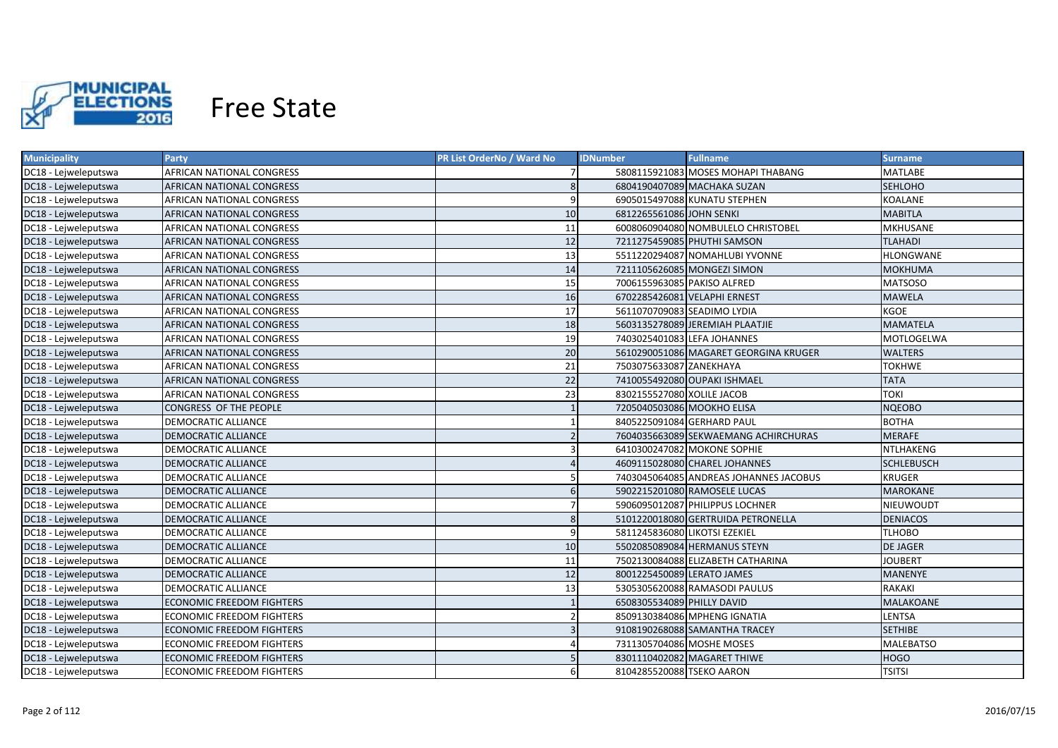

| <b>Municipality</b>  | <b>Party</b>                     | PR List OrderNo / Ward No | <b>IDNumber</b>               | <b>Fullname</b>                        | Surname           |
|----------------------|----------------------------------|---------------------------|-------------------------------|----------------------------------------|-------------------|
| DC18 - Lejweleputswa | AFRICAN NATIONAL CONGRESS        |                           |                               | 5808115921083 MOSES MOHAPI THABANG     | MATLABE           |
| DC18 - Lejweleputswa | AFRICAN NATIONAL CONGRESS        | 8                         |                               | 6804190407089 MACHAKA SUZAN            | <b>SEHLOHO</b>    |
| DC18 - Lejweleputswa | AFRICAN NATIONAL CONGRESS        | 9                         |                               | 6905015497088 KUNATU STEPHEN           | KOALANE           |
| DC18 - Lejweleputswa | AFRICAN NATIONAL CONGRESS        | 10                        | 6812265561086 JOHN SENKI      |                                        | <b>MABITLA</b>    |
| DC18 - Lejweleputswa | AFRICAN NATIONAL CONGRESS        | 11                        |                               | 6008060904080 NOMBULELO CHRISTOBEL     | <b>MKHUSANE</b>   |
| DC18 - Lejweleputswa | AFRICAN NATIONAL CONGRESS        | 12                        |                               | 7211275459085 PHUTHI SAMSON            | <b>TLAHADI</b>    |
| DC18 - Lejweleputswa | AFRICAN NATIONAL CONGRESS        | 13                        |                               | 5511220294087 NOMAHLUBI YVONNE         | <b>HLONGWANE</b>  |
| DC18 - Lejweleputswa | AFRICAN NATIONAL CONGRESS        | 14                        |                               | 7211105626085 MONGEZI SIMON            | <b>MOKHUMA</b>    |
| DC18 - Lejweleputswa | AFRICAN NATIONAL CONGRESS        | 15                        | 7006155963085 PAKISO ALFRED   |                                        | <b>MATSOSO</b>    |
| DC18 - Lejweleputswa | AFRICAN NATIONAL CONGRESS        | 16                        | 6702285426081 VELAPHI ERNEST  |                                        | <b>MAWELA</b>     |
| DC18 - Lejweleputswa | AFRICAN NATIONAL CONGRESS        | 17                        | 5611070709083 SEADIMO LYDIA   |                                        | <b>KGOE</b>       |
| DC18 - Lejweleputswa | AFRICAN NATIONAL CONGRESS        | 18                        |                               | 5603135278089 JEREMIAH PLAATJIE        | <b>MAMATELA</b>   |
| DC18 - Lejweleputswa | AFRICAN NATIONAL CONGRESS        | 19                        | 7403025401083 LEFA JOHANNES   |                                        | MOTLOGELWA        |
| DC18 - Lejweleputswa | AFRICAN NATIONAL CONGRESS        | 20                        |                               | 5610290051086 MAGARET GEORGINA KRUGER  | <b>WALTERS</b>    |
| DC18 - Lejweleputswa | AFRICAN NATIONAL CONGRESS        | 21                        | 7503075633087 ZANEKHAYA       |                                        | <b>TOKHWE</b>     |
| DC18 - Lejweleputswa | AFRICAN NATIONAL CONGRESS        | 22                        |                               | 7410055492080 OUPAKI ISHMAEL           | <b>TATA</b>       |
| DC18 - Lejweleputswa | AFRICAN NATIONAL CONGRESS        | 23                        | 8302155527080 XOLILE JACOB    |                                        | <b>TOKI</b>       |
| DC18 - Lejweleputswa | CONGRESS OF THE PEOPLE           |                           | 7205040503086 MOOKHO ELISA    |                                        | <b>NOEOBO</b>     |
| DC18 - Lejweleputswa | <b>DEMOCRATIC ALLIANCE</b>       |                           | 8405225091084 GERHARD PAUL    |                                        | <b>BOTHA</b>      |
| DC18 - Lejweleputswa | <b>DEMOCRATIC ALLIANCE</b>       |                           |                               | 7604035663089 SEKWAEMANG ACHIRCHURAS   | <b>MERAFE</b>     |
| DC18 - Lejweleputswa | <b>DEMOCRATIC ALLIANCE</b>       |                           |                               | 6410300247082 MOKONE SOPHIE            | <b>NTLHAKENG</b>  |
| DC18 - Lejweleputswa | <b>DEMOCRATIC ALLIANCE</b>       | $\Delta$                  |                               | 4609115028080 CHAREL JOHANNES          | <b>SCHLEBUSCH</b> |
| DC18 - Lejweleputswa | <b>DEMOCRATIC ALLIANCE</b>       |                           |                               | 7403045064085 ANDREAS JOHANNES JACOBUS | <b>KRUGER</b>     |
| DC18 - Lejweleputswa | <b>DEMOCRATIC ALLIANCE</b>       | 6                         |                               | 5902215201080 RAMOSELE LUCAS           | <b>MAROKANE</b>   |
| DC18 - Lejweleputswa | <b>DEMOCRATIC ALLIANCE</b>       |                           |                               | 5906095012087 PHILIPPUS LOCHNER        | NIEUWOUDT         |
| DC18 - Lejweleputswa | <b>DEMOCRATIC ALLIANCE</b>       | 8                         |                               | 5101220018080 GERTRUIDA PETRONELLA     | <b>DENIACOS</b>   |
| DC18 - Lejweleputswa | DEMOCRATIC ALLIANCE              | $\mathbf{q}$              | 5811245836080 LIKOTSI EZEKIEL |                                        | TLHOBO            |
| DC18 - Lejweleputswa | DEMOCRATIC ALLIANCE              | 10                        |                               | 5502085089084 HERMANUS STEYN           | <b>DE JAGER</b>   |
| DC18 - Lejweleputswa | DEMOCRATIC ALLIANCE              | 11                        |                               | 7502130084088 ELIZABETH CATHARINA      | <b>JOUBERT</b>    |
| DC18 - Lejweleputswa | DEMOCRATIC ALLIANCE              | 12                        | 8001225450089 LERATO JAMES    |                                        | MANENYE           |
| DC18 - Lejweleputswa | DEMOCRATIC ALLIANCE              | 13                        |                               | 5305305620088 RAMASODI PAULUS          | RAKAKI            |
| DC18 - Lejweleputswa | ECONOMIC FREEDOM FIGHTERS        |                           | 6508305534089 PHILLY DAVID    |                                        | MALAKOANE         |
| DC18 - Lejweleputswa | ECONOMIC FREEDOM FIGHTERS        |                           |                               | 8509130384086 MPHENG IGNATIA           | <b>LENTSA</b>     |
| DC18 - Lejweleputswa | <b>ECONOMIC FREEDOM FIGHTERS</b> |                           |                               | 9108190268088 SAMANTHA TRACEY          | <b>SETHIBE</b>    |
| DC18 - Lejweleputswa | ECONOMIC FREEDOM FIGHTERS        |                           | 7311305704086 MOSHE MOSES     |                                        | <b>MALEBATSO</b>  |
| DC18 - Lejweleputswa | <b>ECONOMIC FREEDOM FIGHTERS</b> |                           |                               | 8301110402082 MAGARET THIWE            | <b>HOGO</b>       |
| DC18 - Lejweleputswa | <b>ECONOMIC FREEDOM FIGHTERS</b> | 6                         | 8104285520088 TSEKO AARON     |                                        | <b>TSITSI</b>     |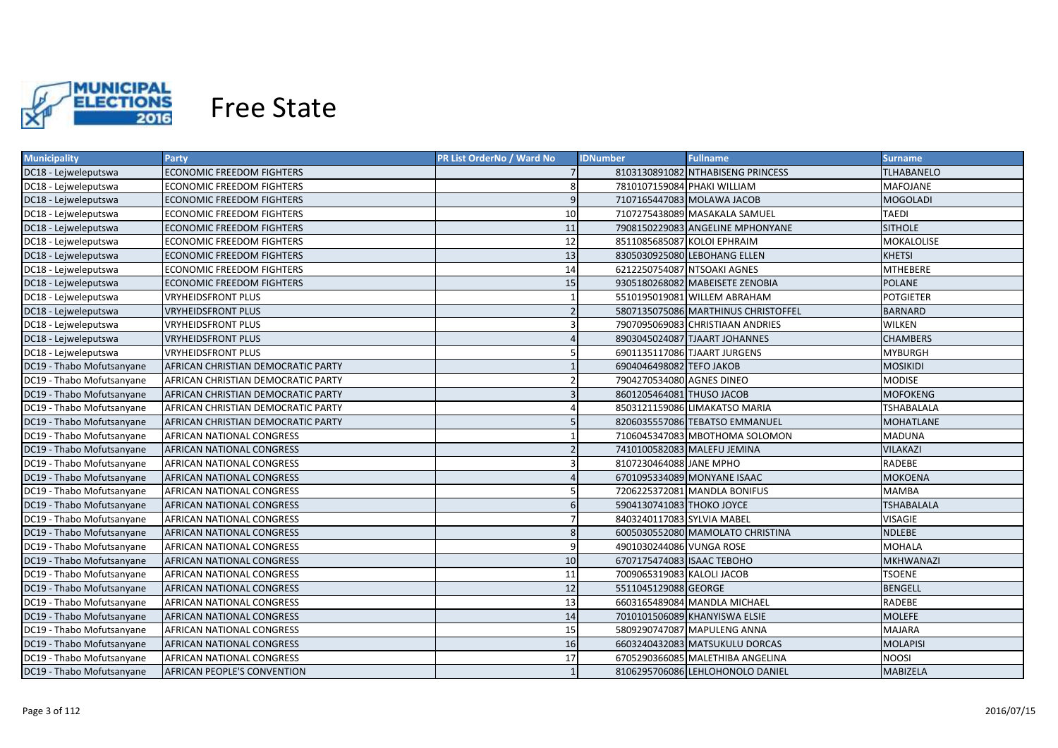

| <b>Municipality</b>       | <b>Party</b>                              | PR List OrderNo / Ward No | <b>IDNumber</b>             | <b>Fullname</b>                     | <b>Surname</b>    |
|---------------------------|-------------------------------------------|---------------------------|-----------------------------|-------------------------------------|-------------------|
| DC18 - Lejweleputswa      | ECONOMIC FREEDOM FIGHTERS                 |                           |                             | 8103130891082 NTHABISENG PRINCESS   | <b>TLHABANELO</b> |
| DC18 - Lejweleputswa      | ECONOMIC FREEDOM FIGHTERS                 | 8                         | 7810107159084 PHAKI WILLIAM |                                     | <b>MAFOJANE</b>   |
| DC18 - Lejweleputswa      | <b>ECONOMIC FREEDOM FIGHTERS</b>          | 9                         |                             | 7107165447083 MOLAWA JACOB          | <b>MOGOLADI</b>   |
| DC18 - Lejweleputswa      | ECONOMIC FREEDOM FIGHTERS                 | 10                        |                             | 7107275438089 MASAKALA SAMUEL       | <b>TAEDI</b>      |
| DC18 - Lejweleputswa      | <b>ECONOMIC FREEDOM FIGHTERS</b>          | 11                        |                             | 7908150229083 ANGELINE MPHONYANE    | <b>SITHOLE</b>    |
| DC18 - Lejweleputswa      | <b>ECONOMIC FREEDOM FIGHTERS</b>          | 12                        | 8511085685087 KOLOI EPHRAIM |                                     | MOKALOLISE        |
| DC18 - Lejweleputswa      | <b>ECONOMIC FREEDOM FIGHTERS</b>          | 13                        |                             | 8305030925080 LEBOHANG ELLEN        | <b>KHETSI</b>     |
| DC18 - Lejweleputswa      | ECONOMIC FREEDOM FIGHTERS                 | 14                        |                             | 6212250754087 NTSOAKI AGNES         | <b>MTHEBERE</b>   |
| DC18 - Lejweleputswa      | <b>ECONOMIC FREEDOM FIGHTERS</b>          | 15                        |                             | 9305180268082 MABEISETE ZENOBIA     | <b>POLANE</b>     |
| DC18 - Lejweleputswa      | <b>VRYHEIDSFRONT PLUS</b>                 |                           |                             | 5510195019081 WILLEM ABRAHAM        | <b>POTGIETER</b>  |
| DC18 - Lejweleputswa      | <b>VRYHEIDSFRONT PLUS</b>                 |                           |                             | 5807135075086 MARTHINUS CHRISTOFFEL | <b>BARNARD</b>    |
| DC18 - Lejweleputswa      | <b>VRYHEIDSFRONT PLUS</b>                 | 3                         |                             | 7907095069083 CHRISTIAAN ANDRIES    | <b>WILKEN</b>     |
| DC18 - Lejweleputswa      | <b>VRYHEIDSFRONT PLUS</b>                 |                           |                             | 8903045024087 TJAART JOHANNES       | <b>CHAMBERS</b>   |
| DC18 - Lejweleputswa      | <b>VRYHEIDSFRONT PLUS</b>                 | 5                         |                             | 6901135117086 TJAART JURGENS        | <b>MYBURGH</b>    |
| DC19 - Thabo Mofutsanyane | <b>AFRICAN CHRISTIAN DEMOCRATIC PARTY</b> |                           | 6904046498082 TEFO JAKOB    |                                     | <b>MOSIKIDI</b>   |
| DC19 - Thabo Mofutsanyane | AFRICAN CHRISTIAN DEMOCRATIC PARTY        |                           | 7904270534080 AGNES DINEO   |                                     | <b>MODISE</b>     |
| DC19 - Thabo Mofutsanyane | AFRICAN CHRISTIAN DEMOCRATIC PARTY        | $\overline{3}$            | 8601205464081 THUSO JACOB   |                                     | <b>MOFOKENG</b>   |
| DC19 - Thabo Mofutsanyane | AFRICAN CHRISTIAN DEMOCRATIC PARTY        |                           |                             | 8503121159086 LIMAKATSO MARIA       | <b>TSHABALALA</b> |
| DC19 - Thabo Mofutsanyane | AFRICAN CHRISTIAN DEMOCRATIC PARTY        |                           |                             | 8206035557086 TEBATSO EMMANUEL      | <b>MOHATLANE</b>  |
| DC19 - Thabo Mofutsanyane | AFRICAN NATIONAL CONGRESS                 |                           |                             | 7106045347083 MBOTHOMA SOLOMON      | <b>MADUNA</b>     |
| DC19 - Thabo Mofutsanyane | AFRICAN NATIONAL CONGRESS                 |                           |                             | 7410100582083 MALEFU JEMINA         | <b>VILAKAZI</b>   |
| DC19 - Thabo Mofutsanyane | AFRICAN NATIONAL CONGRESS                 | 3                         | 8107230464088 JANE MPHO     |                                     | <b>RADEBE</b>     |
| DC19 - Thabo Mofutsanyane | <b>AFRICAN NATIONAL CONGRESS</b>          |                           |                             | 6701095334089 MONYANE ISAAC         | <b>MOKOENA</b>    |
| DC19 - Thabo Mofutsanyane | AFRICAN NATIONAL CONGRESS                 |                           |                             | 7206225372081 MANDLA BONIFUS        | <b>MAMBA</b>      |
| DC19 - Thabo Mofutsanyane | AFRICAN NATIONAL CONGRESS                 | $6\overline{6}$           | 5904130741083 THOKO JOYCE   |                                     | <b>TSHABALALA</b> |
| DC19 - Thabo Mofutsanyane | AFRICAN NATIONAL CONGRESS                 |                           | 8403240117083 SYLVIA MABEL  |                                     | VISAGIE           |
| DC19 - Thabo Mofutsanyane | AFRICAN NATIONAL CONGRESS                 | 8                         |                             | 6005030552080 MAMOLATO CHRISTINA    | <b>NDLEBE</b>     |
| DC19 - Thabo Mofutsanyane | AFRICAN NATIONAL CONGRESS                 | $\mathbf{q}$              | 4901030244086 VUNGA ROSE    |                                     | <b>MOHALA</b>     |
| DC19 - Thabo Mofutsanyane | AFRICAN NATIONAL CONGRESS                 | 10                        | 6707175474083 ISAAC TEBOHO  |                                     | <b>MKHWANAZI</b>  |
| DC19 - Thabo Mofutsanyane | AFRICAN NATIONAL CONGRESS                 | 11                        | 7009065319083 KALOLI JACOB  |                                     | <b>TSOENE</b>     |
| DC19 - Thabo Mofutsanyane | AFRICAN NATIONAL CONGRESS                 | 12                        | 5511045129088 GEORGE        |                                     | <b>BENGELL</b>    |
| DC19 - Thabo Mofutsanyane | AFRICAN NATIONAL CONGRESS                 | 13                        |                             | 6603165489084 MANDLA MICHAEL        | RADEBE            |
| DC19 - Thabo Mofutsanyane | <b>AFRICAN NATIONAL CONGRESS</b>          | 14                        |                             | 7010101506089 KHANYISWA ELSIE       | <b>MOLEFE</b>     |
| DC19 - Thabo Mofutsanyane | <b>AFRICAN NATIONAL CONGRESS</b>          | 15                        |                             | 5809290747087 MAPULENG ANNA         | <b>MAJARA</b>     |
| DC19 - Thabo Mofutsanyane | AFRICAN NATIONAL CONGRESS                 | 16                        |                             | 6603240432083 MATSUKULU DORCAS      | <b>MOLAPISI</b>   |
| DC19 - Thabo Mofutsanyane | <b>AFRICAN NATIONAL CONGRESS</b>          | 17                        |                             | 6705290366085 MALETHIBA ANGELINA    | <b>NOOSI</b>      |
| DC19 - Thabo Mofutsanyane | <b>AFRICAN PEOPLE'S CONVENTION</b>        |                           |                             | 8106295706086 LEHLOHONOLO DANIEL    | <b>MABIZELA</b>   |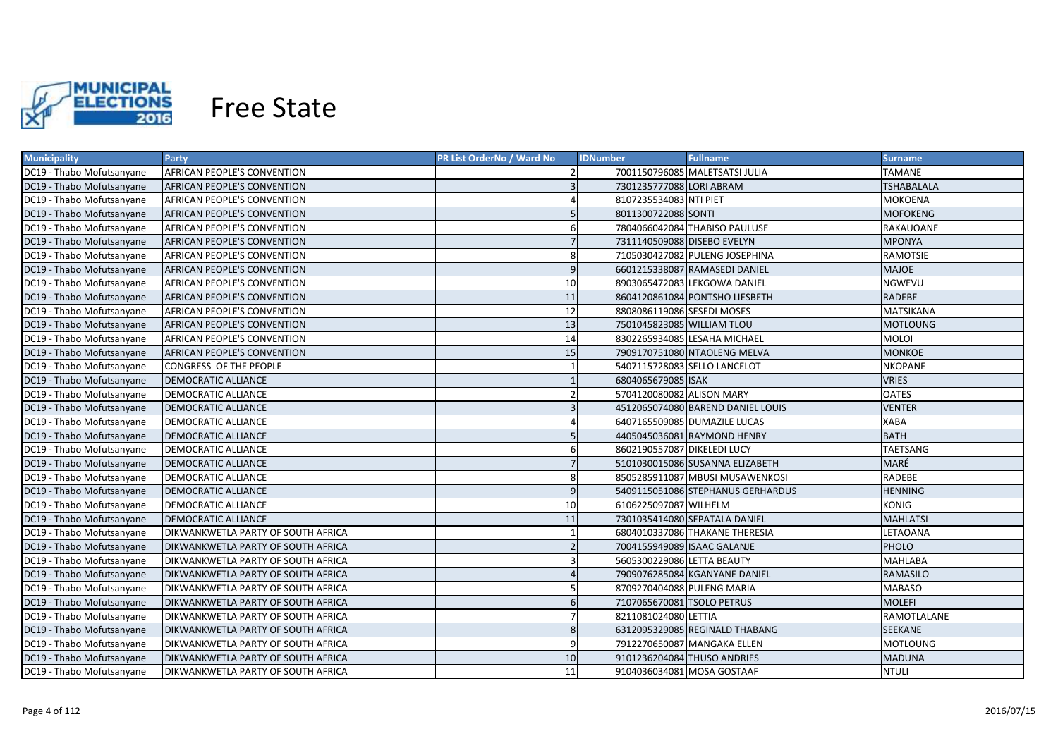

| <b>Municipality</b>       | <b>Party</b>                              | <b>PR List OrderNo / Ward No</b> | <b>IDNumber</b>              | <b>Fullname</b>                   | Surname           |
|---------------------------|-------------------------------------------|----------------------------------|------------------------------|-----------------------------------|-------------------|
| DC19 - Thabo Mofutsanyane | AFRICAN PEOPLE'S CONVENTION               |                                  |                              | 7001150796085 MALETSATSI JULIA    | TAMANE            |
| DC19 - Thabo Mofutsanyane | <b>AFRICAN PEOPLE'S CONVENTION</b>        | $\overline{3}$                   | 7301235777088 LORI ABRAM     |                                   | <b>TSHABALALA</b> |
| DC19 - Thabo Mofutsanyane | AFRICAN PEOPLE'S CONVENTION               | 4                                | 8107235534083 NTI PIET       |                                   | <b>MOKOENA</b>    |
| DC19 - Thabo Mofutsanyane | <b>AFRICAN PEOPLE'S CONVENTION</b>        |                                  | 8011300722088 SONTI          |                                   | <b>MOFOKENG</b>   |
| DC19 - Thabo Mofutsanyane | AFRICAN PEOPLE'S CONVENTION               | 6                                |                              | 7804066042084 THABISO PAULUSE     | RAKAUOANE         |
| DC19 - Thabo Mofutsanyane | <b>AFRICAN PEOPLE'S CONVENTION</b>        |                                  | 7311140509088 DISEBO EVELYN  |                                   | <b>MPONYA</b>     |
| DC19 - Thabo Mofutsanyane | AFRICAN PEOPLE'S CONVENTION               | 8                                |                              | 7105030427082 PULENG JOSEPHINA    | RAMOTSIE          |
| DC19 - Thabo Mofutsanyane | <b>AFRICAN PEOPLE'S CONVENTION</b>        | 9                                |                              | 6601215338087 RAMASEDI DANIEL     | <b>MAJOE</b>      |
| DC19 - Thabo Mofutsanyane | AFRICAN PEOPLE'S CONVENTION               | 10                               |                              | 8903065472083 LEKGOWA DANIEL      | NGWEVU            |
| DC19 - Thabo Mofutsanyane | <b>AFRICAN PEOPLE'S CONVENTION</b>        | 11                               |                              | 8604120861084 PONTSHO LIESBETH    | <b>RADEBE</b>     |
| DC19 - Thabo Mofutsanyane | AFRICAN PEOPLE'S CONVENTION               | 12                               | 8808086119086 SESEDI MOSES   |                                   | <b>MATSIKANA</b>  |
| DC19 - Thabo Mofutsanyane | <b>AFRICAN PEOPLE'S CONVENTION</b>        | 13                               | 7501045823085 WILLIAM TLOU   |                                   | <b>MOTLOUNG</b>   |
| DC19 - Thabo Mofutsanyane | <b>AFRICAN PEOPLE'S CONVENTION</b>        | 14                               |                              | 8302265934085 LESAHA MICHAEL      | <b>MOLOI</b>      |
| DC19 - Thabo Mofutsanyane | <b>AFRICAN PEOPLE'S CONVENTION</b>        | 15                               |                              | 7909170751080 NTAOLENG MELVA      | <b>MONKOE</b>     |
| DC19 - Thabo Mofutsanyane | CONGRESS OF THE PEOPLE                    |                                  | 5407115728083 SELLO LANCELOT |                                   | <b>NKOPANE</b>    |
| DC19 - Thabo Mofutsanyane | <b>DEMOCRATIC ALLIANCE</b>                |                                  | 6804065679085 ISAK           |                                   | <b>VRIES</b>      |
| DC19 - Thabo Mofutsanyane | DEMOCRATIC ALLIANCE                       | $\overline{2}$                   | 5704120080082 ALISON MARY    |                                   | <b>OATES</b>      |
| DC19 - Thabo Mofutsanyane | <b>DEMOCRATIC ALLIANCE</b>                | $\overline{3}$                   |                              | 4512065074080 BAREND DANIEL LOUIS | <b>VENTER</b>     |
| DC19 - Thabo Mofutsanyane | <b>DEMOCRATIC ALLIANCE</b>                | $\Delta$                         |                              | 6407165509085 DUMAZILE LUCAS      | <b>XABA</b>       |
| DC19 - Thabo Mofutsanyane | <b>DEMOCRATIC ALLIANCE</b>                |                                  |                              | 4405045036081 RAYMOND HENRY       | <b>BATH</b>       |
| DC19 - Thabo Mofutsanyane | <b>DEMOCRATIC ALLIANCE</b>                | 6                                | 8602190557087 DIKELEDI LUCY  |                                   | TAETSANG          |
| DC19 - Thabo Mofutsanyane | <b>DEMOCRATIC ALLIANCE</b>                |                                  |                              | 5101030015086 SUSANNA ELIZABETH   | MARÉ              |
| DC19 - Thabo Mofutsanyane | <b>DEMOCRATIC ALLIANCE</b>                | 8                                |                              | 8505285911087 MBUSI MUSAWENKOSI   | <b>RADEBE</b>     |
| DC19 - Thabo Mofutsanyane | <b>DEMOCRATIC ALLIANCE</b>                | $\overline{9}$                   |                              | 5409115051086 STEPHANUS GERHARDUS | <b>HENNING</b>    |
| DC19 - Thabo Mofutsanyane | <b>DEMOCRATIC ALLIANCE</b>                | 10                               | 6106225097087 WILHELM        |                                   | <b>KONIG</b>      |
| DC19 - Thabo Mofutsanyane | <b>DEMOCRATIC ALLIANCE</b>                | 11                               |                              | 7301035414080 SEPATALA DANIEL     | <b>MAHLATSI</b>   |
| DC19 - Thabo Mofutsanyane | DIKWANKWETLA PARTY OF SOUTH AFRICA        |                                  |                              | 6804010337086 THAKANE THERESIA    | LETAOANA          |
| DC19 - Thabo Mofutsanyane | <b>DIKWANKWETLA PARTY OF SOUTH AFRICA</b> |                                  | 7004155949089 ISAAC GALANJE  |                                   | PHOLO             |
| DC19 - Thabo Mofutsanyane | DIKWANKWETLA PARTY OF SOUTH AFRICA        |                                  | 5605300229086 LETTA BEAUTY   |                                   | MAHLABA           |
| DC19 - Thabo Mofutsanyane | DIKWANKWETLA PARTY OF SOUTH AFRICA        |                                  |                              | 7909076285084 KGANYANE DANIEL     | RAMASILO          |
| DC19 - Thabo Mofutsanyane | DIKWANKWETLA PARTY OF SOUTH AFRICA        |                                  | 8709270404088 PULENG MARIA   |                                   | MABASO            |
| DC19 - Thabo Mofutsanyane | DIKWANKWETLA PARTY OF SOUTH AFRICA        | 6                                | 7107065670081 TSOLO PETRUS   |                                   | <b>MOLEFI</b>     |
| DC19 - Thabo Mofutsanyane | DIKWANKWETLA PARTY OF SOUTH AFRICA        |                                  | 8211081024080 LETTIA         |                                   | RAMOTLALANE       |
| DC19 - Thabo Mofutsanyane | DIKWANKWETLA PARTY OF SOUTH AFRICA        | 8                                |                              | 6312095329085 REGINALD THABANG    | SEEKANE           |
| DC19 - Thabo Mofutsanyane | <b>DIKWANKWETLA PARTY OF SOUTH AFRICA</b> | 9                                |                              | 7912270650087 MANGAKA ELLEN       | <b>MOTLOUNG</b>   |
| DC19 - Thabo Mofutsanyane | <b>DIKWANKWETLA PARTY OF SOUTH AFRICA</b> | 10                               | 9101236204084 THUSO ANDRIES  |                                   | <b>MADUNA</b>     |
| DC19 - Thabo Mofutsanyane | <b>DIKWANKWETLA PARTY OF SOUTH AFRICA</b> | 11                               | 9104036034081 MOSA GOSTAAF   |                                   | <b>NTULI</b>      |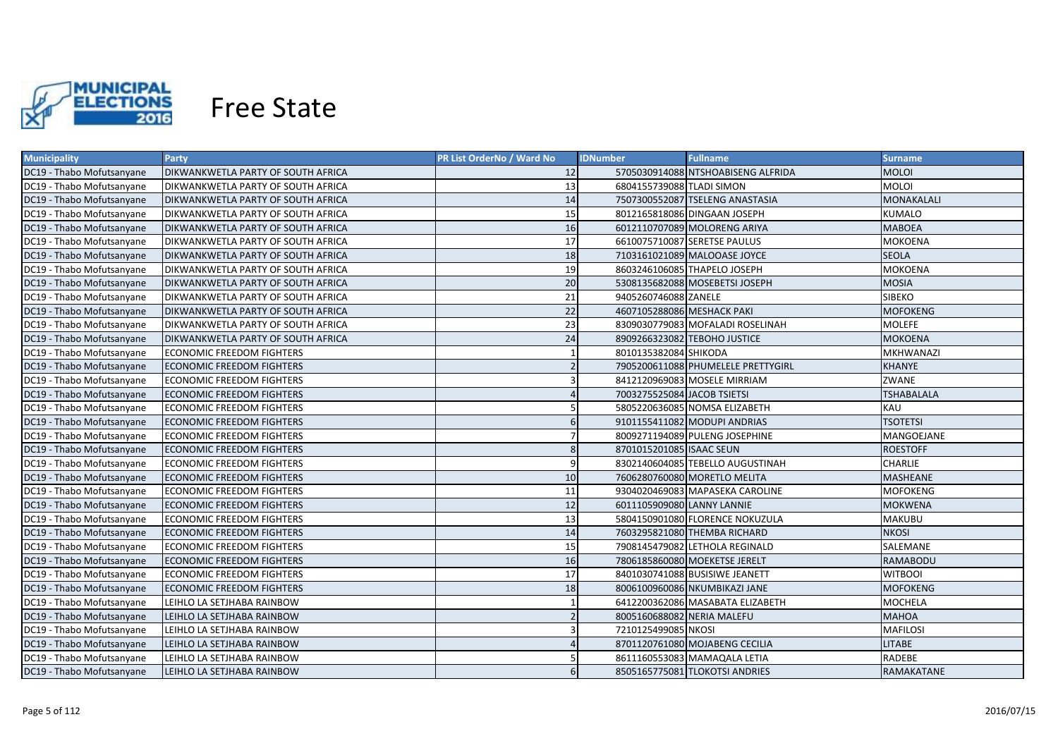

| <b>Municipality</b>       | <b>Party</b>                               | <b>PR List OrderNo / Ward No</b> | <b>Fullname</b><br><b>IDNumber</b> | <b>Surname</b>    |
|---------------------------|--------------------------------------------|----------------------------------|------------------------------------|-------------------|
| DC19 - Thabo Mofutsanyane | DIKWANKWETLA PARTY OF SOUTH AFRICA         | 12                               | 5705030914088 NTSHOABISENG ALFRIDA | MOLOI             |
| DC19 - Thabo Mofutsanyane | DIKWANKWETLA PARTY OF SOUTH AFRICA         | 13                               | 6804155739088 TLADI SIMON          | <b>MOLOI</b>      |
| DC19 - Thabo Mofutsanyane | DIKWANKWETLA PARTY OF SOUTH AFRICA         | 14                               | 7507300552087 TSELENG ANASTASIA    | MONAKALALI        |
| DC19 - Thabo Mofutsanyane | DIKWANKWETLA PARTY OF SOUTH AFRICA         | 15                               | 8012165818086 DINGAAN JOSEPH       | <b>KUMALO</b>     |
| DC19 - Thabo Mofutsanyane | <b>DIKWANKWETLA PARTY OF SOUTH AFRICA</b>  | 16                               | 6012110707089 MOLORENG ARIYA       | <b>MABOEA</b>     |
| DC19 - Thabo Mofutsanyane | DIKWANKWETLA PARTY OF SOUTH AFRICA         | 17                               | 6610075710087 SERETSE PAULUS       | <b>MOKOENA</b>    |
| DC19 - Thabo Mofutsanyane | <b>DIKWANKWETLA PARTY OF SOUTH AFRICA</b>  | 18                               | 7103161021089 MALOOASE JOYCE       | <b>SEOLA</b>      |
| DC19 - Thabo Mofutsanyane | <b>DIKWANKWETLA PARTY OF SOUTH AFRICA</b>  | 19                               | 8603246106085 THAPELO JOSEPH       | <b>MOKOENA</b>    |
| DC19 - Thabo Mofutsanyane | <b>IDIKWANKWETLA PARTY OF SOUTH AFRICA</b> | 20                               | 5308135682088 MOSEBETSI JOSEPH     | <b>MOSIA</b>      |
| DC19 - Thabo Mofutsanyane | <b>IDIKWANKWETLA PARTY OF SOUTH AFRICA</b> | 21                               | 9405260746088 ZANELE               | <b>SIBEKO</b>     |
| DC19 - Thabo Mofutsanyane | <b>IDIKWANKWETLA PARTY OF SOUTH AFRICA</b> | 22                               | 4607105288086 MESHACK PAKI         | <b>MOFOKENG</b>   |
| DC19 - Thabo Mofutsanyane | <b>DIKWANKWETLA PARTY OF SOUTH AFRICA</b>  | 23                               | 8309030779083 MOFALADI ROSELINAH   | <b>MOLEFE</b>     |
| DC19 - Thabo Mofutsanyane | DIKWANKWETLA PARTY OF SOUTH AFRICA         | 24                               | 8909266323082 TEBOHO JUSTICE       | <b>MOKOENA</b>    |
| DC19 - Thabo Mofutsanyane | <b>ECONOMIC FREEDOM FIGHTERS</b>           |                                  | 8010135382084 SHIKODA              | <b>MKHWANAZI</b>  |
| DC19 - Thabo Mofutsanyane | <b>ECONOMIC FREEDOM FIGHTERS</b>           | $\overline{2}$                   | 7905200611088 PHUMELELE PRETTYGIRL | <b>KHANYE</b>     |
| DC19 - Thabo Mofutsanyane | <b>ECONOMIC FREEDOM FIGHTERS</b>           | $\overline{3}$                   | 8412120969083 MOSELE MIRRIAM       | ZWANE             |
| DC19 - Thabo Mofutsanyane | <b>ECONOMIC FREEDOM FIGHTERS</b>           | $\overline{4}$                   | 7003275525084 JACOB TSIETSI        | <b>TSHABALALA</b> |
| DC19 - Thabo Mofutsanyane | <b>ECONOMIC FREEDOM FIGHTERS</b>           |                                  | 5805220636085 NOMSA ELIZABETH      | KAU               |
| DC19 - Thabo Mofutsanyane | <b>ECONOMIC FREEDOM FIGHTERS</b>           | $6 \overline{6}$                 | 9101155411082 MODUPI ANDRIAS       | <b>TSOTETSI</b>   |
| DC19 - Thabo Mofutsanyane | <b>ECONOMIC FREEDOM FIGHTERS</b>           |                                  | 8009271194089 PULENG JOSEPHINE     | MANGOEJANE        |
| DC19 - Thabo Mofutsanyane | <b>ECONOMIC FREEDOM FIGHTERS</b>           | 8                                | 8701015201085 ISAAC SEUN           | <b>ROESTOFF</b>   |
| DC19 - Thabo Mofutsanyane | <b>ECONOMIC FREEDOM FIGHTERS</b>           | $\overline{9}$                   | 8302140604085 TEBELLO AUGUSTINAH   | <b>CHARLIE</b>    |
| DC19 - Thabo Mofutsanyane | <b>ECONOMIC FREEDOM FIGHTERS</b>           | 10                               | 7606280760080 MORETLO MELITA       | <b>MASHEANE</b>   |
| DC19 - Thabo Mofutsanyane | <b>ECONOMIC FREEDOM FIGHTERS</b>           | 11                               | 9304020469083 MAPASEKA CAROLINE    | <b>MOFOKENG</b>   |
| DC19 - Thabo Mofutsanyane | <b>ECONOMIC FREEDOM FIGHTERS</b>           | 12                               | 6011105909080 LANNY LANNIE         | <b>MOKWENA</b>    |
| DC19 - Thabo Mofutsanyane | <b>ECONOMIC FREEDOM FIGHTERS</b>           | 13                               | 5804150901080 FLORENCE NOKUZULA    | <b>MAKUBU</b>     |
| DC19 - Thabo Mofutsanyane | <b>ECONOMIC FREEDOM FIGHTERS</b>           | 14                               | 7603295821080 THEMBA RICHARD       | NKOSI             |
| DC19 - Thabo Mofutsanyane | <b>ECONOMIC FREEDOM FIGHTERS</b>           | 15                               | 7908145479082 LETHOLA REGINALD     | SALEMANE          |
| DC19 - Thabo Mofutsanyane | <b>ECONOMIC FREEDOM FIGHTERS</b>           | 16                               | 7806185860080 MOEKETSE JERELT      | RAMABODU          |
| DC19 - Thabo Mofutsanyane | <b>ECONOMIC FREEDOM FIGHTERS</b>           | 17                               | 8401030741088 BUSISIWE JEANETT     | <b>WITBOOI</b>    |
| DC19 - Thabo Mofutsanyane | <b>ECONOMIC FREEDOM FIGHTERS</b>           | 18                               | 8006100960086 NKUMBIKAZI JANE      | <b>MOFOKENG</b>   |
| DC19 - Thabo Mofutsanyane | LEIHLO LA SETJHABA RAINBOW                 |                                  | 6412200362086 MASABATA ELIZABETH   | MOCHELA           |
| DC19 - Thabo Mofutsanyane | LEIHLO LA SETJHABA RAINBOW                 |                                  | 8005160688082 NERIA MALEFU         | <b>MAHOA</b>      |
| DC19 - Thabo Mofutsanyane | LEIHLO LA SETJHABA RAINBOW                 |                                  | 7210125499085 NKOSI                | <b>MAFILOSI</b>   |
| DC19 - Thabo Mofutsanyane | LEIHLO LA SETJHABA RAINBOW                 |                                  | 8701120761080 MOJABENG CECILIA     | <b>LITABE</b>     |
| DC19 - Thabo Mofutsanyane | LEIHLO LA SETJHABA RAINBOW                 |                                  | 8611160553083 MAMAQALA LETIA       | RADEBE            |
| DC19 - Thabo Mofutsanyane | LEIHLO LA SETJHABA RAINBOW                 | 6                                | 8505165775081 TLOKOTSI ANDRIES     | RAMAKATANE        |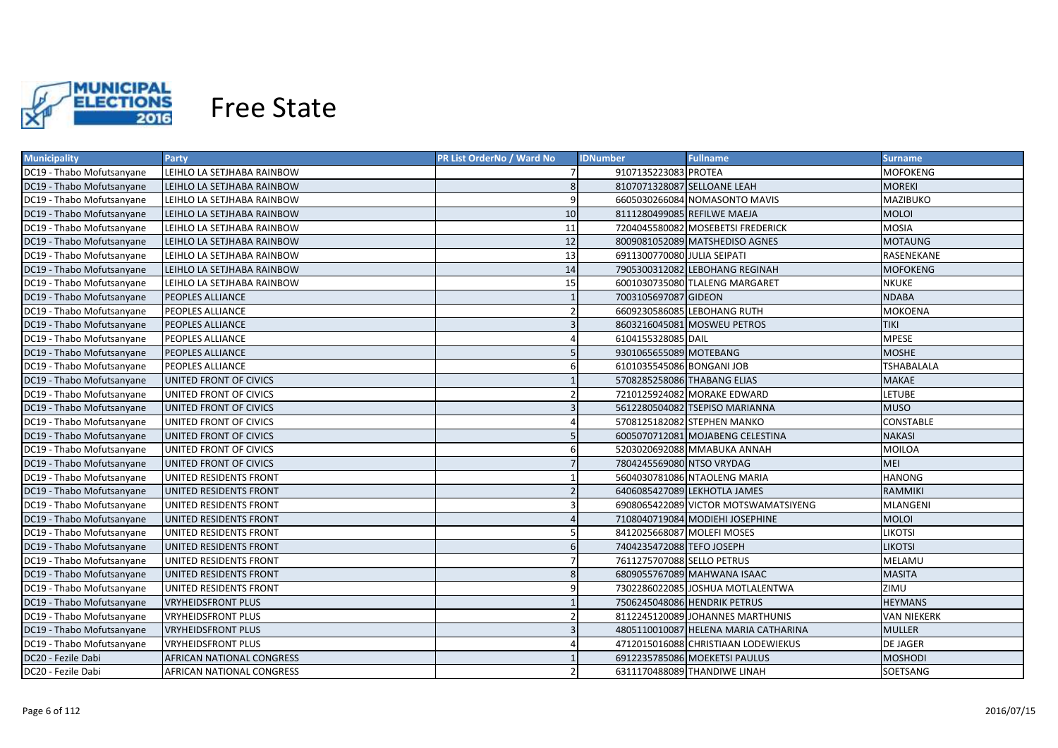

| <b>Municipality</b>       | <b>Party</b>               | PR List OrderNo / Ward No | <b>IDNumber</b>             | <b>Fullname</b>                      | <b>Surname</b>     |
|---------------------------|----------------------------|---------------------------|-----------------------------|--------------------------------------|--------------------|
| DC19 - Thabo Mofutsanyane | LEIHLO LA SETJHABA RAINBOW |                           | 9107135223083 PROTEA        |                                      | MOFOKENG           |
| DC19 - Thabo Mofutsanyane | LEIHLO LA SETJHABA RAINBOW | 8                         | 8107071328087 SELLOANE LEAH |                                      | <b>MOREKI</b>      |
| DC19 - Thabo Mofutsanyane | LEIHLO LA SETJHABA RAINBOW | 9                         |                             | 6605030266084 NOMASONTO MAVIS        | MAZIBUKO           |
| DC19 - Thabo Mofutsanyane | LEIHLO LA SETJHABA RAINBOW | 10                        | 8111280499085 REFILWE MAEJA |                                      | <b>MOLOI</b>       |
| DC19 - Thabo Mofutsanyane | LEIHLO LA SETJHABA RAINBOW | 11                        |                             | 7204045580082 MOSEBETSI FREDERICK    | <b>MOSIA</b>       |
| DC19 - Thabo Mofutsanyane | LEIHLO LA SETJHABA RAINBOW | 12                        |                             | 8009081052089 MATSHEDISO AGNES       | <b>MOTAUNG</b>     |
| DC19 - Thabo Mofutsanyane | LEIHLO LA SETJHABA RAINBOW | 13                        | 6911300770080 JULIA SEIPATI |                                      | RASENEKANE         |
| DC19 - Thabo Mofutsanyane | LEIHLO LA SETJHABA RAINBOW | 14                        |                             | 7905300312082 LEBOHANG REGINAH       | <b>MOFOKENG</b>    |
| DC19 - Thabo Mofutsanyane | LEIHLO LA SETJHABA RAINBOW | 15                        |                             | 6001030735080 TLALENG MARGARET       | <b>NKUKE</b>       |
| DC19 - Thabo Mofutsanyane | <b>PEOPLES ALLIANCE</b>    |                           | 7003105697087 GIDEON        |                                      | <b>NDABA</b>       |
| DC19 - Thabo Mofutsanyane | <b>PEOPLES ALLIANCE</b>    |                           |                             | 6609230586085 LEBOHANG RUTH          | <b>MOKOENA</b>     |
| DC19 - Thabo Mofutsanyane | <b>PEOPLES ALLIANCE</b>    | $\overline{3}$            |                             | 8603216045081 MOSWEU PETROS          | <b>TIKI</b>        |
| DC19 - Thabo Mofutsanyane | PEOPLES ALLIANCE           |                           | 6104155328085 DAIL          |                                      | <b>MPESE</b>       |
| DC19 - Thabo Mofutsanyane | <b>PEOPLES ALLIANCE</b>    | 5                         | 9301065655089 MOTEBANG      |                                      | <b>MOSHE</b>       |
| DC19 - Thabo Mofutsanyane | <b>PEOPLES ALLIANCE</b>    | 6                         | 6101035545086 BONGANI JOB   |                                      | <b>TSHABALALA</b>  |
| DC19 - Thabo Mofutsanyane | UNITED FRONT OF CIVICS     |                           | 5708285258086 THABANG ELIAS |                                      | <b>MAKAE</b>       |
| DC19 - Thabo Mofutsanyane | UNITED FRONT OF CIVICS     |                           |                             | 7210125924082 MORAKE EDWARD          | LETUBE             |
| DC19 - Thabo Mofutsanyane | UNITED FRONT OF CIVICS     | $\overline{3}$            |                             | 5612280504082 TSEPISO MARIANNA       | <b>MUSO</b>        |
| DC19 - Thabo Mofutsanyane | UNITED FRONT OF CIVICS     |                           |                             | 5708125182082 STEPHEN MANKO          | <b>CONSTABLE</b>   |
| DC19 - Thabo Mofutsanyane | UNITED FRONT OF CIVICS     | 5                         |                             | 6005070712081 MOJABENG CELESTINA     | <b>NAKASI</b>      |
| DC19 - Thabo Mofutsanyane | UNITED FRONT OF CIVICS     |                           |                             | 5203020692088 MMABUKA ANNAH          | MOILOA             |
| DC19 - Thabo Mofutsanyane | UNITED FRONT OF CIVICS     |                           | 7804245569080 NTSO VRYDAG   |                                      | <b>MEI</b>         |
| DC19 - Thabo Mofutsanyane | UNITED RESIDENTS FRONT     |                           |                             | 5604030781086 NTAOLENG MARIA         | <b>HANONG</b>      |
| DC19 - Thabo Mofutsanyane | UNITED RESIDENTS FRONT     |                           |                             | 6406085427089 LEKHOTLA JAMES         | <b>RAMMIKI</b>     |
| DC19 - Thabo Mofutsanyane | UNITED RESIDENTS FRONT     |                           |                             | 6908065422089 VICTOR MOTSWAMATSIYENG | MLANGENI           |
| DC19 - Thabo Mofutsanyane | UNITED RESIDENTS FRONT     |                           |                             | 7108040719084 MODIEHI JOSEPHINE      | <b>MOLOI</b>       |
| DC19 - Thabo Mofutsanyane | UNITED RESIDENTS FRONT     |                           | 8412025668087 MOLEFI MOSES  |                                      | LIKOTSI            |
| DC19 - Thabo Mofutsanyane | UNITED RESIDENTS FRONT     | 6                         | 7404235472088 TEFO JOSEPH   |                                      | <b>LIKOTSI</b>     |
| DC19 - Thabo Mofutsanyane | UNITED RESIDENTS FRONT     |                           | 7611275707088 SELLO PETRUS  |                                      | MELAMU             |
| DC19 - Thabo Mofutsanyane | UNITED RESIDENTS FRONT     | 8                         |                             | 6809055767089 MAHWANA ISAAC          | <b>MASITA</b>      |
| DC19 - Thabo Mofutsanyane | UNITED RESIDENTS FRONT     |                           |                             | 7302286022085 JOSHUA MOTLALENTWA     | ZIMU               |
| DC19 - Thabo Mofutsanyane | <b>VRYHEIDSFRONT PLUS</b>  |                           |                             | 7506245048086 HENDRIK PETRUS         | <b>HEYMANS</b>     |
| DC19 - Thabo Mofutsanyane | <b>VRYHEIDSFRONT PLUS</b>  |                           |                             | 8112245120089 JOHANNES MARTHUNIS     | <b>VAN NIEKERK</b> |
| DC19 - Thabo Mofutsanyane | <b>VRYHEIDSFRONT PLUS</b>  |                           |                             | 4805110010087 HELENA MARIA CATHARINA | <b>MULLER</b>      |
| DC19 - Thabo Mofutsanyane | VRYHEIDSFRONT PLUS         |                           |                             | 4712015016088 CHRISTIAAN LODEWIEKUS  | <b>DE JAGER</b>    |
| DC20 - Fezile Dabi        | AFRICAN NATIONAL CONGRESS  |                           |                             | 6912235785086 MOEKETSI PAULUS        | <b>MOSHODI</b>     |
| DC20 - Fezile Dabi        | AFRICAN NATIONAL CONGRESS  |                           |                             | 6311170488089 THANDIWE LINAH         | SOETSANG           |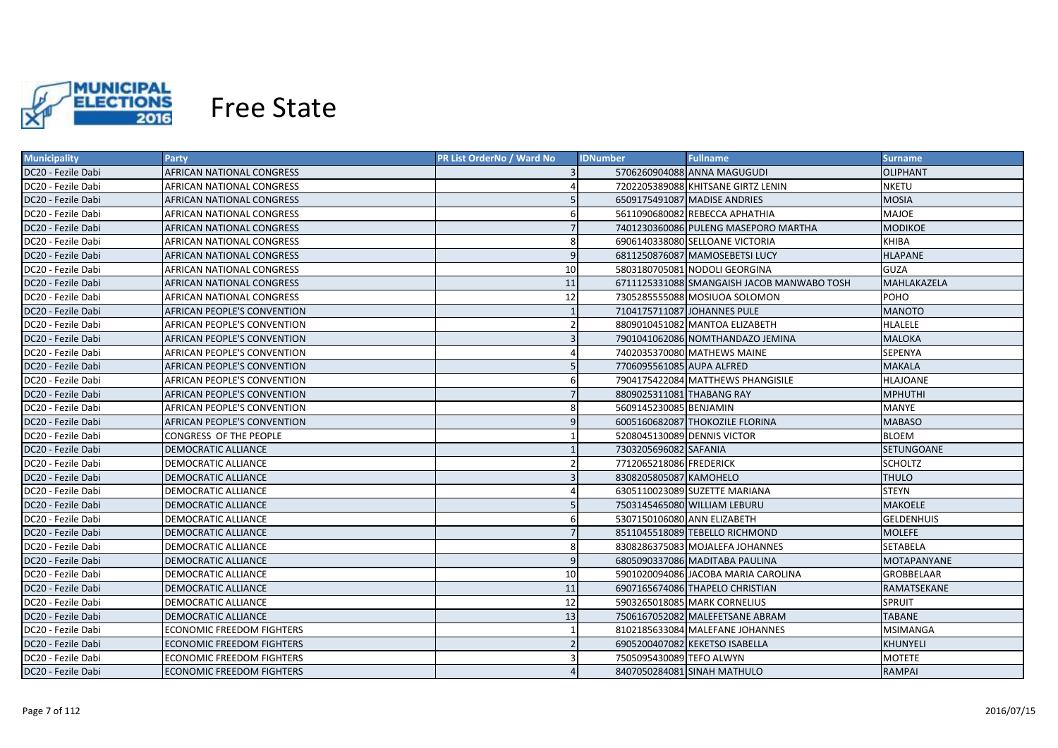

| <b>Municipality</b> | <b>Party</b>                     | <b>PR List OrderNo / Ward No</b> | <b>IDNumber</b>             | <b>Fullname</b>                            | <b>Surname</b>     |
|---------------------|----------------------------------|----------------------------------|-----------------------------|--------------------------------------------|--------------------|
| DC20 - Fezile Dabi  | AFRICAN NATIONAL CONGRESS        |                                  |                             | 5706260904088 ANNA MAGUGUDI                | <b>OLIPHANT</b>    |
| DC20 - Fezile Dabi  | AFRICAN NATIONAL CONGRESS        |                                  |                             | 7202205389088 KHITSANE GIRTZ LENIN         | <b>NKETU</b>       |
| DC20 - Fezile Dabi  | AFRICAN NATIONAL CONGRESS        |                                  |                             | 6509175491087 MADISE ANDRIES               | <b>MOSIA</b>       |
| DC20 - Fezile Dabi  | AFRICAN NATIONAL CONGRESS        | 6                                |                             | 5611090680082 REBECCA APHATHIA             | <b>MAJOE</b>       |
| DC20 - Fezile Dabi  | AFRICAN NATIONAL CONGRESS        |                                  |                             | 7401230360086 PULENG MASEPORO MARTHA       | <b>MODIKOE</b>     |
| DC20 - Fezile Dabi  | AFRICAN NATIONAL CONGRESS        | 8                                |                             | 6906140338080 SELLOANE VICTORIA            | <b>KHIBA</b>       |
| DC20 - Fezile Dabi  | AFRICAN NATIONAL CONGRESS        | 9                                |                             | 6811250876087 MAMOSEBETSI LUCY             | <b>HLAPANE</b>     |
| DC20 - Fezile Dabi  | AFRICAN NATIONAL CONGRESS        | 10                               |                             | 5803180705081 NODOLI GEORGINA              | <b>GUZA</b>        |
| DC20 - Fezile Dabi  | AFRICAN NATIONAL CONGRESS        | 11                               |                             | 6711125331088 SMANGAISH JACOB MANWABO TOSH | MAHLAKAZELA        |
| DC20 - Fezile Dabi  | AFRICAN NATIONAL CONGRESS        | 12                               |                             | 7305285555088 MOSIUOA SOLOMON              | POHO               |
| DC20 - Fezile Dabi  | AFRICAN PEOPLE'S CONVENTION      |                                  | 7104175711087 JOHANNES PULE |                                            | <b>MANOTO</b>      |
| DC20 - Fezile Dabi  | AFRICAN PEOPLE'S CONVENTION      | $\overline{2}$                   |                             | 8809010451082 MANTOA ELIZABETH             | <b>HLALELE</b>     |
| DC20 - Fezile Dabi  | AFRICAN PEOPLE'S CONVENTION      | $\overline{3}$                   |                             | 7901041062086 NOMTHANDAZO JEMINA           | <b>MALOKA</b>      |
| DC20 - Fezile Dabi  | AFRICAN PEOPLE'S CONVENTION      |                                  |                             | 7402035370080 MATHEWS MAINE                | <b>SEPENYA</b>     |
| DC20 - Fezile Dabi  | AFRICAN PEOPLE'S CONVENTION      | 5                                | 7706095561085 AUPA ALFRED   |                                            | <b>MAKALA</b>      |
| DC20 - Fezile Dabi  | AFRICAN PEOPLE'S CONVENTION      | 6                                |                             | 7904175422084 MATTHEWS PHANGISILE          | <b>HLAJOANE</b>    |
| DC20 - Fezile Dabi  | AFRICAN PEOPLE'S CONVENTION      |                                  | 8809025311081 THABANG RAY   |                                            | <b>MPHUTHI</b>     |
| DC20 - Fezile Dabi  | AFRICAN PEOPLE'S CONVENTION      | $\mathsf{\mathsf{R}}$            | 5609145230085 BENJAMIN      |                                            | <b>MANYE</b>       |
| DC20 - Fezile Dabi  | AFRICAN PEOPLE'S CONVENTION      | $\mathsf{q}$                     |                             | 6005160682087 THOKOZILE FLORINA            | <b>MABASO</b>      |
| DC20 - Fezile Dabi  | CONGRESS OF THE PEOPLE           |                                  | 5208045130089 DENNIS VICTOR |                                            | <b>BLOEM</b>       |
| DC20 - Fezile Dabi  | <b>DEMOCRATIC ALLIANCE</b>       |                                  | 7303205696082 SAFANIA       |                                            | <b>SETUNGOANE</b>  |
| DC20 - Fezile Dabi  | <b>DEMOCRATIC ALLIANCE</b>       |                                  | 7712065218086 FREDERICK     |                                            | <b>SCHOLTZ</b>     |
| DC20 - Fezile Dabi  | <b>DEMOCRATIC ALLIANCE</b>       |                                  | 8308205805087 KAMOHELO      |                                            | <b>THULO</b>       |
| DC20 - Fezile Dabi  | <b>DEMOCRATIC ALLIANCE</b>       |                                  |                             | 6305110023089 SUZETTE MARIANA              | <b>STEYN</b>       |
| DC20 - Fezile Dabi  | <b>DEMOCRATIC ALLIANCE</b>       |                                  |                             | 7503145465080 WILLIAM LEBURU               | <b>MAKOELE</b>     |
| DC20 - Fezile Dabi  | <b>DEMOCRATIC ALLIANCE</b>       | 6                                | 5307150106080 ANN ELIZABETH |                                            | <b>GELDENHUIS</b>  |
| DC20 - Fezile Dabi  | <b>DEMOCRATIC ALLIANCE</b>       |                                  |                             | 8511045518089 TEBELLO RICHMOND             | <b>MOLEFE</b>      |
| DC20 - Fezile Dabi  | DEMOCRATIC ALLIANCE              | 8                                |                             | 8308286375083 MOJALEFA JOHANNES            | SETABELA           |
| DC20 - Fezile Dabi  | DEMOCRATIC ALLIANCE              | 9                                |                             | 6805090337086 MADITABA PAULINA             | <b>MOTAPANYANE</b> |
| DC20 - Fezile Dabi  | DEMOCRATIC ALLIANCE              | 10                               |                             | 5901020094086 JACOBA MARIA CAROLINA        | GROBBELAAR         |
| DC20 - Fezile Dabi  | DEMOCRATIC ALLIANCE              | 11                               |                             | 6907165674086 THAPELO CHRISTIAN            | RAMATSEKANE        |
| DC20 - Fezile Dabi  | DEMOCRATIC ALLIANCE              | 12                               |                             | 5903265018085 MARK CORNELIUS               | SPRUIT             |
| DC20 - Fezile Dabi  | DEMOCRATIC ALLIANCE              | 13                               |                             | 7506167052082 MALEFETSANE ABRAM            | <b>TABANE</b>      |
| DC20 - Fezile Dabi  | ECONOMIC FREEDOM FIGHTERS        |                                  |                             | 8102185633084 MALEFANE JOHANNES            | <b>MSIMANGA</b>    |
| DC20 - Fezile Dabi  | <b>ECONOMIC FREEDOM FIGHTERS</b> |                                  |                             | 6905200407082 KEKETSO ISABELLA             | <b>KHUNYELI</b>    |
| DC20 - Fezile Dabi  | <b>ECONOMIC FREEDOM FIGHTERS</b> |                                  | 7505095430089 TEFO ALWYN    |                                            | <b>MOTETE</b>      |
| DC20 - Fezile Dabi  | <b>ECONOMIC FREEDOM FIGHTERS</b> |                                  |                             | 8407050284081 SINAH MATHULO                | <b>RAMPAI</b>      |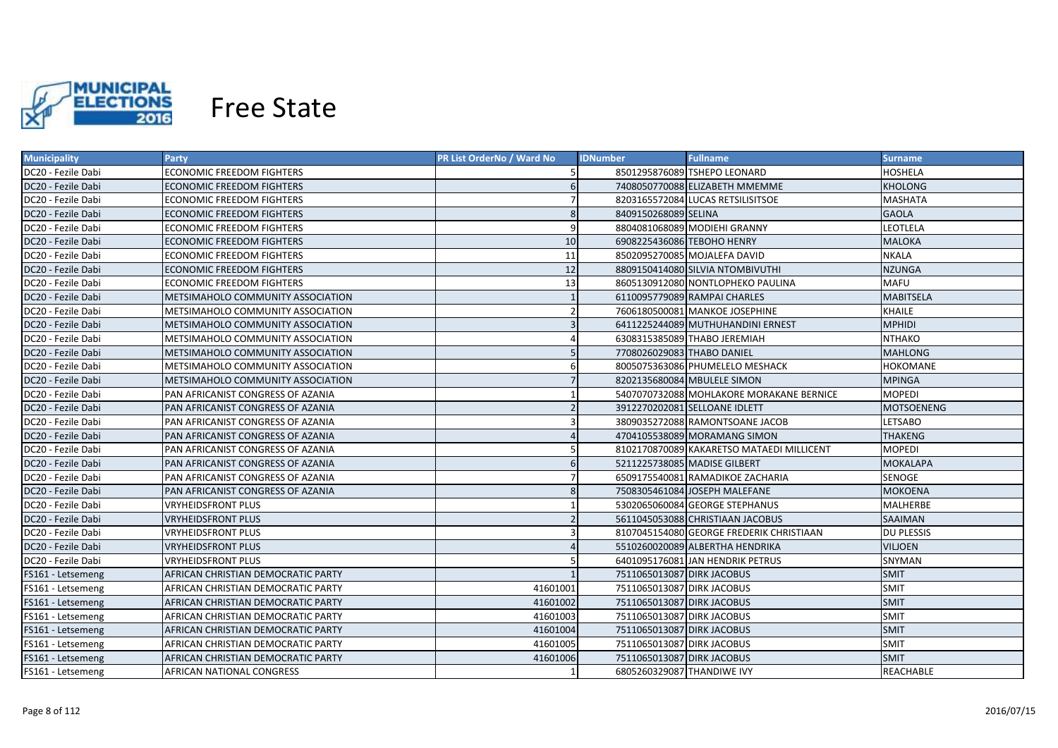

| <b>Municipality</b> | <b>Party</b>                       | PR List OrderNo / Ward No | <b>IDNumber</b>            | <b>Fullname</b>                           | Surname           |
|---------------------|------------------------------------|---------------------------|----------------------------|-------------------------------------------|-------------------|
| DC20 - Fezile Dabi  | ECONOMIC FREEDOM FIGHTERS          |                           |                            | 8501295876089 TSHEPO LEONARD              | HOSHELA           |
| DC20 - Fezile Dabi  | ECONOMIC FREEDOM FIGHTERS          | 6                         |                            | 7408050770088 ELIZABETH MMEMME            | <b>KHOLONG</b>    |
| DC20 - Fezile Dabi  | ECONOMIC FREEDOM FIGHTERS          |                           |                            | 8203165572084 LUCAS RETSILISITSOE         | <b>MASHATA</b>    |
| DC20 - Fezile Dabi  | ECONOMIC FREEDOM FIGHTERS          | 8                         | 8409150268089 SELINA       |                                           | <b>GAOLA</b>      |
| DC20 - Fezile Dabi  | ECONOMIC FREEDOM FIGHTERS          | 9                         |                            | 8804081068089 MODIEHI GRANNY              | LEOTLELA          |
| DC20 - Fezile Dabi  | ECONOMIC FREEDOM FIGHTERS          | 10                        | 6908225436086 TEBOHO HENRY |                                           | <b>MALOKA</b>     |
| DC20 - Fezile Dabi  | ECONOMIC FREEDOM FIGHTERS          | 11                        |                            | 8502095270085 MOJALEFA DAVID              | <b>NKALA</b>      |
| DC20 - Fezile Dabi  | <b>ECONOMIC FREEDOM FIGHTERS</b>   | 12                        |                            | 8809150414080 SILVIA NTOMBIVUTHI          | <b>NZUNGA</b>     |
| DC20 - Fezile Dabi  | <b>ECONOMIC FREEDOM FIGHTERS</b>   | 13                        |                            | 8605130912080 NONTLOPHEKO PAULINA         | MAFU              |
| DC20 - Fezile Dabi  | METSIMAHOLO COMMUNITY ASSOCIATION  |                           |                            | 6110095779089 RAMPAI CHARLES              | <b>MABITSELA</b>  |
| DC20 - Fezile Dabi  | METSIMAHOLO COMMUNITY ASSOCIATION  |                           |                            | 7606180500081 MANKOE JOSEPHINE            | KHAILE            |
| DC20 - Fezile Dabi  | METSIMAHOLO COMMUNITY ASSOCIATION  | $\overline{3}$            |                            | 6411225244089 MUTHUHANDINI ERNEST         | <b>MPHIDI</b>     |
| DC20 - Fezile Dabi  | METSIMAHOLO COMMUNITY ASSOCIATION  |                           |                            | 6308315385089 THABO JEREMIAH              | <b>NTHAKO</b>     |
| DC20 - Fezile Dabi  | METSIMAHOLO COMMUNITY ASSOCIATION  | 5                         | 7708026029083 THABO DANIEL |                                           | <b>MAHLONG</b>    |
| DC20 - Fezile Dabi  | METSIMAHOLO COMMUNITY ASSOCIATION  | 6                         |                            | 8005075363086 PHUMELELO MESHACK           | <b>HOKOMANE</b>   |
| DC20 - Fezile Dabi  | METSIMAHOLO COMMUNITY ASSOCIATION  | $\overline{7}$            |                            | 8202135680084 MBULELE SIMON               | <b>MPINGA</b>     |
| DC20 - Fezile Dabi  | PAN AFRICANIST CONGRESS OF AZANIA  |                           |                            | 5407070732088 MOHLAKORE MORAKANE BERNICE  | <b>MOPEDI</b>     |
| DC20 - Fezile Dabi  | PAN AFRICANIST CONGRESS OF AZANIA  |                           |                            | 3912270202081 SELLOANE IDLETT             | <b>MOTSOENENG</b> |
| DC20 - Fezile Dabi  | PAN AFRICANIST CONGRESS OF AZANIA  |                           |                            | 3809035272088 RAMONTSOANE JACOB           | <b>LETSABO</b>    |
| DC20 - Fezile Dabi  | PAN AFRICANIST CONGRESS OF AZANIA  |                           |                            | 4704105538089 MORAMANG SIMON              | <b>THAKENG</b>    |
| DC20 - Fezile Dabi  | PAN AFRICANIST CONGRESS OF AZANIA  |                           |                            | 8102170870089 KAKARETSO MATAEDI MILLICENT | <b>MOPEDI</b>     |
| DC20 - Fezile Dabi  | PAN AFRICANIST CONGRESS OF AZANIA  | 6                         |                            | 5211225738085 MADISE GILBERT              | MOKALAPA          |
| DC20 - Fezile Dabi  | PAN AFRICANIST CONGRESS OF AZANIA  |                           |                            | 6509175540081 RAMADIKOE ZACHARIA          | SENOGE            |
| DC20 - Fezile Dabi  | PAN AFRICANIST CONGRESS OF AZANIA  | 8                         |                            | 7508305461084 JOSEPH MALEFANE             | <b>MOKOENA</b>    |
| DC20 - Fezile Dabi  | VRYHEIDSFRONT PLUS                 |                           |                            | 5302065060084 GEORGE STEPHANUS            | MALHERBE          |
| DC20 - Fezile Dabi  | <b>VRYHEIDSFRONT PLUS</b>          |                           |                            | 5611045053088 CHRISTIAAN JACOBUS          | SAAIMAN           |
| DC20 - Fezile Dabi  | VRYHEIDSFRONT PLUS                 |                           |                            | 8107045154080 GEORGE FREDERIK CHRISTIAAN  | <b>DU PLESSIS</b> |
| DC20 - Fezile Dabi  | VRYHEIDSFRONT PLUS                 |                           |                            | 5510260020089 ALBERTHA HENDRIKA           | VILJOEN           |
| DC20 - Fezile Dabi  | VRYHEIDSFRONT PLUS                 |                           |                            | 6401095176081 JAN HENDRIK PETRUS          | SNYMAN            |
| FS161 - Letsemeng   | AFRICAN CHRISTIAN DEMOCRATIC PARTY |                           | 7511065013087 DIRK JACOBUS |                                           | <b>SMIT</b>       |
| FS161 - Letsemeng   | AFRICAN CHRISTIAN DEMOCRATIC PARTY | 41601001                  | 7511065013087 DIRK JACOBUS |                                           | <b>SMIT</b>       |
| FS161 - Letsemeng   | AFRICAN CHRISTIAN DEMOCRATIC PARTY | 41601002                  | 7511065013087 DIRK JACOBUS |                                           | <b>SMIT</b>       |
| FS161 - Letsemeng   | AFRICAN CHRISTIAN DEMOCRATIC PARTY | 41601003                  | 7511065013087 DIRK JACOBUS |                                           | SMIT              |
| FS161 - Letsemeng   | AFRICAN CHRISTIAN DEMOCRATIC PARTY | 41601004                  | 7511065013087 DIRK JACOBUS |                                           | <b>SMIT</b>       |
| FS161 - Letsemeng   | AFRICAN CHRISTIAN DEMOCRATIC PARTY | 41601005                  | 7511065013087 DIRK JACOBUS |                                           | <b>SMIT</b>       |
| FS161 - Letsemeng   | AFRICAN CHRISTIAN DEMOCRATIC PARTY | 41601006                  | 7511065013087 DIRK JACOBUS |                                           | <b>SMIT</b>       |
| FS161 - Letsemeng   | AFRICAN NATIONAL CONGRESS          |                           | 6805260329087 THANDIWE IVY |                                           | REACHABLE         |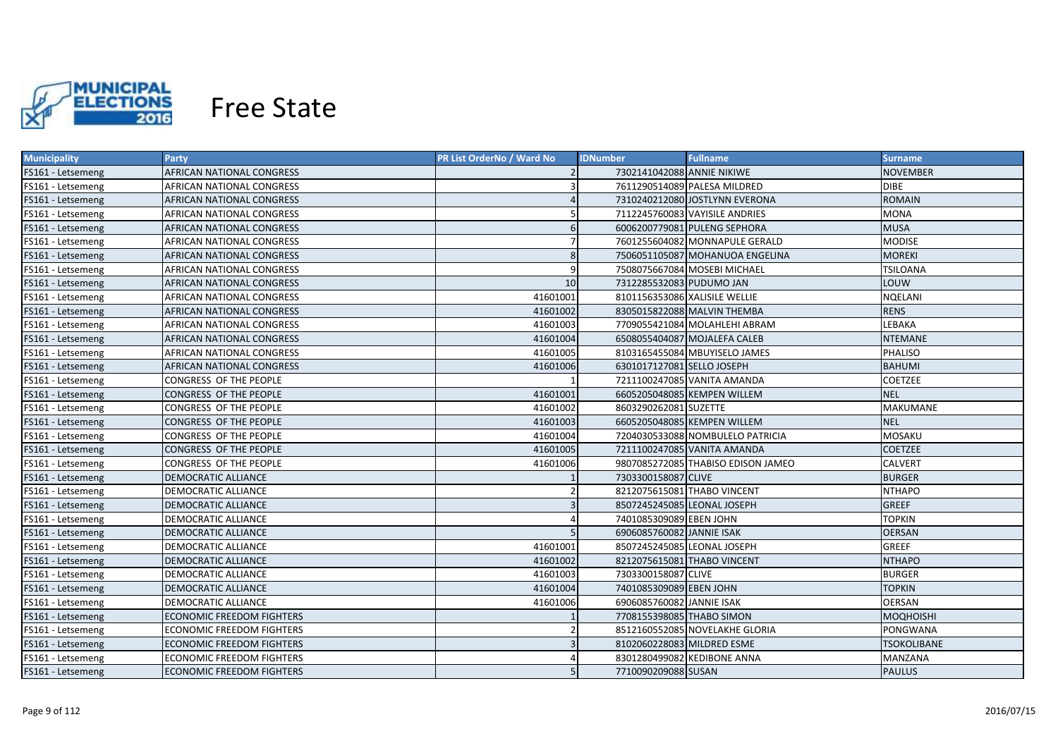

| <b>Municipality</b> | Party                            | PR List OrderNo / Ward No | <b>IDNumber</b>               | <b>Fullname</b>                    | <b>Surname</b>     |
|---------------------|----------------------------------|---------------------------|-------------------------------|------------------------------------|--------------------|
| FS161 - Letsemeng   | AFRICAN NATIONAL CONGRESS        |                           | 7302141042088 ANNIE NIKIWE    |                                    | NOVEMBER           |
| FS161 - Letsemeng   | AFRICAN NATIONAL CONGRESS        |                           |                               | 7611290514089 PALESA MILDRED       | <b>DIBE</b>        |
| FS161 - Letsemeng   | AFRICAN NATIONAL CONGRESS        |                           |                               | 7310240212080 JOSTLYNN EVERONA     | <b>ROMAIN</b>      |
| FS161 - Letsemeng   | AFRICAN NATIONAL CONGRESS        |                           |                               | 7112245760083 VAYISILE ANDRIES     | <b>MONA</b>        |
| FS161 - Letsemeng   | AFRICAN NATIONAL CONGRESS        | 6                         |                               | 6006200779081 PULENG SEPHORA       | <b>MUSA</b>        |
| FS161 - Letsemeng   | AFRICAN NATIONAL CONGRESS        |                           |                               | 7601255604082 MONNAPULE GERALD     | <b>MODISE</b>      |
| FS161 - Letsemeng   | AFRICAN NATIONAL CONGRESS        | 8                         |                               | 7506051105087 MOHANUOA ENGELINA    | <b>MOREKI</b>      |
| FS161 - Letsemeng   | AFRICAN NATIONAL CONGRESS        | 9                         |                               | 7508075667084 MOSEBI MICHAEL       | <b>TSILOANA</b>    |
| FS161 - Letsemeng   | AFRICAN NATIONAL CONGRESS        | 10 <sup>1</sup>           | 7312285532083 PUDUMO JAN      |                                    | LOUW               |
| FS161 - Letsemeng   | AFRICAN NATIONAL CONGRESS        | 41601001                  | 8101156353086 XALISILE WELLIE |                                    | NQELANI            |
| FS161 - Letsemeng   | AFRICAN NATIONAL CONGRESS        | 41601002                  |                               | 8305015822088 MALVIN THEMBA        | <b>RENS</b>        |
| FS161 - Letsemeng   | AFRICAN NATIONAL CONGRESS        | 41601003                  |                               | 7709055421084 MOLAHLEHI ABRAM      | LEBAKA             |
| FS161 - Letsemeng   | <b>AFRICAN NATIONAL CONGRESS</b> | 41601004                  |                               | 6508055404087 MOJALEFA CALEB       | <b>NTEMANE</b>     |
| FS161 - Letsemeng   | AFRICAN NATIONAL CONGRESS        | 41601005                  |                               | 8103165455084 MBUYISELO JAMES      | PHALISO            |
| FS161 - Letsemeng   | AFRICAN NATIONAL CONGRESS        | 41601006                  | 6301017127081 SELLO JOSEPH    |                                    | <b>BAHUMI</b>      |
| FS161 - Letsemeng   | CONGRESS OF THE PEOPLE           |                           |                               | 7211100247085 VANITA AMANDA        | <b>COETZEE</b>     |
| FS161 - Letsemeng   | CONGRESS OF THE PEOPLE           | 41601001                  |                               | 6605205048085 KEMPEN WILLEM        | <b>NEL</b>         |
| FS161 - Letsemeng   | CONGRESS OF THE PEOPLE           | 41601002                  | 8603290262081 SUZETTE         |                                    | MAKUMANE           |
| FS161 - Letsemeng   | CONGRESS OF THE PEOPLE           | 41601003                  |                               | 6605205048085 KEMPEN WILLEM        | <b>NEL</b>         |
| FS161 - Letsemeng   | CONGRESS OF THE PEOPLE           | 41601004                  |                               | 7204030533088 NOMBULELO PATRICIA   | MOSAKU             |
| FS161 - Letsemeng   | <b>CONGRESS OF THE PEOPLE</b>    | 41601005                  |                               | 7211100247085 VANITA AMANDA        | <b>COETZEE</b>     |
| FS161 - Letsemeng   | CONGRESS OF THE PEOPLE           | 41601006                  |                               | 9807085272085 THABISO EDISON JAMEO | <b>CALVERT</b>     |
| FS161 - Letsemeng   | <b>DEMOCRATIC ALLIANCE</b>       |                           | 7303300158087 CLIVE           |                                    | <b>BURGER</b>      |
| FS161 - Letsemeng   | DEMOCRATIC ALLIANCE              |                           | 8212075615081 THABO VINCENT   |                                    | <b>NTHAPO</b>      |
| FS161 - Letsemeng   | <b>DEMOCRATIC ALLIANCE</b>       | $\overline{3}$            | 8507245245085 LEONAL JOSEPH   |                                    | <b>GREEF</b>       |
| FS161 - Letsemeng   | DEMOCRATIC ALLIANCE              |                           | 7401085309089 EBEN JOHN       |                                    | <b>TOPKIN</b>      |
| FS161 - Letsemeng   | <b>DEMOCRATIC ALLIANCE</b>       |                           | 6906085760082 JANNIE ISAK     |                                    | <b>OERSAN</b>      |
| FS161 - Letsemeng   | <b>DEMOCRATIC ALLIANCE</b>       | 41601001                  | 8507245245085 LEONAL JOSEPH   |                                    | <b>GREEF</b>       |
| FS161 - Letsemeng   | <b>DEMOCRATIC ALLIANCE</b>       | 41601002                  | 8212075615081 THABO VINCENT   |                                    | <b>NTHAPO</b>      |
| FS161 - Letsemeng   | <b>DEMOCRATIC ALLIANCE</b>       | 41601003                  | 7303300158087 CLIVE           |                                    | <b>BURGER</b>      |
| FS161 - Letsemeng   | <b>DEMOCRATIC ALLIANCE</b>       | 41601004                  | 7401085309089 EBEN JOHN       |                                    | <b>TOPKIN</b>      |
| FS161 - Letsemeng   | <b>DEMOCRATIC ALLIANCE</b>       | 41601006                  | 6906085760082 JANNIE ISAK     |                                    | <b>OERSAN</b>      |
| FS161 - Letsemeng   | <b>ECONOMIC FREEDOM FIGHTERS</b> |                           | 7708155398085 THABO SIMON     |                                    | <b>MOQHOISHI</b>   |
| FS161 - Letsemeng   | <b>ECONOMIC FREEDOM FIGHTERS</b> |                           |                               | 8512160552085 NOVELAKHE GLORIA     | PONGWANA           |
| FS161 - Letsemeng   | <b>ECONOMIC FREEDOM FIGHTERS</b> |                           | 8102060228083 MILDRED ESME    |                                    | <b>TSOKOLIBANE</b> |
| FS161 - Letsemeng   | <b>ECONOMIC FREEDOM FIGHTERS</b> |                           |                               | 8301280499082 KEDIBONE ANNA        | MANZANA            |
| FS161 - Letsemeng   | <b>ECONOMIC FREEDOM FIGHTERS</b> | 5                         | 7710090209088 SUSAN           |                                    | <b>PAULUS</b>      |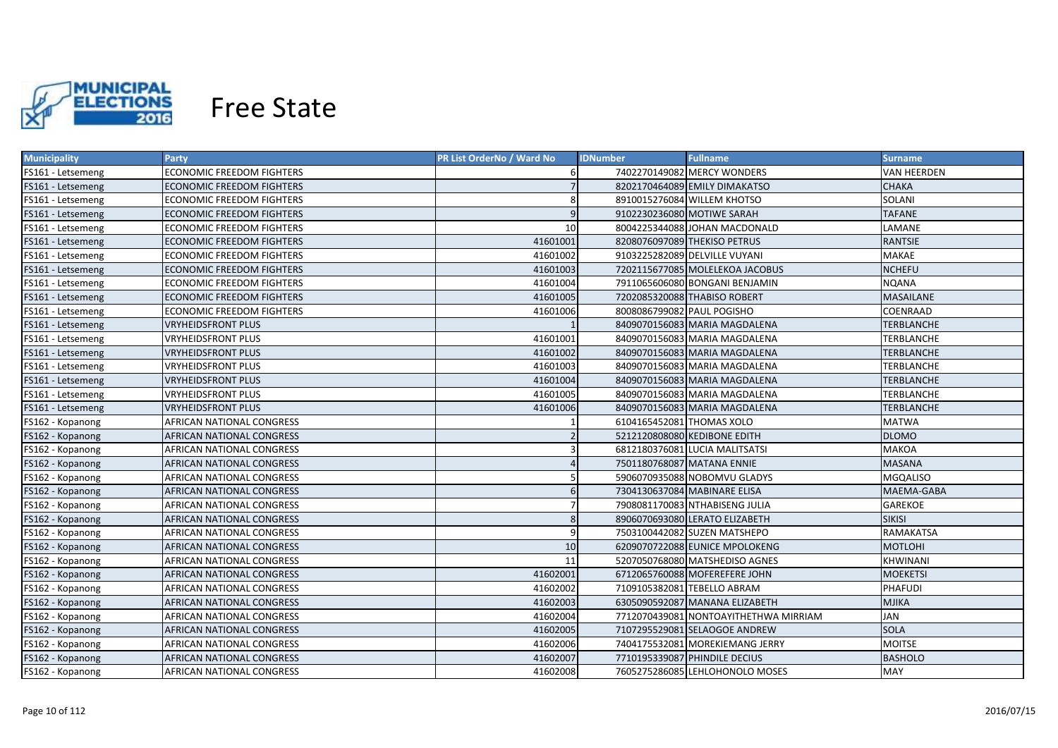

| <b>Municipality</b> | Party                            | <b>PR List OrderNo / Ward No</b> | <b>IDNumber</b>            | <b>Fullname</b>                       | <b>Surname</b>    |
|---------------------|----------------------------------|----------------------------------|----------------------------|---------------------------------------|-------------------|
| FS161 - Letsemeng   | <b>ECONOMIC FREEDOM FIGHTERS</b> |                                  |                            | 7402270149082 MERCY WONDERS           | VAN HEERDEN       |
| FS161 - Letsemeng   | ECONOMIC FREEDOM FIGHTERS        |                                  |                            | 8202170464089 EMILY DIMAKATSO         | <b>CHAKA</b>      |
| FS161 - Letsemeng   | ECONOMIC FREEDOM FIGHTERS        | 8                                |                            | 8910015276084 WILLEM KHOTSO           | SOLANI            |
| FS161 - Letsemeng   | <b>ECONOMIC FREEDOM FIGHTERS</b> | 9                                | 9102230236080 MOTIWE SARAH |                                       | <b>TAFANE</b>     |
| FS161 - Letsemeng   | ECONOMIC FREEDOM FIGHTERS        | 10                               |                            | 8004225344088 JOHAN MACDONALD         | LAMANE            |
| FS161 - Letsemeng   | <b>ECONOMIC FREEDOM FIGHTERS</b> | 41601001                         |                            | 8208076097089 THEKISO PETRUS          | <b>RANTSIE</b>    |
| FS161 - Letsemeng   | ECONOMIC FREEDOM FIGHTERS        | 41601002                         |                            | 9103225282089 DELVILLE VUYANI         | MAKAE             |
| FS161 - Letsemeng   | <b>ECONOMIC FREEDOM FIGHTERS</b> | 41601003                         |                            | 7202115677085 MOLELEKOA JACOBUS       | <b>NCHEFU</b>     |
| FS161 - Letsemeng   | <b>ECONOMIC FREEDOM FIGHTERS</b> | 41601004                         |                            | 7911065606080 BONGANI BENJAMIN        | <b>NQANA</b>      |
| FS161 - Letsemeng   | <b>ECONOMIC FREEDOM FIGHTERS</b> | 41601005                         |                            | 7202085320088 THABISO ROBERT          | <b>MASAILANE</b>  |
| FS161 - Letsemeng   | ECONOMIC FREEDOM FIGHTERS        | 41601006                         | 8008086799082 PAUL POGISHO |                                       | COENRAAD          |
| FS161 - Letsemeng   | <b>VRYHEIDSFRONT PLUS</b>        |                                  |                            | 8409070156083 MARIA MAGDALENA         | TERBLANCHE        |
| FS161 - Letsemeng   | <b>VRYHEIDSFRONT PLUS</b>        | 41601001                         |                            | 8409070156083 MARIA MAGDALENA         | TERBLANCHE        |
| FS161 - Letsemeng   | <b>VRYHEIDSFRONT PLUS</b>        | 41601002                         |                            | 8409070156083 MARIA MAGDALENA         | <b>TERBLANCHE</b> |
| FS161 - Letsemeng   | <b>VRYHEIDSFRONT PLUS</b>        | 41601003                         |                            | 8409070156083 MARIA MAGDALENA         | TERBLANCHE        |
| FS161 - Letsemeng   | <b>VRYHEIDSFRONT PLUS</b>        | 41601004                         |                            | 8409070156083 MARIA MAGDALENA         | <b>TERBLANCHE</b> |
| FS161 - Letsemeng   | <b>VRYHEIDSFRONT PLUS</b>        | 41601005                         |                            | 8409070156083 MARIA MAGDALENA         | TERBLANCHE        |
| FS161 - Letsemeng   | <b>VRYHEIDSFRONT PLUS</b>        | 41601006                         |                            | 8409070156083 MARIA MAGDALENA         | <b>TERBLANCHE</b> |
| FS162 - Kopanong    | AFRICAN NATIONAL CONGRESS        |                                  | 6104165452081 THOMAS XOLO  |                                       | <b>MATWA</b>      |
| FS162 - Kopanong    | <b>AFRICAN NATIONAL CONGRESS</b> |                                  |                            | 5212120808080 KEDIBONE EDITH          | <b>DLOMO</b>      |
| FS162 - Kopanong    | AFRICAN NATIONAL CONGRESS        | 3                                |                            | 6812180376081 LUCIA MALITSATSI        | <b>MAKOA</b>      |
| FS162 - Kopanong    | AFRICAN NATIONAL CONGRESS        | $\Delta$                         | 7501180768087 MATANA ENNIE |                                       | <b>MASANA</b>     |
| FS162 - Kopanong    | AFRICAN NATIONAL CONGRESS        |                                  |                            | 5906070935088 NOBOMVU GLADYS          | <b>MGQALISO</b>   |
| FS162 - Kopanong    | AFRICAN NATIONAL CONGRESS        | 6                                |                            | 7304130637084 MABINARE ELISA          | MAEMA-GABA        |
| FS162 - Kopanong    | AFRICAN NATIONAL CONGRESS        |                                  |                            | 7908081170083 NTHABISENG JULIA        | GAREKOE           |
| FS162 - Kopanong    | AFRICAN NATIONAL CONGRESS        | 8                                |                            | 8906070693080 LERATO ELIZABETH        | <b>SIKISI</b>     |
| FS162 - Kopanong    | AFRICAN NATIONAL CONGRESS        | 9                                |                            | 7503100442082 SUZEN MATSHEPO          | RAMAKATSA         |
| FS162 - Kopanong    | AFRICAN NATIONAL CONGRESS        | 10                               |                            | 6209070722088 EUNICE MPOLOKENG        | MOTLOHI           |
| FS162 - Kopanong    | AFRICAN NATIONAL CONGRESS        | 11                               |                            | 5207050768080 MATSHEDISO AGNES        | KHWINANI          |
| FS162 - Kopanong    | AFRICAN NATIONAL CONGRESS        | 41602001                         |                            | 6712065760088 MOFEREFERE JOHN         | MOEKETSI          |
| FS162 - Kopanong    | AFRICAN NATIONAL CONGRESS        | 41602002                         |                            | 7109105382081 TEBELLO ABRAM           | <b>PHAFUDI</b>    |
| FS162 - Kopanong    | AFRICAN NATIONAL CONGRESS        | 41602003                         |                            | 6305090592087 MANANA ELIZABETH        | <b>MJIKA</b>      |
| FS162 - Kopanong    | AFRICAN NATIONAL CONGRESS        | 41602004                         |                            | 7712070439081 NONTOAYITHETHWA MIRRIAM | JAN               |
| FS162 - Kopanong    | <b>AFRICAN NATIONAL CONGRESS</b> | 41602005                         |                            | 7107295529081 SELAOGOE ANDREW         | <b>SOLA</b>       |
| FS162 - Kopanong    | <b>AFRICAN NATIONAL CONGRESS</b> | 41602006                         |                            | 7404175532081 MOREKIEMANG JERRY       | <b>MOITSE</b>     |
| FS162 - Kopanong    | AFRICAN NATIONAL CONGRESS        | 41602007                         |                            | 7710195339087 PHINDILE DECIUS         | <b>BASHOLO</b>    |
| FS162 - Kopanong    | <b>AFRICAN NATIONAL CONGRESS</b> | 41602008                         |                            | 7605275286085 LEHLOHONOLO MOSES       | <b>MAY</b>        |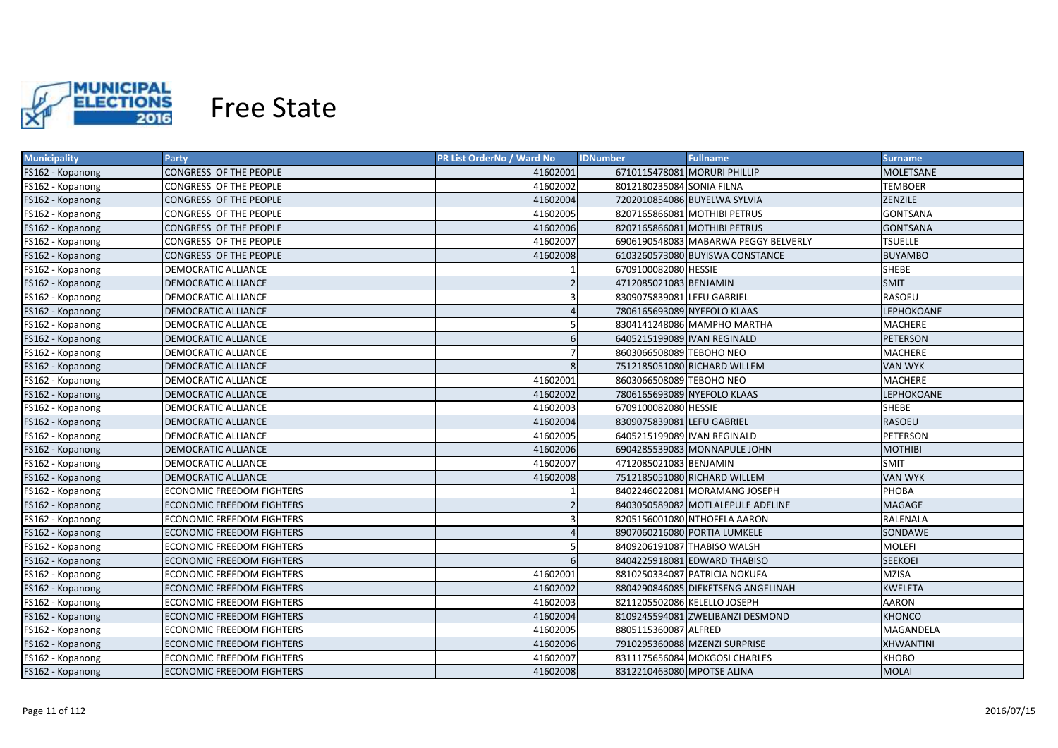

| <b>Municipality</b> | Party                            | <b>PR List OrderNo / Ward No</b> | <b>Fullname</b><br><b>IDNumber</b>   | <b>Surname</b>    |
|---------------------|----------------------------------|----------------------------------|--------------------------------------|-------------------|
| FS162 - Kopanong    | CONGRESS OF THE PEOPLE           | 41602001                         | 6710115478081 MORURI PHILLIP         | MOLETSANE         |
| FS162 - Kopanong    | CONGRESS OF THE PEOPLE           | 41602002                         | 8012180235084 SONIA FILNA            | <b>TEMBOER</b>    |
| FS162 - Kopanong    | CONGRESS OF THE PEOPLE           | 41602004                         | 7202010854086 BUYELWA SYLVIA         | ZENZILE           |
| FS162 - Kopanong    | CONGRESS OF THE PEOPLE           | 41602005                         | 8207165866081 MOTHIBI PETRUS         | <b>GONTSANA</b>   |
| FS162 - Kopanong    | CONGRESS OF THE PEOPLE           | 41602006                         | 8207165866081 MOTHIBI PETRUS         | <b>GONTSANA</b>   |
| FS162 - Kopanong    | CONGRESS OF THE PEOPLE           | 41602007                         | 6906190548083 MABARWA PEGGY BELVERLY | <b>TSUELLE</b>    |
| FS162 - Kopanong    | CONGRESS OF THE PEOPLE           | 41602008                         | 6103260573080 BUYISWA CONSTANCE      | <b>BUYAMBO</b>    |
| FS162 - Kopanong    | <b>DEMOCRATIC ALLIANCE</b>       |                                  | 6709100082080 HESSIE                 | SHEBE             |
| FS162 - Kopanong    | <b>DEMOCRATIC ALLIANCE</b>       |                                  | 4712085021083 BENJAMIN               | <b>SMIT</b>       |
| FS162 - Kopanong    | DEMOCRATIC ALLIANCE              |                                  | 8309075839081 LEFU GABRIEL           | <b>RASOEU</b>     |
| FS162 - Kopanong    | <b>DEMOCRATIC ALLIANCE</b>       |                                  | 7806165693089 NYEFOLO KLAAS          | LEPHOKOANE        |
| FS162 - Kopanong    | DEMOCRATIC ALLIANCE              | 5                                | 8304141248086 MAMPHO MARTHA          | MACHERE           |
| FS162 - Kopanong    | <b>DEMOCRATIC ALLIANCE</b>       | 6                                | 6405215199089 IVAN REGINALD          | <b>PETERSON</b>   |
| FS162 - Kopanong    | <b>DEMOCRATIC ALLIANCE</b>       | 7                                | 8603066508089 TEBOHO NEO             | <b>MACHERE</b>    |
| FS162 - Kopanong    | <b>DEMOCRATIC ALLIANCE</b>       | 8                                | 7512185051080 RICHARD WILLEM         | <b>VAN WYK</b>    |
| FS162 - Kopanong    | DEMOCRATIC ALLIANCE              | 41602001                         | 8603066508089 TEBOHO NEO             | <b>MACHERE</b>    |
| FS162 - Kopanong    | <b>DEMOCRATIC ALLIANCE</b>       | 41602002                         | 7806165693089 NYEFOLO KLAAS          | <b>LEPHOKOANE</b> |
| FS162 - Kopanong    | <b>DEMOCRATIC ALLIANCE</b>       | 41602003                         | 6709100082080 HESSIE                 | <b>SHEBE</b>      |
| FS162 - Kopanong    | <b>DEMOCRATIC ALLIANCE</b>       | 41602004                         | 8309075839081 LEFU GABRIEL           | <b>RASOEU</b>     |
| FS162 - Kopanong    | <b>DEMOCRATIC ALLIANCE</b>       | 41602005                         | 6405215199089 IVAN REGINALD          | PETERSON          |
| FS162 - Kopanong    | <b>DEMOCRATIC ALLIANCE</b>       | 41602006                         | 6904285539083 MONNAPULE JOHN         | <b>MOTHIBI</b>    |
| FS162 - Kopanong    | <b>DEMOCRATIC ALLIANCE</b>       | 41602007                         | 4712085021083 BENJAMIN               | <b>SMIT</b>       |
| FS162 - Kopanong    | <b>DEMOCRATIC ALLIANCE</b>       | 41602008                         | 7512185051080 RICHARD WILLEM         | <b>VAN WYK</b>    |
| FS162 - Kopanong    | <b>ECONOMIC FREEDOM FIGHTERS</b> |                                  | 8402246022081 MORAMANG JOSEPH        | PHOBA             |
| FS162 - Kopanong    | <b>ECONOMIC FREEDOM FIGHTERS</b> | $\overline{2}$                   | 8403050589082 MOTLALEPULE ADELINE    | MAGAGE            |
| FS162 - Kopanong    | ECONOMIC FREEDOM FIGHTERS        |                                  | 8205156001080 NTHOFELA AARON         | RALENALA          |
| FS162 - Kopanong    | <b>ECONOMIC FREEDOM FIGHTERS</b> |                                  | 8907060216080 PORTIA LUMKELE         | SONDAWE           |
| FS162 - Kopanong    | ECONOMIC FREEDOM FIGHTERS        |                                  | 8409206191087 THABISO WALSH          | <b>MOLEFI</b>     |
| FS162 - Kopanong    | ECONOMIC FREEDOM FIGHTERS        | 6                                | 8404225918081 EDWARD THABISO         | <b>SEEKOEI</b>    |
| FS162 - Kopanong    | ECONOMIC FREEDOM FIGHTERS        | 41602001                         | 8810250334087 PATRICIA NOKUFA        | <b>MZISA</b>      |
| FS162 - Kopanong    | <b>ECONOMIC FREEDOM FIGHTERS</b> | 41602002                         | 8804290846085 DIEKETSENG ANGELINAH   | <b>KWELETA</b>    |
| FS162 - Kopanong    | <b>ECONOMIC FREEDOM FIGHTERS</b> | 41602003                         | 8211205502086 KELELLO JOSEPH         | <b>AARON</b>      |
| FS162 - Kopanong    | <b>ECONOMIC FREEDOM FIGHTERS</b> | 41602004                         | 8109245594081 ZWELIBANZI DESMOND     | <b>KHONCO</b>     |
| FS162 - Kopanong    | <b>ECONOMIC FREEDOM FIGHTERS</b> | 41602005                         | 8805115360087 ALFRED                 | MAGANDELA         |
| FS162 - Kopanong    | <b>ECONOMIC FREEDOM FIGHTERS</b> | 41602006                         | 7910295360088 MZENZI SURPRISE        | <b>XHWANTINI</b>  |
| FS162 - Kopanong    | <b>ECONOMIC FREEDOM FIGHTERS</b> | 41602007                         | 8311175656084 MOKGOSI CHARLES        | <b>KHOBO</b>      |
| FS162 - Kopanong    | <b>ECONOMIC FREEDOM FIGHTERS</b> | 41602008                         | 8312210463080 MPOTSE ALINA           | <b>MOLAI</b>      |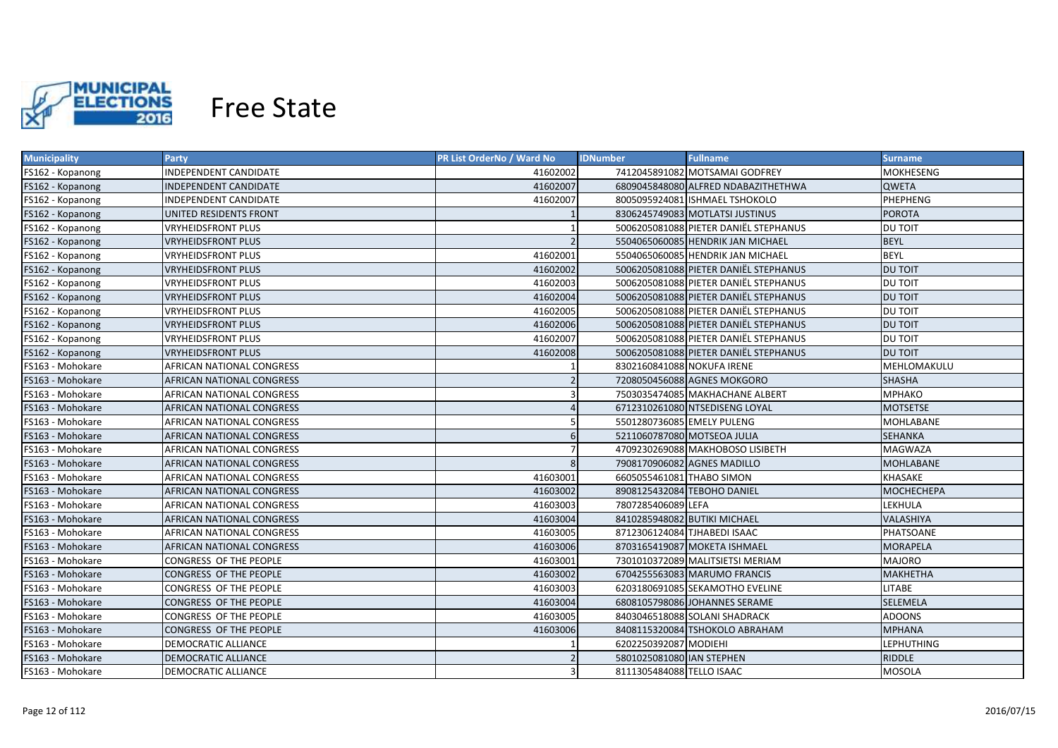

| <b>Municipality</b> | Party                            | <b>PR List OrderNo / Ward No</b> | <b>IDNumber</b>              | <b>Fullname</b>                       | <b>Surname</b>    |
|---------------------|----------------------------------|----------------------------------|------------------------------|---------------------------------------|-------------------|
| FS162 - Kopanong    | INDEPENDENT CANDIDATE            | 41602002                         |                              | 7412045891082 MOTSAMAI GODFREY        | MOKHESENG         |
| FS162 - Kopanong    | INDEPENDENT CANDIDATE            | 41602007                         |                              | 6809045848080 ALFRED NDABAZITHETHWA   | <b>QWETA</b>      |
| FS162 - Kopanong    | INDEPENDENT CANDIDATE            | 41602007                         |                              | 8005095924081 ISHMAEL TSHOKOLO        | PHEPHENG          |
| FS162 - Kopanong    | UNITED RESIDENTS FRONT           |                                  |                              | 8306245749083 MOTLATSI JUSTINUS       | <b>POROTA</b>     |
| FS162 - Kopanong    | VRYHEIDSFRONT PLUS               |                                  |                              | 5006205081088 PIETER DANIËL STEPHANUS | DU TOIT           |
| FS162 - Kopanong    | <b>VRYHEIDSFRONT PLUS</b>        |                                  |                              | 5504065060085 HENDRIK JAN MICHAEL     | <b>BEYL</b>       |
| FS162 - Kopanong    | VRYHEIDSFRONT PLUS               | 41602001                         |                              | 5504065060085 HENDRIK JAN MICHAEL     | <b>BEYL</b>       |
| FS162 - Kopanong    | <b>VRYHEIDSFRONT PLUS</b>        | 41602002                         |                              | 5006205081088 PIETER DANIËL STEPHANUS | <b>DU TOIT</b>    |
| FS162 - Kopanong    | VRYHEIDSFRONT PLUS               | 41602003                         |                              | 5006205081088 PIETER DANIËL STEPHANUS | <b>DU TOIT</b>    |
| FS162 - Kopanong    | <b>VRYHEIDSFRONT PLUS</b>        | 41602004                         |                              | 5006205081088 PIETER DANIËL STEPHANUS | <b>DU TOIT</b>    |
| FS162 - Kopanong    | VRYHEIDSFRONT PLUS               | 41602005                         |                              | 5006205081088 PIETER DANIËL STEPHANUS | DU TOIT           |
| FS162 - Kopanong    | <b>VRYHEIDSFRONT PLUS</b>        | 41602006                         |                              | 5006205081088 PIETER DANIËL STEPHANUS | <b>DU TOIT</b>    |
| FS162 - Kopanong    | VRYHEIDSFRONT PLUS               | 41602007                         |                              | 5006205081088 PIETER DANIËL STEPHANUS | DU TOIT           |
| FS162 - Kopanong    | <b>VRYHEIDSFRONT PLUS</b>        | 41602008                         |                              | 5006205081088 PIETER DANIËL STEPHANUS | <b>DU TOIT</b>    |
| FS163 - Mohokare    | AFRICAN NATIONAL CONGRESS        |                                  | 8302160841088 NOKUFA IRENE   |                                       | MEHLOMAKULU       |
| FS163 - Mohokare    | <b>AFRICAN NATIONAL CONGRESS</b> |                                  |                              | 7208050456088 AGNES MOKGORO           | <b>SHASHA</b>     |
| FS163 - Mohokare    | AFRICAN NATIONAL CONGRESS        |                                  |                              | 7503035474085 MAKHACHANE ALBERT       | <b>MPHAKO</b>     |
| FS163 - Mohokare    | AFRICAN NATIONAL CONGRESS        |                                  |                              | 6712310261080 NTSEDISENG LOYAL        | <b>MOTSETSE</b>   |
| FS163 - Mohokare    | AFRICAN NATIONAL CONGRESS        |                                  | 5501280736085 EMELY PULENG   |                                       | <b>MOHLABANE</b>  |
| FS163 - Mohokare    | <b>AFRICAN NATIONAL CONGRESS</b> | 6                                | 5211060787080 MOTSEOA JULIA  |                                       | <b>SEHANKA</b>    |
| FS163 - Mohokare    | <b>AFRICAN NATIONAL CONGRESS</b> |                                  |                              | 4709230269088 MAKHOBOSO LISIBETH      | MAGWAZA           |
| FS163 - Mohokare    | AFRICAN NATIONAL CONGRESS        | 8                                | 7908170906082 AGNES MADILLO  |                                       | <b>MOHLABANE</b>  |
| FS163 - Mohokare    | AFRICAN NATIONAL CONGRESS        | 41603001                         | 6605055461081 THABO SIMON    |                                       | KHASAKE           |
| FS163 - Mohokare    | AFRICAN NATIONAL CONGRESS        | 41603002                         | 8908125432084 TEBOHO DANIEL  |                                       | <b>MOCHECHEPA</b> |
| FS163 - Mohokare    | AFRICAN NATIONAL CONGRESS        | 41603003                         | 7807285406089 LEFA           |                                       | LEKHULA           |
| FS163 - Mohokare    | AFRICAN NATIONAL CONGRESS        | 41603004                         | 8410285948082 BUTIKI MICHAEL |                                       | VALASHIYA         |
| FS163 - Mohokare    | AFRICAN NATIONAL CONGRESS        | 41603005                         | 8712306124084 TJHABEDI ISAAC |                                       | PHATSOANE         |
| FS163 - Mohokare    | AFRICAN NATIONAL CONGRESS        | 41603006                         |                              | 8703165419087 MOKETA ISHMAEL          | MORAPELA          |
| FS163 - Mohokare    | CONGRESS OF THE PEOPLE           | 41603001                         |                              | 7301010372089 MALITSIETSI MERIAM      | <b>MAJORO</b>     |
| FS163 - Mohokare    | CONGRESS OF THE PEOPLE           | 41603002                         |                              | 6704255563083 MARUMO FRANCIS          | <b>MAKHETHA</b>   |
| FS163 - Mohokare    | CONGRESS OF THE PEOPLE           | 41603003                         |                              | 6203180691085 SEKAMOTHO EVELINE       | LITABE            |
| FS163 - Mohokare    | CONGRESS OF THE PEOPLE           | 41603004                         |                              | 6808105798086 JOHANNES SERAME         | SELEMELA          |
| FS163 - Mohokare    | CONGRESS OF THE PEOPLE           | 41603005                         |                              | 8403046518088 SOLANI SHADRACK         | <b>ADOONS</b>     |
| FS163 - Mohokare    | CONGRESS OF THE PEOPLE           | 41603006                         |                              | 8408115320084 TSHOKOLO ABRAHAM        | <b>MPHANA</b>     |
| FS163 - Mohokare    | <b>DEMOCRATIC ALLIANCE</b>       |                                  | 6202250392087 MODIEHI        |                                       | <b>LEPHUTHING</b> |
| FS163 - Mohokare    | <b>DEMOCRATIC ALLIANCE</b>       |                                  | 5801025081080 IAN STEPHEN    |                                       | <b>RIDDLE</b>     |
| FS163 - Mohokare    | <b>DEMOCRATIC ALLIANCE</b>       |                                  | 8111305484088 TELLO ISAAC    |                                       | <b>MOSOLA</b>     |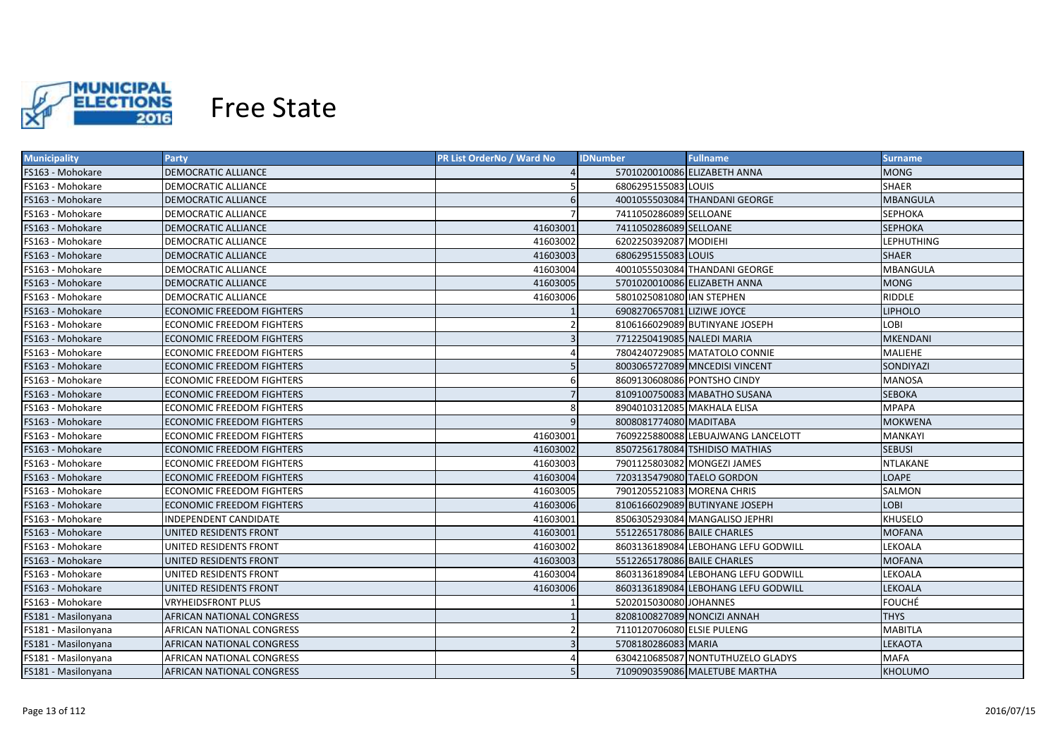

| <b>Municipality</b> | <b>Party</b>                     | <b>PR List OrderNo / Ward No</b> | <b>Fullname</b><br><b>IDNumber</b>  | <b>Surname</b>    |
|---------------------|----------------------------------|----------------------------------|-------------------------------------|-------------------|
| FS163 - Mohokare    | DEMOCRATIC ALLIANCE              |                                  | 5701020010086 ELIZABETH ANNA        | <b>MONG</b>       |
| FS163 - Mohokare    | DEMOCRATIC ALLIANCE              |                                  | 6806295155083 LOUIS                 | <b>SHAER</b>      |
| FS163 - Mohokare    | DEMOCRATIC ALLIANCE              | 6                                | 4001055503084 THANDANI GEORGE       | <b>MBANGULA</b>   |
| FS163 - Mohokare    | DEMOCRATIC ALLIANCE              |                                  | 7411050286089 SELLOANE              | <b>SEPHOKA</b>    |
| FS163 - Mohokare    | DEMOCRATIC ALLIANCE              | 41603001                         | 7411050286089 SELLOANE              | <b>SEPHOKA</b>    |
| FS163 - Mohokare    | DEMOCRATIC ALLIANCE              | 41603002                         | 6202250392087 MODIEHI               | <b>LEPHUTHING</b> |
| FS163 - Mohokare    | <b>DEMOCRATIC ALLIANCE</b>       | 41603003                         | 6806295155083 LOUIS                 | <b>SHAER</b>      |
| FS163 - Mohokare    | DEMOCRATIC ALLIANCE              | 41603004                         | 4001055503084 THANDANI GEORGE       | <b>MBANGULA</b>   |
| FS163 - Mohokare    | <b>DEMOCRATIC ALLIANCE</b>       | 41603005                         | 5701020010086 ELIZABETH ANNA        | <b>MONG</b>       |
| FS163 - Mohokare    | DEMOCRATIC ALLIANCE              | 41603006                         | 5801025081080 IAN STEPHEN           | <b>RIDDLE</b>     |
| FS163 - Mohokare    | <b>ECONOMIC FREEDOM FIGHTERS</b> |                                  | 6908270657081 LIZIWE JOYCE          | <b>LIPHOLO</b>    |
| FS163 - Mohokare    | ECONOMIC FREEDOM FIGHTERS        |                                  | 8106166029089 BUTINYANE JOSEPH      | LOBI              |
| FS163 - Mohokare    | <b>ECONOMIC FREEDOM FIGHTERS</b> |                                  | 7712250419085 NALEDI MARIA          | <b>MKENDANI</b>   |
| FS163 - Mohokare    | ECONOMIC FREEDOM FIGHTERS        |                                  | 7804240729085 MATATOLO CONNIE       | MALIEHE           |
| FS163 - Mohokare    | ECONOMIC FREEDOM FIGHTERS        | 5                                | 8003065727089 MNCEDISI VINCENT      | SONDIYAZI         |
| FS163 - Mohokare    | <b>ECONOMIC FREEDOM FIGHTERS</b> | 6                                | 8609130608086 PONTSHO CINDY         | <b>MANOSA</b>     |
| FS163 - Mohokare    | <b>ECONOMIC FREEDOM FIGHTERS</b> | $\overline{7}$                   | 8109100750083 MABATHO SUSANA        | <b>SEBOKA</b>     |
| FS163 - Mohokare    | ECONOMIC FREEDOM FIGHTERS        | 8                                | 8904010312085 MAKHALA ELISA         | <b>MPAPA</b>      |
| FS163 - Mohokare    | <b>ECONOMIC FREEDOM FIGHTERS</b> | 9                                | 8008081774080 MADITABA              | <b>MOKWENA</b>    |
| FS163 - Mohokare    | ECONOMIC FREEDOM FIGHTERS        | 41603001                         | 7609225880088 LEBUAJWANG LANCELOTT  | <b>MANKAYI</b>    |
| FS163 - Mohokare    | <b>ECONOMIC FREEDOM FIGHTERS</b> | 41603002                         | 8507256178084 TSHIDISO MATHIAS      | <b>SEBUSI</b>     |
| FS163 - Mohokare    | <b>ECONOMIC FREEDOM FIGHTERS</b> | 41603003                         | 7901125803082 MONGEZI JAMES         | NTLAKANE          |
| FS163 - Mohokare    | <b>ECONOMIC FREEDOM FIGHTERS</b> | 41603004                         | 7203135479080 TAELO GORDON          | <b>LOAPE</b>      |
| FS163 - Mohokare    | <b>ECONOMIC FREEDOM FIGHTERS</b> | 41603005                         | 7901205521083 MORENA CHRIS          | SALMON            |
| FS163 - Mohokare    | <b>ECONOMIC FREEDOM FIGHTERS</b> | 41603006                         | 8106166029089 BUTINYANE JOSEPH      | <b>LOBI</b>       |
| FS163 - Mohokare    | INDEPENDENT CANDIDATE            | 41603001                         | 8506305293084 MANGALISO JEPHRI      | KHUSELO           |
| FS163 - Mohokare    | UNITED RESIDENTS FRONT           | 41603001                         | 5512265178086 BAILE CHARLES         | MOFANA            |
| FS163 - Mohokare    | UNITED RESIDENTS FRONT           | 41603002                         | 8603136189084 LEBOHANG LEFU GODWILL | LEKOALA           |
| FS163 - Mohokare    | UNITED RESIDENTS FRONT           | 41603003                         | 5512265178086 BAILE CHARLES         | <b>MOFANA</b>     |
| FS163 - Mohokare    | UNITED RESIDENTS FRONT           | 41603004                         | 8603136189084 LEBOHANG LEFU GODWILL | LEKOALA           |
| FS163 - Mohokare    | UNITED RESIDENTS FRONT           | 41603006                         | 8603136189084 LEBOHANG LEFU GODWILL | LEKOALA           |
| FS163 - Mohokare    | <b>VRYHEIDSFRONT PLUS</b>        |                                  | 5202015030080 JOHANNES              | <b>FOUCHÉ</b>     |
| FS181 - Masilonyana | AFRICAN NATIONAL CONGRESS        |                                  | 8208100827089 NONCIZI ANNAH         | <b>THYS</b>       |
| FS181 - Masilonyana | AFRICAN NATIONAL CONGRESS        |                                  | 7110120706080 ELSIE PULENG          | <b>MABITLA</b>    |
| FS181 - Masilonyana | AFRICAN NATIONAL CONGRESS        |                                  | 5708180286083 MARIA                 | LEKAOTA           |
| FS181 - Masilonyana | AFRICAN NATIONAL CONGRESS        |                                  | 6304210685087 NONTUTHUZELO GLADYS   | <b>MAFA</b>       |
| FS181 - Masilonyana | <b>AFRICAN NATIONAL CONGRESS</b> |                                  | 7109090359086 MALETUBE MARTHA       | <b>KHOLUMO</b>    |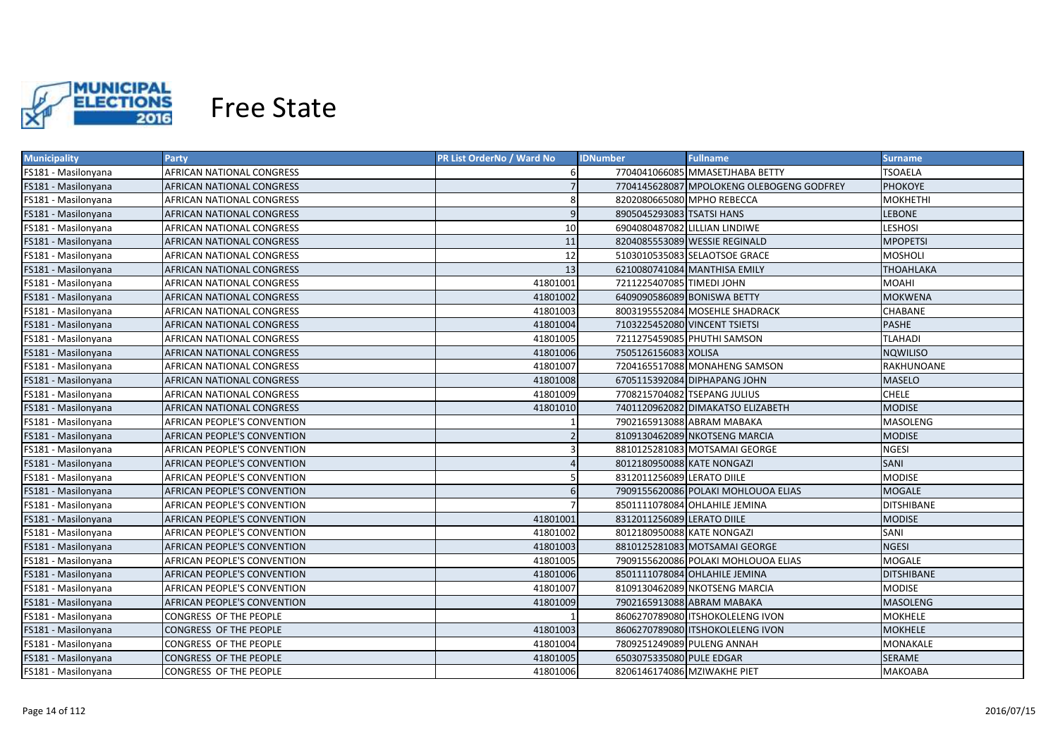

| <b>Municipality</b> | <b>Party</b>                       | <b>PR List OrderNo / Ward No</b> | <b>Fullname</b><br><b>IDNumber</b>        | Surname           |
|---------------------|------------------------------------|----------------------------------|-------------------------------------------|-------------------|
| FS181 - Masilonyana | AFRICAN NATIONAL CONGRESS          |                                  | 7704041066085 MMASETJHABA BETTY           | TSOAELA           |
| FS181 - Masilonyana | AFRICAN NATIONAL CONGRESS          |                                  | 7704145628087 MPOLOKENG OLEBOGENG GODFREY | <b>PHOKOYE</b>    |
| FS181 - Masilonyana | AFRICAN NATIONAL CONGRESS          | 8                                | 8202080665080 MPHO REBECCA                | <b>MOKHETHI</b>   |
| FS181 - Masilonyana | AFRICAN NATIONAL CONGRESS          | 9                                | 8905045293083 TSATSI HANS                 | <b>LEBONE</b>     |
| FS181 - Masilonyana | AFRICAN NATIONAL CONGRESS          | 10                               | 6904080487082 LILLIAN LINDIWE             | <b>LESHOSI</b>    |
| FS181 - Masilonyana | AFRICAN NATIONAL CONGRESS          | 11                               | 8204085553089 WESSIE REGINALD             | <b>MPOPETSI</b>   |
| FS181 - Masilonyana | AFRICAN NATIONAL CONGRESS          | 12                               | 5103010535083 SELAOTSOE GRACE             | <b>MOSHOLI</b>    |
| FS181 - Masilonyana | AFRICAN NATIONAL CONGRESS          | 13                               | 6210080741084 MANTHISA EMILY              | <b>THOAHLAKA</b>  |
| FS181 - Masilonyana | AFRICAN NATIONAL CONGRESS          | 41801001                         | 7211225407085 TIMEDI JOHN                 | <b>MOAHI</b>      |
| FS181 - Masilonyana | AFRICAN NATIONAL CONGRESS          | 41801002                         | 6409090586089 BONISWA BETTY               | <b>MOKWENA</b>    |
| FS181 - Masilonyana | AFRICAN NATIONAL CONGRESS          | 41801003                         | 8003195552084 MOSEHLE SHADRACK            | CHABANE           |
| FS181 - Masilonyana | AFRICAN NATIONAL CONGRESS          | 41801004                         | 7103225452080 VINCENT TSIETSI             | <b>PASHE</b>      |
| FS181 - Masilonyana | AFRICAN NATIONAL CONGRESS          | 41801005                         | 7211275459085 PHUTHI SAMSON               | TLAHADI           |
| FS181 - Masilonyana | AFRICAN NATIONAL CONGRESS          | 41801006                         | 7505126156083 XOLISA                      | <b>NQWILISO</b>   |
| FS181 - Masilonyana | AFRICAN NATIONAL CONGRESS          | 41801007                         | 7204165517088 MONAHENG SAMSON             | RAKHUNOANE        |
| FS181 - Masilonyana | AFRICAN NATIONAL CONGRESS          | 41801008                         | 6705115392084 DIPHAPANG JOHN              | <b>MASELO</b>     |
| FS181 - Masilonyana | AFRICAN NATIONAL CONGRESS          | 41801009                         | 7708215704082 TSEPANG JULIUS              | <b>CHELE</b>      |
| FS181 - Masilonyana | AFRICAN NATIONAL CONGRESS          | 41801010                         | 7401120962082 DIMAKATSO ELIZABETH         | <b>MODISE</b>     |
| FS181 - Masilonyana | <b>AFRICAN PEOPLE'S CONVENTION</b> |                                  | 7902165913088 ABRAM MABAKA                | <b>MASOLENG</b>   |
| FS181 - Masilonyana | AFRICAN PEOPLE'S CONVENTION        |                                  | 8109130462089 NKOTSENG MARCIA             | <b>MODISE</b>     |
| FS181 - Masilonyana | AFRICAN PEOPLE'S CONVENTION        |                                  | 8810125281083 MOTSAMAI GEORGE             | <b>NGESI</b>      |
| FS181 - Masilonyana | AFRICAN PEOPLE'S CONVENTION        |                                  | 8012180950088 KATE NONGAZI                | SANI              |
| FS181 - Masilonyana | AFRICAN PEOPLE'S CONVENTION        |                                  | 8312011256089 LERATO DIILE                | <b>MODISE</b>     |
| FS181 - Masilonyana | AFRICAN PEOPLE'S CONVENTION        | 6                                | 7909155620086 POLAKI MOHLOUOA ELIAS       | <b>MOGALE</b>     |
| FS181 - Masilonyana | AFRICAN PEOPLE'S CONVENTION        |                                  | 8501111078084 OHLAHILE JEMINA             | <b>DITSHIBANE</b> |
| FS181 - Masilonyana | AFRICAN PEOPLE'S CONVENTION        | 41801001                         | 8312011256089 LERATO DIILE                | <b>MODISE</b>     |
| FS181 - Masilonyana | AFRICAN PEOPLE'S CONVENTION        | 41801002                         | 8012180950088 KATE NONGAZI                | SANI              |
| FS181 - Masilonyana | AFRICAN PEOPLE'S CONVENTION        | 41801003                         | 8810125281083 MOTSAMAI GEORGE             | <b>NGESI</b>      |
| FS181 - Masilonyana | AFRICAN PEOPLE'S CONVENTION        | 41801005                         | 7909155620086 POLAKI MOHLOUOA ELIAS       | <b>MOGALE</b>     |
| FS181 - Masilonyana | AFRICAN PEOPLE'S CONVENTION        | 41801006                         | 8501111078084 OHLAHILE JEMINA             | <b>DITSHIBANE</b> |
| FS181 - Masilonyana | AFRICAN PEOPLE'S CONVENTION        | 41801007                         | 8109130462089 NKOTSENG MARCIA             | <b>MODISE</b>     |
| FS181 - Masilonyana | AFRICAN PEOPLE'S CONVENTION        | 41801009                         | 7902165913088 ABRAM MABAKA                | <b>MASOLENG</b>   |
| FS181 - Masilonyana | CONGRESS OF THE PEOPLE             |                                  | 8606270789080 ITSHOKOLELENG IVON          | <b>MOKHELE</b>    |
| FS181 - Masilonyana | CONGRESS OF THE PEOPLE             | 41801003                         | 8606270789080 ITSHOKOLELENG IVON          | <b>MOKHELE</b>    |
| FS181 - Masilonyana | CONGRESS OF THE PEOPLE             | 41801004                         | 7809251249089 PULENG ANNAH                | MONAKALE          |
| FS181 - Masilonyana | CONGRESS OF THE PEOPLE             | 41801005                         | 6503075335080 PULE EDGAR                  | SERAME            |
| FS181 - Masilonyana | CONGRESS OF THE PEOPLE             | 41801006                         | 8206146174086 MZIWAKHE PIET               | МАКОАВА           |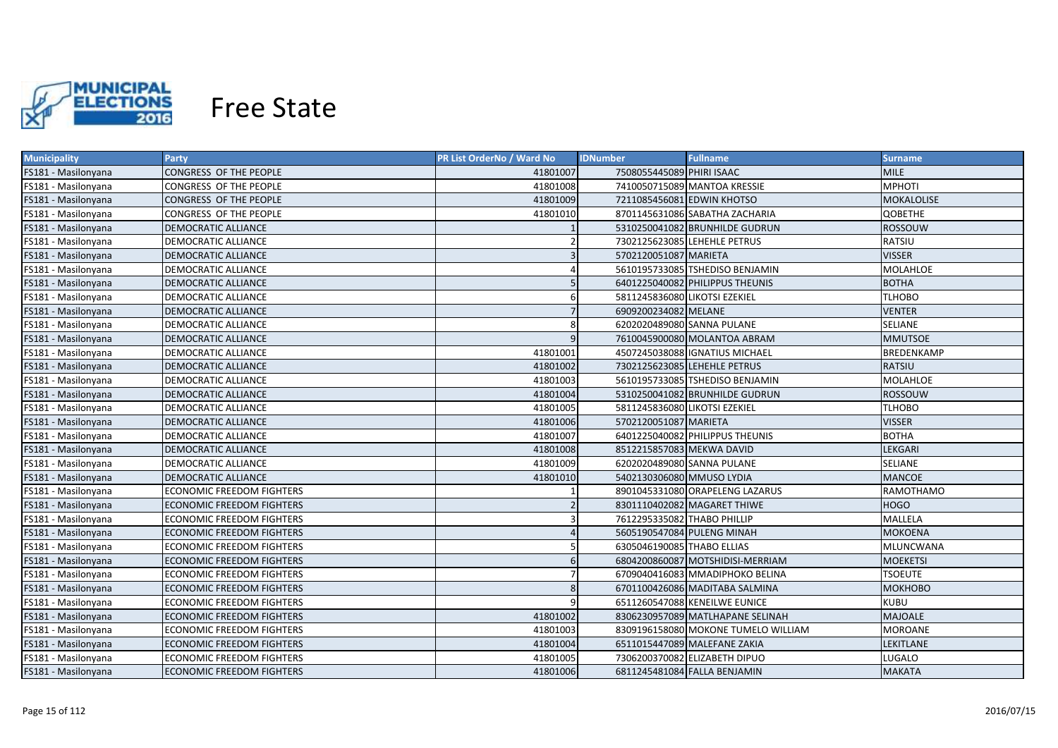

| <b>Municipality</b> | <b>Party</b>                     | PR List OrderNo / Ward No | <b>IDNumber</b>               | <b>Fullname</b>                     | <b>Surname</b>   |
|---------------------|----------------------------------|---------------------------|-------------------------------|-------------------------------------|------------------|
| FS181 - Masilonyana | CONGRESS OF THE PEOPLE           | 41801007                  | 7508055445089 PHIRI ISAAC     |                                     | <b>MILE</b>      |
| FS181 - Masilonyana | CONGRESS OF THE PEOPLE           | 41801008                  |                               | 7410050715089 MANTOA KRESSIE        | <b>MPHOTI</b>    |
| FS181 - Masilonyana | CONGRESS OF THE PEOPLE           | 41801009                  | 7211085456081 EDWIN KHOTSO    |                                     | MOKALOLISE       |
| FS181 - Masilonyana | CONGRESS OF THE PEOPLE           | 41801010                  |                               | 8701145631086 SABATHA ZACHARIA      | <b>QOBETHE</b>   |
| FS181 - Masilonyana | DEMOCRATIC ALLIANCE              |                           |                               | 5310250041082 BRUNHILDE GUDRUN      | ROSSOUW          |
| FS181 - Masilonyana | DEMOCRATIC ALLIANCE              |                           |                               | 7302125623085 LEHEHLE PETRUS        | RATSIU           |
| FS181 - Masilonyana | DEMOCRATIC ALLIANCE              |                           | 5702120051087 MARIETA         |                                     | <b>VISSER</b>    |
| FS181 - Masilonyana | <b>DEMOCRATIC ALLIANCE</b>       |                           |                               | 5610195733085 TSHEDISO BENJAMIN     | <b>MOLAHLOE</b>  |
| FS181 - Masilonyana | DEMOCRATIC ALLIANCE              | 5                         |                               | 6401225040082 PHILIPPUS THEUNIS     | <b>BOTHA</b>     |
| FS181 - Masilonyana | DEMOCRATIC ALLIANCE              | 6                         | 5811245836080 LIKOTSI EZEKIEL |                                     | <b>TLHOBO</b>    |
| FS181 - Masilonyana | DEMOCRATIC ALLIANCE              |                           | 6909200234082 MELANE          |                                     | <b>VENTER</b>    |
| FS181 - Masilonyana | DEMOCRATIC ALLIANCE              | 8                         | 6202020489080 SANNA PULANE    |                                     | SELIANE          |
| FS181 - Masilonyana | DEMOCRATIC ALLIANCE              | q                         |                               | 7610045900080 MOLANTOA ABRAM        | <b>MMUTSOE</b>   |
| FS181 - Masilonyana | DEMOCRATIC ALLIANCE              | 41801001                  |                               | 4507245038088 IGNATIUS MICHAEL      | BREDENKAMP       |
| FS181 - Masilonyana | DEMOCRATIC ALLIANCE              | 41801002                  |                               | 7302125623085 LEHEHLE PETRUS        | RATSIU           |
| FS181 - Masilonyana | DEMOCRATIC ALLIANCE              | 41801003                  |                               | 5610195733085 TSHEDISO BENJAMIN     | <b>MOLAHLOE</b>  |
| FS181 - Masilonyana | <b>DEMOCRATIC ALLIANCE</b>       | 41801004                  |                               | 5310250041082 BRUNHILDE GUDRUN      | <b>ROSSOUW</b>   |
| FS181 - Masilonyana | DEMOCRATIC ALLIANCE              | 41801005                  | 5811245836080 LIKOTSI EZEKIEL |                                     | <b>TLHOBO</b>    |
| FS181 - Masilonyana | <b>DEMOCRATIC ALLIANCE</b>       | 41801006                  | 5702120051087 MARIETA         |                                     | <b>VISSER</b>    |
| FS181 - Masilonyana | DEMOCRATIC ALLIANCE              | 41801007                  |                               | 6401225040082 PHILIPPUS THEUNIS     | <b>BOTHA</b>     |
| FS181 - Masilonyana | DEMOCRATIC ALLIANCE              | 41801008                  | 8512215857083 MEKWA DAVID     |                                     | LEKGARI          |
| FS181 - Masilonyana | DEMOCRATIC ALLIANCE              | 41801009                  | 6202020489080 SANNA PULANE    |                                     | <b>SELIANE</b>   |
| FS181 - Masilonyana | DEMOCRATIC ALLIANCE              | 41801010                  | 5402130306080 MMUSO LYDIA     |                                     | <b>MANCOE</b>    |
| FS181 - Masilonyana | ECONOMIC FREEDOM FIGHTERS        |                           |                               | 8901045331080 ORAPELENG LAZARUS     | RAMOTHAMO        |
| FS181 - Masilonyana | ECONOMIC FREEDOM FIGHTERS        |                           |                               | 8301110402082 MAGARET THIWE         | <b>HOGO</b>      |
| FS181 - Masilonyana | ECONOMIC FREEDOM FIGHTERS        |                           | 7612295335082 THABO PHILLIP   |                                     | MALLELA          |
| FS181 - Masilonyana | ECONOMIC FREEDOM FIGHTERS        |                           |                               | 5605190547084 PULENG MINAH          | <b>MOKOENA</b>   |
| FS181 - Masilonyana | ECONOMIC FREEDOM FIGHTERS        |                           | 6305046190085 THABO ELLIAS    |                                     | MLUNCWANA        |
| FS181 - Masilonyana | ECONOMIC FREEDOM FIGHTERS        |                           |                               | 6804200860087 MOTSHIDISI-MERRIAM    | MOEKETSI         |
| FS181 - Masilonyana | ECONOMIC FREEDOM FIGHTERS        |                           |                               | 6709040416083 MMADIPHOKO BELINA     | <b>TSOEUTE</b>   |
| FS181 - Masilonyana | ECONOMIC FREEDOM FIGHTERS        | 8                         |                               | 6701100426086 MADITABA SALMINA      | <b>МОКНОВО</b>   |
| FS181 - Masilonyana | ECONOMIC FREEDOM FIGHTERS        |                           |                               | 6511260547088 KENEILWE EUNICE       | <b>KUBU</b>      |
| FS181 - Masilonyana | ECONOMIC FREEDOM FIGHTERS        | 41801002                  |                               | 8306230957089 MATLHAPANE SELINAH    | <b>MAJOALE</b>   |
| FS181 - Masilonyana | ECONOMIC FREEDOM FIGHTERS        | 41801003                  |                               | 8309196158080 MOKONE TUMELO WILLIAM | MOROANE          |
| FS181 - Masilonyana | <b>ECONOMIC FREEDOM FIGHTERS</b> | 41801004                  |                               | 6511015447089 MALEFANE ZAKIA        | <b>LEKITLANE</b> |
| FS181 - Masilonyana | <b>ECONOMIC FREEDOM FIGHTERS</b> | 41801005                  |                               | 7306200370082 ELIZABETH DIPUO       | LUGALO           |
| FS181 - Masilonyana | <b>ECONOMIC FREEDOM FIGHTERS</b> | 41801006                  |                               | 6811245481084 FALLA BENJAMIN        | <b>MAKATA</b>    |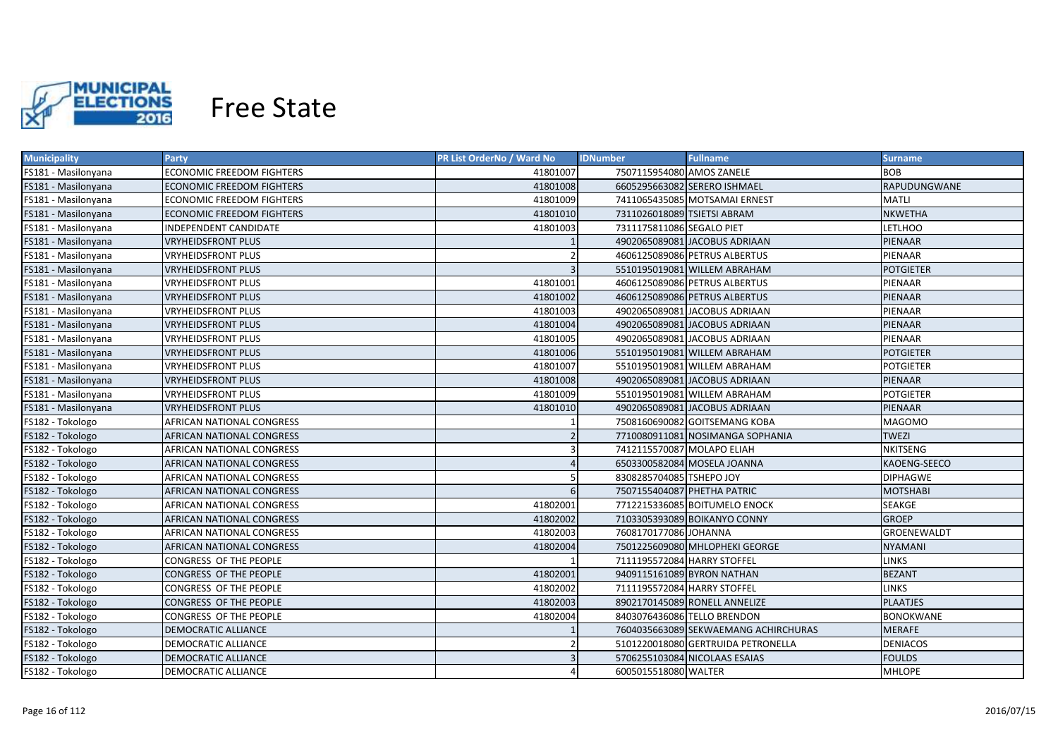

| <b>Municipality</b> | <b>Party</b>               | <b>PR List OrderNo / Ward No</b> | <b>Fullname</b><br><b>IDNumber</b>   | <b>Surname</b>   |
|---------------------|----------------------------|----------------------------------|--------------------------------------|------------------|
| FS181 - Masilonyana | ECONOMIC FREEDOM FIGHTERS  | 41801007                         | 7507115954080 AMOS ZANELE            | <b>BOB</b>       |
| FS181 - Masilonyana | ECONOMIC FREEDOM FIGHTERS  | 41801008                         | 6605295663082 SERERO ISHMAEL         | RAPUDUNGWANE     |
| FS181 - Masilonyana | ECONOMIC FREEDOM FIGHTERS  | 41801009                         | 7411065435085 MOTSAMAI ERNEST        | MATLI            |
| FS181 - Masilonyana | ECONOMIC FREEDOM FIGHTERS  | 41801010                         | 7311026018089 TSIETSI ABRAM          | <b>NKWETHA</b>   |
| FS181 - Masilonyana | INDEPENDENT CANDIDATE      | 41801003                         | 7311175811086 SEGALO PIET            | <b>LETLHOO</b>   |
| FS181 - Masilonyana | <b>VRYHEIDSFRONT PLUS</b>  |                                  | 4902065089081 JACOBUS ADRIAAN        | PIENAAR          |
| FS181 - Masilonyana | VRYHEIDSFRONT PLUS         |                                  | 4606125089086 PETRUS ALBERTUS        | PIENAAR          |
| FS181 - Masilonyana | <b>VRYHEIDSFRONT PLUS</b>  | $\overline{3}$                   | 5510195019081 WILLEM ABRAHAM         | <b>POTGIETER</b> |
| FS181 - Masilonyana | <b>VRYHEIDSFRONT PLUS</b>  | 41801001                         | 4606125089086 PETRUS ALBERTUS        | PIENAAR          |
| FS181 - Masilonyana | <b>VRYHEIDSFRONT PLUS</b>  | 41801002                         | 4606125089086 PETRUS ALBERTUS        | PIENAAR          |
| FS181 - Masilonyana | <b>VRYHEIDSFRONT PLUS</b>  | 41801003                         | 4902065089081 JACOBUS ADRIAAN        | PIENAAR          |
| FS181 - Masilonyana | <b>VRYHEIDSFRONT PLUS</b>  | 41801004                         | 4902065089081 JACOBUS ADRIAAN        | PIENAAR          |
| FS181 - Masilonyana | <b>VRYHEIDSFRONT PLUS</b>  | 41801005                         | 4902065089081 JACOBUS ADRIAAN        | PIENAAR          |
| FS181 - Masilonyana | <b>VRYHEIDSFRONT PLUS</b>  | 41801006                         | 5510195019081 WILLEM ABRAHAM         | <b>POTGIETER</b> |
| FS181 - Masilonyana | <b>VRYHEIDSFRONT PLUS</b>  | 41801007                         | 5510195019081 WILLEM ABRAHAM         | <b>POTGIETER</b> |
| FS181 - Masilonyana | <b>VRYHEIDSFRONT PLUS</b>  | 41801008                         | 4902065089081 JACOBUS ADRIAAN        | PIENAAR          |
| FS181 - Masilonyana | <b>VRYHEIDSFRONT PLUS</b>  | 41801009                         | 5510195019081 WILLEM ABRAHAM         | <b>POTGIETER</b> |
| FS181 - Masilonyana | <b>VRYHEIDSFRONT PLUS</b>  | 41801010                         | 4902065089081 JACOBUS ADRIAAN        | <b>PIENAAR</b>   |
| FS182 - Tokologo    | AFRICAN NATIONAL CONGRESS  |                                  | 7508160690082 GOITSEMANG KOBA        | MAGOMO           |
| FS182 - Tokologo    | AFRICAN NATIONAL CONGRESS  | $\overline{2}$                   | 7710080911081 NOSIMANGA SOPHANIA     | <b>TWEZI</b>     |
| FS182 - Tokologo    | AFRICAN NATIONAL CONGRESS  | 3                                | 7412115570087 MOLAPO ELIAH           | <b>NKITSENG</b>  |
| FS182 - Tokologo    | AFRICAN NATIONAL CONGRESS  |                                  | 6503300582084 MOSELA JOANNA          | KAOENG-SEECO     |
| FS182 - Tokologo    | AFRICAN NATIONAL CONGRESS  |                                  | 8308285704085 TSHEPO JOY             | <b>DIPHAGWE</b>  |
| FS182 - Tokologo    | AFRICAN NATIONAL CONGRESS  | $6 \overline{6}$                 | 7507155404087 PHETHA PATRIC          | <b>MOTSHABI</b>  |
| FS182 - Tokologo    | AFRICAN NATIONAL CONGRESS  | 41802001                         | 7712215336085 BOITUMELO ENOCK        | SEAKGE           |
| FS182 - Tokologo    | AFRICAN NATIONAL CONGRESS  | 41802002                         | 7103305393089 BOIKANYO CONNY         | <b>GROEP</b>     |
| FS182 - Tokologo    | AFRICAN NATIONAL CONGRESS  | 41802003                         | 7608170177086 JOHANNA                | GROENEWALDT      |
| FS182 - Tokologo    | AFRICAN NATIONAL CONGRESS  | 41802004                         | 7501225609080 MHLOPHEKI GEORGE       | NYAMANI          |
| FS182 - Tokologo    | CONGRESS OF THE PEOPLE     |                                  | 7111195572084 HARRY STOFFEL          | <b>LINKS</b>     |
| FS182 - Tokologo    | CONGRESS OF THE PEOPLE     | 41802001                         | 9409115161089 BYRON NATHAN           | <b>BEZANT</b>    |
| FS182 - Tokologo    | CONGRESS OF THE PEOPLE     | 41802002                         | 7111195572084 HARRY STOFFEL          | <b>LINKS</b>     |
| FS182 - Tokologo    | CONGRESS OF THE PEOPLE     | 41802003                         | 8902170145089 RONELL ANNELIZE        | <b>PLAATJES</b>  |
| FS182 - Tokologo    | CONGRESS OF THE PEOPLE     | 41802004                         | 8403076436086 TELLO BRENDON          | <b>BONOKWANE</b> |
| FS182 - Tokologo    | <b>DEMOCRATIC ALLIANCE</b> |                                  | 7604035663089 SEKWAEMANG ACHIRCHURAS | <b>MERAFE</b>    |
| FS182 - Tokologo    | <b>DEMOCRATIC ALLIANCE</b> |                                  | 5101220018080 GERTRUIDA PETRONELLA   | <b>DENIACOS</b>  |
| FS182 - Tokologo    | <b>DEMOCRATIC ALLIANCE</b> |                                  | 5706255103084 NICOLAAS ESAIAS        | <b>FOULDS</b>    |
| FS182 - Tokologo    | <b>DEMOCRATIC ALLIANCE</b> |                                  | 6005015518080 WALTER                 | <b>MHLOPE</b>    |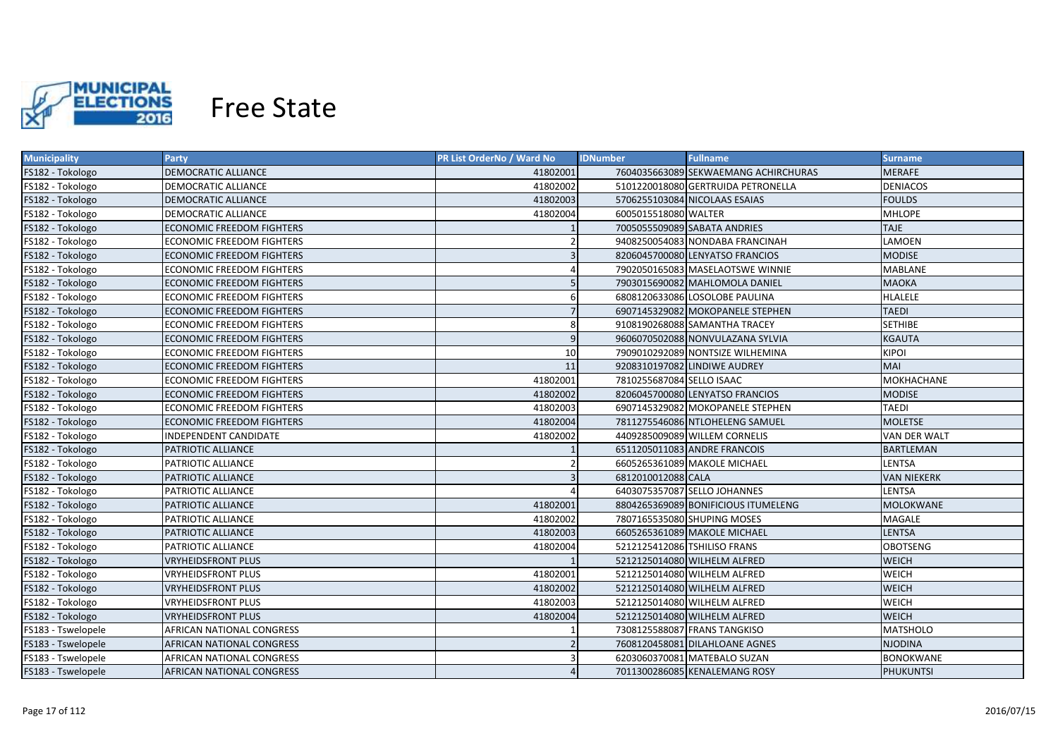

| <b>Municipality</b> | <b>Party</b>                     | <b>PR List OrderNo / Ward No</b> | <b>Fullname</b><br><b>IDNumber</b>   | <b>Surname</b>      |
|---------------------|----------------------------------|----------------------------------|--------------------------------------|---------------------|
| FS182 - Tokologo    | DEMOCRATIC ALLIANCE              | 41802001                         | 7604035663089 SEKWAEMANG ACHIRCHURAS | MERAFE              |
| FS182 - Tokologo    | DEMOCRATIC ALLIANCE              | 41802002                         | 5101220018080 GERTRUIDA PETRONELLA   | <b>DENIACOS</b>     |
| FS182 - Tokologo    | DEMOCRATIC ALLIANCE              | 41802003                         | 5706255103084 NICOLAAS ESAIAS        | <b>FOULDS</b>       |
| FS182 - Tokologo    | DEMOCRATIC ALLIANCE              | 41802004                         | 6005015518080 WALTER                 | <b>MHLOPE</b>       |
| FS182 - Tokologo    | <b>ECONOMIC FREEDOM FIGHTERS</b> |                                  | 7005055509089 SABATA ANDRIES         | <b>TAJE</b>         |
| FS182 - Tokologo    | ECONOMIC FREEDOM FIGHTERS        |                                  | 9408250054083 NONDABA FRANCINAH      | LAMOEN              |
| FS182 - Tokologo    | <b>ECONOMIC FREEDOM FIGHTERS</b> | $\overline{3}$                   | 8206045700080 LENYATSO FRANCIOS      | <b>MODISE</b>       |
| FS182 - Tokologo    | <b>ECONOMIC FREEDOM FIGHTERS</b> |                                  | 7902050165083 MASELAOTSWE WINNIE     | <b>MABLANE</b>      |
| FS182 - Tokologo    | <b>ECONOMIC FREEDOM FIGHTERS</b> | 5                                | 7903015690082 MAHLOMOLA DANIEL       | <b>MAOKA</b>        |
| FS182 - Tokologo    | ECONOMIC FREEDOM FIGHTERS        | 6                                | 6808120633086 LOSOLOBE PAULINA       | <b>HLALELE</b>      |
| FS182 - Tokologo    | <b>ECONOMIC FREEDOM FIGHTERS</b> |                                  | 6907145329082 MOKOPANELE STEPHEN     | <b>TAEDI</b>        |
| FS182 - Tokologo    | <b>ECONOMIC FREEDOM FIGHTERS</b> | 8                                | 9108190268088 SAMANTHA TRACEY        | <b>SETHIBE</b>      |
| FS182 - Tokologo    | <b>ECONOMIC FREEDOM FIGHTERS</b> | 9                                | 9606070502088 NONVULAZANA SYLVIA     | <b>KGAUTA</b>       |
| FS182 - Tokologo    | <b>ECONOMIC FREEDOM FIGHTERS</b> | 10                               | 7909010292089 NONTSIZE WILHEMINA     | <b>KIPOI</b>        |
| FS182 - Tokologo    | <b>ECONOMIC FREEDOM FIGHTERS</b> | 11                               | 9208310197082 LINDIWE AUDREY         | <b>MAI</b>          |
| FS182 - Tokologo    | <b>ECONOMIC FREEDOM FIGHTERS</b> | 41802001                         | 7810255687084 SELLO ISAAC            | MOKHACHANE          |
| FS182 - Tokologo    | <b>ECONOMIC FREEDOM FIGHTERS</b> | 41802002                         | 8206045700080 LENYATSO FRANCIOS      | <b>MODISE</b>       |
| FS182 - Tokologo    | ECONOMIC FREEDOM FIGHTERS        | 41802003                         | 6907145329082 MOKOPANELE STEPHEN     | <b>TAEDI</b>        |
| FS182 - Tokologo    | <b>ECONOMIC FREEDOM FIGHTERS</b> | 41802004                         | 7811275546086 NTLOHELENG SAMUEL      | <b>MOLETSE</b>      |
| FS182 - Tokologo    | <b>INDEPENDENT CANDIDATE</b>     | 41802002                         | 4409285009089 WILLEM CORNELIS        | <b>VAN DER WALT</b> |
| FS182 - Tokologo    | PATRIOTIC ALLIANCE               |                                  | 6511205011083 ANDRE FRANCOIS         | <b>BARTLEMAN</b>    |
| FS182 - Tokologo    | PATRIOTIC ALLIANCE               | $\overline{\phantom{0}}$         | 6605265361089 MAKOLE MICHAEL         | LENTSA              |
| FS182 - Tokologo    | PATRIOTIC ALLIANCE               | $\overline{3}$                   | 6812010012088 CALA                   | <b>VAN NIEKERK</b>  |
| FS182 - Tokologo    | PATRIOTIC ALLIANCE               |                                  | 6403075357087 SELLO JOHANNES         | <b>LENTSA</b>       |
| FS182 - Tokologo    | PATRIOTIC ALLIANCE               | 41802001                         | 8804265369089 BONIFICIOUS ITUMELENG  | <b>MOLOKWANE</b>    |
| FS182 - Tokologo    | PATRIOTIC ALLIANCE               | 41802002                         | 7807165535080 SHUPING MOSES          | MAGALE              |
| FS182 - Tokologo    | PATRIOTIC ALLIANCE               | 41802003                         | 6605265361089 MAKOLE MICHAEL         | <b>LENTSA</b>       |
| FS182 - Tokologo    | PATRIOTIC ALLIANCE               | 41802004                         | 5212125412086 TSHILISO FRANS         | OBOTSENG            |
| FS182 - Tokologo    | <b>VRYHEIDSFRONT PLUS</b>        |                                  | 5212125014080 WILHELM ALFRED         | <b>WEICH</b>        |
| FS182 - Tokologo    | VRYHEIDSFRONT PLUS               | 41802001                         | 5212125014080 WILHELM ALFRED         | <b>WEICH</b>        |
| FS182 - Tokologo    | <b>VRYHEIDSFRONT PLUS</b>        | 41802002                         | 5212125014080 WILHELM ALFRED         | <b>WEICH</b>        |
| FS182 - Tokologo    | <b>VRYHEIDSFRONT PLUS</b>        | 41802003                         | 5212125014080 WILHELM ALFRED         | <b>WEICH</b>        |
| FS182 - Tokologo    | <b>VRYHEIDSFRONT PLUS</b>        | 41802004                         | 5212125014080 WILHELM ALFRED         | <b>WEICH</b>        |
| FS183 - Tswelopele  | AFRICAN NATIONAL CONGRESS        |                                  | 7308125588087 FRANS TANGKISO         | <b>MATSHOLO</b>     |
| FS183 - Tswelopele  | AFRICAN NATIONAL CONGRESS        |                                  | 7608120458081 DILAHLOANE AGNES       | NJODINA             |
| FS183 - Tswelopele  | AFRICAN NATIONAL CONGRESS        |                                  | 6203060370081 MATEBALO SUZAN         | <b>BONOKWANE</b>    |
| FS183 - Tswelopele  | <b>AFRICAN NATIONAL CONGRESS</b> |                                  | 7011300286085 KENALEMANG ROSY        | <b>PHUKUNTSI</b>    |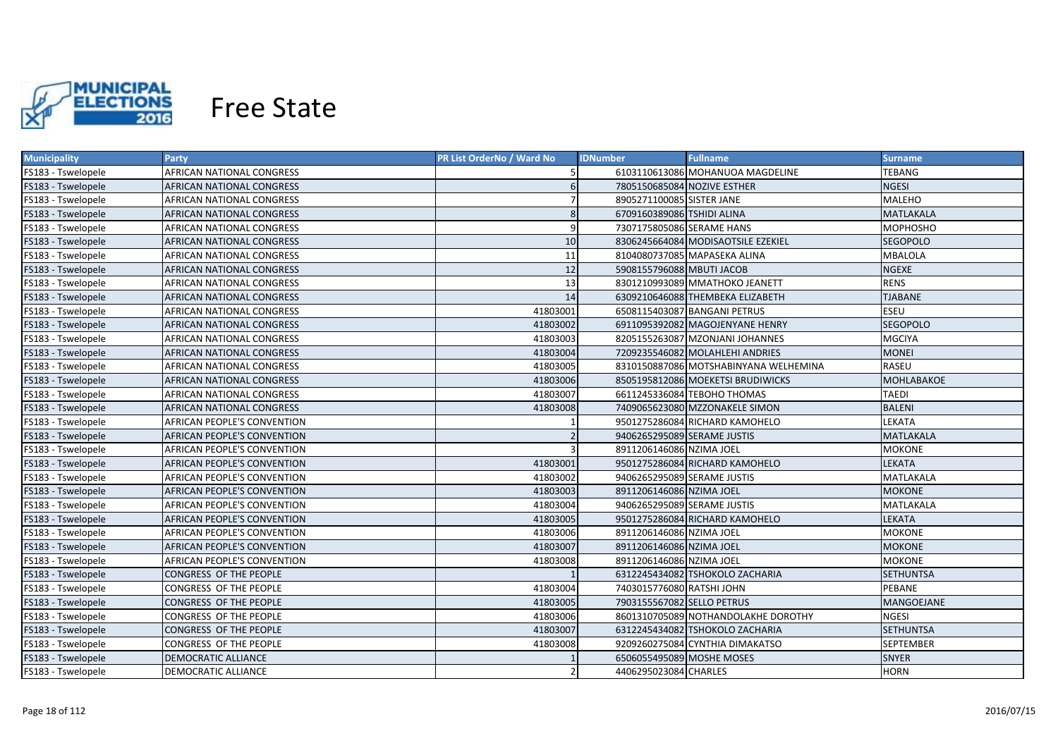

| <b>Municipality</b> | <b>Party</b>                | PR List OrderNo / Ward No | <b>IDNumber</b>             | <b>Fullname</b>                       | <b>Surname</b>    |
|---------------------|-----------------------------|---------------------------|-----------------------------|---------------------------------------|-------------------|
| FS183 - Tswelopele  | AFRICAN NATIONAL CONGRESS   |                           |                             | 6103110613086 MOHANUOA MAGDELINE      | TEBANG            |
| FS183 - Tswelopele  | AFRICAN NATIONAL CONGRESS   | 6                         | 7805150685084 NOZIVE ESTHER |                                       | <b>NGESI</b>      |
| FS183 - Tswelopele  | AFRICAN NATIONAL CONGRESS   |                           | 8905271100085 SISTER JANE   |                                       | <b>MALEHO</b>     |
| FS183 - Tswelopele  | AFRICAN NATIONAL CONGRESS   | 8                         | 6709160389086 TSHIDI ALINA  |                                       | MATLAKALA         |
| FS183 - Tswelopele  | AFRICAN NATIONAL CONGRESS   | 9                         | 7307175805086 SERAME HANS   |                                       | <b>MOPHOSHO</b>   |
| FS183 - Tswelopele  | AFRICAN NATIONAL CONGRESS   | 10                        |                             | 8306245664084 MODISAOTSILE EZEKIEL    | SEGOPOLO          |
| FS183 - Tswelopele  | AFRICAN NATIONAL CONGRESS   | 11                        |                             | 8104080737085 MAPASEKA ALINA          | MBALOLA           |
| FS183 - Tswelopele  | AFRICAN NATIONAL CONGRESS   | 12                        | 5908155796088 MBUTI JACOB   |                                       | <b>NGEXE</b>      |
| FS183 - Tswelopele  | AFRICAN NATIONAL CONGRESS   | 13                        |                             | 8301210993089 MMATHOKO JEANETT        | <b>RENS</b>       |
| FS183 - Tswelopele  | AFRICAN NATIONAL CONGRESS   | 14                        |                             | 6309210646088 THEMBEKA ELIZABETH      | <b>TJABANE</b>    |
| FS183 - Tswelopele  | AFRICAN NATIONAL CONGRESS   | 41803001                  |                             | 6508115403087 BANGANI PETRUS          | <b>ESEU</b>       |
| FS183 - Tswelopele  | AFRICAN NATIONAL CONGRESS   | 41803002                  |                             | 6911095392082 MAGOJENYANE HENRY       | <b>SEGOPOLO</b>   |
| FS183 - Tswelopele  | AFRICAN NATIONAL CONGRESS   | 41803003                  |                             | 8205155263087 MZONJANI JOHANNES       | <b>MGCIYA</b>     |
| FS183 - Tswelopele  | AFRICAN NATIONAL CONGRESS   | 41803004                  |                             | 7209235546082 MOLAHLEHI ANDRIES       | <b>MONEI</b>      |
| FS183 - Tswelopele  | AFRICAN NATIONAL CONGRESS   | 41803005                  |                             | 8310150887086 MOTSHABINYANA WELHEMINA | <b>RASEU</b>      |
| FS183 - Tswelopele  | AFRICAN NATIONAL CONGRESS   | 41803006                  |                             | 8505195812086 MOEKETSI BRUDIWICKS     | <b>MOHLABAKOE</b> |
| FS183 - Tswelopele  | AFRICAN NATIONAL CONGRESS   | 41803007                  |                             | 6611245336084 TEBOHO THOMAS           | <b>TAEDI</b>      |
| FS183 - Tswelopele  | AFRICAN NATIONAL CONGRESS   | 41803008                  |                             | 7409065623080 MZZONAKELE SIMON        | <b>BALENI</b>     |
| FS183 - Tswelopele  | AFRICAN PEOPLE'S CONVENTION |                           |                             | 9501275286084 RICHARD KAMOHELO        | LEKATA            |
| FS183 - Tswelopele  | AFRICAN PEOPLE'S CONVENTION |                           | 9406265295089 SERAME JUSTIS |                                       | MATLAKALA         |
| FS183 - Tswelopele  | AFRICAN PEOPLE'S CONVENTION | $\mathbf{a}$              | 8911206146086 NZIMA JOEL    |                                       | <b>MOKONE</b>     |
| FS183 - Tswelopele  | AFRICAN PEOPLE'S CONVENTION | 41803001                  |                             | 9501275286084 RICHARD KAMOHELO        | LEKATA            |
| FS183 - Tswelopele  | AFRICAN PEOPLE'S CONVENTION | 41803002                  | 9406265295089 SERAME JUSTIS |                                       | MATLAKALA         |
| FS183 - Tswelopele  | AFRICAN PEOPLE'S CONVENTION | 41803003                  | 8911206146086 NZIMA JOEL    |                                       | <b>MOKONE</b>     |
| FS183 - Tswelopele  | AFRICAN PEOPLE'S CONVENTION | 41803004                  | 9406265295089 SERAME JUSTIS |                                       | MATLAKALA         |
| FS183 - Tswelopele  | AFRICAN PEOPLE'S CONVENTION | 41803005                  |                             | 9501275286084 RICHARD KAMOHELO        | LEKATA            |
| FS183 - Tswelopele  | AFRICAN PEOPLE'S CONVENTION | 41803006                  | 8911206146086 NZIMA JOEL    |                                       | MOKONE            |
| FS183 - Tswelopele  | AFRICAN PEOPLE'S CONVENTION | 41803007                  | 8911206146086 NZIMA JOEL    |                                       | MOKONE            |
| FS183 - Tswelopele  | AFRICAN PEOPLE'S CONVENTION | 41803008                  | 8911206146086 NZIMA JOEL    |                                       | <b>MOKONE</b>     |
| FS183 - Tswelopele  | CONGRESS OF THE PEOPLE      |                           |                             | 6312245434082 TSHOKOLO ZACHARIA       | <b>SETHUNTSA</b>  |
| FS183 - Tswelopele  | CONGRESS OF THE PEOPLE      | 41803004                  | 7403015776080 RATSHI JOHN   |                                       | PEBANE            |
| FS183 - Tswelopele  | CONGRESS OF THE PEOPLE      | 41803005                  | 7903155567082 SELLO PETRUS  |                                       | MANGOEJANE        |
| FS183 - Tswelopele  | CONGRESS OF THE PEOPLE      | 41803006                  |                             | 8601310705089 NOTHANDOLAKHE DOROTHY   | <b>NGESI</b>      |
| FS183 - Tswelopele  | CONGRESS OF THE PEOPLE      | 41803007                  |                             | 6312245434082 TSHOKOLO ZACHARIA       | <b>SETHUNTSA</b>  |
| FS183 - Tswelopele  | CONGRESS OF THE PEOPLE      | 41803008                  |                             | 9209260275084 CYNTHIA DIMAKATSO       | <b>SEPTEMBER</b>  |
| FS183 - Tswelopele  | DEMOCRATIC ALLIANCE         |                           | 6506055495089 MOSHE MOSES   |                                       | <b>SNYER</b>      |
| FS183 - Tswelopele  | <b>DEMOCRATIC ALLIANCE</b>  |                           | 4406295023084 CHARLES       |                                       | <b>HORN</b>       |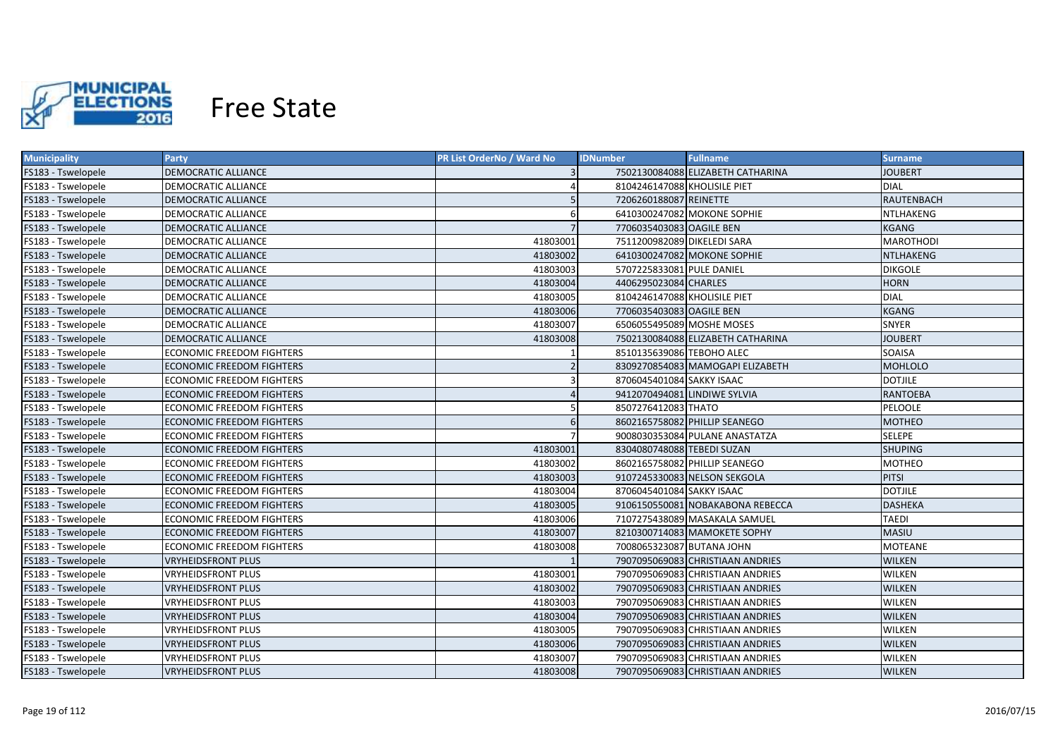

| <b>Municipality</b> | Party                            | PR List OrderNo / Ward No | <b>IDNumber</b>              | <b>Fullname</b>                   | <b>Surname</b>   |
|---------------------|----------------------------------|---------------------------|------------------------------|-----------------------------------|------------------|
| FS183 - Tswelopele  | DEMOCRATIC ALLIANCE              |                           |                              | 7502130084088 ELIZABETH CATHARINA | JOUBERT          |
| FS183 - Tswelopele  | DEMOCRATIC ALLIANCE              |                           | 8104246147088 KHOLISILE PIET |                                   | <b>DIAL</b>      |
| FS183 - Tswelopele  | DEMOCRATIC ALLIANCE              |                           | 7206260188087 REINETTE       |                                   | RAUTENBACH       |
| FS183 - Tswelopele  | DEMOCRATIC ALLIANCE              | 6                         |                              | 6410300247082 MOKONE SOPHIE       | NTLHAKENG        |
| FS183 - Tswelopele  | <b>DEMOCRATIC ALLIANCE</b>       |                           | 7706035403083 OAGILE BEN     |                                   | <b>KGANG</b>     |
| FS183 - Tswelopele  | DEMOCRATIC ALLIANCE              | 41803001                  | 7511200982089 DIKELEDI SARA  |                                   | <b>MAROTHODI</b> |
| FS183 - Tswelopele  | DEMOCRATIC ALLIANCE              | 41803002                  |                              | 6410300247082 MOKONE SOPHIE       | <b>NTLHAKENG</b> |
| FS183 - Tswelopele  | <b>DEMOCRATIC ALLIANCE</b>       | 41803003                  | 5707225833081 PULE DANIEL    |                                   | <b>DIKGOLE</b>   |
| FS183 - Tswelopele  | DEMOCRATIC ALLIANCE              | 41803004                  | 4406295023084 CHARLES        |                                   | <b>HORN</b>      |
| FS183 - Tswelopele  | DEMOCRATIC ALLIANCE              | 41803005                  | 8104246147088 KHOLISILE PIET |                                   | <b>DIAL</b>      |
| FS183 - Tswelopele  | DEMOCRATIC ALLIANCE              | 41803006                  | 7706035403083 OAGILE BEN     |                                   | <b>KGANG</b>     |
| FS183 - Tswelopele  | DEMOCRATIC ALLIANCE              | 41803007                  | 6506055495089 MOSHE MOSES    |                                   | <b>SNYER</b>     |
| FS183 - Tswelopele  | DEMOCRATIC ALLIANCE              | 41803008                  |                              | 7502130084088 ELIZABETH CATHARINA | <b>JOUBERT</b>   |
| FS183 - Tswelopele  | ECONOMIC FREEDOM FIGHTERS        |                           | 8510135639086 TEBOHO ALEC    |                                   | SOAISA           |
| FS183 - Tswelopele  | <b>ECONOMIC FREEDOM FIGHTERS</b> | $\overline{2}$            |                              | 8309270854083 MAMOGAPI ELIZABETH  | <b>MOHLOLO</b>   |
| FS183 - Tswelopele  | <b>ECONOMIC FREEDOM FIGHTERS</b> | 3                         | 8706045401084 SAKKY ISAAC    |                                   | <b>DOTJILE</b>   |
| FS183 - Tswelopele  | <b>ECONOMIC FREEDOM FIGHTERS</b> |                           | 9412070494081 LINDIWE SYLVIA |                                   | <b>RANTOEBA</b>  |
| FS183 - Tswelopele  | <b>ECONOMIC FREEDOM FIGHTERS</b> |                           | 8507276412083 THATO          |                                   | PELOOLE          |
| FS183 - Tswelopele  | <b>ECONOMIC FREEDOM FIGHTERS</b> | 6                         |                              | 8602165758082 PHILLIP SEANEGO     | <b>MOTHEO</b>    |
| FS183 - Tswelopele  | <b>ECONOMIC FREEDOM FIGHTERS</b> |                           |                              | 9008030353084 PULANE ANASTATZA    | <b>SELEPE</b>    |
| FS183 - Tswelopele  | <b>ECONOMIC FREEDOM FIGHTERS</b> | 41803001                  | 8304080748088 TEBEDI SUZAN   |                                   | <b>SHUPING</b>   |
| FS183 - Tswelopele  | <b>ECONOMIC FREEDOM FIGHTERS</b> | 41803002                  |                              | 8602165758082 PHILLIP SEANEGO     | <b>MOTHEO</b>    |
| FS183 - Tswelopele  | <b>ECONOMIC FREEDOM FIGHTERS</b> | 41803003                  |                              | 9107245330083 NELSON SEKGOLA      | <b>PITSI</b>     |
| FS183 - Tswelopele  | ECONOMIC FREEDOM FIGHTERS        | 41803004                  | 8706045401084 SAKKY ISAAC    |                                   | <b>DOTJILE</b>   |
| FS183 - Tswelopele  | ECONOMIC FREEDOM FIGHTERS        | 41803005                  |                              | 9106150550081 NOBAKABONA REBECCA  | <b>DASHEKA</b>   |
| FS183 - Tswelopele  | ECONOMIC FREEDOM FIGHTERS        | 41803006                  |                              | 7107275438089 MASAKALA SAMUEL     | TAEDI            |
| FS183 - Tswelopele  | ECONOMIC FREEDOM FIGHTERS        | 41803007                  |                              | 8210300714083 MAMOKETE SOPHY      | MASIU            |
| FS183 - Tswelopele  | ECONOMIC FREEDOM FIGHTERS        | 41803008                  | 7008065323087 BUTANA JOHN    |                                   | MOTEANE          |
| FS183 - Tswelopele  | <b>VRYHEIDSFRONT PLUS</b>        |                           |                              | 7907095069083 CHRISTIAAN ANDRIES  | <b>WILKEN</b>    |
| FS183 - Tswelopele  | <b>VRYHEIDSFRONT PLUS</b>        | 41803001                  |                              | 7907095069083 CHRISTIAAN ANDRIES  | WILKEN           |
| FS183 - Tswelopele  | VRYHEIDSFRONT PLUS               | 41803002                  |                              | 7907095069083 CHRISTIAAN ANDRIES  | <b>WILKEN</b>    |
| FS183 - Tswelopele  | VRYHEIDSFRONT PLUS               | 41803003                  |                              | 7907095069083 CHRISTIAAN ANDRIES  | <b>WILKEN</b>    |
| FS183 - Tswelopele  | <b>VRYHEIDSFRONT PLUS</b>        | 41803004                  |                              | 7907095069083 CHRISTIAAN ANDRIES  | <b>WILKEN</b>    |
| FS183 - Tswelopele  | <b>VRYHEIDSFRONT PLUS</b>        | 41803005                  |                              | 7907095069083 CHRISTIAAN ANDRIES  | <b>WILKEN</b>    |
| FS183 - Tswelopele  | <b>VRYHEIDSFRONT PLUS</b>        | 41803006                  |                              | 7907095069083 CHRISTIAAN ANDRIES  | <b>WILKEN</b>    |
| FS183 - Tswelopele  | <b>VRYHEIDSFRONT PLUS</b>        | 41803007                  |                              | 7907095069083 CHRISTIAAN ANDRIES  | <b>WILKEN</b>    |
| FS183 - Tswelopele  | <b>VRYHEIDSFRONT PLUS</b>        | 41803008                  |                              | 7907095069083 CHRISTIAAN ANDRIES  | <b>WILKEN</b>    |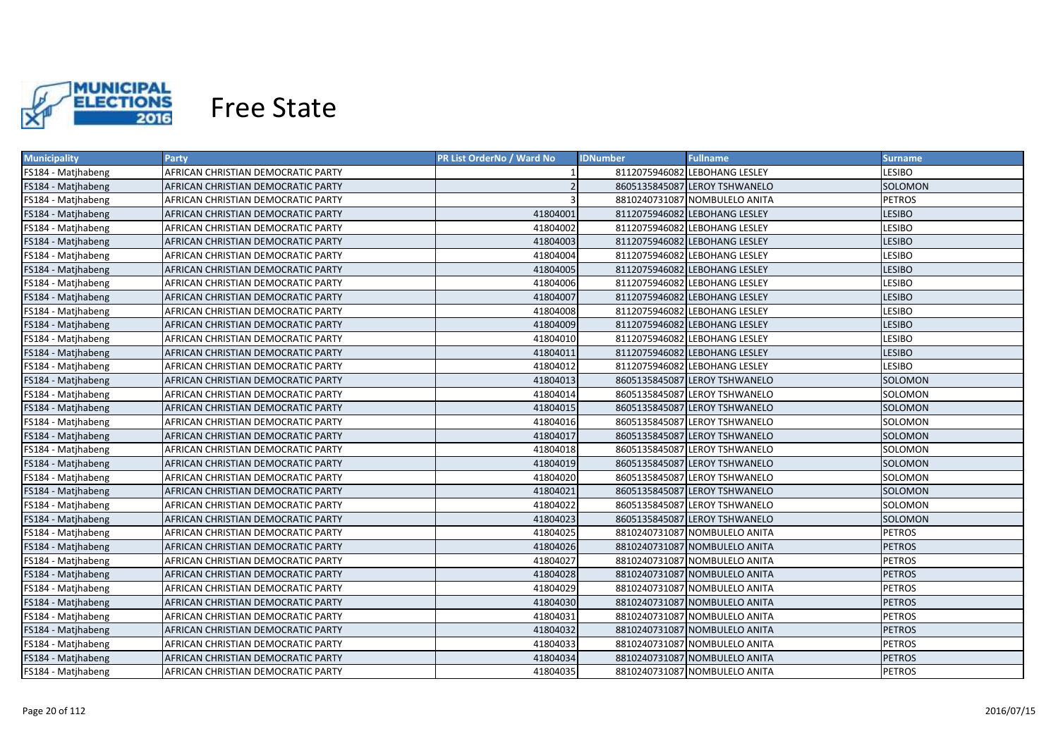

| <b>Municipality</b> | <b>Party</b>                       | PR List OrderNo / Ward No | <b>IDNumber</b> | <b>Fullname</b>               | <b>Surname</b> |
|---------------------|------------------------------------|---------------------------|-----------------|-------------------------------|----------------|
| FS184 - Matjhabeng  | AFRICAN CHRISTIAN DEMOCRATIC PARTY |                           |                 | 8112075946082 LEBOHANG LESLEY | LESIBO         |
| FS184 - Matjhabeng  | AFRICAN CHRISTIAN DEMOCRATIC PARTY | 2                         |                 | 8605135845087 LEROY TSHWANELO | SOLOMON        |
| FS184 - Matjhabeng  | AFRICAN CHRISTIAN DEMOCRATIC PARTY | 3                         |                 | 8810240731087 NOMBULELO ANITA | <b>PETROS</b>  |
| FS184 - Matjhabeng  | AFRICAN CHRISTIAN DEMOCRATIC PARTY | 41804001                  |                 | 8112075946082 LEBOHANG LESLEY | <b>LESIBO</b>  |
| FS184 - Matjhabeng  | AFRICAN CHRISTIAN DEMOCRATIC PARTY | 41804002                  |                 | 8112075946082 LEBOHANG LESLEY | LESIBO         |
| FS184 - Matjhabeng  | AFRICAN CHRISTIAN DEMOCRATIC PARTY | 41804003                  |                 | 8112075946082 LEBOHANG LESLEY | <b>LESIBO</b>  |
| FS184 - Matjhabeng  | AFRICAN CHRISTIAN DEMOCRATIC PARTY | 41804004                  |                 | 8112075946082 LEBOHANG LESLEY | LESIBO         |
| FS184 - Matjhabeng  | AFRICAN CHRISTIAN DEMOCRATIC PARTY | 41804005                  |                 | 8112075946082 LEBOHANG LESLEY | <b>LESIBO</b>  |
| FS184 - Matjhabeng  | AFRICAN CHRISTIAN DEMOCRATIC PARTY | 41804006                  |                 | 8112075946082 LEBOHANG LESLEY | LESIBO         |
| FS184 - Matjhabeng  | AFRICAN CHRISTIAN DEMOCRATIC PARTY | 41804007                  |                 | 8112075946082 LEBOHANG LESLEY | <b>LESIBO</b>  |
| FS184 - Matjhabeng  | AFRICAN CHRISTIAN DEMOCRATIC PARTY | 41804008                  |                 | 8112075946082 LEBOHANG LESLEY | <b>LESIBO</b>  |
| FS184 - Matjhabeng  | AFRICAN CHRISTIAN DEMOCRATIC PARTY | 41804009                  |                 | 8112075946082 LEBOHANG LESLEY | <b>LESIBO</b>  |
| FS184 - Matjhabeng  | AFRICAN CHRISTIAN DEMOCRATIC PARTY | 41804010                  |                 | 8112075946082 LEBOHANG LESLEY | LESIBO         |
| FS184 - Matjhabeng  | AFRICAN CHRISTIAN DEMOCRATIC PARTY | 41804011                  |                 | 8112075946082 LEBOHANG LESLEY | <b>LESIBO</b>  |
| FS184 - Matjhabeng  | AFRICAN CHRISTIAN DEMOCRATIC PARTY | 41804012                  |                 | 8112075946082 LEBOHANG LESLEY | LESIBO         |
| FS184 - Matjhabeng  | AFRICAN CHRISTIAN DEMOCRATIC PARTY | 41804013                  |                 | 8605135845087 LEROY TSHWANELO | SOLOMON        |
| FS184 - Matjhabeng  | AFRICAN CHRISTIAN DEMOCRATIC PARTY | 41804014                  |                 | 8605135845087 LEROY TSHWANELO | SOLOMON        |
| FS184 - Matjhabeng  | AFRICAN CHRISTIAN DEMOCRATIC PARTY | 41804015                  |                 | 8605135845087 LEROY TSHWANELO | SOLOMON        |
| FS184 - Matjhabeng  | AFRICAN CHRISTIAN DEMOCRATIC PARTY | 41804016                  |                 | 8605135845087 LEROY TSHWANELO | SOLOMON        |
| FS184 - Matjhabeng  | AFRICAN CHRISTIAN DEMOCRATIC PARTY | 41804017                  |                 | 8605135845087 LEROY TSHWANELO | SOLOMON        |
| FS184 - Matjhabeng  | AFRICAN CHRISTIAN DEMOCRATIC PARTY | 41804018                  |                 | 8605135845087 LEROY TSHWANELO | SOLOMON        |
| FS184 - Matjhabeng  | AFRICAN CHRISTIAN DEMOCRATIC PARTY | 41804019                  |                 | 8605135845087 LEROY TSHWANELO | <b>SOLOMON</b> |
| FS184 - Matjhabeng  | AFRICAN CHRISTIAN DEMOCRATIC PARTY | 41804020                  |                 | 8605135845087 LEROY TSHWANELO | SOLOMON        |
| FS184 - Matjhabeng  | AFRICAN CHRISTIAN DEMOCRATIC PARTY | 41804021                  |                 | 8605135845087 LEROY TSHWANELO | SOLOMON        |
| FS184 - Matjhabeng  | AFRICAN CHRISTIAN DEMOCRATIC PARTY | 41804022                  |                 | 8605135845087 LEROY TSHWANELO | SOLOMON        |
| FS184 - Matjhabeng  | AFRICAN CHRISTIAN DEMOCRATIC PARTY | 41804023                  |                 | 8605135845087 LEROY TSHWANELO | SOLOMON        |
| FS184 - Matjhabeng  | AFRICAN CHRISTIAN DEMOCRATIC PARTY | 41804025                  |                 | 8810240731087 NOMBULELO ANITA | <b>PETROS</b>  |
| FS184 - Matjhabeng  | AFRICAN CHRISTIAN DEMOCRATIC PARTY | 41804026                  |                 | 8810240731087 NOMBULELO ANITA | <b>PETROS</b>  |
| FS184 - Matjhabeng  | AFRICAN CHRISTIAN DEMOCRATIC PARTY | 41804027                  |                 | 8810240731087 NOMBULELO ANITA | <b>PETROS</b>  |
| FS184 - Matjhabeng  | AFRICAN CHRISTIAN DEMOCRATIC PARTY | 41804028                  |                 | 8810240731087 NOMBULELO ANITA | <b>PETROS</b>  |
| FS184 - Matjhabeng  | AFRICAN CHRISTIAN DEMOCRATIC PARTY | 41804029                  |                 | 8810240731087 NOMBULELO ANITA | <b>PETROS</b>  |
| FS184 - Matjhabeng  | AFRICAN CHRISTIAN DEMOCRATIC PARTY | 41804030                  |                 | 8810240731087 NOMBULELO ANITA | <b>PETROS</b>  |
| FS184 - Matjhabeng  | AFRICAN CHRISTIAN DEMOCRATIC PARTY | 41804031                  |                 | 8810240731087 NOMBULELO ANITA | <b>PETROS</b>  |
| FS184 - Matjhabeng  | AFRICAN CHRISTIAN DEMOCRATIC PARTY | 41804032                  |                 | 8810240731087 NOMBULELO ANITA | <b>PETROS</b>  |
| FS184 - Matjhabeng  | AFRICAN CHRISTIAN DEMOCRATIC PARTY | 41804033                  |                 | 8810240731087 NOMBULELO ANITA | <b>PETROS</b>  |
| FS184 - Matjhabeng  | AFRICAN CHRISTIAN DEMOCRATIC PARTY | 41804034                  |                 | 8810240731087 NOMBULELO ANITA | <b>PETROS</b>  |
| FS184 - Matjhabeng  | AFRICAN CHRISTIAN DEMOCRATIC PARTY | 41804035                  |                 | 8810240731087 NOMBULELO ANITA | PETROS         |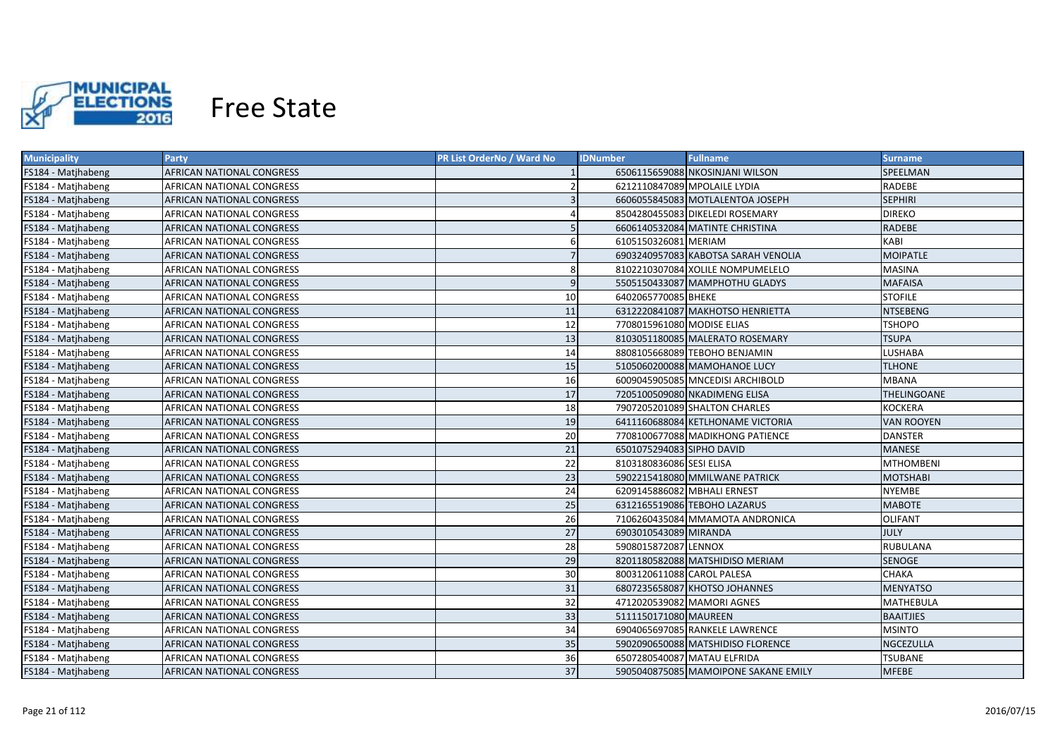

| <b>Municipality</b> | <b>Party</b>                     | PR List OrderNo / Ward No | <b>IDNumber</b>              | <b>Fullname</b>                      | Surname            |
|---------------------|----------------------------------|---------------------------|------------------------------|--------------------------------------|--------------------|
| FS184 - Matjhabeng  | AFRICAN NATIONAL CONGRESS        |                           |                              | 6506115659088 NKOSINJANI WILSON      | SPEELMAN           |
| FS184 - Matjhabeng  | AFRICAN NATIONAL CONGRESS        |                           | 6212110847089 MPOLAILE LYDIA |                                      | RADEBE             |
| FS184 - Matjhabeng  | AFRICAN NATIONAL CONGRESS        | 3                         |                              | 6606055845083 MOTLALENTOA JOSEPH     | <b>SEPHIRI</b>     |
| FS184 - Matjhabeng  | AFRICAN NATIONAL CONGRESS        |                           |                              | 8504280455083 DIKELEDI ROSEMARY      | <b>DIREKO</b>      |
| FS184 - Matjhabeng  | AFRICAN NATIONAL CONGRESS        | 5                         |                              | 6606140532084 MATINTE CHRISTINA      | <b>RADEBE</b>      |
| FS184 - Matjhabeng  | AFRICAN NATIONAL CONGRESS        | 6                         | 6105150326081 MERIAM         |                                      | KABI               |
| FS184 - Matjhabeng  | AFRICAN NATIONAL CONGRESS        | $\overline{7}$            |                              | 6903240957083 KABOTSA SARAH VENOLIA  | <b>MOIPATLE</b>    |
| FS184 - Matjhabeng  | AFRICAN NATIONAL CONGRESS        | 8                         |                              | 8102210307084 XOLILE NOMPUMELELO     | <b>MASINA</b>      |
| FS184 - Matjhabeng  | AFRICAN NATIONAL CONGRESS        | 9                         |                              | 5505150433087 MAMPHOTHU GLADYS       | <b>MAFAISA</b>     |
| FS184 - Matjhabeng  | AFRICAN NATIONAL CONGRESS        | 10 <sup>1</sup>           | 6402065770085 BHEKE          |                                      | <b>STOFILE</b>     |
| FS184 - Matjhabeng  | AFRICAN NATIONAL CONGRESS        | 11                        |                              | 6312220841087 MAKHOTSO HENRIETTA     | <b>NTSEBENG</b>    |
| FS184 - Matjhabeng  | AFRICAN NATIONAL CONGRESS        | 12                        | 7708015961080 MODISE ELIAS   |                                      | <b>TSHOPO</b>      |
| FS184 - Matjhabeng  | AFRICAN NATIONAL CONGRESS        | 13                        |                              | 8103051180085 MALERATO ROSEMARY      | <b>TSUPA</b>       |
| FS184 - Matjhabeng  | AFRICAN NATIONAL CONGRESS        | 14                        |                              | 8808105668089 TEBOHO BENJAMIN        | LUSHABA            |
| FS184 - Matjhabeng  | AFRICAN NATIONAL CONGRESS        | 15                        |                              | 5105060200088 MAMOHANOE LUCY         | <b>TLHONE</b>      |
| FS184 - Matjhabeng  | AFRICAN NATIONAL CONGRESS        | 16                        |                              | 6009045905085 MNCEDISI ARCHIBOLD     | <b>MBANA</b>       |
| FS184 - Matjhabeng  | AFRICAN NATIONAL CONGRESS        | 17                        |                              | 7205100509080 NKADIMENG ELISA        | <b>THELINGOANE</b> |
| FS184 - Matjhabeng  | AFRICAN NATIONAL CONGRESS        | 18                        |                              | 7907205201089 SHALTON CHARLES        | KOCKERA            |
| FS184 - Matjhabeng  | AFRICAN NATIONAL CONGRESS        | 19                        |                              | 6411160688084 KETLHONAME VICTORIA    | <b>VAN ROOYEN</b>  |
| FS184 - Matjhabeng  | AFRICAN NATIONAL CONGRESS        | 20                        |                              | 7708100677088 MADIKHONG PATIENCE     | <b>DANSTER</b>     |
| FS184 - Matjhabeng  | AFRICAN NATIONAL CONGRESS        | 21                        | 6501075294083 SIPHO DAVID    |                                      | <b>MANESE</b>      |
| FS184 - Matjhabeng  | AFRICAN NATIONAL CONGRESS        | 22                        | 8103180836086 SESI ELISA     |                                      | <b>MTHOMBENI</b>   |
| FS184 - Matjhabeng  | AFRICAN NATIONAL CONGRESS        | 23                        |                              | 5902215418080 MMILWANE PATRICK       | <b>MOTSHABI</b>    |
| FS184 - Matjhabeng  | AFRICAN NATIONAL CONGRESS        | 24                        | 6209145886082 MBHALI ERNEST  |                                      | <b>NYEMBE</b>      |
| FS184 - Matjhabeng  | AFRICAN NATIONAL CONGRESS        | 25                        |                              | 6312165519086 TEBOHO LAZARUS         | <b>MABOTE</b>      |
| FS184 - Matjhabeng  | AFRICAN NATIONAL CONGRESS        | 26                        |                              | 7106260435084 MMAMOTA ANDRONICA      | <b>OLIFANT</b>     |
| FS184 - Matjhabeng  | AFRICAN NATIONAL CONGRESS        | $\overline{27}$           | 6903010543089 MIRANDA        |                                      | <b>JULY</b>        |
| FS184 - Matjhabeng  | AFRICAN NATIONAL CONGRESS        | 28                        | 5908015872087 LENNOX         |                                      | RUBULANA           |
| FS184 - Matjhabeng  | AFRICAN NATIONAL CONGRESS        | 29                        |                              | 8201180582088 MATSHIDISO MERIAM      | <b>SENOGE</b>      |
| FS184 - Matjhabeng  | AFRICAN NATIONAL CONGRESS        | 30                        | 8003120611088 CAROL PALESA   |                                      | <b>CHAKA</b>       |
| FS184 - Matjhabeng  | AFRICAN NATIONAL CONGRESS        | 31                        |                              | 6807235658087 KHOTSO JOHANNES        | <b>MENYATSO</b>    |
| FS184 - Matjhabeng  | AFRICAN NATIONAL CONGRESS        | 32                        |                              | 4712020539082 MAMORI AGNES           | MATHEBULA          |
| FS184 - Matjhabeng  | AFRICAN NATIONAL CONGRESS        | 33                        | 5111150171080 MAUREEN        |                                      | <b>BAAITJIES</b>   |
| FS184 - Matjhabeng  | AFRICAN NATIONAL CONGRESS        | 34                        |                              | 6904065697085 RANKELE LAWRENCE       | <b>MSINTO</b>      |
| FS184 - Matjhabeng  | AFRICAN NATIONAL CONGRESS        | 35                        |                              | 5902090650088 MATSHIDISO FLORENCE    | <b>NGCEZULLA</b>   |
| FS184 - Matjhabeng  | AFRICAN NATIONAL CONGRESS        | 36                        |                              | 6507280540087 MATAU ELFRIDA          | <b>TSUBANE</b>     |
| FS184 - Matjhabeng  | <b>AFRICAN NATIONAL CONGRESS</b> | 37                        |                              | 5905040875085 MAMOIPONE SAKANE EMILY | <b>MFEBE</b>       |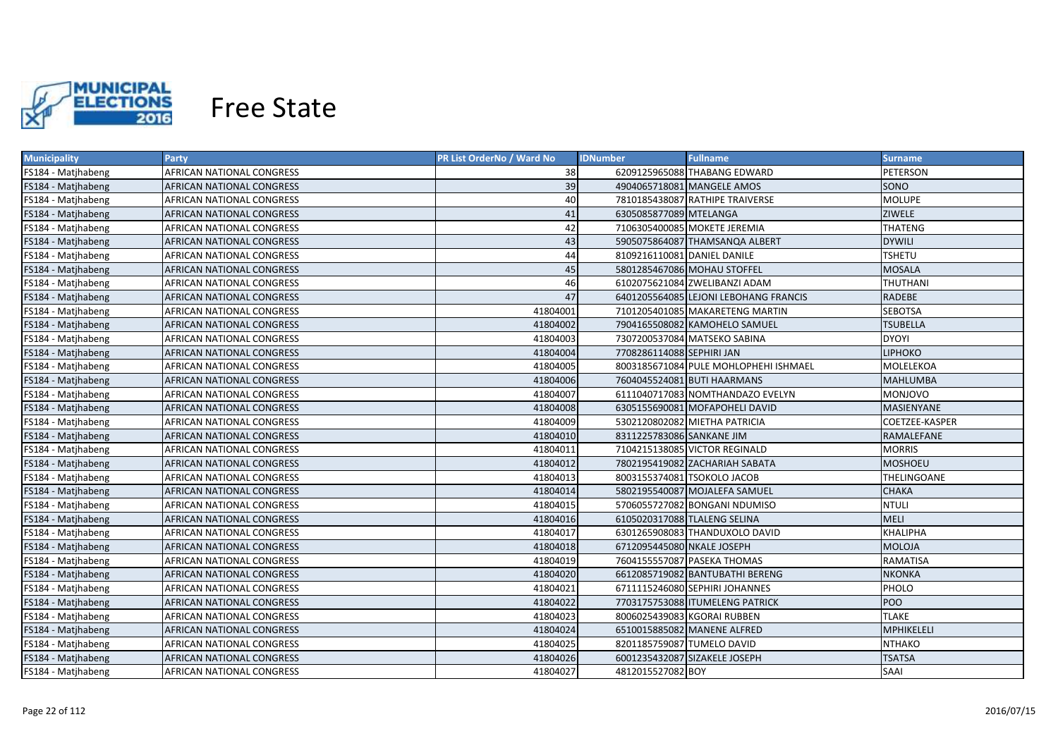

| <b>Municipality</b> | Party                            | PR List OrderNo / Ward No | <b>IDNumber</b>             | <b>Fullname</b>                       | <b>Surname</b>    |
|---------------------|----------------------------------|---------------------------|-----------------------------|---------------------------------------|-------------------|
| FS184 - Matjhabeng  | AFRICAN NATIONAL CONGRESS        | 38                        |                             | 6209125965088 THABANG EDWARD          | PETERSON          |
| FS184 - Matjhabeng  | AFRICAN NATIONAL CONGRESS        | 39                        |                             | 4904065718081 MANGELE AMOS            | SONO              |
| FS184 - Matjhabeng  | AFRICAN NATIONAL CONGRESS        | 40                        |                             | 7810185438087 RATHIPE TRAIVERSE       | <b>MOLUPE</b>     |
| FS184 - Matjhabeng  | AFRICAN NATIONAL CONGRESS        | 41                        | 6305085877089 MTELANGA      |                                       | <b>ZIWELE</b>     |
| FS184 - Matjhabeng  | AFRICAN NATIONAL CONGRESS        | 42                        |                             | 7106305400085 MOKETE JEREMIA          | <b>THATENG</b>    |
| FS184 - Matjhabeng  | AFRICAN NATIONAL CONGRESS        | 43                        |                             | 5905075864087 THAMSANQA ALBERT        | <b>DYWILI</b>     |
| FS184 - Matjhabeng  | AFRICAN NATIONAL CONGRESS        | 44                        | 8109216110081 DANIEL DANILE |                                       | <b>TSHETU</b>     |
| FS184 - Matjhabeng  | AFRICAN NATIONAL CONGRESS        | 45                        |                             | 5801285467086 MOHAU STOFFEL           | <b>MOSALA</b>     |
| FS184 - Matjhabeng  | AFRICAN NATIONAL CONGRESS        | 46                        |                             | 6102075621084 ZWELIBANZI ADAM         | THUTHANI          |
| FS184 - Matjhabeng  | AFRICAN NATIONAL CONGRESS        | 47                        |                             | 6401205564085 LEJONI LEBOHANG FRANCIS | <b>RADEBE</b>     |
| FS184 - Matjhabeng  | AFRICAN NATIONAL CONGRESS        | 41804001                  |                             | 7101205401085 MAKARETENG MARTIN       | <b>SEBOTSA</b>    |
| FS184 - Matjhabeng  | AFRICAN NATIONAL CONGRESS        | 41804002                  |                             | 7904165508082 KAMOHELO SAMUEL         | <b>TSUBELLA</b>   |
| FS184 - Matjhabeng  | AFRICAN NATIONAL CONGRESS        | 41804003                  |                             | 7307200537084 MATSEKO SABINA          | <b>DYOYI</b>      |
| FS184 - Matjhabeng  | AFRICAN NATIONAL CONGRESS        | 41804004                  | 7708286114088 SEPHIRI JAN   |                                       | <b>LIPHOKO</b>    |
| FS184 - Matjhabeng  | AFRICAN NATIONAL CONGRESS        | 41804005                  |                             | 8003185671084 PULE MOHLOPHEHI ISHMAEL | MOLELEKOA         |
| FS184 - Matjhabeng  | AFRICAN NATIONAL CONGRESS        | 41804006                  |                             | 7604045524081 BUTI HAARMANS           | <b>MAHLUMBA</b>   |
| FS184 - Matjhabeng  | AFRICAN NATIONAL CONGRESS        | 41804007                  |                             | 6111040717083 NOMTHANDAZO EVELYN      | <b>MONJOVO</b>    |
| FS184 - Matjhabeng  | AFRICAN NATIONAL CONGRESS        | 41804008                  |                             | 6305155690081 MOFAPOHELI DAVID        | <b>MASIENYANE</b> |
| FS184 - Matjhabeng  | AFRICAN NATIONAL CONGRESS        | 41804009                  |                             | 5302120802082 MIETHA PATRICIA         | COETZEE-KASPER    |
| FS184 - Matjhabeng  | AFRICAN NATIONAL CONGRESS        | 41804010                  | 8311225783086 SANKANE JIM   |                                       | RAMALEFANE        |
| FS184 - Matjhabeng  | <b>AFRICAN NATIONAL CONGRESS</b> | 41804011                  |                             | 7104215138085 VICTOR REGINALD         | <b>MORRIS</b>     |
| FS184 - Matjhabeng  | AFRICAN NATIONAL CONGRESS        | 41804012                  |                             | 7802195419082 ZACHARIAH SABATA        | <b>MOSHOEU</b>    |
| FS184 - Matjhabeng  | <b>AFRICAN NATIONAL CONGRESS</b> | 41804013                  |                             | 8003155374081 TSOKOLO JACOB           | THELINGOANE       |
| FS184 - Matjhabeng  | AFRICAN NATIONAL CONGRESS        | 41804014                  |                             | 5802195540087 MOJALEFA SAMUEL         | <b>CHAKA</b>      |
| FS184 - Matjhabeng  | AFRICAN NATIONAL CONGRESS        | 41804015                  |                             | 5706055727082 BONGANI NDUMISO         | <b>NTULI</b>      |
| FS184 - Matjhabeng  | AFRICAN NATIONAL CONGRESS        | 41804016                  |                             | 6105020317088 TLALENG SELINA          | <b>MELI</b>       |
| FS184 - Matjhabeng  | AFRICAN NATIONAL CONGRESS        | 41804017                  |                             | 6301265908083 THANDUXOLO DAVID        | <b>KHALIPHA</b>   |
| FS184 - Matjhabeng  | AFRICAN NATIONAL CONGRESS        | 41804018                  | 6712095445080 NKALE JOSEPH  |                                       | MOLOJA            |
| FS184 - Matjhabeng  | AFRICAN NATIONAL CONGRESS        | 41804019                  |                             | 7604155557087 PASEKA THOMAS           | RAMATISA          |
| FS184 - Matjhabeng  | AFRICAN NATIONAL CONGRESS        | 41804020                  |                             | 6612085719082 BANTUBATHI BERENG       | <b>NKONKA</b>     |
| FS184 - Matjhabeng  | AFRICAN NATIONAL CONGRESS        | 41804021                  |                             | 6711115246080 SEPHIRI JOHANNES        | PHOLO             |
| FS184 - Matjhabeng  | AFRICAN NATIONAL CONGRESS        | 41804022                  |                             | 7703175753088 ITUMELENG PATRICK       | POO               |
| FS184 - Matjhabeng  | AFRICAN NATIONAL CONGRESS        | 41804023                  |                             | 8006025439083 KGORAI RUBBEN           | <b>TLAKE</b>      |
| FS184 - Matjhabeng  | AFRICAN NATIONAL CONGRESS        | 41804024                  |                             | 6510015885082 MANENE ALFRED           | MPHIKELELI        |
| FS184 - Matjhabeng  | AFRICAN NATIONAL CONGRESS        | 41804025                  | 8201185759087 TUMELO DAVID  |                                       | <b>NTHAKO</b>     |
| FS184 - Matjhabeng  | AFRICAN NATIONAL CONGRESS        | 41804026                  |                             | 6001235432087 SIZAKELE JOSEPH         | <b>TSATSA</b>     |
| FS184 - Matjhabeng  | AFRICAN NATIONAL CONGRESS        | 41804027                  | 4812015527082 BOY           |                                       | <b>SAAI</b>       |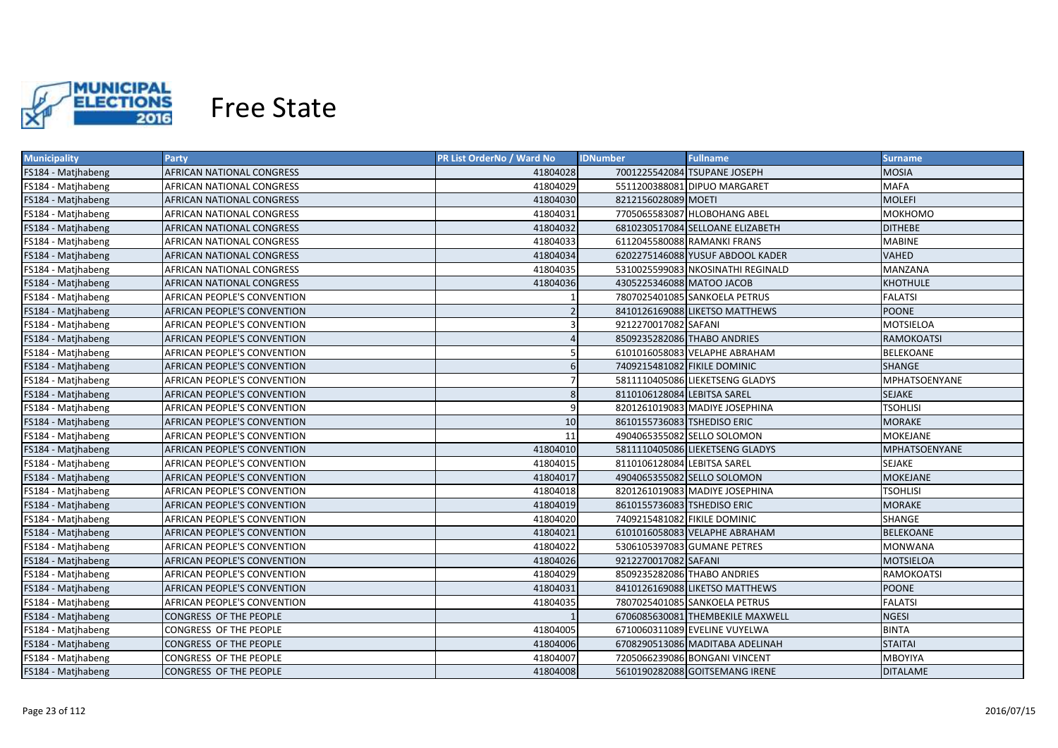

| <b>Municipality</b> | Party                              | <b>PR List OrderNo / Ward No</b> | <b>Fullname</b><br><b>IDNumber</b> | <b>Surname</b>       |
|---------------------|------------------------------------|----------------------------------|------------------------------------|----------------------|
| FS184 - Matjhabeng  | AFRICAN NATIONAL CONGRESS          | 41804028                         | 7001225542084 TSUPANE JOSEPH       | <b>MOSIA</b>         |
| FS184 - Matjhabeng  | AFRICAN NATIONAL CONGRESS          | 41804029                         | 5511200388081 DIPUO MARGARET       | MAFA                 |
| FS184 - Matjhabeng  | AFRICAN NATIONAL CONGRESS          | 41804030                         | 8212156028089 MOETI                | <b>MOLEFI</b>        |
| FS184 - Matjhabeng  | AFRICAN NATIONAL CONGRESS          | 41804031                         | 7705065583087 HLOBOHANG ABEL       | МОКНОМО              |
| FS184 - Matjhabeng  | AFRICAN NATIONAL CONGRESS          | 41804032                         | 6810230517084 SELLOANE ELIZABETH   | <b>DITHEBE</b>       |
| FS184 - Matjhabeng  | AFRICAN NATIONAL CONGRESS          | 41804033                         | 6112045580088 RAMANKI FRANS        | <b>MABINE</b>        |
| FS184 - Matjhabeng  | AFRICAN NATIONAL CONGRESS          | 41804034                         | 6202275146088 YUSUF ABDOOL KADER   | <b>VAHED</b>         |
| FS184 - Matjhabeng  | AFRICAN NATIONAL CONGRESS          | 41804035                         | 5310025599083 NKOSINATHI REGINALD  | MANZANA              |
| FS184 - Matjhabeng  | AFRICAN NATIONAL CONGRESS          | 41804036                         | 4305225346088 MATOO JACOB          | <b>KHOTHULE</b>      |
| FS184 - Matjhabeng  | AFRICAN PEOPLE'S CONVENTION        |                                  | 7807025401085 SANKOELA PETRUS      | <b>FALATSI</b>       |
| FS184 - Matjhabeng  | <b>AFRICAN PEOPLE'S CONVENTION</b> | $\overline{2}$                   | 8410126169088 LIKETSO MATTHEWS     | <b>POONE</b>         |
| FS184 - Matjhabeng  | <b>AFRICAN PEOPLE'S CONVENTION</b> | $\overline{3}$                   | 9212270017082 SAFANI               | <b>MOTSIELOA</b>     |
| FS184 - Matjhabeng  | <b>AFRICAN PEOPLE'S CONVENTION</b> | $\overline{4}$                   | 8509235282086 THABO ANDRIES        | <b>RAMOKOATSI</b>    |
| FS184 - Matjhabeng  | <b>AFRICAN PEOPLE'S CONVENTION</b> | 5                                | 6101016058083 VELAPHE ABRAHAM      | <b>BELEKOANE</b>     |
| FS184 - Matjhabeng  | <b>AFRICAN PEOPLE'S CONVENTION</b> | 6                                | 7409215481082 FIKILE DOMINIC       | <b>SHANGE</b>        |
| FS184 - Matjhabeng  | AFRICAN PEOPLE'S CONVENTION        |                                  | 5811110405086 LIEKETSENG GLADYS    | <b>MPHATSOENYANE</b> |
| FS184 - Matjhabeng  | <b>AFRICAN PEOPLE'S CONVENTION</b> | 8                                | 8110106128084 LEBITSA SAREL        | <b>SEJAKE</b>        |
| FS184 - Matjhabeng  | AFRICAN PEOPLE'S CONVENTION        | 9                                | 8201261019083 MADIYE JOSEPHINA     | <b>TSOHLISI</b>      |
| FS184 - Matjhabeng  | AFRICAN PEOPLE'S CONVENTION        | 10                               | 8610155736083 TSHEDISO ERIC        | <b>MORAKE</b>        |
| FS184 - Matjhabeng  | AFRICAN PEOPLE'S CONVENTION        | 11                               | 4904065355082 SELLO SOLOMON        | <b>MOKEJANE</b>      |
| FS184 - Matjhabeng  | AFRICAN PEOPLE'S CONVENTION        | 41804010                         | 5811110405086 LIEKETSENG GLADYS    | <b>MPHATSOENYANE</b> |
| FS184 - Matjhabeng  | AFRICAN PEOPLE'S CONVENTION        | 41804015                         | 8110106128084 LEBITSA SAREL        | SEJAKE               |
| FS184 - Matjhabeng  | AFRICAN PEOPLE'S CONVENTION        | 41804017                         | 4904065355082 SELLO SOLOMON        | <b>MOKEJANE</b>      |
| FS184 - Matjhabeng  | AFRICAN PEOPLE'S CONVENTION        | 41804018                         | 8201261019083 MADIYE JOSEPHINA     | <b>TSOHLISI</b>      |
| FS184 - Matjhabeng  | AFRICAN PEOPLE'S CONVENTION        | 41804019                         | 8610155736083 TSHEDISO ERIC        | <b>MORAKE</b>        |
| FS184 - Matjhabeng  | AFRICAN PEOPLE'S CONVENTION        | 41804020                         | 7409215481082 FIKILE DOMINIC       | SHANGE               |
| FS184 - Matjhabeng  | AFRICAN PEOPLE'S CONVENTION        | 41804021                         | 6101016058083 VELAPHE ABRAHAM      | <b>BELEKOANE</b>     |
| FS184 - Matjhabeng  | AFRICAN PEOPLE'S CONVENTION        | 41804022                         | 5306105397083 GUMANE PETRES        | MONWANA              |
| FS184 - Matjhabeng  | AFRICAN PEOPLE'S CONVENTION        | 41804026                         | 9212270017082 SAFANI               | <b>MOTSIELOA</b>     |
| FS184 - Matjhabeng  | AFRICAN PEOPLE'S CONVENTION        | 41804029                         | 8509235282086 THABO ANDRIES        | RAMOKOATSI           |
| FS184 - Matjhabeng  | AFRICAN PEOPLE'S CONVENTION        | 41804031                         | 8410126169088 LIKETSO MATTHEWS     | <b>POONE</b>         |
| FS184 - Matjhabeng  | AFRICAN PEOPLE'S CONVENTION        | 41804035                         | 7807025401085 SANKOELA PETRUS      | <b>FALATSI</b>       |
| FS184 - Matjhabeng  | CONGRESS OF THE PEOPLE             |                                  | 6706085630081 THEMBEKILE MAXWELL   | <b>NGESI</b>         |
| FS184 - Matjhabeng  | CONGRESS OF THE PEOPLE             | 41804005                         | 6710060311089 EVELINE VUYELWA      | <b>BINTA</b>         |
| FS184 - Matjhabeng  | CONGRESS OF THE PEOPLE             | 41804006                         | 6708290513086 MADITABA ADELINAH    | <b>STAITAI</b>       |
| FS184 - Matjhabeng  | CONGRESS OF THE PEOPLE             | 41804007                         | 7205066239086 BONGANI VINCENT      | <b>MBOYIYA</b>       |
| FS184 - Matjhabeng  | <b>CONGRESS OF THE PEOPLE</b>      | 41804008                         | 5610190282088 GOITSEMANG IRENE     | <b>DITALAME</b>      |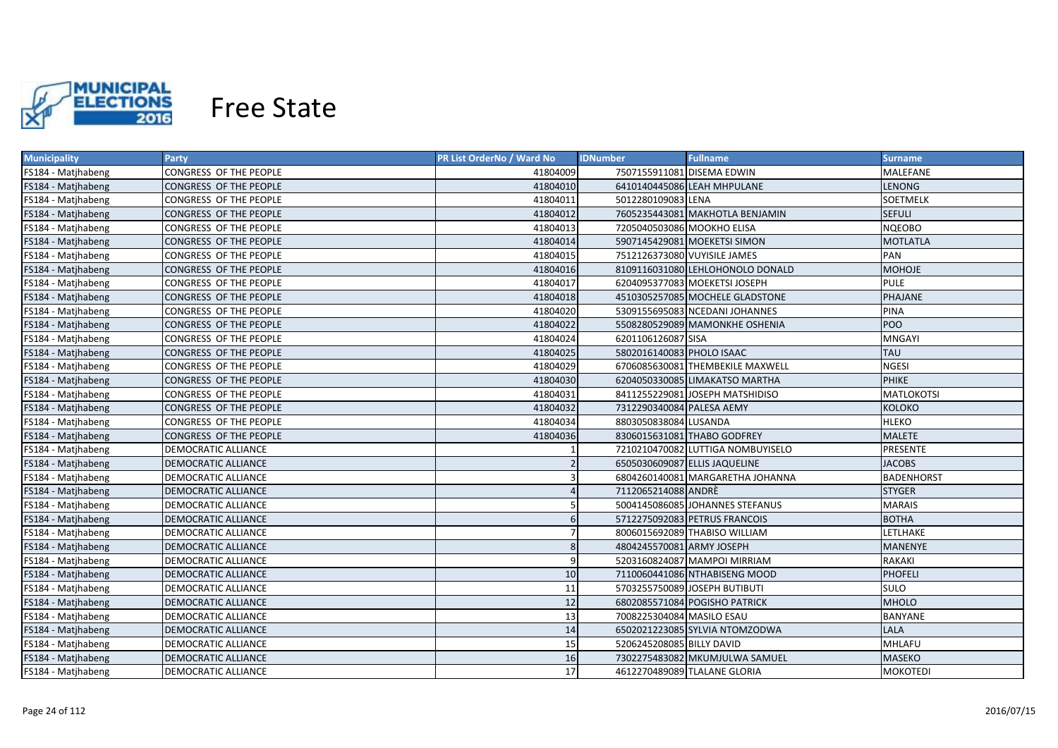

| <b>Municipality</b> | <b>Party</b>                  | PR List OrderNo / Ward No | <b>IDNumber</b>              | <b>Fullname</b>                   | Surname           |
|---------------------|-------------------------------|---------------------------|------------------------------|-----------------------------------|-------------------|
| FS184 - Matjhabeng  | CONGRESS OF THE PEOPLE        | 41804009                  | 7507155911081 DISEMA EDWIN   |                                   | MALEFANE          |
| FS184 - Matjhabeng  | CONGRESS OF THE PEOPLE        | 41804010                  |                              | 6410140445086 LEAH MHPULANE       | <b>LENONG</b>     |
| FS184 - Matjhabeng  | CONGRESS OF THE PEOPLE        | 41804011                  | 5012280109083 LENA           |                                   | SOETMELK          |
| FS184 - Matjhabeng  | CONGRESS OF THE PEOPLE        | 41804012                  |                              | 7605235443081 MAKHOTLA BENJAMIN   | <b>SEFULI</b>     |
| FS184 - Matjhabeng  | CONGRESS OF THE PEOPLE        | 41804013                  | 7205040503086 MOOKHO ELISA   |                                   | <b>NQEOBO</b>     |
| FS184 - Matjhabeng  | CONGRESS OF THE PEOPLE        | 41804014                  |                              | 5907145429081 MOEKETSI SIMON      | <b>MOTLATLA</b>   |
| FS184 - Matjhabeng  | CONGRESS OF THE PEOPLE        | 41804015                  | 7512126373080 VUYISILE JAMES |                                   | PAN               |
| FS184 - Matjhabeng  | CONGRESS OF THE PEOPLE        | 41804016                  |                              | 8109116031080 LEHLOHONOLO DONALD  | <b>MOHOJE</b>     |
| FS184 - Matjhabeng  | CONGRESS OF THE PEOPLE        | 41804017                  |                              | 6204095377083 MOEKETSI JOSEPH     | <b>PULE</b>       |
| FS184 - Matjhabeng  | <b>CONGRESS OF THE PEOPLE</b> | 41804018                  |                              | 4510305257085 MOCHELE GLADSTONE   | <b>PHAJANE</b>    |
| FS184 - Matjhabeng  | CONGRESS OF THE PEOPLE        | 41804020                  |                              | 5309155695083 NCEDANI JOHANNES    | <b>PINA</b>       |
| FS184 - Matjhabeng  | CONGRESS OF THE PEOPLE        | 41804022                  |                              | 5508280529089 MAMONKHE OSHENIA    | POO               |
| FS184 - Matjhabeng  | CONGRESS OF THE PEOPLE        | 41804024                  | 6201106126087 SISA           |                                   | <b>MNGAYI</b>     |
| FS184 - Matjhabeng  | CONGRESS OF THE PEOPLE        | 41804025                  | 5802016140083 PHOLO ISAAC    |                                   | <b>TAU</b>        |
| FS184 - Matjhabeng  | CONGRESS OF THE PEOPLE        | 41804029                  |                              | 6706085630081 THEMBEKILE MAXWELL  | <b>NGESI</b>      |
| FS184 - Matjhabeng  | CONGRESS OF THE PEOPLE        | 41804030                  |                              | 6204050330085 LIMAKATSO MARTHA    | <b>PHIKE</b>      |
| FS184 - Matjhabeng  | CONGRESS OF THE PEOPLE        | 41804031                  |                              | 8411255229081 JOSEPH MATSHIDISO   | <b>MATLOKOTSI</b> |
| FS184 - Matjhabeng  | CONGRESS OF THE PEOPLE        | 41804032                  | 7312290340084 PALESA AEMY    |                                   | KOLOKO            |
| FS184 - Matjhabeng  | CONGRESS OF THE PEOPLE        | 41804034                  | 8803050838084 LUSANDA        |                                   | <b>HLEKO</b>      |
| FS184 - Matjhabeng  | CONGRESS OF THE PEOPLE        | 41804036                  |                              | 8306015631081 THABO GODFREY       | <b>MALETE</b>     |
| FS184 - Matjhabeng  | <b>DEMOCRATIC ALLIANCE</b>    |                           |                              | 7210210470082 LUTTIGA NOMBUYISELO | PRESENTE          |
| FS184 - Matjhabeng  | <b>DEMOCRATIC ALLIANCE</b>    | $\overline{2}$            |                              | 6505030609087 ELLIS JAQUELINE     | <b>JACOBS</b>     |
| FS184 - Matjhabeng  | <b>DEMOCRATIC ALLIANCE</b>    | 3                         |                              | 6804260140081 MARGARETHA JOHANNA  | <b>BADENHORST</b> |
| FS184 - Matjhabeng  | <b>DEMOCRATIC ALLIANCE</b>    | $\Delta$                  | 7112065214088 ANDRÈ          |                                   | <b>STYGER</b>     |
| FS184 - Matjhabeng  | DEMOCRATIC ALLIANCE           | 5                         |                              | 5004145086085 JOHANNES STEFANUS   | <b>MARAIS</b>     |
| FS184 - Matjhabeng  | DEMOCRATIC ALLIANCE           | 6                         |                              | 5712275092083 PETRUS FRANCOIS     | <b>BOTHA</b>      |
| FS184 - Matjhabeng  | DEMOCRATIC ALLIANCE           |                           |                              | 8006015692089 THABISO WILLIAM     | LETLHAKE          |
| FS184 - Matjhabeng  | DEMOCRATIC ALLIANCE           | 8                         | 4804245570081 ARMY JOSEPH    |                                   | <b>MANENYE</b>    |
| FS184 - Matjhabeng  | DEMOCRATIC ALLIANCE           | 9                         |                              | 5203160824087 MAMPOI MIRRIAM      | RAKAKI            |
| FS184 - Matjhabeng  | DEMOCRATIC ALLIANCE           | 10                        |                              | 7110060441086 NTHABISENG MOOD     | <b>PHOFELI</b>    |
| FS184 - Matjhabeng  | DEMOCRATIC ALLIANCE           | 11                        |                              | 5703255750089 JOSEPH BUTIBUTI     | <b>SULO</b>       |
| FS184 - Matjhabeng  | DEMOCRATIC ALLIANCE           | 12                        |                              | 6802085571084 POGISHO PATRICK     | <b>MHOLO</b>      |
| FS184 - Matjhabeng  | DEMOCRATIC ALLIANCE           | 13                        | 7008225304084 MASILO ESAU    |                                   | BANYANE           |
| FS184 - Matjhabeng  | DEMOCRATIC ALLIANCE           | 14                        |                              | 6502021223085 SYLVIA NTOMZODWA    | LALA              |
| FS184 - Matjhabeng  | DEMOCRATIC ALLIANCE           | 15                        | 5206245208085 BILLY DAVID    |                                   | <b>MHLAFU</b>     |
| FS184 - Matjhabeng  | <b>DEMOCRATIC ALLIANCE</b>    | 16                        |                              | 7302275483082 MKUMJULWA SAMUEL    | <b>MASEKO</b>     |
| FS184 - Matjhabeng  | <b>DEMOCRATIC ALLIANCE</b>    | 17                        |                              | 4612270489089 TLALANE GLORIA      | <b>MOKOTEDI</b>   |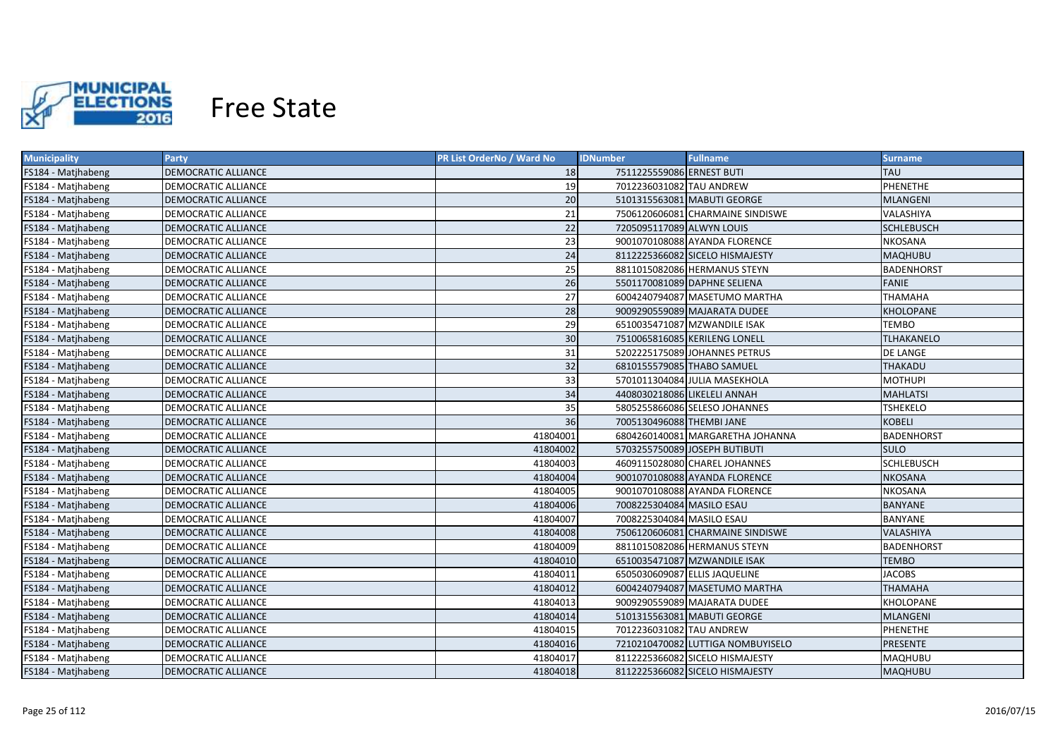

| <b>Municipality</b> | <b>Party</b>               | PR List OrderNo / Ward No | <b>IDNumber</b>               | <b>Fullname</b>                   | Surname           |
|---------------------|----------------------------|---------------------------|-------------------------------|-----------------------------------|-------------------|
| FS184 - Matjhabeng  | DEMOCRATIC ALLIANCE        | 18                        | 7511225559086 ERNEST BUTI     |                                   | <b>TAU</b>        |
| FS184 - Matjhabeng  | DEMOCRATIC ALLIANCE        | 19                        | 7012236031082 TAU ANDREW      |                                   | PHENETHE          |
| FS184 - Matjhabeng  | DEMOCRATIC ALLIANCE        | 20                        |                               | 5101315563081 MABUTI GEORGE       | <b>MLANGENI</b>   |
| FS184 - Matjhabeng  | DEMOCRATIC ALLIANCE        | 21                        |                               | 7506120606081 CHARMAINE SINDISWE  | VALASHIYA         |
| FS184 - Matjhabeng  | DEMOCRATIC ALLIANCE        | 22                        | 7205095117089 ALWYN LOUIS     |                                   | <b>SCHLEBUSCH</b> |
| FS184 - Matjhabeng  | DEMOCRATIC ALLIANCE        | 23                        |                               | 9001070108088 AYANDA FLORENCE     | <b>NKOSANA</b>    |
| FS184 - Matjhabeng  | <b>DEMOCRATIC ALLIANCE</b> | 24                        |                               | 8112225366082 SICELO HISMAJESTY   | <b>MAQHUBU</b>    |
| FS184 - Matjhabeng  | <b>DEMOCRATIC ALLIANCE</b> | 25                        |                               | 8811015082086 HERMANUS STEYN      | <b>BADENHORST</b> |
| FS184 - Matjhabeng  | DEMOCRATIC ALLIANCE        | 26                        |                               | 5501170081089 DAPHNE SELIENA      | <b>FANIE</b>      |
| FS184 - Matjhabeng  | <b>DEMOCRATIC ALLIANCE</b> | 27                        |                               | 6004240794087 MASETUMO MARTHA     | <b>THAMAHA</b>    |
| FS184 - Matjhabeng  | <b>DEMOCRATIC ALLIANCE</b> | 28                        |                               | 9009290559089 MAJARATA DUDEE      | <b>KHOLOPANE</b>  |
| FS184 - Matjhabeng  | DEMOCRATIC ALLIANCE        | 29                        |                               | 6510035471087 MZWANDILE ISAK      | TEMBO             |
| FS184 - Matjhabeng  | <b>DEMOCRATIC ALLIANCE</b> | 30                        |                               | 7510065816085 KERILENG LONELL     | <b>TLHAKANELO</b> |
| FS184 - Matjhabeng  | <b>DEMOCRATIC ALLIANCE</b> | 31                        |                               | 5202225175089 JOHANNES PETRUS     | DE LANGE          |
| FS184 - Matjhabeng  | DEMOCRATIC ALLIANCE        | 32                        | 6810155579085 THABO SAMUEL    |                                   | THAKADU           |
| FS184 - Matjhabeng  | <b>DEMOCRATIC ALLIANCE</b> | 33                        |                               | 5701011304084 JULIA MASEKHOLA     | <b>MOTHUPI</b>    |
| FS184 - Matjhabeng  | <b>DEMOCRATIC ALLIANCE</b> | 34                        | 4408030218086 LIKELELI ANNAH  |                                   | <b>MAHLATSI</b>   |
| FS184 - Matjhabeng  | <b>DEMOCRATIC ALLIANCE</b> | 35                        |                               | 5805255866086 SELESO JOHANNES     | <b>TSHEKELO</b>   |
| FS184 - Matjhabeng  | <b>DEMOCRATIC ALLIANCE</b> | 36                        | 7005130496088 THEMBI JANE     |                                   | <b>KOBELI</b>     |
| FS184 - Matjhabeng  | <b>DEMOCRATIC ALLIANCE</b> | 41804001                  |                               | 6804260140081 MARGARETHA JOHANNA  | <b>BADENHORST</b> |
| FS184 - Matjhabeng  | <b>DEMOCRATIC ALLIANCE</b> | 41804002                  |                               | 5703255750089 JOSEPH BUTIBUTI     | <b>SULO</b>       |
| FS184 - Matjhabeng  | <b>DEMOCRATIC ALLIANCE</b> | 41804003                  |                               | 4609115028080 CHAREL JOHANNES     | <b>SCHLEBUSCH</b> |
| FS184 - Matjhabeng  | <b>DEMOCRATIC ALLIANCE</b> | 41804004                  |                               | 9001070108088 AYANDA FLORENCE     | <b>NKOSANA</b>    |
| FS184 - Matjhabeng  | DEMOCRATIC ALLIANCE        | 41804005                  |                               | 9001070108088 AYANDA FLORENCE     | <b>NKOSANA</b>    |
| FS184 - Matjhabeng  | <b>DEMOCRATIC ALLIANCE</b> | 41804006                  | 7008225304084 MASILO ESAU     |                                   | <b>BANYANE</b>    |
| FS184 - Matjhabeng  | DEMOCRATIC ALLIANCE        | 41804007                  | 7008225304084 MASILO ESAU     |                                   | BANYANE           |
| FS184 - Matjhabeng  | DEMOCRATIC ALLIANCE        | 41804008                  |                               | 7506120606081 CHARMAINE SINDISWE  | VALASHIYA         |
| FS184 - Matjhabeng  | DEMOCRATIC ALLIANCE        | 41804009                  |                               | 8811015082086 HERMANUS STEYN      | BADENHORST        |
| FS184 - Matjhabeng  | DEMOCRATIC ALLIANCE        | 41804010                  |                               | 6510035471087 MZWANDILE ISAK      | <b>TEMBO</b>      |
| FS184 - Matjhabeng  | DEMOCRATIC ALLIANCE        | 41804011                  | 6505030609087 ELLIS JAQUELINE |                                   | <b>JACOBS</b>     |
| FS184 - Matjhabeng  | <b>DEMOCRATIC ALLIANCE</b> | 41804012                  |                               | 6004240794087 MASETUMO MARTHA     | <b>THAMAHA</b>    |
| FS184 - Matjhabeng  | DEMOCRATIC ALLIANCE        | 41804013                  |                               | 9009290559089 MAJARATA DUDEE      | KHOLOPANE         |
| FS184 - Matjhabeng  | <b>DEMOCRATIC ALLIANCE</b> | 41804014                  |                               | 5101315563081 MABUTI GEORGE       | <b>MLANGENI</b>   |
| FS184 - Matjhabeng  | DEMOCRATIC ALLIANCE        | 41804015                  | 7012236031082 TAU ANDREW      |                                   | PHENETHE          |
| FS184 - Matjhabeng  | DEMOCRATIC ALLIANCE        | 41804016                  |                               | 7210210470082 LUTTIGA NOMBUYISELO | PRESENTE          |
| FS184 - Matjhabeng  | <b>DEMOCRATIC ALLIANCE</b> | 41804017                  |                               | 8112225366082 SICELO HISMAJESTY   | <b>MAQHUBU</b>    |
| FS184 - Matjhabeng  | <b>DEMOCRATIC ALLIANCE</b> | 41804018                  |                               | 8112225366082 SICELO HISMAJESTY   | <b>MAQHUBU</b>    |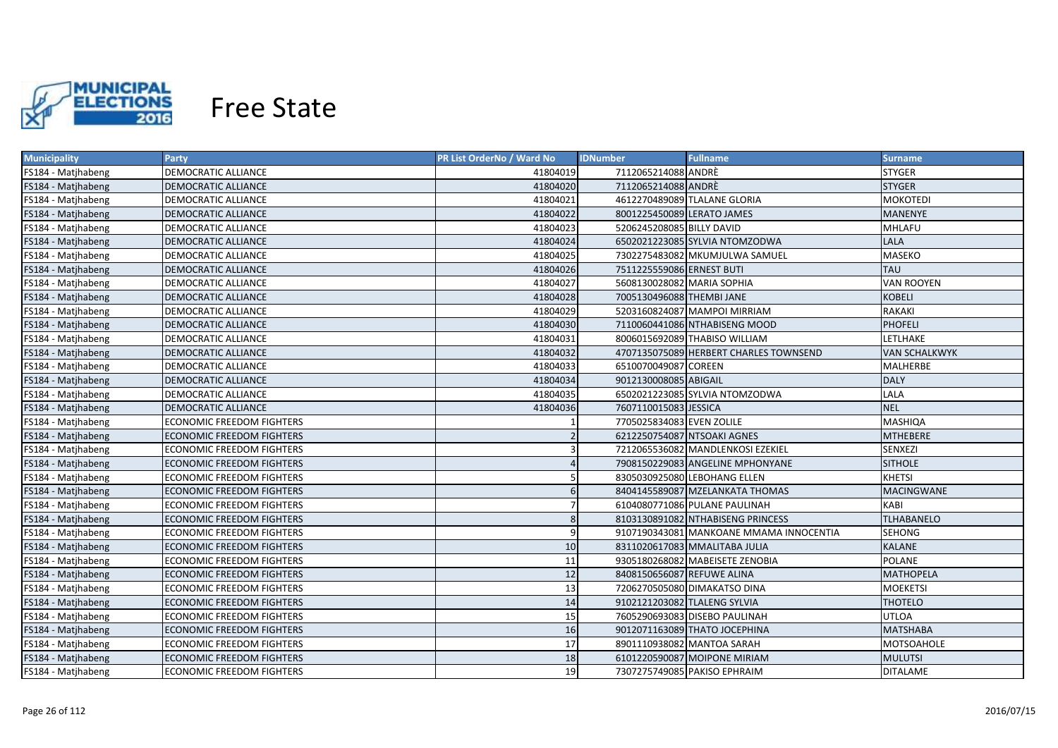

| <b>Municipality</b> | Party                            | PR List OrderNo / Ward No | <b>IDNumber</b>            | <b>Fullname</b>                         | <b>Surname</b>       |
|---------------------|----------------------------------|---------------------------|----------------------------|-----------------------------------------|----------------------|
| FS184 - Matjhabeng  | DEMOCRATIC ALLIANCE              | 41804019                  | 7112065214088 ANDRE        |                                         | <b>STYGER</b>        |
| FS184 - Matjhabeng  | DEMOCRATIC ALLIANCE              | 41804020                  | 7112065214088 ANDRE        |                                         | <b>STYGER</b>        |
| FS184 - Matjhabeng  | DEMOCRATIC ALLIANCE              | 41804021                  |                            | 4612270489089 TLALANE GLORIA            | <b>MOKOTEDI</b>      |
| FS184 - Matjhabeng  | <b>DEMOCRATIC ALLIANCE</b>       | 41804022                  | 8001225450089 LERATO JAMES |                                         | <b>MANENYE</b>       |
| FS184 - Matjhabeng  | DEMOCRATIC ALLIANCE              | 41804023                  | 5206245208085 BILLY DAVID  |                                         | MHLAFU               |
| FS184 - Matjhabeng  | <b>DEMOCRATIC ALLIANCE</b>       | 41804024                  |                            | 6502021223085 SYLVIA NTOMZODWA          | <b>LALA</b>          |
| FS184 - Matjhabeng  | <b>DEMOCRATIC ALLIANCE</b>       | 41804025                  |                            | 7302275483082 MKUMJULWA SAMUEL          | <b>MASEKO</b>        |
| FS184 - Matjhabeng  | <b>DEMOCRATIC ALLIANCE</b>       | 41804026                  | 7511225559086 ERNEST BUTI  |                                         | <b>TAU</b>           |
| FS184 - Matjhabeng  | <b>DEMOCRATIC ALLIANCE</b>       | 41804027                  | 5608130028082 MARIA SOPHIA |                                         | <b>VAN ROOYEN</b>    |
| FS184 - Matjhabeng  | <b>DEMOCRATIC ALLIANCE</b>       | 41804028                  | 7005130496088 THEMBI JANE  |                                         | <b>KOBELI</b>        |
| FS184 - Matjhabeng  | <b>DEMOCRATIC ALLIANCE</b>       | 41804029                  |                            | 5203160824087 MAMPOI MIRRIAM            | <b>RAKAKI</b>        |
| FS184 - Matjhabeng  | <b>DEMOCRATIC ALLIANCE</b>       | 41804030                  |                            | 7110060441086 NTHABISENG MOOD           | <b>PHOFELI</b>       |
| FS184 - Matjhabeng  | <b>DEMOCRATIC ALLIANCE</b>       | 41804031                  |                            | 8006015692089 THABISO WILLIAM           | LETLHAKE             |
| FS184 - Matjhabeng  | <b>DEMOCRATIC ALLIANCE</b>       | 41804032                  |                            | 4707135075089 HERBERT CHARLES TOWNSEND  | <b>VAN SCHALKWYK</b> |
| FS184 - Matjhabeng  | DEMOCRATIC ALLIANCE              | 41804033                  | 6510070049087 COREEN       |                                         | <b>MALHERBE</b>      |
| FS184 - Matjhabeng  | <b>DEMOCRATIC ALLIANCE</b>       | 41804034                  | 9012130008085 ABIGAIL      |                                         | <b>DALY</b>          |
| FS184 - Matjhabeng  | <b>DEMOCRATIC ALLIANCE</b>       | 41804035                  |                            | 6502021223085 SYLVIA NTOMZODWA          | LALA                 |
| FS184 - Matjhabeng  | <b>DEMOCRATIC ALLIANCE</b>       | 41804036                  | 7607110015083 JESSICA      |                                         | <b>NEL</b>           |
| FS184 - Matjhabeng  | <b>ECONOMIC FREEDOM FIGHTERS</b> |                           | 7705025834083 EVEN ZOLILE  |                                         | <b>MASHIQA</b>       |
| FS184 - Matjhabeng  | <b>ECONOMIC FREEDOM FIGHTERS</b> | $\overline{z}$            |                            | 6212250754087 NTSOAKI AGNES             | <b>MTHEBERE</b>      |
| FS184 - Matjhabeng  | <b>ECONOMIC FREEDOM FIGHTERS</b> | 3                         |                            | 7212065536082 MANDLENKOSI EZEKIEL       | <b>SENXEZI</b>       |
| FS184 - Matjhabeng  | <b>ECONOMIC FREEDOM FIGHTERS</b> |                           |                            | 7908150229083 ANGELINE MPHONYANE        | <b>SITHOLE</b>       |
| FS184 - Matjhabeng  | <b>ECONOMIC FREEDOM FIGHTERS</b> |                           |                            | 8305030925080 LEBOHANG ELLEN            | <b>KHETSI</b>        |
| FS184 - Matjhabeng  | <b>ECONOMIC FREEDOM FIGHTERS</b> | 6                         |                            | 8404145589087 MZELANKATA THOMAS         | <b>MACINGWANE</b>    |
| FS184 - Matjhabeng  | <b>ECONOMIC FREEDOM FIGHTERS</b> |                           |                            | 6104080771086 PULANE PAULINAH           | KABI                 |
| FS184 - Matjhabeng  | <b>ECONOMIC FREEDOM FIGHTERS</b> | 8                         |                            | 8103130891082 NTHABISENG PRINCESS       | <b>TLHABANELO</b>    |
| FS184 - Matjhabeng  | <b>ECONOMIC FREEDOM FIGHTERS</b> | 9                         |                            | 9107190343081 MANKOANE MMAMA INNOCENTIA | <b>SEHONG</b>        |
| FS184 - Matjhabeng  | <b>ECONOMIC FREEDOM FIGHTERS</b> | 10                        |                            | 8311020617083 MMALITABA JULIA           | <b>KALANE</b>        |
| FS184 - Matjhabeng  | ECONOMIC FREEDOM FIGHTERS        | 11                        |                            | 9305180268082 MABEISETE ZENOBIA         | <b>POLANE</b>        |
| FS184 - Matjhabeng  | ECONOMIC FREEDOM FIGHTERS        | 12                        | 8408150656087 REFUWE ALINA |                                         | <b>MATHOPELA</b>     |
| FS184 - Matjhabeng  | ECONOMIC FREEDOM FIGHTERS        | 13                        |                            | 7206270505080 DIMAKATSO DINA            | <b>MOEKETSI</b>      |
| FS184 - Matjhabeng  | ECONOMIC FREEDOM FIGHTERS        | 14                        |                            | 9102121203082 TLALENG SYLVIA            | THOTELO              |
| FS184 - Matjhabeng  | ECONOMIC FREEDOM FIGHTERS        | 15                        |                            | 7605290693083 DISEBO PAULINAH           | <b>UTLOA</b>         |
| FS184 - Matjhabeng  | <b>ECONOMIC FREEDOM FIGHTERS</b> | 16                        |                            | 9012071163089 THATO JOCEPHINA           | <b>MATSHABA</b>      |
| FS184 - Matjhabeng  | ECONOMIC FREEDOM FIGHTERS        | 17                        |                            | 8901110938082 MANTOA SARAH              | MOTSOAHOLE           |
| FS184 - Matjhabeng  | <b>ECONOMIC FREEDOM FIGHTERS</b> | 18                        |                            | 6101220590087 MOIPONE MIRIAM            | <b>MULUTSI</b>       |
| FS184 - Matjhabeng  | <b>ECONOMIC FREEDOM FIGHTERS</b> | 19                        |                            | 7307275749085 PAKISO EPHRAIM            | <b>DITALAME</b>      |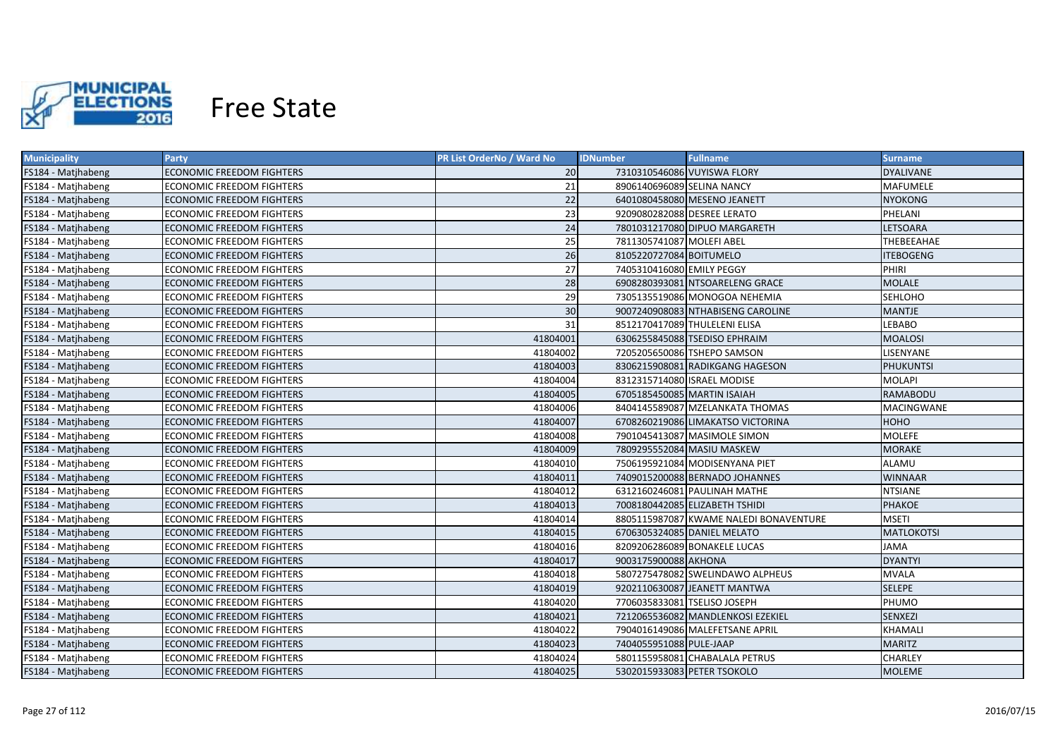

| <b>Municipality</b> | <b>Party</b>                     | PR List OrderNo / Ward No | <b>IDNumber</b>              | <b>Fullname</b>                        | <b>Surname</b>   |
|---------------------|----------------------------------|---------------------------|------------------------------|----------------------------------------|------------------|
| FS184 - Matjhabeng  | ECONOMIC FREEDOM FIGHTERS        | 20                        | 7310310546086 VUYISWA FLORY  |                                        | <b>DYALIVANE</b> |
| FS184 - Matjhabeng  | ECONOMIC FREEDOM FIGHTERS        | 21                        | 8906140696089 SELINA NANCY   |                                        | MAFUMELE         |
| FS184 - Matjhabeng  | <b>ECONOMIC FREEDOM FIGHTERS</b> | 22                        |                              | 6401080458080 MESENO JEANETT           | <b>NYOKONG</b>   |
| FS184 - Matjhabeng  | ECONOMIC FREEDOM FIGHTERS        | 23                        | 9209080282088 DESREE LERATO  |                                        | PHELANI          |
| FS184 - Matjhabeng  | ECONOMIC FREEDOM FIGHTERS        | 24                        |                              | 7801031217080 DIPUO MARGARETH          | LETSOARA         |
| FS184 - Matjhabeng  | ECONOMIC FREEDOM FIGHTERS        | 25                        | 7811305741087 MOLEFI ABEL    |                                        | THEBEEAHAE       |
| FS184 - Matjhabeng  | ECONOMIC FREEDOM FIGHTERS        | 26                        | 8105220727084 BOITUMELO      |                                        | <b>ITEBOGENG</b> |
| FS184 - Matjhabeng  | ECONOMIC FREEDOM FIGHTERS        | 27                        | 7405310416080 EMILY PEGGY    |                                        | PHIRI            |
| FS184 - Matjhabeng  | <b>ECONOMIC FREEDOM FIGHTERS</b> | 28                        |                              | 6908280393081 NTSOARELENG GRACE        | <b>MOLALE</b>    |
| FS184 - Matjhabeng  | <b>ECONOMIC FREEDOM FIGHTERS</b> | 29                        |                              | 7305135519086 MONOGOA NEHEMIA          | SEHLOHO          |
| FS184 - Matjhabeng  | <b>ECONOMIC FREEDOM FIGHTERS</b> | 30                        |                              | 9007240908083 NTHABISENG CAROLINE      | <b>MANTJE</b>    |
| FS184 - Matjhabeng  | ECONOMIC FREEDOM FIGHTERS        | 31                        |                              | 8512170417089 THULELENI ELISA          | LEBABO           |
| FS184 - Matjhabeng  | <b>ECONOMIC FREEDOM FIGHTERS</b> | 41804001                  |                              | 6306255845088 TSEDISO EPHRAIM          | <b>MOALOSI</b>   |
| FS184 - Matjhabeng  | <b>ECONOMIC FREEDOM FIGHTERS</b> | 41804002                  |                              | 7205205650086 TSHEPO SAMSON            | LISENYANE        |
| FS184 - Matjhabeng  | <b>ECONOMIC FREEDOM FIGHTERS</b> | 41804003                  |                              | 8306215908081 RADIKGANG HAGESON        | <b>PHUKUNTSI</b> |
| FS184 - Matjhabeng  | <b>ECONOMIC FREEDOM FIGHTERS</b> | 41804004                  | 8312315714080 ISRAEL MODISE  |                                        | <b>MOLAPI</b>    |
| FS184 - Matjhabeng  | <b>ECONOMIC FREEDOM FIGHTERS</b> | 41804005                  | 6705185450085 MARTIN ISAIAH  |                                        | <b>RAMABODU</b>  |
| FS184 - Matjhabeng  | <b>ECONOMIC FREEDOM FIGHTERS</b> | 41804006                  |                              | 8404145589087 MZELANKATA THOMAS        | MACINGWANE       |
| FS184 - Matjhabeng  | <b>ECONOMIC FREEDOM FIGHTERS</b> | 41804007                  |                              | 6708260219086 LIMAKATSO VICTORINA      | ноно             |
| FS184 - Matjhabeng  | <b>ECONOMIC FREEDOM FIGHTERS</b> | 41804008                  |                              | 7901045413087 MASIMOLE SIMON           | <b>MOLEFE</b>    |
| FS184 - Matjhabeng  | <b>ECONOMIC FREEDOM FIGHTERS</b> | 41804009                  |                              | 7809295552084 MASIU MASKEW             | <b>MORAKE</b>    |
| FS184 - Matjhabeng  | <b>ECONOMIC FREEDOM FIGHTERS</b> | 41804010                  |                              | 7506195921084 MODISENYANA PIET         | ALAMU            |
| FS184 - Matjhabeng  | <b>ECONOMIC FREEDOM FIGHTERS</b> | 41804011                  |                              | 7409015200088 BERNADO JOHANNES         | <b>WINNAAR</b>   |
| FS184 - Matjhabeng  | <b>ECONOMIC FREEDOM FIGHTERS</b> | 41804012                  |                              | 6312160246081 PAULINAH MATHE           | <b>NTSIANE</b>   |
| FS184 - Matjhabeng  | <b>ECONOMIC FREEDOM FIGHTERS</b> | 41804013                  |                              | 7008180442085 ELIZABETH TSHIDI         | <b>PHAKOE</b>    |
| FS184 - Matjhabeng  | ECONOMIC FREEDOM FIGHTERS        | 41804014                  |                              | 8805115987087 KWAME NALEDI BONAVENTURE | <b>MSETI</b>     |
| FS184 - Matjhabeng  | <b>ECONOMIC FREEDOM FIGHTERS</b> | 41804015                  |                              | 6706305324085 DANIEL MELATO            | MATLOKOTSI       |
| FS184 - Matjhabeng  | ECONOMIC FREEDOM FIGHTERS        | 41804016                  |                              | 8209206286089 BONAKELE LUCAS           | JAMA             |
| FS184 - Matjhabeng  | ECONOMIC FREEDOM FIGHTERS        | 41804017                  | 9003175900088 AKHONA         |                                        | <b>DYANTYI</b>   |
| FS184 - Matjhabeng  | ECONOMIC FREEDOM FIGHTERS        | 41804018                  |                              | 5807275478082 SWELINDAWO ALPHEUS       | <b>MVALA</b>     |
| FS184 - Matjhabeng  | <b>ECONOMIC FREEDOM FIGHTERS</b> | 41804019                  |                              | 9202110630087 JEANETT MANTWA           | <b>SELEPE</b>    |
| FS184 - Matjhabeng  | ECONOMIC FREEDOM FIGHTERS        | 41804020                  | 7706035833081 TSELISO JOSEPH |                                        | PHUMO            |
| FS184 - Matjhabeng  | <b>ECONOMIC FREEDOM FIGHTERS</b> | 41804021                  |                              | 7212065536082 MANDLENKOSI EZEKIEL      | <b>SENXEZI</b>   |
| FS184 - Matjhabeng  | ECONOMIC FREEDOM FIGHTERS        | 41804022                  |                              | 7904016149086 MALEFETSANE APRIL        | KHAMALI          |
| FS184 - Matjhabeng  | <b>ECONOMIC FREEDOM FIGHTERS</b> | 41804023                  | 7404055951088 PULE-JAAP      |                                        | <b>MARITZ</b>    |
| FS184 - Matjhabeng  | <b>ECONOMIC FREEDOM FIGHTERS</b> | 41804024                  |                              | 5801155958081 CHABALALA PETRUS         | CHARLEY          |
| FS184 - Matjhabeng  | <b>ECONOMIC FREEDOM FIGHTERS</b> | 41804025                  | 5302015933083 PETER TSOKOLO  |                                        | <b>MOLEME</b>    |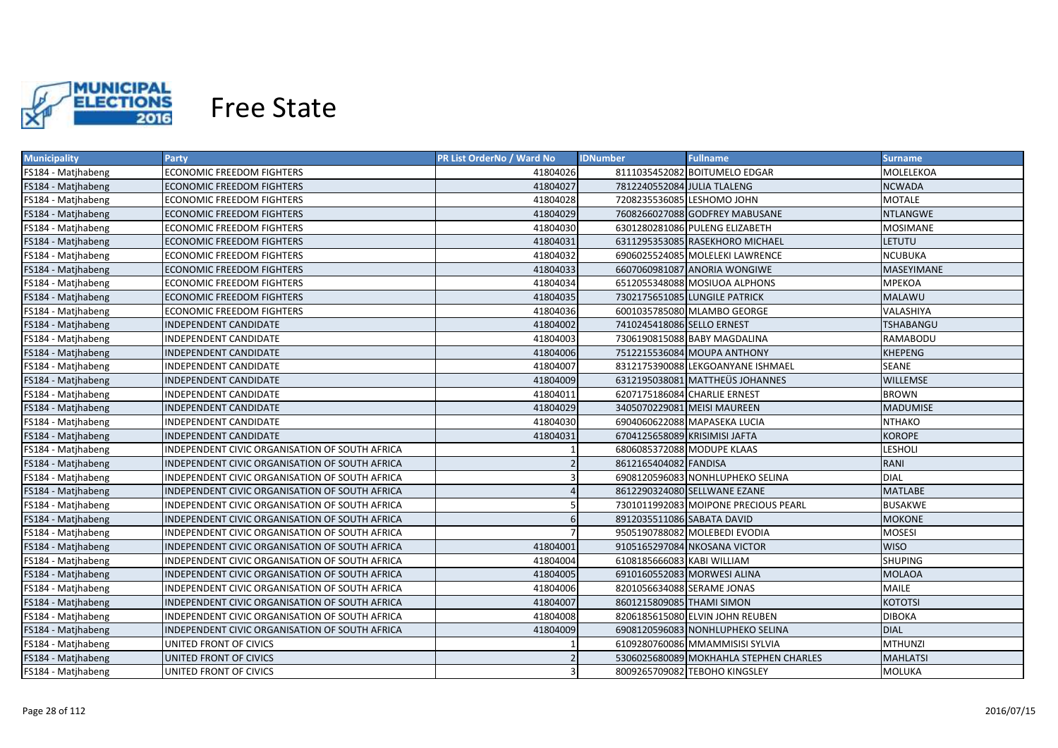

| <b>Municipality</b> | <b>Party</b>                                   | PR List OrderNo / Ward No | <b>IDNumber</b>               | <b>Fullname</b>                        | <b>Surname</b>   |
|---------------------|------------------------------------------------|---------------------------|-------------------------------|----------------------------------------|------------------|
| FS184 - Matjhabeng  | ECONOMIC FREEDOM FIGHTERS                      | 41804026                  |                               | 8111035452082 BOITUMELO EDGAR          | MOLELEKOA        |
| FS184 - Matjhabeng  | ECONOMIC FREEDOM FIGHTERS                      | 41804027                  | 7812240552084 JULIA TLALENG   |                                        | <b>NCWADA</b>    |
| FS184 - Matjhabeng  | <b>ECONOMIC FREEDOM FIGHTERS</b>               | 41804028                  | 7208235536085 LESHOMO JOHN    |                                        | <b>MOTALE</b>    |
| FS184 - Matjhabeng  | <b>ECONOMIC FREEDOM FIGHTERS</b>               | 41804029                  |                               | 7608266027088 GODFREY MABUSANE         | <b>NTLANGWE</b>  |
| FS184 - Matjhabeng  | <b>ECONOMIC FREEDOM FIGHTERS</b>               | 41804030                  |                               | 6301280281086 PULENG ELIZABETH         | <b>MOSIMANE</b>  |
| FS184 - Matjhabeng  | <b>ECONOMIC FREEDOM FIGHTERS</b>               | 41804031                  |                               | 6311295353085 RASEKHORO MICHAEL        | <b>LETUTU</b>    |
| FS184 - Matihabeng  | <b>ECONOMIC FREEDOM FIGHTERS</b>               | 41804032                  |                               | 6906025524085 MOLELEKI LAWRENCE        | <b>NCUBUKA</b>   |
| FS184 - Matjhabeng  | <b>ECONOMIC FREEDOM FIGHTERS</b>               | 41804033                  |                               | 6607060981087 ANORIA WONGIWE           | MASEYIMANE       |
| FS184 - Matjhabeng  | <b>ECONOMIC FREEDOM FIGHTERS</b>               | 41804034                  |                               | 6512055348088 MOSIUOA ALPHONS          | <b>MPEKOA</b>    |
| FS184 - Matjhabeng  | <b>ECONOMIC FREEDOM FIGHTERS</b>               | 41804035                  |                               | 7302175651085 LUNGILE PATRICK          | <b>MALAWU</b>    |
| FS184 - Matjhabeng  | <b>ECONOMIC FREEDOM FIGHTERS</b>               | 41804036                  |                               | 6001035785080 MLAMBO GEORGE            | VALASHIYA        |
| FS184 - Matjhabeng  | INDEPENDENT CANDIDATE                          | 41804002                  | 7410245418086 SELLO ERNEST    |                                        | <b>TSHABANGU</b> |
| FS184 - Matjhabeng  | INDEPENDENT CANDIDATE                          | 41804003                  |                               | 7306190815088 BABY MAGDALINA           | RAMABODU         |
| FS184 - Matjhabeng  | <b>INDEPENDENT CANDIDATE</b>                   | 41804006                  |                               | 7512215536084 MOUPA ANTHONY            | <b>KHEPENG</b>   |
| FS184 - Matjhabeng  | INDEPENDENT CANDIDATE                          | 41804007                  |                               | 8312175390088 LEKGOANYANE ISHMAEL      | <b>SEANE</b>     |
| FS184 - Matjhabeng  | <b>INDEPENDENT CANDIDATE</b>                   | 41804009                  |                               | 6312195038081 MATTHEÜS JOHANNES        | <b>WILLEMSE</b>  |
| FS184 - Matjhabeng  | <b>INDEPENDENT CANDIDATE</b>                   | 41804011                  |                               | 6207175186084 CHARLIE ERNEST           | <b>BROWN</b>     |
| FS184 - Matjhabeng  | <b>INDEPENDENT CANDIDATE</b>                   | 41804029                  |                               | 3405070229081 MEISI MAUREEN            | <b>MADUMISE</b>  |
| FS184 - Matjhabeng  | <b>INDEPENDENT CANDIDATE</b>                   | 41804030                  |                               | 6904060622088 MAPASEKA LUCIA           | <b>NTHAKO</b>    |
| FS184 - Matjhabeng  | <b>INDEPENDENT CANDIDATE</b>                   | 41804031                  | 6704125658089 KRISIMISI JAFTA |                                        | <b>KOROPE</b>    |
| FS184 - Matjhabeng  | INDEPENDENT CIVIC ORGANISATION OF SOUTH AFRICA |                           | 6806085372088 MODUPE KLAAS    |                                        | <b>LESHOLI</b>   |
| FS184 - Matjhabeng  | INDEPENDENT CIVIC ORGANISATION OF SOUTH AFRICA |                           | 8612165404082 FANDISA         |                                        | <b>RANI</b>      |
| FS184 - Matjhabeng  | INDEPENDENT CIVIC ORGANISATION OF SOUTH AFRICA | з                         |                               | 6908120596083 NONHLUPHEKO SELINA       | <b>DIAL</b>      |
| FS184 - Matjhabeng  | INDEPENDENT CIVIC ORGANISATION OF SOUTH AFRICA | $\Delta$                  |                               | 8612290324080 SELLWANE EZANE           | <b>MATLABE</b>   |
| FS184 - Matjhabeng  | INDEPENDENT CIVIC ORGANISATION OF SOUTH AFRICA | 5                         |                               | 7301011992083 MOIPONE PRECIOUS PEARL   | <b>BUSAKWE</b>   |
| FS184 - Matjhabeng  | INDEPENDENT CIVIC ORGANISATION OF SOUTH AFRICA | 6                         | 8912035511086 SABATA DAVID    |                                        | <b>MOKONE</b>    |
| FS184 - Matjhabeng  | INDEPENDENT CIVIC ORGANISATION OF SOUTH AFRICA |                           |                               | 9505190788082 MOLEBEDI EVODIA          | <b>MOSESI</b>    |
| FS184 - Matjhabeng  | INDEPENDENT CIVIC ORGANISATION OF SOUTH AFRICA | 41804001                  |                               | 9105165297084 NKOSANA VICTOR           | <b>WISO</b>      |
| FS184 - Matjhabeng  | INDEPENDENT CIVIC ORGANISATION OF SOUTH AFRICA | 41804004                  | 6108185666083 KABI WILLIAM    |                                        | <b>SHUPING</b>   |
| FS184 - Matjhabeng  | INDEPENDENT CIVIC ORGANISATION OF SOUTH AFRICA | 41804005                  |                               | 6910160552083 MORWESI ALINA            | <b>MOLAOA</b>    |
| FS184 - Matjhabeng  | INDEPENDENT CIVIC ORGANISATION OF SOUTH AFRICA | 41804006                  | 8201056634088 SERAME JONAS    |                                        | <b>MAILE</b>     |
| FS184 - Matjhabeng  | INDEPENDENT CIVIC ORGANISATION OF SOUTH AFRICA | 41804007                  | 8601215809085 THAMI SIMON     |                                        | <b>KOTOTSI</b>   |
| FS184 - Matjhabeng  | INDEPENDENT CIVIC ORGANISATION OF SOUTH AFRICA | 41804008                  |                               | 8206185615080 ELVIN JOHN REUBEN        | <b>DIBOKA</b>    |
| FS184 - Matjhabeng  | INDEPENDENT CIVIC ORGANISATION OF SOUTH AFRICA | 41804009                  |                               | 6908120596083 NONHLUPHEKO SELINA       | <b>DIAL</b>      |
| FS184 - Matjhabeng  | UNITED FRONT OF CIVICS                         |                           |                               | 6109280760086 MMAMMISISI SYLVIA        | <b>MTHUNZI</b>   |
| FS184 - Matjhabeng  | UNITED FRONT OF CIVICS                         |                           |                               | 5306025680089 MOKHAHLA STEPHEN CHARLES | <b>MAHLATSI</b>  |
| FS184 - Matjhabeng  | UNITED FRONT OF CIVICS                         |                           |                               | 8009265709082 TEBOHO KINGSLEY          | MOLUKA           |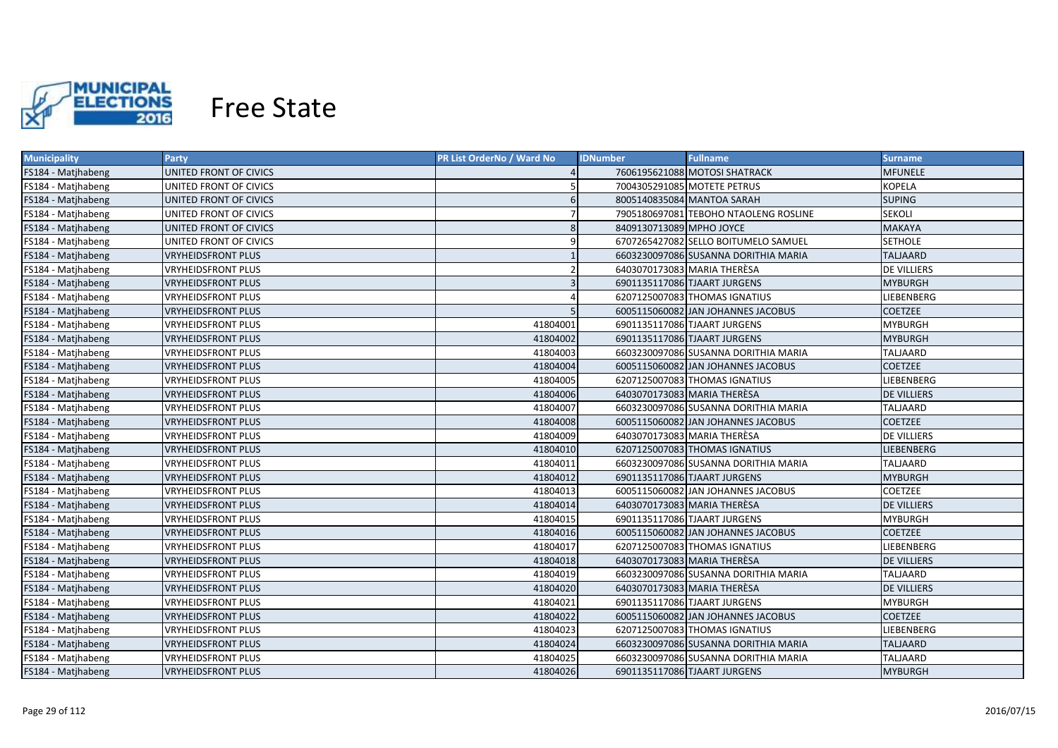

| <b>Municipality</b> | <b>Party</b>              | PR List OrderNo / Ward No | <b>IDNumber</b>             | <b>Fullname</b>                       | Surname            |
|---------------------|---------------------------|---------------------------|-----------------------------|---------------------------------------|--------------------|
| FS184 - Matjhabeng  | UNITED FRONT OF CIVICS    |                           |                             | 7606195621088 MOTOSI SHATRACK         | MFUNELE            |
| FS184 - Matjhabeng  | UNITED FRONT OF CIVICS    |                           |                             | 7004305291085 MOTETE PETRUS           | <b>KOPELA</b>      |
| FS184 - Matjhabeng  | UNITED FRONT OF CIVICS    | 6                         |                             | 8005140835084 MANTOA SARAH            | <b>SUPING</b>      |
| FS184 - Matjhabeng  | UNITED FRONT OF CIVICS    |                           |                             | 7905180697081 TEBOHO NTAOLENG ROSLINE | <b>SEKOLI</b>      |
| FS184 - Matjhabeng  | UNITED FRONT OF CIVICS    | 8                         | 8409130713089 MPHO JOYCE    |                                       | <b>MAKAYA</b>      |
| FS184 - Matjhabeng  | UNITED FRONT OF CIVICS    | 9                         |                             | 6707265427082 SELLO BOITUMELO SAMUEL  | <b>SETHOLE</b>     |
| FS184 - Matjhabeng  | <b>VRYHEIDSFRONT PLUS</b> |                           |                             | 6603230097086 SUSANNA DORITHIA MARIA  | <b>TALJAARD</b>    |
| FS184 - Matjhabeng  | <b>VRYHEIDSFRONT PLUS</b> |                           | 6403070173083 MARIA THERÈSA |                                       | <b>DE VILLIERS</b> |
| FS184 - Matjhabeng  | <b>VRYHEIDSFRONT PLUS</b> | $\overline{\mathbf{3}}$   |                             | 6901135117086 TJAART JURGENS          | <b>MYBURGH</b>     |
| FS184 - Matjhabeng  | <b>VRYHEIDSFRONT PLUS</b> |                           |                             | 6207125007083 THOMAS IGNATIUS         | LIEBENBERG         |
| FS184 - Matjhabeng  | <b>VRYHEIDSFRONT PLUS</b> | 5                         |                             | 6005115060082 JAN JOHANNES JACOBUS    | <b>COETZEE</b>     |
| FS184 - Matjhabeng  | <b>VRYHEIDSFRONT PLUS</b> | 41804001                  |                             | 6901135117086 TJAART JURGENS          | <b>MYBURGH</b>     |
| FS184 - Matjhabeng  | <b>VRYHEIDSFRONT PLUS</b> | 41804002                  |                             | 6901135117086 TJAART JURGENS          | <b>MYBURGH</b>     |
| FS184 - Matjhabeng  | <b>VRYHEIDSFRONT PLUS</b> | 41804003                  |                             | 6603230097086 SUSANNA DORITHIA MARIA  | TALJAARD           |
| FS184 - Matjhabeng  | <b>VRYHEIDSFRONT PLUS</b> | 41804004                  |                             | 6005115060082 JAN JOHANNES JACOBUS    | <b>COETZEE</b>     |
| FS184 - Matjhabeng  | <b>VRYHEIDSFRONT PLUS</b> | 41804005                  |                             | 6207125007083 THOMAS IGNATIUS         | LIEBENBERG         |
| FS184 - Matjhabeng  | <b>VRYHEIDSFRONT PLUS</b> | 41804006                  | 6403070173083 MARIA THERÈSA |                                       | <b>DE VILLIERS</b> |
| FS184 - Matjhabeng  | <b>VRYHEIDSFRONT PLUS</b> | 41804007                  |                             | 6603230097086 SUSANNA DORITHIA MARIA  | TALJAARD           |
| FS184 - Matjhabeng  | <b>VRYHEIDSFRONT PLUS</b> | 41804008                  |                             | 6005115060082 JAN JOHANNES JACOBUS    | <b>COETZEE</b>     |
| FS184 - Matjhabeng  | <b>VRYHEIDSFRONT PLUS</b> | 41804009                  | 6403070173083 MARIA THERÈSA |                                       | DE VILLIERS        |
| FS184 - Matjhabeng  | <b>VRYHEIDSFRONT PLUS</b> | 41804010                  |                             | 6207125007083 THOMAS IGNATIUS         | LIEBENBERG         |
| FS184 - Matjhabeng  | <b>VRYHEIDSFRONT PLUS</b> | 41804011                  |                             | 6603230097086 SUSANNA DORITHIA MARIA  | TALJAARD           |
| FS184 - Matjhabeng  | <b>VRYHEIDSFRONT PLUS</b> | 41804012                  |                             | 6901135117086 TJAART JURGENS          | <b>MYBURGH</b>     |
| FS184 - Matjhabeng  | VRYHEIDSFRONT PLUS        | 41804013                  |                             | 6005115060082 JAN JOHANNES JACOBUS    | <b>COETZEE</b>     |
| FS184 - Matjhabeng  | <b>VRYHEIDSFRONT PLUS</b> | 41804014                  |                             | 6403070173083 MARIA THERESA           | <b>DE VILLIERS</b> |
| FS184 - Matjhabeng  | VRYHEIDSFRONT PLUS        | 41804015                  |                             | 6901135117086 TJAART JURGENS          | <b>MYBURGH</b>     |
| FS184 - Matjhabeng  | <b>VRYHEIDSFRONT PLUS</b> | 41804016                  |                             | 6005115060082 JAN JOHANNES JACOBUS    | <b>COETZEE</b>     |
| FS184 - Matjhabeng  | <b>VRYHEIDSFRONT PLUS</b> | 41804017                  |                             | 6207125007083 THOMAS IGNATIUS         | LIEBENBERG         |
| FS184 - Matjhabeng  | <b>VRYHEIDSFRONT PLUS</b> | 41804018                  |                             | 6403070173083 MARIA THERESA           | DE VILLIERS        |
| FS184 - Matjhabeng  | <b>VRYHEIDSFRONT PLUS</b> | 41804019                  |                             | 6603230097086 SUSANNA DORITHIA MARIA  | TALJAARD           |
| FS184 - Matjhabeng  | <b>VRYHEIDSFRONT PLUS</b> | 41804020                  | 6403070173083 MARIA THERESA |                                       | <b>DE VILLIERS</b> |
| FS184 - Matjhabeng  | <b>VRYHEIDSFRONT PLUS</b> | 41804021                  |                             | 6901135117086 TJAART JURGENS          | <b>MYBURGH</b>     |
| FS184 - Matjhabeng  | <b>VRYHEIDSFRONT PLUS</b> | 41804022                  |                             | 6005115060082 JAN JOHANNES JACOBUS    | <b>COETZEE</b>     |
| FS184 - Matjhabeng  | <b>VRYHEIDSFRONT PLUS</b> | 41804023                  |                             | 6207125007083 THOMAS IGNATIUS         | LIEBENBERG         |
| FS184 - Matjhabeng  | <b>VRYHEIDSFRONT PLUS</b> | 41804024                  |                             | 6603230097086 SUSANNA DORITHIA MARIA  | <b>TALJAARD</b>    |
| FS184 - Matjhabeng  | <b>VRYHEIDSFRONT PLUS</b> | 41804025                  |                             | 6603230097086 SUSANNA DORITHIA MARIA  | TALJAARD           |
| FS184 - Matjhabeng  | <b>VRYHEIDSFRONT PLUS</b> | 41804026                  |                             | 6901135117086 TJAART JURGENS          | <b>MYBURGH</b>     |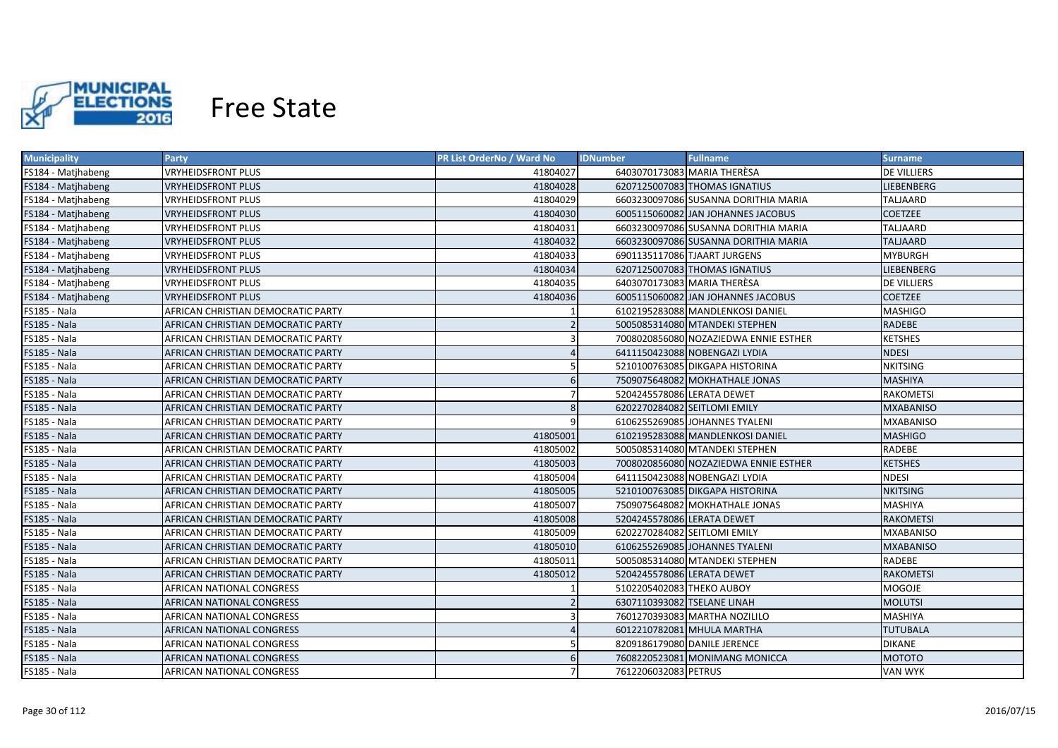

| <b>Municipality</b> | <b>Party</b>                       | <b>PR List OrderNo / Ward No</b> | <b>IDNumber</b><br><b>Fullname</b>    | <b>Surname</b>    |
|---------------------|------------------------------------|----------------------------------|---------------------------------------|-------------------|
| FS184 - Matjhabeng  | <b>VRYHEIDSFRONT PLUS</b>          | 41804027                         | 6403070173083 MARIA THERESA           | DE VILLIERS       |
| FS184 - Matjhabeng  | <b>VRYHEIDSFRONT PLUS</b>          | 41804028                         | 6207125007083 THOMAS IGNATIUS         | <b>LIEBENBERG</b> |
| FS184 - Matjhabeng  | <b>VRYHEIDSFRONT PLUS</b>          | 41804029                         | 6603230097086 SUSANNA DORITHIA MARIA  | TALJAARD          |
| FS184 - Matjhabeng  | <b>VRYHEIDSFRONT PLUS</b>          | 41804030                         | 6005115060082 JAN JOHANNES JACOBUS    | <b>COETZEE</b>    |
| FS184 - Matjhabeng  | <b>VRYHEIDSFRONT PLUS</b>          | 41804031                         | 6603230097086 SUSANNA DORITHIA MARIA  | <b>TALJAARD</b>   |
| FS184 - Matjhabeng  | <b>VRYHEIDSFRONT PLUS</b>          | 41804032                         | 6603230097086 SUSANNA DORITHIA MARIA  | <b>TALJAARD</b>   |
| FS184 - Matjhabeng  | <b>VRYHEIDSFRONT PLUS</b>          | 41804033                         | 6901135117086 TJAART JURGENS          | <b>MYBURGH</b>    |
| FS184 - Matjhabeng  | <b>VRYHEIDSFRONT PLUS</b>          | 41804034                         | 6207125007083 THOMAS IGNATIUS         | <b>LIEBENBERG</b> |
| FS184 - Matjhabeng  | <b>VRYHEIDSFRONT PLUS</b>          | 41804035                         | 6403070173083 MARIA THERÈSA           | DE VILLIERS       |
| FS184 - Matjhabeng  | <b>VRYHEIDSFRONT PLUS</b>          | 41804036                         | 6005115060082 JAN JOHANNES JACOBUS    | <b>COETZEE</b>    |
| FS185 - Nala        | AFRICAN CHRISTIAN DEMOCRATIC PARTY |                                  | 6102195283088 MANDLENKOSI DANIEL      | <b>MASHIGO</b>    |
| <b>FS185 - Nala</b> | AFRICAN CHRISTIAN DEMOCRATIC PARTY |                                  | 5005085314080 MTANDEKI STEPHEN        | <b>RADEBE</b>     |
| FS185 - Nala        | AFRICAN CHRISTIAN DEMOCRATIC PARTY |                                  | 7008020856080 NOZAZIEDWA ENNIE ESTHER | <b>KETSHES</b>    |
| FS185 - Nala        | AFRICAN CHRISTIAN DEMOCRATIC PARTY |                                  | 6411150423088 NOBENGAZI LYDIA         | <b>NDESI</b>      |
| FS185 - Nala        | AFRICAN CHRISTIAN DEMOCRATIC PARTY | .5                               | 5210100763085 DIKGAPA HISTORINA       | <b>NKITSING</b>   |
| FS185 - Nala        | AFRICAN CHRISTIAN DEMOCRATIC PARTY | 6                                | 7509075648082 MOKHATHALE JONAS        | <b>MASHIYA</b>    |
| FS185 - Nala        | AFRICAN CHRISTIAN DEMOCRATIC PARTY | $\overline{7}$                   | 5204245578086 LERATA DEWET            | <b>RAKOMETSI</b>  |
| FS185 - Nala        | AFRICAN CHRISTIAN DEMOCRATIC PARTY | 8                                | 6202270284082 SEITLOMI EMILY          | <b>MXABANISO</b>  |
| FS185 - Nala        | AFRICAN CHRISTIAN DEMOCRATIC PARTY | 9                                | 6106255269085 JOHANNES TYALENI        | <b>MXABANISO</b>  |
| FS185 - Nala        | AFRICAN CHRISTIAN DEMOCRATIC PARTY | 41805001                         | 6102195283088 MANDLENKOSI DANIEL      | <b>MASHIGO</b>    |
| FS185 - Nala        | AFRICAN CHRISTIAN DEMOCRATIC PARTY | 41805002                         | 5005085314080 MTANDEKI STEPHEN        | RADEBE            |
| FS185 - Nala        | AFRICAN CHRISTIAN DEMOCRATIC PARTY | 41805003                         | 7008020856080 NOZAZIEDWA ENNIE ESTHER | <b>KETSHES</b>    |
| FS185 - Nala        | AFRICAN CHRISTIAN DEMOCRATIC PARTY | 41805004                         | 6411150423088 NOBENGAZI LYDIA         | <b>NDESI</b>      |
| FS185 - Nala        | AFRICAN CHRISTIAN DEMOCRATIC PARTY | 41805005                         | 5210100763085 DIKGAPA HISTORINA       | <b>NKITSING</b>   |
| FS185 - Nala        | AFRICAN CHRISTIAN DEMOCRATIC PARTY | 41805007                         | 7509075648082 MOKHATHALE JONAS        | <b>MASHIYA</b>    |
| FS185 - Nala        | AFRICAN CHRISTIAN DEMOCRATIC PARTY | 41805008                         | 5204245578086 LERATA DEWET            | <b>RAKOMETSI</b>  |
| FS185 - Nala        | AFRICAN CHRISTIAN DEMOCRATIC PARTY | 41805009                         | 6202270284082 SEITLOMI EMILY          | MXABANISO         |
| <b>FS185 - Nala</b> | AFRICAN CHRISTIAN DEMOCRATIC PARTY | 41805010                         | 6106255269085 JOHANNES TYALENI        | <b>MXABANISO</b>  |
| <b>FS185 - Nala</b> | AFRICAN CHRISTIAN DEMOCRATIC PARTY | 41805011                         | 5005085314080 MTANDEKI STEPHEN        | RADEBE            |
| <b>FS185 - Nala</b> | AFRICAN CHRISTIAN DEMOCRATIC PARTY | 41805012                         | 5204245578086 LERATA DEWET            | RAKOMETSI         |
| FS185 - Nala        | AFRICAN NATIONAL CONGRESS          |                                  | 5102205402083 THEKO AUBOY             | <b>MOGOJE</b>     |
| <b>FS185 - Nala</b> | AFRICAN NATIONAL CONGRESS          | $\overline{\phantom{0}}$         | 6307110393082 TSELANE LINAH           | MOLUTSI           |
| FS185 - Nala        | AFRICAN NATIONAL CONGRESS          |                                  | 7601270393083 MARTHA NOZILILO         | <b>MASHIYA</b>    |
| <b>FS185 - Nala</b> | AFRICAN NATIONAL CONGRESS          |                                  | 6012210782081 MHULA MARTHA            | <b>TUTUBALA</b>   |
| FS185 - Nala        | AFRICAN NATIONAL CONGRESS          |                                  | 8209186179080 DANILE JERENCE          | <b>DIKANE</b>     |
| <b>FS185 - Nala</b> | AFRICAN NATIONAL CONGRESS          | 6                                | 7608220523081 MONIMANG MONICCA        | <b>MOTOTO</b>     |
| FS185 - Nala        | AFRICAN NATIONAL CONGRESS          |                                  | 7612206032083 PETRUS                  | <b>VAN WYK</b>    |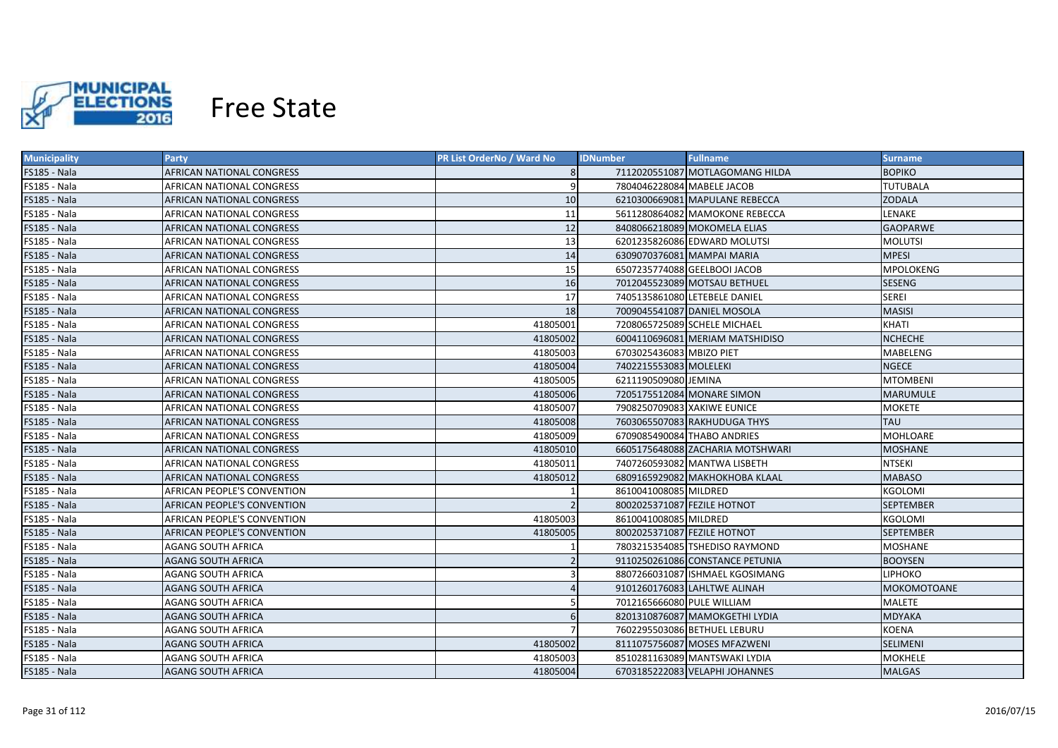

| <b>Municipality</b> | <b>Party</b>                     | PR List OrderNo / Ward No | <b>Fullname</b><br><b>IDNumber</b> | Surname          |
|---------------------|----------------------------------|---------------------------|------------------------------------|------------------|
| FS185 - Nala        | AFRICAN NATIONAL CONGRESS        |                           | 7112020551087 MOTLAGOMANG HILDA    | <b>BOPIKO</b>    |
| FS185 - Nala        | AFRICAN NATIONAL CONGRESS        | 9                         | 7804046228084 MABELE JACOB         | <b>TUTUBALA</b>  |
| <b>FS185 - Nala</b> | AFRICAN NATIONAL CONGRESS        | 10                        | 6210300669081 MAPULANE REBECCA     | <b>ZODALA</b>    |
| FS185 - Nala        | AFRICAN NATIONAL CONGRESS        | 11                        | 5611280864082 MAMOKONE REBECCA     | LENAKE           |
| FS185 - Nala        | AFRICAN NATIONAL CONGRESS        | 12                        | 8408066218089 MOKOMELA ELIAS       | <b>GAOPARWE</b>  |
| <b>FS185 - Nala</b> | AFRICAN NATIONAL CONGRESS        | 13                        | 6201235826086 EDWARD MOLUTSI       | <b>MOLUTSI</b>   |
| <b>FS185 - Nala</b> | AFRICAN NATIONAL CONGRESS        | 14                        | 6309070376081 MAMPAI MARIA         | <b>MPESI</b>     |
| FS185 - Nala        | AFRICAN NATIONAL CONGRESS        | 15                        | 6507235774088 GEELBOOI JACOB       | <b>MPOLOKENG</b> |
| FS185 - Nala        | AFRICAN NATIONAL CONGRESS        | 16                        | 7012045523089 MOTSAU BETHUEL       | <b>SESENG</b>    |
| FS185 - Nala        | AFRICAN NATIONAL CONGRESS        | 17                        | 7405135861080 LETEBELE DANIEL      | <b>SEREI</b>     |
| FS185 - Nala        | AFRICAN NATIONAL CONGRESS        | 18                        | 7009045541087 DANIEL MOSOLA        | <b>MASISI</b>    |
| FS185 - Nala        | AFRICAN NATIONAL CONGRESS        | 41805001                  | 7208065725089 SCHELE MICHAEL       | KHATI            |
| FS185 - Nala        | AFRICAN NATIONAL CONGRESS        | 41805002                  | 6004110696081 MERIAM MATSHIDISO    | <b>NCHECHE</b>   |
| FS185 - Nala        | AFRICAN NATIONAL CONGRESS        | 41805003                  | 6703025436083 MBIZO PIET           | MABELENG         |
| <b>FS185 - Nala</b> | AFRICAN NATIONAL CONGRESS        | 41805004                  | 7402215553083 MOLELEKI             | <b>NGECE</b>     |
| FS185 - Nala        | AFRICAN NATIONAL CONGRESS        | 41805005                  | 6211190509080 JEMINA               | <b>MTOMBENI</b>  |
| <b>FS185 - Nala</b> | <b>AFRICAN NATIONAL CONGRESS</b> | 41805006                  | 7205175512084 MONARE SIMON         | <b>MARUMULE</b>  |
| FS185 - Nala        | AFRICAN NATIONAL CONGRESS        | 41805007                  | 7908250709083 XAKIWE EUNICE        | MOKETE           |
| <b>FS185 - Nala</b> | <b>AFRICAN NATIONAL CONGRESS</b> | 41805008                  | 7603065507083 RAKHUDUGA THYS       | <b>TAU</b>       |
| FS185 - Nala        | AFRICAN NATIONAL CONGRESS        | 41805009                  | 6709085490084 THABO ANDRIES        | MOHLOARE         |
| FS185 - Nala        | AFRICAN NATIONAL CONGRESS        | 41805010                  | 6605175648088 ZACHARIA MOTSHWARI   | MOSHANE          |
| FS185 - Nala        | AFRICAN NATIONAL CONGRESS        | 41805011                  | 7407260593082 MANTWA LISBETH       | <b>NTSEKI</b>    |
| <b>FS185 - Nala</b> | AFRICAN NATIONAL CONGRESS        | 41805012                  | 6809165929082 MAKHOKHOBA KLAAL     | <b>MABASO</b>    |
| FS185 - Nala        | AFRICAN PEOPLE'S CONVENTION      |                           | 8610041008085 MILDRED              | KGOLOMI          |
| <b>FS185 - Nala</b> | AFRICAN PEOPLE'S CONVENTION      | $\overline{2}$            | 8002025371087 FEZILE HOTNOT        | <b>SEPTEMBER</b> |
| <b>FS185 - Nala</b> | AFRICAN PEOPLE'S CONVENTION      | 41805003                  | 8610041008085 MILDRED              | KGOLOMI          |
| <b>FS185 - Nala</b> | AFRICAN PEOPLE'S CONVENTION      | 41805005                  | 8002025371087 FEZILE HOTNOT        | <b>SEPTEMBER</b> |
| FS185 - Nala        | AGANG SOUTH AFRICA               |                           | 7803215354085 TSHEDISO RAYMOND     | MOSHANE          |
| FS185 - Nala        | AGANG SOUTH AFRICA               |                           | 9110250261086 CONSTANCE PETUNIA    | <b>BOOYSEN</b>   |
| FS185 - Nala        | AGANG SOUTH AFRICA               |                           | 8807266031087 ISHMAEL KGOSIMANG    | <b>LIPHOKO</b>   |
| <b>FS185 - Nala</b> | AGANG SOUTH AFRICA               |                           | 9101260176083 LAHLTWE ALINAH       | MOKOMOTOANE      |
| FS185 - Nala        | AGANG SOUTH AFRICA               |                           | 7012165666080 PULE WILLIAM         | MALETE           |
| <b>FS185 - Nala</b> | AGANG SOUTH AFRICA               |                           | 8201310876087 MAMOKGETHI LYDIA     | <b>MDYAKA</b>    |
| FS185 - Nala        | AGANG SOUTH AFRICA               |                           | 7602295503086 BETHUEL LEBURU       | <b>KOENA</b>     |
| <b>FS185 - Nala</b> | <b>AGANG SOUTH AFRICA</b>        | 41805002                  | 8111075756087 MOSES MFAZWENI       | SELIMENI         |
| FS185 - Nala        | AGANG SOUTH AFRICA               | 41805003                  | 8510281163089 MANTSWAKI LYDIA      | <b>MOKHELE</b>   |
| FS185 - Nala        | <b>AGANG SOUTH AFRICA</b>        | 41805004                  | 6703185222083 VELAPHI JOHANNES     | <b>MALGAS</b>    |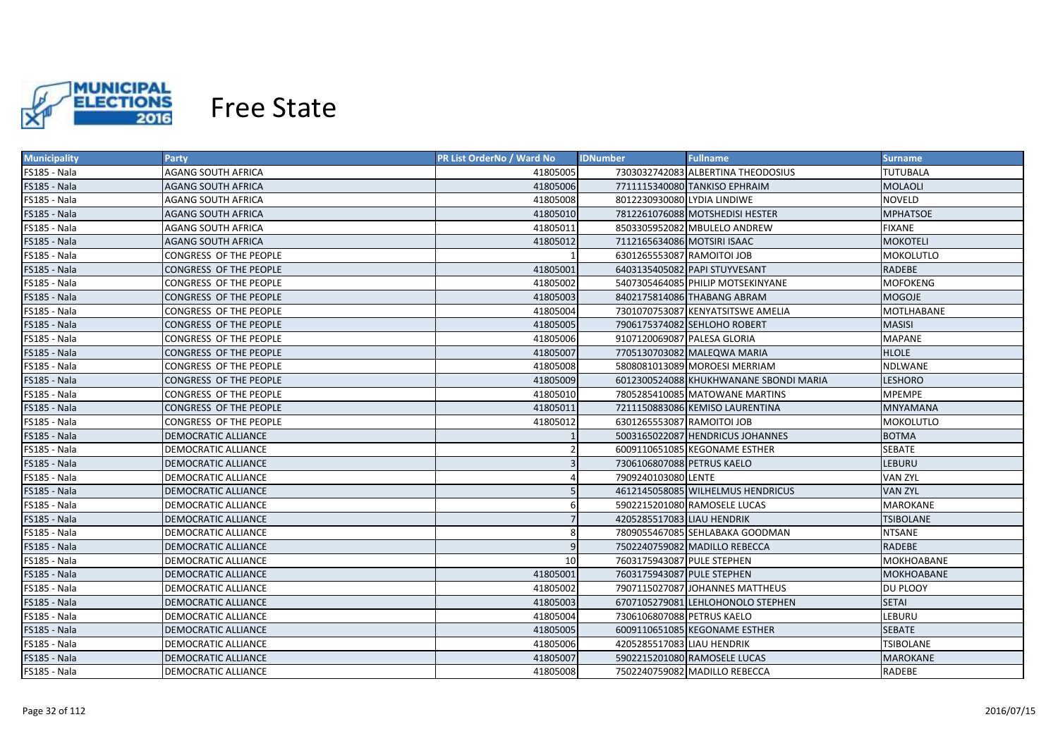

| <b>Municipality</b> | Party                      | <b>PR List OrderNo / Ward No</b> | <b>IDNumber</b><br><b>Fullname</b>     | <b>Surname</b>    |
|---------------------|----------------------------|----------------------------------|----------------------------------------|-------------------|
| FS185 - Nala        | <b>AGANG SOUTH AFRICA</b>  | 41805005                         | 7303032742083 ALBERTINA THEODOSIUS     | <b>TUTUBALA</b>   |
| <b>FS185 - Nala</b> | <b>AGANG SOUTH AFRICA</b>  | 41805006                         | 7711115340080 TANKISO EPHRAIM          | <b>MOLAOLI</b>    |
| FS185 - Nala        | AGANG SOUTH AFRICA         | 41805008                         | 8012230930080 LYDIA LINDIWE            | <b>NOVELD</b>     |
| <b>FS185 - Nala</b> | AGANG SOUTH AFRICA         | 41805010                         | 7812261076088 MOTSHEDISI HESTER        | <b>MPHATSOE</b>   |
| FS185 - Nala        | AGANG SOUTH AFRICA         | 41805011                         | 8503305952082 MBULELO ANDREW           | <b>FIXANE</b>     |
| <b>FS185 - Nala</b> | <b>AGANG SOUTH AFRICA</b>  | 41805012                         | 7112165634086 MOTSIRI ISAAC            | <b>MOKOTELI</b>   |
| FS185 - Nala        | CONGRESS OF THE PEOPLE     |                                  | 6301265553087 RAMOITOI JOB             | MOKOLUTLO         |
| FS185 - Nala        | CONGRESS OF THE PEOPLE     | 41805001                         | 6403135405082 PAPI STUYVESANT          | <b>RADEBE</b>     |
| FS185 - Nala        | CONGRESS OF THE PEOPLE     | 41805002                         | 5407305464085 PHILIP MOTSEKINYANE      | <b>MOFOKENG</b>   |
| FS185 - Nala        | CONGRESS OF THE PEOPLE     | 41805003                         | 8402175814086 THABANG ABRAM            | <b>MOGOJE</b>     |
| FS185 - Nala        | CONGRESS OF THE PEOPLE     | 41805004                         | 7301070753087 KENYATSITSWE AMELIA      | <b>MOTLHABANE</b> |
| <b>FS185 - Nala</b> | CONGRESS OF THE PEOPLE     | 41805005                         | 7906175374082 SEHLOHO ROBERT           | <b>MASISI</b>     |
| FS185 - Nala        | CONGRESS OF THE PEOPLE     | 41805006                         | 9107120069087 PALESA GLORIA            | <b>MAPANE</b>     |
| <b>FS185 - Nala</b> | CONGRESS OF THE PEOPLE     | 41805007                         | 7705130703082 MALEQWA MARIA            | <b>HLOLE</b>      |
| FS185 - Nala        | CONGRESS OF THE PEOPLE     | 41805008                         | 5808081013089 MOROESI MERRIAM          | NDLWANE           |
| <b>FS185 - Nala</b> | CONGRESS OF THE PEOPLE     | 41805009                         | 6012300524088 KHUKHWANANE SBONDI MARIA | <b>LESHORO</b>    |
| FS185 - Nala        | CONGRESS OF THE PEOPLE     | 41805010                         | 7805285410085 MATOWANE MARTINS         | <b>MPEMPE</b>     |
| FS185 - Nala        | CONGRESS OF THE PEOPLE     | 41805011                         | 7211150883086 KEMISO LAURENTINA        | <b>MNYAMANA</b>   |
| FS185 - Nala        | CONGRESS OF THE PEOPLE     | 41805012                         | 6301265553087 RAMOITOI JOB             | <b>MOKOLUTLO</b>  |
| FS185 - Nala        | DEMOCRATIC ALLIANCE        |                                  | 5003165022087 HENDRICUS JOHANNES       | <b>BOTMA</b>      |
| FS185 - Nala        | <b>DEMOCRATIC ALLIANCE</b> |                                  | 6009110651085 KEGONAME ESTHER          | SEBATE            |
| FS185 - Nala        | <b>DEMOCRATIC ALLIANCE</b> |                                  | 7306106807088 PETRUS KAELO             | <b>LEBURU</b>     |
| FS185 - Nala        | <b>DEMOCRATIC ALLIANCE</b> |                                  | 7909240103080 LENTE                    | <b>VAN ZYL</b>    |
| <b>FS185 - Nala</b> | DEMOCRATIC ALLIANCE        |                                  | 4612145058085 WILHELMUS HENDRICUS      | <b>VAN ZYL</b>    |
| FS185 - Nala        | DEMOCRATIC ALLIANCE        | 6                                | 5902215201080 RAMOSELE LUCAS           | <b>MAROKANE</b>   |
| <b>FS185 - Nala</b> | DEMOCRATIC ALLIANCE        |                                  | 4205285517083 LIAU HENDRIK             | TSIBOLANE         |
| FS185 - Nala        | DEMOCRATIC ALLIANCE        | 8                                | 7809055467085 SEHLABAKA GOODMAN        | <b>NTSANE</b>     |
| <b>FS185 - Nala</b> | DEMOCRATIC ALLIANCE        | 9                                | 7502240759082 MADILLO REBECCA          | RADEBE            |
| FS185 - Nala        | DEMOCRATIC ALLIANCE        | 10                               | 7603175943087 PULE STEPHEN             | <b>MOKHOABANE</b> |
| <b>FS185 - Nala</b> | <b>DEMOCRATIC ALLIANCE</b> | 41805001                         | 7603175943087 PULE STEPHEN             | <b>MOKHOABANE</b> |
| <b>FS185 - Nala</b> | DEMOCRATIC ALLIANCE        | 41805002                         | 7907115027087 JOHANNES MATTHEUS        | DU PLOOY          |
| <b>FS185 - Nala</b> | <b>DEMOCRATIC ALLIANCE</b> | 41805003                         | 6707105279081 LEHLOHONOLO STEPHEN      | <b>SETAI</b>      |
| FS185 - Nala        | <b>DEMOCRATIC ALLIANCE</b> | 41805004                         | 7306106807088 PETRUS KAELO             | LEBURU            |
| <b>FS185 - Nala</b> | DEMOCRATIC ALLIANCE        | 41805005                         | 6009110651085 KEGONAME ESTHER          | <b>SEBATE</b>     |
| FS185 - Nala        | <b>DEMOCRATIC ALLIANCE</b> | 41805006                         | 4205285517083 LIAU HENDRIK             | TSIBOLANE         |
| FS185 - Nala        | <b>DEMOCRATIC ALLIANCE</b> | 41805007                         | 5902215201080 RAMOSELE LUCAS           | <b>MAROKANE</b>   |
| FS185 - Nala        | DEMOCRATIC ALLIANCE        | 41805008                         | 7502240759082 MADILLO REBECCA          | RADEBE            |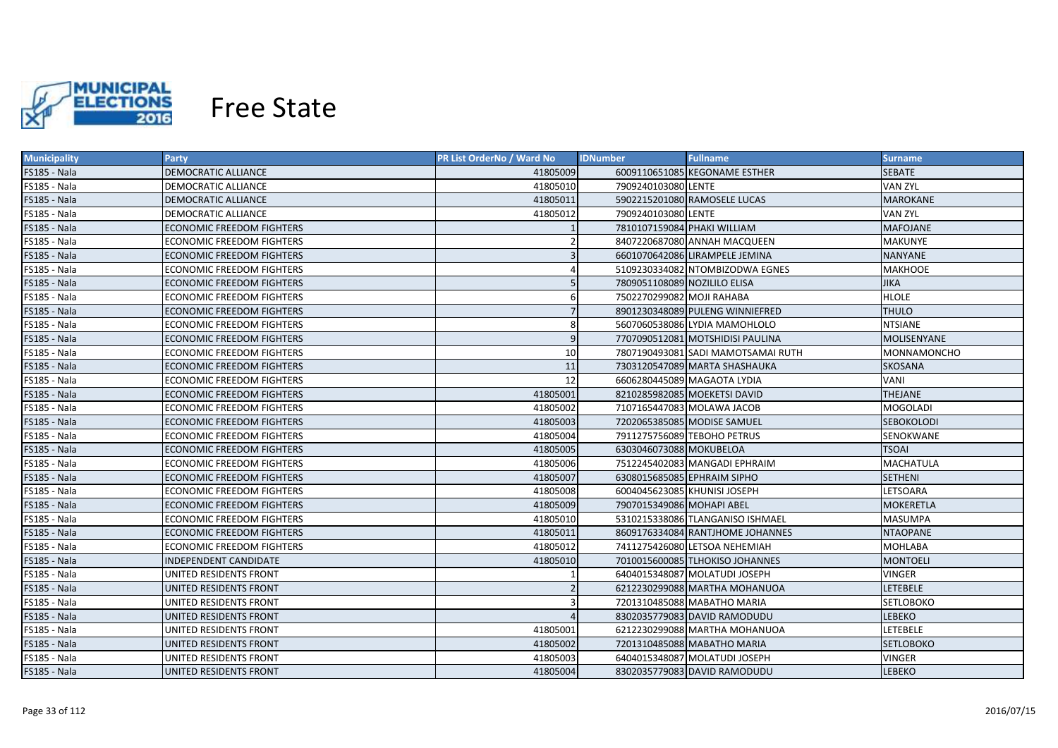

| <b>Municipality</b> | <b>Party</b>                     | PR List OrderNo / Ward No | <b>Fullname</b><br><b>IDNumber</b> | <b>Surname</b>     |
|---------------------|----------------------------------|---------------------------|------------------------------------|--------------------|
| FS185 - Nala        | DEMOCRATIC ALLIANCE              | 41805009                  | 6009110651085 KEGONAME ESTHER      | <b>SEBATE</b>      |
| FS185 - Nala        | DEMOCRATIC ALLIANCE              | 41805010                  | 7909240103080 LENTE                | <b>VAN ZYL</b>     |
| FS185 - Nala        | <b>DEMOCRATIC ALLIANCE</b>       | 41805011                  | 5902215201080 RAMOSELE LUCAS       | <b>MAROKANE</b>    |
| FS185 - Nala        | DEMOCRATIC ALLIANCE              | 41805012                  | 7909240103080 LENTE                | <b>VAN ZYL</b>     |
| FS185 - Nala        | <b>ECONOMIC FREEDOM FIGHTERS</b> |                           | 7810107159084 PHAKI WILLIAM        | <b>MAFOJANE</b>    |
| FS185 - Nala        | ECONOMIC FREEDOM FIGHTERS        |                           | 8407220687080 ANNAH MACQUEEN       | <b>MAKUNYE</b>     |
| FS185 - Nala        | <b>ECONOMIC FREEDOM FIGHTERS</b> |                           | 6601070642086 LIRAMPELE JEMINA     | <b>NANYANE</b>     |
| FS185 - Nala        | ECONOMIC FREEDOM FIGHTERS        |                           | 5109230334082 NTOMBIZODWA EGNES    | <b>MAKHOOE</b>     |
| FS185 - Nala        | <b>ECONOMIC FREEDOM FIGHTERS</b> |                           | 7809051108089 NOZILILO ELISA       | <b>JIKA</b>        |
| FS185 - Nala        | ECONOMIC FREEDOM FIGHTERS        | 6                         | 7502270299082 MOJI RAHABA          | <b>HLOLE</b>       |
| <b>FS185 - Nala</b> | <b>ECONOMIC FREEDOM FIGHTERS</b> |                           | 8901230348089 PULENG WINNIEFRED    | <b>THULO</b>       |
| FS185 - Nala        | ECONOMIC FREEDOM FIGHTERS        | 8                         | 5607060538086 LYDIA MAMOHLOLO      | <b>NTSIANE</b>     |
| FS185 - Nala        | <b>ECONOMIC FREEDOM FIGHTERS</b> | $\overline{9}$            | 7707090512081 MOTSHIDISI PAULINA   | <b>MOLISENYANE</b> |
| FS185 - Nala        | ECONOMIC FREEDOM FIGHTERS        | 10                        | 7807190493081 SADI MAMOTSAMAI RUTH | MONNAMONCHO        |
| FS185 - Nala        | ECONOMIC FREEDOM FIGHTERS        | 11                        | 7303120547089 MARTA SHASHAUKA      | <b>SKOSANA</b>     |
| FS185 - Nala        | <b>ECONOMIC FREEDOM FIGHTERS</b> | 12                        | 6606280445089 MAGAOTA LYDIA        | VANI               |
| FS185 - Nala        | <b>ECONOMIC FREEDOM FIGHTERS</b> | 41805001                  | 8210285982085 MOEKETSI DAVID       | <b>THEJANE</b>     |
| FS185 - Nala        | ECONOMIC FREEDOM FIGHTERS        | 41805002                  | 7107165447083 MOLAWA JACOB         | <b>MOGOLADI</b>    |
| FS185 - Nala        | <b>ECONOMIC FREEDOM FIGHTERS</b> | 41805003                  | 7202065385085 MODISE SAMUEL        | <b>SEBOKOLODI</b>  |
| FS185 - Nala        | <b>ECONOMIC FREEDOM FIGHTERS</b> | 41805004                  | 7911275756089 TEBOHO PETRUS        | <b>SENOKWANE</b>   |
| FS185 - Nala        | <b>ECONOMIC FREEDOM FIGHTERS</b> | 41805005                  | 6303046073088 MOKUBELOA            | <b>TSOAI</b>       |
| FS185 - Nala        | <b>ECONOMIC FREEDOM FIGHTERS</b> | 41805006                  | 7512245402083 MANGADI EPHRAIM      | <b>MACHATULA</b>   |
| FS185 - Nala        | <b>ECONOMIC FREEDOM FIGHTERS</b> | 41805007                  | 6308015685085 EPHRAIM SIPHO        | <b>SETHENI</b>     |
| FS185 - Nala        | <b>ECONOMIC FREEDOM FIGHTERS</b> | 41805008                  | 6004045623085 KHUNISI JOSEPH       | LETSOARA           |
| FS185 - Nala        | <b>ECONOMIC FREEDOM FIGHTERS</b> | 41805009                  | 7907015349086 MOHAPI ABEL          | <b>MOKERETLA</b>   |
| FS185 - Nala        | <b>ECONOMIC FREEDOM FIGHTERS</b> | 41805010                  | 5310215338086 TLANGANISO ISHMAEL   | <b>MASUMPA</b>     |
| FS185 - Nala        | ECONOMIC FREEDOM FIGHTERS        | 41805011                  | 8609176334084 RANTJHOME JOHANNES   | <b>NTAOPANE</b>    |
| FS185 - Nala        | ECONOMIC FREEDOM FIGHTERS        | 41805012                  | 7411275426080 LETSOA NEHEMIAH      | <b>MOHLABA</b>     |
| <b>FS185 - Nala</b> | INDEPENDENT CANDIDATE            | 41805010                  | 7010015600085 TLHOKISO JOHANNES    | MONTOELI           |
| <b>FS185 - Nala</b> | UNITED RESIDENTS FRONT           |                           | 6404015348087 MOLATUDI JOSEPH      | <b>VINGER</b>      |
| <b>FS185 - Nala</b> | UNITED RESIDENTS FRONT           | $\overline{2}$            | 6212230299088 MARTHA MOHANUOA      | <b>LETEBELE</b>    |
| FS185 - Nala        | UNITED RESIDENTS FRONT           |                           | 7201310485088 MABATHO MARIA        | SETLOBOKO          |
| FS185 - Nala        | UNITED RESIDENTS FRONT           |                           | 8302035779083 DAVID RAMODUDU       | LEBEKO             |
| FS185 - Nala        | UNITED RESIDENTS FRONT           | 41805001                  | 6212230299088 MARTHA MOHANUOA      | LETEBELE           |
| FS185 - Nala        | UNITED RESIDENTS FRONT           | 41805002                  | 7201310485088 MABATHO MARIA        | <b>SETLOBOKO</b>   |
| FS185 - Nala        | UNITED RESIDENTS FRONT           | 41805003                  | 6404015348087 MOLATUDI JOSEPH      | <b>VINGER</b>      |
| FS185 - Nala        | UNITED RESIDENTS FRONT           | 41805004                  | 8302035779083 DAVID RAMODUDU       | <b>LEBEKO</b>      |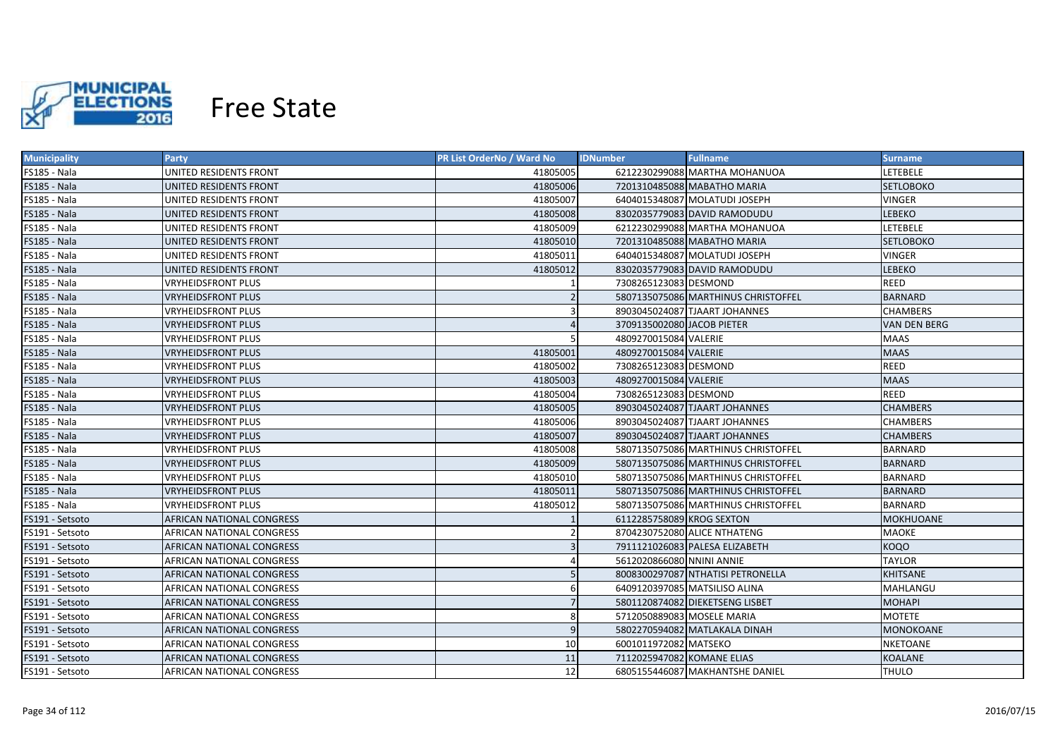

| <b>Municipality</b> | Party                     | <b>PR List OrderNo / Ward No</b> | <b>Fullname</b><br><b>IDNumber</b>  | Surname             |
|---------------------|---------------------------|----------------------------------|-------------------------------------|---------------------|
| FS185 - Nala        | UNITED RESIDENTS FRONT    | 41805005                         | 6212230299088 MARTHA MOHANUOA       | LETEBELE            |
| FS185 - Nala        | UNITED RESIDENTS FRONT    | 41805006                         | 7201310485088 MABATHO MARIA         | <b>SETLOBOKO</b>    |
| FS185 - Nala        | UNITED RESIDENTS FRONT    | 41805007                         | 6404015348087 MOLATUDI JOSEPH       | VINGER              |
| FS185 - Nala        | UNITED RESIDENTS FRONT    | 41805008                         | 8302035779083 DAVID RAMODUDU        | <b>LEBEKO</b>       |
| FS185 - Nala        | UNITED RESIDENTS FRONT    | 41805009                         | 6212230299088 MARTHA MOHANUOA       | LETEBELE            |
| <b>FS185 - Nala</b> | UNITED RESIDENTS FRONT    | 41805010                         | 7201310485088 MABATHO MARIA         | <b>SETLOBOKO</b>    |
| FS185 - Nala        | UNITED RESIDENTS FRONT    | 41805011                         | 6404015348087 MOLATUDI JOSEPH       | <b>VINGER</b>       |
| FS185 - Nala        | UNITED RESIDENTS FRONT    | 41805012                         | 8302035779083 DAVID RAMODUDU        | <b>LEBEKO</b>       |
| FS185 - Nala        | <b>VRYHEIDSFRONT PLUS</b> |                                  | 7308265123083 DESMOND               | REED                |
| FS185 - Nala        | <b>VRYHEIDSFRONT PLUS</b> |                                  | 5807135075086 MARTHINUS CHRISTOFFEL | <b>BARNARD</b>      |
| FS185 - Nala        | <b>VRYHEIDSFRONT PLUS</b> |                                  | 8903045024087 TJAART JOHANNES       | <b>CHAMBERS</b>     |
| FS185 - Nala        | <b>VRYHEIDSFRONT PLUS</b> |                                  | 3709135002080 JACOB PIETER          | <b>VAN DEN BERG</b> |
| FS185 - Nala        | <b>VRYHEIDSFRONT PLUS</b> |                                  | 4809270015084 VALERIE               | MAAS                |
| FS185 - Nala        | <b>VRYHEIDSFRONT PLUS</b> | 41805001                         | 4809270015084 VALERIE               | <b>MAAS</b>         |
| FS185 - Nala        | <b>VRYHEIDSFRONT PLUS</b> | 41805002                         | 7308265123083 DESMOND               | <b>REED</b>         |
| FS185 - Nala        | <b>VRYHEIDSFRONT PLUS</b> | 41805003                         | 4809270015084 VALERIE               | <b>MAAS</b>         |
| FS185 - Nala        | <b>VRYHEIDSFRONT PLUS</b> | 41805004                         | 7308265123083 DESMOND               | <b>REED</b>         |
| FS185 - Nala        | <b>VRYHEIDSFRONT PLUS</b> | 41805005                         | 8903045024087 TJAART JOHANNES       | <b>CHAMBERS</b>     |
| FS185 - Nala        | <b>VRYHEIDSFRONT PLUS</b> | 41805006                         | 8903045024087 TJAART JOHANNES       | <b>CHAMBERS</b>     |
| FS185 - Nala        | <b>VRYHEIDSFRONT PLUS</b> | 41805007                         | 8903045024087 TJAART JOHANNES       | <b>CHAMBERS</b>     |
| FS185 - Nala        | <b>VRYHEIDSFRONT PLUS</b> | 41805008                         | 5807135075086 MARTHINUS CHRISTOFFEL | <b>BARNARD</b>      |
| FS185 - Nala        | <b>VRYHEIDSFRONT PLUS</b> | 41805009                         | 5807135075086 MARTHINUS CHRISTOFFEL | <b>BARNARD</b>      |
| FS185 - Nala        | <b>VRYHEIDSFRONT PLUS</b> | 41805010                         | 5807135075086 MARTHINUS CHRISTOFFEL | <b>BARNARD</b>      |
| <b>FS185 - Nala</b> | <b>VRYHEIDSFRONT PLUS</b> | 41805011                         | 5807135075086 MARTHINUS CHRISTOFFEL | <b>BARNARD</b>      |
| FS185 - Nala        | VRYHEIDSFRONT PLUS        | 41805012                         | 5807135075086 MARTHINUS CHRISTOFFEL | <b>BARNARD</b>      |
| FS191 - Setsoto     | AFRICAN NATIONAL CONGRESS |                                  | 6112285758089 KROG SEXTON           | <b>MOKHUOANE</b>    |
| FS191 - Setsoto     | AFRICAN NATIONAL CONGRESS |                                  | 8704230752080 ALICE NTHATENG        | <b>MAOKE</b>        |
| FS191 - Setsoto     | AFRICAN NATIONAL CONGRESS |                                  | 7911121026083 PALESA ELIZABETH      | <b>KOQO</b>         |
| FS191 - Setsoto     | AFRICAN NATIONAL CONGRESS |                                  | 5612020866080 NNINI ANNIE           | <b>TAYLOR</b>       |
| FS191 - Setsoto     | AFRICAN NATIONAL CONGRESS |                                  | 8008300297087 NTHATISI PETRONELLA   | <b>KHITSANE</b>     |
| FS191 - Setsoto     | AFRICAN NATIONAL CONGRESS | 6                                | 6409120397085 MATSILISO ALINA       | MAHLANGU            |
| FS191 - Setsoto     | AFRICAN NATIONAL CONGRESS |                                  | 5801120874082 DIEKETSENG LISBET     | <b>MOHAPI</b>       |
| FS191 - Setsoto     | AFRICAN NATIONAL CONGRESS | 8                                | 5712050889083 MOSELE MARIA          | <b>MOTETE</b>       |
| FS191 - Setsoto     | AFRICAN NATIONAL CONGRESS | 9                                | 5802270594082 MATLAKALA DINAH       | MONOKOANE           |
| FS191 - Setsoto     | AFRICAN NATIONAL CONGRESS | 10                               | 6001011972082 MATSEKO               | <b>NKETOANE</b>     |
| FS191 - Setsoto     | AFRICAN NATIONAL CONGRESS | 11                               | 7112025947082 KOMANE ELIAS          | <b>KOALANE</b>      |
| FS191 - Setsoto     | AFRICAN NATIONAL CONGRESS | 12                               | 6805155446087 MAKHANTSHE DANIEL     | <b>THULO</b>        |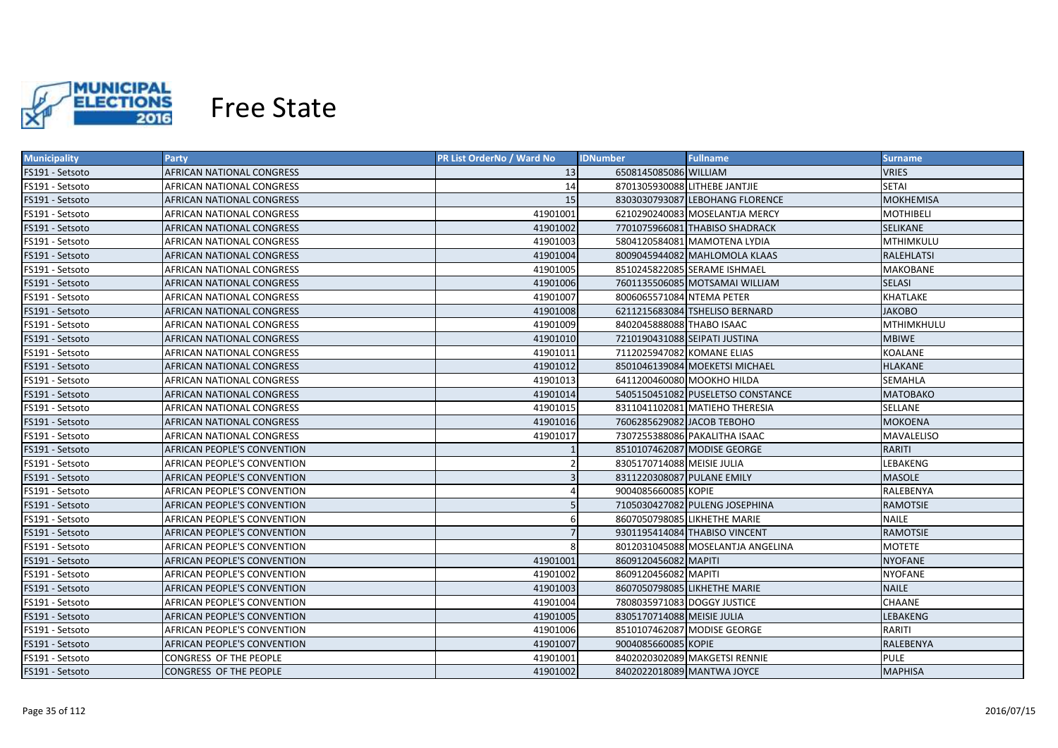

| <b>Municipality</b> | <b>Party</b>                     | <b>PR List OrderNo / Ward No</b> | <b>IDNumber</b>               | <b>Fullname</b>                   | <b>Surname</b>    |
|---------------------|----------------------------------|----------------------------------|-------------------------------|-----------------------------------|-------------------|
| FS191 - Setsoto     | AFRICAN NATIONAL CONGRESS        | 13                               | 6508145085086 WILLIAM         |                                   | VRIES             |
| FS191 - Setsoto     | AFRICAN NATIONAL CONGRESS        | 14                               | 8701305930088 LITHEBE JANTJIE |                                   | <b>SETAI</b>      |
| FS191 - Setsoto     | AFRICAN NATIONAL CONGRESS        | 15                               |                               | 8303030793087 LEBOHANG FLORENCE   | <b>MOKHEMISA</b>  |
| FS191 - Setsoto     | AFRICAN NATIONAL CONGRESS        | 41901001                         |                               | 6210290240083 MOSELANTJA MERCY    | <b>MOTHIBELI</b>  |
| FS191 - Setsoto     | AFRICAN NATIONAL CONGRESS        | 41901002                         |                               | 7701075966081 THABISO SHADRACK    | <b>SELIKANE</b>   |
| FS191 - Setsoto     | AFRICAN NATIONAL CONGRESS        | 41901003                         |                               | 5804120584081 MAMOTENA LYDIA      | MTHIMKULU         |
| FS191 - Setsoto     | AFRICAN NATIONAL CONGRESS        | 41901004                         |                               | 8009045944082 MAHLOMOLA KLAAS     | <b>RALEHLATSI</b> |
| FS191 - Setsoto     | AFRICAN NATIONAL CONGRESS        | 41901005                         |                               | 8510245822085 SERAME ISHMAEL      | <b>MAKOBANE</b>   |
| FS191 - Setsoto     | AFRICAN NATIONAL CONGRESS        | 41901006                         |                               | 7601135506085 MOTSAMAI WILLIAM    | <b>SELASI</b>     |
| FS191 - Setsoto     | AFRICAN NATIONAL CONGRESS        | 41901007                         | 8006065571084 NTEMA PETER     |                                   | KHATLAKE          |
| FS191 - Setsoto     | AFRICAN NATIONAL CONGRESS        | 41901008                         |                               | 6211215683084 TSHELISO BERNARD    | <b>JAKOBO</b>     |
| FS191 - Setsoto     | AFRICAN NATIONAL CONGRESS        | 41901009                         | 8402045888088 THABO ISAAC     |                                   | <b>MTHIMKHULU</b> |
| FS191 - Setsoto     | AFRICAN NATIONAL CONGRESS        | 41901010                         | 7210190431088 SEIPATI JUSTINA |                                   | <b>MBIWE</b>      |
| FS191 - Setsoto     | AFRICAN NATIONAL CONGRESS        | 41901011                         | 7112025947082 KOMANE ELIAS    |                                   | <b>KOALANE</b>    |
| FS191 - Setsoto     | AFRICAN NATIONAL CONGRESS        | 41901012                         |                               | 8501046139084 MOEKETSI MICHAEL    | <b>HLAKANE</b>    |
| FS191 - Setsoto     | AFRICAN NATIONAL CONGRESS        | 41901013                         | 6411200460080 MOOKHO HILDA    |                                   | <b>SEMAHLA</b>    |
| FS191 - Setsoto     | <b>AFRICAN NATIONAL CONGRESS</b> | 41901014                         |                               | 5405150451082 PUSELETSO CONSTANCE | <b>MATOBAKO</b>   |
| FS191 - Setsoto     | <b>AFRICAN NATIONAL CONGRESS</b> | 41901015                         |                               | 8311041102081 MATIEHO THERESIA    | <b>SELLANE</b>    |
| FS191 - Setsoto     | AFRICAN NATIONAL CONGRESS        | 41901016                         | 7606285629082 JACOB TEBOHO    |                                   | <b>MOKOENA</b>    |
| FS191 - Setsoto     | AFRICAN NATIONAL CONGRESS        | 41901017                         |                               | 7307255388086 PAKALITHA ISAAC     | <b>MAVALELISO</b> |
| FS191 - Setsoto     | AFRICAN PEOPLE'S CONVENTION      |                                  |                               | 8510107462087 MODISE GEORGE       | <b>RARITI</b>     |
| FS191 - Setsoto     | AFRICAN PEOPLE'S CONVENTION      | $\overline{2}$                   | 8305170714088 MEISIE JULIA    |                                   | LEBAKENG          |
| FS191 - Setsoto     | AFRICAN PEOPLE'S CONVENTION      | $\overline{3}$                   | 8311220308087 PULANE EMILY    |                                   | <b>MASOLE</b>     |
| FS191 - Setsoto     | AFRICAN PEOPLE'S CONVENTION      |                                  | 9004085660085 KOPIE           |                                   | RALEBENYA         |
| FS191 - Setsoto     | AFRICAN PEOPLE'S CONVENTION      |                                  |                               | 7105030427082 PULENG JOSEPHINA    | <b>RAMOTSIE</b>   |
| FS191 - Setsoto     | AFRICAN PEOPLE'S CONVENTION      | 6                                |                               | 8607050798085 LIKHETHE MARIE      | <b>NAILE</b>      |
| FS191 - Setsoto     | AFRICAN PEOPLE'S CONVENTION      |                                  |                               | 9301195414084 THABISO VINCENT     | <b>RAMOTSIE</b>   |
| FS191 - Setsoto     | AFRICAN PEOPLE'S CONVENTION      | 8                                |                               | 8012031045088 MOSELANTJA ANGELINA | <b>MOTETE</b>     |
| FS191 - Setsoto     | AFRICAN PEOPLE'S CONVENTION      | 41901001                         | 8609120456082 MAPITI          |                                   | <b>NYOFANE</b>    |
| FS191 - Setsoto     | AFRICAN PEOPLE'S CONVENTION      | 41901002                         | 8609120456082 MAPITI          |                                   | <b>NYOFANE</b>    |
| FS191 - Setsoto     | AFRICAN PEOPLE'S CONVENTION      | 41901003                         |                               | 8607050798085 LIKHETHE MARIE      | <b>NAILE</b>      |
| FS191 - Setsoto     | AFRICAN PEOPLE'S CONVENTION      | 41901004                         | 7808035971083 DOGGY JUSTICE   |                                   | CHAANE            |
| FS191 - Setsoto     | AFRICAN PEOPLE'S CONVENTION      | 41901005                         | 8305170714088 MEISIE JULIA    |                                   | LEBAKENG          |
| FS191 - Setsoto     | AFRICAN PEOPLE'S CONVENTION      | 41901006                         |                               | 8510107462087 MODISE GEORGE       | RARITI            |
| FS191 - Setsoto     | AFRICAN PEOPLE'S CONVENTION      | 41901007                         | 9004085660085 KOPIE           |                                   | RALEBENYA         |
| FS191 - Setsoto     | CONGRESS OF THE PEOPLE           | 41901001                         |                               | 8402020302089 MAKGETSI RENNIE     | <b>PULE</b>       |
| FS191 - Setsoto     | <b>CONGRESS OF THE PEOPLE</b>    | 41901002                         | 8402022018089 MANTWA JOYCE    |                                   | <b>MAPHISA</b>    |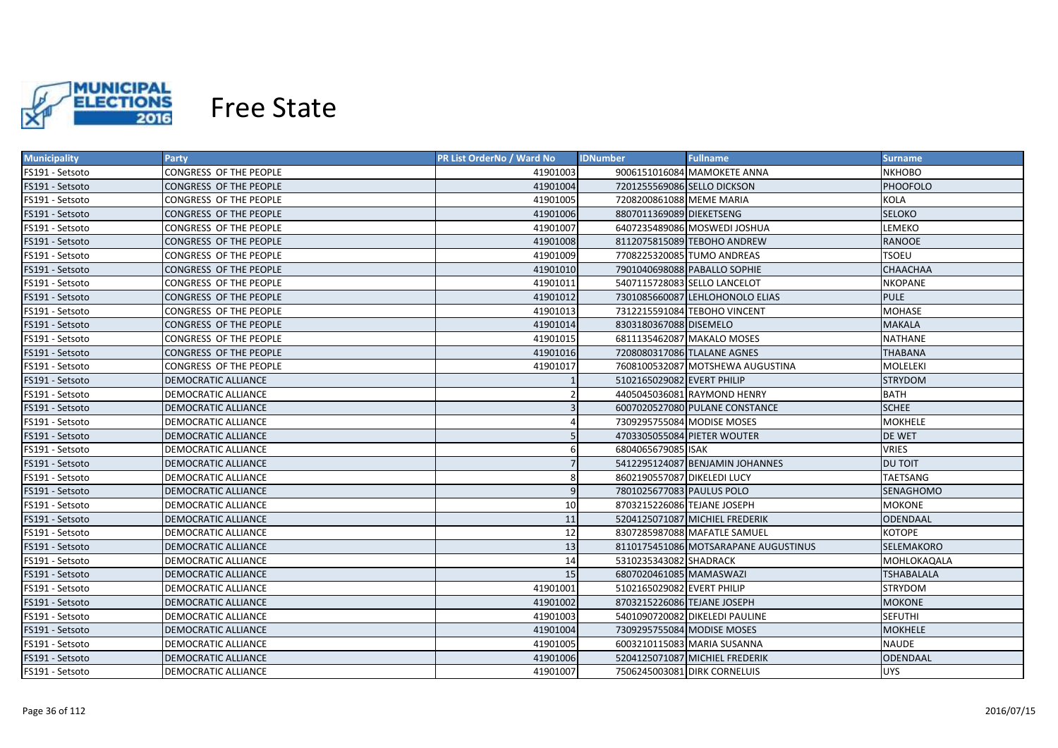

| <b>Municipality</b> | <b>Party</b>                  | <b>PR List OrderNo / Ward No</b> | <b>IDNumber</b>             | <b>Fullname</b>                      | <b>Surname</b>    |
|---------------------|-------------------------------|----------------------------------|-----------------------------|--------------------------------------|-------------------|
| FS191 - Setsoto     | CONGRESS OF THE PEOPLE        | 41901003                         |                             | 9006151016084 MAMOKETE ANNA          | <b>NKHOBO</b>     |
| FS191 - Setsoto     | CONGRESS OF THE PEOPLE        | 41901004                         | 7201255569086 SELLO DICKSON |                                      | <b>PHOOFOLO</b>   |
| FS191 - Setsoto     | CONGRESS OF THE PEOPLE        | 41901005                         | 7208200861088 MEME MARIA    |                                      | KOLA              |
| FS191 - Setsoto     | CONGRESS OF THE PEOPLE        | 41901006                         | 8807011369089 DIEKETSENG    |                                      | <b>SELOKO</b>     |
| FS191 - Setsoto     | CONGRESS OF THE PEOPLE        | 41901007                         |                             | 6407235489086 MOSWEDI JOSHUA         | LEMEKO            |
| FS191 - Setsoto     | <b>CONGRESS OF THE PEOPLE</b> | 41901008                         |                             | 8112075815089 TEBOHO ANDREW          | <b>RANOOE</b>     |
| FS191 - Setsoto     | CONGRESS OF THE PEOPLE        | 41901009                         | 7708225320085 TUMO ANDREAS  |                                      | <b>TSOEU</b>      |
| FS191 - Setsoto     | CONGRESS OF THE PEOPLE        | 41901010                         |                             | 7901040698088 PABALLO SOPHIE         | <b>CHAACHAA</b>   |
| FS191 - Setsoto     | CONGRESS OF THE PEOPLE        | 41901011                         |                             | 5407115728083 SELLO LANCELOT         | <b>NKOPANE</b>    |
| FS191 - Setsoto     | CONGRESS OF THE PEOPLE        | 41901012                         |                             | 7301085660087 LEHLOHONOLO ELIAS      | <b>PULE</b>       |
| FS191 - Setsoto     | CONGRESS OF THE PEOPLE        | 41901013                         |                             | 7312215591084 TEBOHO VINCENT         | <b>MOHASE</b>     |
| FS191 - Setsoto     | CONGRESS OF THE PEOPLE        | 41901014                         | 8303180367088 DISEMELO      |                                      | <b>MAKALA</b>     |
| FS191 - Setsoto     | CONGRESS OF THE PEOPLE        | 41901015                         |                             | 6811135462087 MAKALO MOSES           | <b>NATHANE</b>    |
| FS191 - Setsoto     | <b>CONGRESS OF THE PEOPLE</b> | 41901016                         | 7208080317086 TLALANE AGNES |                                      | <b>THABANA</b>    |
| FS191 - Setsoto     | CONGRESS OF THE PEOPLE        | 41901017                         |                             | 7608100532087 MOTSHEWA AUGUSTINA     | <b>MOLELEKI</b>   |
| FS191 - Setsoto     | <b>DEMOCRATIC ALLIANCE</b>    |                                  | 5102165029082 EVERT PHILIP  |                                      | <b>STRYDOM</b>    |
| FS191 - Setsoto     | <b>DEMOCRATIC ALLIANCE</b>    |                                  |                             | 4405045036081 RAYMOND HENRY          | <b>BATH</b>       |
| FS191 - Setsoto     | <b>DEMOCRATIC ALLIANCE</b>    |                                  |                             | 6007020527080 PULANE CONSTANCE       | <b>SCHEE</b>      |
| FS191 - Setsoto     | DEMOCRATIC ALLIANCE           |                                  | 7309295755084 MODISE MOSES  |                                      | <b>MOKHELE</b>    |
| FS191 - Setsoto     | <b>DEMOCRATIC ALLIANCE</b>    | 5                                |                             | 4703305055084 PIETER WOUTER          | DE WET            |
| FS191 - Setsoto     | DEMOCRATIC ALLIANCE           | 6                                | 6804065679085 ISAK          |                                      | <b>VRIES</b>      |
| FS191 - Setsoto     | <b>DEMOCRATIC ALLIANCE</b>    | $\overline{7}$                   |                             | 5412295124087 BENJAMIN JOHANNES      | <b>DU TOIT</b>    |
| FS191 - Setsoto     | DEMOCRATIC ALLIANCE           | 8                                | 8602190557087 DIKELEDI LUCY |                                      | TAETSANG          |
| FS191 - Setsoto     | <b>DEMOCRATIC ALLIANCE</b>    | $\overline{9}$                   | 7801025677083 PAULUS POLO   |                                      | SENAGHOMO         |
| FS191 - Setsoto     | DEMOCRATIC ALLIANCE           | 10                               | 8703215226086 TEJANE JOSEPH |                                      | MOKONE            |
| FS191 - Setsoto     | <b>DEMOCRATIC ALLIANCE</b>    | 11                               |                             | 5204125071087 MICHIEL FREDERIK       | <b>ODENDAAL</b>   |
| FS191 - Setsoto     | DEMOCRATIC ALLIANCE           | 12                               |                             | 8307285987088 MAFATLE SAMUEL         | <b>KOTOPE</b>     |
| FS191 - Setsoto     | <b>DEMOCRATIC ALLIANCE</b>    | 13                               |                             | 8110175451086 MOTSARAPANE AUGUSTINUS | <b>SELEMAKORO</b> |
| FS191 - Setsoto     | DEMOCRATIC ALLIANCE           | 14                               | 5310235343082 SHADRACK      |                                      | MOHLOKAQALA       |
| FS191 - Setsoto     | DEMOCRATIC ALLIANCE           | 15                               | 6807020461085 MAMASWAZI     |                                      | <b>TSHABALALA</b> |
| FS191 - Setsoto     | DEMOCRATIC ALLIANCE           | 41901001                         | 5102165029082 EVERT PHILIP  |                                      | STRYDOM           |
| FS191 - Setsoto     | <b>DEMOCRATIC ALLIANCE</b>    | 41901002                         | 8703215226086 TEJANE JOSEPH |                                      | <b>MOKONE</b>     |
| FS191 - Setsoto     | DEMOCRATIC ALLIANCE           | 41901003                         |                             | 5401090720082 DIKELEDI PAULINE       | <b>SEFUTHI</b>    |
| FS191 - Setsoto     | <b>DEMOCRATIC ALLIANCE</b>    | 41901004                         | 7309295755084 MODISE MOSES  |                                      | <b>MOKHELE</b>    |
| FS191 - Setsoto     | DEMOCRATIC ALLIANCE           | 41901005                         |                             | 6003210115083 MARIA SUSANNA          | <b>NAUDE</b>      |
| FS191 - Setsoto     | <b>DEMOCRATIC ALLIANCE</b>    | 41901006                         |                             | 5204125071087 MICHIEL FREDERIK       | ODENDAAL          |
| FS191 - Setsoto     | <b>DEMOCRATIC ALLIANCE</b>    | 41901007                         |                             | 7506245003081 DIRK CORNELUIS         | <b>UYS</b>        |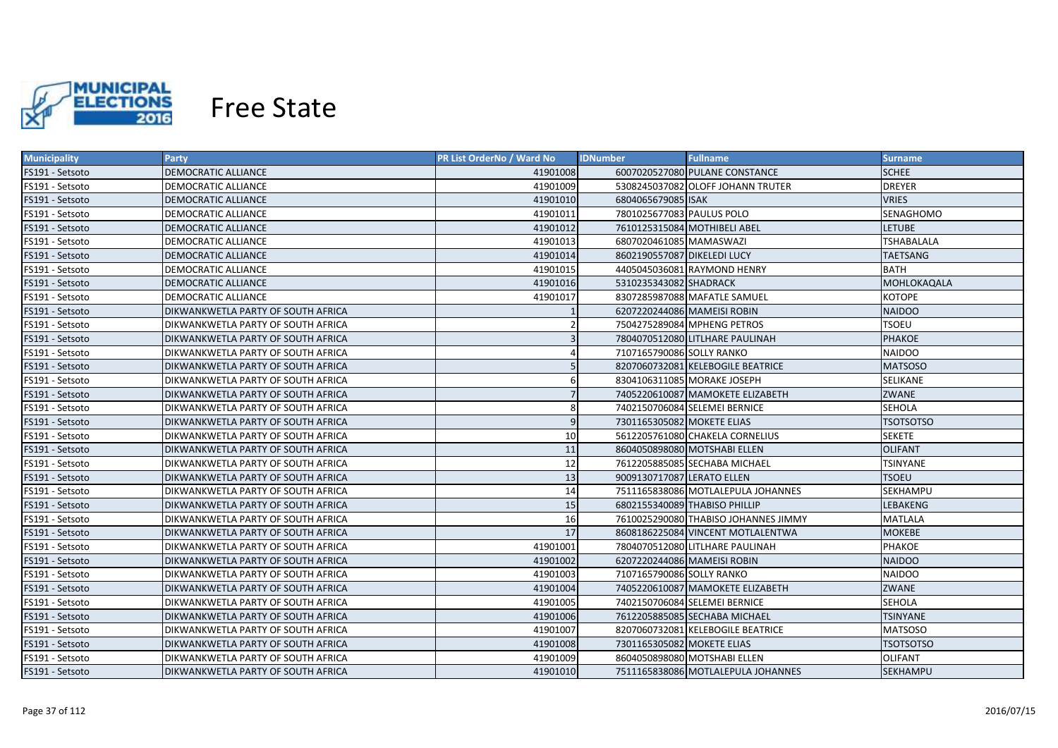

| <b>Municipality</b> | Party                                     | <b>PR List OrderNo / Ward No</b> | <b>IDNumber</b>               | <b>Fullname</b>                      | <b>Surname</b>    |
|---------------------|-------------------------------------------|----------------------------------|-------------------------------|--------------------------------------|-------------------|
| FS191 - Setsoto     | DEMOCRATIC ALLIANCE                       | 41901008                         |                               | 6007020527080 PULANE CONSTANCE       | <b>SCHEE</b>      |
| FS191 - Setsoto     | DEMOCRATIC ALLIANCE                       | 41901009                         |                               | 5308245037082 OLOFF JOHANN TRUTER    | <b>DREYER</b>     |
| FS191 - Setsoto     | DEMOCRATIC ALLIANCE                       | 41901010                         | 6804065679085 ISAK            |                                      | <b>VRIES</b>      |
| FS191 - Setsoto     | <b>DEMOCRATIC ALLIANCE</b>                | 41901011                         | 7801025677083 PAULUS POLO     |                                      | SENAGHOMO         |
| FS191 - Setsoto     | DEMOCRATIC ALLIANCE                       | 41901012                         | 7610125315084 MOTHIBELI ABEL  |                                      | LETUBE            |
| FS191 - Setsoto     | <b>DEMOCRATIC ALLIANCE</b>                | 41901013                         | 6807020461085 MAMASWAZI       |                                      | <b>TSHABALALA</b> |
| FS191 - Setsoto     | <b>DEMOCRATIC ALLIANCE</b>                | 41901014                         | 8602190557087 DIKELEDI LUCY   |                                      | <b>TAETSANG</b>   |
| FS191 - Setsoto     | <b>DEMOCRATIC ALLIANCE</b>                | 41901015                         |                               | 4405045036081 RAYMOND HENRY          | <b>BATH</b>       |
| FS191 - Setsoto     | <b>DEMOCRATIC ALLIANCE</b>                | 41901016                         | 5310235343082 SHADRACK        |                                      | MOHLOKAQALA       |
| FS191 - Setsoto     | <b>DEMOCRATIC ALLIANCE</b>                | 41901017                         |                               | 8307285987088 MAFATLE SAMUEL         | <b>KOTOPE</b>     |
| FS191 - Setsoto     | DIKWANKWETLA PARTY OF SOUTH AFRICA        |                                  | 6207220244086 MAMEISI ROBIN   |                                      | <b>NAIDOO</b>     |
| FS191 - Setsoto     | DIKWANKWETLA PARTY OF SOUTH AFRICA        |                                  | 7504275289084 MPHENG PETROS   |                                      | <b>TSOEU</b>      |
| FS191 - Setsoto     | DIKWANKWETLA PARTY OF SOUTH AFRICA        |                                  |                               | 7804070512080 LITLHARE PAULINAH      | <b>PHAKOE</b>     |
| FS191 - Setsoto     | DIKWANKWETLA PARTY OF SOUTH AFRICA        |                                  | 7107165790086 SOLLY RANKO     |                                      | <b>NAIDOO</b>     |
| FS191 - Setsoto     | DIKWANKWETLA PARTY OF SOUTH AFRICA        |                                  |                               | 8207060732081 KELEBOGILE BEATRICE    | <b>MATSOSO</b>    |
| FS191 - Setsoto     | DIKWANKWETLA PARTY OF SOUTH AFRICA        | 6                                | 8304106311085 MORAKE JOSEPH   |                                      | <b>SELIKANE</b>   |
| FS191 - Setsoto     | DIKWANKWETLA PARTY OF SOUTH AFRICA        |                                  |                               | 7405220610087 MAMOKETE ELIZABETH     | ZWANE             |
| FS191 - Setsoto     | DIKWANKWETLA PARTY OF SOUTH AFRICA        | 8                                | 7402150706084 SELEMEI BERNICE |                                      | <b>SEHOLA</b>     |
| FS191 - Setsoto     | <b>DIKWANKWETLA PARTY OF SOUTH AFRICA</b> | 9                                | 7301165305082 MOKETE ELIAS    |                                      | <b>TSOTSOTSO</b>  |
| FS191 - Setsoto     | DIKWANKWETLA PARTY OF SOUTH AFRICA        | 10                               |                               | 5612205761080 CHAKELA CORNELIUS      | <b>SEKETE</b>     |
| FS191 - Setsoto     | <b>DIKWANKWETLA PARTY OF SOUTH AFRICA</b> | 11                               | 8604050898080 MOTSHABI ELLEN  |                                      | <b>OLIFANT</b>    |
| FS191 - Setsoto     | DIKWANKWETLA PARTY OF SOUTH AFRICA        | 12                               |                               | 7612205885085 SECHABA MICHAEL        | TSINYANE          |
| FS191 - Setsoto     | DIKWANKWETLA PARTY OF SOUTH AFRICA        | 13                               | 9009130717087 LERATO ELLEN    |                                      | <b>TSOEU</b>      |
| FS191 - Setsoto     | DIKWANKWETLA PARTY OF SOUTH AFRICA        | 14                               |                               | 7511165838086 MOTLALEPULA JOHANNES   | SEKHAMPU          |
| FS191 - Setsoto     | DIKWANKWETLA PARTY OF SOUTH AFRICA        | 15                               | 6802155340089 THABISO PHILLIP |                                      | LEBAKENG          |
| FS191 - Setsoto     | DIKWANKWETLA PARTY OF SOUTH AFRICA        | 16                               |                               | 7610025290080 THABISO JOHANNES JIMMY | <b>MATLALA</b>    |
| FS191 - Setsoto     | DIKWANKWETLA PARTY OF SOUTH AFRICA        | 17                               |                               | 8608186225084 VINCENT MOTLALENTWA    | <b>MOKEBE</b>     |
| FS191 - Setsoto     | DIKWANKWETLA PARTY OF SOUTH AFRICA        | 41901001                         |                               | 7804070512080 LITLHARE PAULINAH      | PHAKOE            |
| FS191 - Setsoto     | DIKWANKWETLA PARTY OF SOUTH AFRICA        | 41901002                         | 6207220244086 MAMEISI ROBIN   |                                      | <b>NAIDOO</b>     |
| FS191 - Setsoto     | DIKWANKWETLA PARTY OF SOUTH AFRICA        | 41901003                         | 7107165790086 SOLLY RANKO     |                                      | <b>NAIDOO</b>     |
| FS191 - Setsoto     | DIKWANKWETLA PARTY OF SOUTH AFRICA        | 41901004                         |                               | 7405220610087 MAMOKETE ELIZABETH     | ZWANE             |
| FS191 - Setsoto     | DIKWANKWETLA PARTY OF SOUTH AFRICA        | 41901005                         | 7402150706084 SELEMEI BERNICE |                                      | SEHOLA            |
| FS191 - Setsoto     | DIKWANKWETLA PARTY OF SOUTH AFRICA        | 41901006                         |                               | 7612205885085 SECHABA MICHAEL        | TSINYANE          |
| FS191 - Setsoto     | DIKWANKWETLA PARTY OF SOUTH AFRICA        | 41901007                         |                               | 8207060732081 KELEBOGILE BEATRICE    | <b>MATSOSO</b>    |
| FS191 - Setsoto     | DIKWANKWETLA PARTY OF SOUTH AFRICA        | 41901008                         | 7301165305082 MOKETE ELIAS    |                                      | <b>TSOTSOTSO</b>  |
| FS191 - Setsoto     | DIKWANKWETLA PARTY OF SOUTH AFRICA        | 41901009                         | 8604050898080 MOTSHABI ELLEN  |                                      | <b>OLIFANT</b>    |
| FS191 - Setsoto     | DIKWANKWETLA PARTY OF SOUTH AFRICA        | 41901010                         |                               | 7511165838086 MOTLALEPULA JOHANNES   | <b>SEKHAMPU</b>   |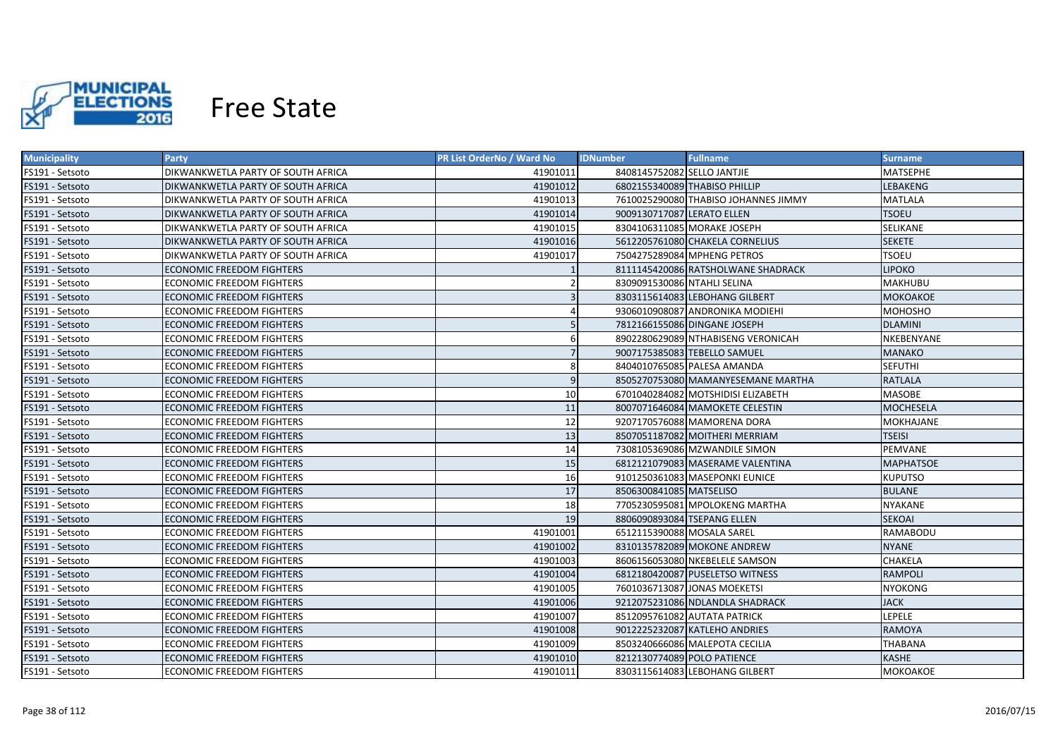

| <b>Municipality</b> | <b>Party</b>                       | <b>PR List OrderNo / Ward No</b> | <b>IDNumber</b><br><b>Fullname</b>   | <b>Surname</b>   |
|---------------------|------------------------------------|----------------------------------|--------------------------------------|------------------|
| FS191 - Setsoto     | DIKWANKWETLA PARTY OF SOUTH AFRICA | 41901011                         | 8408145752082 SELLO JANTJIE          | MATSEPHE         |
| FS191 - Setsoto     | DIKWANKWETLA PARTY OF SOUTH AFRICA | 41901012                         | 6802155340089 THABISO PHILLIP        | LEBAKENG         |
| FS191 - Setsoto     | DIKWANKWETLA PARTY OF SOUTH AFRICA | 41901013                         | 7610025290080 THABISO JOHANNES JIMMY | <b>MATLALA</b>   |
| FS191 - Setsoto     | DIKWANKWETLA PARTY OF SOUTH AFRICA | 41901014                         | 9009130717087 LERATO ELLEN           | <b>TSOEU</b>     |
| FS191 - Setsoto     | DIKWANKWETLA PARTY OF SOUTH AFRICA | 41901015                         | 8304106311085 MORAKE JOSEPH          | SELIKANE         |
| FS191 - Setsoto     | DIKWANKWETLA PARTY OF SOUTH AFRICA | 41901016                         | 5612205761080 CHAKELA CORNELIUS      | <b>SEKETE</b>    |
| FS191 - Setsoto     | DIKWANKWETLA PARTY OF SOUTH AFRICA | 41901017                         | 7504275289084 MPHENG PETROS          | <b>TSOEU</b>     |
| FS191 - Setsoto     | <b>ECONOMIC FREEDOM FIGHTERS</b>   |                                  | 8111145420086 RATSHOLWANE SHADRACK   | <b>LIPOKO</b>    |
| FS191 - Setsoto     | <b>ECONOMIC FREEDOM FIGHTERS</b>   |                                  | 8309091530086 NTAHLI SELINA          | <b>MAKHUBU</b>   |
| FS191 - Setsoto     | <b>ECONOMIC FREEDOM FIGHTERS</b>   |                                  | 8303115614083 LEBOHANG GILBERT       | <b>MOKOAKOE</b>  |
| FS191 - Setsoto     | ECONOMIC FREEDOM FIGHTERS          |                                  | 9306010908087 ANDRONIKA MODIEHI      | <b>MOHOSHO</b>   |
| FS191 - Setsoto     | <b>ECONOMIC FREEDOM FIGHTERS</b>   | 5 <sup>1</sup>                   | 7812166155086 DINGANE JOSEPH         | <b>DLAMINI</b>   |
| FS191 - Setsoto     | <b>ECONOMIC FREEDOM FIGHTERS</b>   | 6                                | 8902280629089 NTHABISENG VERONICAH   | NKEBENYANE       |
| FS191 - Setsoto     | <b>ECONOMIC FREEDOM FIGHTERS</b>   | $\overline{7}$                   | 9007175385083 TEBELLO SAMUEL         | <b>MANAKO</b>    |
| FS191 - Setsoto     | <b>ECONOMIC FREEDOM FIGHTERS</b>   | 8                                | 8404010765085 PALESA AMANDA          | <b>SEFUTHI</b>   |
| FS191 - Setsoto     | <b>ECONOMIC FREEDOM FIGHTERS</b>   | $\overline{9}$                   | 8505270753080 MAMANYESEMANE MARTHA   | <b>RATLALA</b>   |
| FS191 - Setsoto     | <b>ECONOMIC FREEDOM FIGHTERS</b>   | 10                               | 6701040284082 MOTSHIDISI ELIZABETH   | <b>MASOBE</b>    |
| FS191 - Setsoto     | <b>ECONOMIC FREEDOM FIGHTERS</b>   | 11                               | 8007071646084 MAMOKETE CELESTIN      | <b>MOCHESELA</b> |
| FS191 - Setsoto     | <b>ECONOMIC FREEDOM FIGHTERS</b>   | 12                               | 9207170576088 MAMORENA DORA          | MOKHAJANE        |
| FS191 - Setsoto     | <b>ECONOMIC FREEDOM FIGHTERS</b>   | 13                               | 8507051187082 MOITHERI MERRIAM       | <b>TSEISI</b>    |
| FS191 - Setsoto     | <b>ECONOMIC FREEDOM FIGHTERS</b>   | 14                               | 7308105369086 MZWANDILE SIMON        | PEMVANE          |
| FS191 - Setsoto     | <b>ECONOMIC FREEDOM FIGHTERS</b>   | 15                               | 6812121079083 MASERAME VALENTINA     | <b>MAPHATSOE</b> |
| FS191 - Setsoto     | <b>ECONOMIC FREEDOM FIGHTERS</b>   | 16                               | 9101250361083 MASEPONKI EUNICE       | <b>KUPUTSO</b>   |
| FS191 - Setsoto     | <b>ECONOMIC FREEDOM FIGHTERS</b>   | 17                               | 8506300841085 MATSELISO              | <b>BULANE</b>    |
| FS191 - Setsoto     | <b>ECONOMIC FREEDOM FIGHTERS</b>   | 18                               | 7705230595081 MPOLOKENG MARTHA       | <b>NYAKANE</b>   |
| FS191 - Setsoto     | <b>ECONOMIC FREEDOM FIGHTERS</b>   | 19                               | 8806090893084 TSEPANG ELLEN          | <b>SEKOAI</b>    |
| FS191 - Setsoto     | ECONOMIC FREEDOM FIGHTERS          | 41901001                         | 6512115390088 MOSALA SAREL           | RAMABODU         |
| FS191 - Setsoto     | <b>ECONOMIC FREEDOM FIGHTERS</b>   | 41901002                         | 8310135782089 MOKONE ANDREW          | <b>NYANE</b>     |
| FS191 - Setsoto     | ECONOMIC FREEDOM FIGHTERS          | 41901003                         | 8606156053080 NKEBELELE SAMSON       | CHAKELA          |
| FS191 - Setsoto     | ECONOMIC FREEDOM FIGHTERS          | 41901004                         | 6812180420087 PUSELETSO WITNESS      | RAMPOLI          |
| FS191 - Setsoto     | ECONOMIC FREEDOM FIGHTERS          | 41901005                         | 7601036713087 JONAS MOEKETSI         | <b>NYOKONG</b>   |
| FS191 - Setsoto     | ECONOMIC FREEDOM FIGHTERS          | 41901006                         | 9212075231086 NDLANDLA SHADRACK      | <b>JACK</b>      |
| FS191 - Setsoto     | ECONOMIC FREEDOM FIGHTERS          | 41901007                         | 8512095761082 AUTATA PATRICK         | <b>LEPELE</b>    |
| FS191 - Setsoto     | <b>ECONOMIC FREEDOM FIGHTERS</b>   | 41901008                         | 9012225232087 KATLEHO ANDRIES        | <b>RAMOYA</b>    |
| FS191 - Setsoto     | ECONOMIC FREEDOM FIGHTERS          | 41901009                         | 8503240666086 MALEPOTA CECILIA       | <b>THABANA</b>   |
| FS191 - Setsoto     | <b>ECONOMIC FREEDOM FIGHTERS</b>   | 41901010                         | 8212130774089 POLO PATIENCE          | <b>KASHE</b>     |
| FS191 - Setsoto     | <b>ECONOMIC FREEDOM FIGHTERS</b>   | 41901011                         | 8303115614083 LEBOHANG GILBERT       | <b>МОКОАКОЕ</b>  |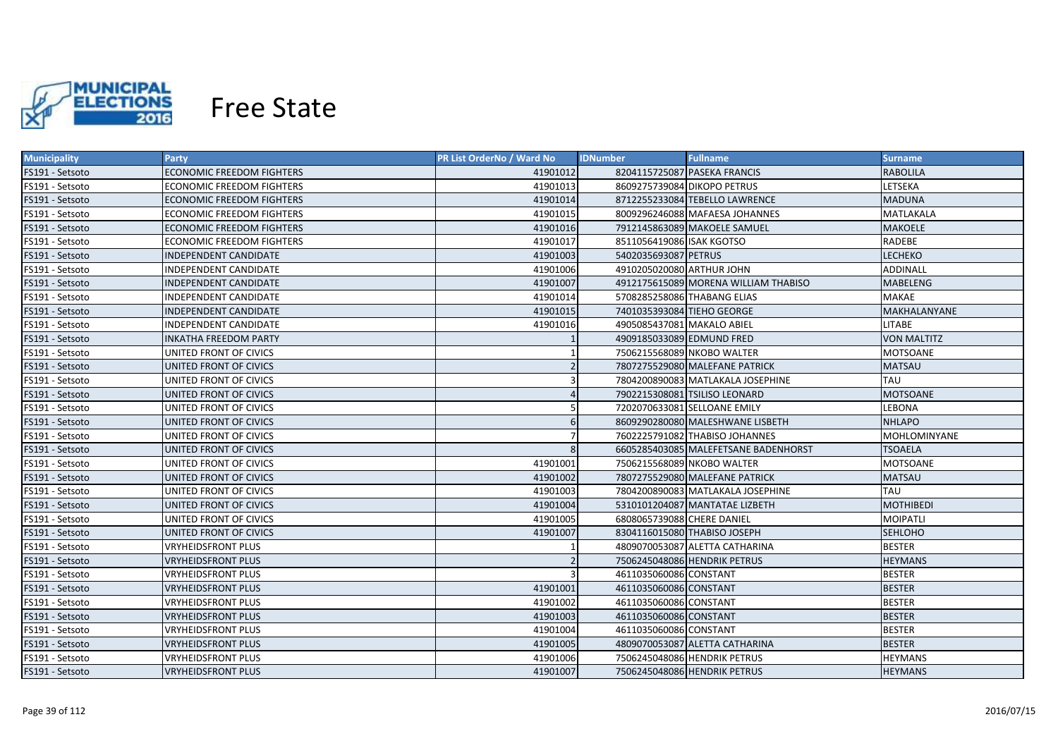

| <b>Municipality</b> | Party                            | <b>PR List OrderNo / Ward No</b> | <b>IDNumber</b>              | <b>Fullname</b>                      | <b>Surname</b>     |
|---------------------|----------------------------------|----------------------------------|------------------------------|--------------------------------------|--------------------|
| FS191 - Setsoto     | ECONOMIC FREEDOM FIGHTERS        | 41901012                         | 8204115725087 PASEKA FRANCIS |                                      | <b>RABOLILA</b>    |
| FS191 - Setsoto     | ECONOMIC FREEDOM FIGHTERS        | 41901013                         | 8609275739084 DIKOPO PETRUS  |                                      | LETSEKA            |
| FS191 - Setsoto     | ECONOMIC FREEDOM FIGHTERS        | 41901014                         |                              | 8712255233084 TEBELLO LAWRENCE       | <b>MADUNA</b>      |
| FS191 - Setsoto     | ECONOMIC FREEDOM FIGHTERS        | 41901015                         |                              | 8009296246088 MAFAESA JOHANNES       | MATLAKALA          |
| FS191 - Setsoto     | <b>ECONOMIC FREEDOM FIGHTERS</b> | 41901016                         |                              | 7912145863089 MAKOELE SAMUEL         | <b>MAKOELE</b>     |
| FS191 - Setsoto     | ECONOMIC FREEDOM FIGHTERS        | 41901017                         | 8511056419086 ISAK KGOTSO    |                                      | RADEBE             |
| FS191 - Setsoto     | INDEPENDENT CANDIDATE            | 41901003                         | 5402035693087 PETRUS         |                                      | LECHEKO            |
| FS191 - Setsoto     | INDEPENDENT CANDIDATE            | 41901006                         | 4910205020080 ARTHUR JOHN    |                                      | <b>ADDINALL</b>    |
| FS191 - Setsoto     | INDEPENDENT CANDIDATE            | 41901007                         |                              | 4912175615089 MORENA WILLIAM THABISO | MABELENG           |
| FS191 - Setsoto     | INDEPENDENT CANDIDATE            | 41901014                         | 5708285258086 THABANG ELIAS  |                                      | MAKAE              |
| FS191 - Setsoto     | INDEPENDENT CANDIDATE            | 41901015                         | 7401035393084 TIEHO GEORGE   |                                      | MAKHALANYANE       |
| FS191 - Setsoto     | INDEPENDENT CANDIDATE            | 41901016                         | 4905085437081 MAKALO ABIEL   |                                      | <b>LITABE</b>      |
| FS191 - Setsoto     | <b>INKATHA FREEDOM PARTY</b>     |                                  | 4909185033089 EDMUND FRED    |                                      | <b>VON MALTITZ</b> |
| FS191 - Setsoto     | UNITED FRONT OF CIVICS           |                                  | 7506215568089 NKOBO WALTER   |                                      | MOTSOANE           |
| FS191 - Setsoto     | UNITED FRONT OF CIVICS           | 2                                |                              | 7807275529080 MALEFANE PATRICK       | <b>MATSAU</b>      |
| FS191 - Setsoto     | UNITED FRONT OF CIVICS           |                                  |                              | 7804200890083 MATLAKALA JOSEPHINE    | <b>TAU</b>         |
| FS191 - Setsoto     | UNITED FRONT OF CIVICS           |                                  |                              | 7902215308081 TSILISO LEONARD        | <b>MOTSOANE</b>    |
| FS191 - Setsoto     | UNITED FRONT OF CIVICS           |                                  | 7202070633081 SELLOANE EMILY |                                      | LEBONA             |
| FS191 - Setsoto     | UNITED FRONT OF CIVICS           | $6\overline{6}$                  |                              | 8609290280080 MALESHWANE LISBETH     | <b>NHLAPO</b>      |
| FS191 - Setsoto     | UNITED FRONT OF CIVICS           |                                  |                              | 7602225791082 THABISO JOHANNES       | MOHLOMINYANE       |
| FS191 - Setsoto     | UNITED FRONT OF CIVICS           | $\mathsf{R}$                     |                              | 6605285403085 MALEFETSANE BADENHORST | <b>TSOAELA</b>     |
| FS191 - Setsoto     | UNITED FRONT OF CIVICS           | 41901001                         | 7506215568089 NKOBO WALTER   |                                      | <b>MOTSOANE</b>    |
| FS191 - Setsoto     | UNITED FRONT OF CIVICS           | 41901002                         |                              | 7807275529080 MALEFANE PATRICK       | <b>MATSAU</b>      |
| FS191 - Setsoto     | UNITED FRONT OF CIVICS           | 41901003                         |                              | 7804200890083 MATLAKALA JOSEPHINE    | <b>TAU</b>         |
| FS191 - Setsoto     | UNITED FRONT OF CIVICS           | 41901004                         |                              | 5310101204087 MANTATAE LIZBETH       | <b>MOTHIBEDI</b>   |
| FS191 - Setsoto     | UNITED FRONT OF CIVICS           | 41901005                         | 6808065739088 CHERE DANIEL   |                                      | MOIPATLI           |
| FS191 - Setsoto     | UNITED FRONT OF CIVICS           | 41901007                         | 8304116015080 THABISO JOSEPH |                                      | <b>SEHLOHO</b>     |
| FS191 - Setsoto     | VRYHEIDSFRONT PLUS               |                                  |                              | 4809070053087 ALETTA CATHARINA       | <b>BESTER</b>      |
| FS191 - Setsoto     | <b>VRYHEIDSFRONT PLUS</b>        |                                  |                              | 7506245048086 HENDRIK PETRUS         | <b>HEYMANS</b>     |
| FS191 - Setsoto     | <b>VRYHEIDSFRONT PLUS</b>        |                                  | 4611035060086 CONSTANT       |                                      | <b>BESTER</b>      |
| FS191 - Setsoto     | VRYHEIDSFRONT PLUS               | 41901001                         | 4611035060086 CONSTANT       |                                      | <b>BESTER</b>      |
| FS191 - Setsoto     | VRYHEIDSFRONT PLUS               | 41901002                         | 4611035060086 CONSTANT       |                                      | <b>BESTER</b>      |
| FS191 - Setsoto     | VRYHEIDSFRONT PLUS               | 41901003                         | 4611035060086 CONSTANT       |                                      | <b>BESTER</b>      |
| FS191 - Setsoto     | <b>VRYHEIDSFRONT PLUS</b>        | 41901004                         | 4611035060086 CONSTANT       |                                      | <b>BESTER</b>      |
| FS191 - Setsoto     | <b>VRYHEIDSFRONT PLUS</b>        | 41901005                         |                              | 4809070053087 ALETTA CATHARINA       | <b>BESTER</b>      |
| FS191 - Setsoto     | <b>VRYHEIDSFRONT PLUS</b>        | 41901006                         |                              | 7506245048086 HENDRIK PETRUS         | <b>HEYMANS</b>     |
| FS191 - Setsoto     | <b>VRYHEIDSFRONT PLUS</b>        | 41901007                         |                              | 7506245048086 HENDRIK PETRUS         | <b>HEYMANS</b>     |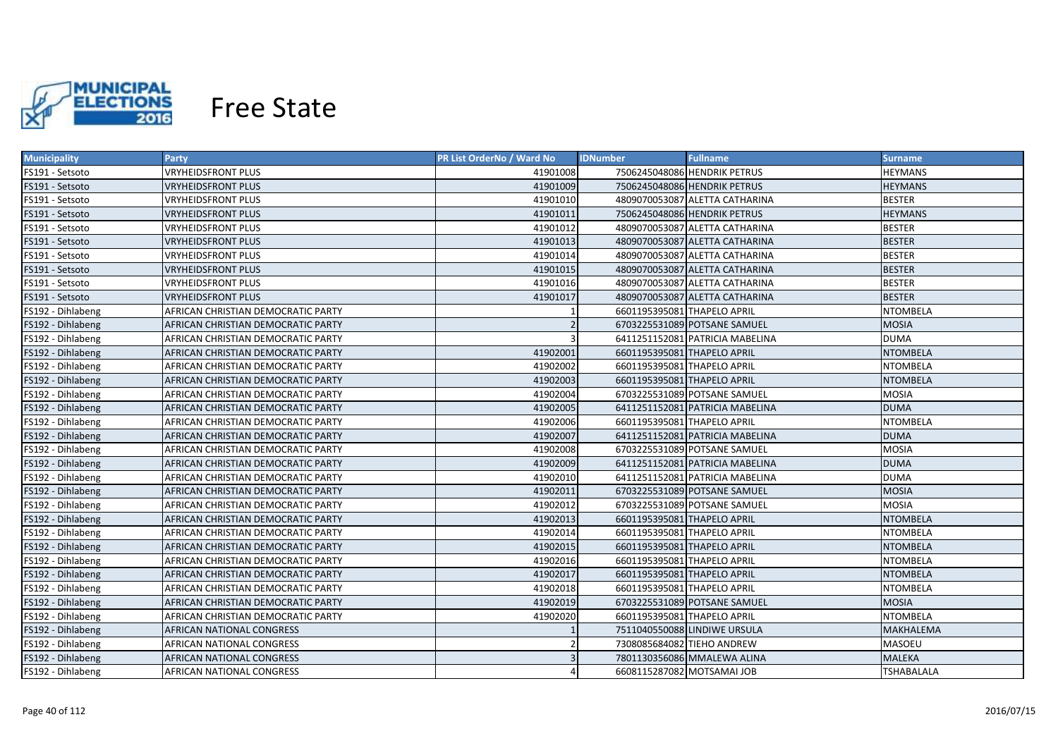

| <b>Municipality</b> | <b>Party</b>                              | <b>PR List OrderNo / Ward No</b> | <b>Fullname</b><br><b>IDNumber</b> | Surname           |
|---------------------|-------------------------------------------|----------------------------------|------------------------------------|-------------------|
| FS191 - Setsoto     | <b>VRYHEIDSFRONT PLUS</b>                 | 41901008                         | 7506245048086 HENDRIK PETRUS       | <b>HEYMANS</b>    |
| FS191 - Setsoto     | <b>VRYHEIDSFRONT PLUS</b>                 | 41901009                         | 7506245048086 HENDRIK PETRUS       | <b>HEYMANS</b>    |
| FS191 - Setsoto     | <b>VRYHEIDSFRONT PLUS</b>                 | 41901010                         | 4809070053087 ALETTA CATHARINA     | <b>BESTER</b>     |
| FS191 - Setsoto     | <b>VRYHEIDSFRONT PLUS</b>                 | 41901011                         | 7506245048086 HENDRIK PETRUS       | <b>HEYMANS</b>    |
| FS191 - Setsoto     | <b>VRYHEIDSFRONT PLUS</b>                 | 41901012                         | 4809070053087 ALETTA CATHARINA     | <b>BESTER</b>     |
| FS191 - Setsoto     | <b>VRYHEIDSFRONT PLUS</b>                 | 41901013                         | 4809070053087 ALETTA CATHARINA     | <b>BESTER</b>     |
| FS191 - Setsoto     | <b>VRYHEIDSFRONT PLUS</b>                 | 41901014                         | 4809070053087 ALETTA CATHARINA     | <b>BESTER</b>     |
| FS191 - Setsoto     | <b>VRYHEIDSFRONT PLUS</b>                 | 41901015                         | 4809070053087 ALETTA CATHARINA     | <b>BESTER</b>     |
| FS191 - Setsoto     | <b>VRYHEIDSFRONT PLUS</b>                 | 41901016                         | 4809070053087 ALETTA CATHARINA     | <b>BESTER</b>     |
| FS191 - Setsoto     | <b>VRYHEIDSFRONT PLUS</b>                 | 41901017                         | 4809070053087 ALETTA CATHARINA     | <b>BESTER</b>     |
| FS192 - Dihlabeng   | AFRICAN CHRISTIAN DEMOCRATIC PARTY        |                                  | 6601195395081 THAPELO APRIL        | <b>NTOMBELA</b>   |
| FS192 - Dihlabeng   | AFRICAN CHRISTIAN DEMOCRATIC PARTY        |                                  | 6703225531089 POTSANE SAMUEL       | <b>MOSIA</b>      |
| FS192 - Dihlabeng   | AFRICAN CHRISTIAN DEMOCRATIC PARTY        |                                  | 6411251152081 PATRICIA MABELINA    | <b>DUMA</b>       |
| FS192 - Dihlabeng   | AFRICAN CHRISTIAN DEMOCRATIC PARTY        | 41902001                         | 6601195395081 THAPELO APRIL        | <b>NTOMBELA</b>   |
| FS192 - Dihlabeng   | AFRICAN CHRISTIAN DEMOCRATIC PARTY        | 41902002                         | 6601195395081 THAPELO APRIL        | <b>NTOMBELA</b>   |
| FS192 - Dihlabeng   | AFRICAN CHRISTIAN DEMOCRATIC PARTY        | 41902003                         | 6601195395081 THAPELO APRIL        | <b>NTOMBELA</b>   |
| FS192 - Dihlabeng   | AFRICAN CHRISTIAN DEMOCRATIC PARTY        | 41902004                         | 6703225531089 POTSANE SAMUEL       | <b>MOSIA</b>      |
| FS192 - Dihlabeng   | AFRICAN CHRISTIAN DEMOCRATIC PARTY        | 41902005                         | 6411251152081 PATRICIA MABELINA    | <b>DUMA</b>       |
| FS192 - Dihlabeng   | AFRICAN CHRISTIAN DEMOCRATIC PARTY        | 41902006                         | 6601195395081 THAPELO APRIL        | <b>NTOMBELA</b>   |
| FS192 - Dihlabeng   | AFRICAN CHRISTIAN DEMOCRATIC PARTY        | 41902007                         | 6411251152081 PATRICIA MABELINA    | <b>DUMA</b>       |
| FS192 - Dihlabeng   | AFRICAN CHRISTIAN DEMOCRATIC PARTY        | 41902008                         | 6703225531089 POTSANE SAMUEL       | <b>MOSIA</b>      |
| FS192 - Dihlabeng   | AFRICAN CHRISTIAN DEMOCRATIC PARTY        | 41902009                         | 6411251152081 PATRICIA MABELINA    | <b>DUMA</b>       |
| FS192 - Dihlabeng   | AFRICAN CHRISTIAN DEMOCRATIC PARTY        | 41902010                         | 6411251152081 PATRICIA MABELINA    | <b>DUMA</b>       |
| FS192 - Dihlabeng   | <b>AFRICAN CHRISTIAN DEMOCRATIC PARTY</b> | 41902011                         | 6703225531089 POTSANE SAMUEL       | <b>MOSIA</b>      |
| FS192 - Dihlabeng   | AFRICAN CHRISTIAN DEMOCRATIC PARTY        | 41902012                         | 6703225531089 POTSANE SAMUEL       | <b>MOSIA</b>      |
| FS192 - Dihlabeng   | AFRICAN CHRISTIAN DEMOCRATIC PARTY        | 41902013                         | 6601195395081 THAPELO APRIL        | <b>NTOMBELA</b>   |
| FS192 - Dihlabeng   | AFRICAN CHRISTIAN DEMOCRATIC PARTY        | 41902014                         | 6601195395081 THAPELO APRIL        | <b>NTOMBELA</b>   |
| FS192 - Dihlabeng   | AFRICAN CHRISTIAN DEMOCRATIC PARTY        | 41902015                         | 6601195395081 THAPELO APRIL        | <b>NTOMBELA</b>   |
| FS192 - Dihlabeng   | AFRICAN CHRISTIAN DEMOCRATIC PARTY        | 41902016                         | 6601195395081 THAPELO APRIL        | <b>NTOMBELA</b>   |
| FS192 - Dihlabeng   | AFRICAN CHRISTIAN DEMOCRATIC PARTY        | 41902017                         | 6601195395081 THAPELO APRIL        | NTOMBELA          |
| FS192 - Dihlabeng   | AFRICAN CHRISTIAN DEMOCRATIC PARTY        | 41902018                         | 6601195395081 THAPELO APRIL        | <b>NTOMBELA</b>   |
| FS192 - Dihlabeng   | AFRICAN CHRISTIAN DEMOCRATIC PARTY        | 41902019                         | 6703225531089 POTSANE SAMUEL       | <b>MOSIA</b>      |
| FS192 - Dihlabeng   | AFRICAN CHRISTIAN DEMOCRATIC PARTY        | 41902020                         | 6601195395081 THAPELO APRIL        | <b>NTOMBELA</b>   |
| FS192 - Dihlabeng   | AFRICAN NATIONAL CONGRESS                 |                                  | 7511040550088 LINDIWE URSULA       | MAKHALEMA         |
| FS192 - Dihlabeng   | AFRICAN NATIONAL CONGRESS                 |                                  | 7308085684082 TIEHO ANDREW         | MASOEU            |
| FS192 - Dihlabeng   | AFRICAN NATIONAL CONGRESS                 |                                  | 7801130356086 MMALEWA ALINA        | <b>MALEKA</b>     |
| FS192 - Dihlabeng   | AFRICAN NATIONAL CONGRESS                 |                                  | 6608115287082 MOTSAMAI JOB         | <b>TSHABALALA</b> |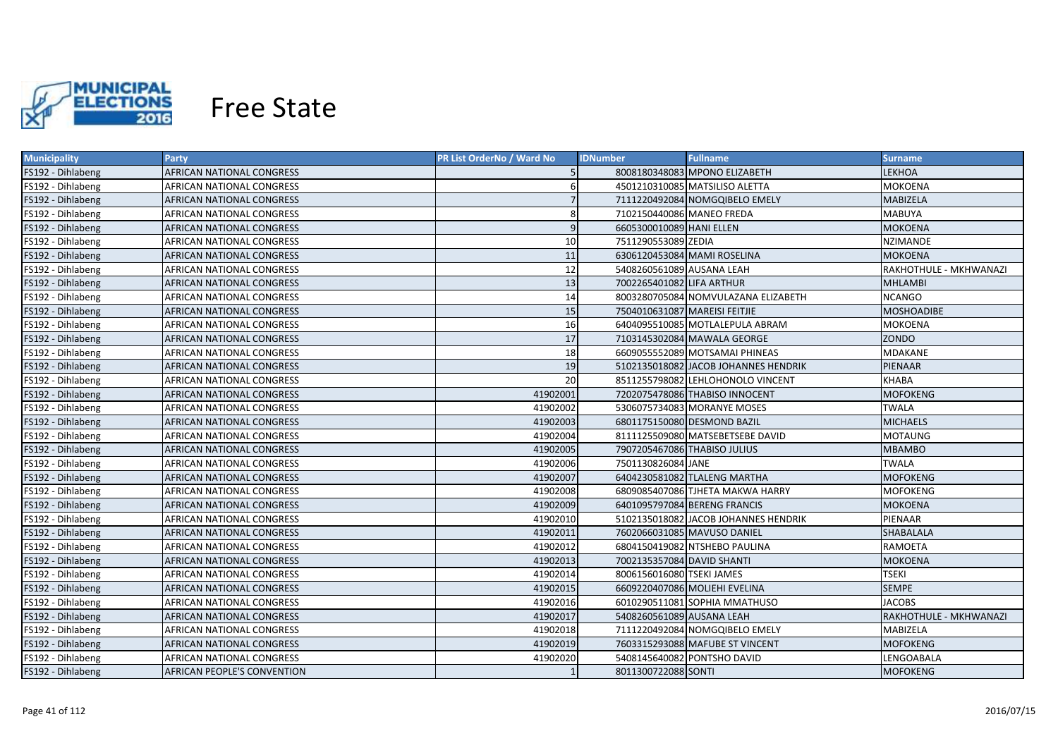

| <b>Municipality</b> | Party                              | <b>PR List OrderNo / Ward No</b> | <b>Fullname</b><br><b>IDNumber</b>        | <b>Surname</b>         |
|---------------------|------------------------------------|----------------------------------|-------------------------------------------|------------------------|
| FS192 - Dihlabeng   | AFRICAN NATIONAL CONGRESS          |                                  | 8008180348083 MPONO ELIZABETH             | LEKHOA                 |
| FS192 - Dihlabeng   | AFRICAN NATIONAL CONGRESS          | 6                                | 4501210310085 MATSILISO ALETTA<br>MOKOENA |                        |
| FS192 - Dihlabeng   | AFRICAN NATIONAL CONGRESS          |                                  | 7111220492084 NOMGQIBELO EMELY            | MABIZELA               |
| FS192 - Dihlabeng   | AFRICAN NATIONAL CONGRESS          | 8                                | 7102150440086 MANEO FREDA                 | <b>MABUYA</b>          |
| FS192 - Dihlabeng   | AFRICAN NATIONAL CONGRESS          | $\overline{9}$                   | 6605300010089 HANI ELLEN                  | <b>MOKOENA</b>         |
| FS192 - Dihlabeng   | AFRICAN NATIONAL CONGRESS          | 10                               | 7511290553089 ZEDIA                       | <b>NZIMANDE</b>        |
| FS192 - Dihlabeng   | AFRICAN NATIONAL CONGRESS          | 11                               | 6306120453084 MAMI ROSELINA               | <b>MOKOENA</b>         |
| FS192 - Dihlabeng   | AFRICAN NATIONAL CONGRESS          | 12                               | 5408260561089 AUSANA LEAH                 | RAKHOTHULE - MKHWANAZI |
| FS192 - Dihlabeng   | AFRICAN NATIONAL CONGRESS          | 13                               | 7002265401082 LIFA ARTHUR                 | <b>MHLAMBI</b>         |
| FS192 - Dihlabeng   | AFRICAN NATIONAL CONGRESS          | 14                               | 8003280705084 NOMVULAZANA ELIZABETH       | <b>NCANGO</b>          |
| FS192 - Dihlabeng   | AFRICAN NATIONAL CONGRESS          | 15                               | 7504010631087 MAREISI FEITJIE             | <b>MOSHOADIBE</b>      |
| FS192 - Dihlabeng   | AFRICAN NATIONAL CONGRESS          | 16                               | 6404095510085 MOTLALEPULA ABRAM           | <b>MOKOENA</b>         |
| FS192 - Dihlabeng   | AFRICAN NATIONAL CONGRESS          | 17                               | 7103145302084 MAWALA GEORGE               | ZONDO                  |
| FS192 - Dihlabeng   | AFRICAN NATIONAL CONGRESS          | 18                               | 6609055552089 MOTSAMAI PHINEAS            | MDAKANE                |
| FS192 - Dihlabeng   | AFRICAN NATIONAL CONGRESS          | 19                               | 5102135018082 JACOB JOHANNES HENDRIK      | PIENAAR                |
| FS192 - Dihlabeng   | AFRICAN NATIONAL CONGRESS          | 20                               | 8511255798082 LEHLOHONOLO VINCENT         | <b>KHABA</b>           |
| FS192 - Dihlabeng   | <b>AFRICAN NATIONAL CONGRESS</b>   | 41902001                         | 7202075478086 THABISO INNOCENT            | <b>MOFOKENG</b>        |
| FS192 - Dihlabeng   | AFRICAN NATIONAL CONGRESS          | 41902002                         | 5306075734083 MORANYE MOSES               | TWALA                  |
| FS192 - Dihlabeng   | <b>AFRICAN NATIONAL CONGRESS</b>   | 41902003                         | 6801175150080 DESMOND BAZIL               | <b>MICHAELS</b>        |
| FS192 - Dihlabeng   | <b>AFRICAN NATIONAL CONGRESS</b>   | 41902004                         | 8111125509080 MATSEBETSEBE DAVID          | <b>MOTAUNG</b>         |
| FS192 - Dihlabeng   | AFRICAN NATIONAL CONGRESS          | 41902005                         | 7907205467086 THABISO JULIUS              | MBAMBO                 |
| FS192 - Dihlabeng   | AFRICAN NATIONAL CONGRESS          | 41902006                         | 7501130826084 JANE                        | <b>TWALA</b>           |
| FS192 - Dihlabeng   | AFRICAN NATIONAL CONGRESS          | 41902007                         | 6404230581082 TLALENG MARTHA              | <b>MOFOKENG</b>        |
| FS192 - Dihlabeng   | AFRICAN NATIONAL CONGRESS          | 41902008                         | 6809085407086 TJHETA MAKWA HARRY          | <b>MOFOKENG</b>        |
| FS192 - Dihlabeng   | AFRICAN NATIONAL CONGRESS          | 41902009                         | 6401095797084 BERENG FRANCIS              | MOKOENA                |
| FS192 - Dihlabeng   | AFRICAN NATIONAL CONGRESS          | 41902010                         | 5102135018082 JACOB JOHANNES HENDRIK      | PIENAAR                |
| FS192 - Dihlabeng   | AFRICAN NATIONAL CONGRESS          | 41902011                         | 7602066031085 MAVUSO DANIEL               | SHABALALA              |
| FS192 - Dihlabeng   | AFRICAN NATIONAL CONGRESS          | 41902012                         | 6804150419082 NTSHEBO PAULINA             | RAMOETA                |
| FS192 - Dihlabeng   | AFRICAN NATIONAL CONGRESS          | 41902013                         | 7002135357084 DAVID SHANTI                | MOKOENA                |
| FS192 - Dihlabeng   | AFRICAN NATIONAL CONGRESS          | 41902014                         | 8006156016080 TSEKI JAMES                 | <b>TSEKI</b>           |
| FS192 - Dihlabeng   | AFRICAN NATIONAL CONGRESS          | 41902015                         | 6609220407086 MOLIEHI EVELINA             | <b>SEMPE</b>           |
| FS192 - Dihlabeng   | AFRICAN NATIONAL CONGRESS          | 41902016                         | 6010290511081 SOPHIA MMATHUSO             | <b>JACOBS</b>          |
| FS192 - Dihlabeng   | AFRICAN NATIONAL CONGRESS          | 41902017                         | 5408260561089 AUSANA LEAH                 | RAKHOTHULE - MKHWANAZI |
| FS192 - Dihlabeng   | AFRICAN NATIONAL CONGRESS          | 41902018                         | 7111220492084 NOMGQIBELO EMELY            | MABIZELA               |
| FS192 - Dihlabeng   | AFRICAN NATIONAL CONGRESS          | 41902019                         | 7603315293088 MAFUBE ST VINCENT           | <b>MOFOKENG</b>        |
| FS192 - Dihlabeng   | <b>AFRICAN NATIONAL CONGRESS</b>   | 41902020                         | 5408145640082 PONTSHO DAVID               | LENGOABALA             |
| FS192 - Dihlabeng   | <b>AFRICAN PEOPLE'S CONVENTION</b> |                                  | 8011300722088 SONTI                       | <b>MOFOKENG</b>        |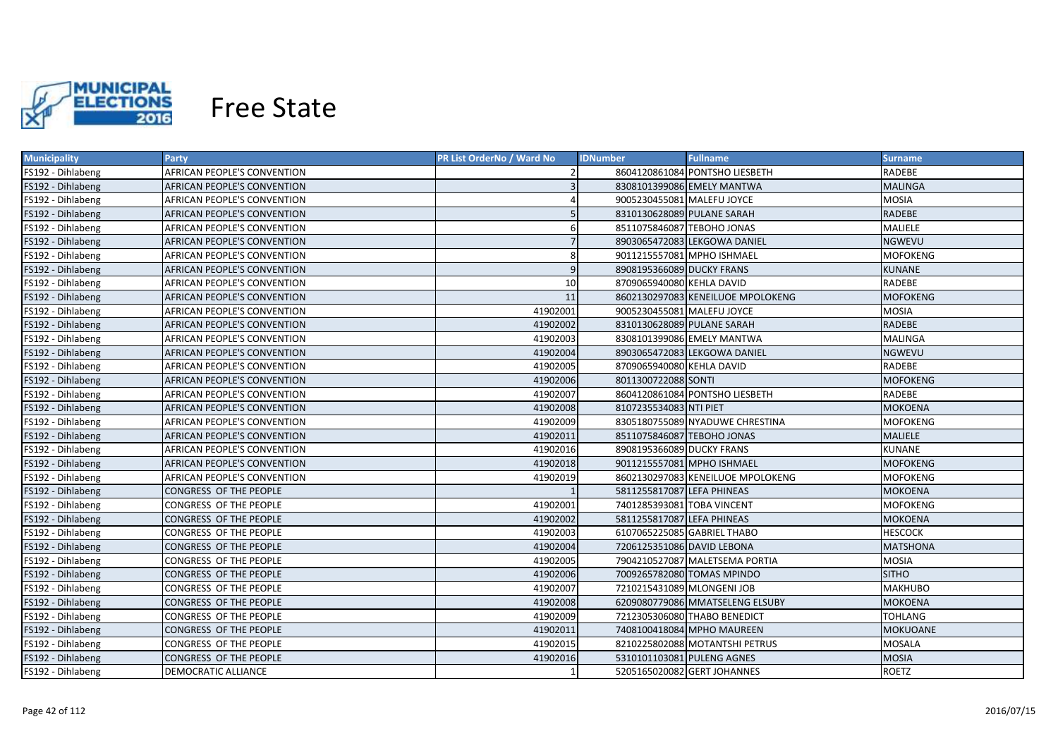

| <b>Municipality</b> | <b>Party</b>                       | <b>PR List OrderNo / Ward No</b> | <b>Fullname</b><br><b>IDNumber</b>       | <b>Surname</b>  |
|---------------------|------------------------------------|----------------------------------|------------------------------------------|-----------------|
| FS192 - Dihlabeng   | AFRICAN PEOPLE'S CONVENTION        |                                  | 8604120861084 PONTSHO LIESBETH<br>RADEBE |                 |
| FS192 - Dihlabeng   | AFRICAN PEOPLE'S CONVENTION        |                                  | 8308101399086 EMELY MANTWA               | <b>MALINGA</b>  |
| FS192 - Dihlabeng   | AFRICAN PEOPLE'S CONVENTION        |                                  | 9005230455081 MALEFU JOYCE               | <b>MOSIA</b>    |
| FS192 - Dihlabeng   | AFRICAN PEOPLE'S CONVENTION        |                                  | 8310130628089 PULANE SARAH               | <b>RADEBE</b>   |
| FS192 - Dihlabeng   | AFRICAN PEOPLE'S CONVENTION        | 6                                | 8511075846087 TEBOHO JONAS               | MALIELE         |
| FS192 - Dihlabeng   | AFRICAN PEOPLE'S CONVENTION        | $\overline{7}$                   | 8903065472083 LEKGOWA DANIEL             | <b>NGWEVU</b>   |
| FS192 - Dihlabeng   | AFRICAN PEOPLE'S CONVENTION        | 8                                | 9011215557081 MPHO ISHMAEL               | <b>MOFOKENG</b> |
| FS192 - Dihlabeng   | <b>AFRICAN PEOPLE'S CONVENTION</b> | $\overline{9}$                   | 8908195366089 DUCKY FRANS                | <b>KUNANE</b>   |
| FS192 - Dihlabeng   | AFRICAN PEOPLE'S CONVENTION        | 10 <sup>1</sup>                  | 8709065940080 KEHLA DAVID                | <b>RADEBE</b>   |
| FS192 - Dihlabeng   | AFRICAN PEOPLE'S CONVENTION        | 11                               | 8602130297083 KENEILUOE MPOLOKENG        | <b>MOFOKENG</b> |
| FS192 - Dihlabeng   | AFRICAN PEOPLE'S CONVENTION        | 41902001                         | 9005230455081 MALEFU JOYCE               | <b>MOSIA</b>    |
| FS192 - Dihlabeng   | <b>AFRICAN PEOPLE'S CONVENTION</b> | 41902002                         | 8310130628089 PULANE SARAH               | <b>RADEBE</b>   |
| FS192 - Dihlabeng   | <b>AFRICAN PEOPLE'S CONVENTION</b> | 41902003                         | 8308101399086 EMELY MANTWA               | <b>MALINGA</b>  |
| FS192 - Dihlabeng   | AFRICAN PEOPLE'S CONVENTION        | 41902004                         | 8903065472083 LEKGOWA DANIEL             | <b>NGWEVU</b>   |
| FS192 - Dihlabeng   | <b>AFRICAN PEOPLE'S CONVENTION</b> | 41902005                         | 8709065940080 KEHLA DAVID                | RADEBE          |
| FS192 - Dihlabeng   | AFRICAN PEOPLE'S CONVENTION        | 41902006                         | 8011300722088 SONTI                      | <b>MOFOKENG</b> |
| FS192 - Dihlabeng   | AFRICAN PEOPLE'S CONVENTION        | 41902007                         | 8604120861084 PONTSHO LIESBETH           | <b>RADEBE</b>   |
| FS192 - Dihlabeng   | AFRICAN PEOPLE'S CONVENTION        | 41902008                         | 8107235534083 NTI PIET                   | <b>MOKOENA</b>  |
| FS192 - Dihlabeng   | AFRICAN PEOPLE'S CONVENTION        | 41902009                         | 8305180755089 NYADUWE CHRESTINA          | <b>MOFOKENG</b> |
| FS192 - Dihlabeng   | AFRICAN PEOPLE'S CONVENTION        | 41902011                         | 8511075846087 TEBOHO JONAS               | <b>MALIELE</b>  |
| FS192 - Dihlabeng   | AFRICAN PEOPLE'S CONVENTION        | 41902016                         | 8908195366089 DUCKY FRANS                | <b>KUNANE</b>   |
| FS192 - Dihlabeng   | AFRICAN PEOPLE'S CONVENTION        | 41902018                         | 9011215557081 MPHO ISHMAEL               | <b>MOFOKENG</b> |
| FS192 - Dihlabeng   | AFRICAN PEOPLE'S CONVENTION        | 41902019                         | 8602130297083 KENEILUOE MPOLOKENG        | <b>MOFOKENG</b> |
| FS192 - Dihlabeng   | CONGRESS OF THE PEOPLE             |                                  | 5811255817087 LEFA PHINEAS               | <b>MOKOENA</b>  |
| FS192 - Dihlabeng   | CONGRESS OF THE PEOPLE             | 41902001                         | 7401285393081 TOBA VINCENT               | <b>MOFOKENG</b> |
| FS192 - Dihlabeng   | CONGRESS OF THE PEOPLE             | 41902002                         | 5811255817087 LEFA PHINEAS               | <b>MOKOENA</b>  |
| FS192 - Dihlabeng   | CONGRESS OF THE PEOPLE             | 41902003                         | 6107065225085 GABRIEL THABO              | <b>HESCOCK</b>  |
| FS192 - Dihlabeng   | CONGRESS OF THE PEOPLE             | 41902004                         | 7206125351086 DAVID LEBONA               | <b>MATSHONA</b> |
| FS192 - Dihlabeng   | CONGRESS OF THE PEOPLE             | 41902005                         | 7904210527087 MALETSEMA PORTIA           | <b>MOSIA</b>    |
| FS192 - Dihlabeng   | CONGRESS OF THE PEOPLE             | 41902006                         | 7009265782080 TOMAS MPINDO               | <b>SITHO</b>    |
| FS192 - Dihlabeng   | CONGRESS OF THE PEOPLE             | 41902007                         | 7210215431089 MLONGENI JOB               | <b>MAKHUBO</b>  |
| FS192 - Dihlabeng   | CONGRESS OF THE PEOPLE             | 41902008                         | 6209080779086 MMATSELENG ELSUBY          | <b>MOKOENA</b>  |
| FS192 - Dihlabeng   | CONGRESS OF THE PEOPLE             | 41902009                         | 7212305306080 THABO BENEDICT             | <b>TOHLANG</b>  |
| FS192 - Dihlabeng   | <b>CONGRESS OF THE PEOPLE</b>      | 41902011                         | 7408100418084 MPHO MAUREEN               | <b>MOKUOANE</b> |
| FS192 - Dihlabeng   | CONGRESS OF THE PEOPLE             | 41902015                         | 8210225802088 MOTANTSHI PETRUS           | <b>MOSALA</b>   |
| FS192 - Dihlabeng   | CONGRESS OF THE PEOPLE             | 41902016                         | 5310101103081 PULENG AGNES               | <b>MOSIA</b>    |
| FS192 - Dihlabeng   | <b>DEMOCRATIC ALLIANCE</b>         |                                  | 5205165020082 GERT JOHANNES              | <b>ROETZ</b>    |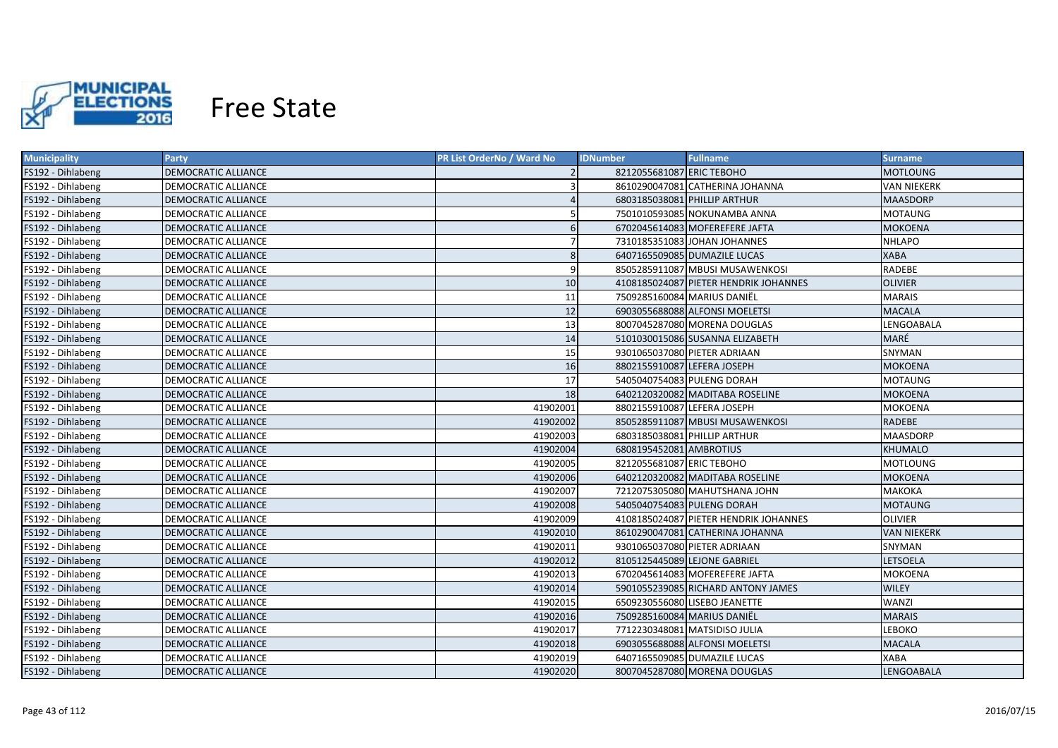

| <b>Municipality</b> | <b>Party</b>               | <b>PR List OrderNo / Ward No</b> | <b>Fullname</b><br><b>IDNumber</b>    | <b>Surname</b>     |
|---------------------|----------------------------|----------------------------------|---------------------------------------|--------------------|
| FS192 - Dihlabeng   | DEMOCRATIC ALLIANCE        |                                  | 8212055681087 ERIC TEBOHO             | <b>MOTLOUNG</b>    |
| FS192 - Dihlabeng   | DEMOCRATIC ALLIANCE        |                                  | 8610290047081 CATHERINA JOHANNA       | <b>VAN NIEKERK</b> |
| FS192 - Dihlabeng   | <b>DEMOCRATIC ALLIANCE</b> |                                  | 6803185038081 PHILLIP ARTHUR          | <b>MAASDORP</b>    |
| FS192 - Dihlabeng   | <b>DEMOCRATIC ALLIANCE</b> |                                  | 7501010593085 NOKUNAMBA ANNA          | <b>MOTAUNG</b>     |
| FS192 - Dihlabeng   | <b>DEMOCRATIC ALLIANCE</b> | 6                                | 6702045614083 MOFEREFERE JAFTA        | <b>MOKOENA</b>     |
| FS192 - Dihlabeng   | <b>DEMOCRATIC ALLIANCE</b> | $\overline{7}$                   | 7310185351083 JOHAN JOHANNES          | <b>NHLAPO</b>      |
| FS192 - Dihlabeng   | <b>DEMOCRATIC ALLIANCE</b> | 8                                | 6407165509085 DUMAZILE LUCAS          | <b>XABA</b>        |
| FS192 - Dihlabeng   | <b>DEMOCRATIC ALLIANCE</b> | $\overline{9}$                   | 8505285911087 MBUSI MUSAWENKOSI       | RADEBE             |
| FS192 - Dihlabeng   | <b>DEMOCRATIC ALLIANCE</b> | 10                               | 4108185024087 PIETER HENDRIK JOHANNES | <b>OLIVIER</b>     |
| FS192 - Dihlabeng   | <b>DEMOCRATIC ALLIANCE</b> | 11                               | 7509285160084 MARIUS DANIËL           | <b>MARAIS</b>      |
| FS192 - Dihlabeng   | <b>DEMOCRATIC ALLIANCE</b> | 12                               | 6903055688088 ALFONSI MOELETSI        | <b>MACALA</b>      |
| FS192 - Dihlabeng   | <b>DEMOCRATIC ALLIANCE</b> | 13                               | 8007045287080 MORENA DOUGLAS          | LENGOABALA         |
| FS192 - Dihlabeng   | <b>DEMOCRATIC ALLIANCE</b> | 14                               | 5101030015086 SUSANNA ELIZABETH       | MARÉ               |
| FS192 - Dihlabeng   | <b>DEMOCRATIC ALLIANCE</b> | 15                               | 9301065037080 PIETER ADRIAAN          | SNYMAN             |
| FS192 - Dihlabeng   | <b>DEMOCRATIC ALLIANCE</b> | 16                               | 8802155910087 LEFERA JOSEPH           | <b>MOKOENA</b>     |
| FS192 - Dihlabeng   | DEMOCRATIC ALLIANCE        | 17                               | 5405040754083 PULENG DORAH            | <b>MOTAUNG</b>     |
| FS192 - Dihlabeng   | <b>DEMOCRATIC ALLIANCE</b> | 18                               | 6402120320082 MADITABA ROSELINE       | <b>MOKOENA</b>     |
| FS192 - Dihlabeng   | <b>DEMOCRATIC ALLIANCE</b> | 41902001                         | 8802155910087 LEFERA JOSEPH           | MOKOENA            |
| FS192 - Dihlabeng   | <b>DEMOCRATIC ALLIANCE</b> | 41902002                         | 8505285911087 MBUSI MUSAWENKOSI       | RADEBE             |
| FS192 - Dihlabeng   | <b>DEMOCRATIC ALLIANCE</b> | 41902003                         | 6803185038081 PHILLIP ARTHUR          | <b>MAASDORP</b>    |
| FS192 - Dihlabeng   | DEMOCRATIC ALLIANCE        | 41902004                         | 6808195452081 AMBROTIUS               | <b>KHUMALO</b>     |
| FS192 - Dihlabeng   | DEMOCRATIC ALLIANCE        | 41902005                         | 8212055681087 ERIC TEBOHO             | <b>MOTLOUNG</b>    |
| FS192 - Dihlabeng   | <b>DEMOCRATIC ALLIANCE</b> | 41902006                         | 6402120320082 MADITABA ROSELINE       | <b>MOKOENA</b>     |
| FS192 - Dihlabeng   | DEMOCRATIC ALLIANCE        | 41902007                         | 7212075305080 MAHUTSHANA JOHN         | <b>MAKOKA</b>      |
| FS192 - Dihlabeng   | DEMOCRATIC ALLIANCE        | 41902008                         | 5405040754083 PULENG DORAH            | <b>MOTAUNG</b>     |
| FS192 - Dihlabeng   | <b>DEMOCRATIC ALLIANCE</b> | 41902009                         | 4108185024087 PIETER HENDRIK JOHANNES | <b>OLIVIER</b>     |
| FS192 - Dihlabeng   | <b>DEMOCRATIC ALLIANCE</b> | 41902010                         | 8610290047081 CATHERINA JOHANNA       | <b>VAN NIEKERK</b> |
| FS192 - Dihlabeng   | <b>DEMOCRATIC ALLIANCE</b> | 41902011                         | 9301065037080 PIETER ADRIAAN          | SNYMAN             |
| FS192 - Dihlabeng   | <b>DEMOCRATIC ALLIANCE</b> | 41902012                         | 8105125445089 LEJONE GABRIEL          | LETSOELA           |
| FS192 - Dihlabeng   | DEMOCRATIC ALLIANCE        | 41902013                         | 6702045614083 MOFEREFERE JAFTA        | <b>MOKOENA</b>     |
| FS192 - Dihlabeng   | <b>DEMOCRATIC ALLIANCE</b> | 41902014                         | 5901055239085 RICHARD ANTONY JAMES    | <b>WILEY</b>       |
| FS192 - Dihlabeng   | DEMOCRATIC ALLIANCE        | 41902015                         | 6509230556080 LISEBO JEANETTE         | <b>WANZI</b>       |
| FS192 - Dihlabeng   | <b>DEMOCRATIC ALLIANCE</b> | 41902016                         | 7509285160084 MARIUS DANIËL           | <b>MARAIS</b>      |
| FS192 - Dihlabeng   | DEMOCRATIC ALLIANCE        | 41902017                         | 7712230348081 MATSIDISO JULIA         | LEBOKO             |
| FS192 - Dihlabeng   | <b>DEMOCRATIC ALLIANCE</b> | 41902018                         | 6903055688088 ALFONSI MOELETSI        | <b>MACALA</b>      |
| FS192 - Dihlabeng   | <b>DEMOCRATIC ALLIANCE</b> | 41902019                         | 6407165509085 DUMAZILE LUCAS          | <b>XABA</b>        |
| FS192 - Dihlabeng   | <b>DEMOCRATIC ALLIANCE</b> | 41902020                         | 8007045287080 MORENA DOUGLAS          | <b>LENGOABALA</b>  |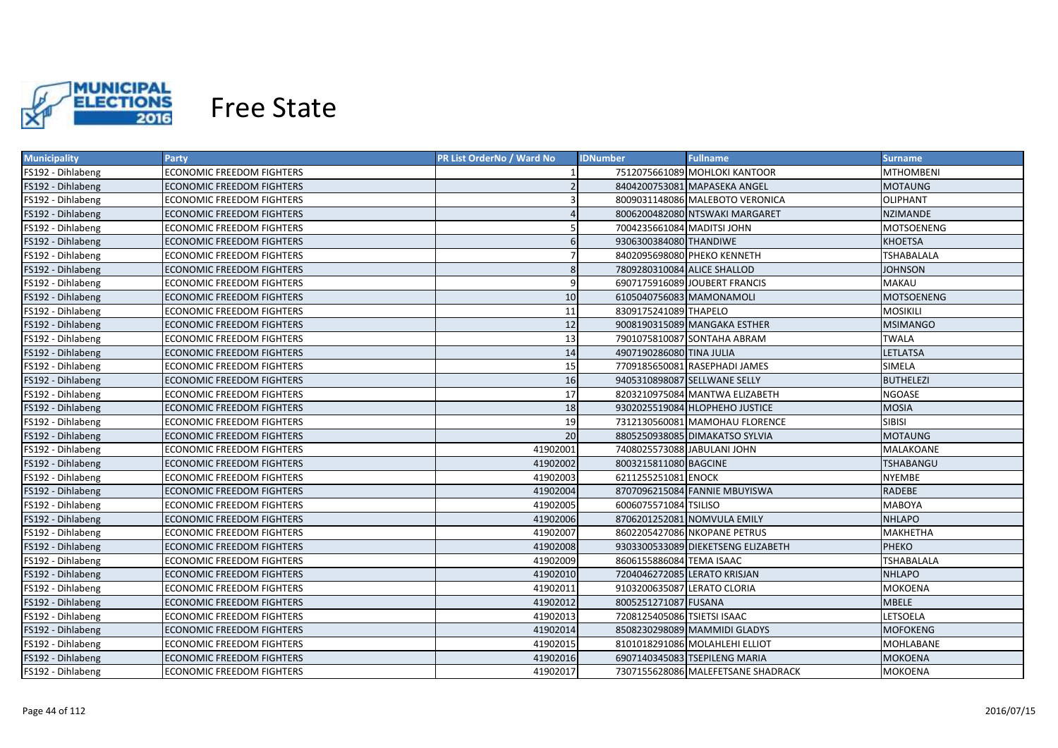

| <b>Municipality</b> | Party                            | <b>PR List OrderNo / Ward No</b> | <b>IDNumber</b>              | <b>Fullname</b>                    | <b>Surname</b>    |
|---------------------|----------------------------------|----------------------------------|------------------------------|------------------------------------|-------------------|
| FS192 - Dihlabeng   | ECONOMIC FREEDOM FIGHTERS        |                                  |                              | 7512075661089 MOHLOKI KANTOOR      | <b>MTHOMBENI</b>  |
| FS192 - Dihlabeng   | ECONOMIC FREEDOM FIGHTERS        |                                  |                              | 8404200753081 MAPASEKA ANGEL       | <b>MOTAUNG</b>    |
| FS192 - Dihlabeng   | ECONOMIC FREEDOM FIGHTERS        |                                  |                              | 8009031148086 MALEBOTO VERONICA    | OLIPHANT          |
| FS192 - Dihlabeng   | <b>ECONOMIC FREEDOM FIGHTERS</b> |                                  |                              | 8006200482080 NTSWAKI MARGARET     | <b>NZIMANDE</b>   |
| FS192 - Dihlabeng   | ECONOMIC FREEDOM FIGHTERS        |                                  | 7004235661084 MADITSI JOHN   |                                    | MOTSOENENG        |
| FS192 - Dihlabeng   | <b>ECONOMIC FREEDOM FIGHTERS</b> | 6                                | 9306300384080 THANDIWE       |                                    | <b>KHOETSA</b>    |
| FS192 - Dihlabeng   | ECONOMIC FREEDOM FIGHTERS        |                                  |                              | 8402095698080 PHEKO KENNETH        | <b>TSHABALALA</b> |
| FS192 - Dihlabeng   | <b>ECONOMIC FREEDOM FIGHTERS</b> | 8                                | 7809280310084 ALICE SHALLOD  |                                    | <b>JOHNSON</b>    |
| FS192 - Dihlabeng   | <b>ECONOMIC FREEDOM FIGHTERS</b> | 9                                |                              | 6907175916089 JOUBERT FRANCIS      | <b>MAKAU</b>      |
| FS192 - Dihlabeng   | <b>ECONOMIC FREEDOM FIGHTERS</b> | 10                               | 6105040756083 MAMONAMOLI     |                                    | <b>MOTSOENENG</b> |
| FS192 - Dihlabeng   | <b>ECONOMIC FREEDOM FIGHTERS</b> | 11                               | 8309175241089 THAPELO        |                                    | <b>MOSIKILI</b>   |
| FS192 - Dihlabeng   | <b>ECONOMIC FREEDOM FIGHTERS</b> | 12                               |                              | 9008190315089 MANGAKA ESTHER       | <b>MSIMANGO</b>   |
| FS192 - Dihlabeng   | ECONOMIC FREEDOM FIGHTERS        | 13                               |                              | 7901075810087 SONTAHA ABRAM        | <b>TWALA</b>      |
| FS192 - Dihlabeng   | <b>ECONOMIC FREEDOM FIGHTERS</b> | 14                               | 4907190286080 TINA JULIA     |                                    | <b>LETLATSA</b>   |
| FS192 - Dihlabeng   | <b>ECONOMIC FREEDOM FIGHTERS</b> | 15                               |                              | 7709185650081 RASEPHADI JAMES      | <b>SIMELA</b>     |
| FS192 - Dihlabeng   | <b>ECONOMIC FREEDOM FIGHTERS</b> | 16                               |                              | 9405310898087 SELLWANE SELLY       | <b>BUTHELEZI</b>  |
| FS192 - Dihlabeng   | <b>ECONOMIC FREEDOM FIGHTERS</b> | 17                               |                              | 8203210975084 MANTWA ELIZABETH     | <b>NGOASE</b>     |
| FS192 - Dihlabeng   | <b>ECONOMIC FREEDOM FIGHTERS</b> | 18                               |                              | 9302025519084 HLOPHEHO JUSTICE     | <b>MOSIA</b>      |
| FS192 - Dihlabeng   | <b>ECONOMIC FREEDOM FIGHTERS</b> | 19                               |                              | 7312130560081 MAMOHAU FLORENCE     | <b>SIBISI</b>     |
| FS192 - Dihlabeng   | <b>ECONOMIC FREEDOM FIGHTERS</b> | 20                               |                              | 8805250938085 DIMAKATSO SYLVIA     | <b>MOTAUNG</b>    |
| FS192 - Dihlabeng   | <b>ECONOMIC FREEDOM FIGHTERS</b> | 41902001                         | 7408025573088 JABULANI JOHN  |                                    | MALAKOANE         |
| FS192 - Dihlabeng   | <b>ECONOMIC FREEDOM FIGHTERS</b> | 41902002                         | 8003215811080 BAGCINE        |                                    | <b>TSHABANGU</b>  |
| FS192 - Dihlabeng   | <b>ECONOMIC FREEDOM FIGHTERS</b> | 41902003                         | 6211255251081 ENOCK          |                                    | <b>NYEMBE</b>     |
| FS192 - Dihlabeng   | <b>ECONOMIC FREEDOM FIGHTERS</b> | 41902004                         |                              | 8707096215084 FANNIE MBUYISWA      | <b>RADEBE</b>     |
| FS192 - Dihlabeng   | ECONOMIC FREEDOM FIGHTERS        | 41902005                         | 6006075571084 TSILISO        |                                    | <b>MABOYA</b>     |
| FS192 - Dihlabeng   | <b>ECONOMIC FREEDOM FIGHTERS</b> | 41902006                         |                              | 8706201252081 NOMVULA EMILY        | <b>NHLAPO</b>     |
| FS192 - Dihlabeng   | ECONOMIC FREEDOM FIGHTERS        | 41902007                         |                              | 8602205427086 NKOPANE PETRUS       | <b>MAKHETHA</b>   |
| FS192 - Dihlabeng   | ECONOMIC FREEDOM FIGHTERS        | 41902008                         |                              | 9303300533089 DIEKETSENG ELIZABETH | <b>PHEKO</b>      |
| FS192 - Dihlabeng   | <b>ECONOMIC FREEDOM FIGHTERS</b> | 41902009                         | 8606155886084 TEMA ISAAC     |                                    | <b>TSHABALALA</b> |
| FS192 - Dihlabeng   | <b>ECONOMIC FREEDOM FIGHTERS</b> | 41902010                         | 7204046272085 LERATO KRISJAN |                                    | <b>NHLAPO</b>     |
| FS192 - Dihlabeng   | ECONOMIC FREEDOM FIGHTERS        | 41902011                         | 9103200635087 LERATO CLORIA  |                                    | <b>MOKOENA</b>    |
| FS192 - Dihlabeng   | <b>ECONOMIC FREEDOM FIGHTERS</b> | 41902012                         | 8005251271087 FUSANA         |                                    | <b>MBELE</b>      |
| FS192 - Dihlabeng   | ECONOMIC FREEDOM FIGHTERS        | 41902013                         | 7208125405086 TSIETSI ISAAC  |                                    | <b>LETSOELA</b>   |
| FS192 - Dihlabeng   | <b>ECONOMIC FREEDOM FIGHTERS</b> | 41902014                         |                              | 8508230298089 MAMMIDI GLADYS       | <b>MOFOKENG</b>   |
| FS192 - Dihlabeng   | <b>ECONOMIC FREEDOM FIGHTERS</b> | 41902015                         |                              | 8101018291086 MOLAHLEHI ELLIOT     | <b>MOHLABANE</b>  |
| FS192 - Dihlabeng   | <b>ECONOMIC FREEDOM FIGHTERS</b> | 41902016                         |                              | 6907140345083 TSEPILENG MARIA      | <b>MOKOENA</b>    |
| FS192 - Dihlabeng   | <b>ECONOMIC FREEDOM FIGHTERS</b> | 41902017                         |                              | 7307155628086 MALEFETSANE SHADRACK | <b>MOKOENA</b>    |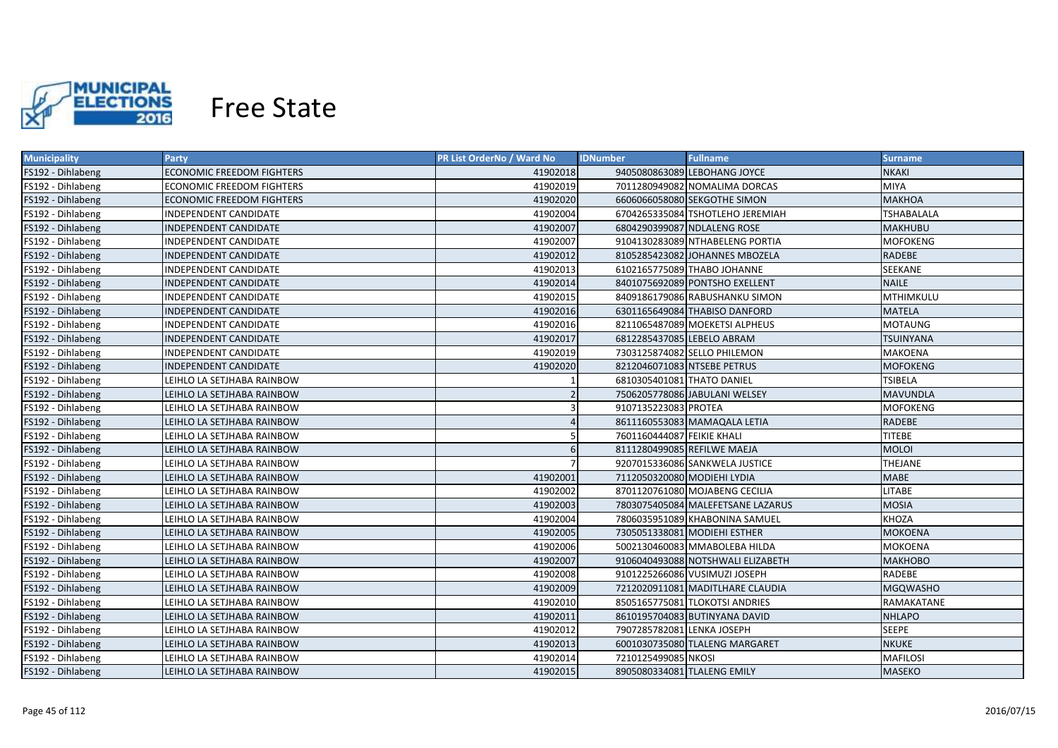

| <b>Municipality</b> | Party                            | <b>PR List OrderNo / Ward No</b> | <b>Fullname</b><br><b>IDNumber</b> | <b>Surname</b>    |
|---------------------|----------------------------------|----------------------------------|------------------------------------|-------------------|
| FS192 - Dihlabeng   | <b>ECONOMIC FREEDOM FIGHTERS</b> | 41902018                         | 9405080863089 LEBOHANG JOYCE       | NKAKI             |
| FS192 - Dihlabeng   | ECONOMIC FREEDOM FIGHTERS        | 41902019                         | 7011280949082 NOMALIMA DORCAS      | <b>MIYA</b>       |
| FS192 - Dihlabeng   | <b>ECONOMIC FREEDOM FIGHTERS</b> | 41902020                         | 6606066058080 SEKGOTHE SIMON       | <b>MAKHOA</b>     |
| FS192 - Dihlabeng   | INDEPENDENT CANDIDATE            | 41902004                         | 6704265335084 TSHOTLEHO JEREMIAH   | <b>TSHABALALA</b> |
| FS192 - Dihlabeng   | INDEPENDENT CANDIDATE            | 41902007                         | 6804290399087 NDLALENG ROSE        | <b>MAKHUBU</b>    |
| FS192 - Dihlabeng   | INDEPENDENT CANDIDATE            | 41902007                         | 9104130283089 NTHABELENG PORTIA    | <b>MOFOKENG</b>   |
| FS192 - Dihlabeng   | INDEPENDENT CANDIDATE            | 41902012                         | 8105285423082 JOHANNES MBOZELA     | <b>RADEBE</b>     |
| FS192 - Dihlabeng   | INDEPENDENT CANDIDATE            | 41902013                         | 6102165775089 THABO JOHANNE        | SEEKANE           |
| FS192 - Dihlabeng   | <b>INDEPENDENT CANDIDATE</b>     | 41902014                         | 8401075692089 PONTSHO EXELLENT     | <b>NAILE</b>      |
| FS192 - Dihlabeng   | INDEPENDENT CANDIDATE            | 41902015                         | 8409186179086 RABUSHANKU SIMON     | MTHIMKULU         |
| FS192 - Dihlabeng   | INDEPENDENT CANDIDATE            | 41902016                         | 6301165649084 THABISO DANFORD      | <b>MATELA</b>     |
| FS192 - Dihlabeng   | INDEPENDENT CANDIDATE            | 41902016                         | 8211065487089 MOEKETSI ALPHEUS     | <b>MOTAUNG</b>    |
| FS192 - Dihlabeng   | INDEPENDENT CANDIDATE            | 41902017                         | 6812285437085 LEBELO ABRAM         | TSUINYANA         |
| FS192 - Dihlabeng   | INDEPENDENT CANDIDATE            | 41902019                         | 7303125874082 SELLO PHILEMON       | MAKOENA           |
| FS192 - Dihlabeng   | INDEPENDENT CANDIDATE            | 41902020                         | 8212046071083 NTSEBE PETRUS        | <b>MOFOKENG</b>   |
| FS192 - Dihlabeng   | LEIHLO LA SETJHABA RAINBOW       |                                  | 6810305401081 THATO DANIEL         | <b>TSIBELA</b>    |
| FS192 - Dihlabeng   | LEIHLO LA SETJHABA RAINBOW       |                                  | 7506205778086 JABULANI WELSEY      | <b>MAVUNDLA</b>   |
| FS192 - Dihlabeng   | LEIHLO LA SETJHABA RAINBOW       |                                  | 9107135223083 PROTEA               | <b>MOFOKENG</b>   |
| FS192 - Dihlabeng   | LEIHLO LA SETJHABA RAINBOW       |                                  | 8611160553083 MAMAQALA LETIA       | <b>RADEBE</b>     |
| FS192 - Dihlabeng   | LEIHLO LA SETJHABA RAINBOW       |                                  | 7601160444087 FEIKIE KHALI         | <b>TITEBE</b>     |
| FS192 - Dihlabeng   | LEIHLO LA SETJHABA RAINBOW       | 6                                | 8111280499085 REFILWE MAEJA        | <b>MOLOI</b>      |
| FS192 - Dihlabeng   | LEIHLO LA SETJHABA RAINBOW       | $\overline{7}$                   | 9207015336086 SANKWELA JUSTICE     | THEJANE           |
| FS192 - Dihlabeng   | LEIHLO LA SETJHABA RAINBOW       | 41902001                         | 7112050320080 MODIEHI LYDIA        | MABE              |
| FS192 - Dihlabeng   | LEIHLO LA SETJHABA RAINBOW       | 41902002                         | 8701120761080 MOJABENG CECILIA     | LITABE            |
| FS192 - Dihlabeng   | LEIHLO LA SETJHABA RAINBOW       | 41902003                         | 7803075405084 MALEFETSANE LAZARUS  | <b>MOSIA</b>      |
| FS192 - Dihlabeng   | LEIHLO LA SETJHABA RAINBOW       | 41902004                         | 7806035951089 KHABONINA SAMUEL     | KHOZA             |
| FS192 - Dihlabeng   | LEIHLO LA SETJHABA RAINBOW       | 41902005                         | 7305051338081 MODIEHI ESTHER       | <b>MOKOENA</b>    |
| FS192 - Dihlabeng   | LEIHLO LA SETJHABA RAINBOW       | 41902006                         | 5002130460083 MMABOLEBA HILDA      | MOKOENA           |
| FS192 - Dihlabeng   | LEIHLO LA SETJHABA RAINBOW       | 41902007                         | 9106040493088 NOTSHWALI ELIZABETH  | <b>MAKHOBO</b>    |
| FS192 - Dihlabeng   | LEIHLO LA SETJHABA RAINBOW       | 41902008                         | 9101225266086 VUSIMUZI JOSEPH      | RADEBE            |
| FS192 - Dihlabeng   | LEIHLO LA SETJHABA RAINBOW       | 41902009                         | 7212020911081 MADITLHARE CLAUDIA   | <b>MGQWASHO</b>   |
| FS192 - Dihlabeng   | LEIHLO LA SETJHABA RAINBOW       | 41902010                         | 8505165775081 TLOKOTSI ANDRIES     | RAMAKATANE        |
| FS192 - Dihlabeng   | LEIHLO LA SETJHABA RAINBOW       | 41902011                         | 8610195704083 BUTINYANA DAVID      | <b>NHLAPO</b>     |
| FS192 - Dihlabeng   | LEIHLO LA SETJHABA RAINBOW       | 41902012                         | 7907285782081 LENKA JOSEPH         | <b>SEEPE</b>      |
| FS192 - Dihlabeng   | LEIHLO LA SETJHABA RAINBOW       | 41902013                         | 6001030735080 TLALENG MARGARET     | <b>NKUKE</b>      |
| FS192 - Dihlabeng   | LEIHLO LA SETJHABA RAINBOW       | 41902014                         | 7210125499085 NKOSI                | <b>MAFILOSI</b>   |
| FS192 - Dihlabeng   | LEIHLO LA SETJHABA RAINBOW       | 41902015                         | 8905080334081 TLALENG EMILY        | <b>MASEKO</b>     |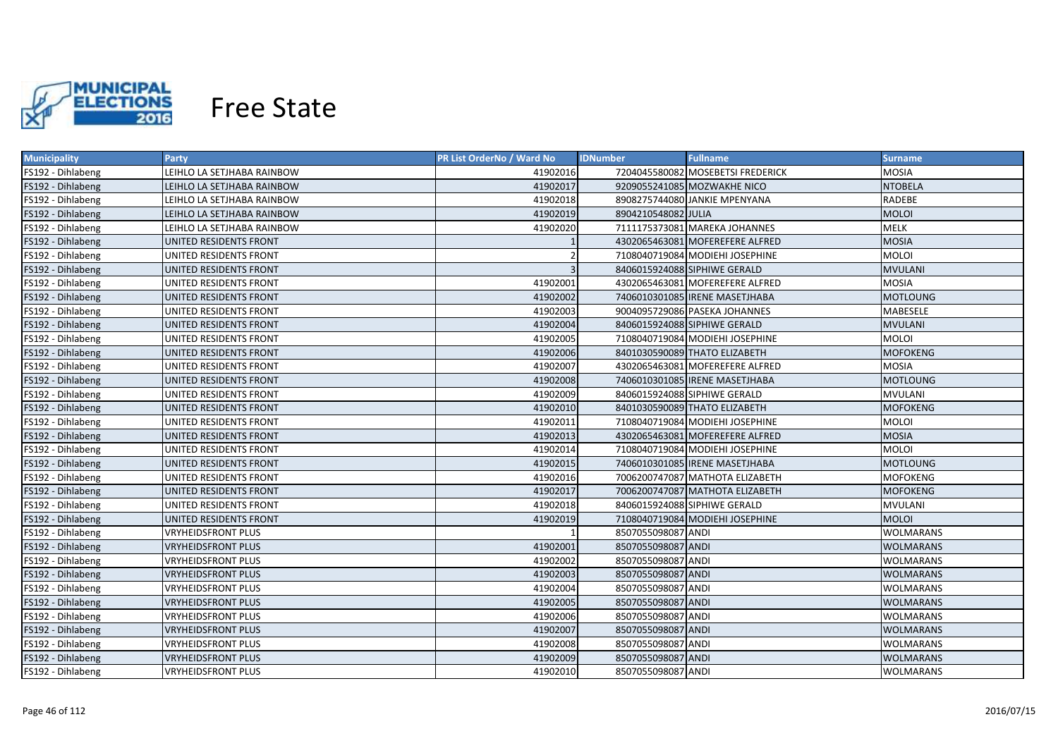

| <b>Municipality</b> | <b>Party</b>               | <b>PR List OrderNo / Ward No</b> | <b>Fullname</b><br><b>IDNumber</b> | <b>Surname</b>   |
|---------------------|----------------------------|----------------------------------|------------------------------------|------------------|
| FS192 - Dihlabeng   | LEIHLO LA SETJHABA RAINBOW | 41902016                         | 7204045580082 MOSEBETSI FREDERICK  | <b>MOSIA</b>     |
| FS192 - Dihlabeng   | LEIHLO LA SETJHABA RAINBOW | 41902017                         | 9209055241085 MOZWAKHE NICO        | <b>NTOBELA</b>   |
| FS192 - Dihlabeng   | LEIHLO LA SETJHABA RAINBOW | 41902018                         | 8908275744080 JANKIE MPENYANA      | RADEBE           |
| FS192 - Dihlabeng   | LEIHLO LA SETJHABA RAINBOW | 41902019                         | 8904210548082 JULIA                | <b>MOLOI</b>     |
| FS192 - Dihlabeng   | LEIHLO LA SETJHABA RAINBOW | 41902020                         | 7111175373081 MAREKA JOHANNES      | <b>MELK</b>      |
| FS192 - Dihlabeng   | UNITED RESIDENTS FRONT     |                                  | 4302065463081 MOFEREFERE ALFRED    | <b>MOSIA</b>     |
| FS192 - Dihlabeng   | UNITED RESIDENTS FRONT     | $\overline{2}$                   | 7108040719084 MODIEHI JOSEPHINE    | <b>MOLOI</b>     |
| FS192 - Dihlabeng   | UNITED RESIDENTS FRONT     | $\overline{3}$                   | 8406015924088 SIPHIWE GERALD       | <b>MVULANI</b>   |
| FS192 - Dihlabeng   | UNITED RESIDENTS FRONT     | 41902001                         | 4302065463081 MOFEREFERE ALFRED    | <b>MOSIA</b>     |
| FS192 - Dihlabeng   | UNITED RESIDENTS FRONT     | 41902002                         | 7406010301085 IRENE MASETJHABA     | <b>MOTLOUNG</b>  |
| FS192 - Dihlabeng   | UNITED RESIDENTS FRONT     | 41902003                         | 9004095729086 PASEKA JOHANNES      | MABESELE         |
| FS192 - Dihlabeng   | UNITED RESIDENTS FRONT     | 41902004                         | 8406015924088 SIPHIWE GERALD       | <b>MVULANI</b>   |
| FS192 - Dihlabeng   | UNITED RESIDENTS FRONT     | 41902005                         | 7108040719084 MODIEHI JOSEPHINE    | <b>MOLOI</b>     |
| FS192 - Dihlabeng   | UNITED RESIDENTS FRONT     | 41902006                         | 8401030590089 THATO ELIZABETH      | <b>MOFOKENG</b>  |
| FS192 - Dihlabeng   | UNITED RESIDENTS FRONT     | 41902007                         | 4302065463081 MOFEREFERE ALFRED    | <b>MOSIA</b>     |
| FS192 - Dihlabeng   | UNITED RESIDENTS FRONT     | 41902008                         | 7406010301085 IRENE MASETJHABA     | <b>MOTLOUNG</b>  |
| FS192 - Dihlabeng   | UNITED RESIDENTS FRONT     | 41902009                         | 8406015924088 SIPHIWE GERALD       | <b>MVULANI</b>   |
| FS192 - Dihlabeng   | UNITED RESIDENTS FRONT     | 41902010                         | 8401030590089 THATO ELIZABETH      | <b>MOFOKENG</b>  |
| FS192 - Dihlabeng   | UNITED RESIDENTS FRONT     | 41902011                         | 7108040719084 MODIEHI JOSEPHINE    | <b>MOLOI</b>     |
| FS192 - Dihlabeng   | UNITED RESIDENTS FRONT     | 41902013                         | 4302065463081 MOFEREFERE ALFRED    | <b>MOSIA</b>     |
| FS192 - Dihlabeng   | UNITED RESIDENTS FRONT     | 41902014                         | 7108040719084 MODIEHI JOSEPHINE    | <b>MOLOI</b>     |
| FS192 - Dihlabeng   | UNITED RESIDENTS FRONT     | 41902015                         | 7406010301085 IRENE MASETJHABA     | <b>MOTLOUNG</b>  |
| FS192 - Dihlabeng   | UNITED RESIDENTS FRONT     | 41902016                         | 7006200747087 MATHOTA ELIZABETH    | <b>MOFOKENG</b>  |
| FS192 - Dihlabeng   | UNITED RESIDENTS FRONT     | 41902017                         | 7006200747087 MATHOTA ELIZABETH    | <b>MOFOKENG</b>  |
| FS192 - Dihlabeng   | UNITED RESIDENTS FRONT     | 41902018                         | 8406015924088 SIPHIWE GERALD       | <b>MVULANI</b>   |
| FS192 - Dihlabeng   | UNITED RESIDENTS FRONT     | 41902019                         | 7108040719084 MODIEHI JOSEPHINE    | <b>MOLOI</b>     |
| FS192 - Dihlabeng   | <b>VRYHEIDSFRONT PLUS</b>  |                                  | 8507055098087 ANDI                 | WOLMARANS        |
| FS192 - Dihlabeng   | <b>VRYHEIDSFRONT PLUS</b>  | 41902001                         | 8507055098087 ANDI                 | WOLMARANS        |
| FS192 - Dihlabeng   | <b>VRYHEIDSFRONT PLUS</b>  | 41902002                         | 8507055098087 ANDI                 | <b>WOLMARANS</b> |
| FS192 - Dihlabeng   | <b>VRYHEIDSFRONT PLUS</b>  | 41902003                         | 8507055098087 ANDI                 | WOLMARANS        |
| FS192 - Dihlabeng   | <b>VRYHEIDSFRONT PLUS</b>  | 41902004                         | 8507055098087 ANDI                 | <b>WOLMARANS</b> |
| FS192 - Dihlabeng   | <b>VRYHEIDSFRONT PLUS</b>  | 41902005                         | 8507055098087 ANDI                 | <b>WOLMARANS</b> |
| FS192 - Dihlabeng   | <b>VRYHEIDSFRONT PLUS</b>  | 41902006                         | 8507055098087 ANDI                 | <b>WOLMARANS</b> |
| FS192 - Dihlabeng   | <b>VRYHEIDSFRONT PLUS</b>  | 41902007                         | 8507055098087 ANDI                 | <b>WOLMARANS</b> |
| FS192 - Dihlabeng   | <b>VRYHEIDSFRONT PLUS</b>  | 41902008                         | 8507055098087 ANDI                 | <b>WOLMARANS</b> |
| FS192 - Dihlabeng   | <b>VRYHEIDSFRONT PLUS</b>  | 41902009                         | 8507055098087 ANDI                 | <b>WOLMARANS</b> |
| FS192 - Dihlabeng   | <b>VRYHEIDSFRONT PLUS</b>  | 41902010                         | 8507055098087 ANDI                 | <b>WOLMARANS</b> |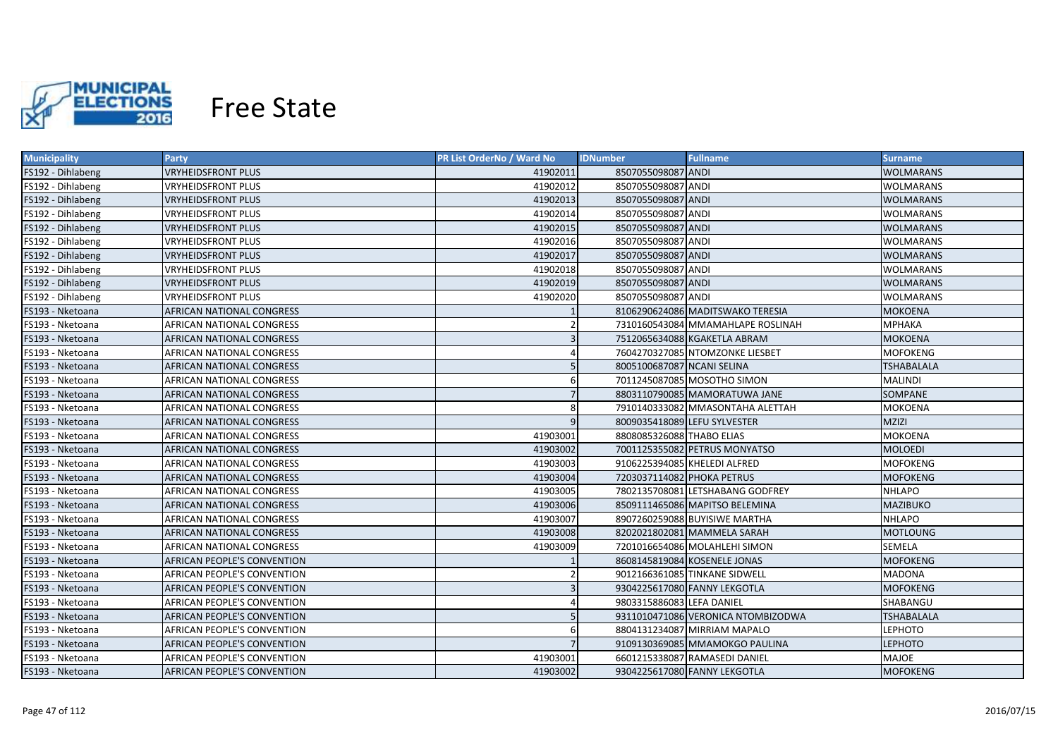

| <b>Municipality</b> | <b>Party</b>                       | <b>PR List OrderNo / Ward No</b> | <b>Fullname</b><br><b>IDNumber</b> | <b>Surname</b>    |
|---------------------|------------------------------------|----------------------------------|------------------------------------|-------------------|
| FS192 - Dihlabeng   | <b>VRYHEIDSFRONT PLUS</b>          | 41902011                         | 8507055098087 ANDI                 | <b>WOLMARANS</b>  |
| FS192 - Dihlabeng   | <b>VRYHEIDSFRONT PLUS</b>          | 41902012                         | 8507055098087 ANDI                 | <b>WOLMARANS</b>  |
| FS192 - Dihlabeng   | <b>VRYHEIDSFRONT PLUS</b>          | 41902013                         | 8507055098087 ANDI                 | <b>WOLMARANS</b>  |
| FS192 - Dihlabeng   | <b>VRYHEIDSFRONT PLUS</b>          | 41902014                         | 8507055098087 ANDI                 | <b>WOLMARANS</b>  |
| FS192 - Dihlabeng   | <b>VRYHEIDSFRONT PLUS</b>          | 41902015                         | 8507055098087 ANDI                 | <b>WOLMARANS</b>  |
| FS192 - Dihlabeng   | <b>VRYHEIDSFRONT PLUS</b>          | 41902016                         | 8507055098087 ANDI                 | <b>WOLMARANS</b>  |
| FS192 - Dihlabeng   | <b>VRYHEIDSFRONT PLUS</b>          | 41902017                         | 8507055098087 ANDI                 | <b>WOLMARANS</b>  |
| FS192 - Dihlabeng   | <b>VRYHEIDSFRONT PLUS</b>          | 41902018                         | 8507055098087 ANDI                 | <b>WOLMARANS</b>  |
| FS192 - Dihlabeng   | <b>VRYHEIDSFRONT PLUS</b>          | 41902019                         | 8507055098087 ANDI                 | <b>WOLMARANS</b>  |
| FS192 - Dihlabeng   | <b>VRYHEIDSFRONT PLUS</b>          | 41902020                         | 8507055098087 ANDI                 | <b>WOLMARANS</b>  |
| FS193 - Nketoana    | AFRICAN NATIONAL CONGRESS          |                                  | 8106290624086 MADITSWAKO TERESIA   | <b>MOKOENA</b>    |
| FS193 - Nketoana    | AFRICAN NATIONAL CONGRESS          |                                  | 7310160543084 MMAMAHLAPE ROSLINAH  | <b>МРНАКА</b>     |
| FS193 - Nketoana    | AFRICAN NATIONAL CONGRESS          |                                  | 7512065634088 KGAKETLA ABRAM       | <b>MOKOENA</b>    |
| FS193 - Nketoana    | AFRICAN NATIONAL CONGRESS          |                                  | 7604270327085 NTOMZONKE LIESBET    | <b>MOFOKENG</b>   |
| FS193 - Nketoana    | AFRICAN NATIONAL CONGRESS          | 5                                | 8005100687087 NCANI SELINA         | TSHABALALA        |
| FS193 - Nketoana    | AFRICAN NATIONAL CONGRESS          | 6                                | 7011245087085 MOSOTHO SIMON        | <b>MALINDI</b>    |
| FS193 - Nketoana    | AFRICAN NATIONAL CONGRESS          | $\overline{7}$                   | 8803110790085 MAMORATUWA JANE      | SOMPANE           |
| FS193 - Nketoana    | AFRICAN NATIONAL CONGRESS          | 8                                | 7910140333082 MMASONTAHA ALETTAH   | <b>MOKOENA</b>    |
| FS193 - Nketoana    | AFRICAN NATIONAL CONGRESS          | 9                                | 8009035418089 LEFU SYLVESTER       | <b>MZIZI</b>      |
| FS193 - Nketoana    | AFRICAN NATIONAL CONGRESS          | 41903001                         | 8808085326088 THABO ELIAS          | <b>MOKOENA</b>    |
| FS193 - Nketoana    | AFRICAN NATIONAL CONGRESS          | 41903002                         | 7001125355082 PETRUS MONYATSO      | <b>MOLOEDI</b>    |
| FS193 - Nketoana    | AFRICAN NATIONAL CONGRESS          | 41903003                         | 9106225394085 KHELEDI ALFRED       | <b>MOFOKENG</b>   |
| FS193 - Nketoana    | AFRICAN NATIONAL CONGRESS          | 41903004                         | 7203037114082 PHOKA PETRUS         | <b>MOFOKENG</b>   |
| FS193 - Nketoana    | AFRICAN NATIONAL CONGRESS          | 41903005                         | 7802135708081 LETSHABANG GODFREY   | <b>NHLAPO</b>     |
| FS193 - Nketoana    | AFRICAN NATIONAL CONGRESS          | 41903006                         | 8509111465086 MAPITSO BELEMINA     | <b>MAZIBUKO</b>   |
| FS193 - Nketoana    | AFRICAN NATIONAL CONGRESS          | 41903007                         | 8907260259088 BUYISIWE MARTHA      | <b>NHLAPO</b>     |
| FS193 - Nketoana    | AFRICAN NATIONAL CONGRESS          | 41903008                         | 8202021802081 MAMMELA SARAH        | MOTLOUNG          |
| FS193 - Nketoana    | AFRICAN NATIONAL CONGRESS          | 41903009                         | 7201016654086 MOLAHLEHI SIMON      | SEMELA            |
| FS193 - Nketoana    | AFRICAN PEOPLE'S CONVENTION        |                                  | 8608145819084 KOSENELE JONAS       | MOFOKENG          |
| FS193 - Nketoana    | AFRICAN PEOPLE'S CONVENTION        |                                  | 9012166361085 TINKANE SIDWELL      | MADONA            |
| FS193 - Nketoana    | AFRICAN PEOPLE'S CONVENTION        |                                  | 9304225617080 FANNY LEKGOTLA       | <b>MOFOKENG</b>   |
| FS193 - Nketoana    | AFRICAN PEOPLE'S CONVENTION        |                                  | 9803315886083 LEFA DANIEL          | SHABANGU          |
| FS193 - Nketoana    | AFRICAN PEOPLE'S CONVENTION        |                                  | 9311010471086 VERONICA NTOMBIZODWA | <b>TSHABALALA</b> |
| FS193 - Nketoana    | AFRICAN PEOPLE'S CONVENTION        |                                  | 8804131234087 MIRRIAM MAPALO       | LEPHOTO           |
| FS193 - Nketoana    | AFRICAN PEOPLE'S CONVENTION        |                                  | 9109130369085 MMAMOKGO PAULINA     | <b>LEPHOTO</b>    |
| FS193 - Nketoana    | AFRICAN PEOPLE'S CONVENTION        | 41903001                         | 6601215338087 RAMASEDI DANIEL      | <b>MAJOE</b>      |
| FS193 - Nketoana    | <b>AFRICAN PEOPLE'S CONVENTION</b> | 41903002                         | 9304225617080 FANNY LEKGOTLA       | <b>MOFOKENG</b>   |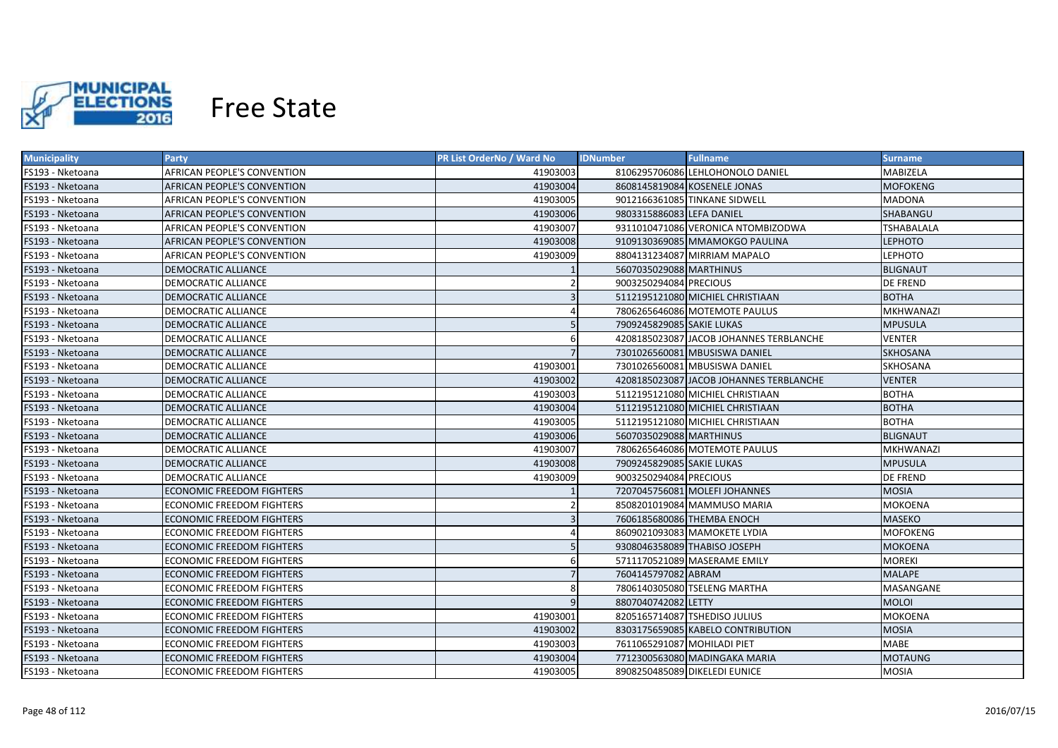

| <b>Municipality</b> | <b>Party</b>                     | <b>PR List OrderNo / Ward No</b> | <b>IDNumber</b>             | <b>Fullname</b>                         | <b>Surname</b>    |
|---------------------|----------------------------------|----------------------------------|-----------------------------|-----------------------------------------|-------------------|
| FS193 - Nketoana    | AFRICAN PEOPLE'S CONVENTION      | 41903003                         |                             | 8106295706086 LEHLOHONOLO DANIEL        | MABIZELA          |
| FS193 - Nketoana    | AFRICAN PEOPLE'S CONVENTION      | 41903004                         |                             | 8608145819084 KOSENELE JONAS            | <b>MOFOKENG</b>   |
| FS193 - Nketoana    | AFRICAN PEOPLE'S CONVENTION      | 41903005                         |                             | 9012166361085 TINKANE SIDWELL           | <b>MADONA</b>     |
| FS193 - Nketoana    | AFRICAN PEOPLE'S CONVENTION      | 41903006                         | 9803315886083 LEFA DANIEL   |                                         | SHABANGU          |
| FS193 - Nketoana    | AFRICAN PEOPLE'S CONVENTION      | 41903007                         |                             | 9311010471086 VERONICA NTOMBIZODWA      | <b>TSHABALALA</b> |
| FS193 - Nketoana    | AFRICAN PEOPLE'S CONVENTION      | 41903008                         |                             | 9109130369085 MMAMOKGO PAULINA          | <b>LEPHOTO</b>    |
| FS193 - Nketoana    | AFRICAN PEOPLE'S CONVENTION      | 41903009                         |                             | 8804131234087 MIRRIAM MAPALO            | <b>LEPHOTO</b>    |
| FS193 - Nketoana    | <b>DEMOCRATIC ALLIANCE</b>       |                                  | 5607035029088 MARTHINUS     |                                         | <b>BLIGNAUT</b>   |
| FS193 - Nketoana    | <b>DEMOCRATIC ALLIANCE</b>       |                                  | 9003250294084 PRECIOUS      |                                         | <b>DE FREND</b>   |
| FS193 - Nketoana    | <b>DEMOCRATIC ALLIANCE</b>       | $\overline{\mathbf{3}}$          |                             | 5112195121080 MICHIEL CHRISTIAAN        | <b>BOTHA</b>      |
| FS193 - Nketoana    | DEMOCRATIC ALLIANCE              |                                  |                             | 7806265646086 MOTEMOTE PAULUS           | <b>MKHWANAZI</b>  |
| FS193 - Nketoana    | DEMOCRATIC ALLIANCE              | 5                                | 7909245829085 SAKIE LUKAS   |                                         | <b>MPUSULA</b>    |
| FS193 - Nketoana    | DEMOCRATIC ALLIANCE              | 6                                |                             | 4208185023087 JACOB JOHANNES TERBLANCHE | <b>VENTER</b>     |
| FS193 - Nketoana    | DEMOCRATIC ALLIANCE              | $\overline{7}$                   |                             | 7301026560081 MBUSISWA DANIEL           | <b>SKHOSANA</b>   |
| FS193 - Nketoana    | <b>DEMOCRATIC ALLIANCE</b>       | 41903001                         |                             | 7301026560081 MBUSISWA DANIEL           | SKHOSANA          |
| FS193 - Nketoana    | DEMOCRATIC ALLIANCE              | 41903002                         |                             | 4208185023087 JACOB JOHANNES TERBLANCHE | <b>VENTER</b>     |
| FS193 - Nketoana    | <b>DEMOCRATIC ALLIANCE</b>       | 41903003                         |                             | 5112195121080 MICHIEL CHRISTIAAN        | <b>BOTHA</b>      |
| FS193 - Nketoana    | DEMOCRATIC ALLIANCE              | 41903004                         |                             | 5112195121080 MICHIEL CHRISTIAAN        | <b>BOTHA</b>      |
| FS193 - Nketoana    | <b>DEMOCRATIC ALLIANCE</b>       | 41903005                         |                             | 5112195121080 MICHIEL CHRISTIAAN        | <b>BOTHA</b>      |
| FS193 - Nketoana    | DEMOCRATIC ALLIANCE              | 41903006                         | 5607035029088 MARTHINUS     |                                         | <b>BLIGNAUT</b>   |
| FS193 - Nketoana    | DEMOCRATIC ALLIANCE              | 41903007                         |                             | 7806265646086 MOTEMOTE PAULUS           | MKHWANAZI         |
| FS193 - Nketoana    | DEMOCRATIC ALLIANCE              | 41903008                         | 7909245829085 SAKIE LUKAS   |                                         | <b>MPUSULA</b>    |
| FS193 - Nketoana    | DEMOCRATIC ALLIANCE              | 41903009                         | 9003250294084 PRECIOUS      |                                         | <b>DE FREND</b>   |
| FS193 - Nketoana    | <b>ECONOMIC FREEDOM FIGHTERS</b> |                                  |                             | 7207045756081 MOLEFI JOHANNES           | <b>MOSIA</b>      |
| FS193 - Nketoana    | ECONOMIC FREEDOM FIGHTERS        |                                  |                             | 8508201019084 MAMMUSO MARIA             | MOKOENA           |
| FS193 - Nketoana    | ECONOMIC FREEDOM FIGHTERS        | $\mathbf{a}$                     |                             | 7606185680086 THEMBA ENOCH              | MASEKO            |
| FS193 - Nketoana    | ECONOMIC FREEDOM FIGHTERS        |                                  |                             | 8609021093083 MAMOKETE LYDIA            | MOFOKENG          |
| FS193 - Nketoana    | ECONOMIC FREEDOM FIGHTERS        |                                  |                             | 9308046358089 THABISO JOSEPH            | MOKOENA           |
| FS193 - Nketoana    | ECONOMIC FREEDOM FIGHTERS        | 6                                |                             | 5711170521089 MASERAME EMILY            | <b>MOREKI</b>     |
| FS193 - Nketoana    | ECONOMIC FREEDOM FIGHTERS        |                                  | 7604145797082 ABRAM         |                                         | <b>MALAPE</b>     |
| FS193 - Nketoana    | ECONOMIC FREEDOM FIGHTERS        | 8                                |                             | 7806140305080 TSELENG MARTHA            | MASANGANE         |
| FS193 - Nketoana    | <b>ECONOMIC FREEDOM FIGHTERS</b> | $\mathbf{q}$                     | 8807040742082 LETTY         |                                         | <b>MOLOI</b>      |
| FS193 - Nketoana    | ECONOMIC FREEDOM FIGHTERS        | 41903001                         |                             | 8205165714087 TSHEDISO JULIUS           | MOKOENA           |
| FS193 - Nketoana    | ECONOMIC FREEDOM FIGHTERS        | 41903002                         |                             | 8303175659085 KABELO CONTRIBUTION       | <b>MOSIA</b>      |
| FS193 - Nketoana    | ECONOMIC FREEDOM FIGHTERS        | 41903003                         | 7611065291087 MOHILADI PIET |                                         | <b>MABE</b>       |
| FS193 - Nketoana    | <b>ECONOMIC FREEDOM FIGHTERS</b> | 41903004                         |                             | 7712300563080 MADINGAKA MARIA           | <b>MOTAUNG</b>    |
| FS193 - Nketoana    | <b>ECONOMIC FREEDOM FIGHTERS</b> | 41903005                         |                             | 8908250485089 DIKELEDI EUNICE           | <b>MOSIA</b>      |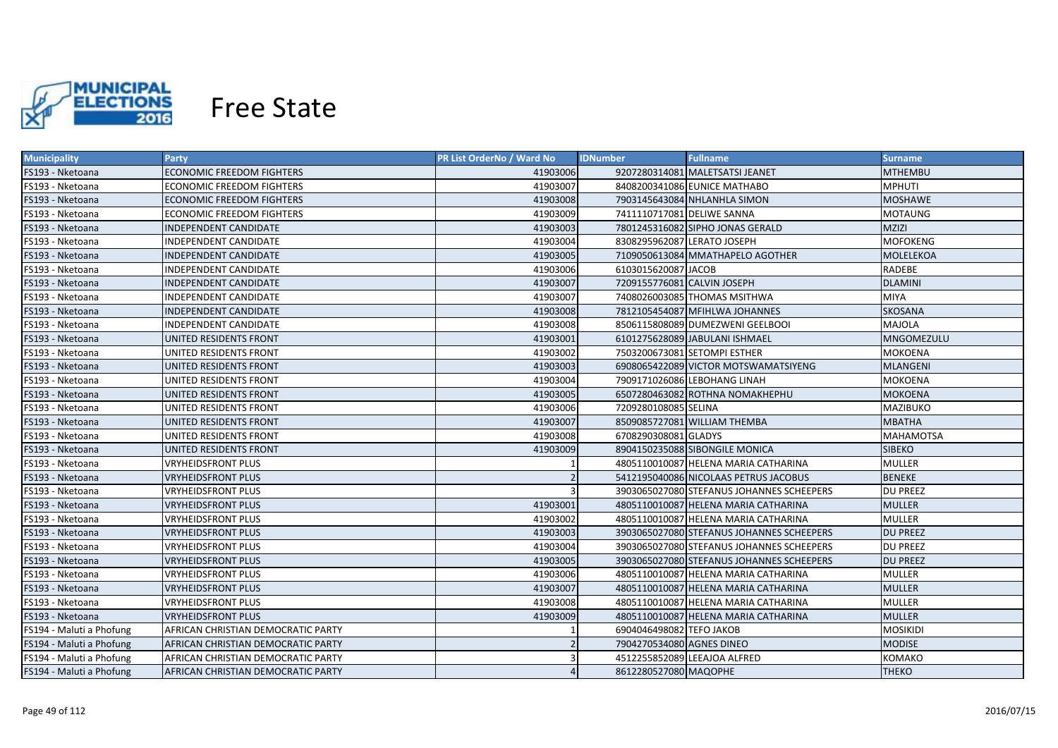

| <b>Municipality</b>      | <b>Party</b>                       | PR List OrderNo / Ward No | <b>Fullname</b><br><b>IDNumber</b>        | Surname          |
|--------------------------|------------------------------------|---------------------------|-------------------------------------------|------------------|
| FS193 - Nketoana         | ECONOMIC FREEDOM FIGHTERS          | 41903006                  | 9207280314081 MALETSATSI JEANET           | <b>MTHEMBU</b>   |
| FS193 - Nketoana         | ECONOMIC FREEDOM FIGHTERS          | 41903007                  | 8408200341086 EUNICE MATHABO              | <b>MPHUTI</b>    |
| FS193 - Nketoana         | ECONOMIC FREEDOM FIGHTERS          | 41903008                  | 7903145643084 NHLANHLA SIMON              | <b>MOSHAWE</b>   |
| FS193 - Nketoana         | ECONOMIC FREEDOM FIGHTERS          | 41903009                  | 7411110717081 DELIWE SANNA                | <b>MOTAUNG</b>   |
| FS193 - Nketoana         | INDEPENDENT CANDIDATE              | 41903003                  | 7801245316082 SIPHO JONAS GERALD          | <b>MZIZI</b>     |
| FS193 - Nketoana         | INDEPENDENT CANDIDATE              | 41903004                  | 8308295962087 LERATO JOSEPH               | <b>MOFOKENG</b>  |
| FS193 - Nketoana         | INDEPENDENT CANDIDATE              | 41903005                  | 7109050613084 MMATHAPELO AGOTHER          | MOLELEKOA        |
| FS193 - Nketoana         | INDEPENDENT CANDIDATE              | 41903006                  | 6103015620087 JACOB                       | RADEBE           |
| FS193 - Nketoana         | INDEPENDENT CANDIDATE              | 41903007                  | 7209155776081 CALVIN JOSEPH               | <b>DLAMINI</b>   |
| FS193 - Nketoana         | INDEPENDENT CANDIDATE              | 41903007                  | 7408026003085 THOMAS MSITHWA              | <b>MIYA</b>      |
| FS193 - Nketoana         | INDEPENDENT CANDIDATE              | 41903008                  | 7812105454087 MFIHLWA JOHANNES            | SKOSANA          |
| FS193 - Nketoana         | INDEPENDENT CANDIDATE              | 41903008                  | 8506115808089 DUMEZWENI GEELBOOI          | <b>MAJOLA</b>    |
| FS193 - Nketoana         | UNITED RESIDENTS FRONT             | 41903001                  | 6101275628089 JABULANI ISHMAEL            | MNGOMEZULU       |
| FS193 - Nketoana         | UNITED RESIDENTS FRONT             | 41903002                  | 7503200673081 SETOMPI ESTHER              | MOKOENA          |
| FS193 - Nketoana         | UNITED RESIDENTS FRONT             | 41903003                  | 6908065422089 VICTOR MOTSWAMATSIYENG      | <b>MLANGENI</b>  |
| FS193 - Nketoana         | UNITED RESIDENTS FRONT             | 41903004                  | 7909171026086 LEBOHANG LINAH              | <b>MOKOENA</b>   |
| FS193 - Nketoana         | UNITED RESIDENTS FRONT             | 41903005                  | 6507280463082 ROTHNA NOMAKHEPHU           | <b>MOKOENA</b>   |
| FS193 - Nketoana         | UNITED RESIDENTS FRONT             | 41903006                  | 7209280108085 SELINA                      | <b>MAZIBUKO</b>  |
| FS193 - Nketoana         | UNITED RESIDENTS FRONT             | 41903007                  | 8509085727081 WILLIAM THEMBA              | <b>MBATHA</b>    |
| FS193 - Nketoana         | UNITED RESIDENTS FRONT             | 41903008                  | 6708290308081 GLADYS                      | <b>MAHAMOTSA</b> |
| FS193 - Nketoana         | UNITED RESIDENTS FRONT             | 41903009                  | 8904150235088 SIBONGILE MONICA            | <b>SIBEKO</b>    |
| FS193 - Nketoana         | <b>VRYHEIDSFRONT PLUS</b>          |                           | 4805110010087 HELENA MARIA CATHARINA      | <b>MULLER</b>    |
| FS193 - Nketoana         | <b>VRYHEIDSFRONT PLUS</b>          |                           | 5412195040086 NICOLAAS PETRUS JACOBUS     | <b>BENEKE</b>    |
| FS193 - Nketoana         | <b>VRYHEIDSFRONT PLUS</b>          | $\mathbf{a}$              | 3903065027080 STEFANUS JOHANNES SCHEEPERS | <b>DU PREEZ</b>  |
| FS193 - Nketoana         | <b>VRYHEIDSFRONT PLUS</b>          | 41903001                  | 4805110010087 HELENA MARIA CATHARINA      | <b>MULLER</b>    |
| FS193 - Nketoana         | <b>VRYHEIDSFRONT PLUS</b>          | 41903002                  | 4805110010087 HELENA MARIA CATHARINA      | <b>MULLER</b>    |
| FS193 - Nketoana         | <b>VRYHEIDSFRONT PLUS</b>          | 41903003                  | 3903065027080 STEFANUS JOHANNES SCHEEPERS | <b>DU PREEZ</b>  |
| FS193 - Nketoana         | VRYHEIDSFRONT PLUS                 | 41903004                  | 3903065027080 STEFANUS JOHANNES SCHEEPERS | DU PREEZ         |
| FS193 - Nketoana         | <b>VRYHEIDSFRONT PLUS</b>          | 41903005                  | 3903065027080 STEFANUS JOHANNES SCHEEPERS | <b>DU PREEZ</b>  |
| FS193 - Nketoana         | VRYHEIDSFRONT PLUS                 | 41903006                  | 4805110010087 HELENA MARIA CATHARINA      | MULLER           |
| FS193 - Nketoana         | <b>VRYHEIDSFRONT PLUS</b>          | 41903007                  | 4805110010087 HELENA MARIA CATHARINA      | <b>MULLER</b>    |
| FS193 - Nketoana         | <b>VRYHEIDSFRONT PLUS</b>          | 41903008                  | 4805110010087 HELENA MARIA CATHARINA      | <b>MULLER</b>    |
| FS193 - Nketoana         | <b>VRYHEIDSFRONT PLUS</b>          | 41903009                  | 4805110010087 HELENA MARIA CATHARINA      | <b>MULLER</b>    |
| FS194 - Maluti a Phofung | AFRICAN CHRISTIAN DEMOCRATIC PARTY |                           | 6904046498082 TEFO JAKOB                  | <b>MOSIKIDI</b>  |
| FS194 - Maluti a Phofung | AFRICAN CHRISTIAN DEMOCRATIC PARTY |                           | 7904270534080 AGNES DINEO                 | <b>MODISE</b>    |
| FS194 - Maluti a Phofung | AFRICAN CHRISTIAN DEMOCRATIC PARTY |                           | 4512255852089 LEEAJOA ALFRED              | KOMAKO           |
| FS194 - Maluti a Phofung | AFRICAN CHRISTIAN DEMOCRATIC PARTY |                           | 8612280527080 MAQOPHE                     | <b>THEKO</b>     |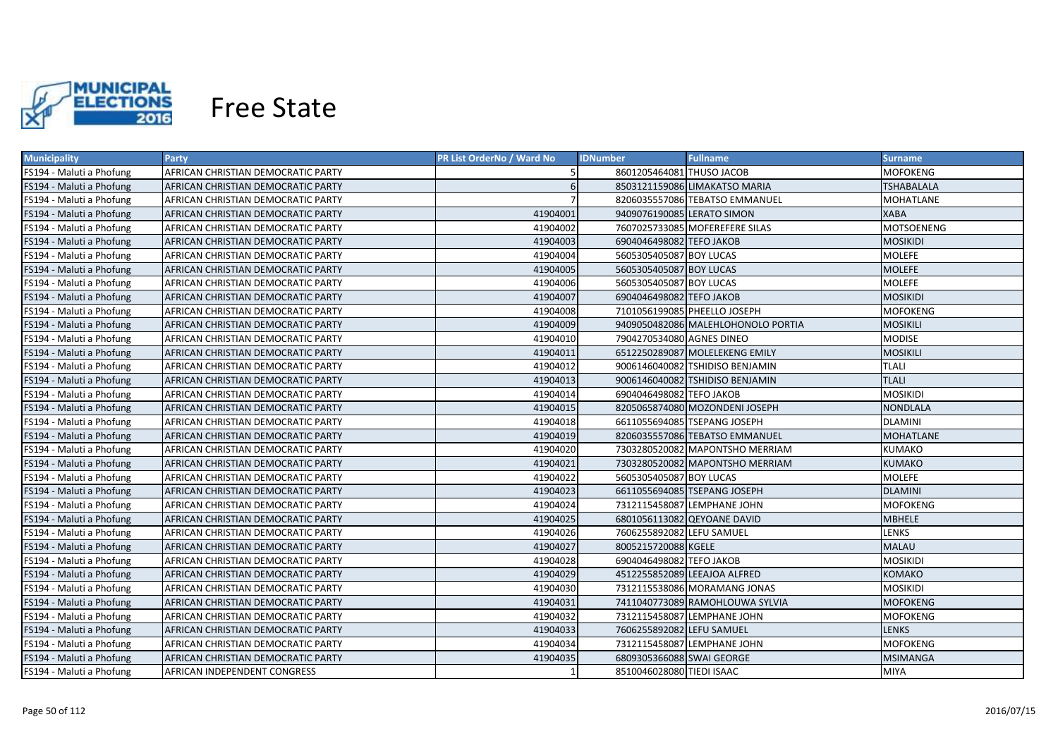

| <b>Municipality</b>      | <b>Party</b>                       | PR List OrderNo / Ward No | <b>IDNumber</b>            | <b>Fullname</b>                    | <b>Surname</b>    |
|--------------------------|------------------------------------|---------------------------|----------------------------|------------------------------------|-------------------|
| FS194 - Maluti a Phofung | AFRICAN CHRISTIAN DEMOCRATIC PARTY |                           | 8601205464081 THUSO JACOB  |                                    | MOFOKENG          |
| FS194 - Maluti a Phofung | AFRICAN CHRISTIAN DEMOCRATIC PARTY | 6                         |                            | 8503121159086 LIMAKATSO MARIA      | <b>TSHABALALA</b> |
| FS194 - Maluti a Phofung | AFRICAN CHRISTIAN DEMOCRATIC PARTY |                           |                            | 8206035557086 TEBATSO EMMANUEL     | MOHATLANE         |
| FS194 - Maluti a Phofung | AFRICAN CHRISTIAN DEMOCRATIC PARTY | 41904001                  | 9409076190085 LERATO SIMON |                                    | <b>XABA</b>       |
| FS194 - Maluti a Phofung | AFRICAN CHRISTIAN DEMOCRATIC PARTY | 41904002                  |                            | 7607025733085 MOFEREFERE SILAS     | <b>MOTSOENENG</b> |
| FS194 - Maluti a Phofung | AFRICAN CHRISTIAN DEMOCRATIC PARTY | 41904003                  | 6904046498082 TEFO JAKOB   |                                    | MOSIKIDI          |
| FS194 - Maluti a Phofung | AFRICAN CHRISTIAN DEMOCRATIC PARTY | 41904004                  | 5605305405087 BOY LUCAS    |                                    | <b>MOLEFE</b>     |
| FS194 - Maluti a Phofung | AFRICAN CHRISTIAN DEMOCRATIC PARTY | 41904005                  | 5605305405087 BOY LUCAS    |                                    | <b>MOLEFE</b>     |
| FS194 - Maluti a Phofung | AFRICAN CHRISTIAN DEMOCRATIC PARTY | 41904006                  | 5605305405087 BOY LUCAS    |                                    | <b>MOLEFE</b>     |
| FS194 - Maluti a Phofung | AFRICAN CHRISTIAN DEMOCRATIC PARTY | 41904007                  | 6904046498082 TEFO JAKOB   |                                    | <b>MOSIKIDI</b>   |
| FS194 - Maluti a Phofung | AFRICAN CHRISTIAN DEMOCRATIC PARTY | 41904008                  |                            | 7101056199085 PHEELLO JOSEPH       | MOFOKENG          |
| FS194 - Maluti a Phofung | AFRICAN CHRISTIAN DEMOCRATIC PARTY | 41904009                  |                            | 9409050482086 MALEHLOHONOLO PORTIA | <b>MOSIKILI</b>   |
| FS194 - Maluti a Phofung | AFRICAN CHRISTIAN DEMOCRATIC PARTY | 41904010                  | 7904270534080 AGNES DINEO  |                                    | MODISE            |
| FS194 - Maluti a Phofung | AFRICAN CHRISTIAN DEMOCRATIC PARTY | 41904011                  |                            | 6512250289087 MOLELEKENG EMILY     | <b>MOSIKILI</b>   |
| FS194 - Maluti a Phofung | AFRICAN CHRISTIAN DEMOCRATIC PARTY | 41904012                  |                            | 9006146040082 TSHIDISO BENJAMIN    | <b>TLALI</b>      |
| FS194 - Maluti a Phofung | AFRICAN CHRISTIAN DEMOCRATIC PARTY | 41904013                  |                            | 9006146040082 TSHIDISO BENJAMIN    | <b>TLALI</b>      |
| FS194 - Maluti a Phofung | AFRICAN CHRISTIAN DEMOCRATIC PARTY | 41904014                  | 6904046498082 TEFO JAKOB   |                                    | <b>MOSIKIDI</b>   |
| FS194 - Maluti a Phofung | AFRICAN CHRISTIAN DEMOCRATIC PARTY | 41904015                  |                            | 8205065874080 MOZONDENI JOSEPH     | <b>NONDLALA</b>   |
| FS194 - Maluti a Phofung | AFRICAN CHRISTIAN DEMOCRATIC PARTY | 41904018                  |                            | 6611055694085 TSEPANG JOSEPH       | <b>DLAMINI</b>    |
| FS194 - Maluti a Phofung | AFRICAN CHRISTIAN DEMOCRATIC PARTY | 41904019                  |                            | 8206035557086 TEBATSO EMMANUEL     | <b>MOHATLANE</b>  |
| FS194 - Maluti a Phofung | AFRICAN CHRISTIAN DEMOCRATIC PARTY | 41904020                  |                            | 7303280520082 MAPONTSHO MERRIAM    | KUMAKO            |
| FS194 - Maluti a Phofung | AFRICAN CHRISTIAN DEMOCRATIC PARTY | 41904021                  |                            | 7303280520082 MAPONTSHO MERRIAM    | <b>KUMAKO</b>     |
| FS194 - Maluti a Phofung | AFRICAN CHRISTIAN DEMOCRATIC PARTY | 41904022                  | 5605305405087 BOY LUCAS    |                                    | <b>MOLEFE</b>     |
| FS194 - Maluti a Phofung | AFRICAN CHRISTIAN DEMOCRATIC PARTY | 41904023                  |                            | 6611055694085 TSEPANG JOSEPH       | <b>DLAMINI</b>    |
| FS194 - Maluti a Phofung | AFRICAN CHRISTIAN DEMOCRATIC PARTY | 41904024                  |                            | 7312115458087 LEMPHANE JOHN        | MOFOKENG          |
| FS194 - Maluti a Phofung | AFRICAN CHRISTIAN DEMOCRATIC PARTY | 41904025                  |                            | 6801056113082 OEYOANE DAVID        | MBHELE            |
| FS194 - Maluti a Phofung | AFRICAN CHRISTIAN DEMOCRATIC PARTY | 41904026                  | 7606255892082 LEFU SAMUEL  |                                    | LENKS             |
| FS194 - Maluti a Phofung | AFRICAN CHRISTIAN DEMOCRATIC PARTY | 41904027                  | 8005215720088 KGELE        |                                    | MALAU             |
| FS194 - Maluti a Phofung | AFRICAN CHRISTIAN DEMOCRATIC PARTY | 41904028                  | 6904046498082 TEFO JAKOB   |                                    | <b>MOSIKIDI</b>   |
| FS194 - Maluti a Phofung | AFRICAN CHRISTIAN DEMOCRATIC PARTY | 41904029                  |                            | 4512255852089 LEEAJOA ALFRED       | KOMAKO            |
| FS194 - Maluti a Phofung | AFRICAN CHRISTIAN DEMOCRATIC PARTY | 41904030                  |                            | 7312115538086 MORAMANG JONAS       | <b>MOSIKIDI</b>   |
| FS194 - Maluti a Phofung | AFRICAN CHRISTIAN DEMOCRATIC PARTY | 41904031                  |                            | 7411040773089 RAMOHLOUWA SYLVIA    | <b>MOFOKENG</b>   |
| FS194 - Maluti a Phofung | AFRICAN CHRISTIAN DEMOCRATIC PARTY | 41904032                  |                            | 7312115458087 LEMPHANE JOHN        | MOFOKENG          |
| FS194 - Maluti a Phofung | AFRICAN CHRISTIAN DEMOCRATIC PARTY | 41904033                  | 7606255892082 LEFU SAMUEL  |                                    | <b>LENKS</b>      |
| FS194 - Maluti a Phofung | AFRICAN CHRISTIAN DEMOCRATIC PARTY | 41904034                  |                            | 7312115458087 LEMPHANE JOHN        | <b>MOFOKENG</b>   |
| FS194 - Maluti a Phofung | AFRICAN CHRISTIAN DEMOCRATIC PARTY | 41904035                  | 6809305366088 SWAI GEORGE  |                                    | <b>MSIMANGA</b>   |
| FS194 - Maluti a Phofung | AFRICAN INDEPENDENT CONGRESS       |                           | 8510046028080 TIEDI ISAAC  |                                    | <b>MIYA</b>       |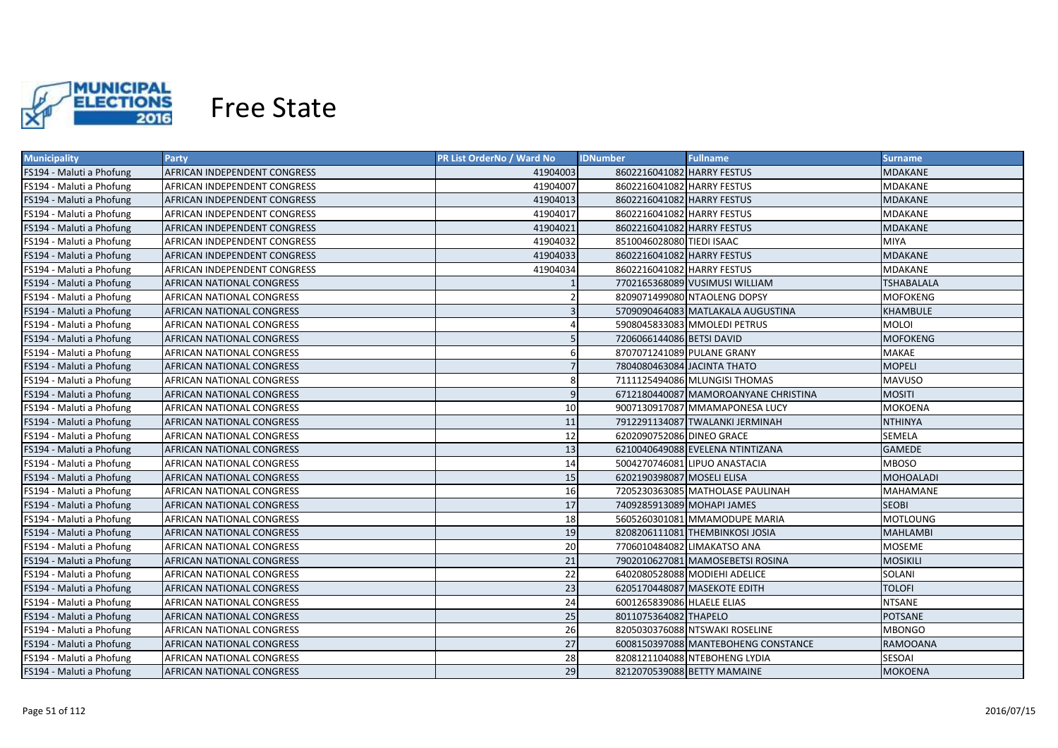

| <b>Municipality</b>      | <b>Party</b>                     | PR List OrderNo / Ward No | <b>IDNumber</b>             | <b>Fullname</b>                      | <b>Surname</b>    |
|--------------------------|----------------------------------|---------------------------|-----------------------------|--------------------------------------|-------------------|
| FS194 - Maluti a Phofung | AFRICAN INDEPENDENT CONGRESS     | 41904003                  | 8602216041082 HARRY FESTUS  |                                      | MDAKANE           |
| FS194 - Maluti a Phofung | AFRICAN INDEPENDENT CONGRESS     | 41904007                  | 8602216041082 HARRY FESTUS  |                                      | MDAKANE           |
| FS194 - Maluti a Phofung | AFRICAN INDEPENDENT CONGRESS     | 41904013                  | 8602216041082 HARRY FESTUS  |                                      | <b>MDAKANE</b>    |
| FS194 - Maluti a Phofung | AFRICAN INDEPENDENT CONGRESS     | 41904017                  | 8602216041082 HARRY FESTUS  |                                      | MDAKANE           |
| FS194 - Maluti a Phofung | AFRICAN INDEPENDENT CONGRESS     | 41904021                  | 8602216041082 HARRY FESTUS  |                                      | <b>MDAKANE</b>    |
| FS194 - Maluti a Phofung | AFRICAN INDEPENDENT CONGRESS     | 41904032                  | 8510046028080 TIEDI ISAAC   |                                      | <b>MIYA</b>       |
| FS194 - Maluti a Phofung | AFRICAN INDEPENDENT CONGRESS     | 41904033                  | 8602216041082 HARRY FESTUS  |                                      | MDAKANE           |
| FS194 - Maluti a Phofung | AFRICAN INDEPENDENT CONGRESS     | 41904034                  | 8602216041082 HARRY FESTUS  |                                      | MDAKANE           |
| FS194 - Maluti a Phofung | AFRICAN NATIONAL CONGRESS        |                           |                             | 7702165368089 VUSIMUSI WILLIAM       | <b>TSHABALALA</b> |
| FS194 - Maluti a Phofung | AFRICAN NATIONAL CONGRESS        |                           |                             | 8209071499080 NTAOLENG DOPSY         | <b>MOFOKENG</b>   |
| FS194 - Maluti a Phofung | AFRICAN NATIONAL CONGRESS        |                           |                             | 5709090464083 MATLAKALA AUGUSTINA    | KHAMBULE          |
| FS194 - Maluti a Phofung | AFRICAN NATIONAL CONGRESS        |                           |                             | 5908045833083 MMOLEDI PETRUS         | <b>MOLOI</b>      |
| FS194 - Maluti a Phofung | AFRICAN NATIONAL CONGRESS        | -5                        | 7206066144086 BETSI DAVID   |                                      | <b>MOFOKENG</b>   |
| FS194 - Maluti a Phofung | AFRICAN NATIONAL CONGRESS        | 6                         | 8707071241089 PULANE GRANY  |                                      | MAKAE             |
| FS194 - Maluti a Phofung | AFRICAN NATIONAL CONGRESS        | $\overline{7}$            | 7804080463084 JACINTA THATO |                                      | <b>MOPELI</b>     |
| FS194 - Maluti a Phofung | <b>AFRICAN NATIONAL CONGRESS</b> | 8                         |                             | 7111125494086 MLUNGISI THOMAS        | <b>MAVUSO</b>     |
| FS194 - Maluti a Phofung | AFRICAN NATIONAL CONGRESS        | 9                         |                             | 6712180440087 MAMOROANYANE CHRISTINA | <b>MOSITI</b>     |
| FS194 - Maluti a Phofung | AFRICAN NATIONAL CONGRESS        | 10                        |                             | 9007130917087 MMAMAPONESA LUCY       | MOKOENA           |
| FS194 - Maluti a Phofung | AFRICAN NATIONAL CONGRESS        | 11                        |                             | 7912291134087 TWALANKI JERMINAH      | NTHINYA           |
| FS194 - Maluti a Phofung | <b>AFRICAN NATIONAL CONGRESS</b> | 12                        | 6202090752086 DINEO GRACE   |                                      | SEMELA            |
| FS194 - Maluti a Phofung | AFRICAN NATIONAL CONGRESS        | 13                        |                             | 6210040649088 EVELENA NTINTIZANA     | <b>GAMEDE</b>     |
| FS194 - Maluti a Phofung | <b>AFRICAN NATIONAL CONGRESS</b> | 14                        |                             | 5004270746081 LIPUO ANASTACIA        | MBOSO             |
| FS194 - Maluti a Phofung | <b>AFRICAN NATIONAL CONGRESS</b> | 15                        | 6202190398087 MOSELI ELISA  |                                      | <b>MOHOALADI</b>  |
| FS194 - Maluti a Phofung | <b>AFRICAN NATIONAL CONGRESS</b> | 16                        |                             | 7205230363085 MATHOLASE PAULINAH     | MAHAMANE          |
| FS194 - Maluti a Phofung | AFRICAN NATIONAL CONGRESS        | 17                        | 7409285913089 MOHAPI JAMES  |                                      | SEOBI             |
| FS194 - Maluti a Phofung | AFRICAN NATIONAL CONGRESS        | 18                        |                             | 5605260301081 MMAMODUPE MARIA        | MOTLOUNG          |
| FS194 - Maluti a Phofung | AFRICAN NATIONAL CONGRESS        | 19                        |                             | 8208206111081 THEMBINKOSI JOSIA      | MAHLAMBI          |
| FS194 - Maluti a Phofung | AFRICAN NATIONAL CONGRESS        | 20                        |                             | 7706010484082 LIMAKATSO ANA          | MOSEME            |
| FS194 - Maluti a Phofung | AFRICAN NATIONAL CONGRESS        | 21                        |                             | 7902010627081 MAMOSEBETSI ROSINA     | MOSIKILI          |
| FS194 - Maluti a Phofung | AFRICAN NATIONAL CONGRESS        | 22                        |                             | 6402080528088 MODIEHI ADELICE        | SOLANI            |
| FS194 - Maluti a Phofung | AFRICAN NATIONAL CONGRESS        | 23                        |                             | 6205170448087 MASEKOTE EDITH         | <b>TOLOFI</b>     |
| FS194 - Maluti a Phofung | AFRICAN NATIONAL CONGRESS        | 24                        | 6001265839086 HLAELE ELIAS  |                                      | <b>NTSANE</b>     |
| FS194 - Maluti a Phofung | AFRICAN NATIONAL CONGRESS        | 25                        | 8011075364082 THAPELO       |                                      | <b>POTSANE</b>    |
| FS194 - Maluti a Phofung | AFRICAN NATIONAL CONGRESS        | 26                        |                             | 8205030376088 NTSWAKI ROSELINE       | <b>MBONGO</b>     |
| FS194 - Maluti a Phofung | AFRICAN NATIONAL CONGRESS        | 27                        |                             | 6008150397088 MANTEBOHENG CONSTANCE  | <b>RAMOOANA</b>   |
| FS194 - Maluti a Phofung | <b>AFRICAN NATIONAL CONGRESS</b> | 28                        |                             | 8208121104088 NTEBOHENG LYDIA        | <b>SESOAI</b>     |
| FS194 - Maluti a Phofung | AFRICAN NATIONAL CONGRESS        | 29                        |                             | 8212070539088 BETTY MAMAINE          | <b>MOKOENA</b>    |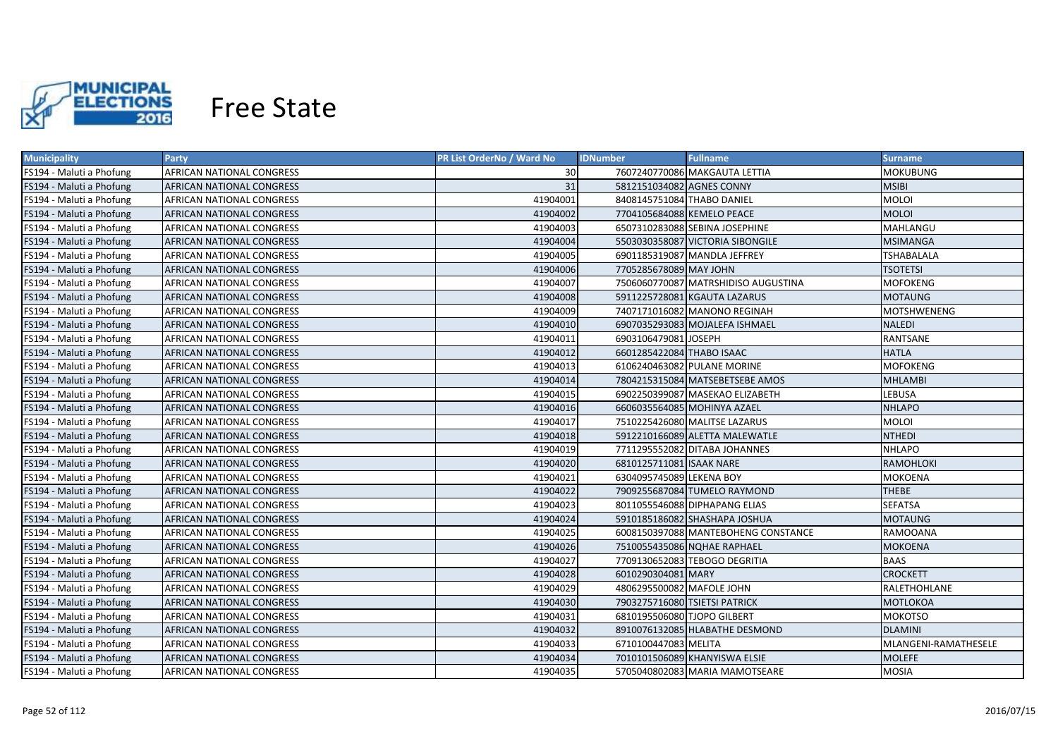

| <b>Municipality</b>      | <b>Party</b>              | PR List OrderNo / Ward No | <b>IDNumber</b>               | <b>Fullname</b>                     | <b>Surname</b>       |
|--------------------------|---------------------------|---------------------------|-------------------------------|-------------------------------------|----------------------|
| FS194 - Maluti a Phofung | AFRICAN NATIONAL CONGRESS | 30                        |                               | 7607240770086 MAKGAUTA LETTIA       | MOKUBUNG             |
| FS194 - Maluti a Phofung | AFRICAN NATIONAL CONGRESS | 31                        | 5812151034082 AGNES CONNY     |                                     | MSIBI                |
| FS194 - Maluti a Phofung | AFRICAN NATIONAL CONGRESS | 41904001                  | 8408145751084 THABO DANIEL    |                                     | <b>MOLOI</b>         |
| FS194 - Maluti a Phofung | AFRICAN NATIONAL CONGRESS | 41904002                  | 7704105684088 KEMELO PEACE    |                                     | <b>MOLOI</b>         |
| FS194 - Maluti a Phofung | AFRICAN NATIONAL CONGRESS | 41904003                  |                               | 6507310283088 SEBINA JOSEPHINE      | MAHLANGU             |
| FS194 - Maluti a Phofung | AFRICAN NATIONAL CONGRESS | 41904004                  |                               | 5503030358087 VICTORIA SIBONGILE    | <b>MSIMANGA</b>      |
| FS194 - Maluti a Phofung | AFRICAN NATIONAL CONGRESS | 41904005                  |                               | 6901185319087 MANDLA JEFFREY        | <b>TSHABALALA</b>    |
| FS194 - Maluti a Phofung | AFRICAN NATIONAL CONGRESS | 41904006                  | 7705285678089 MAY JOHN        |                                     | <b>TSOTETSI</b>      |
| FS194 - Maluti a Phofung | AFRICAN NATIONAL CONGRESS | 41904007                  |                               | 7506060770087 MATRSHIDISO AUGUSTINA | <b>MOFOKENG</b>      |
| FS194 - Maluti a Phofung | AFRICAN NATIONAL CONGRESS | 41904008                  |                               | 5911225728081 KGAUTA LAZARUS        | <b>MOTAUNG</b>       |
| FS194 - Maluti a Phofung | AFRICAN NATIONAL CONGRESS | 41904009                  |                               | 7407171016082 MANONO REGINAH        | <b>MOTSHWENENG</b>   |
| FS194 - Maluti a Phofung | AFRICAN NATIONAL CONGRESS | 41904010                  |                               | 6907035293083 MOJALEFA ISHMAEL      | <b>NALEDI</b>        |
| FS194 - Maluti a Phofung | AFRICAN NATIONAL CONGRESS | 41904011                  | 6903106479081 JOSEPH          |                                     | RANTSANE             |
| FS194 - Maluti a Phofung | AFRICAN NATIONAL CONGRESS | 41904012                  | 6601285422084 THABO ISAAC     |                                     | <b>HATLA</b>         |
| FS194 - Maluti a Phofung | AFRICAN NATIONAL CONGRESS | 41904013                  |                               | 6106240463082 PULANE MORINE         | <b>MOFOKENG</b>      |
| FS194 - Maluti a Phofung | AFRICAN NATIONAL CONGRESS | 41904014                  |                               | 7804215315084 MATSEBETSEBE AMOS     | <b>MHLAMBI</b>       |
| FS194 - Maluti a Phofung | AFRICAN NATIONAL CONGRESS | 41904015                  |                               | 6902250399087 MASEKAO ELIZABETH     | <b>LEBUSA</b>        |
| FS194 - Maluti a Phofung | AFRICAN NATIONAL CONGRESS | 41904016                  |                               | 6606035564085 MOHINYA AZAEL         | <b>NHLAPO</b>        |
| FS194 - Maluti a Phofung | AFRICAN NATIONAL CONGRESS | 41904017                  |                               | 7510225426080 MALITSE LAZARUS       | <b>MOLOI</b>         |
| FS194 - Maluti a Phofung | AFRICAN NATIONAL CONGRESS | 41904018                  |                               | 5912210166089 ALETTA MALEWATLE      | <b>NTHEDI</b>        |
| FS194 - Maluti a Phofung | AFRICAN NATIONAL CONGRESS | 41904019                  |                               | 7711295552082 DITABA JOHANNES       | <b>NHLAPO</b>        |
| FS194 - Maluti a Phofung | AFRICAN NATIONAL CONGRESS | 41904020                  | 6810125711081 ISAAK NARE      |                                     | <b>RAMOHLOKI</b>     |
| FS194 - Maluti a Phofung | AFRICAN NATIONAL CONGRESS | 41904021                  | 6304095745089 LEKENA BOY      |                                     | MOKOENA              |
| FS194 - Maluti a Phofung | AFRICAN NATIONAL CONGRESS | 41904022                  |                               | 7909255687084 TUMELO RAYMOND        | <b>THEBE</b>         |
| FS194 - Maluti a Phofung | AFRICAN NATIONAL CONGRESS | 41904023                  |                               | 8011055546088 DIPHAPANG ELIAS       | <b>SEFATSA</b>       |
| FS194 - Maluti a Phofung | AFRICAN NATIONAL CONGRESS | 41904024                  |                               | 5910185186082 SHASHAPA JOSHUA       | <b>MOTAUNG</b>       |
| FS194 - Maluti a Phofung | AFRICAN NATIONAL CONGRESS | 41904025                  |                               | 6008150397088 MANTEBOHENG CONSTANCE | RAMOOANA             |
| FS194 - Maluti a Phofung | AFRICAN NATIONAL CONGRESS | 41904026                  |                               | 7510055435086 NQHAE RAPHAEL         | MOKOENA              |
| FS194 - Maluti a Phofung | AFRICAN NATIONAL CONGRESS | 41904027                  |                               | 7709130652083 TEBOGO DEGRITIA       | <b>BAAS</b>          |
| FS194 - Maluti a Phofung | AFRICAN NATIONAL CONGRESS | 41904028                  | 6010290304081 MARY            |                                     | <b>CROCKETT</b>      |
| FS194 - Maluti a Phofung | AFRICAN NATIONAL CONGRESS | 41904029                  | 4806295500082 MAFOLE JOHN     |                                     | RALETHOHLANE         |
| FS194 - Maluti a Phofung | AFRICAN NATIONAL CONGRESS | 41904030                  | 7903275716080 TSIETSI PATRICK |                                     | MOTLOKOA             |
| FS194 - Maluti a Phofung | AFRICAN NATIONAL CONGRESS | 41904031                  | 6810195506080 TJOPO GILBERT   |                                     | MOKOTSO              |
| FS194 - Maluti a Phofung | AFRICAN NATIONAL CONGRESS | 41904032                  |                               | 8910076132085 HLABATHE DESMOND      | <b>DLAMINI</b>       |
| FS194 - Maluti a Phofung | AFRICAN NATIONAL CONGRESS | 41904033                  | 6710100447083 MELITA          |                                     | MLANGENI-RAMATHESELE |
| FS194 - Maluti a Phofung | AFRICAN NATIONAL CONGRESS | 41904034                  |                               | 7010101506089 KHANYISWA ELSIE       | <b>MOLEFE</b>        |
| FS194 - Maluti a Phofung | AFRICAN NATIONAL CONGRESS | 41904035                  |                               | 5705040802083 MARIA MAMOTSEARE      | <b>MOSIA</b>         |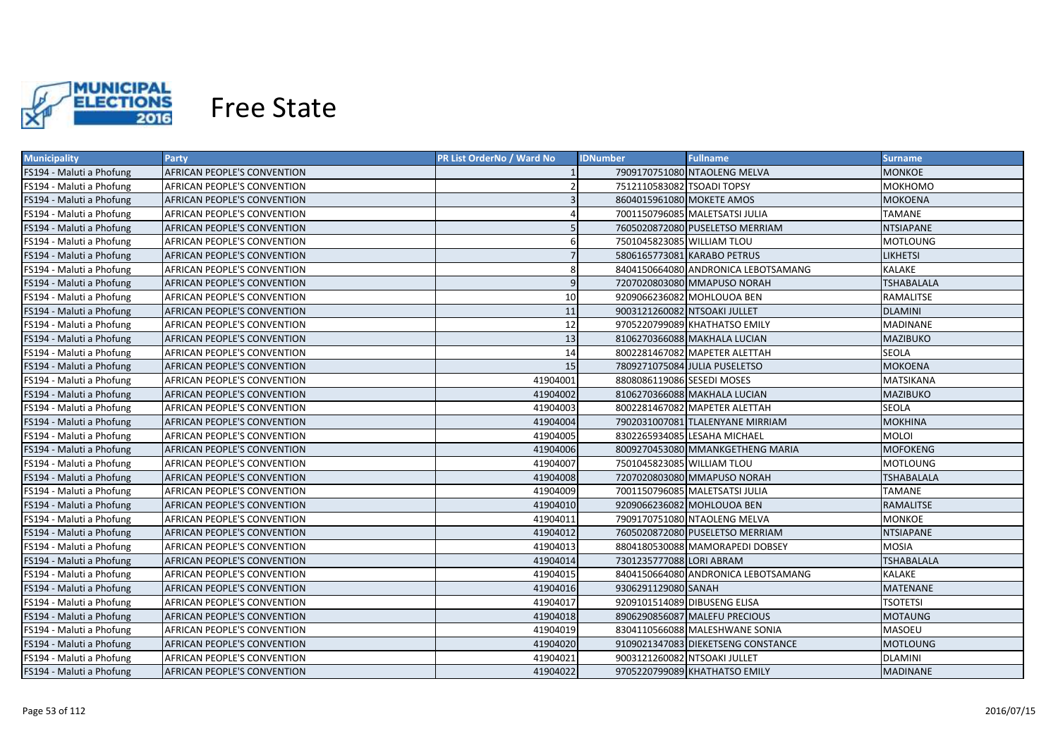

| <b>Municipality</b>      | <b>Party</b>                | PR List OrderNo / Ward No | <b>IDNumber</b>              | <b>Fullname</b>                     | <b>Surname</b>    |
|--------------------------|-----------------------------|---------------------------|------------------------------|-------------------------------------|-------------------|
| FS194 - Maluti a Phofung | AFRICAN PEOPLE'S CONVENTION |                           |                              | 7909170751080 NTAOLENG MELVA        | MONKOE            |
| FS194 - Maluti a Phofung | AFRICAN PEOPLE'S CONVENTION |                           | 7512110583082 TSOADI TOPSY   |                                     | МОКНОМО           |
| FS194 - Maluti a Phofung | AFRICAN PEOPLE'S CONVENTION | $\overline{3}$            | 8604015961080 MOKETE AMOS    |                                     | <b>MOKOENA</b>    |
| FS194 - Maluti a Phofung | AFRICAN PEOPLE'S CONVENTION |                           |                              | 7001150796085 MALETSATSI JULIA      | <b>TAMANE</b>     |
| FS194 - Maluti a Phofung | AFRICAN PEOPLE'S CONVENTION |                           |                              | 7605020872080 PUSELETSO MERRIAM     | <b>NTSIAPANE</b>  |
| FS194 - Maluti a Phofung | AFRICAN PEOPLE'S CONVENTION | 6                         | 7501045823085 WILLIAM TLOU   |                                     | <b>MOTLOUNG</b>   |
| FS194 - Maluti a Phofung | AFRICAN PEOPLE'S CONVENTION | $\overline{7}$            | 5806165773081 KARABO PETRUS  |                                     | <b>LIKHETSI</b>   |
| FS194 - Maluti a Phofung | AFRICAN PEOPLE'S CONVENTION | 8                         |                              | 8404150664080 ANDRONICA LEBOTSAMANG | KALAKE            |
| FS194 - Maluti a Phofung | AFRICAN PEOPLE'S CONVENTION | $\overline{9}$            |                              | 7207020803080 MMAPUSO NORAH         | <b>TSHABALALA</b> |
| FS194 - Maluti a Phofung | AFRICAN PEOPLE'S CONVENTION | 10                        |                              | 9209066236082 MOHLOUOA BEN          | RAMALITSE         |
| FS194 - Maluti a Phofung | AFRICAN PEOPLE'S CONVENTION | 11                        | 9003121260082 NTSOAKI JULLET |                                     | <b>DLAMINI</b>    |
| FS194 - Maluti a Phofung | AFRICAN PEOPLE'S CONVENTION | 12                        |                              | 9705220799089 KHATHATSO EMILY       | <b>MADINANE</b>   |
| FS194 - Maluti a Phofung | AFRICAN PEOPLE'S CONVENTION | 13                        |                              | 8106270366088 MAKHALA LUCIAN        | <b>MAZIBUKO</b>   |
| FS194 - Maluti a Phofung | AFRICAN PEOPLE'S CONVENTION | 14                        |                              | 8002281467082 MAPETER ALETTAH       | <b>SEOLA</b>      |
| FS194 - Maluti a Phofung | AFRICAN PEOPLE'S CONVENTION | 15                        |                              | 7809271075084 JULIA PUSELETSO       | <b>MOKOENA</b>    |
| FS194 - Maluti a Phofung | AFRICAN PEOPLE'S CONVENTION | 41904001                  | 8808086119086 SESEDI MOSES   |                                     | <b>MATSIKANA</b>  |
| FS194 - Maluti a Phofung | AFRICAN PEOPLE'S CONVENTION | 41904002                  |                              | 8106270366088 MAKHALA LUCIAN        | <b>MAZIBUKO</b>   |
| FS194 - Maluti a Phofung | AFRICAN PEOPLE'S CONVENTION | 41904003                  |                              | 8002281467082 MAPETER ALETTAH       | <b>SEOLA</b>      |
| FS194 - Maluti a Phofung | AFRICAN PEOPLE'S CONVENTION | 41904004                  |                              | 7902031007081 TLALENYANE MIRRIAM    | MOKHINA           |
| FS194 - Maluti a Phofung | AFRICAN PEOPLE'S CONVENTION | 41904005                  |                              | 8302265934085 LESAHA MICHAEL        | <b>MOLOI</b>      |
| FS194 - Maluti a Phofung | AFRICAN PEOPLE'S CONVENTION | 41904006                  |                              | 8009270453080 MMANKGETHENG MARIA    | MOFOKENG          |
| FS194 - Maluti a Phofung | AFRICAN PEOPLE'S CONVENTION | 41904007                  | 7501045823085 WILLIAM TLOU   |                                     | MOTLOUNG          |
| FS194 - Maluti a Phofung | AFRICAN PEOPLE'S CONVENTION | 41904008                  |                              | 7207020803080 MMAPUSO NORAH         | TSHABALALA        |
| FS194 - Maluti a Phofung | AFRICAN PEOPLE'S CONVENTION | 41904009                  |                              | 7001150796085 MALETSATSI JULIA      | TAMANE            |
| FS194 - Maluti a Phofung | AFRICAN PEOPLE'S CONVENTION | 41904010                  |                              | 9209066236082 MOHLOUOA BEN          | RAMALITSE         |
| FS194 - Maluti a Phofung | AFRICAN PEOPLE'S CONVENTION | 41904011                  |                              | 7909170751080 NTAOLENG MELVA        | <b>MONKOE</b>     |
| FS194 - Maluti a Phofung | AFRICAN PEOPLE'S CONVENTION | 41904012                  |                              | 7605020872080 PUSELETSO MERRIAM     | NTSIAPANE         |
| FS194 - Maluti a Phofung | AFRICAN PEOPLE'S CONVENTION | 41904013                  |                              | 8804180530088 MAMORAPEDI DOBSEY     | <b>MOSIA</b>      |
| FS194 - Maluti a Phofung | AFRICAN PEOPLE'S CONVENTION | 41904014                  | 7301235777088 LORI ABRAM     |                                     | <b>TSHABALALA</b> |
| FS194 - Maluti a Phofung | AFRICAN PEOPLE'S CONVENTION | 41904015                  |                              | 8404150664080 ANDRONICA LEBOTSAMANG | KALAKE            |
| FS194 - Maluti a Phofung | AFRICAN PEOPLE'S CONVENTION | 41904016                  | 9306291129080 SANAH          |                                     | <b>MATENANE</b>   |
| FS194 - Maluti a Phofung | AFRICAN PEOPLE'S CONVENTION | 41904017                  | 9209101514089 DIBUSENG ELISA |                                     | <b>TSOTETSI</b>   |
| FS194 - Maluti a Phofung | AFRICAN PEOPLE'S CONVENTION | 41904018                  |                              | 8906290856087 MALEFU PRECIOUS       | <b>MOTAUNG</b>    |
| FS194 - Maluti a Phofung | AFRICAN PEOPLE'S CONVENTION | 41904019                  |                              | 8304110566088 MALESHWANE SONIA      | MASOEU            |
| FS194 - Maluti a Phofung | AFRICAN PEOPLE'S CONVENTION | 41904020                  |                              | 9109021347083 DIEKETSENG CONSTANCE  | <b>MOTLOUNG</b>   |
| FS194 - Maluti a Phofung | AFRICAN PEOPLE'S CONVENTION | 41904021                  | 9003121260082 NTSOAKI JULLET |                                     | <b>DLAMINI</b>    |
| FS194 - Maluti a Phofung | AFRICAN PEOPLE'S CONVENTION | 41904022                  |                              | 9705220799089 KHATHATSO EMILY       | <b>MADINANE</b>   |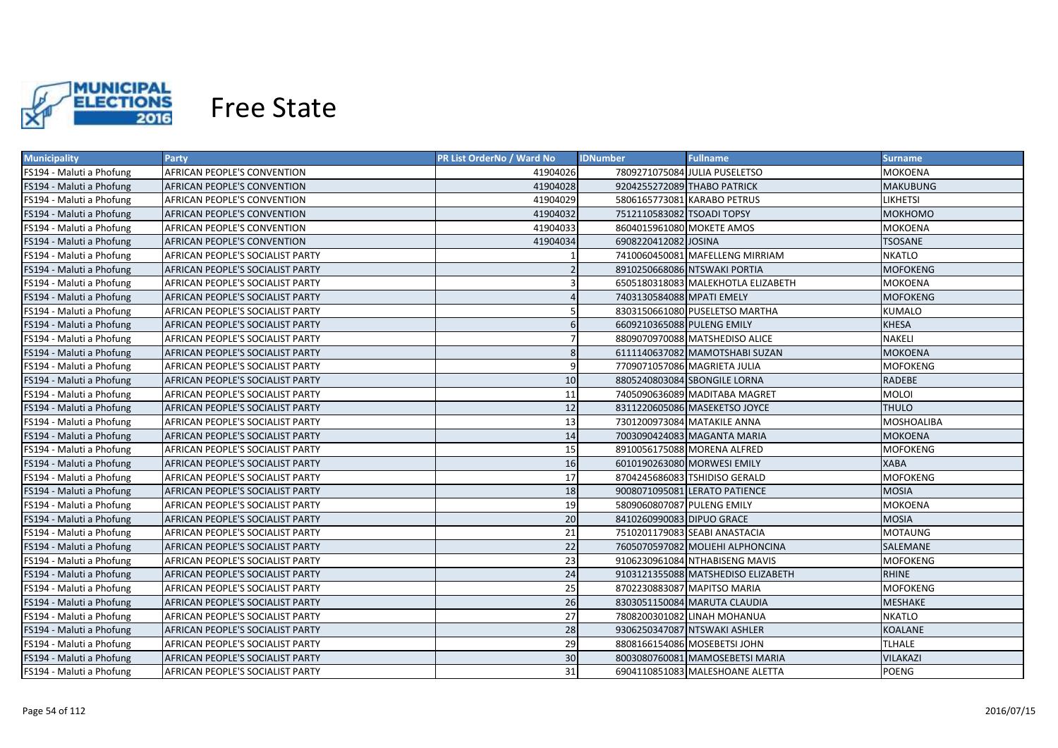

| <b>Municipality</b>      | <b>Party</b>                            | PR List OrderNo / Ward No | <b>IDNumber</b>            | <b>Fullname</b>                    | <b>Surname</b>    |
|--------------------------|-----------------------------------------|---------------------------|----------------------------|------------------------------------|-------------------|
| FS194 - Maluti a Phofung | AFRICAN PEOPLE'S CONVENTION             | 41904026                  |                            | 7809271075084 JULIA PUSELETSO      | MOKOENA           |
| FS194 - Maluti a Phofung | AFRICAN PEOPLE'S CONVENTION             | 41904028                  |                            | 9204255272089 THABO PATRICK        | <b>MAKUBUNG</b>   |
| FS194 - Maluti a Phofung | <b>AFRICAN PEOPLE'S CONVENTION</b>      | 41904029                  |                            | 5806165773081 KARABO PETRUS        | <b>LIKHETSI</b>   |
| FS194 - Maluti a Phofung | <b>AFRICAN PEOPLE'S CONVENTION</b>      | 41904032                  | 7512110583082 TSOADI TOPSY |                                    | <b>MOKHOMO</b>    |
| FS194 - Maluti a Phofung | <b>AFRICAN PEOPLE'S CONVENTION</b>      | 41904033                  | 8604015961080 MOKETE AMOS  |                                    | <b>MOKOENA</b>    |
| FS194 - Maluti a Phofung | <b>AFRICAN PEOPLE'S CONVENTION</b>      | 41904034                  | 6908220412082 JOSINA       |                                    | <b>TSOSANE</b>    |
| FS194 - Maluti a Phofung | AFRICAN PEOPLE'S SOCIALIST PARTY        |                           |                            | 7410060450081 MAFELLENG MIRRIAM    | <b>NKATLO</b>     |
| FS194 - Maluti a Phofung | AFRICAN PEOPLE'S SOCIALIST PARTY        |                           |                            | 8910250668086 NTSWAKI PORTIA       | <b>MOFOKENG</b>   |
| FS194 - Maluti a Phofung | AFRICAN PEOPLE'S SOCIALIST PARTY        |                           |                            | 6505180318083 MALEKHOTLA ELIZABETH | <b>MOKOENA</b>    |
| FS194 - Maluti a Phofung | AFRICAN PEOPLE'S SOCIALIST PARTY        |                           | 7403130584088 MPATI EMELY  |                                    | <b>MOFOKENG</b>   |
| FS194 - Maluti a Phofung | AFRICAN PEOPLE'S SOCIALIST PARTY        |                           |                            | 8303150661080 PUSELETSO MARTHA     | <b>KUMALO</b>     |
| FS194 - Maluti a Phofung | AFRICAN PEOPLE'S SOCIALIST PARTY        | 6                         | 6609210365088 PULENG EMILY |                                    | <b>KHESA</b>      |
| FS194 - Maluti a Phofung | AFRICAN PEOPLE'S SOCIALIST PARTY        |                           |                            | 8809070970088 MATSHEDISO ALICE     | <b>NAKELI</b>     |
| FS194 - Maluti a Phofung | AFRICAN PEOPLE'S SOCIALIST PARTY        | 8                         |                            | 6111140637082 MAMOTSHABI SUZAN     | <b>MOKOENA</b>    |
| FS194 - Maluti a Phofung | AFRICAN PEOPLE'S SOCIALIST PARTY        | q                         |                            | 7709071057086 MAGRIETA JULIA       | <b>MOFOKENG</b>   |
| FS194 - Maluti a Phofung | AFRICAN PEOPLE'S SOCIALIST PARTY        | 10                        |                            | 8805240803084 SBONGILE LORNA       | <b>RADEBE</b>     |
| FS194 - Maluti a Phofung | AFRICAN PEOPLE'S SOCIALIST PARTY        | 11                        |                            | 7405090636089 MADITABA MAGRET      | <b>MOLOI</b>      |
| FS194 - Maluti a Phofung | AFRICAN PEOPLE'S SOCIALIST PARTY        | 12                        |                            | 8311220605086 MASEKETSO JOYCE      | <b>THULO</b>      |
| FS194 - Maluti a Phofung | AFRICAN PEOPLE'S SOCIALIST PARTY        | 13                        |                            | 7301200973084 MATAKILE ANNA        | <b>MOSHOALIBA</b> |
| FS194 - Maluti a Phofung | AFRICAN PEOPLE'S SOCIALIST PARTY        | 14                        |                            | 7003090424083 MAGANTA MARIA        | <b>MOKOENA</b>    |
| FS194 - Maluti a Phofung | AFRICAN PEOPLE'S SOCIALIST PARTY        | 15                        |                            | 8910056175088 MORENA ALFRED        | <b>MOFOKENG</b>   |
| FS194 - Maluti a Phofung | AFRICAN PEOPLE'S SOCIALIST PARTY        | 16                        |                            | 6010190263080 MORWESI EMILY        | <b>XABA</b>       |
| FS194 - Maluti a Phofung | AFRICAN PEOPLE'S SOCIALIST PARTY        | 17                        |                            | 8704245686083 TSHIDISO GERALD      | <b>MOFOKENG</b>   |
| FS194 - Maluti a Phofung | <b>AFRICAN PEOPLE'S SOCIALIST PARTY</b> | 18                        |                            | 9008071095081 LERATO PATIENCE      | <b>MOSIA</b>      |
| FS194 - Maluti a Phofung | AFRICAN PEOPLE'S SOCIALIST PARTY        | 19                        | 5809060807087 PULENG EMILY |                                    | MOKOENA           |
| FS194 - Maluti a Phofung | <b>AFRICAN PEOPLE'S SOCIALIST PARTY</b> | 20                        | 8410260990083 DIPUO GRACE  |                                    | <b>MOSIA</b>      |
| FS194 - Maluti a Phofung | <b>AFRICAN PEOPLE'S SOCIALIST PARTY</b> | 21                        |                            | 7510201179083 SEABI ANASTACIA      | <b>MOTAUNG</b>    |
| FS194 - Maluti a Phofung | AFRICAN PEOPLE'S SOCIALIST PARTY        | 22                        |                            | 7605070597082 MOLIEHI ALPHONCINA   | SALEMANE          |
| FS194 - Maluti a Phofung | AFRICAN PEOPLE'S SOCIALIST PARTY        | 23                        |                            | 9106230961084 NTHABISENG MAVIS     | MOFOKENG          |
| FS194 - Maluti a Phofung | AFRICAN PEOPLE'S SOCIALIST PARTY        | 24                        |                            | 9103121355088 MATSHEDISO ELIZABETH | <b>RHINE</b>      |
| FS194 - Maluti a Phofung | AFRICAN PEOPLE'S SOCIALIST PARTY        | 25                        |                            | 8702230883087 MAPITSO MARIA        | MOFOKENG          |
| FS194 - Maluti a Phofung | AFRICAN PEOPLE'S SOCIALIST PARTY        | 26                        |                            | 8303051150084 MARUTA CLAUDIA       | <b>MESHAKE</b>    |
| FS194 - Maluti a Phofung | AFRICAN PEOPLE'S SOCIALIST PARTY        | 27                        |                            | 7808200301082 LINAH MOHANUA        | <b>NKATLO</b>     |
| FS194 - Maluti a Phofung | AFRICAN PEOPLE'S SOCIALIST PARTY        | 28                        |                            | 9306250347087 NTSWAKI ASHLER       | KOALANE           |
| FS194 - Maluti a Phofung | AFRICAN PEOPLE'S SOCIALIST PARTY        | 29                        |                            | 8808166154086 MOSEBETSI JOHN       | <b>TLHALE</b>     |
| FS194 - Maluti a Phofung | AFRICAN PEOPLE'S SOCIALIST PARTY        | 30                        |                            | 8003080760081 MAMOSEBETSI MARIA    | <b>VILAKAZI</b>   |
| FS194 - Maluti a Phofung | AFRICAN PEOPLE'S SOCIALIST PARTY        | 31                        |                            | 6904110851083 MALESHOANE ALETTA    | <b>POENG</b>      |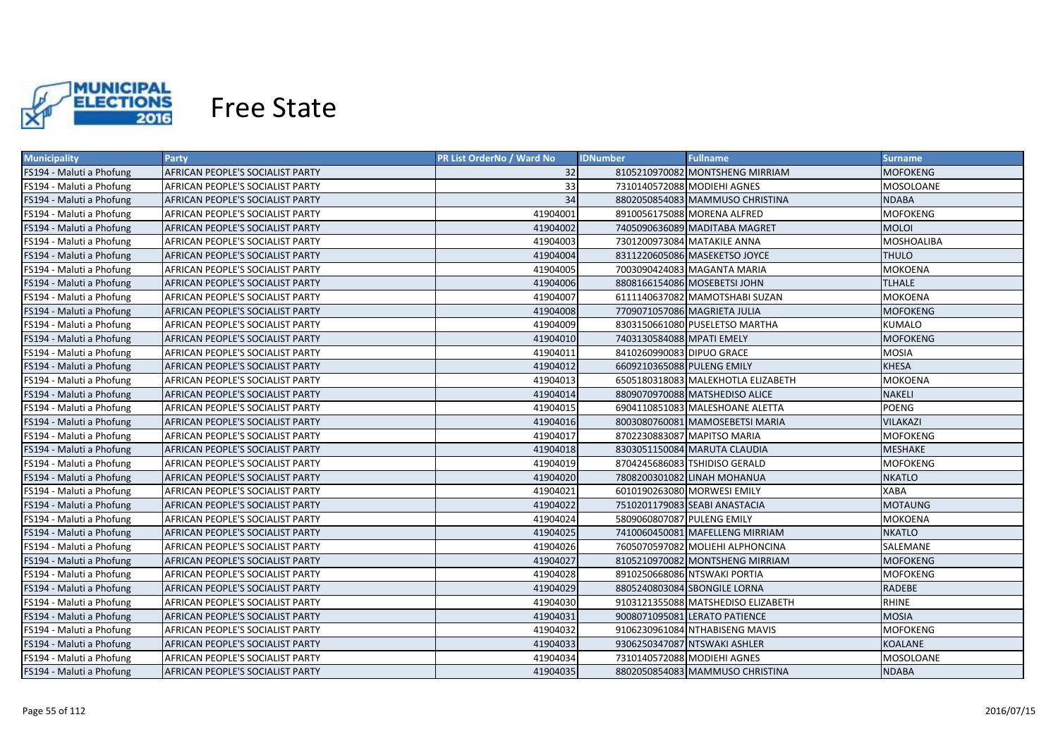

| <b>Municipality</b>      | <b>Party</b>                     | PR List OrderNo / Ward No | <b>Fullname</b><br><b>IDNumber</b> | Surname           |
|--------------------------|----------------------------------|---------------------------|------------------------------------|-------------------|
| FS194 - Maluti a Phofung | AFRICAN PEOPLE'S SOCIALIST PARTY | 32                        | 8105210970082 MONTSHENG MIRRIAM    | <b>MOFOKENG</b>   |
| FS194 - Maluti a Phofung | AFRICAN PEOPLE'S SOCIALIST PARTY | 33                        | 7310140572088 MODIEHI AGNES        | MOSOLOANE         |
| FS194 - Maluti a Phofung | AFRICAN PEOPLE'S SOCIALIST PARTY | 34                        | 8802050854083 MAMMUSO CHRISTINA    | <b>NDABA</b>      |
| FS194 - Maluti a Phofung | AFRICAN PEOPLE'S SOCIALIST PARTY | 41904001                  | 8910056175088 MORENA ALFRED        | MOFOKENG          |
| FS194 - Maluti a Phofung | AFRICAN PEOPLE'S SOCIALIST PARTY | 41904002                  | 7405090636089 MADITABA MAGRET      | <b>MOLOI</b>      |
| FS194 - Maluti a Phofung | AFRICAN PEOPLE'S SOCIALIST PARTY | 41904003                  | 7301200973084 MATAKILE ANNA        | <b>MOSHOALIBA</b> |
| FS194 - Maluti a Phofung | AFRICAN PEOPLE'S SOCIALIST PARTY | 41904004                  | 8311220605086 MASEKETSO JOYCE      | <b>THULO</b>      |
| FS194 - Maluti a Phofung | AFRICAN PEOPLE'S SOCIALIST PARTY | 41904005                  | 7003090424083 MAGANTA MARIA        | MOKOENA           |
| FS194 - Maluti a Phofung | AFRICAN PEOPLE'S SOCIALIST PARTY | 41904006                  | 8808166154086 MOSEBETSI JOHN       | <b>TLHALE</b>     |
| FS194 - Maluti a Phofung | AFRICAN PEOPLE'S SOCIALIST PARTY | 41904007                  | 6111140637082 MAMOTSHABI SUZAN     | MOKOENA           |
| FS194 - Maluti a Phofung | AFRICAN PEOPLE'S SOCIALIST PARTY | 41904008                  | 7709071057086 MAGRIETA JULIA       | <b>MOFOKENG</b>   |
| FS194 - Maluti a Phofung | AFRICAN PEOPLE'S SOCIALIST PARTY | 41904009                  | 8303150661080 PUSELETSO MARTHA     | <b>KUMALO</b>     |
| FS194 - Maluti a Phofung | AFRICAN PEOPLE'S SOCIALIST PARTY | 41904010                  | 7403130584088 MPATI EMELY          | <b>MOFOKENG</b>   |
| FS194 - Maluti a Phofung | AFRICAN PEOPLE'S SOCIALIST PARTY | 41904011                  | 8410260990083 DIPUO GRACE          | <b>MOSIA</b>      |
| FS194 - Maluti a Phofung | AFRICAN PEOPLE'S SOCIALIST PARTY | 41904012                  | 6609210365088 PULENG EMILY         | <b>KHESA</b>      |
| FS194 - Maluti a Phofung | AFRICAN PEOPLE'S SOCIALIST PARTY | 41904013                  | 6505180318083 MALEKHOTLA ELIZABETH | <b>MOKOENA</b>    |
| FS194 - Maluti a Phofung | AFRICAN PEOPLE'S SOCIALIST PARTY | 41904014                  | 8809070970088 MATSHEDISO ALICE     | <b>NAKELI</b>     |
| FS194 - Maluti a Phofung | AFRICAN PEOPLE'S SOCIALIST PARTY | 41904015                  | 6904110851083 MALESHOANE ALETTA    | POENG             |
| FS194 - Maluti a Phofung | AFRICAN PEOPLE'S SOCIALIST PARTY | 41904016                  | 8003080760081 MAMOSEBETSI MARIA    | <b>VILAKAZI</b>   |
| FS194 - Maluti a Phofung | AFRICAN PEOPLE'S SOCIALIST PARTY | 41904017                  | 8702230883087 MAPITSO MARIA        | <b>MOFOKENG</b>   |
| FS194 - Maluti a Phofung | AFRICAN PEOPLE'S SOCIALIST PARTY | 41904018                  | 8303051150084 MARUTA CLAUDIA       | <b>MESHAKE</b>    |
| FS194 - Maluti a Phofung | AFRICAN PEOPLE'S SOCIALIST PARTY | 41904019                  | 8704245686083 TSHIDISO GERALD      | <b>MOFOKENG</b>   |
| FS194 - Maluti a Phofung | AFRICAN PEOPLE'S SOCIALIST PARTY | 41904020                  | 7808200301082 LINAH MOHANUA        | NKATLO            |
| FS194 - Maluti a Phofung | AFRICAN PEOPLE'S SOCIALIST PARTY | 41904021                  | 6010190263080 MORWESI EMILY        | <b>XABA</b>       |
| FS194 - Maluti a Phofung | AFRICAN PEOPLE'S SOCIALIST PARTY | 41904022                  | 7510201179083 SEABI ANASTACIA      | <b>MOTAUNG</b>    |
| FS194 - Maluti a Phofung | AFRICAN PEOPLE'S SOCIALIST PARTY | 41904024                  | 5809060807087 PULENG EMILY         | MOKOENA           |
| FS194 - Maluti a Phofung | AFRICAN PEOPLE'S SOCIALIST PARTY | 41904025                  | 7410060450081 MAFELLENG MIRRIAM    | NKATLO            |
| FS194 - Maluti a Phofung | AFRICAN PEOPLE'S SOCIALIST PARTY | 41904026                  | 7605070597082 MOLIEHI ALPHONCINA   | SALEMANE          |
| FS194 - Maluti a Phofung | AFRICAN PEOPLE'S SOCIALIST PARTY | 41904027                  | 8105210970082 MONTSHENG MIRRIAM    | <b>MOFOKENG</b>   |
| FS194 - Maluti a Phofung | AFRICAN PEOPLE'S SOCIALIST PARTY | 41904028                  | 8910250668086 NTSWAKI PORTIA       | MOFOKENG          |
| FS194 - Maluti a Phofung | AFRICAN PEOPLE'S SOCIALIST PARTY | 41904029                  | 8805240803084 SBONGILE LORNA       | <b>RADEBE</b>     |
| FS194 - Maluti a Phofung | AFRICAN PEOPLE'S SOCIALIST PARTY | 41904030                  | 9103121355088 MATSHEDISO ELIZABETH | <b>RHINE</b>      |
| FS194 - Maluti a Phofung | AFRICAN PEOPLE'S SOCIALIST PARTY | 41904031                  | 9008071095081 LERATO PATIENCE      | <b>MOSIA</b>      |
| FS194 - Maluti a Phofung | AFRICAN PEOPLE'S SOCIALIST PARTY | 41904032                  | 9106230961084 NTHABISENG MAVIS     | <b>MOFOKENG</b>   |
| FS194 - Maluti a Phofung | AFRICAN PEOPLE'S SOCIALIST PARTY | 41904033                  | 9306250347087 NTSWAKI ASHLER       | <b>KOALANE</b>    |
| FS194 - Maluti a Phofung | AFRICAN PEOPLE'S SOCIALIST PARTY | 41904034                  | 7310140572088 MODIEHI AGNES        | <b>MOSOLOANE</b>  |
| FS194 - Maluti a Phofung | AFRICAN PEOPLE'S SOCIALIST PARTY | 41904035                  | 8802050854083 MAMMUSO CHRISTINA    | <b>NDABA</b>      |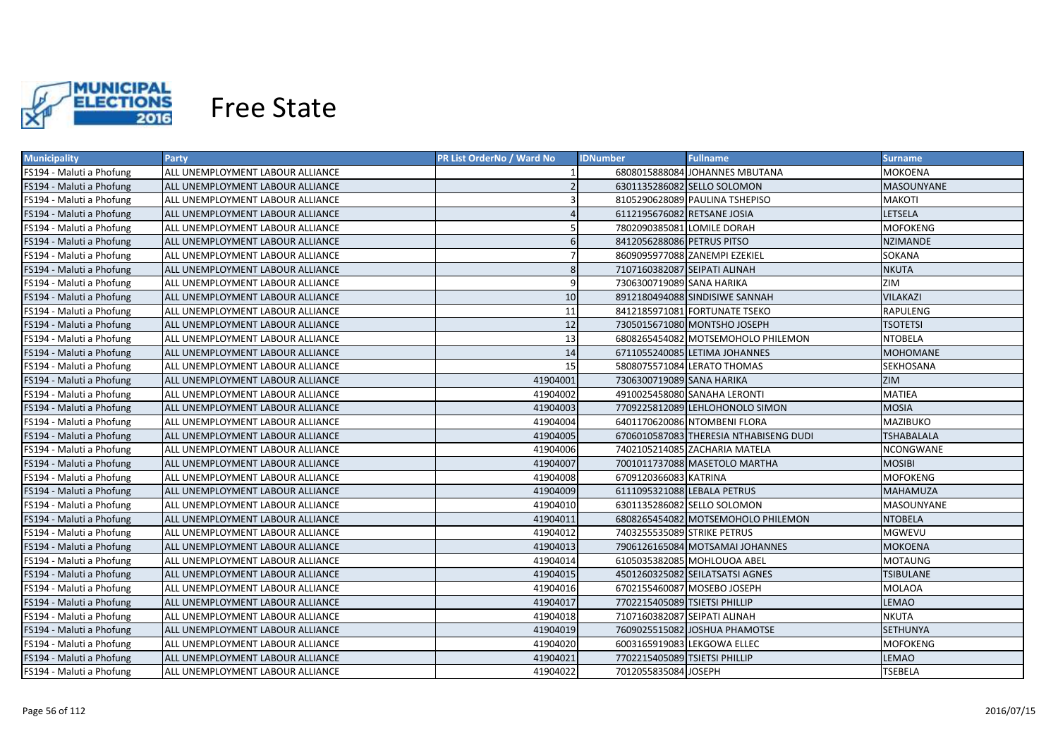

| <b>Municipality</b>      | Party                                   | PR List OrderNo / Ward No | <b>IDNumber</b>               | <b>Fullname</b>                        | <b>Surname</b>    |
|--------------------------|-----------------------------------------|---------------------------|-------------------------------|----------------------------------------|-------------------|
| FS194 - Maluti a Phofung | ALL UNEMPLOYMENT LABOUR ALLIANCE        |                           |                               | 6808015888084 JOHANNES MBUTANA         | MOKOENA           |
| FS194 - Maluti a Phofung | ALL UNEMPLOYMENT LABOUR ALLIANCE        |                           |                               | 6301135286082 SELLO SOLOMON            | <b>MASOUNYANE</b> |
| FS194 - Maluti a Phofung | ALL UNEMPLOYMENT LABOUR ALLIANCE        |                           |                               | 8105290628089 PAULINA TSHEPISO         | MAKOTI            |
| FS194 - Maluti a Phofung | ALL UNEMPLOYMENT LABOUR ALLIANCE        |                           | 6112195676082 RETSANE JOSIA   |                                        | <b>LETSELA</b>    |
| FS194 - Maluti a Phofung | ALL UNEMPLOYMENT LABOUR ALLIANCE        |                           | 7802090385081 LOMILE DORAH    |                                        | <b>MOFOKENG</b>   |
| FS194 - Maluti a Phofung | ALL UNEMPLOYMENT LABOUR ALLIANCE        | 6                         | 8412056288086 PETRUS PITSO    |                                        | <b>NZIMANDE</b>   |
| FS194 - Maluti a Phofung | ALL UNEMPLOYMENT LABOUR ALLIANCE        |                           |                               | 8609095977088 ZANEMPI EZEKIEL          | SOKANA            |
| FS194 - Maluti a Phofung | ALL UNEMPLOYMENT LABOUR ALLIANCE        | 8                         | 7107160382087 SEIPATI ALINAH  |                                        | <b>NKUTA</b>      |
| FS194 - Maluti a Phofung | ALL UNEMPLOYMENT LABOUR ALLIANCE        | 9                         | 7306300719089 SANA HARIKA     |                                        | ZIM               |
| FS194 - Maluti a Phofung | <b>ALL UNEMPLOYMENT LABOUR ALLIANCE</b> | 10                        |                               | 8912180494088 SINDISIWE SANNAH         | VILAKAZI          |
| FS194 - Maluti a Phofung | ALL UNEMPLOYMENT LABOUR ALLIANCE        | 11                        |                               | 8412185971081 FORTUNATE TSEKO          | <b>RAPULENG</b>   |
| FS194 - Maluti a Phofung | <b>ALL UNEMPLOYMENT LABOUR ALLIANCE</b> | 12                        |                               | 7305015671080 MONTSHO JOSEPH           | TSOTETSI          |
| FS194 - Maluti a Phofung | ALL UNEMPLOYMENT LABOUR ALLIANCE        | 13                        |                               | 6808265454082 MOTSEMOHOLO PHILEMON     | NTOBELA           |
| FS194 - Maluti a Phofung | ALL UNEMPLOYMENT LABOUR ALLIANCE        | 14                        |                               | 6711055240085 LETIMA JOHANNES          | <b>MOHOMANE</b>   |
| FS194 - Maluti a Phofung | ALL UNEMPLOYMENT LABOUR ALLIANCE        | 15                        |                               | 5808075571084 LERATO THOMAS            | SEKHOSANA         |
| FS194 - Maluti a Phofung | ALL UNEMPLOYMENT LABOUR ALLIANCE        | 41904001                  | 7306300719089 SANA HARIKA     |                                        | <b>ZIM</b>        |
| FS194 - Maluti a Phofung | ALL UNEMPLOYMENT LABOUR ALLIANCE        | 41904002                  |                               | 4910025458080 SANAHA LERONTI           | <b>MATIEA</b>     |
| FS194 - Maluti a Phofung | ALL UNEMPLOYMENT LABOUR ALLIANCE        | 41904003                  |                               | 7709225812089 LEHLOHONOLO SIMON        | <b>MOSIA</b>      |
| FS194 - Maluti a Phofung | ALL UNEMPLOYMENT LABOUR ALLIANCE        | 41904004                  |                               | 6401170620086 NTOMBENI FLORA           | <b>MAZIBUKO</b>   |
| FS194 - Maluti a Phofung | ALL UNEMPLOYMENT LABOUR ALLIANCE        | 41904005                  |                               | 6706010587083 THERESIA NTHABISENG DUDI | <b>TSHABALALA</b> |
| FS194 - Maluti a Phofung | ALL UNEMPLOYMENT LABOUR ALLIANCE        | 41904006                  |                               | 7402105214085 ZACHARIA MATELA          | NCONGWANE         |
| FS194 - Maluti a Phofung | ALL UNEMPLOYMENT LABOUR ALLIANCE        | 41904007                  |                               | 7001011737088 MASETOLO MARTHA          | <b>MOSIBI</b>     |
| FS194 - Maluti a Phofung | ALL UNEMPLOYMENT LABOUR ALLIANCE        | 41904008                  | 6709120366083 KATRINA         |                                        | <b>MOFOKENG</b>   |
| FS194 - Maluti a Phofung | ALL UNEMPLOYMENT LABOUR ALLIANCE        | 41904009                  | 6111095321088 LEBALA PETRUS   |                                        | MAHAMUZA          |
| FS194 - Maluti a Phofung | ALL UNEMPLOYMENT LABOUR ALLIANCE        | 41904010                  |                               | 6301135286082 SELLO SOLOMON            | MASOUNYANE        |
| FS194 - Maluti a Phofung | ALL UNEMPLOYMENT LABOUR ALLIANCE        | 41904011                  |                               | 6808265454082 MOTSEMOHOLO PHILEMON     | <b>NTOBELA</b>    |
| FS194 - Maluti a Phofung | ALL UNEMPLOYMENT LABOUR ALLIANCE        | 41904012                  | 7403255535089 STRIKE PETRUS   |                                        | MGWEVU            |
| FS194 - Maluti a Phofung | ALL UNEMPLOYMENT LABOUR ALLIANCE        | 41904013                  |                               | 7906126165084 MOTSAMAI JOHANNES        | MOKOENA           |
| FS194 - Maluti a Phofung | ALL UNEMPLOYMENT LABOUR ALLIANCE        | 41904014                  |                               | 6105035382085 MOHLOUOA ABEL            | <b>MOTAUNG</b>    |
| FS194 - Maluti a Phofung | ALL UNEMPLOYMENT LABOUR ALLIANCE        | 41904015                  |                               | 4501260325082 SEILATSATSI AGNES        | TSIBULANE         |
| FS194 - Maluti a Phofung | ALL UNEMPLOYMENT LABOUR ALLIANCE        | 41904016                  |                               | 6702155460087 MOSEBO JOSEPH            | <b>MOLAOA</b>     |
| FS194 - Maluti a Phofung | ALL UNEMPLOYMENT LABOUR ALLIANCE        | 41904017                  | 7702215405089 TSIETSI PHILLIP |                                        | LEMAO             |
| FS194 - Maluti a Phofung | ALL UNEMPLOYMENT LABOUR ALLIANCE        | 41904018                  | 7107160382087 SEIPATI ALINAH  |                                        | NKUTA             |
| FS194 - Maluti a Phofung | ALL UNEMPLOYMENT LABOUR ALLIANCE        | 41904019                  |                               | 7609025515082 JOSHUA PHAMOTSE          | <b>SETHUNYA</b>   |
| FS194 - Maluti a Phofung | ALL UNEMPLOYMENT LABOUR ALLIANCE        | 41904020                  |                               | 6003165919083 LEKGOWA ELLEC            | <b>MOFOKENG</b>   |
| FS194 - Maluti a Phofung | ALL UNEMPLOYMENT LABOUR ALLIANCE        | 41904021                  | 7702215405089 TSIETSI PHILLIP |                                        | LEMAO             |
| FS194 - Maluti a Phofung | ALL UNEMPLOYMENT LABOUR ALLIANCE        | 41904022                  | 7012055835084 JOSEPH          |                                        | <b>TSEBELA</b>    |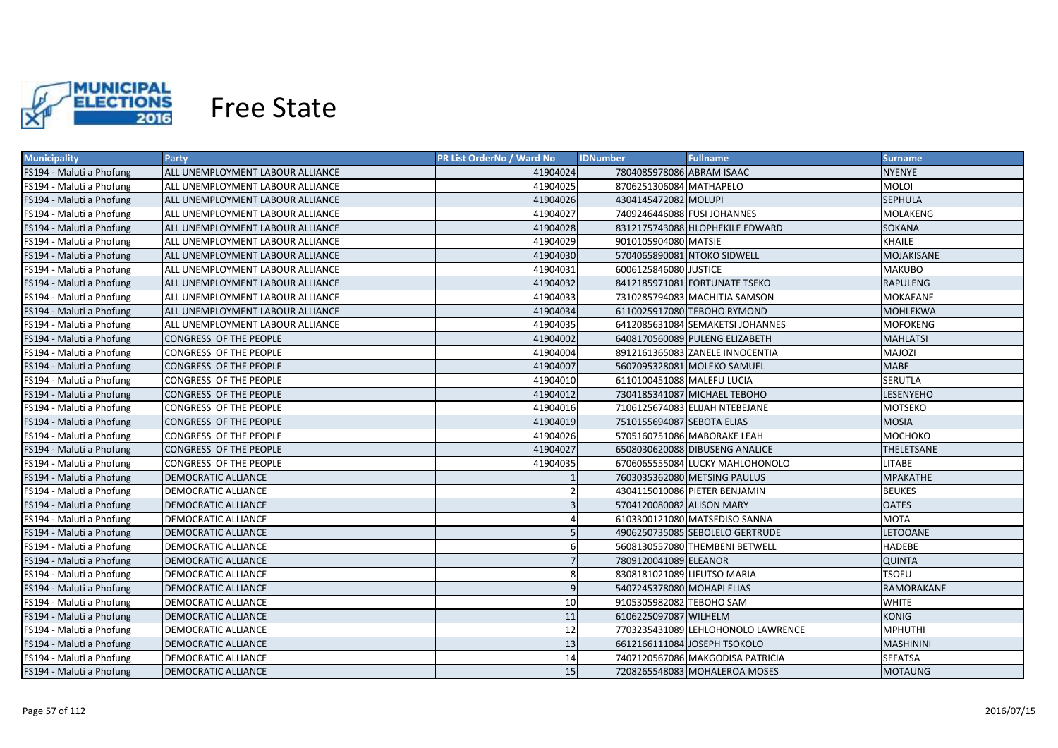

| <b>Municipality</b>      | <b>Party</b>                     | PR List OrderNo / Ward No | <b>IDNumber</b>             | <b>Fullname</b>                    | <b>Surname</b>   |
|--------------------------|----------------------------------|---------------------------|-----------------------------|------------------------------------|------------------|
| FS194 - Maluti a Phofung | ALL UNEMPLOYMENT LABOUR ALLIANCE | 41904024                  | 7804085978086 ABRAM ISAAC   |                                    | NYENYE           |
| FS194 - Maluti a Phofung | ALL UNEMPLOYMENT LABOUR ALLIANCE | 41904025                  | 8706251306084 MATHAPELO     |                                    | <b>MOLOI</b>     |
| FS194 - Maluti a Phofung | ALL UNEMPLOYMENT LABOUR ALLIANCE | 41904026                  | 4304145472082 MOLUPI        |                                    | <b>SEPHULA</b>   |
| FS194 - Maluti a Phofung | ALL UNEMPLOYMENT LABOUR ALLIANCE | 41904027                  | 7409246446088 FUSI JOHANNES |                                    | <b>MOLAKENG</b>  |
| FS194 - Maluti a Phofung | ALL UNEMPLOYMENT LABOUR ALLIANCE | 41904028                  |                             | 8312175743088 HLOPHEKILE EDWARD    | <b>SOKANA</b>    |
| FS194 - Maluti a Phofung | ALL UNEMPLOYMENT LABOUR ALLIANCE | 41904029                  | 9010105904080 MATSIE        |                                    | <b>KHAILE</b>    |
| FS194 - Maluti a Phofung | ALL UNEMPLOYMENT LABOUR ALLIANCE | 41904030                  | 5704065890081 NTOKO SIDWELL |                                    | MOJAKISANE       |
| FS194 - Maluti a Phofung | ALL UNEMPLOYMENT LABOUR ALLIANCE | 41904031                  | 6006125846080 JUSTICE       |                                    | <b>MAKUBO</b>    |
| FS194 - Maluti a Phofung | ALL UNEMPLOYMENT LABOUR ALLIANCE | 41904032                  |                             | 8412185971081 FORTUNATE TSEKO      | <b>RAPULENG</b>  |
| FS194 - Maluti a Phofung | ALL UNEMPLOYMENT LABOUR ALLIANCE | 41904033                  |                             | 7310285794083 MACHITJA SAMSON      | MOKAEANE         |
| FS194 - Maluti a Phofung | ALL UNEMPLOYMENT LABOUR ALLIANCE | 41904034                  |                             | 6110025917080 TEBOHO RYMOND        | <b>MOHLEKWA</b>  |
| FS194 - Maluti a Phofung | ALL UNEMPLOYMENT LABOUR ALLIANCE | 41904035                  |                             | 6412085631084 SEMAKETSI JOHANNES   | <b>MOFOKENG</b>  |
| FS194 - Maluti a Phofung | CONGRESS OF THE PEOPLE           | 41904002                  |                             | 6408170560089 PULENG ELIZABETH     | <b>MAHLATSI</b>  |
| FS194 - Maluti a Phofung | CONGRESS OF THE PEOPLE           | 41904004                  |                             | 8912161365083 ZANELE INNOCENTIA    | MAJOZI           |
| FS194 - Maluti a Phofung | CONGRESS OF THE PEOPLE           | 41904007                  |                             | 5607095328081 MOLEKO SAMUEL        | MABE             |
| FS194 - Maluti a Phofung | CONGRESS OF THE PEOPLE           | 41904010                  | 6110100451088 MALEFU LUCIA  |                                    | SERUTLA          |
| FS194 - Maluti a Phofung | <b>CONGRESS OF THE PEOPLE</b>    | 41904012                  |                             | 7304185341087 MICHAEL TEBOHO       | <b>LESENYEHO</b> |
| FS194 - Maluti a Phofung | CONGRESS OF THE PEOPLE           | 41904016                  |                             | 7106125674083 ELIJAH NTEBEJANE     | <b>MOTSEKO</b>   |
| FS194 - Maluti a Phofung | CONGRESS OF THE PEOPLE           | 41904019                  | 7510155694087 SEBOTA ELIAS  |                                    | <b>MOSIA</b>     |
| FS194 - Maluti a Phofung | CONGRESS OF THE PEOPLE           | 41904026                  |                             | 5705160751086 MABORAKE LEAH        | МОСНОКО          |
| FS194 - Maluti a Phofung | CONGRESS OF THE PEOPLE           | 41904027                  |                             | 6508030620088 DIBUSENG ANALICE     | THELETSANE       |
| FS194 - Maluti a Phofung | CONGRESS OF THE PEOPLE           | 41904035                  |                             | 6706065555084 LUCKY MAHLOHONOLO    | <b>LITABE</b>    |
| FS194 - Maluti a Phofung | <b>DEMOCRATIC ALLIANCE</b>       |                           |                             | 7603035362080 METSING PAULUS       | MPAKATHE         |
| FS194 - Maluti a Phofung | <b>DEMOCRATIC ALLIANCE</b>       | 2                         |                             | 4304115010086 PIETER BENJAMIN      | <b>BEUKES</b>    |
| FS194 - Maluti a Phofung | <b>DEMOCRATIC ALLIANCE</b>       | $\overline{3}$            | 5704120080082 ALISON MARY   |                                    | <b>OATES</b>     |
| FS194 - Maluti a Phofung | <b>DEMOCRATIC ALLIANCE</b>       |                           |                             | 6103300121080 MATSEDISO SANNA      | <b>MOTA</b>      |
| FS194 - Maluti a Phofung | <b>DEMOCRATIC ALLIANCE</b>       |                           |                             | 4906250735085 SEBOLELO GERTRUDE    | <b>LETOOANE</b>  |
| FS194 - Maluti a Phofung | DEMOCRATIC ALLIANCE              | 6                         |                             | 5608130557080 THEMBENI BETWELL     | <b>HADEBE</b>    |
| FS194 - Maluti a Phofung | <b>DEMOCRATIC ALLIANCE</b>       |                           | 7809120041089 ELEANOR       |                                    | <b>QUINTA</b>    |
| FS194 - Maluti a Phofung | DEMOCRATIC ALLIANCE              | 8                         | 8308181021089 LIFUTSO MARIA |                                    | TSOEU            |
| FS194 - Maluti a Phofung | <b>DEMOCRATIC ALLIANCE</b>       | 9                         | 5407245378080 MOHAPI ELIAS  |                                    | RAMORAKANE       |
| FS194 - Maluti a Phofung | DEMOCRATIC ALLIANCE              | 10                        | 9105305982082 TEBOHO SAM    |                                    | WHITE            |
| FS194 - Maluti a Phofung | <b>DEMOCRATIC ALLIANCE</b>       | 11                        | 6106225097087 WILHELM       |                                    | <b>KONIG</b>     |
| FS194 - Maluti a Phofung | DEMOCRATIC ALLIANCE              | 12                        |                             | 7703235431089 LEHLOHONOLO LAWRENCE | <b>MPHUTHI</b>   |
| FS194 - Maluti a Phofung | <b>DEMOCRATIC ALLIANCE</b>       | 13                        |                             | 6612166111084 JOSEPH TSOKOLO       | <b>MASHININI</b> |
| FS194 - Maluti a Phofung | <b>DEMOCRATIC ALLIANCE</b>       | 14                        |                             | 7407120567086 MAKGODISA PATRICIA   | <b>SEFATSA</b>   |
| FS194 - Maluti a Phofung | <b>DEMOCRATIC ALLIANCE</b>       | 15                        |                             | 7208265548083 MOHALEROA MOSES      | <b>MOTAUNG</b>   |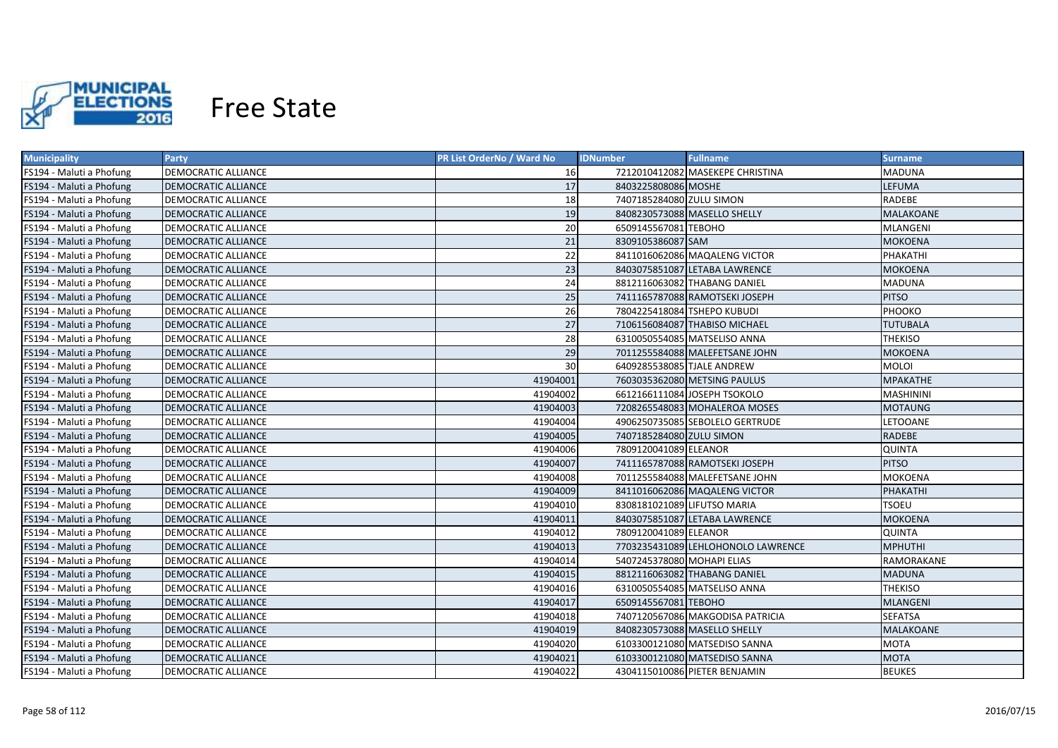

| <b>Municipality</b>      | <b>Party</b>               | PR List OrderNo / Ward No | <b>IDNumber</b>             | <b>Fullname</b>                    | <b>Surname</b>   |
|--------------------------|----------------------------|---------------------------|-----------------------------|------------------------------------|------------------|
| FS194 - Maluti a Phofung | DEMOCRATIC ALLIANCE        | 16                        |                             | 7212010412082 MASEKEPE CHRISTINA   | MADUNA           |
| FS194 - Maluti a Phofung | <b>DEMOCRATIC ALLIANCE</b> | 17                        | 8403225808086 MOSHE         |                                    | LEFUMA           |
| FS194 - Maluti a Phofung | DEMOCRATIC ALLIANCE        | 18                        | 7407185284080 ZULU SIMON    |                                    | RADEBE           |
| FS194 - Maluti a Phofung | <b>DEMOCRATIC ALLIANCE</b> | 19                        |                             | 8408230573088 MASELLO SHELLY       | MALAKOANE        |
| FS194 - Maluti a Phofung | DEMOCRATIC ALLIANCE        | 20                        | 6509145567081 TEBOHO        |                                    | <b>MLANGENI</b>  |
| FS194 - Maluti a Phofung | <b>DEMOCRATIC ALLIANCE</b> | 21                        | 8309105386087 SAM           |                                    | <b>MOKOENA</b>   |
| FS194 - Maluti a Phofung | DEMOCRATIC ALLIANCE        | 22                        |                             | 8411016062086 MAQALENG VICTOR      | PHAKATHI         |
| FS194 - Maluti a Phofung | <b>DEMOCRATIC ALLIANCE</b> | 23                        |                             | 8403075851087 LETABA LAWRENCE      | <b>MOKOENA</b>   |
| FS194 - Maluti a Phofung | DEMOCRATIC ALLIANCE        | 24                        |                             | 8812116063082 THABANG DANIEL       | <b>MADUNA</b>    |
| FS194 - Maluti a Phofung | <b>DEMOCRATIC ALLIANCE</b> | 25                        |                             | 7411165787088 RAMOTSEKI JOSEPH     | <b>PITSO</b>     |
| FS194 - Maluti a Phofung | DEMOCRATIC ALLIANCE        | 26                        | 7804225418084 TSHEPO KUBUDI |                                    | PHOOKO           |
| FS194 - Maluti a Phofung | <b>DEMOCRATIC ALLIANCE</b> | 27                        |                             | 7106156084087 THABISO MICHAEL      | <b>TUTUBALA</b>  |
| FS194 - Maluti a Phofung | DEMOCRATIC ALLIANCE        | 28                        |                             | 6310050554085 MATSELISO ANNA       | <b>THEKISO</b>   |
| FS194 - Maluti a Phofung | <b>DEMOCRATIC ALLIANCE</b> | 29                        |                             | 7011255584088 MALEFETSANE JOHN     | <b>MOKOENA</b>   |
| FS194 - Maluti a Phofung | DEMOCRATIC ALLIANCE        | 30                        | 6409285538085 TJALE ANDREW  |                                    | <b>MOLOI</b>     |
| FS194 - Maluti a Phofung | <b>DEMOCRATIC ALLIANCE</b> | 41904001                  |                             | 7603035362080 METSING PAULUS       | <b>MPAKATHE</b>  |
| FS194 - Maluti a Phofung | DEMOCRATIC ALLIANCE        | 41904002                  |                             | 6612166111084 JOSEPH TSOKOLO       | <b>MASHININI</b> |
| FS194 - Maluti a Phofung | <b>DEMOCRATIC ALLIANCE</b> | 41904003                  |                             | 7208265548083 MOHALEROA MOSES      | <b>MOTAUNG</b>   |
| FS194 - Maluti a Phofung | DEMOCRATIC ALLIANCE        | 41904004                  |                             | 4906250735085 SEBOLELO GERTRUDE    | LETOOANE         |
| FS194 - Maluti a Phofung | <b>DEMOCRATIC ALLIANCE</b> | 41904005                  | 7407185284080 ZULU SIMON    |                                    | <b>RADEBE</b>    |
| FS194 - Maluti a Phofung | DEMOCRATIC ALLIANCE        | 41904006                  | 7809120041089 ELEANOR       |                                    | <b>QUINTA</b>    |
| FS194 - Maluti a Phofung | <b>DEMOCRATIC ALLIANCE</b> | 41904007                  |                             | 7411165787088 RAMOTSEKI JOSEPH     | <b>PITSO</b>     |
| FS194 - Maluti a Phofung | <b>DEMOCRATIC ALLIANCE</b> | 41904008                  |                             | 7011255584088 MALEFETSANE JOHN     | MOKOENA          |
| FS194 - Maluti a Phofung | <b>DEMOCRATIC ALLIANCE</b> | 41904009                  |                             | 8411016062086 MAQALENG VICTOR      | PHAKATHI         |
| FS194 - Maluti a Phofung | DEMOCRATIC ALLIANCE        | 41904010                  | 8308181021089 LIFUTSO MARIA |                                    | TSOEU            |
| FS194 - Maluti a Phofung | <b>DEMOCRATIC ALLIANCE</b> | 41904011                  |                             | 8403075851087 LETABA LAWRENCE      | MOKOENA          |
| FS194 - Maluti a Phofung | DEMOCRATIC ALLIANCE        | 41904012                  | 7809120041089 ELEANOR       |                                    | <b>QUINTA</b>    |
| FS194 - Maluti a Phofung | DEMOCRATIC ALLIANCE        | 41904013                  |                             | 7703235431089 LEHLOHONOLO LAWRENCE | MPHUTHI          |
| FS194 - Maluti a Phofung | DEMOCRATIC ALLIANCE        | 41904014                  | 5407245378080 MOHAPI ELIAS  |                                    | RAMORAKANE       |
| FS194 - Maluti a Phofung | <b>DEMOCRATIC ALLIANCE</b> | 41904015                  |                             | 8812116063082 THABANG DANIEL       | <b>MADUNA</b>    |
| FS194 - Maluti a Phofung | DEMOCRATIC ALLIANCE        | 41904016                  |                             | 6310050554085 MATSELISO ANNA       | THEKISO          |
| FS194 - Maluti a Phofung | <b>DEMOCRATIC ALLIANCE</b> | 41904017                  | 6509145567081 TEBOHO        |                                    | MLANGENI         |
| FS194 - Maluti a Phofung | DEMOCRATIC ALLIANCE        | 41904018                  |                             | 7407120567086 MAKGODISA PATRICIA   | <b>SEFATSA</b>   |
| FS194 - Maluti a Phofung | <b>DEMOCRATIC ALLIANCE</b> | 41904019                  |                             | 8408230573088 MASELLO SHELLY       | MALAKOANE        |
| FS194 - Maluti a Phofung | DEMOCRATIC ALLIANCE        | 41904020                  |                             | 6103300121080 MATSEDISO SANNA      | <b>MOTA</b>      |
| FS194 - Maluti a Phofung | <b>DEMOCRATIC ALLIANCE</b> | 41904021                  |                             | 6103300121080 MATSEDISO SANNA      | <b>MOTA</b>      |
| FS194 - Maluti a Phofung | <b>DEMOCRATIC ALLIANCE</b> | 41904022                  |                             | 4304115010086 PIETER BENJAMIN      | <b>BEUKES</b>    |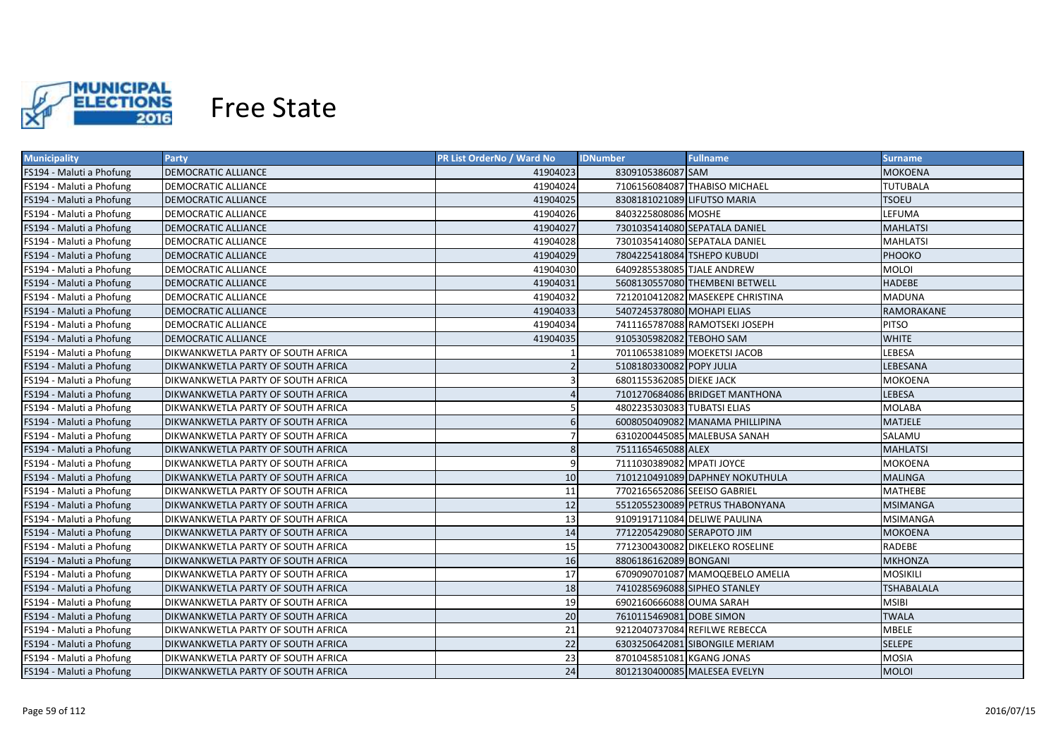

| <b>Municipality</b>      | Party                                     | <b>PR List OrderNo / Ward No</b> | <b>IDNumber</b>              | <b>Fullname</b>                  | <b>Surname</b>    |
|--------------------------|-------------------------------------------|----------------------------------|------------------------------|----------------------------------|-------------------|
| FS194 - Maluti a Phofung | <b>DEMOCRATIC ALLIANCE</b>                | 41904023                         | 8309105386087 SAM            |                                  | <b>MOKOENA</b>    |
| FS194 - Maluti a Phofung | DEMOCRATIC ALLIANCE                       | 41904024                         |                              | 7106156084087 THABISO MICHAEL    | <b>TUTUBALA</b>   |
| FS194 - Maluti a Phofung | <b>DEMOCRATIC ALLIANCE</b>                | 41904025                         | 8308181021089 LIFUTSO MARIA  |                                  | <b>TSOEU</b>      |
| FS194 - Maluti a Phofung | <b>DEMOCRATIC ALLIANCE</b>                | 41904026                         | 8403225808086 MOSHE          |                                  | LEFUMA            |
| FS194 - Maluti a Phofung | <b>DEMOCRATIC ALLIANCE</b>                | 41904027                         |                              | 7301035414080 SEPATALA DANIEL    | <b>MAHLATSI</b>   |
| FS194 - Maluti a Phofung | <b>DEMOCRATIC ALLIANCE</b>                | 41904028                         |                              | 7301035414080 SEPATALA DANIEL    | <b>MAHLATSI</b>   |
| FS194 - Maluti a Phofung | <b>DEMOCRATIC ALLIANCE</b>                | 41904029                         | 7804225418084 TSHEPO KUBUDI  |                                  | PHOOKO            |
| FS194 - Maluti a Phofung | <b>DEMOCRATIC ALLIANCE</b>                | 41904030                         | 6409285538085 TJALE ANDREW   |                                  | <b>MOLOI</b>      |
| FS194 - Maluti a Phofung | <b>DEMOCRATIC ALLIANCE</b>                | 41904031                         |                              | 5608130557080 THEMBENI BETWELL   | <b>HADEBE</b>     |
| FS194 - Maluti a Phofung | <b>DEMOCRATIC ALLIANCE</b>                | 41904032                         |                              | 7212010412082 MASEKEPE CHRISTINA | <b>MADUNA</b>     |
| FS194 - Maluti a Phofung | <b>DEMOCRATIC ALLIANCE</b>                | 41904033                         | 5407245378080 MOHAPI ELIAS   |                                  | RAMORAKANE        |
| FS194 - Maluti a Phofung | DEMOCRATIC ALLIANCE                       | 41904034                         |                              | 7411165787088 RAMOTSEKI JOSEPH   | PITSO             |
| FS194 - Maluti a Phofung | <b>DEMOCRATIC ALLIANCE</b>                | 41904035                         | 9105305982082 TEBOHO SAM     |                                  | <b>WHITE</b>      |
| FS194 - Maluti a Phofung | DIKWANKWETLA PARTY OF SOUTH AFRICA        |                                  |                              | 7011065381089 MOEKETSI JACOB     | LEBESA            |
| FS194 - Maluti a Phofung | <b>DIKWANKWETLA PARTY OF SOUTH AFRICA</b> |                                  | 5108180330082 POPY JULIA     |                                  | LEBESANA          |
| FS194 - Maluti a Phofung | DIKWANKWETLA PARTY OF SOUTH AFRICA        | 3                                | 6801155362085 DIEKE JACK     |                                  | <b>MOKOENA</b>    |
| FS194 - Maluti a Phofung | <b>DIKWANKWETLA PARTY OF SOUTH AFRICA</b> |                                  |                              | 7101270684086 BRIDGET MANTHONA   | LEBESA            |
| FS194 - Maluti a Phofung | DIKWANKWETLA PARTY OF SOUTH AFRICA        | 5                                | 4802235303083 TUBATSI ELIAS  |                                  | <b>MOLABA</b>     |
| FS194 - Maluti a Phofung | <b>DIKWANKWETLA PARTY OF SOUTH AFRICA</b> | 6                                |                              | 6008050409082 MANAMA PHILLIPINA  | <b>MATJELE</b>    |
| FS194 - Maluti a Phofung | DIKWANKWETLA PARTY OF SOUTH AFRICA        |                                  |                              | 6310200445085 MALEBUSA SANAH     | SALAMU            |
| FS194 - Maluti a Phofung | <b>DIKWANKWETLA PARTY OF SOUTH AFRICA</b> | 8                                | 7511165465088 ALEX           |                                  | <b>MAHLATSI</b>   |
| FS194 - Maluti a Phofung | DIKWANKWETLA PARTY OF SOUTH AFRICA        | 9                                | 7111030389082 MPATI JOYCE    |                                  | <b>MOKOENA</b>    |
| FS194 - Maluti a Phofung | <b>DIKWANKWETLA PARTY OF SOUTH AFRICA</b> | 10                               |                              | 7101210491089 DAPHNEY NOKUTHULA  | <b>MALINGA</b>    |
| FS194 - Maluti a Phofung | <b>DIKWANKWETLA PARTY OF SOUTH AFRICA</b> | 11                               | 7702165652086 SEEISO GABRIEL |                                  | <b>MATHEBE</b>    |
| FS194 - Maluti a Phofung | <b>DIKWANKWETLA PARTY OF SOUTH AFRICA</b> | 12                               |                              | 5512055230089 PETRUS THABONYANA  | <b>MSIMANGA</b>   |
| FS194 - Maluti a Phofung | DIKWANKWETLA PARTY OF SOUTH AFRICA        | 13                               |                              | 9109191711084 DELIWE PAULINA     | <b>MSIMANGA</b>   |
| FS194 - Maluti a Phofung | <b>DIKWANKWETLA PARTY OF SOUTH AFRICA</b> | 14                               | 7712205429080 SERAPOTO JIM   |                                  | <b>MOKOENA</b>    |
| FS194 - Maluti a Phofung | DIKWANKWETLA PARTY OF SOUTH AFRICA        | 15                               |                              | 7712300430082 DIKELEKO ROSELINE  | RADEBE            |
| FS194 - Maluti a Phofung | DIKWANKWETLA PARTY OF SOUTH AFRICA        | 16                               | 8806186162089 BONGANI        |                                  | <b>MKHONZA</b>    |
| FS194 - Maluti a Phofung | DIKWANKWETLA PARTY OF SOUTH AFRICA        | 17                               |                              | 6709090701087 MAMOQEBELO AMELIA  | <b>MOSIKILI</b>   |
| FS194 - Maluti a Phofung | DIKWANKWETLA PARTY OF SOUTH AFRICA        | 18                               |                              | 7410285696088 SIPHEO STANLEY     | <b>TSHABALALA</b> |
| FS194 - Maluti a Phofung | DIKWANKWETLA PARTY OF SOUTH AFRICA        | 19                               | 6902160666088 OUMA SARAH     |                                  | <b>MSIBI</b>      |
| FS194 - Maluti a Phofung | DIKWANKWETLA PARTY OF SOUTH AFRICA        | 20                               | 7610115469081 DOBE SIMON     |                                  | <b>TWALA</b>      |
| FS194 - Maluti a Phofung | DIKWANKWETLA PARTY OF SOUTH AFRICA        | 21                               |                              | 9212040737084 REFILWE REBECCA    | <b>MBELE</b>      |
| FS194 - Maluti a Phofung | <b>DIKWANKWETLA PARTY OF SOUTH AFRICA</b> | 22                               |                              | 6303250642081 SIBONGILE MERIAM   | <b>SELEPE</b>     |
| FS194 - Maluti a Phofung | DIKWANKWETLA PARTY OF SOUTH AFRICA        | 23                               | 8701045851081 KGANG JONAS    |                                  | <b>MOSIA</b>      |
| FS194 - Maluti a Phofung | DIKWANKWETLA PARTY OF SOUTH AFRICA        | 24                               |                              | 8012130400085 MALESEA EVELYN     | <b>MOLOI</b>      |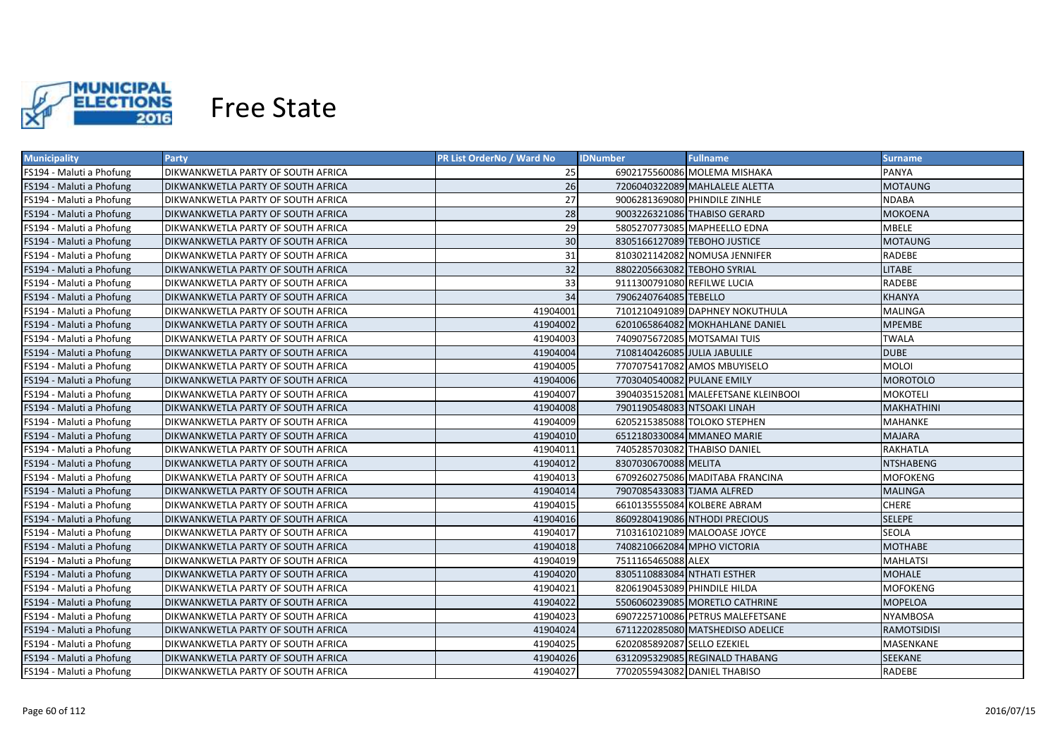

| <b>Municipality</b>      | <b>Party</b>                       | PR List OrderNo / Ward No | <b>IDNumber</b>              | <b>Fullname</b>                     | <b>Surname</b>     |
|--------------------------|------------------------------------|---------------------------|------------------------------|-------------------------------------|--------------------|
| FS194 - Maluti a Phofung | DIKWANKWETLA PARTY OF SOUTH AFRICA | 25                        |                              | 6902175560086 MOLEMA MISHAKA        | PANYA              |
| FS194 - Maluti a Phofung | DIKWANKWETLA PARTY OF SOUTH AFRICA | 26                        |                              | 7206040322089 MAHLALELE ALETTA      | <b>MOTAUNG</b>     |
| FS194 - Maluti a Phofung | DIKWANKWETLA PARTY OF SOUTH AFRICA | 27                        |                              | 9006281369080 PHINDILE ZINHLE       | <b>NDABA</b>       |
| FS194 - Maluti a Phofung | DIKWANKWETLA PARTY OF SOUTH AFRICA | 28                        |                              | 9003226321086 THABISO GERARD        | <b>MOKOENA</b>     |
| FS194 - Maluti a Phofung | DIKWANKWETLA PARTY OF SOUTH AFRICA | 29                        |                              | 5805270773085 MAPHEELLO EDNA        | <b>MBELE</b>       |
| FS194 - Maluti a Phofung | DIKWANKWETLA PARTY OF SOUTH AFRICA | 30                        |                              | 8305166127089 TEBOHO JUSTICE        | <b>MOTAUNG</b>     |
| FS194 - Maluti a Phofung | DIKWANKWETLA PARTY OF SOUTH AFRICA | 31                        |                              | 8103021142082 NOMUSA JENNIFER       | RADEBE             |
| FS194 - Maluti a Phofung | DIKWANKWETLA PARTY OF SOUTH AFRICA | 32                        | 8802205663082 TEBOHO SYRIAL  |                                     | <b>LITABE</b>      |
| FS194 - Maluti a Phofung | DIKWANKWETLA PARTY OF SOUTH AFRICA | 33                        | 9111300791080 REFILWE LUCIA  |                                     | <b>RADEBE</b>      |
| FS194 - Maluti a Phofung | DIKWANKWETLA PARTY OF SOUTH AFRICA | 34                        | 7906240764085 TEBELLO        |                                     | <b>KHANYA</b>      |
| FS194 - Maluti a Phofung | DIKWANKWETLA PARTY OF SOUTH AFRICA | 41904001                  |                              | 7101210491089 DAPHNEY NOKUTHULA     | <b>MALINGA</b>     |
| FS194 - Maluti a Phofung | DIKWANKWETLA PARTY OF SOUTH AFRICA | 41904002                  |                              | 6201065864082 MOKHAHLANE DANIEL     | <b>MPEMBE</b>      |
| FS194 - Maluti a Phofung | DIKWANKWETLA PARTY OF SOUTH AFRICA | 41904003                  |                              | 7409075672085 MOTSAMAI TUIS         | <b>TWALA</b>       |
| FS194 - Maluti a Phofung | DIKWANKWETLA PARTY OF SOUTH AFRICA | 41904004                  | 7108140426085 JULIA JABULILE |                                     | <b>DUBE</b>        |
| FS194 - Maluti a Phofung | DIKWANKWETLA PARTY OF SOUTH AFRICA | 41904005                  |                              | 7707075417082 AMOS MBUYISELO        | <b>MOLOI</b>       |
| FS194 - Maluti a Phofung | DIKWANKWETLA PARTY OF SOUTH AFRICA | 41904006                  | 7703040540082 PULANE EMILY   |                                     | <b>MOROTOLO</b>    |
| FS194 - Maluti a Phofung | DIKWANKWETLA PARTY OF SOUTH AFRICA | 41904007                  |                              | 3904035152081 MALEFETSANE KLEINBOOI | <b>MOKOTELI</b>    |
| FS194 - Maluti a Phofung | DIKWANKWETLA PARTY OF SOUTH AFRICA | 41904008                  | 7901190548083 NTSOAKI LINAH  |                                     | <b>MAKHATHINI</b>  |
| FS194 - Maluti a Phofung | DIKWANKWETLA PARTY OF SOUTH AFRICA | 41904009                  |                              | 6205215385088 TOLOKO STEPHEN        | <b>MAHANKE</b>     |
| FS194 - Maluti a Phofung | DIKWANKWETLA PARTY OF SOUTH AFRICA | 41904010                  |                              | 6512180330084 MMANEO MARIE          | <b>MAJARA</b>      |
| FS194 - Maluti a Phofung | DIKWANKWETLA PARTY OF SOUTH AFRICA | 41904011                  |                              | 7405285703082 THABISO DANIEL        | <b>RAKHATLA</b>    |
| FS194 - Maluti a Phofung | DIKWANKWETLA PARTY OF SOUTH AFRICA | 41904012                  | 8307030670088 MELITA         |                                     | <b>NTSHABENG</b>   |
| FS194 - Maluti a Phofung | DIKWANKWETLA PARTY OF SOUTH AFRICA | 41904013                  |                              | 6709260275086 MADITABA FRANCINA     | <b>MOFOKENG</b>    |
| FS194 - Maluti a Phofung | DIKWANKWETLA PARTY OF SOUTH AFRICA | 41904014                  | 7907085433083 TJAMA ALFRED   |                                     | <b>MALINGA</b>     |
| FS194 - Maluti a Phofung | DIKWANKWETLA PARTY OF SOUTH AFRICA | 41904015                  |                              | 6610135555084 KOLBERE ABRAM         | <b>CHERE</b>       |
| FS194 - Maluti a Phofung | DIKWANKWETLA PARTY OF SOUTH AFRICA | 41904016                  |                              | 8609280419086 NTHODI PRECIOUS       | <b>SELEPE</b>      |
| FS194 - Maluti a Phofung | DIKWANKWETLA PARTY OF SOUTH AFRICA | 41904017                  |                              | 7103161021089 MALOOASE JOYCE        | <b>SEOLA</b>       |
| FS194 - Maluti a Phofung | DIKWANKWETLA PARTY OF SOUTH AFRICA | 41904018                  |                              | 7408210662084 MPHO VICTORIA         | <b>MOTHABE</b>     |
| FS194 - Maluti a Phofung | DIKWANKWETLA PARTY OF SOUTH AFRICA | 41904019                  | 7511165465088 ALEX           |                                     | MAHLATSI           |
| FS194 - Maluti a Phofung | DIKWANKWETLA PARTY OF SOUTH AFRICA | 41904020                  | 8305110883084 NTHATI ESTHER  |                                     | MOHALE             |
| FS194 - Maluti a Phofung | DIKWANKWETLA PARTY OF SOUTH AFRICA | 41904021                  | 8206190453089 PHINDILE HILDA |                                     | <b>MOFOKENG</b>    |
| FS194 - Maluti a Phofung | DIKWANKWETLA PARTY OF SOUTH AFRICA | 41904022                  |                              | 5506060239085 MORETLO CATHRINE      | <b>MOPELOA</b>     |
| FS194 - Maluti a Phofung | DIKWANKWETLA PARTY OF SOUTH AFRICA | 41904023                  |                              | 6907225710086 PETRUS MALEFETSANE    | <b>NYAMBOSA</b>    |
| FS194 - Maluti a Phofung | DIKWANKWETLA PARTY OF SOUTH AFRICA | 41904024                  |                              | 6711220285080 MATSHEDISO ADELICE    | <b>RAMOTSIDISI</b> |
| FS194 - Maluti a Phofung | DIKWANKWETLA PARTY OF SOUTH AFRICA | 41904025                  | 6202085892087 SELLO EZEKIEL  |                                     | MASENKANE          |
| FS194 - Maluti a Phofung | DIKWANKWETLA PARTY OF SOUTH AFRICA | 41904026                  |                              | 6312095329085 REGINALD THABANG      | SEEKANE            |
| FS194 - Maluti a Phofung | DIKWANKWETLA PARTY OF SOUTH AFRICA | 41904027                  |                              | 7702055943082 DANIEL THABISO        | RADEBE             |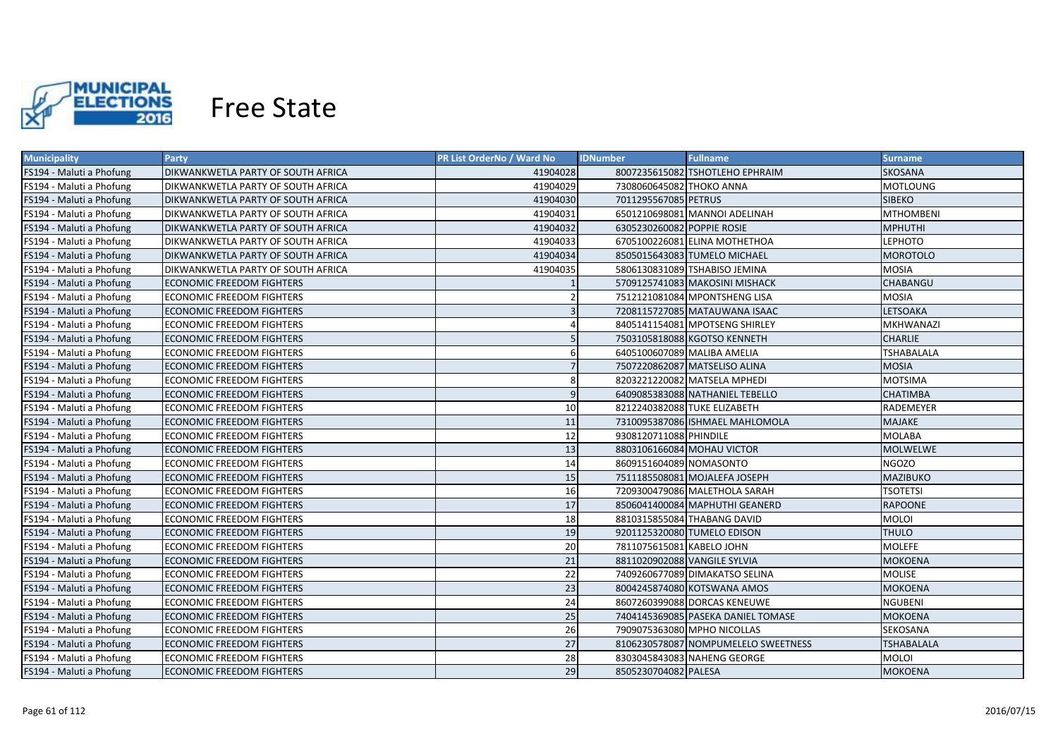

| <b>Municipality</b>      | <b>Party</b>                       | PR List OrderNo / Ward No | <b>IDNumber</b>              | <b>Fullname</b>                     | <b>Surname</b>    |
|--------------------------|------------------------------------|---------------------------|------------------------------|-------------------------------------|-------------------|
| FS194 - Maluti a Phofung | DIKWANKWETLA PARTY OF SOUTH AFRICA | 41904028                  |                              | 8007235615082 TSHOTLEHO EPHRAIM     | <b>SKOSANA</b>    |
| FS194 - Maluti a Phofung | DIKWANKWETLA PARTY OF SOUTH AFRICA | 41904029                  | 7308060645082 THOKO ANNA     |                                     | <b>MOTLOUNG</b>   |
| FS194 - Maluti a Phofung | DIKWANKWETLA PARTY OF SOUTH AFRICA | 41904030                  | 7011295567085 PETRUS         |                                     | <b>SIBEKO</b>     |
| FS194 - Maluti a Phofung | DIKWANKWETLA PARTY OF SOUTH AFRICA | 41904031                  |                              | 6501210698081 MANNOI ADELINAH       | <b>MTHOMBENI</b>  |
| FS194 - Maluti a Phofung | DIKWANKWETLA PARTY OF SOUTH AFRICA | 41904032                  | 6305230260082 POPPIE ROSIE   |                                     | <b>MPHUTHI</b>    |
| FS194 - Maluti a Phofung | DIKWANKWETLA PARTY OF SOUTH AFRICA | 41904033                  |                              | 6705100226081 ELINA MOTHETHOA       | LEPHOTO           |
| FS194 - Maluti a Phofung | DIKWANKWETLA PARTY OF SOUTH AFRICA | 41904034                  |                              | 8505015643083 TUMELO MICHAEL        | <b>MOROTOLO</b>   |
| FS194 - Maluti a Phofung | DIKWANKWETLA PARTY OF SOUTH AFRICA | 41904035                  |                              | 5806130831089 TSHABISO JEMINA       | <b>MOSIA</b>      |
| FS194 - Maluti a Phofung | <b>ECONOMIC FREEDOM FIGHTERS</b>   |                           |                              | 5709125741083 MAKOSINI MISHACK      | CHABANGU          |
| FS194 - Maluti a Phofung | <b>ECONOMIC FREEDOM FIGHTERS</b>   |                           |                              | 7512121081084 MPONTSHENG LISA       | <b>MOSIA</b>      |
| FS194 - Maluti a Phofung | <b>ECONOMIC FREEDOM FIGHTERS</b>   |                           |                              | 7208115727085 MATAUWANA ISAAC       | LETSOAKA          |
| FS194 - Maluti a Phofung | <b>ECONOMIC FREEDOM FIGHTERS</b>   |                           |                              | 8405141154081 MPOTSENG SHIRLEY      | <b>MKHWANAZI</b>  |
| FS194 - Maluti a Phofung | <b>ECONOMIC FREEDOM FIGHTERS</b>   | -5                        |                              | 7503105818088 KGOTSO KENNETH        | <b>CHARLIE</b>    |
| FS194 - Maluti a Phofung | <b>ECONOMIC FREEDOM FIGHTERS</b>   | 6                         |                              | 6405100607089 MALIBA AMELIA         | TSHABALALA        |
| FS194 - Maluti a Phofung | <b>ECONOMIC FREEDOM FIGHTERS</b>   | $\overline{7}$            |                              | 7507220862087 MATSELISO ALINA       | <b>MOSIA</b>      |
| FS194 - Maluti a Phofung | <b>ECONOMIC FREEDOM FIGHTERS</b>   | 8                         |                              | 8203221220082 MATSELA MPHEDI        | <b>MOTSIMA</b>    |
| FS194 - Maluti a Phofung | <b>ECONOMIC FREEDOM FIGHTERS</b>   | 9                         |                              | 6409085383088 NATHANIEL TEBELLO     | <b>CHATIMBA</b>   |
| FS194 - Maluti a Phofung | <b>ECONOMIC FREEDOM FIGHTERS</b>   | 10                        |                              | 8212240382088 TUKE ELIZABETH        | RADEMEYER         |
| FS194 - Maluti a Phofung | <b>ECONOMIC FREEDOM FIGHTERS</b>   | 11                        |                              | 7310095387086 ISHMAEL MAHLOMOLA     | <b>MAJAKE</b>     |
| FS194 - Maluti a Phofung | <b>ECONOMIC FREEDOM FIGHTERS</b>   | 12                        | 9308120711088 PHINDILE       |                                     | <b>MOLABA</b>     |
| FS194 - Maluti a Phofung | <b>ECONOMIC FREEDOM FIGHTERS</b>   | 13                        |                              | 8803106166084 MOHAU VICTOR          | MOLWELWE          |
| FS194 - Maluti a Phofung | <b>ECONOMIC FREEDOM FIGHTERS</b>   | 14                        | 8609151604089 NOMASONTO      |                                     | <b>NGOZO</b>      |
| FS194 - Maluti a Phofung | <b>ECONOMIC FREEDOM FIGHTERS</b>   | 15                        |                              | 7511185508081 MOJALEFA JOSEPH       | <b>MAZIBUKO</b>   |
| FS194 - Maluti a Phofung | <b>ECONOMIC FREEDOM FIGHTERS</b>   | 16                        |                              | 7209300479086 MALETHOLA SARAH       | <b>TSOTETSI</b>   |
| FS194 - Maluti a Phofung | <b>ECONOMIC FREEDOM FIGHTERS</b>   | 17                        |                              | 8506041400084 MAPHUTHI GEANERD      | RAPOONE           |
| FS194 - Maluti a Phofung | <b>ECONOMIC FREEDOM FIGHTERS</b>   | 18                        |                              | 8810315855084 THABANG DAVID         | <b>MOLOI</b>      |
| FS194 - Maluti a Phofung | <b>ECONOMIC FREEDOM FIGHTERS</b>   | 19                        |                              | 9201125320080 TUMELO EDISON         | THULO             |
| FS194 - Maluti a Phofung | <b>ECONOMIC FREEDOM FIGHTERS</b>   | 20                        | 7811075615081 KABELO JOHN    |                                     | MOLEFE            |
| FS194 - Maluti a Phofung | <b>ECONOMIC FREEDOM FIGHTERS</b>   | 21                        | 8811020902088 VANGILE SYLVIA |                                     | MOKOENA           |
| FS194 - Maluti a Phofung | <b>ECONOMIC FREEDOM FIGHTERS</b>   | 22                        |                              | 7409260677089 DIMAKATSO SELINA      | MOLISE            |
| FS194 - Maluti a Phofung | <b>ECONOMIC FREEDOM FIGHTERS</b>   | 23                        |                              | 8004245874080 KOTSWANA AMOS         | <b>MOKOENA</b>    |
| FS194 - Maluti a Phofung | <b>ECONOMIC FREEDOM FIGHTERS</b>   | 24                        |                              | 8607260399088 DORCAS KENEUWE        | <b>NGUBENI</b>    |
| FS194 - Maluti a Phofung | <b>ECONOMIC FREEDOM FIGHTERS</b>   | 25                        |                              | 7404145369085 PASEKA DANIEL TOMASE  | MOKOENA           |
| FS194 - Maluti a Phofung | <b>ECONOMIC FREEDOM FIGHTERS</b>   | 26                        |                              | 7909075363080 MPHO NICOLLAS         | SEKOSANA          |
| FS194 - Maluti a Phofung | <b>ECONOMIC FREEDOM FIGHTERS</b>   | 27                        |                              | 8106230578087 NOMPUMELELO SWEETNESS | <b>TSHABALALA</b> |
| FS194 - Maluti a Phofung | <b>ECONOMIC FREEDOM FIGHTERS</b>   | 28                        |                              | 8303045843083 NAHENG GEORGE         | MOLOI             |
| FS194 - Maluti a Phofung | <b>ECONOMIC FREEDOM FIGHTERS</b>   | 29                        | 8505230704082 PALESA         |                                     | <b>MOKOENA</b>    |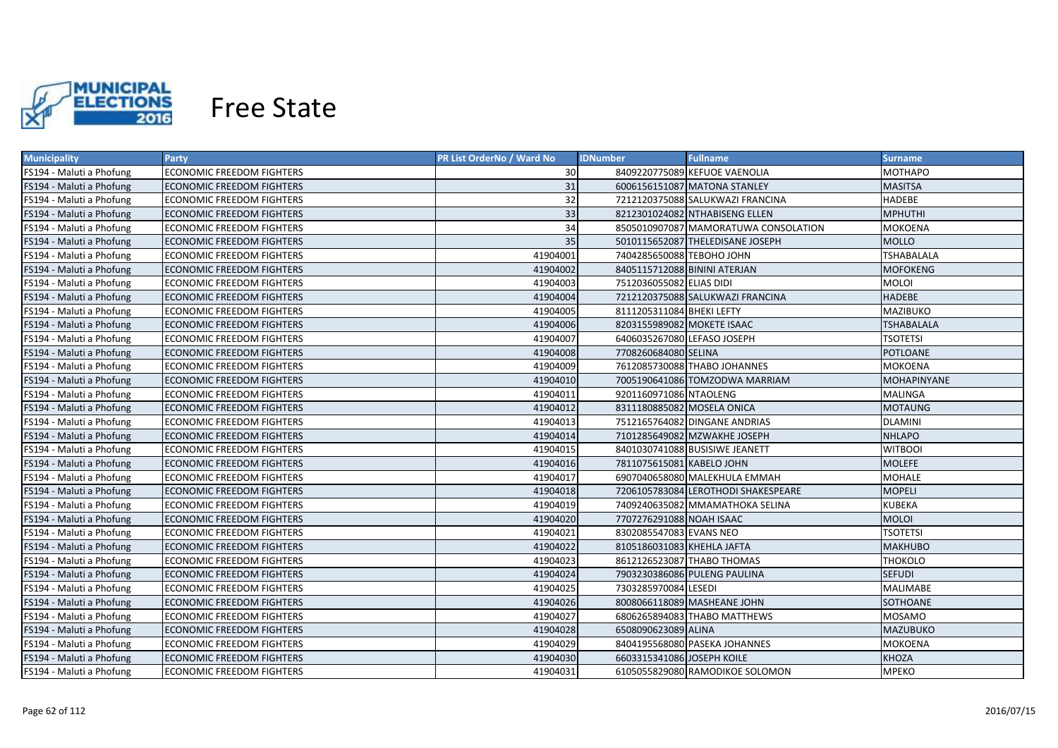

| <b>Municipality</b>      | Party                            | PR List OrderNo / Ward No | <b>IDNumber</b>              | <b>Fullname</b>                      | <b>Surname</b>     |
|--------------------------|----------------------------------|---------------------------|------------------------------|--------------------------------------|--------------------|
| FS194 - Maluti a Phofung | <b>ECONOMIC FREEDOM FIGHTERS</b> | 30                        |                              | 8409220775089 KEFUOE VAENOLIA        | MOTHAPO            |
| FS194 - Maluti a Phofung | ECONOMIC FREEDOM FIGHTERS        | 31                        |                              | 6006156151087 MATONA STANLEY         | MASITSA            |
| FS194 - Maluti a Phofung | ECONOMIC FREEDOM FIGHTERS        | 32                        |                              | 7212120375088 SALUKWAZI FRANCINA     | HADEBE             |
| FS194 - Maluti a Phofung | <b>ECONOMIC FREEDOM FIGHTERS</b> | 33                        |                              | 8212301024082 NTHABISENG ELLEN       | <b>MPHUTHI</b>     |
| FS194 - Maluti a Phofung | ECONOMIC FREEDOM FIGHTERS        | 34                        |                              | 8505010907087 MAMORATUWA CONSOLATION | MOKOENA            |
| FS194 - Maluti a Phofung | <b>ECONOMIC FREEDOM FIGHTERS</b> | 35                        |                              | 5010115652087 THELEDISANE JOSEPH     | <b>MOLLO</b>       |
| FS194 - Maluti a Phofung | <b>ECONOMIC FREEDOM FIGHTERS</b> | 41904001                  | 7404285650088 TEBOHO JOHN    |                                      | <b>TSHABALALA</b>  |
| FS194 - Maluti a Phofung | <b>ECONOMIC FREEDOM FIGHTERS</b> | 41904002                  | 8405115712088 BININI ATERJAN |                                      | <b>MOFOKENG</b>    |
| FS194 - Maluti a Phofung | <b>ECONOMIC FREEDOM FIGHTERS</b> | 41904003                  | 7512036055082 ELIAS DIDI     |                                      | <b>MOLOI</b>       |
| FS194 - Maluti a Phofung | <b>ECONOMIC FREEDOM FIGHTERS</b> | 41904004                  |                              | 7212120375088 SALUKWAZI FRANCINA     | <b>HADEBE</b>      |
| FS194 - Maluti a Phofung | <b>ECONOMIC FREEDOM FIGHTERS</b> | 41904005                  | 8111205311084 BHEKI LEFTY    |                                      | MAZIBUKO           |
| FS194 - Maluti a Phofung | <b>ECONOMIC FREEDOM FIGHTERS</b> | 41904006                  | 8203155989082 MOKETE ISAAC   |                                      | <b>TSHABALALA</b>  |
| FS194 - Maluti a Phofung | <b>ECONOMIC FREEDOM FIGHTERS</b> | 41904007                  | 6406035267080 LEFASO JOSEPH  |                                      | <b>TSOTETSI</b>    |
| FS194 - Maluti a Phofung | <b>ECONOMIC FREEDOM FIGHTERS</b> | 41904008                  | 7708260684080 SELINA         |                                      | <b>POTLOANE</b>    |
| FS194 - Maluti a Phofung | <b>ECONOMIC FREEDOM FIGHTERS</b> | 41904009                  |                              | 7612085730088 THABO JOHANNES         | MOKOENA            |
| FS194 - Maluti a Phofung | <b>ECONOMIC FREEDOM FIGHTERS</b> | 41904010                  |                              | 7005190641086 TOMZODWA MARRIAM       | <b>MOHAPINYANE</b> |
| FS194 - Maluti a Phofung | <b>ECONOMIC FREEDOM FIGHTERS</b> | 41904011                  | 9201160971086 NTAOLENG       |                                      | <b>MALINGA</b>     |
| FS194 - Maluti a Phofung | <b>ECONOMIC FREEDOM FIGHTERS</b> | 41904012                  | 8311180885082 MOSELA ONICA   |                                      | <b>MOTAUNG</b>     |
| FS194 - Maluti a Phofung | <b>ECONOMIC FREEDOM FIGHTERS</b> | 41904013                  |                              | 7512165764082 DINGANE ANDRIAS        | <b>DLAMINI</b>     |
| FS194 - Maluti a Phofung | <b>ECONOMIC FREEDOM FIGHTERS</b> | 41904014                  |                              | 7101285649082 MZWAKHE JOSEPH         | <b>NHLAPO</b>      |
| FS194 - Maluti a Phofung | <b>ECONOMIC FREEDOM FIGHTERS</b> | 41904015                  |                              | 8401030741088 BUSISIWE JEANETT       | <b>WITBOOI</b>     |
| FS194 - Maluti a Phofung | <b>ECONOMIC FREEDOM FIGHTERS</b> | 41904016                  | 7811075615081 KABELO JOHN    |                                      | <b>MOLEFE</b>      |
| FS194 - Maluti a Phofung | <b>ECONOMIC FREEDOM FIGHTERS</b> | 41904017                  |                              | 6907040658080 MALEKHULA EMMAH        | MOHALE             |
| FS194 - Maluti a Phofung | <b>ECONOMIC FREEDOM FIGHTERS</b> | 41904018                  |                              | 7206105783084 LEROTHODI SHAKESPEARE  | <b>MOPELI</b>      |
| FS194 - Maluti a Phofung | <b>ECONOMIC FREEDOM FIGHTERS</b> | 41904019                  |                              | 7409240635082 MMAMATHOKA SELINA      | <b>KUBEKA</b>      |
| FS194 - Maluti a Phofung | <b>ECONOMIC FREEDOM FIGHTERS</b> | 41904020                  | 7707276291088 NOAH ISAAC     |                                      | <b>MOLOI</b>       |
| FS194 - Maluti a Phofung | <b>ECONOMIC FREEDOM FIGHTERS</b> | 41904021                  | 8302085547083 EVANS NEO      |                                      | <b>TSOTETSI</b>    |
| FS194 - Maluti a Phofung | <b>ECONOMIC FREEDOM FIGHTERS</b> | 41904022                  | 8105186031083 KHEHLA JAFTA   |                                      | MAKHUBO            |
| FS194 - Maluti a Phofung | <b>ECONOMIC FREEDOM FIGHTERS</b> | 41904023                  |                              | 8612126523087 THABO THOMAS           | THOKOLO            |
| FS194 - Maluti a Phofung | ECONOMIC FREEDOM FIGHTERS        | 41904024                  |                              | 7903230386086 PULENG PAULINA         | SEFUDI             |
| FS194 - Maluti a Phofung | ECONOMIC FREEDOM FIGHTERS        | 41904025                  | 7303285970084 LESEDI         |                                      | MALIMABE           |
| FS194 - Maluti a Phofung | ECONOMIC FREEDOM FIGHTERS        | 41904026                  |                              | 8008066118089 MASHEANE JOHN          | SOTHOANE           |
| FS194 - Maluti a Phofung | <b>ECONOMIC FREEDOM FIGHTERS</b> | 41904027                  |                              | 6806265894083 THABO MATTHEWS         | <b>MOSAMO</b>      |
| FS194 - Maluti a Phofung | <b>ECONOMIC FREEDOM FIGHTERS</b> | 41904028                  | 6508090623089 ALINA          |                                      | MAZUBUKO           |
| FS194 - Maluti a Phofung | <b>ECONOMIC FREEDOM FIGHTERS</b> | 41904029                  |                              | 8404195568080 PASEKA JOHANNES        | MOKOENA            |
| FS194 - Maluti a Phofung | <b>ECONOMIC FREEDOM FIGHTERS</b> | 41904030                  | 6603315341086 JOSEPH KOILE   |                                      | <b>KHOZA</b>       |
| FS194 - Maluti a Phofung | <b>ECONOMIC FREEDOM FIGHTERS</b> | 41904031                  |                              | 6105055829080 RAMODIKOE SOLOMON      | <b>MPEKO</b>       |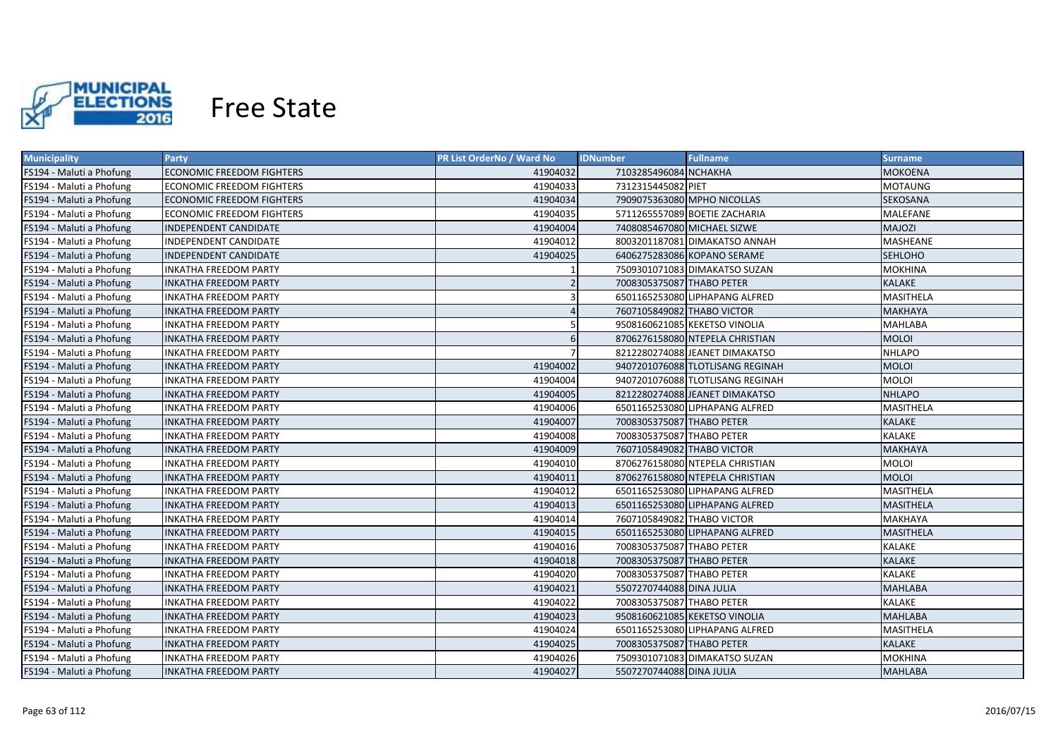

| <b>Municipality</b>      | <b>Party</b>                     | <b>PR List OrderNo / Ward No</b> | <b>IDNumber</b>                 | <b>Fullname</b>                  | <b>Surname</b>   |
|--------------------------|----------------------------------|----------------------------------|---------------------------------|----------------------------------|------------------|
| FS194 - Maluti a Phofung | <b>ECONOMIC FREEDOM FIGHTERS</b> | 41904032                         | 7103285496084 NCHAKHA           |                                  | <b>MOKOENA</b>   |
| FS194 - Maluti a Phofung | <b>ECONOMIC FREEDOM FIGHTERS</b> | 41904033                         | 7312315445082 PIET              |                                  | <b>MOTAUNG</b>   |
| FS194 - Maluti a Phofung | <b>ECONOMIC FREEDOM FIGHTERS</b> | 41904034                         | 7909075363080 MPHO NICOLLAS     |                                  | SEKOSANA         |
| FS194 - Maluti a Phofung | <b>ECONOMIC FREEDOM FIGHTERS</b> | 41904035                         | 5711265557089 BOETIE ZACHARIA   |                                  | MALEFANE         |
| FS194 - Maluti a Phofung | INDEPENDENT CANDIDATE            | 41904004                         | 7408085467080 MICHAEL SIZWE     |                                  | <b>MAJOZI</b>    |
| FS194 - Maluti a Phofung | INDEPENDENT CANDIDATE            | 41904012                         | 8003201187081 DIMAKATSO ANNAH   |                                  | MASHEANE         |
| FS194 - Maluti a Phofung | INDEPENDENT CANDIDATE            | 41904025                         | 6406275283086 KOPANO SERAME     |                                  | <b>SEHLOHO</b>   |
| FS194 - Maluti a Phofung | <b>INKATHA FREEDOM PARTY</b>     |                                  | 7509301071083 DIMAKATSO SUZAN   |                                  | <b>MOKHINA</b>   |
| FS194 - Maluti a Phofung | <b>INKATHA FREEDOM PARTY</b>     | $\mathfrak{p}$                   | 7008305375087 THABO PETER       |                                  | KALAKE           |
| FS194 - Maluti a Phofung | <b>INKATHA FREEDOM PARTY</b>     | 3                                | 6501165253080 LIPHAPANG ALFRED  |                                  | MASITHELA        |
| FS194 - Maluti a Phofung | <b>INKATHA FREEDOM PARTY</b>     |                                  | 7607105849082 THABO VICTOR      |                                  | <b>MAKHAYA</b>   |
| FS194 - Maluti a Phofung | <b>INKATHA FREEDOM PARTY</b>     | 5                                | 9508160621085 KEKETSO VINOLIA   |                                  | <b>MAHLABA</b>   |
| FS194 - Maluti a Phofung | <b>INKATHA FREEDOM PARTY</b>     | 6                                | 8706276158080 NTEPELA CHRISTIAN |                                  | <b>MOLOI</b>     |
| FS194 - Maluti a Phofung | <b>INKATHA FREEDOM PARTY</b>     | $\overline{7}$                   | 8212280274088 JEANET DIMAKATSO  |                                  | <b>NHLAPO</b>    |
| FS194 - Maluti a Phofung | <b>INKATHA FREEDOM PARTY</b>     | 41904002                         |                                 | 9407201076088 TLOTLISANG REGINAH | <b>MOLOI</b>     |
| FS194 - Maluti a Phofung | <b>INKATHA FREEDOM PARTY</b>     | 41904004                         |                                 | 9407201076088 TLOTLISANG REGINAH | <b>MOLOI</b>     |
| FS194 - Maluti a Phofung | <b>INKATHA FREEDOM PARTY</b>     | 41904005                         | 8212280274088 JEANET DIMAKATSO  |                                  | <b>NHLAPO</b>    |
| FS194 - Maluti a Phofung | <b>INKATHA FREEDOM PARTY</b>     | 41904006                         | 6501165253080 LIPHAPANG ALFRED  |                                  | MASITHELA        |
| FS194 - Maluti a Phofung | <b>INKATHA FREEDOM PARTY</b>     | 41904007                         | 7008305375087 THABO PETER       |                                  | <b>KALAKE</b>    |
| FS194 - Maluti a Phofung | <b>INKATHA FREEDOM PARTY</b>     | 41904008                         | 7008305375087 THABO PETER       |                                  | KALAKE           |
| FS194 - Maluti a Phofung | <b>INKATHA FREEDOM PARTY</b>     | 41904009                         | 7607105849082 THABO VICTOR      |                                  | <b>MAKHAYA</b>   |
| FS194 - Maluti a Phofung | <b>INKATHA FREEDOM PARTY</b>     | 41904010                         | 8706276158080 NTEPELA CHRISTIAN |                                  | <b>MOLOI</b>     |
| FS194 - Maluti a Phofung | <b>INKATHA FREEDOM PARTY</b>     | 41904011                         | 8706276158080 NTEPELA CHRISTIAN |                                  | <b>MOLOI</b>     |
| FS194 - Maluti a Phofung | <b>INKATHA FREEDOM PARTY</b>     | 41904012                         | 6501165253080 LIPHAPANG ALFRED  |                                  | MASITHELA        |
| FS194 - Maluti a Phofung | <b>INKATHA FREEDOM PARTY</b>     | 41904013                         | 6501165253080 LIPHAPANG ALFRED  |                                  | <b>MASITHELA</b> |
| FS194 - Maluti a Phofung | <b>INKATHA FREEDOM PARTY</b>     | 41904014                         | 7607105849082 THABO VICTOR      |                                  | MAKHAYA          |
| FS194 - Maluti a Phofung | <b>INKATHA FREEDOM PARTY</b>     | 41904015                         | 6501165253080 LIPHAPANG ALFRED  |                                  | MASITHELA        |
| FS194 - Maluti a Phofung | <b>INKATHA FREEDOM PARTY</b>     | 41904016                         | 7008305375087 THABO PETER       |                                  | <b>KALAKE</b>    |
| FS194 - Maluti a Phofung | <b>INKATHA FREEDOM PARTY</b>     | 41904018                         | 7008305375087 THABO PETER       |                                  | <b>KALAKE</b>    |
| FS194 - Maluti a Phofung | <b>INKATHA FREEDOM PARTY</b>     | 41904020                         | 7008305375087 THABO PETER       |                                  | KALAKE           |
| FS194 - Maluti a Phofung | <b>INKATHA FREEDOM PARTY</b>     | 41904021                         | 5507270744088 DINA JULIA        |                                  | <b>MAHLABA</b>   |
| FS194 - Maluti a Phofung | <b>INKATHA FREEDOM PARTY</b>     | 41904022                         | 7008305375087 THABO PETER       |                                  | KALAKE           |
| FS194 - Maluti a Phofung | <b>INKATHA FREEDOM PARTY</b>     | 41904023                         | 9508160621085 KEKETSO VINOLIA   |                                  | <b>MAHLABA</b>   |
| FS194 - Maluti a Phofung | <b>INKATHA FREEDOM PARTY</b>     | 41904024                         | 6501165253080 LIPHAPANG ALFRED  |                                  | MASITHELA        |
| FS194 - Maluti a Phofung | <b>INKATHA FREEDOM PARTY</b>     | 41904025                         | 7008305375087 THABO PETER       |                                  | <b>KALAKE</b>    |
| FS194 - Maluti a Phofung | <b>INKATHA FREEDOM PARTY</b>     | 41904026                         | 7509301071083 DIMAKATSO SUZAN   |                                  | <b>MOKHINA</b>   |
| FS194 - Maluti a Phofung | <b>INKATHA FREEDOM PARTY</b>     | 41904027                         | 5507270744088 DINA JULIA        |                                  | <b>MAHLABA</b>   |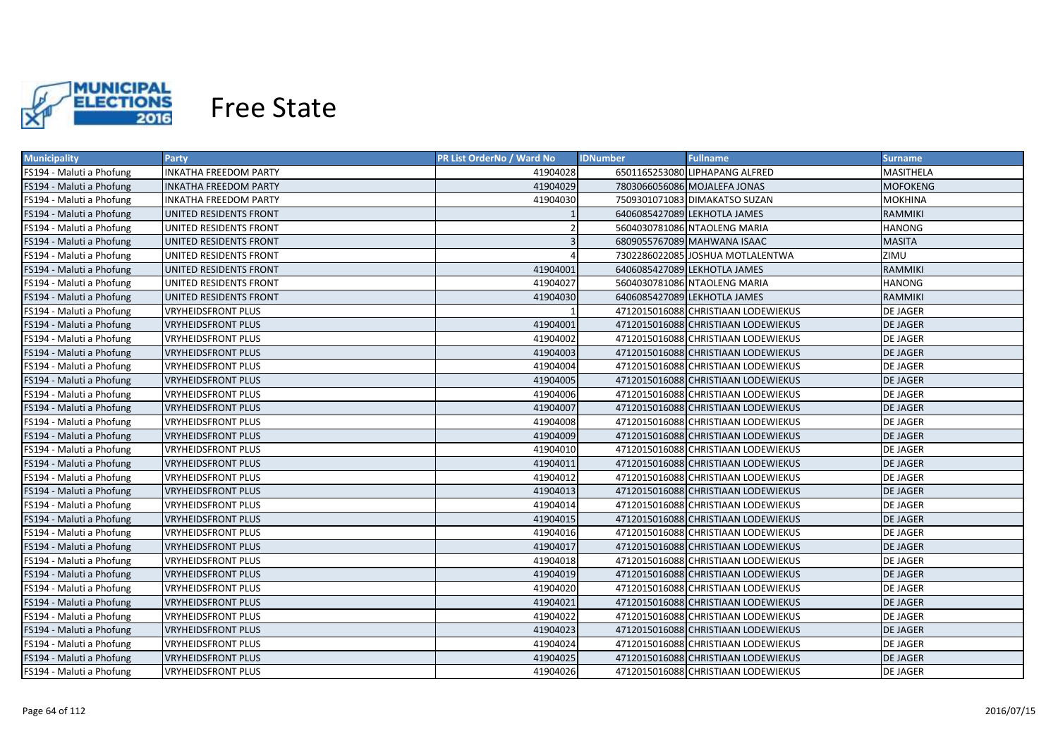

| <b>Municipality</b>      | Party                         | <b>PR List OrderNo / Ward No</b> | <b>Fullname</b><br><b>IDNumber</b>  | Surname         |
|--------------------------|-------------------------------|----------------------------------|-------------------------------------|-----------------|
| FS194 - Maluti a Phofung | <b>INKATHA FREEDOM PARTY</b>  | 41904028                         | 6501165253080 LIPHAPANG ALFRED      | MASITHELA       |
| FS194 - Maluti a Phofung | <b>INKATHA FREEDOM PARTY</b>  | 41904029                         | 7803066056086 MOJALEFA JONAS        | <b>MOFOKENG</b> |
| FS194 - Maluti a Phofung | <b>INKATHA FREEDOM PARTY</b>  | 41904030                         | 7509301071083 DIMAKATSO SUZAN       | <b>MOKHINA</b>  |
| FS194 - Maluti a Phofung | UNITED RESIDENTS FRONT        |                                  | 6406085427089 LEKHOTLA JAMES        | <b>RAMMIKI</b>  |
| FS194 - Maluti a Phofung | UNITED RESIDENTS FRONT        |                                  | 5604030781086 NTAOLENG MARIA        | <b>HANONG</b>   |
| FS194 - Maluti a Phofung | UNITED RESIDENTS FRONT        |                                  | 6809055767089 MAHWANA ISAAC         | <b>MASITA</b>   |
| FS194 - Maluti a Phofung | UNITED RESIDENTS FRONT        |                                  | 7302286022085 JOSHUA MOTLALENTWA    | ZIMU            |
| FS194 - Maluti a Phofung | UNITED RESIDENTS FRONT        | 41904001                         | 6406085427089 LEKHOTLA JAMES        | RAMMIKI         |
| FS194 - Maluti a Phofung | UNITED RESIDENTS FRONT        | 41904027                         | 5604030781086 NTAOLENG MARIA        | <b>HANONG</b>   |
| FS194 - Maluti a Phofung | <b>UNITED RESIDENTS FRONT</b> | 41904030                         | 6406085427089 LEKHOTLA JAMES        | <b>RAMMIKI</b>  |
| FS194 - Maluti a Phofung | <b>VRYHEIDSFRONT PLUS</b>     |                                  | 4712015016088 CHRISTIAAN LODEWIEKUS | <b>DE JAGER</b> |
| FS194 - Maluti a Phofung | <b>VRYHEIDSFRONT PLUS</b>     | 41904001                         | 4712015016088 CHRISTIAAN LODEWIEKUS | <b>DE JAGER</b> |
| FS194 - Maluti a Phofung | <b>VRYHEIDSFRONT PLUS</b>     | 41904002                         | 4712015016088 CHRISTIAAN LODEWIEKUS | <b>DE JAGER</b> |
| FS194 - Maluti a Phofung | <b>VRYHEIDSFRONT PLUS</b>     | 41904003                         | 4712015016088 CHRISTIAAN LODEWIEKUS | <b>DE JAGER</b> |
| FS194 - Maluti a Phofung | <b>VRYHEIDSFRONT PLUS</b>     | 41904004                         | 4712015016088 CHRISTIAAN LODEWIEKUS | <b>DE JAGER</b> |
| FS194 - Maluti a Phofung | <b>VRYHEIDSFRONT PLUS</b>     | 41904005                         | 4712015016088 CHRISTIAAN LODEWIEKUS | <b>DE JAGER</b> |
| FS194 - Maluti a Phofung | <b>VRYHEIDSFRONT PLUS</b>     | 41904006                         | 4712015016088 CHRISTIAAN LODEWIEKUS | <b>DE JAGER</b> |
| FS194 - Maluti a Phofung | <b>VRYHEIDSFRONT PLUS</b>     | 41904007                         | 4712015016088 CHRISTIAAN LODEWIEKUS | <b>DE JAGER</b> |
| FS194 - Maluti a Phofung | <b>VRYHEIDSFRONT PLUS</b>     | 41904008                         | 4712015016088 CHRISTIAAN LODEWIEKUS | <b>DE JAGER</b> |
| FS194 - Maluti a Phofung | <b>VRYHEIDSFRONT PLUS</b>     | 41904009                         | 4712015016088 CHRISTIAAN LODEWIEKUS | <b>DE JAGER</b> |
| FS194 - Maluti a Phofung | <b>VRYHEIDSFRONT PLUS</b>     | 41904010                         | 4712015016088 CHRISTIAAN LODEWIEKUS | <b>DE JAGER</b> |
| FS194 - Maluti a Phofung | <b>VRYHEIDSFRONT PLUS</b>     | 41904011                         | 4712015016088 CHRISTIAAN LODEWIEKUS | <b>DE JAGER</b> |
| FS194 - Maluti a Phofung | <b>VRYHEIDSFRONT PLUS</b>     | 41904012                         | 4712015016088 CHRISTIAAN LODEWIEKUS | <b>DE JAGER</b> |
| FS194 - Maluti a Phofung | <b>VRYHEIDSFRONT PLUS</b>     | 41904013                         | 4712015016088 CHRISTIAAN LODEWIEKUS | <b>DE JAGER</b> |
| FS194 - Maluti a Phofung | <b>VRYHEIDSFRONT PLUS</b>     | 41904014                         | 4712015016088 CHRISTIAAN LODEWIEKUS | DE JAGER        |
| FS194 - Maluti a Phofung | <b>VRYHEIDSFRONT PLUS</b>     | 41904015                         | 4712015016088 CHRISTIAAN LODEWIEKUS | <b>DE JAGER</b> |
| FS194 - Maluti a Phofung | <b>VRYHEIDSFRONT PLUS</b>     | 41904016                         | 4712015016088 CHRISTIAAN LODEWIEKUS | <b>DE JAGER</b> |
| FS194 - Maluti a Phofung | <b>VRYHEIDSFRONT PLUS</b>     | 41904017                         | 4712015016088 CHRISTIAAN LODEWIEKUS | <b>DE JAGER</b> |
| FS194 - Maluti a Phofung | <b>VRYHEIDSFRONT PLUS</b>     | 41904018                         | 4712015016088 CHRISTIAAN LODEWIEKUS | DE JAGER        |
| FS194 - Maluti a Phofung | <b>VRYHEIDSFRONT PLUS</b>     | 41904019                         | 4712015016088 CHRISTIAAN LODEWIEKUS | <b>DE JAGER</b> |
| FS194 - Maluti a Phofung | <b>VRYHEIDSFRONT PLUS</b>     | 41904020                         | 4712015016088 CHRISTIAAN LODEWIEKUS | <b>DE JAGER</b> |
| FS194 - Maluti a Phofung | <b>VRYHEIDSFRONT PLUS</b>     | 41904021                         | 4712015016088 CHRISTIAAN LODEWIEKUS | <b>DE JAGER</b> |
| FS194 - Maluti a Phofung | <b>VRYHEIDSFRONT PLUS</b>     | 41904022                         | 4712015016088 CHRISTIAAN LODEWIEKUS | <b>DE JAGER</b> |
| FS194 - Maluti a Phofung | <b>VRYHEIDSFRONT PLUS</b>     | 41904023                         | 4712015016088 CHRISTIAAN LODEWIEKUS | <b>DE JAGER</b> |
| FS194 - Maluti a Phofung | <b>VRYHEIDSFRONT PLUS</b>     | 41904024                         | 4712015016088 CHRISTIAAN LODEWIEKUS | <b>DE JAGER</b> |
| FS194 - Maluti a Phofung | <b>VRYHEIDSFRONT PLUS</b>     | 41904025                         | 4712015016088 CHRISTIAAN LODEWIEKUS | <b>DE JAGER</b> |
| FS194 - Maluti a Phofung | <b>VRYHEIDSFRONT PLUS</b>     | 41904026                         | 4712015016088 CHRISTIAAN LODEWIEKUS | <b>DE JAGER</b> |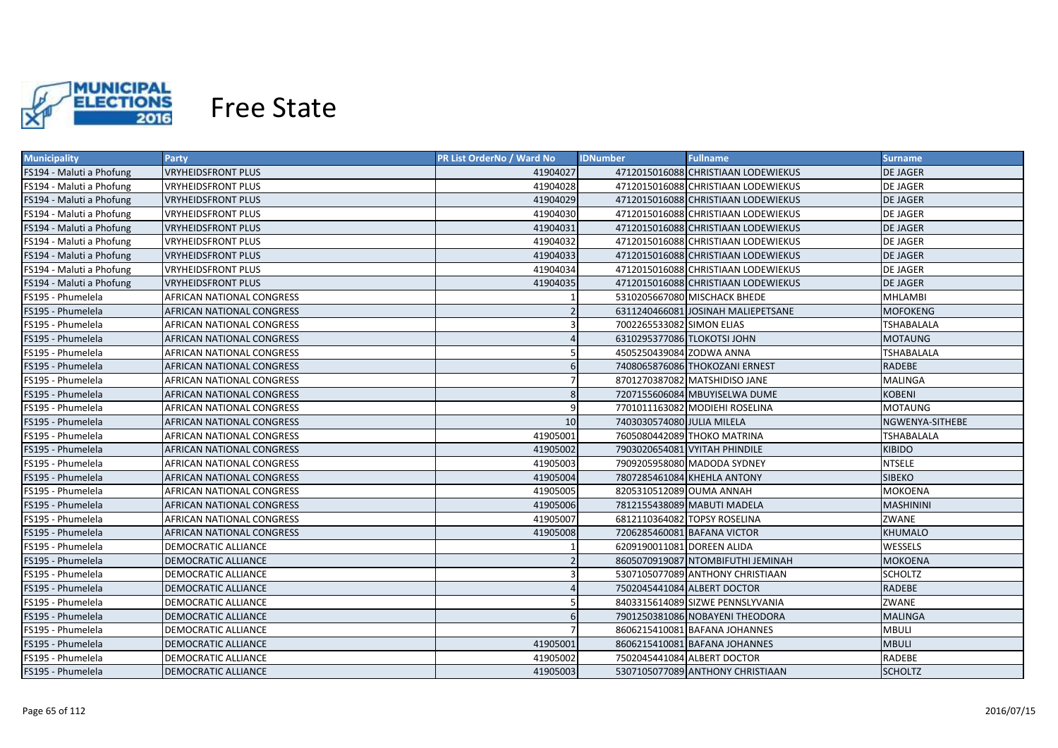

| <b>Municipality</b>      | <b>Party</b>                     | <b>PR List OrderNo / Ward No</b> | <b>Fullname</b><br><b>IDNumber</b>  | <b>Surname</b>    |
|--------------------------|----------------------------------|----------------------------------|-------------------------------------|-------------------|
| FS194 - Maluti a Phofung | <b>VRYHEIDSFRONT PLUS</b>        | 41904027                         | 4712015016088 CHRISTIAAN LODEWIEKUS | <b>DE JAGER</b>   |
| FS194 - Maluti a Phofung | <b>VRYHEIDSFRONT PLUS</b>        | 41904028                         | 4712015016088 CHRISTIAAN LODEWIEKUS | <b>DE JAGER</b>   |
| FS194 - Maluti a Phofung | <b>VRYHEIDSFRONT PLUS</b>        | 41904029                         | 4712015016088 CHRISTIAAN LODEWIEKUS | <b>DE JAGER</b>   |
| FS194 - Maluti a Phofung | <b>VRYHEIDSFRONT PLUS</b>        | 41904030                         | 4712015016088 CHRISTIAAN LODEWIEKUS | <b>DE JAGER</b>   |
| FS194 - Maluti a Phofung | <b>VRYHEIDSFRONT PLUS</b>        | 41904031                         | 4712015016088 CHRISTIAAN LODEWIEKUS | <b>DE JAGER</b>   |
| FS194 - Maluti a Phofung | <b>VRYHEIDSFRONT PLUS</b>        | 41904032                         | 4712015016088 CHRISTIAAN LODEWIEKUS | DE JAGER          |
| FS194 - Maluti a Phofung | <b>VRYHEIDSFRONT PLUS</b>        | 41904033                         | 4712015016088 CHRISTIAAN LODEWIEKUS | <b>DE JAGER</b>   |
| FS194 - Maluti a Phofung | <b>VRYHEIDSFRONT PLUS</b>        | 41904034                         | 4712015016088 CHRISTIAAN LODEWIEKUS | DE JAGER          |
| FS194 - Maluti a Phofung | <b>VRYHEIDSFRONT PLUS</b>        | 41904035                         | 4712015016088 CHRISTIAAN LODEWIEKUS | <b>DE JAGER</b>   |
| FS195 - Phumelela        | AFRICAN NATIONAL CONGRESS        |                                  | 5310205667080 MISCHACK BHEDE        | <b>MHLAMBI</b>    |
| FS195 - Phumelela        | AFRICAN NATIONAL CONGRESS        |                                  | 6311240466081 JOSINAH MALIEPETSANE  | <b>MOFOKENG</b>   |
| FS195 - Phumelela        | AFRICAN NATIONAL CONGRESS        | $\overline{3}$                   | 7002265533082 SIMON ELIAS           | <b>TSHABALALA</b> |
| FS195 - Phumelela        | AFRICAN NATIONAL CONGRESS        |                                  | 6310295377086 TLOKOTSI JOHN         | <b>MOTAUNG</b>    |
| FS195 - Phumelela        | AFRICAN NATIONAL CONGRESS        | 5                                | 4505250439084 ZODWA ANNA            | <b>TSHABALALA</b> |
| FS195 - Phumelela        | AFRICAN NATIONAL CONGRESS        | 6                                | 7408065876086 THOKOZANI ERNEST      | <b>RADEBE</b>     |
| FS195 - Phumelela        | AFRICAN NATIONAL CONGRESS        | $\overline{7}$                   | 8701270387082 MATSHIDISO JANE       | <b>MALINGA</b>    |
| FS195 - Phumelela        | AFRICAN NATIONAL CONGRESS        | 8                                | 7207155606084 MBUYISELWA DUME       | <b>KOBENI</b>     |
| FS195 - Phumelela        | AFRICAN NATIONAL CONGRESS        | 9                                | 7701011163082 MODIEHI ROSELINA      | MOTAUNG           |
| FS195 - Phumelela        | <b>AFRICAN NATIONAL CONGRESS</b> | 10                               | 7403030574080 JULIA MILELA          | NGWENYA-SITHEBE   |
| FS195 - Phumelela        | <b>AFRICAN NATIONAL CONGRESS</b> | 41905001                         | 7605080442089 THOKO MATRINA         | <b>TSHABALALA</b> |
| FS195 - Phumelela        | AFRICAN NATIONAL CONGRESS        | 41905002                         | 7903020654081 VYITAH PHINDILE       | <b>KIBIDO</b>     |
| FS195 - Phumelela        | AFRICAN NATIONAL CONGRESS        | 41905003                         | 7909205958080 MADODA SYDNEY         | <b>NTSELE</b>     |
| FS195 - Phumelela        | AFRICAN NATIONAL CONGRESS        | 41905004                         | 7807285461084 KHEHLA ANTONY         | <b>SIBEKO</b>     |
| FS195 - Phumelela        | AFRICAN NATIONAL CONGRESS        | 41905005                         | 8205310512089 OUMA ANNAH            | <b>MOKOENA</b>    |
| FS195 - Phumelela        | AFRICAN NATIONAL CONGRESS        | 41905006                         | 7812155438089 MABUTI MADELA         | <b>MASHININI</b>  |
| FS195 - Phumelela        | AFRICAN NATIONAL CONGRESS        | 41905007                         | 6812110364082 TOPSY ROSELINA        | ZWANE             |
| FS195 - Phumelela        | AFRICAN NATIONAL CONGRESS        | 41905008                         | 7206285460081 BAFANA VICTOR         | KHUMALO           |
| FS195 - Phumelela        | DEMOCRATIC ALLIANCE              |                                  | 6209190011081 DOREEN ALIDA          | WESSELS           |
| FS195 - Phumelela        | DEMOCRATIC ALLIANCE              |                                  | 8605070919087 NTOMBIFUTHI JEMINAH   | <b>MOKOENA</b>    |
| FS195 - Phumelela        | DEMOCRATIC ALLIANCE              |                                  | 5307105077089 ANTHONY CHRISTIAAN    | <b>SCHOLTZ</b>    |
| FS195 - Phumelela        | DEMOCRATIC ALLIANCE              |                                  | 7502045441084 ALBERT DOCTOR         | <b>RADEBE</b>     |
| FS195 - Phumelela        | <b>DEMOCRATIC ALLIANCE</b>       |                                  | 8403315614089 SIZWE PENNSLYVANIA    | ZWANE             |
| FS195 - Phumelela        | DEMOCRATIC ALLIANCE              |                                  | 7901250381086 NOBAYENI THEODORA     | <b>MALINGA</b>    |
| FS195 - Phumelela        | <b>DEMOCRATIC ALLIANCE</b>       |                                  | 8606215410081 BAFANA JOHANNES       | <b>MBULI</b>      |
| FS195 - Phumelela        | <b>DEMOCRATIC ALLIANCE</b>       | 41905001                         | 8606215410081 BAFANA JOHANNES       | <b>MBULI</b>      |
| FS195 - Phumelela        | <b>DEMOCRATIC ALLIANCE</b>       | 41905002                         | 7502045441084 ALBERT DOCTOR         | RADEBE            |
| FS195 - Phumelela        | <b>DEMOCRATIC ALLIANCE</b>       | 41905003                         | 5307105077089 ANTHONY CHRISTIAAN    | <b>SCHOLTZ</b>    |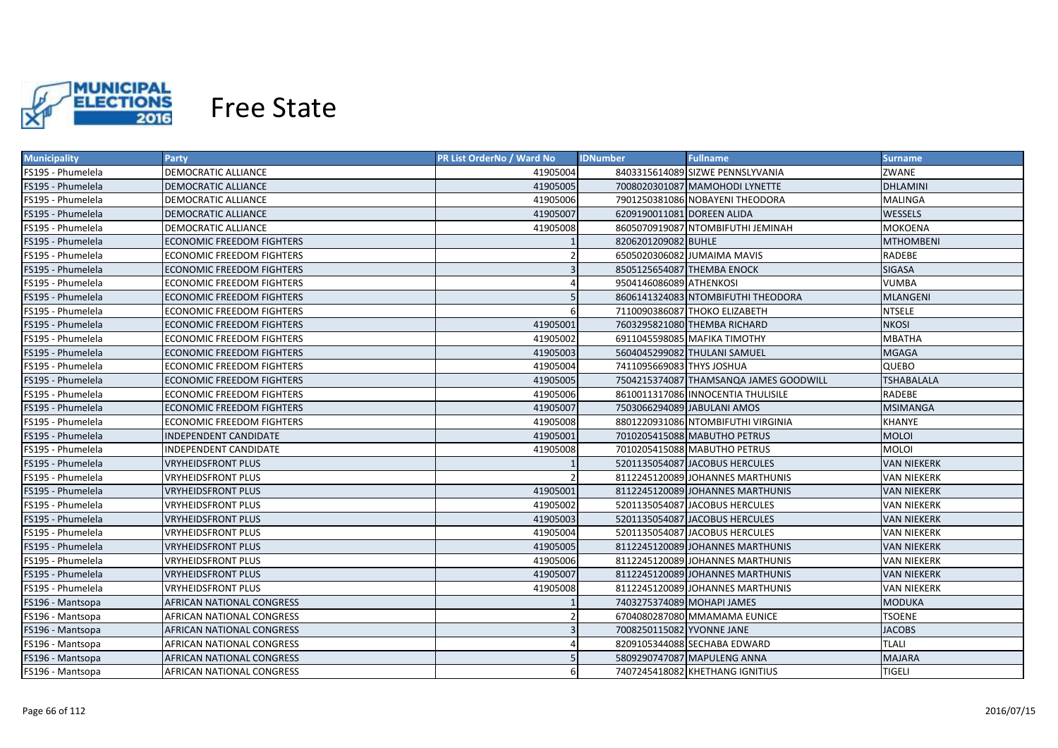

| <b>Municipality</b> | <b>Party</b>                     | <b>PR List OrderNo / Ward No</b> | <b>Fullname</b><br><b>IDNumber</b>     | <b>Surname</b>     |
|---------------------|----------------------------------|----------------------------------|----------------------------------------|--------------------|
| FS195 - Phumelela   | DEMOCRATIC ALLIANCE              | 41905004                         | 8403315614089 SIZWE PENNSLYVANIA       | ZWANE              |
| FS195 - Phumelela   | DEMOCRATIC ALLIANCE              | 41905005                         | 7008020301087 MAMOHODI LYNETTE         | <b>DHLAMINI</b>    |
| FS195 - Phumelela   | DEMOCRATIC ALLIANCE              | 41905006                         | 7901250381086 NOBAYENI THEODORA        | <b>MALINGA</b>     |
| FS195 - Phumelela   | DEMOCRATIC ALLIANCE              | 41905007                         | 6209190011081 DOREEN ALIDA             | <b>WESSELS</b>     |
| FS195 - Phumelela   | <b>DEMOCRATIC ALLIANCE</b>       | 41905008                         | 8605070919087 NTOMBIFUTHI JEMINAH      | <b>MOKOENA</b>     |
| FS195 - Phumelela   | <b>ECONOMIC FREEDOM FIGHTERS</b> |                                  | 8206201209082 BUHLE                    | <b>MTHOMBENI</b>   |
| FS195 - Phumelela   | ECONOMIC FREEDOM FIGHTERS        |                                  | 6505020306082 JUMAIMA MAVIS            | RADEBE             |
| FS195 - Phumelela   | <b>ECONOMIC FREEDOM FIGHTERS</b> | $\overline{3}$                   | 8505125654087 THEMBA ENOCK             | <b>SIGASA</b>      |
| FS195 - Phumelela   | <b>ECONOMIC FREEDOM FIGHTERS</b> |                                  | 9504146086089 ATHENKOSI                | <b>VUMBA</b>       |
| FS195 - Phumelela   | <b>ECONOMIC FREEDOM FIGHTERS</b> |                                  | 8606141324083 NTOMBIFUTHI THEODORA     | <b>MLANGENI</b>    |
| FS195 - Phumelela   | <b>ECONOMIC FREEDOM FIGHTERS</b> | 6                                | 7110090386087 THOKO ELIZABETH          | <b>NTSELE</b>      |
| FS195 - Phumelela   | <b>ECONOMIC FREEDOM FIGHTERS</b> | 41905001                         | 7603295821080 THEMBA RICHARD           | <b>NKOSI</b>       |
| FS195 - Phumelela   | ECONOMIC FREEDOM FIGHTERS        | 41905002                         | 6911045598085 MAFIKA TIMOTHY           | <b>MBATHA</b>      |
| FS195 - Phumelela   | <b>ECONOMIC FREEDOM FIGHTERS</b> | 41905003                         | 5604045299082 THULANI SAMUEL           | <b>MGAGA</b>       |
| FS195 - Phumelela   | <b>ECONOMIC FREEDOM FIGHTERS</b> | 41905004                         | 7411095669083 THYS JOSHUA              | QUEBO              |
| FS195 - Phumelela   | <b>ECONOMIC FREEDOM FIGHTERS</b> | 41905005                         | 7504215374087 THAMSANQA JAMES GOODWILL | <b>TSHABALALA</b>  |
| FS195 - Phumelela   | <b>ECONOMIC FREEDOM FIGHTERS</b> | 41905006                         | 8610011317086 INNOCENTIA THULISILE     | RADEBE             |
| FS195 - Phumelela   | <b>ECONOMIC FREEDOM FIGHTERS</b> | 41905007                         | 7503066294089 JABULANI AMOS            | <b>MSIMANGA</b>    |
| FS195 - Phumelela   | <b>ECONOMIC FREEDOM FIGHTERS</b> | 41905008                         | 8801220931086 NTOMBIFUTHI VIRGINIA     | <b>KHANYE</b>      |
| FS195 - Phumelela   | <b>INDEPENDENT CANDIDATE</b>     | 41905001                         | 7010205415088 MABUTHO PETRUS           | <b>MOLOI</b>       |
| FS195 - Phumelela   | <b>INDEPENDENT CANDIDATE</b>     | 41905008                         | 7010205415088 MABUTHO PETRUS           | <b>MOLOI</b>       |
| FS195 - Phumelela   | <b>VRYHEIDSFRONT PLUS</b>        |                                  | 5201135054087 JACOBUS HERCULES         | <b>VAN NIEKERK</b> |
| FS195 - Phumelela   | <b>VRYHEIDSFRONT PLUS</b>        | $\mathcal{P}$                    | 8112245120089 JOHANNES MARTHUNIS       | <b>VAN NIEKERK</b> |
| FS195 - Phumelela   | <b>VRYHEIDSFRONT PLUS</b>        | 41905001                         | 8112245120089 JOHANNES MARTHUNIS       | <b>VAN NIEKERK</b> |
| FS195 - Phumelela   | VRYHEIDSFRONT PLUS               | 41905002                         | 5201135054087 JACOBUS HERCULES         | <b>VAN NIEKERK</b> |
| FS195 - Phumelela   | <b>VRYHEIDSFRONT PLUS</b>        | 41905003                         | 5201135054087 JACOBUS HERCULES         | <b>VAN NIEKERK</b> |
| FS195 - Phumelela   | VRYHEIDSFRONT PLUS               | 41905004                         | 5201135054087 JACOBUS HERCULES         | VAN NIEKERK        |
| FS195 - Phumelela   | <b>VRYHEIDSFRONT PLUS</b>        | 41905005                         | 8112245120089 JOHANNES MARTHUNIS       | VAN NIEKERK        |
| FS195 - Phumelela   | VRYHEIDSFRONT PLUS               | 41905006                         | 8112245120089 JOHANNES MARTHUNIS       | <b>VAN NIEKERK</b> |
| FS195 - Phumelela   | VRYHEIDSFRONT PLUS               | 41905007                         | 8112245120089 JOHANNES MARTHUNIS       | <b>VAN NIEKERK</b> |
| FS195 - Phumelela   | <b>VRYHEIDSFRONT PLUS</b>        | 41905008                         | 8112245120089 JOHANNES MARTHUNIS       | <b>VAN NIEKERK</b> |
| FS196 - Mantsopa    | AFRICAN NATIONAL CONGRESS        |                                  | 7403275374089 MOHAPI JAMES             | MODUKA             |
| FS196 - Mantsopa    | AFRICAN NATIONAL CONGRESS        |                                  | 6704080287080 MMAMAMA EUNICE           | <b>TSOENE</b>      |
| FS196 - Mantsopa    | AFRICAN NATIONAL CONGRESS        |                                  | 7008250115082 YVONNE JANE              | <b>JACOBS</b>      |
| FS196 - Mantsopa    | AFRICAN NATIONAL CONGRESS        |                                  | 8209105344088 SECHABA EDWARD           | <b>TLALI</b>       |
| FS196 - Mantsopa    | AFRICAN NATIONAL CONGRESS        |                                  | 5809290747087 MAPULENG ANNA            | <b>MAJARA</b>      |
| FS196 - Mantsopa    | AFRICAN NATIONAL CONGRESS        | 6                                | 7407245418082 KHETHANG IGNITIUS        | <b>TIGELI</b>      |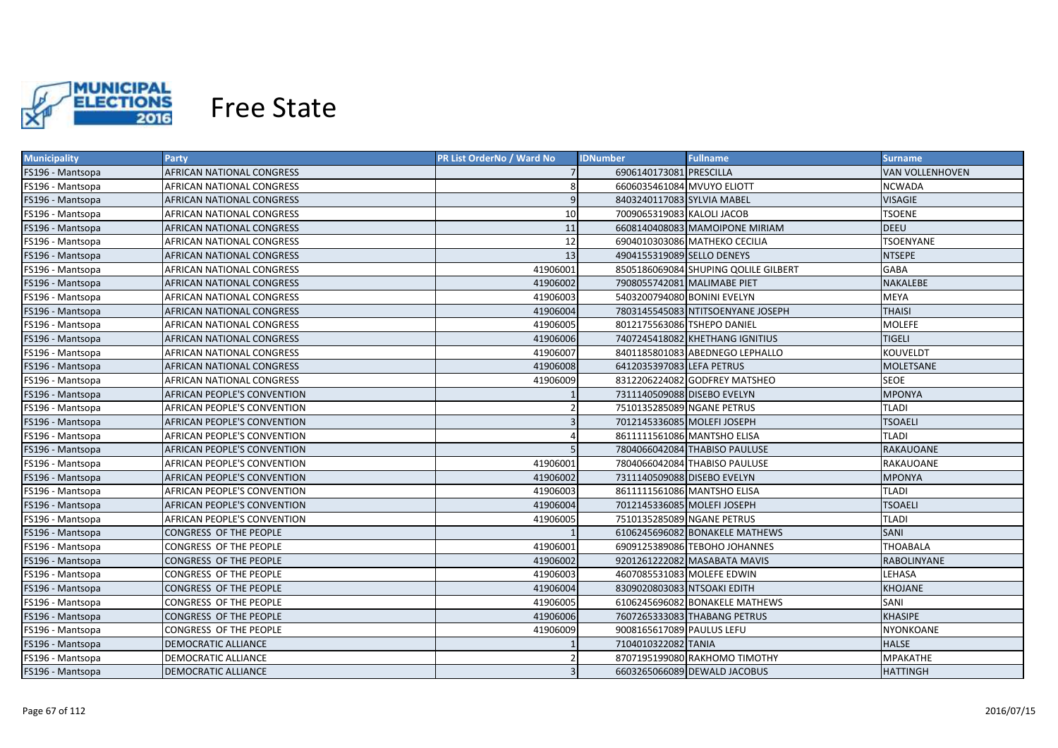

| <b>Municipality</b> | <b>Party</b>                       | <b>PR List OrderNo / Ward No</b> | <b>Fullname</b><br><b>IDNumber</b>   | <b>Surname</b>   |
|---------------------|------------------------------------|----------------------------------|--------------------------------------|------------------|
| FS196 - Mantsopa    | AFRICAN NATIONAL CONGRESS          |                                  | 6906140173081 PRESCILLA              | VAN VOLLENHOVEN  |
| FS196 - Mantsopa    | AFRICAN NATIONAL CONGRESS          | 8                                | 6606035461084 MVUYO ELIOTT           | <b>NCWADA</b>    |
| FS196 - Mantsopa    | AFRICAN NATIONAL CONGRESS          | $\overline{9}$                   | 8403240117083 SYLVIA MABEL           | <b>VISAGIE</b>   |
| FS196 - Mantsopa    | AFRICAN NATIONAL CONGRESS          | 10                               | 7009065319083 KALOLI JACOB           | <b>TSOENE</b>    |
| FS196 - Mantsopa    | AFRICAN NATIONAL CONGRESS          | 11                               | 6608140408083 MAMOIPONE MIRIAM       | <b>DEEU</b>      |
| FS196 - Mantsopa    | AFRICAN NATIONAL CONGRESS          | 12                               | 6904010303086 MATHEKO CECILIA        | <b>TSOENYANE</b> |
| FS196 - Mantsopa    | AFRICAN NATIONAL CONGRESS          | 13                               | 4904155319089 SELLO DENEYS           | <b>NTSEPE</b>    |
| FS196 - Mantsopa    | AFRICAN NATIONAL CONGRESS          | 41906001                         | 8505186069084 SHUPING QOLILE GILBERT | <b>GABA</b>      |
| FS196 - Mantsopa    | AFRICAN NATIONAL CONGRESS          | 41906002                         | 7908055742081 MALIMABE PIET          | NAKALEBE         |
| FS196 - Mantsopa    | AFRICAN NATIONAL CONGRESS          | 41906003                         | 5403200794080 BONINI EVELYN          | <b>MEYA</b>      |
| FS196 - Mantsopa    | AFRICAN NATIONAL CONGRESS          | 41906004                         | 7803145545083 NTITSOENYANE JOSEPH    | <b>THAISI</b>    |
| FS196 - Mantsopa    | AFRICAN NATIONAL CONGRESS          | 41906005                         | 8012175563086 TSHEPO DANIEL          | <b>MOLEFE</b>    |
| FS196 - Mantsopa    | AFRICAN NATIONAL CONGRESS          | 41906006                         | 7407245418082 KHETHANG IGNITIUS      | <b>TIGELI</b>    |
| FS196 - Mantsopa    | AFRICAN NATIONAL CONGRESS          | 41906007                         | 8401185801083 ABEDNEGO LEPHALLO      | KOUVELDT         |
| FS196 - Mantsopa    | AFRICAN NATIONAL CONGRESS          | 41906008                         | 6412035397083 LEFA PETRUS            | MOLETSANE        |
| FS196 - Mantsopa    | AFRICAN NATIONAL CONGRESS          | 41906009                         | 8312206224082 GODFREY MATSHEO        | <b>SEOE</b>      |
| FS196 - Mantsopa    | AFRICAN PEOPLE'S CONVENTION        |                                  | 7311140509088 DISEBO EVELYN          | <b>MPONYA</b>    |
| FS196 - Mantsopa    | <b>AFRICAN PEOPLE'S CONVENTION</b> | $\overline{2}$                   | 7510135285089 NGANE PETRUS           | <b>TLADI</b>     |
| FS196 - Mantsopa    | AFRICAN PEOPLE'S CONVENTION        | $\overline{3}$                   | 7012145336085 MOLEFI JOSEPH          | <b>TSOAELI</b>   |
| FS196 - Mantsopa    | AFRICAN PEOPLE'S CONVENTION        |                                  | 8611111561086 MANTSHO ELISA          | TLADI            |
| FS196 - Mantsopa    | AFRICAN PEOPLE'S CONVENTION        |                                  | 7804066042084 THABISO PAULUSE        | <b>RAKAUOANE</b> |
| FS196 - Mantsopa    | AFRICAN PEOPLE'S CONVENTION        | 41906001                         | 7804066042084 THABISO PAULUSE        | RAKAUOANE        |
| FS196 - Mantsopa    | AFRICAN PEOPLE'S CONVENTION        | 41906002                         | 7311140509088 DISEBO EVELYN          | <b>MPONYA</b>    |
| FS196 - Mantsopa    | AFRICAN PEOPLE'S CONVENTION        | 41906003                         | 8611111561086 MANTSHO ELISA          | <b>TLADI</b>     |
| FS196 - Mantsopa    | AFRICAN PEOPLE'S CONVENTION        | 41906004                         | 7012145336085 MOLEFI JOSEPH          | <b>TSOAELI</b>   |
| FS196 - Mantsopa    | AFRICAN PEOPLE'S CONVENTION        | 41906005                         | 7510135285089 NGANE PETRUS           | <b>TLADI</b>     |
| FS196 - Mantsopa    | CONGRESS OF THE PEOPLE             |                                  | 6106245696082 BONAKELE MATHEWS       | <b>SANI</b>      |
| FS196 - Mantsopa    | CONGRESS OF THE PEOPLE             | 41906001                         | 6909125389086 TEBOHO JOHANNES        | <b>THOABALA</b>  |
| FS196 - Mantsopa    | CONGRESS OF THE PEOPLE             | 41906002                         | 9201261222082 MASABATA MAVIS         | RABOLINYANE      |
| FS196 - Mantsopa    | CONGRESS OF THE PEOPLE             | 41906003                         | 4607085531083 MOLEFE EDWIN           | LEHASA           |
| FS196 - Mantsopa    | CONGRESS OF THE PEOPLE             | 41906004                         | 8309020803083 NTSOAKI EDITH          | <b>KHOJANE</b>   |
| FS196 - Mantsopa    | CONGRESS OF THE PEOPLE             | 41906005                         | 6106245696082 BONAKELE MATHEWS       | SANI             |
| FS196 - Mantsopa    | CONGRESS OF THE PEOPLE             | 41906006                         | 7607265333083 THABANG PETRUS         | <b>KHASIPE</b>   |
| FS196 - Mantsopa    | CONGRESS OF THE PEOPLE             | 41906009                         | 9008165617089 PAULUS LEFU            | NYONKOANE        |
| FS196 - Mantsopa    | <b>DEMOCRATIC ALLIANCE</b>         |                                  | 7104010322082 TANIA                  | <b>HALSE</b>     |
| FS196 - Mantsopa    | <b>DEMOCRATIC ALLIANCE</b>         |                                  | 8707195199080 RAKHOMO TIMOTHY        | MPAKATHE         |
| FS196 - Mantsopa    | <b>DEMOCRATIC ALLIANCE</b>         |                                  | 6603265066089 DEWALD JACOBUS         | <b>HATTINGH</b>  |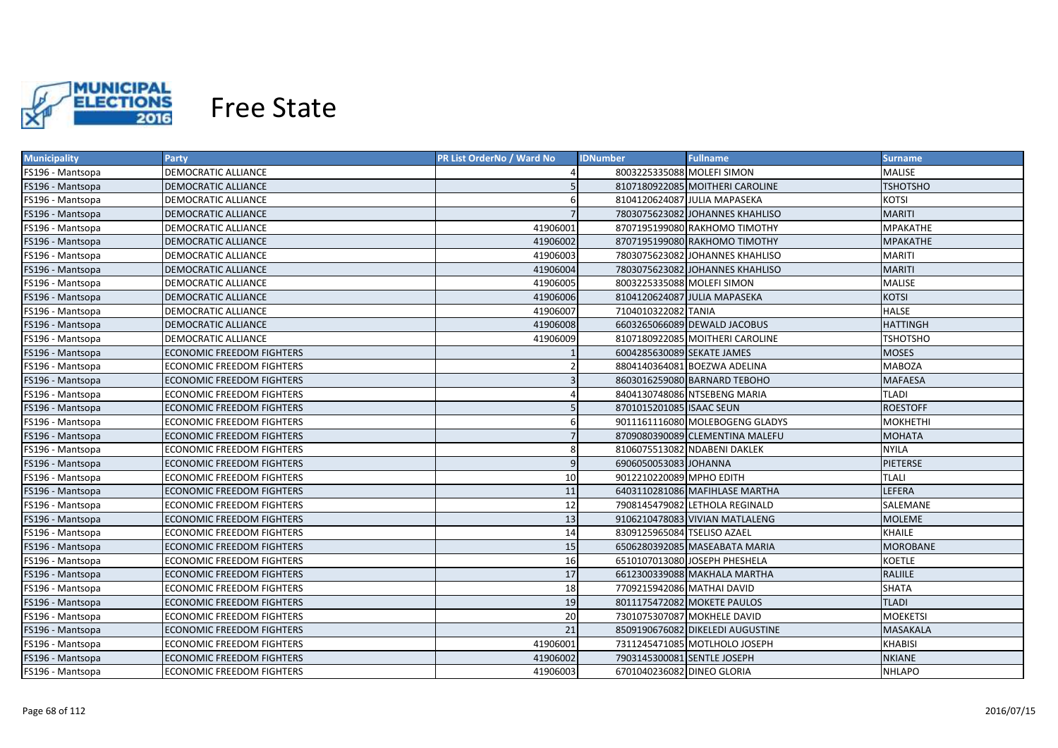

| <b>Municipality</b> | <b>Party</b>                     | PR List OrderNo / Ward No | <b>IDNumber</b>             | <b>Fullname</b>                  | <b>Surname</b>  |
|---------------------|----------------------------------|---------------------------|-----------------------------|----------------------------------|-----------------|
| FS196 - Mantsopa    | DEMOCRATIC ALLIANCE              |                           | 8003225335088 MOLEFI SIMON  |                                  | MALISE          |
| FS196 - Mantsopa    | DEMOCRATIC ALLIANCE              |                           |                             | 8107180922085 MOITHERI CAROLINE  | <b>TSHOTSHO</b> |
| FS196 - Mantsopa    | DEMOCRATIC ALLIANCE              | 6                         |                             | 8104120624087 JULIA MAPASEKA     | <b>KOTSI</b>    |
| FS196 - Mantsopa    | DEMOCRATIC ALLIANCE              |                           |                             | 7803075623082 JOHANNES KHAHLISO  | <b>MARITI</b>   |
| FS196 - Mantsopa    | DEMOCRATIC ALLIANCE              | 41906001                  |                             | 8707195199080 RAKHOMO TIMOTHY    | <b>MPAKATHE</b> |
| FS196 - Mantsopa    | DEMOCRATIC ALLIANCE              | 41906002                  |                             | 8707195199080 RAKHOMO TIMOTHY    | MPAKATHE        |
| FS196 - Mantsopa    | DEMOCRATIC ALLIANCE              | 41906003                  |                             | 7803075623082 JOHANNES KHAHLISO  | <b>MARITI</b>   |
| FS196 - Mantsopa    | DEMOCRATIC ALLIANCE              | 41906004                  |                             | 7803075623082 JOHANNES KHAHLISO  | <b>MARITI</b>   |
| FS196 - Mantsopa    | DEMOCRATIC ALLIANCE              | 41906005                  | 8003225335088 MOLEFI SIMON  |                                  | MALISE          |
| FS196 - Mantsopa    | <b>DEMOCRATIC ALLIANCE</b>       | 41906006                  |                             | 8104120624087 JULIA MAPASEKA     | <b>KOTSI</b>    |
| FS196 - Mantsopa    | DEMOCRATIC ALLIANCE              | 41906007                  | 7104010322082 TANIA         |                                  | <b>HALSE</b>    |
| FS196 - Mantsopa    | DEMOCRATIC ALLIANCE              | 41906008                  |                             | 6603265066089 DEWALD JACOBUS     | <b>HATTINGH</b> |
| FS196 - Mantsopa    | DEMOCRATIC ALLIANCE              | 41906009                  |                             | 8107180922085 MOITHERI CAROLINE  | <b>TSHOTSHO</b> |
| FS196 - Mantsopa    | <b>ECONOMIC FREEDOM FIGHTERS</b> |                           | 6004285630089 SEKATE JAMES  |                                  | <b>MOSES</b>    |
| FS196 - Mantsopa    | <b>ECONOMIC FREEDOM FIGHTERS</b> | $\overline{2}$            |                             | 8804140364081 BOEZWA ADELINA     | <b>MABOZA</b>   |
| FS196 - Mantsopa    | ECONOMIC FREEDOM FIGHTERS        | $\overline{3}$            |                             | 8603016259080 BARNARD TEBOHO     | <b>MAFAESA</b>  |
| FS196 - Mantsopa    | <b>ECONOMIC FREEDOM FIGHTERS</b> |                           |                             | 8404130748086 NTSEBENG MARIA     | TLADI           |
| FS196 - Mantsopa    | ECONOMIC FREEDOM FIGHTERS        |                           | 8701015201085 ISAAC SEUN    |                                  | <b>ROESTOFF</b> |
| FS196 - Mantsopa    | <b>ECONOMIC FREEDOM FIGHTERS</b> | 6                         |                             | 9011161116080 MOLEBOGENG GLADYS  | MOKHETHI        |
| FS196 - Mantsopa    | <b>ECONOMIC FREEDOM FIGHTERS</b> | $\overline{7}$            |                             | 8709080390089 CLEMENTINA MALEFU  | <b>MOHATA</b>   |
| FS196 - Mantsopa    | <b>ECONOMIC FREEDOM FIGHTERS</b> | 8                         |                             | 8106075513082 NDABENI DAKLEK     | <b>NYILA</b>    |
| FS196 - Mantsopa    | <b>ECONOMIC FREEDOM FIGHTERS</b> | 9                         | 6906050053083 JOHANNA       |                                  | <b>PIETERSE</b> |
| FS196 - Mantsopa    | <b>ECONOMIC FREEDOM FIGHTERS</b> | 10                        | 9012210220089 MPHO EDITH    |                                  | <b>TLALI</b>    |
| FS196 - Mantsopa    | <b>ECONOMIC FREEDOM FIGHTERS</b> | 11                        |                             | 6403110281086 MAFIHLASE MARTHA   | LEFERA          |
| FS196 - Mantsopa    | ECONOMIC FREEDOM FIGHTERS        | 12                        |                             | 7908145479082 LETHOLA REGINALD   | SALEMANE        |
| FS196 - Mantsopa    | ECONOMIC FREEDOM FIGHTERS        | 13                        |                             | 9106210478083 VIVIAN MATLALENG   | MOLEME          |
| FS196 - Mantsopa    | ECONOMIC FREEDOM FIGHTERS        | 14                        | 8309125965084 TSELISO AZAEL |                                  | KHAILE          |
| FS196 - Mantsopa    | ECONOMIC FREEDOM FIGHTERS        | 15                        |                             | 6506280392085 MASEABATA MARIA    | MOROBANE        |
| FS196 - Mantsopa    | ECONOMIC FREEDOM FIGHTERS        | 16                        |                             | 6510107013080 JOSEPH PHESHELA    | <b>KOETLE</b>   |
| FS196 - Mantsopa    | ECONOMIC FREEDOM FIGHTERS        | 17                        |                             | 6612300339088 MAKHALA MARTHA     | RALIILE         |
| FS196 - Mantsopa    | ECONOMIC FREEDOM FIGHTERS        | 18                        | 7709215942086 MATHAI DAVID  |                                  | <b>SHATA</b>    |
| FS196 - Mantsopa    | ECONOMIC FREEDOM FIGHTERS        | 19                        |                             | 8011175472082 MOKETE PAULOS      | <b>TLADI</b>    |
| FS196 - Mantsopa    | ECONOMIC FREEDOM FIGHTERS        | 20                        |                             | 7301075307087 MOKHELE DAVID      | <b>MOEKETSI</b> |
| FS196 - Mantsopa    | ECONOMIC FREEDOM FIGHTERS        | 21                        |                             | 8509190676082 DIKELEDI AUGUSTINE | MASAKALA        |
| FS196 - Mantsopa    | <b>ECONOMIC FREEDOM FIGHTERS</b> | 41906001                  |                             | 7311245471085 MOTLHOLO JOSEPH    | <b>KHABISI</b>  |
| FS196 - Mantsopa    | ECONOMIC FREEDOM FIGHTERS        | 41906002                  | 7903145300081 SENTLE JOSEPH |                                  | <b>NKIANE</b>   |
| FS196 - Mantsopa    | <b>ECONOMIC FREEDOM FIGHTERS</b> | 41906003                  | 6701040236082 DINEO GLORIA  |                                  | <b>NHLAPO</b>   |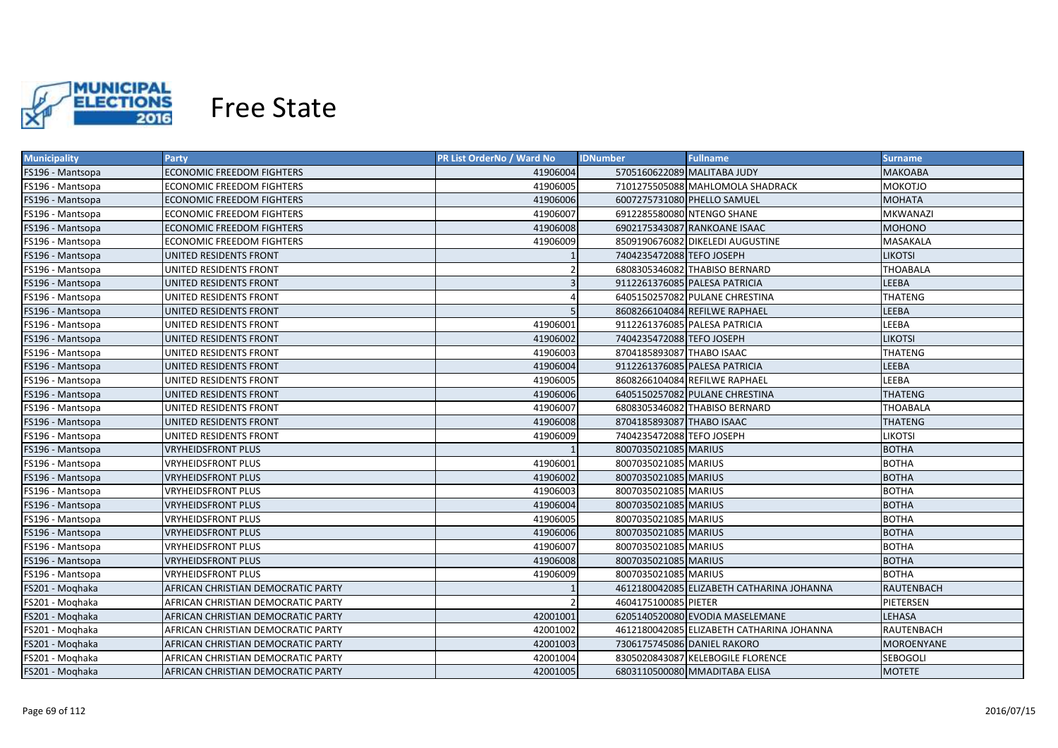

| <b>Municipality</b>     | Party                              | <b>PR List OrderNo / Ward No</b> | <b>IDNumber</b><br><b>Fullname</b>        | <b>Surname</b>    |
|-------------------------|------------------------------------|----------------------------------|-------------------------------------------|-------------------|
| FS196 - Mantsopa        | <b>ECONOMIC FREEDOM FIGHTERS</b>   | 41906004                         | 5705160622089 MALITABA JUDY               | <b>MAKOABA</b>    |
| FS196 - Mantsopa        | ECONOMIC FREEDOM FIGHTERS          | 41906005                         | 7101275505088 MAHLOMOLA SHADRACK          | <b>MOKOTJO</b>    |
| FS196 - Mantsopa        | ECONOMIC FREEDOM FIGHTERS          | 41906006                         | 6007275731080 PHELLO SAMUEL               | <b>MOHATA</b>     |
| FS196 - Mantsopa        | ECONOMIC FREEDOM FIGHTERS          | 41906007                         | 6912285580080 NTENGO SHANE                | <b>MKWANAZI</b>   |
| FS196 - Mantsopa        | <b>ECONOMIC FREEDOM FIGHTERS</b>   | 41906008                         | 6902175343087 RANKOANE ISAAC              | <b>MOHONO</b>     |
| FS196 - Mantsopa        | ECONOMIC FREEDOM FIGHTERS          | 41906009                         | 8509190676082 DIKELEDI AUGUSTINE          | MASAKALA          |
| FS196 - Mantsopa        | UNITED RESIDENTS FRONT             |                                  | 7404235472088 TEFO JOSEPH                 | <b>LIKOTSI</b>    |
| FS196 - Mantsopa        | UNITED RESIDENTS FRONT             |                                  | 6808305346082 THABISO BERNARD             | <b>THOABALA</b>   |
| FS196 - Mantsopa        | UNITED RESIDENTS FRONT             | $\overline{3}$                   | 9112261376085 PALESA PATRICIA             | LEEBA             |
| FS196 - Mantsopa        | UNITED RESIDENTS FRONT             |                                  | 6405150257082 PULANE CHRESTINA            | <b>THATENG</b>    |
| FS196 - Mantsopa        | UNITED RESIDENTS FRONT             |                                  | 8608266104084 REFILWE RAPHAEL             | LEEBA             |
| <b>FS196 - Mantsopa</b> | UNITED RESIDENTS FRONT             | 41906001                         | 9112261376085 PALESA PATRICIA             | LEEBA             |
| FS196 - Mantsopa        | UNITED RESIDENTS FRONT             | 41906002                         | 7404235472088 TEFO JOSEPH                 | <b>LIKOTSI</b>    |
| FS196 - Mantsopa        | UNITED RESIDENTS FRONT             | 41906003                         | 8704185893087 THABO ISAAC                 | <b>THATENG</b>    |
| FS196 - Mantsopa        | UNITED RESIDENTS FRONT             | 41906004                         | 9112261376085 PALESA PATRICIA             | LEEBA             |
| FS196 - Mantsopa        | UNITED RESIDENTS FRONT             | 41906005                         | 8608266104084 REFILWE RAPHAEL             | LEEBA             |
| FS196 - Mantsopa        | UNITED RESIDENTS FRONT             | 41906006                         | 6405150257082 PULANE CHRESTINA            | <b>THATENG</b>    |
| FS196 - Mantsopa        | UNITED RESIDENTS FRONT             | 41906007                         | 6808305346082 THABISO BERNARD             | <b>THOABALA</b>   |
| FS196 - Mantsopa        | UNITED RESIDENTS FRONT             | 41906008                         | 8704185893087 THABO ISAAC                 | <b>THATENG</b>    |
| FS196 - Mantsopa        | UNITED RESIDENTS FRONT             | 41906009                         | 7404235472088 TEFO JOSEPH                 | <b>LIKOTSI</b>    |
| FS196 - Mantsopa        | <b>VRYHEIDSFRONT PLUS</b>          |                                  | 8007035021085 MARIUS                      | <b>BOTHA</b>      |
| FS196 - Mantsopa        | <b>VRYHEIDSFRONT PLUS</b>          | 41906001                         | 8007035021085 MARIUS                      | <b>BOTHA</b>      |
| FS196 - Mantsopa        | <b>VRYHEIDSFRONT PLUS</b>          | 41906002                         | 8007035021085 MARIUS                      | <b>BOTHA</b>      |
| FS196 - Mantsopa        | VRYHEIDSFRONT PLUS                 | 41906003                         | 8007035021085 MARIUS                      | <b>BOTHA</b>      |
| FS196 - Mantsopa        | <b>VRYHEIDSFRONT PLUS</b>          | 41906004                         | 8007035021085 MARIUS                      | <b>BOTHA</b>      |
| FS196 - Mantsopa        | <b>VRYHEIDSFRONT PLUS</b>          | 41906005                         | 8007035021085 MARIUS                      | <b>BOTHA</b>      |
| FS196 - Mantsopa        | <b>VRYHEIDSFRONT PLUS</b>          | 41906006                         | 8007035021085 MARIUS                      | <b>BOTHA</b>      |
| FS196 - Mantsopa        | <b>VRYHEIDSFRONT PLUS</b>          | 41906007                         | 8007035021085 MARIUS                      | <b>BOTHA</b>      |
| FS196 - Mantsopa        | <b>VRYHEIDSFRONT PLUS</b>          | 41906008                         | 8007035021085 MARIUS                      | <b>BOTHA</b>      |
| FS196 - Mantsopa        | <b>VRYHEIDSFRONT PLUS</b>          | 41906009                         | 8007035021085 MARIUS                      | <b>BOTHA</b>      |
| FS201 - Moghaka         | AFRICAN CHRISTIAN DEMOCRATIC PARTY |                                  | 4612180042085 ELIZABETH CATHARINA JOHANNA | <b>RAUTENBACH</b> |
| FS201 - Moghaka         | AFRICAN CHRISTIAN DEMOCRATIC PARTY |                                  | 4604175100085 PIETER                      | PIETERSEN         |
| FS201 - Moghaka         | AFRICAN CHRISTIAN DEMOCRATIC PARTY | 42001001                         | 6205140520080 EVODIA MASELEMANE           | LEHASA            |
| FS201 - Moghaka         | AFRICAN CHRISTIAN DEMOCRATIC PARTY | 42001002                         | 4612180042085 ELIZABETH CATHARINA JOHANNA | RAUTENBACH        |
| FS201 - Moghaka         | AFRICAN CHRISTIAN DEMOCRATIC PARTY | 42001003                         | 7306175745086 DANIEL RAKORO               | <b>MOROENYANE</b> |
| FS201 - Moghaka         | AFRICAN CHRISTIAN DEMOCRATIC PARTY | 42001004                         | 8305020843087 KELEBOGILE FLORENCE         | <b>SEBOGOLI</b>   |
| FS201 - Moghaka         | AFRICAN CHRISTIAN DEMOCRATIC PARTY | 42001005                         | 6803110500080 MMADITABA ELISA             | <b>MOTETE</b>     |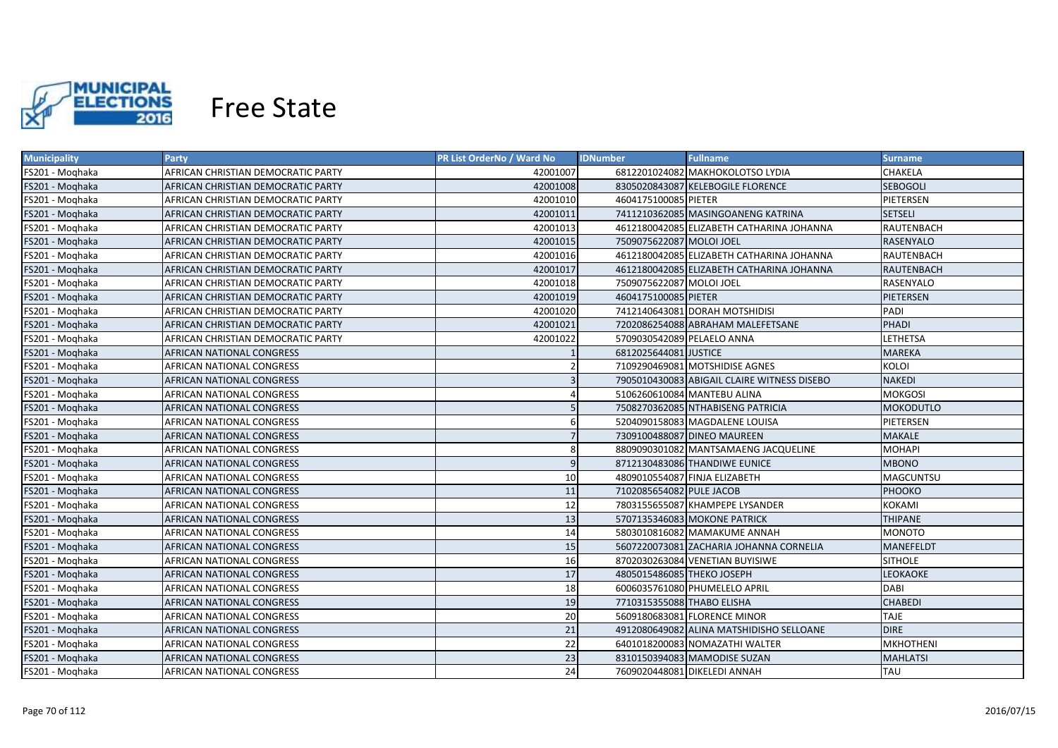

| <b>Municipality</b> | <b>Party</b>                       | <b>PR List OrderNo / Ward No</b> | <b>IDNumber</b>              | <b>Fullname</b>                             | <b>Surname</b>   |
|---------------------|------------------------------------|----------------------------------|------------------------------|---------------------------------------------|------------------|
| FS201 - Moghaka     | AFRICAN CHRISTIAN DEMOCRATIC PARTY | 42001007                         |                              | 6812201024082 MAKHOKOLOTSO LYDIA            | <b>CHAKELA</b>   |
| FS201 - Moghaka     | AFRICAN CHRISTIAN DEMOCRATIC PARTY | 42001008                         |                              | 8305020843087 KELEBOGILE FLORENCE           | <b>SEBOGOLI</b>  |
| FS201 - Moghaka     | AFRICAN CHRISTIAN DEMOCRATIC PARTY | 42001010                         | 4604175100085 PIETER         |                                             | PIETERSEN        |
| FS201 - Moghaka     | AFRICAN CHRISTIAN DEMOCRATIC PARTY | 42001011                         |                              | 7411210362085 MASINGOANENG KATRINA          | <b>SETSELI</b>   |
| FS201 - Moghaka     | AFRICAN CHRISTIAN DEMOCRATIC PARTY | 42001013                         |                              | 4612180042085 ELIZABETH CATHARINA JOHANNA   | RAUTENBACH       |
| FS201 - Moghaka     | AFRICAN CHRISTIAN DEMOCRATIC PARTY | 42001015                         | 7509075622087 MOLOI JOEL     |                                             | <b>RASENYALO</b> |
| FS201 - Moghaka     | AFRICAN CHRISTIAN DEMOCRATIC PARTY | 42001016                         |                              | 4612180042085 ELIZABETH CATHARINA JOHANNA   | RAUTENBACH       |
| FS201 - Moghaka     | AFRICAN CHRISTIAN DEMOCRATIC PARTY | 42001017                         |                              | 4612180042085 ELIZABETH CATHARINA JOHANNA   | RAUTENBACH       |
| FS201 - Moghaka     | AFRICAN CHRISTIAN DEMOCRATIC PARTY | 42001018                         | 7509075622087 MOLOI JOEL     |                                             | RASENYALO        |
| FS201 - Moghaka     | AFRICAN CHRISTIAN DEMOCRATIC PARTY | 42001019                         | 4604175100085 PIETER         |                                             | PIETERSEN        |
| FS201 - Moghaka     | AFRICAN CHRISTIAN DEMOCRATIC PARTY | 42001020                         |                              | 7412140643081 DORAH MOTSHIDISI              | PADI             |
| FS201 - Moghaka     | AFRICAN CHRISTIAN DEMOCRATIC PARTY | 42001021                         |                              | 7202086254088 ABRAHAM MALEFETSANE           | PHADI            |
| FS201 - Moghaka     | AFRICAN CHRISTIAN DEMOCRATIC PARTY | 42001022                         | 5709030542089 PELAELO ANNA   |                                             | <b>LETHETSA</b>  |
| FS201 - Moqhaka     | AFRICAN NATIONAL CONGRESS          |                                  | 6812025644081 JUSTICE        |                                             | <b>MAREKA</b>    |
| FS201 - Moghaka     | AFRICAN NATIONAL CONGRESS          |                                  |                              | 7109290469081 MOTSHIDISE AGNES              | <b>KOLOI</b>     |
| FS201 - Moqhaka     | AFRICAN NATIONAL CONGRESS          |                                  |                              | 7905010430083 ABIGAIL CLAIRE WITNESS DISEBO | <b>NAKEDI</b>    |
| FS201 - Moghaka     | <b>AFRICAN NATIONAL CONGRESS</b>   |                                  |                              | 5106260610084 MANTEBU ALINA                 | <b>MOKGOSI</b>   |
| FS201 - Moghaka     | AFRICAN NATIONAL CONGRESS          |                                  |                              | 7508270362085 NTHABISENG PATRICIA           | MOKODUTLO        |
| FS201 - Moghaka     | AFRICAN NATIONAL CONGRESS          |                                  |                              | 5204090158083 MAGDALENE LOUISA              | PIETERSEN        |
| FS201 - Moghaka     | AFRICAN NATIONAL CONGRESS          |                                  |                              | 7309100488087 DINEO MAUREEN                 | <b>MAKALE</b>    |
| FS201 - Moghaka     | AFRICAN NATIONAL CONGRESS          | 8                                |                              | 8809090301082 MANTSAMAENG JACQUELINE        | <b>MOHAPI</b>    |
| FS201 - Moghaka     | AFRICAN NATIONAL CONGRESS          | 9                                |                              | 8712130483086 THANDIWE EUNICE               | <b>MBONO</b>     |
| FS201 - Moghaka     | <b>AFRICAN NATIONAL CONGRESS</b>   | 10                               |                              | 4809010554087 FINJA ELIZABETH               | MAGCUNTSU        |
| FS201 - Moghaka     | AFRICAN NATIONAL CONGRESS          | 11                               | 7102085654082 PULE JACOB     |                                             | PHOOKO           |
| FS201 - Moghaka     | AFRICAN NATIONAL CONGRESS          | 12                               |                              | 7803155655087 KHAMPEPE LYSANDER             | <b>KOKAMI</b>    |
| FS201 - Moghaka     | AFRICAN NATIONAL CONGRESS          | 13                               |                              | 5707135346083 MOKONE PATRICK                | <b>THIPANE</b>   |
| FS201 - Moghaka     | AFRICAN NATIONAL CONGRESS          | 14                               |                              | 5803010816082 MAMAKUME ANNAH                | <b>MONOTO</b>    |
| FS201 - Moghaka     | AFRICAN NATIONAL CONGRESS          | 15                               |                              | 5607220073081 ZACHARIA JOHANNA CORNELIA     | <b>MANEFELDT</b> |
| FS201 - Moghaka     | AFRICAN NATIONAL CONGRESS          | 16                               |                              | 8702030263084 VENETIAN BUYISIWE             | <b>SITHOLE</b>   |
| FS201 - Moghaka     | AFRICAN NATIONAL CONGRESS          | 17                               | 4805015486085 THEKO JOSEPH   |                                             | <b>LEOKAOKE</b>  |
| FS201 - Moghaka     | AFRICAN NATIONAL CONGRESS          | 18                               |                              | 6006035761080 PHUMELELO APRIL               | <b>DABI</b>      |
| FS201 - Moghaka     | AFRICAN NATIONAL CONGRESS          | 19                               | 7710315355088 THABO ELISHA   |                                             | <b>CHABEDI</b>   |
| FS201 - Moghaka     | AFRICAN NATIONAL CONGRESS          | 20                               |                              | 5609180683081 FLORENCE MINOR                | <b>TAJE</b>      |
| FS201 - Moqhaka     | AFRICAN NATIONAL CONGRESS          | 21                               |                              | 4912080649082 ALINA MATSHIDISHO SELLOANE    | <b>DIRE</b>      |
| FS201 - Moghaka     | AFRICAN NATIONAL CONGRESS          | 22                               |                              | 6401018200083 NOMAZATHI WALTER              | <b>MKHOTHENI</b> |
| FS201 - Moghaka     | AFRICAN NATIONAL CONGRESS          | 23                               |                              | 8310150394083 MAMODISE SUZAN                | <b>MAHLATSI</b>  |
| FS201 - Moghaka     | AFRICAN NATIONAL CONGRESS          | 24                               | 7609020448081 DIKELEDI ANNAH |                                             | <b>TAU</b>       |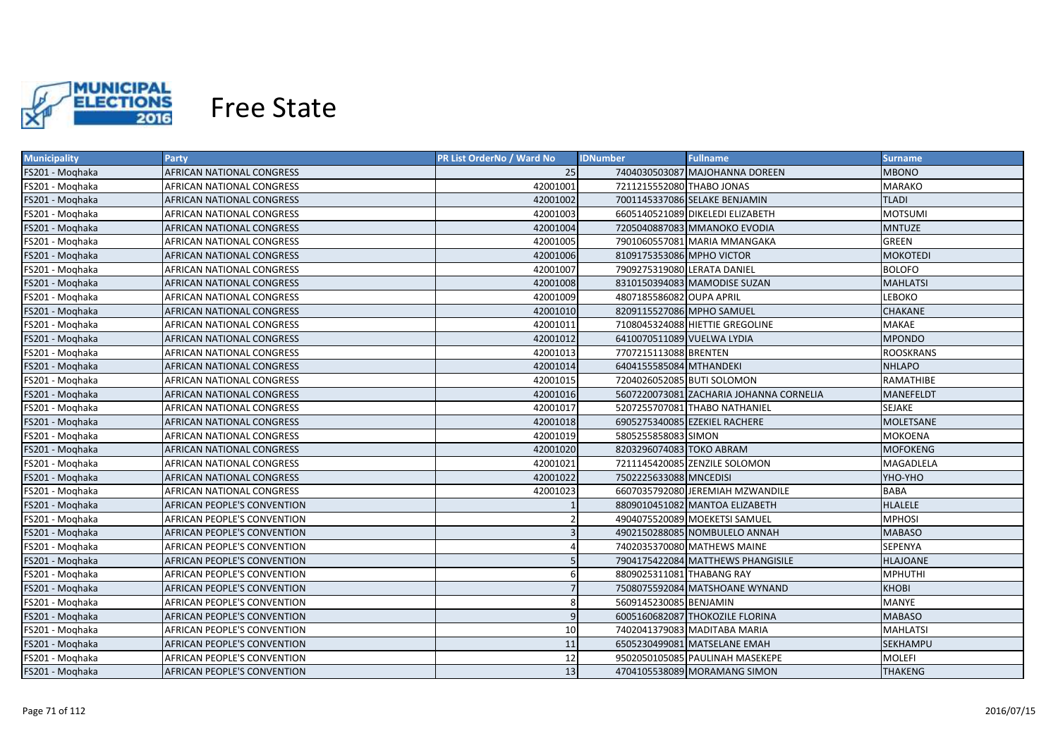

| <b>Municipality</b> | <b>Party</b>                       | <b>PR List OrderNo / Ward No</b> | <b>Fullname</b><br><b>IDNumber</b>      | <b>Surname</b>   |
|---------------------|------------------------------------|----------------------------------|-----------------------------------------|------------------|
| FS201 - Moqhaka     | AFRICAN NATIONAL CONGRESS          | 25                               | 7404030503087 MAJOHANNA DOREEN          | MBONO            |
| FS201 - Moghaka     | AFRICAN NATIONAL CONGRESS          | 42001001                         | 7211215552080 THABO JONAS               | <b>MARAKO</b>    |
| FS201 - Moghaka     | AFRICAN NATIONAL CONGRESS          | 42001002                         | 7001145337086 SELAKE BENJAMIN           | <b>TLADI</b>     |
| FS201 - Moghaka     | AFRICAN NATIONAL CONGRESS          | 42001003                         | 6605140521089 DIKELEDI ELIZABETH        | <b>MOTSUMI</b>   |
| FS201 - Moghaka     | AFRICAN NATIONAL CONGRESS          | 42001004                         | 7205040887083 MMANOKO EVODIA            | <b>MNTUZE</b>    |
| FS201 - Moghaka     | AFRICAN NATIONAL CONGRESS          | 42001005                         | 7901060557081 MARIA MMANGAKA            | <b>GREEN</b>     |
| FS201 - Moghaka     | AFRICAN NATIONAL CONGRESS          | 42001006                         | 8109175353086 MPHO VICTOR               | <b>MOKOTEDI</b>  |
| FS201 - Moghaka     | AFRICAN NATIONAL CONGRESS          | 42001007                         | 7909275319080 LERATA DANIEL             | <b>BOLOFO</b>    |
| FS201 - Moghaka     | AFRICAN NATIONAL CONGRESS          | 42001008                         | 8310150394083 MAMODISE SUZAN            | <b>MAHLATSI</b>  |
| FS201 - Moghaka     | AFRICAN NATIONAL CONGRESS          | 42001009                         | 4807185586082 OUPA APRIL                | <b>LEBOKO</b>    |
| FS201 - Moghaka     | AFRICAN NATIONAL CONGRESS          | 42001010                         | 8209115527086 MPHO SAMUEL               | <b>CHAKANE</b>   |
| FS201 - Moghaka     | AFRICAN NATIONAL CONGRESS          | 42001011                         | 7108045324088 HIETTIE GREGOLINE         | <b>MAKAE</b>     |
| FS201 - Moghaka     | AFRICAN NATIONAL CONGRESS          | 42001012                         | 6410070511089 VUELWA LYDIA              | <b>MPONDO</b>    |
| FS201 - Moqhaka     | AFRICAN NATIONAL CONGRESS          | 42001013                         | 7707215113088 BRENTEN                   | <b>ROOSKRANS</b> |
| FS201 - Moqhaka     | AFRICAN NATIONAL CONGRESS          | 42001014                         | 6404155585084 MTHANDEKI                 | <b>NHLAPO</b>    |
| FS201 - Moghaka     | AFRICAN NATIONAL CONGRESS          | 42001015                         | 7204026052085 BUTI SOLOMON              | RAMATHIBE        |
| FS201 - Moghaka     | <b>AFRICAN NATIONAL CONGRESS</b>   | 42001016                         | 5607220073081 ZACHARIA JOHANNA CORNELIA | MANEFELDT        |
| FS201 - Moghaka     | AFRICAN NATIONAL CONGRESS          | 42001017                         | 5207255707081 THABO NATHANIEL           | <b>SEJAKE</b>    |
| FS201 - Moghaka     | AFRICAN NATIONAL CONGRESS          | 42001018                         | 6905275340085 EZEKIEL RACHERE           | <b>MOLETSANE</b> |
| FS201 - Moghaka     | AFRICAN NATIONAL CONGRESS          | 42001019                         | 5805255858083 SIMON                     | <b>MOKOENA</b>   |
| FS201 - Moghaka     | <b>AFRICAN NATIONAL CONGRESS</b>   | 42001020                         | 8203296074083 TOKO ABRAM                | <b>MOFOKENG</b>  |
| FS201 - Moghaka     | AFRICAN NATIONAL CONGRESS          | 42001021                         | 7211145420085 ZENZILE SOLOMON           | MAGADLELA        |
| FS201 - Moghaka     | AFRICAN NATIONAL CONGRESS          | 42001022                         | 7502225633088 MNCEDISI                  | YHO-YHO          |
| FS201 - Moghaka     | AFRICAN NATIONAL CONGRESS          | 42001023                         | 6607035792080 JEREMIAH MZWANDILE        | <b>BABA</b>      |
| FS201 - Moghaka     | AFRICAN PEOPLE'S CONVENTION        |                                  | 8809010451082 MANTOA ELIZABETH          | <b>HLALELE</b>   |
| FS201 - Moghaka     | AFRICAN PEOPLE'S CONVENTION        |                                  | 4904075520089 MOEKETSI SAMUEL           | <b>MPHOSI</b>    |
| FS201 - Moghaka     | AFRICAN PEOPLE'S CONVENTION        |                                  | 4902150288085 NOMBULELO ANNAH           | <b>MABASO</b>    |
| FS201 - Moghaka     | AFRICAN PEOPLE'S CONVENTION        |                                  | 7402035370080 MATHEWS MAINE             | SEPENYA          |
| FS201 - Moghaka     | AFRICAN PEOPLE'S CONVENTION        |                                  | 7904175422084 MATTHEWS PHANGISILE       | <b>HLAJOANE</b>  |
| FS201 - Moghaka     | AFRICAN PEOPLE'S CONVENTION        | 6                                | 8809025311081 THABANG RAY               | <b>MPHUTHI</b>   |
| FS201 - Moghaka     | AFRICAN PEOPLE'S CONVENTION        |                                  | 7508075592084 MATSHOANE WYNAND          | <b>KHOBI</b>     |
| FS201 - Moghaka     | AFRICAN PEOPLE'S CONVENTION        | 8                                | 5609145230085 BENJAMIN                  | <b>MANYE</b>     |
| FS201 - Moghaka     | AFRICAN PEOPLE'S CONVENTION        | 9                                | 6005160682087 THOKOZILE FLORINA         | <b>MABASO</b>    |
| FS201 - Moqhaka     | AFRICAN PEOPLE'S CONVENTION        | 10                               | 7402041379083 MADITABA MARIA            | <b>MAHLATSI</b>  |
| FS201 - Moghaka     | AFRICAN PEOPLE'S CONVENTION        | 11                               | 6505230499081 MATSELANE EMAH            | SEKHAMPU         |
| FS201 - Moghaka     | AFRICAN PEOPLE'S CONVENTION        | 12                               | 9502050105085 PAULINAH MASEKEPE         | <b>MOLEFI</b>    |
| FS201 - Moqhaka     | <b>AFRICAN PEOPLE'S CONVENTION</b> | 13                               | 4704105538089 MORAMANG SIMON            | <b>THAKENG</b>   |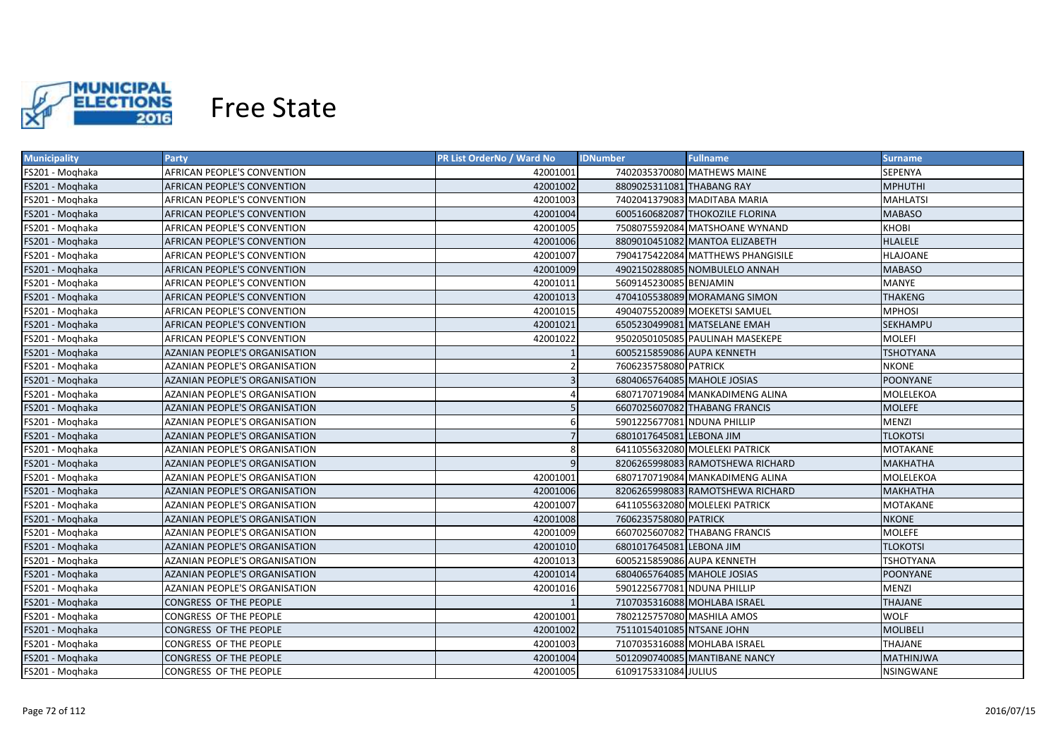

| <b>Municipality</b> | <b>Party</b>                         | <b>PR List OrderNo / Ward No</b> | <b>Fullname</b><br><b>IDNumber</b> | Surname          |
|---------------------|--------------------------------------|----------------------------------|------------------------------------|------------------|
| FS201 - Moghaka     | AFRICAN PEOPLE'S CONVENTION          | 42001001                         | 7402035370080 MATHEWS MAINE        | SEPENYA          |
| FS201 - Moghaka     | AFRICAN PEOPLE'S CONVENTION          | 42001002                         | 8809025311081 THABANG RAY          | <b>MPHUTHI</b>   |
| FS201 - Moghaka     | AFRICAN PEOPLE'S CONVENTION          | 42001003                         | 7402041379083 MADITABA MARIA       | <b>MAHLATSI</b>  |
| FS201 - Moghaka     | AFRICAN PEOPLE'S CONVENTION          | 42001004                         | 6005160682087 THOKOZILE FLORINA    | <b>MABASO</b>    |
| FS201 - Moghaka     | AFRICAN PEOPLE'S CONVENTION          | 42001005                         | 7508075592084 MATSHOANE WYNAND     | <b>KHOBI</b>     |
| FS201 - Moghaka     | AFRICAN PEOPLE'S CONVENTION          | 42001006                         | 8809010451082 MANTOA ELIZABETH     | <b>HLALELE</b>   |
| FS201 - Moghaka     | AFRICAN PEOPLE'S CONVENTION          | 42001007                         | 7904175422084 MATTHEWS PHANGISILE  | <b>HLAJOANE</b>  |
| FS201 - Moghaka     | AFRICAN PEOPLE'S CONVENTION          | 42001009                         | 4902150288085 NOMBULELO ANNAH      | <b>MABASO</b>    |
| FS201 - Moghaka     | AFRICAN PEOPLE'S CONVENTION          | 42001011                         | 5609145230085 BENJAMIN             | <b>MANYE</b>     |
| FS201 - Moghaka     | AFRICAN PEOPLE'S CONVENTION          | 42001013                         | 4704105538089 MORAMANG SIMON       | <b>THAKENG</b>   |
| FS201 - Moghaka     | AFRICAN PEOPLE'S CONVENTION          | 42001015                         | 4904075520089 MOEKETSI SAMUEL      | <b>MPHOSI</b>    |
| FS201 - Moghaka     | AFRICAN PEOPLE'S CONVENTION          | 42001021                         | 6505230499081 MATSELANE EMAH       | <b>SEKHAMPU</b>  |
| FS201 - Moghaka     | AFRICAN PEOPLE'S CONVENTION          | 42001022                         | 9502050105085 PAULINAH MASEKEPE    | <b>MOLEFI</b>    |
| FS201 - Moqhaka     | <b>AZANIAN PEOPLE'S ORGANISATION</b> |                                  | 6005215859086 AUPA KENNETH         | <b>TSHOTYANA</b> |
| FS201 - Moghaka     | AZANIAN PEOPLE'S ORGANISATION        | $\overline{2}$                   | 7606235758080 PATRICK              | <b>NKONE</b>     |
| FS201 - Moghaka     | <b>AZANIAN PEOPLE'S ORGANISATION</b> | $\overline{3}$                   | 6804065764085 MAHOLE JOSIAS        | <b>POONYANE</b>  |
| FS201 - Moghaka     | AZANIAN PEOPLE'S ORGANISATION        | $\overline{a}$                   | 6807170719084 MANKADIMENG ALINA    | MOLELEKOA        |
| FS201 - Moghaka     | <b>AZANIAN PEOPLE'S ORGANISATION</b> |                                  | 6607025607082 THABANG FRANCIS      | <b>MOLEFE</b>    |
| FS201 - Moqhaka     | <b>AZANIAN PEOPLE'S ORGANISATION</b> | 6                                | 5901225677081 NDUNA PHILLIP        | <b>MENZI</b>     |
| FS201 - Moghaka     | <b>AZANIAN PEOPLE'S ORGANISATION</b> | $\overline{7}$                   | 6801017645081 LEBONA JIM           | <b>TLOKOTSI</b>  |
| FS201 - Moghaka     | <b>AZANIAN PEOPLE'S ORGANISATION</b> | 8                                | 6411055632080 MOLELEKI PATRICK     | <b>MOTAKANE</b>  |
| FS201 - Moghaka     | <b>AZANIAN PEOPLE'S ORGANISATION</b> | 9                                | 8206265998083 RAMOTSHEWA RICHARD   | <b>МАКНАТНА</b>  |
| FS201 - Moghaka     | <b>AZANIAN PEOPLE'S ORGANISATION</b> | 42001001                         | 6807170719084 MANKADIMENG ALINA    | MOLELEKOA        |
| FS201 - Moghaka     | AZANIAN PEOPLE'S ORGANISATION        | 42001006                         | 8206265998083 RAMOTSHEWA RICHARD   | <b>МАКНАТНА</b>  |
| FS201 - Moghaka     | AZANIAN PEOPLE'S ORGANISATION        | 42001007                         | 6411055632080 MOLELEKI PATRICK     | MOTAKANE         |
| FS201 - Moghaka     | AZANIAN PEOPLE'S ORGANISATION        | 42001008                         | 7606235758080 PATRICK              | <b>NKONE</b>     |
| FS201 - Moghaka     | AZANIAN PEOPLE'S ORGANISATION        | 42001009                         | 6607025607082 THABANG FRANCIS      | <b>MOLEFE</b>    |
| FS201 - Moghaka     | <b>AZANIAN PEOPLE'S ORGANISATION</b> | 42001010                         | 6801017645081 LEBONA JIM           | <b>TLOKOTSI</b>  |
| FS201 - Moghaka     | AZANIAN PEOPLE'S ORGANISATION        | 42001013                         | 6005215859086 AUPA KENNETH         | <b>TSHOTYANA</b> |
| FS201 - Moghaka     | <b>AZANIAN PEOPLE'S ORGANISATION</b> | 42001014                         | 6804065764085 MAHOLE JOSIAS        | POONYANE         |
| FS201 - Moghaka     | AZANIAN PEOPLE'S ORGANISATION        | 42001016                         | 5901225677081 NDUNA PHILLIP        | <b>MENZI</b>     |
| FS201 - Moghaka     | CONGRESS OF THE PEOPLE               |                                  | 7107035316088 MOHLABA ISRAEL       | <b>THAJANE</b>   |
| FS201 - Moghaka     | CONGRESS OF THE PEOPLE               | 42001001                         | 7802125757080 MASHILA AMOS         | <b>WOLF</b>      |
| FS201 - Moghaka     | CONGRESS OF THE PEOPLE               | 42001002                         | 7511015401085 NTSANE JOHN          | <b>MOLIBELI</b>  |
| FS201 - Moghaka     | CONGRESS OF THE PEOPLE               | 42001003                         | 7107035316088 MOHLABA ISRAEL       | THAJANE          |
| FS201 - Moghaka     | CONGRESS OF THE PEOPLE               | 42001004                         | 5012090740085 MANTIBANE NANCY      | <b>MATHINJWA</b> |
| FS201 - Moghaka     | CONGRESS OF THE PEOPLE               | 42001005                         | 6109175331084 JULIUS               | <b>NSINGWANE</b> |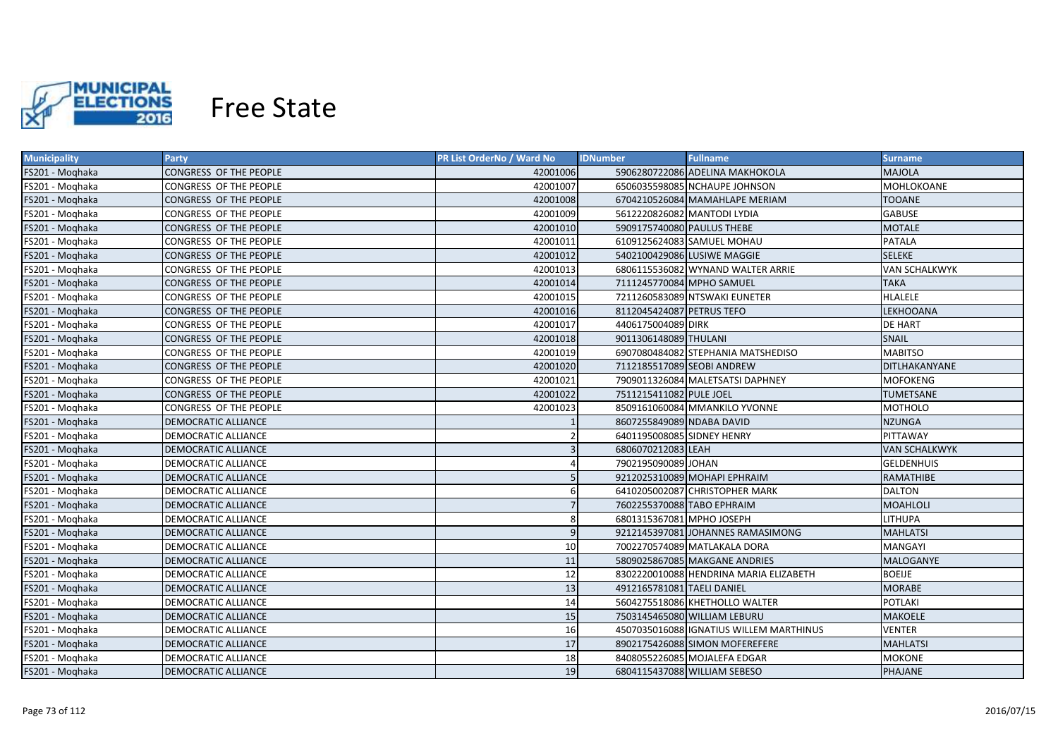

| <b>Municipality</b> | <b>Party</b>                  | PR List OrderNo / Ward No | <b>IDNumber</b>             | <b>Fullname</b>                         | <b>Surname</b>       |
|---------------------|-------------------------------|---------------------------|-----------------------------|-----------------------------------------|----------------------|
| FS201 - Moghaka     | CONGRESS OF THE PEOPLE        | 42001006                  |                             | 5906280722086 ADELINA MAKHOKOLA         | <b>MAJOLA</b>        |
| FS201 - Moghaka     | CONGRESS OF THE PEOPLE        | 42001007                  |                             | 6506035598085 NCHAUPE JOHNSON           | MOHLOKOANE           |
| FS201 - Moghaka     | CONGRESS OF THE PEOPLE        | 42001008                  |                             | 6704210526084 MAMAHLAPE MERIAM          | <b>TOOANE</b>        |
| FS201 - Moghaka     | CONGRESS OF THE PEOPLE        | 42001009                  | 5612220826082 MANTODI LYDIA |                                         | <b>GABUSE</b>        |
| FS201 - Moghaka     | CONGRESS OF THE PEOPLE        | 42001010                  | 5909175740080 PAULUS THEBE  |                                         | <b>MOTALE</b>        |
| FS201 - Moghaka     | CONGRESS OF THE PEOPLE        | 42001011                  |                             | 6109125624083 SAMUEL MOHAU              | <b>PATALA</b>        |
| FS201 - Moghaka     | CONGRESS OF THE PEOPLE        | 42001012                  |                             | 5402100429086 LUSIWE MAGGIE             | <b>SELEKE</b>        |
| FS201 - Moghaka     | CONGRESS OF THE PEOPLE        | 42001013                  |                             | 6806115536082 WYNAND WALTER ARRIE       | <b>VAN SCHALKWYK</b> |
| FS201 - Moghaka     | CONGRESS OF THE PEOPLE        | 42001014                  | 7111245770084 MPHO SAMUEL   |                                         | <b>TAKA</b>          |
| FS201 - Moghaka     | CONGRESS OF THE PEOPLE        | 42001015                  |                             | 7211260583089 NTSWAKI EUNETER           | <b>HLALELE</b>       |
| FS201 - Moghaka     | <b>CONGRESS OF THE PEOPLE</b> | 42001016                  | 8112045424087 PETRUS TEFO   |                                         | <b>LEKHOOANA</b>     |
| FS201 - Moghaka     | CONGRESS OF THE PEOPLE        | 42001017                  | 4406175004089 DIRK          |                                         | <b>DE HART</b>       |
| FS201 - Moghaka     | <b>CONGRESS OF THE PEOPLE</b> | 42001018                  | 9011306148089 THULANI       |                                         | SNAIL                |
| FS201 - Moghaka     | CONGRESS OF THE PEOPLE        | 42001019                  |                             | 6907080484082 STEPHANIA MATSHEDISO      | <b>MABITSO</b>       |
| FS201 - Moghaka     | CONGRESS OF THE PEOPLE        | 42001020                  | 7112185517089 SEOBI ANDREW  |                                         | DITLHAKANYANE        |
| FS201 - Moghaka     | CONGRESS OF THE PEOPLE        | 42001021                  |                             | 7909011326084 MALETSATSI DAPHNEY        | <b>MOFOKENG</b>      |
| FS201 - Moghaka     | CONGRESS OF THE PEOPLE        | 42001022                  | 7511215411082 PULE JOEL     |                                         | <b>TUMETSANE</b>     |
| FS201 - Moghaka     | CONGRESS OF THE PEOPLE        | 42001023                  |                             | 8509161060084 MMANKILO YVONNE           | <b>MOTHOLO</b>       |
| FS201 - Moghaka     | <b>DEMOCRATIC ALLIANCE</b>    |                           | 8607255849089 NDABA DAVID   |                                         | <b>NZUNGA</b>        |
| FS201 - Moghaka     | DEMOCRATIC ALLIANCE           |                           | 6401195008085 SIDNEY HENRY  |                                         | PITTAWAY             |
| FS201 - Moghaka     | <b>DEMOCRATIC ALLIANCE</b>    |                           | 6806070212083 LEAH          |                                         | <b>VAN SCHALKWYK</b> |
| FS201 - Moghaka     | <b>DEMOCRATIC ALLIANCE</b>    |                           | 7902195090089 JOHAN         |                                         | <b>GELDENHUIS</b>    |
| FS201 - Moghaka     | DEMOCRATIC ALLIANCE           |                           |                             | 9212025310089 MOHAPI EPHRAIM            | RAMATHIBE            |
| FS201 - Moghaka     | DEMOCRATIC ALLIANCE           |                           |                             | 6410205002087 CHRISTOPHER MARK          | <b>DALTON</b>        |
| FS201 - Moghaka     | DEMOCRATIC ALLIANCE           |                           | 7602255370088 TABO EPHRAIM  |                                         | <b>MOAHLOLI</b>      |
| FS201 - Moghaka     | DEMOCRATIC ALLIANCE           | 8                         | 6801315367081 MPHO JOSEPH   |                                         | <b>LITHUPA</b>       |
| FS201 - Moghaka     | DEMOCRATIC ALLIANCE           | $\mathbf{q}$              |                             | 9212145397081 JOHANNES RAMASIMONG       | <b>MAHLATSI</b>      |
| FS201 - Moghaka     | DEMOCRATIC ALLIANCE           | 10 <sup>1</sup>           |                             | 7002270574089 MATLAKALA DORA            | <b>MANGAYI</b>       |
| FS201 - Moghaka     | DEMOCRATIC ALLIANCE           | 11                        |                             | 5809025867085 MAKGANE ANDRIES           | <b>MALOGANYE</b>     |
| FS201 - Moghaka     | DEMOCRATIC ALLIANCE           | 12                        |                             | 8302220010088 HENDRINA MARIA ELIZABETH  | <b>BOEIJE</b>        |
| FS201 - Moqhaka     | DEMOCRATIC ALLIANCE           | 13                        | 4912165781081 TAELI DANIEL  |                                         | <b>MORABE</b>        |
| FS201 - Moghaka     | DEMOCRATIC ALLIANCE           | 14                        |                             | 5604275518086 KHETHOLLO WALTER          | <b>POTLAKI</b>       |
| FS201 - Moghaka     | DEMOCRATIC ALLIANCE           | 15                        |                             | 7503145465080 WILLIAM LEBURU            | <b>MAKOELE</b>       |
| FS201 - Moghaka     | DEMOCRATIC ALLIANCE           | 16                        |                             | 4507035016088 IGNATIUS WILLEM MARTHINUS | <b>VENTER</b>        |
| FS201 - Moghaka     | DEMOCRATIC ALLIANCE           | 17                        |                             | 8902175426088 SIMON MOFEREFERE          | <b>MAHLATSI</b>      |
| FS201 - Moghaka     | DEMOCRATIC ALLIANCE           | 18                        |                             | 8408055226085 MOJALEFA EDGAR            | <b>MOKONE</b>        |
| FS201 - Moghaka     | <b>DEMOCRATIC ALLIANCE</b>    | 19                        |                             | 6804115437088 WILLIAM SEBESO            | PHAJANE              |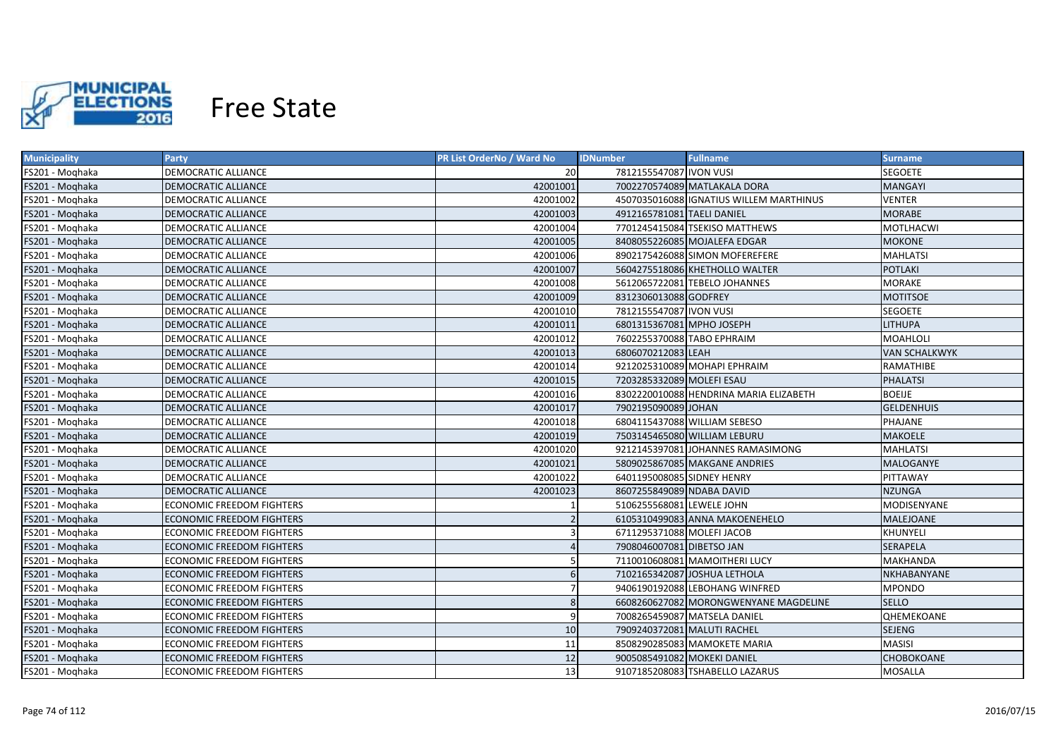

| <b>Municipality</b> | <b>Party</b>                     | <b>PR List OrderNo / Ward No</b> | <b>Fullname</b><br><b>IDNumber</b>      | <b>Surname</b>       |
|---------------------|----------------------------------|----------------------------------|-----------------------------------------|----------------------|
| FS201 - Moghaka     | DEMOCRATIC ALLIANCE              | 20                               | 7812155547087 IVON VUSI                 | SEGOETE              |
| FS201 - Moghaka     | DEMOCRATIC ALLIANCE              | 42001001                         | 7002270574089 MATLAKALA DORA            | <b>MANGAYI</b>       |
| FS201 - Moghaka     | DEMOCRATIC ALLIANCE              | 42001002                         | 4507035016088 IGNATIUS WILLEM MARTHINUS | <b>VENTER</b>        |
| FS201 - Moghaka     | DEMOCRATIC ALLIANCE              | 42001003                         | 4912165781081 TAELI DANIEL              | <b>MORABE</b>        |
| FS201 - Moghaka     | DEMOCRATIC ALLIANCE              | 42001004                         | 7701245415084 TSEKISO MATTHEWS          | <b>MOTLHACWI</b>     |
| FS201 - Moghaka     | DEMOCRATIC ALLIANCE              | 42001005                         | 8408055226085 MOJALEFA EDGAR            | <b>MOKONE</b>        |
| FS201 - Moghaka     | DEMOCRATIC ALLIANCE              | 42001006                         | 8902175426088 SIMON MOFEREFERE          | <b>MAHLATSI</b>      |
| FS201 - Moghaka     | DEMOCRATIC ALLIANCE              | 42001007                         | 5604275518086 KHETHOLLO WALTER          | <b>POTLAKI</b>       |
| FS201 - Moghaka     | DEMOCRATIC ALLIANCE              | 42001008                         | 5612065722081 TEBELO JOHANNES           | <b>MORAKE</b>        |
| FS201 - Moghaka     | <b>DEMOCRATIC ALLIANCE</b>       | 42001009                         | 8312306013088 GODFREY                   | <b>MOTITSOE</b>      |
| FS201 - Moghaka     | DEMOCRATIC ALLIANCE              | 42001010                         | 7812155547087 IVON VUSI                 | <b>SEGOETE</b>       |
| FS201 - Moghaka     | <b>DEMOCRATIC ALLIANCE</b>       | 42001011                         | 6801315367081 MPHO JOSEPH               | <b>LITHUPA</b>       |
| FS201 - Moghaka     | DEMOCRATIC ALLIANCE              | 42001012                         | 7602255370088 TABO EPHRAIM              | <b>MOAHLOLI</b>      |
| FS201 - Moqhaka     | <b>DEMOCRATIC ALLIANCE</b>       | 42001013                         | 6806070212083 LEAH                      | <b>VAN SCHALKWYK</b> |
| FS201 - Moghaka     | DEMOCRATIC ALLIANCE              | 42001014                         | 9212025310089 MOHAPI EPHRAIM            | RAMATHIBE            |
| FS201 - Moghaka     | <b>DEMOCRATIC ALLIANCE</b>       | 42001015                         | 7203285332089 MOLEFI ESAU               | <b>PHALATSI</b>      |
| FS201 - Moghaka     | DEMOCRATIC ALLIANCE              | 42001016                         | 8302220010088 HENDRINA MARIA ELIZABETH  | <b>BOEIJE</b>        |
| FS201 - Moghaka     | <b>DEMOCRATIC ALLIANCE</b>       | 42001017                         | 7902195090089 JOHAN                     | <b>GELDENHUIS</b>    |
| FS201 - Moghaka     | <b>DEMOCRATIC ALLIANCE</b>       | 42001018                         | 6804115437088 WILLIAM SEBESO            | PHAJANE              |
| FS201 - Moqhaka     | DEMOCRATIC ALLIANCE              | 42001019                         | 7503145465080 WILLIAM LEBURU            | <b>MAKOELE</b>       |
| FS201 - Moghaka     | <b>DEMOCRATIC ALLIANCE</b>       | 42001020                         | 9212145397081 JOHANNES RAMASIMONG       | <b>MAHLATSI</b>      |
| FS201 - Moghaka     | <b>DEMOCRATIC ALLIANCE</b>       | 42001021                         | 5809025867085 MAKGANE ANDRIES           | MALOGANYE            |
| FS201 - Moghaka     | <b>DEMOCRATIC ALLIANCE</b>       | 42001022                         | 6401195008085 SIDNEY HENRY              | PITTAWAY             |
| FS201 - Moghaka     | DEMOCRATIC ALLIANCE              | 42001023                         | 8607255849089 NDABA DAVID               | <b>NZUNGA</b>        |
| FS201 - Moghaka     | ECONOMIC FREEDOM FIGHTERS        |                                  | 5106255568081 LEWELE JOHN               | MODISENYANE          |
| FS201 - Moghaka     | <b>ECONOMIC FREEDOM FIGHTERS</b> |                                  | 6105310499083 ANNA MAKOENEHELO          | MALEJOANE            |
| FS201 - Moghaka     | ECONOMIC FREEDOM FIGHTERS        |                                  | 6711295371088 MOLEFI JACOB              | KHUNYELI             |
| FS201 - Moghaka     | ECONOMIC FREEDOM FIGHTERS        |                                  | 7908046007081 DIBETSO JAN               | SERAPELA             |
| FS201 - Moghaka     | ECONOMIC FREEDOM FIGHTERS        |                                  | 7110010608081 MAMOITHERI LUCY           | MAKHANDA             |
| FS201 - Moghaka     | ECONOMIC FREEDOM FIGHTERS        | 6                                | 7102165342087 JOSHUA LETHOLA            | NKHABANYANE          |
| FS201 - Moghaka     | ECONOMIC FREEDOM FIGHTERS        |                                  | 9406190192088 LEBOHANG WINFRED          | <b>MPONDO</b>        |
| FS201 - Moghaka     | ECONOMIC FREEDOM FIGHTERS        | 8                                | 6608260627082 MORONGWENYANE MAGDELINE   | <b>SELLO</b>         |
| FS201 - Moghaka     | ECONOMIC FREEDOM FIGHTERS        | 9                                | 7008265459087 MATSELA DANIEL            | QHEMEKOANE           |
| FS201 - Moqhaka     | <b>ECONOMIC FREEDOM FIGHTERS</b> | 10                               | 7909240372081 MALUTI RACHEL             | SEJENG               |
| FS201 - Moghaka     | ECONOMIC FREEDOM FIGHTERS        | 11                               | 8508290285083 MAMOKETE MARIA            | <b>MASISI</b>        |
| FS201 - Moghaka     | <b>ECONOMIC FREEDOM FIGHTERS</b> | 12                               | 9005085491082 MOKEKI DANIEL             | CHOBOKOANE           |
| FS201 - Moghaka     | <b>ECONOMIC FREEDOM FIGHTERS</b> | 13                               | 9107185208083 TSHABELLO LAZARUS         | <b>MOSALLA</b>       |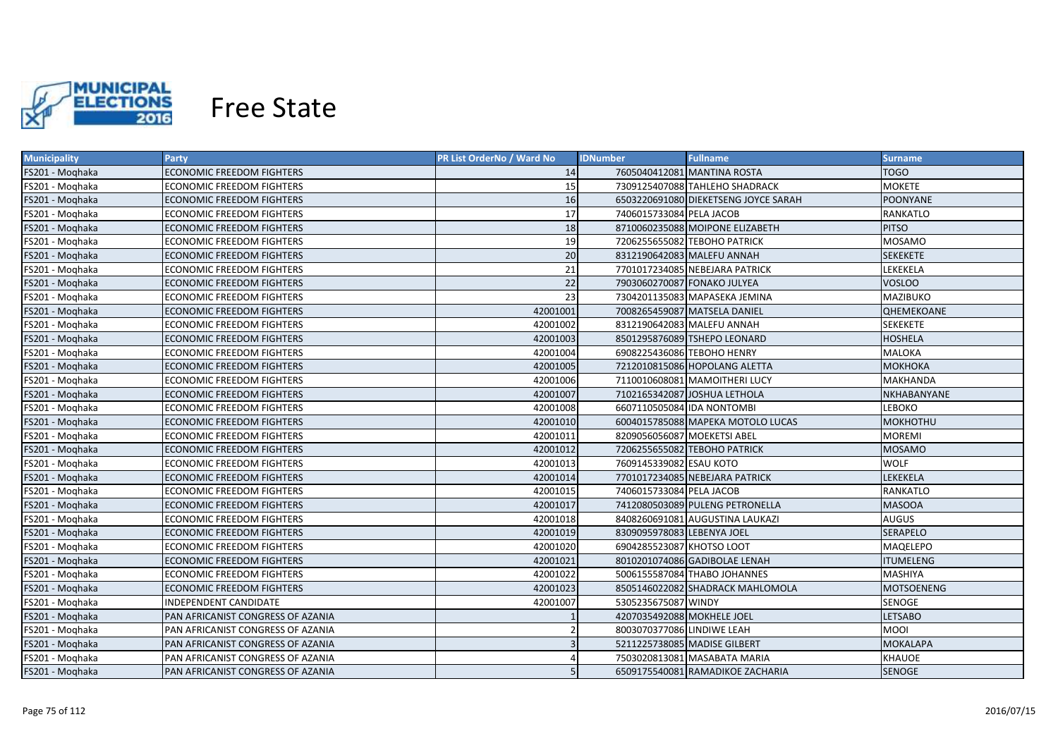

| <b>Municipality</b> | <b>Party</b>                      | <b>PR List OrderNo / Ward No</b> | <b>IDNumber</b>              | <b>Fullname</b>                      | <b>Surname</b>    |
|---------------------|-----------------------------------|----------------------------------|------------------------------|--------------------------------------|-------------------|
| FS201 - Moqhaka     | ECONOMIC FREEDOM FIGHTERS         | 14                               | 7605040412081 MANTINA ROSTA  |                                      | <b>TOGO</b>       |
| FS201 - Moghaka     | ECONOMIC FREEDOM FIGHTERS         | 15                               |                              | 7309125407088 TAHLEHO SHADRACK       | <b>MOKETE</b>     |
| FS201 - Moghaka     | ECONOMIC FREEDOM FIGHTERS         | 16                               |                              | 6503220691080 DIEKETSENG JOYCE SARAH | <b>POONYANE</b>   |
| FS201 - Moghaka     | ECONOMIC FREEDOM FIGHTERS         | 17                               | 7406015733084 PELA JACOB     |                                      | RANKATLO          |
| FS201 - Moghaka     | <b>ECONOMIC FREEDOM FIGHTERS</b>  | 18                               |                              | 8710060235088 MOIPONE ELIZABETH      | <b>PITSO</b>      |
| FS201 - Moghaka     | ECONOMIC FREEDOM FIGHTERS         | 19                               | 7206255655082 TEBOHO PATRICK |                                      | MOSAMO            |
| FS201 - Moghaka     | ECONOMIC FREEDOM FIGHTERS         | 20                               | 8312190642083 MALEFU ANNAH   |                                      | <b>SEKEKETE</b>   |
| FS201 - Moghaka     | ECONOMIC FREEDOM FIGHTERS         | 21                               |                              | 7701017234085 NEBEJARA PATRICK       | LEKEKELA          |
| FS201 - Moghaka     | <b>ECONOMIC FREEDOM FIGHTERS</b>  | 22                               | 7903060270087 FONAKO JULYEA  |                                      | <b>VOSLOO</b>     |
| FS201 - Moghaka     | ECONOMIC FREEDOM FIGHTERS         | 23                               |                              | 7304201135083 MAPASEKA JEMINA        | <b>MAZIBUKO</b>   |
| FS201 - Moghaka     | ECONOMIC FREEDOM FIGHTERS         | 42001001                         | 7008265459087 MATSELA DANIEL |                                      | <b>QHEMEKOANE</b> |
| FS201 - Moghaka     | ECONOMIC FREEDOM FIGHTERS         | 42001002                         | 8312190642083 MALEFU ANNAH   |                                      | <b>SEKEKETE</b>   |
| FS201 - Moghaka     | ECONOMIC FREEDOM FIGHTERS         | 42001003                         |                              | 8501295876089 TSHEPO LEONARD         | <b>HOSHELA</b>    |
| FS201 - Moqhaka     | ECONOMIC FREEDOM FIGHTERS         | 42001004                         | 6908225436086 TEBOHO HENRY   |                                      | MALOKA            |
| FS201 - Moqhaka     | <b>ECONOMIC FREEDOM FIGHTERS</b>  | 42001005                         |                              | 7212010815086 HOPOLANG ALETTA        | <b>МОКНОКА</b>    |
| FS201 - Moghaka     | ECONOMIC FREEDOM FIGHTERS         | 42001006                         |                              | 7110010608081 MAMOITHERI LUCY        | <b>MAKHANDA</b>   |
| FS201 - Moghaka     | <b>ECONOMIC FREEDOM FIGHTERS</b>  | 42001007                         | 7102165342087 JOSHUA LETHOLA |                                      | NKHABANYANE       |
| FS201 - Moghaka     | <b>ECONOMIC FREEDOM FIGHTERS</b>  | 42001008                         | 6607110505084 IDA NONTOMBI   |                                      | LEBOKO            |
| FS201 - Moghaka     | <b>ECONOMIC FREEDOM FIGHTERS</b>  | 42001010                         |                              | 6004015785088 MAPEKA MOTOLO LUCAS    | <b>MOKHOTHU</b>   |
| FS201 - Moqhaka     | <b>ECONOMIC FREEDOM FIGHTERS</b>  | 42001011                         | 8209056056087 MOEKETSI ABEL  |                                      | <b>MOREMI</b>     |
| FS201 - Moghaka     | <b>ECONOMIC FREEDOM FIGHTERS</b>  | 42001012                         | 7206255655082 TEBOHO PATRICK |                                      | MOSAMO            |
| FS201 - Moghaka     | ECONOMIC FREEDOM FIGHTERS         | 42001013                         | 7609145339082 ESAU KOTO      |                                      | <b>WOLF</b>       |
| FS201 - Moghaka     | <b>ECONOMIC FREEDOM FIGHTERS</b>  | 42001014                         |                              | 7701017234085 NEBEJARA PATRICK       | LEKEKELA          |
| FS201 - Moghaka     | ECONOMIC FREEDOM FIGHTERS         | 42001015                         | 7406015733084 PELA JACOB     |                                      | RANKATLO          |
| FS201 - Moghaka     | ECONOMIC FREEDOM FIGHTERS         | 42001017                         |                              | 7412080503089 PULENG PETRONELLA      | <b>MASOOA</b>     |
| FS201 - Moghaka     | ECONOMIC FREEDOM FIGHTERS         | 42001018                         |                              | 8408260691081 AUGUSTINA LAUKAZI      | <b>AUGUS</b>      |
| FS201 - Moghaka     | ECONOMIC FREEDOM FIGHTERS         | 42001019                         | 8309095978083 LEBENYA JOEL   |                                      | <b>SERAPELO</b>   |
| FS201 - Moghaka     | ECONOMIC FREEDOM FIGHTERS         | 42001020                         | 6904285523087 KHOTSO LOOT    |                                      | MAQELEPO          |
| FS201 - Moqhaka     | ECONOMIC FREEDOM FIGHTERS         | 42001021                         |                              | 8010201074086 GADIBOLAE LENAH        | <b>ITUMELENG</b>  |
| FS201 - Moqhaka     | ECONOMIC FREEDOM FIGHTERS         | 42001022                         |                              | 5006155587084 THABO JOHANNES         | MASHIYA           |
| FS201 - Moghaka     | ECONOMIC FREEDOM FIGHTERS         | 42001023                         |                              | 8505146022082 SHADRACK MAHLOMOLA     | <b>MOTSOENENG</b> |
| FS201 - Moghaka     | INDEPENDENT CANDIDATE             | 42001007                         | 5305235675087 WINDY          |                                      | SENOGE            |
| FS201 - Moghaka     | PAN AFRICANIST CONGRESS OF AZANIA |                                  | 4207035492088 MOKHELE JOEL   |                                      | <b>LETSABO</b>    |
| FS201 - Moghaka     | PAN AFRICANIST CONGRESS OF AZANIA |                                  | 8003070377086 LINDIWE LEAH   |                                      | <b>MOOI</b>       |
| FS201 - Moghaka     | PAN AFRICANIST CONGRESS OF AZANIA |                                  | 5211225738085 MADISE GILBERT |                                      | <b>MOKALAPA</b>   |
| FS201 - Moghaka     | PAN AFRICANIST CONGRESS OF AZANIA |                                  |                              | 7503020813081 MASABATA MARIA         | <b>KHAUOE</b>     |
| FS201 - Moqhaka     | PAN AFRICANIST CONGRESS OF AZANIA |                                  |                              | 6509175540081 RAMADIKOE ZACHARIA     | <b>SENOGE</b>     |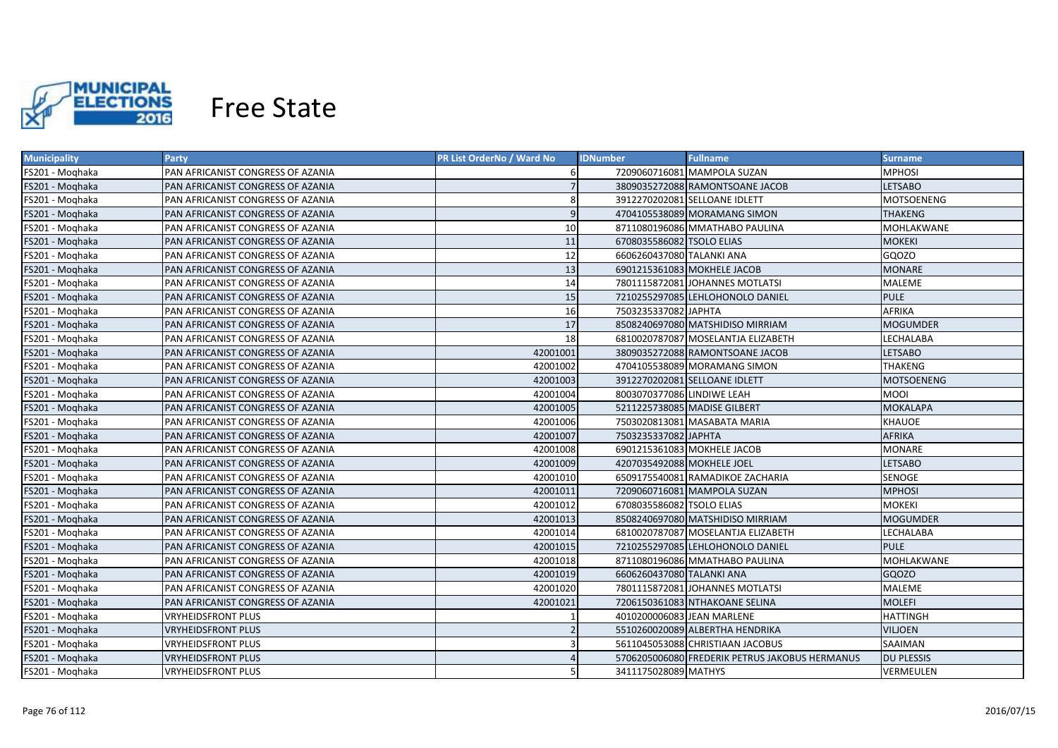

| <b>Municipality</b> | Party                             | <b>PR List OrderNo / Ward No</b> | <b>IDNumber</b>              | <b>Fullname</b>                                | Surname,          |
|---------------------|-----------------------------------|----------------------------------|------------------------------|------------------------------------------------|-------------------|
| FS201 - Moghaka     | PAN AFRICANIST CONGRESS OF AZANIA |                                  |                              | 7209060716081 MAMPOLA SUZAN                    | MPHOSI            |
| FS201 - Moghaka     | PAN AFRICANIST CONGRESS OF AZANIA |                                  |                              | 3809035272088 RAMONTSOANE JACOB                | <b>LETSABO</b>    |
| FS201 - Moghaka     | PAN AFRICANIST CONGRESS OF AZANIA | 8                                |                              | 3912270202081 SELLOANE IDLETT                  | MOTSOENENG        |
| FS201 - Moghaka     | PAN AFRICANIST CONGRESS OF AZANIA | 9                                |                              | 4704105538089 MORAMANG SIMON                   | <b>THAKENG</b>    |
| FS201 - Moghaka     | PAN AFRICANIST CONGRESS OF AZANIA | 10                               |                              | 8711080196086 MMATHABO PAULINA                 | MOHLAKWANE        |
| FS201 - Moghaka     | PAN AFRICANIST CONGRESS OF AZANIA | 11                               | 6708035586082 TSOLO ELIAS    |                                                | <b>MOKEKI</b>     |
| FS201 - Moghaka     | PAN AFRICANIST CONGRESS OF AZANIA | 12                               | 6606260437080 TALANKI ANA    |                                                | GQOZO             |
| FS201 - Moghaka     | PAN AFRICANIST CONGRESS OF AZANIA | 13                               | 6901215361083 MOKHELE JACOB  |                                                | <b>MONARE</b>     |
| FS201 - Moghaka     | PAN AFRICANIST CONGRESS OF AZANIA | 14                               |                              | 7801115872081 JOHANNES MOTLATSI                | <b>MALEME</b>     |
| FS201 - Moghaka     | PAN AFRICANIST CONGRESS OF AZANIA | 15                               |                              | 7210255297085 LEHLOHONOLO DANIEL               | <b>PULE</b>       |
| FS201 - Moghaka     | PAN AFRICANIST CONGRESS OF AZANIA | 16                               | 7503235337082 JAPHTA         |                                                | <b>AFRIKA</b>     |
| FS201 - Moghaka     | PAN AFRICANIST CONGRESS OF AZANIA | 17                               |                              | 8508240697080 MATSHIDISO MIRRIAM               | <b>MOGUMDER</b>   |
| FS201 - Moghaka     | PAN AFRICANIST CONGRESS OF AZANIA | 18                               |                              | 6810020787087 MOSELANTJA ELIZABETH             | LECHALABA         |
| FS201 - Moghaka     | PAN AFRICANIST CONGRESS OF AZANIA | 42001001                         |                              | 3809035272088 RAMONTSOANE JACOB                | <b>LETSABO</b>    |
| FS201 - Moghaka     | PAN AFRICANIST CONGRESS OF AZANIA | 42001002                         |                              | 4704105538089 MORAMANG SIMON                   | <b>THAKENG</b>    |
| FS201 - Moghaka     | PAN AFRICANIST CONGRESS OF AZANIA | 42001003                         |                              | 3912270202081 SELLOANE IDLETT                  | <b>MOTSOENENG</b> |
| FS201 - Moghaka     | PAN AFRICANIST CONGRESS OF AZANIA | 42001004                         | 8003070377086 LINDIWE LEAH   |                                                | MOOI              |
| FS201 - Moghaka     | PAN AFRICANIST CONGRESS OF AZANIA | 42001005                         | 5211225738085 MADISE GILBERT |                                                | <b>MOKALAPA</b>   |
| FS201 - Moghaka     | PAN AFRICANIST CONGRESS OF AZANIA | 42001006                         |                              | 7503020813081 MASABATA MARIA                   | <b>KHAUOE</b>     |
| FS201 - Moqhaka     | PAN AFRICANIST CONGRESS OF AZANIA | 42001007                         | 7503235337082 JAPHTA         |                                                | <b>AFRIKA</b>     |
| FS201 - Moghaka     | PAN AFRICANIST CONGRESS OF AZANIA | 42001008                         | 6901215361083 MOKHELE JACOB  |                                                | <b>MONARE</b>     |
| FS201 - Moghaka     | PAN AFRICANIST CONGRESS OF AZANIA | 42001009                         | 4207035492088 MOKHELE JOEL   |                                                | <b>LETSABO</b>    |
| FS201 - Moghaka     | PAN AFRICANIST CONGRESS OF AZANIA | 42001010                         |                              | 6509175540081 RAMADIKOE ZACHARIA               | <b>SENOGE</b>     |
| FS201 - Moghaka     | PAN AFRICANIST CONGRESS OF AZANIA | 42001011                         |                              | 7209060716081 MAMPOLA SUZAN                    | <b>MPHOSI</b>     |
| FS201 - Moghaka     | PAN AFRICANIST CONGRESS OF AZANIA | 42001012                         | 6708035586082 TSOLO ELIAS    |                                                | <b>MOKEKI</b>     |
| FS201 - Moghaka     | PAN AFRICANIST CONGRESS OF AZANIA | 42001013                         |                              | 8508240697080 MATSHIDISO MIRRIAM               | <b>MOGUMDER</b>   |
| FS201 - Moghaka     | PAN AFRICANIST CONGRESS OF AZANIA | 42001014                         |                              | 6810020787087 MOSELANTJA ELIZABETH             | LECHALABA         |
| FS201 - Moghaka     | PAN AFRICANIST CONGRESS OF AZANIA | 42001015                         |                              | 7210255297085 LEHLOHONOLO DANIEL               | <b>PULE</b>       |
| FS201 - Moghaka     | PAN AFRICANIST CONGRESS OF AZANIA | 42001018                         |                              | 8711080196086 MMATHABO PAULINA                 | MOHLAKWANE        |
| FS201 - Moghaka     | PAN AFRICANIST CONGRESS OF AZANIA | 42001019                         | 6606260437080 TALANKI ANA    |                                                | GQOZO             |
| FS201 - Moghaka     | PAN AFRICANIST CONGRESS OF AZANIA | 42001020                         |                              | 7801115872081 JOHANNES MOTLATSI                | MALEME            |
| FS201 - Moghaka     | PAN AFRICANIST CONGRESS OF AZANIA | 42001021                         |                              | 7206150361083 NTHAKOANE SELINA                 | <b>MOLEFI</b>     |
| FS201 - Moghaka     | VRYHEIDSFRONT PLUS                |                                  | 4010200006083 JEAN MARLENE   |                                                | <b>HATTINGH</b>   |
| FS201 - Moghaka     | VRYHEIDSFRONT PLUS                |                                  |                              | 5510260020089 ALBERTHA HENDRIKA                | <b>VILJOEN</b>    |
| FS201 - Moqhaka     | <b>VRYHEIDSFRONT PLUS</b>         |                                  |                              | 5611045053088 CHRISTIAAN JACOBUS               | SAAIMAN           |
| FS201 - Moghaka     | VRYHEIDSFRONT PLUS                |                                  |                              | 5706205006080 FREDERIK PETRUS JAKOBUS HERMANUS | <b>DU PLESSIS</b> |
| FS201 - Moghaka     | <b>VRYHEIDSFRONT PLUS</b>         |                                  | 3411175028089 MATHYS         |                                                | <b>VERMEULEN</b>  |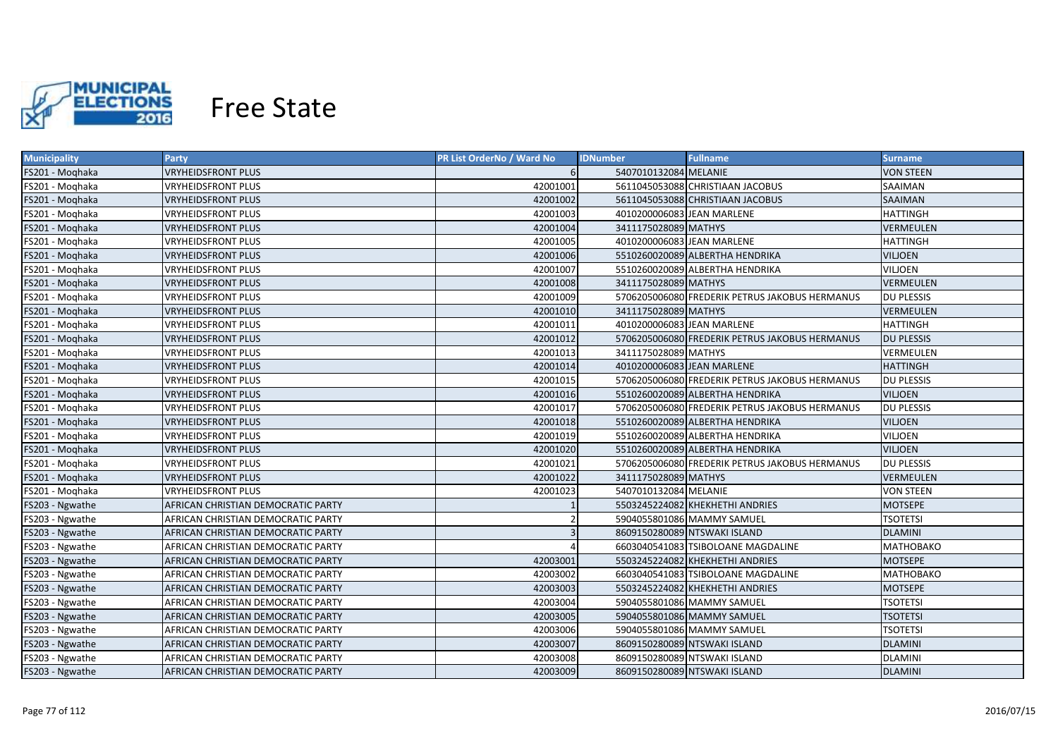

| <b>Municipality</b> | Party                              | <b>PR List OrderNo / Ward No</b> | <b>IDNumber</b>            | <b>Fullname</b>                                | <b>Surname</b>    |
|---------------------|------------------------------------|----------------------------------|----------------------------|------------------------------------------------|-------------------|
| FS201 - Moghaka     | <b>VRYHEIDSFRONT PLUS</b>          |                                  | 5407010132084 MELANIE      |                                                | <b>VON STEEN</b>  |
| FS201 - Moghaka     | <b>VRYHEIDSFRONT PLUS</b>          | 42001001                         |                            | 5611045053088 CHRISTIAAN JACOBUS               | <b>SAAIMAN</b>    |
| FS201 - Moghaka     | <b>VRYHEIDSFRONT PLUS</b>          | 42001002                         |                            | 5611045053088 CHRISTIAAN JACOBUS               | <b>SAAIMAN</b>    |
| FS201 - Moghaka     | <b>VRYHEIDSFRONT PLUS</b>          | 42001003                         | 4010200006083 JEAN MARLENE |                                                | <b>HATTINGH</b>   |
| FS201 - Moghaka     | <b>VRYHEIDSFRONT PLUS</b>          | 42001004                         | 3411175028089 MATHYS       |                                                | <b>VERMEULEN</b>  |
| FS201 - Moghaka     | <b>VRYHEIDSFRONT PLUS</b>          | 42001005                         | 4010200006083 JEAN MARLENE |                                                | <b>HATTINGH</b>   |
| FS201 - Moghaka     | <b>VRYHEIDSFRONT PLUS</b>          | 42001006                         |                            | 5510260020089 ALBERTHA HENDRIKA                | <b>VILJOEN</b>    |
| FS201 - Moghaka     | <b>VRYHEIDSFRONT PLUS</b>          | 42001007                         |                            | 5510260020089 ALBERTHA HENDRIKA                | <b>VILJOEN</b>    |
| FS201 - Moghaka     | <b>VRYHEIDSFRONT PLUS</b>          | 42001008                         | 3411175028089 MATHYS       |                                                | <b>VERMEULEN</b>  |
| FS201 - Moghaka     | <b>VRYHEIDSFRONT PLUS</b>          | 42001009                         |                            | 5706205006080 FREDERIK PETRUS JAKOBUS HERMANUS | <b>DU PLESSIS</b> |
| FS201 - Moghaka     | <b>VRYHEIDSFRONT PLUS</b>          | 42001010                         | 3411175028089 MATHYS       |                                                | <b>VERMEULEN</b>  |
| FS201 - Moghaka     | <b>VRYHEIDSFRONT PLUS</b>          | 42001011                         | 4010200006083 JEAN MARLENE |                                                | <b>HATTINGH</b>   |
| FS201 - Moghaka     | <b>VRYHEIDSFRONT PLUS</b>          | 42001012                         |                            | 5706205006080 FREDERIK PETRUS JAKOBUS HERMANUS | <b>DU PLESSIS</b> |
| FS201 - Moghaka     | <b>VRYHEIDSFRONT PLUS</b>          | 42001013                         | 3411175028089 MATHYS       |                                                | <b>VERMEULEN</b>  |
| FS201 - Moghaka     | <b>VRYHEIDSFRONT PLUS</b>          | 42001014                         | 4010200006083 JEAN MARLENE |                                                | <b>HATTINGH</b>   |
| FS201 - Moghaka     | <b>VRYHEIDSFRONT PLUS</b>          | 42001015                         |                            | 5706205006080 FREDERIK PETRUS JAKOBUS HERMANUS | <b>DU PLESSIS</b> |
| FS201 - Moqhaka     | <b>VRYHEIDSFRONT PLUS</b>          | 42001016                         |                            | 5510260020089 ALBERTHA HENDRIKA                | <b>VILJOEN</b>    |
| FS201 - Moghaka     | <b>VRYHEIDSFRONT PLUS</b>          | 42001017                         |                            | 5706205006080 FREDERIK PETRUS JAKOBUS HERMANUS | <b>DU PLESSIS</b> |
| FS201 - Moghaka     | <b>VRYHEIDSFRONT PLUS</b>          | 42001018                         |                            | 5510260020089 ALBERTHA HENDRIKA                | <b>VILJOEN</b>    |
| FS201 - Moghaka     | <b>VRYHEIDSFRONT PLUS</b>          | 42001019                         |                            | 5510260020089 ALBERTHA HENDRIKA                | <b>VILJOEN</b>    |
| FS201 - Moghaka     | <b>VRYHEIDSFRONT PLUS</b>          | 42001020                         |                            | 5510260020089 ALBERTHA HENDRIKA                | <b>VILIOEN</b>    |
| FS201 - Moghaka     | <b>VRYHEIDSFRONT PLUS</b>          | 42001021                         |                            | 5706205006080 FREDERIK PETRUS JAKOBUS HERMANUS | <b>DU PLESSIS</b> |
| FS201 - Moghaka     | <b>VRYHEIDSFRONT PLUS</b>          | 42001022                         | 3411175028089 MATHYS       |                                                | <b>VERMEULEN</b>  |
| FS201 - Moghaka     | <b>VRYHEIDSFRONT PLUS</b>          | 42001023                         | 5407010132084 MELANIE      |                                                | <b>VON STEEN</b>  |
| FS203 - Ngwathe     | AFRICAN CHRISTIAN DEMOCRATIC PARTY |                                  |                            | 5503245224082 KHEKHETHI ANDRIES                | <b>MOTSEPE</b>    |
| FS203 - Ngwathe     | AFRICAN CHRISTIAN DEMOCRATIC PARTY |                                  |                            | 5904055801086 MAMMY SAMUEL                     | <b>TSOTETSI</b>   |
| FS203 - Ngwathe     | AFRICAN CHRISTIAN DEMOCRATIC PARTY |                                  |                            | 8609150280089 NTSWAKI ISLAND                   | <b>DLAMINI</b>    |
| FS203 - Ngwathe     | AFRICAN CHRISTIAN DEMOCRATIC PARTY |                                  |                            | 6603040541083 TSIBOLOANE MAGDALINE             | <b>MATHOBAKO</b>  |
| FS203 - Ngwathe     | AFRICAN CHRISTIAN DEMOCRATIC PARTY | 42003001                         |                            | 5503245224082 KHEKHETHI ANDRIES                | <b>MOTSEPE</b>    |
| FS203 - Ngwathe     | AFRICAN CHRISTIAN DEMOCRATIC PARTY | 42003002                         |                            | 6603040541083 TSIBOLOANE MAGDALINE             | <b>MATHOBAKO</b>  |
| FS203 - Ngwathe     | AFRICAN CHRISTIAN DEMOCRATIC PARTY | 42003003                         |                            | 5503245224082 KHEKHETHI ANDRIES                | <b>MOTSEPE</b>    |
| FS203 - Ngwathe     | AFRICAN CHRISTIAN DEMOCRATIC PARTY | 42003004                         |                            | 5904055801086 MAMMY SAMUEL                     | <b>TSOTETSI</b>   |
| FS203 - Ngwathe     | AFRICAN CHRISTIAN DEMOCRATIC PARTY | 42003005                         |                            | 5904055801086 MAMMY SAMUEL                     | <b>TSOTETSI</b>   |
| FS203 - Ngwathe     | AFRICAN CHRISTIAN DEMOCRATIC PARTY | 42003006                         |                            | 5904055801086 MAMMY SAMUEL                     | <b>TSOTETSI</b>   |
| FS203 - Ngwathe     | AFRICAN CHRISTIAN DEMOCRATIC PARTY | 42003007                         |                            | 8609150280089 NTSWAKI ISLAND                   | <b>DLAMINI</b>    |
| FS203 - Ngwathe     | AFRICAN CHRISTIAN DEMOCRATIC PARTY | 42003008                         |                            | 8609150280089 NTSWAKI ISLAND                   | <b>DLAMINI</b>    |
| FS203 - Ngwathe     | AFRICAN CHRISTIAN DEMOCRATIC PARTY | 42003009                         |                            | 8609150280089 NTSWAKI ISLAND                   | <b>DLAMINI</b>    |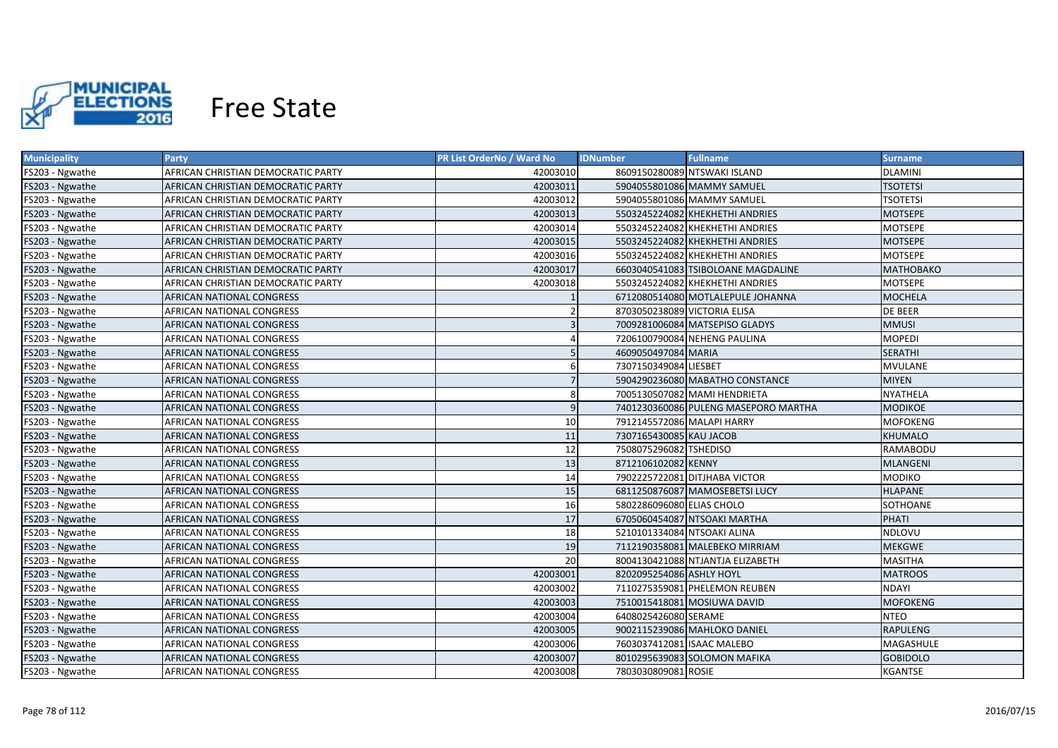

| <b>Municipality</b> | Party                              | <b>PR List OrderNo / Ward No</b> | <b>IDNumber</b><br><b>Fullname</b>   | Surname          |
|---------------------|------------------------------------|----------------------------------|--------------------------------------|------------------|
| FS203 - Ngwathe     | AFRICAN CHRISTIAN DEMOCRATIC PARTY | 42003010                         | 8609150280089 NTSWAKI ISLAND         | <b>DLAMINI</b>   |
| FS203 - Ngwathe     | AFRICAN CHRISTIAN DEMOCRATIC PARTY | 42003011                         | 5904055801086 MAMMY SAMUEL           | <b>TSOTETSI</b>  |
| FS203 - Ngwathe     | AFRICAN CHRISTIAN DEMOCRATIC PARTY | 42003012                         | 5904055801086 MAMMY SAMUEL           | <b>TSOTETSI</b>  |
| FS203 - Ngwathe     | AFRICAN CHRISTIAN DEMOCRATIC PARTY | 42003013                         | 5503245224082 KHEKHETHI ANDRIES      | <b>MOTSEPE</b>   |
| FS203 - Ngwathe     | AFRICAN CHRISTIAN DEMOCRATIC PARTY | 42003014                         | 5503245224082 KHEKHETHI ANDRIES      | MOTSEPE          |
| FS203 - Ngwathe     | AFRICAN CHRISTIAN DEMOCRATIC PARTY | 42003015                         | 5503245224082 KHEKHETHI ANDRIES      | <b>MOTSEPE</b>   |
| FS203 - Ngwathe     | AFRICAN CHRISTIAN DEMOCRATIC PARTY | 42003016                         | 5503245224082 KHEKHETHI ANDRIES      | <b>MOTSEPE</b>   |
| FS203 - Ngwathe     | AFRICAN CHRISTIAN DEMOCRATIC PARTY | 42003017                         | 6603040541083 TSIBOLOANE MAGDALINE   | <b>MATHOBAKO</b> |
| FS203 - Ngwathe     | AFRICAN CHRISTIAN DEMOCRATIC PARTY | 42003018                         | 5503245224082 KHEKHETHI ANDRIES      | <b>MOTSEPE</b>   |
| FS203 - Ngwathe     | AFRICAN NATIONAL CONGRESS          |                                  | 6712080514080 MOTLALEPULE JOHANNA    | <b>MOCHELA</b>   |
| FS203 - Ngwathe     | AFRICAN NATIONAL CONGRESS          |                                  | 8703050238089 VICTORIA ELISA         | <b>DE BEER</b>   |
| FS203 - Ngwathe     | AFRICAN NATIONAL CONGRESS          | $\overline{3}$                   | 7009281006084 MATSEPISO GLADYS       | <b>MMUSI</b>     |
| FS203 - Ngwathe     | AFRICAN NATIONAL CONGRESS          | 4                                | 7206100790084 NEHENG PAULINA         | <b>MOPEDI</b>    |
| FS203 - Ngwathe     | AFRICAN NATIONAL CONGRESS          | 5                                | 4609050497084 MARIA                  | <b>SERATHI</b>   |
| FS203 - Ngwathe     | AFRICAN NATIONAL CONGRESS          | 6                                | 7307150349084 LIESBET                | <b>MVULANE</b>   |
| FS203 - Ngwathe     | AFRICAN NATIONAL CONGRESS          |                                  | 5904290236080 MABATHO CONSTANCE      | <b>MIYEN</b>     |
| FS203 - Ngwathe     | <b>AFRICAN NATIONAL CONGRESS</b>   | 8                                | 7005130507082 MAMI HENDRIETA         | <b>NYATHELA</b>  |
| FS203 - Ngwathe     | AFRICAN NATIONAL CONGRESS          | 9                                | 7401230360086 PULENG MASEPORO MARTHA | <b>MODIKOE</b>   |
| FS203 - Ngwathe     | <b>AFRICAN NATIONAL CONGRESS</b>   | 10                               | 7912145572086 MALAPI HARRY           | <b>MOFOKENG</b>  |
| FS203 - Ngwathe     | AFRICAN NATIONAL CONGRESS          | 11                               | 7307165430085 KAU JACOB              | <b>KHUMALO</b>   |
| FS203 - Ngwathe     | AFRICAN NATIONAL CONGRESS          | 12                               | 7508075296082 TSHEDISO               | RAMABODU         |
| FS203 - Ngwathe     | AFRICAN NATIONAL CONGRESS          | 13                               | 8712106102082 KENNY                  | <b>MLANGENI</b>  |
| FS203 - Ngwathe     | AFRICAN NATIONAL CONGRESS          | 14                               | 7902225722081 DITJHABA VICTOR        | <b>MODIKO</b>    |
| FS203 - Ngwathe     | AFRICAN NATIONAL CONGRESS          | 15                               | 6811250876087 MAMOSEBETSI LUCY       | <b>HLAPANE</b>   |
| FS203 - Ngwathe     | AFRICAN NATIONAL CONGRESS          | 16                               | 5802286096080 ELIAS CHOLO            | SOTHOANE         |
| FS203 - Ngwathe     | AFRICAN NATIONAL CONGRESS          | 17                               | 6705060454087 NTSOAKI MARTHA         | PHATI            |
| FS203 - Ngwathe     | AFRICAN NATIONAL CONGRESS          | 18                               | 5210101334084 NTSOAKI ALINA          | NDLOVU           |
| FS203 - Ngwathe     | AFRICAN NATIONAL CONGRESS          | 19                               | 7112190358081 MALEBEKO MIRRIAM       | <b>MEKGWE</b>    |
| FS203 - Ngwathe     | AFRICAN NATIONAL CONGRESS          | 20                               | 8004130421088 NTJANTJA ELIZABETH     | <b>MASITHA</b>   |
| FS203 - Ngwathe     | AFRICAN NATIONAL CONGRESS          | 42003001                         | 8202095254086 ASHLY HOYL             | <b>MATROOS</b>   |
| FS203 - Ngwathe     | AFRICAN NATIONAL CONGRESS          | 42003002                         | 7110275359081 PHELEMON REUBEN        | <b>NDAYI</b>     |
| FS203 - Ngwathe     | AFRICAN NATIONAL CONGRESS          | 42003003                         | 7510015418081 MOSIUWA DAVID          | <b>MOFOKENG</b>  |
| FS203 - Ngwathe     | AFRICAN NATIONAL CONGRESS          | 42003004                         | 6408025426080 SERAME                 | NTEO             |
| FS203 - Ngwathe     | AFRICAN NATIONAL CONGRESS          | 42003005                         | 9002115239086 MAHLOKO DANIEL         | <b>RAPULENG</b>  |
| FS203 - Ngwathe     | AFRICAN NATIONAL CONGRESS          | 42003006                         | 7603037412081 ISAAC MALEBO           | MAGASHULE        |
| FS203 - Ngwathe     | AFRICAN NATIONAL CONGRESS          | 42003007                         | 8010295639083 SOLOMON MAFIKA         | <b>GOBIDOLO</b>  |
| FS203 - Ngwathe     | <b>AFRICAN NATIONAL CONGRESS</b>   | 42003008                         | 7803030809081 ROSIE                  | <b>KGANTSE</b>   |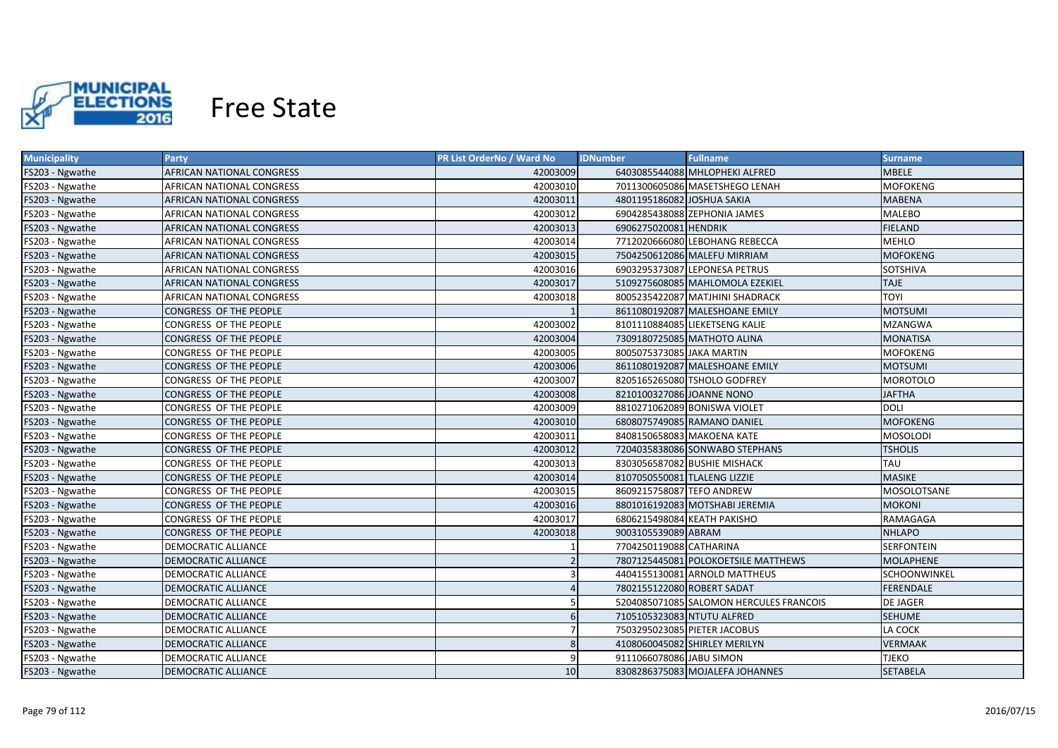

| <b>Municipality</b> | Party                         | <b>PR List OrderNo / Ward No</b> | <b>Fullname</b><br><b>IDNumber</b>      | <b>Surname</b>      |
|---------------------|-------------------------------|----------------------------------|-----------------------------------------|---------------------|
| FS203 - Ngwathe     | AFRICAN NATIONAL CONGRESS     | 42003009                         | 6403085544088 MHLOPHEKI ALFRED          | <b>MBELE</b>        |
| FS203 - Ngwathe     | AFRICAN NATIONAL CONGRESS     | 42003010                         | 7011300605086 MASETSHEGO LENAH          | <b>MOFOKENG</b>     |
| FS203 - Ngwathe     | AFRICAN NATIONAL CONGRESS     | 42003011                         | 4801195186082 JOSHUA SAKIA              | <b>MABENA</b>       |
| FS203 - Ngwathe     | AFRICAN NATIONAL CONGRESS     | 42003012                         | 6904285438088 ZEPHONIA JAMES            | <b>MALEBO</b>       |
| FS203 - Ngwathe     | AFRICAN NATIONAL CONGRESS     | 42003013                         | 6906275020081 HENDRIK                   | <b>FIELAND</b>      |
| FS203 - Ngwathe     | AFRICAN NATIONAL CONGRESS     | 42003014                         | 7712020666080 LEBOHANG REBECCA          | <b>MEHLO</b>        |
| FS203 - Ngwathe     | AFRICAN NATIONAL CONGRESS     | 42003015                         | 7504250612086 MALEFU MIRRIAM            | <b>MOFOKENG</b>     |
| FS203 - Ngwathe     | AFRICAN NATIONAL CONGRESS     | 42003016                         | 6903295373087 LEPONESA PETRUS           | SOTSHIVA            |
| FS203 - Ngwathe     | AFRICAN NATIONAL CONGRESS     | 42003017                         | 5109275608085 MAHLOMOLA EZEKIEL         | <b>TAJE</b>         |
| FS203 - Ngwathe     | AFRICAN NATIONAL CONGRESS     | 42003018                         | 8005235422087 MATJHINI SHADRACK         | <b>TOYI</b>         |
| FS203 - Ngwathe     | CONGRESS OF THE PEOPLE        |                                  | 8611080192087 MALESHOANE EMILY          | <b>MOTSUMI</b>      |
| FS203 - Ngwathe     | CONGRESS OF THE PEOPLE        | 42003002                         | 8101110884085 LIEKETSENG KALIE          | <b>MZANGWA</b>      |
| FS203 - Ngwathe     | CONGRESS OF THE PEOPLE        | 42003004                         | 7309180725085 MATHOTO ALINA             | <b>MONATISA</b>     |
| FS203 - Ngwathe     | CONGRESS OF THE PEOPLE        | 42003005                         | 8005075373085 JAKA MARTIN               | <b>MOFOKENG</b>     |
| FS203 - Ngwathe     | CONGRESS OF THE PEOPLE        | 42003006                         | 8611080192087 MALESHOANE EMILY          | <b>MOTSUMI</b>      |
| FS203 - Ngwathe     | CONGRESS OF THE PEOPLE        | 42003007                         | 8205165265080 TSHOLO GODFREY            | <b>MOROTOLO</b>     |
| FS203 - Ngwathe     | CONGRESS OF THE PEOPLE        | 42003008                         | 8210100327086 JOANNE NONO               | <b>JAFTHA</b>       |
| FS203 - Ngwathe     | CONGRESS OF THE PEOPLE        | 42003009                         | 8810271062089 BONISWA VIOLET            | <b>DOLI</b>         |
| FS203 - Ngwathe     | <b>CONGRESS OF THE PEOPLE</b> | 42003010                         | 6808075749085 RAMANO DANIEL             | <b>MOFOKENG</b>     |
| FS203 - Ngwathe     | CONGRESS OF THE PEOPLE        | 42003011                         | 8408150658083 MAKOENA KATE              | <b>MOSOLODI</b>     |
| FS203 - Ngwathe     | CONGRESS OF THE PEOPLE        | 42003012                         | 7204035838086 SONWABO STEPHANS          | <b>TSHOLIS</b>      |
| FS203 - Ngwathe     | CONGRESS OF THE PEOPLE        | 42003013                         | 8303056587082 BUSHIE MISHACK            | TAU                 |
| FS203 - Ngwathe     | CONGRESS OF THE PEOPLE        | 42003014                         | 8107050550081 TLALENG LIZZIE            | <b>MASIKE</b>       |
| FS203 - Ngwathe     | CONGRESS OF THE PEOPLE        | 42003015                         | 8609215758087 TEFO ANDREW               | MOSOLOTSANE         |
| FS203 - Ngwathe     | CONGRESS OF THE PEOPLE        | 42003016                         | 8801016192083 MOTSHABI JEREMIA          | <b>MOKONI</b>       |
| FS203 - Ngwathe     | CONGRESS OF THE PEOPLE        | 42003017                         | 6806215498084 KEATH PAKISHO             | RAMAGAGA            |
| FS203 - Ngwathe     | CONGRESS OF THE PEOPLE        | 42003018                         | 9003105539089 ABRAM                     | <b>NHLAPO</b>       |
| FS203 - Ngwathe     | DEMOCRATIC ALLIANCE           |                                  | 7704250119088 CATHARINA                 | SERFONTEIN          |
| FS203 - Ngwathe     | DEMOCRATIC ALLIANCE           |                                  | 7807125445081 POLOKOETSILE MATTHEWS     | <b>MOLAPHENE</b>    |
| FS203 - Ngwathe     | DEMOCRATIC ALLIANCE           |                                  | 4404155130081 ARNOLD MATTHEUS           | <b>SCHOONWINKEL</b> |
| FS203 - Ngwathe     | DEMOCRATIC ALLIANCE           |                                  | 7802155122080 ROBERT SADAT              | <b>FERENDALE</b>    |
| FS203 - Ngwathe     | DEMOCRATIC ALLIANCE           |                                  | 5204085071085 SALOMON HERCULES FRANCOIS | DE JAGER            |
| FS203 - Ngwathe     | <b>DEMOCRATIC ALLIANCE</b>    | 6                                | 7105105323083 NTUTU ALFRED              | <b>SEHUME</b>       |
| FS203 - Ngwathe     | DEMOCRATIC ALLIANCE           |                                  | 7503295023085 PIETER JACOBUS            | LA COCK             |
| FS203 - Ngwathe     | DEMOCRATIC ALLIANCE           |                                  | 4108060045082 SHIRLEY MERILYN           | <b>VERMAAK</b>      |
| FS203 - Ngwathe     | DEMOCRATIC ALLIANCE           |                                  | 9111066078086 JABU SIMON                | <b>TJEKO</b>        |
| FS203 - Ngwathe     | <b>DEMOCRATIC ALLIANCE</b>    | 10 <sup>1</sup>                  | 8308286375083 MOJALEFA JOHANNES         | <b>SETABELA</b>     |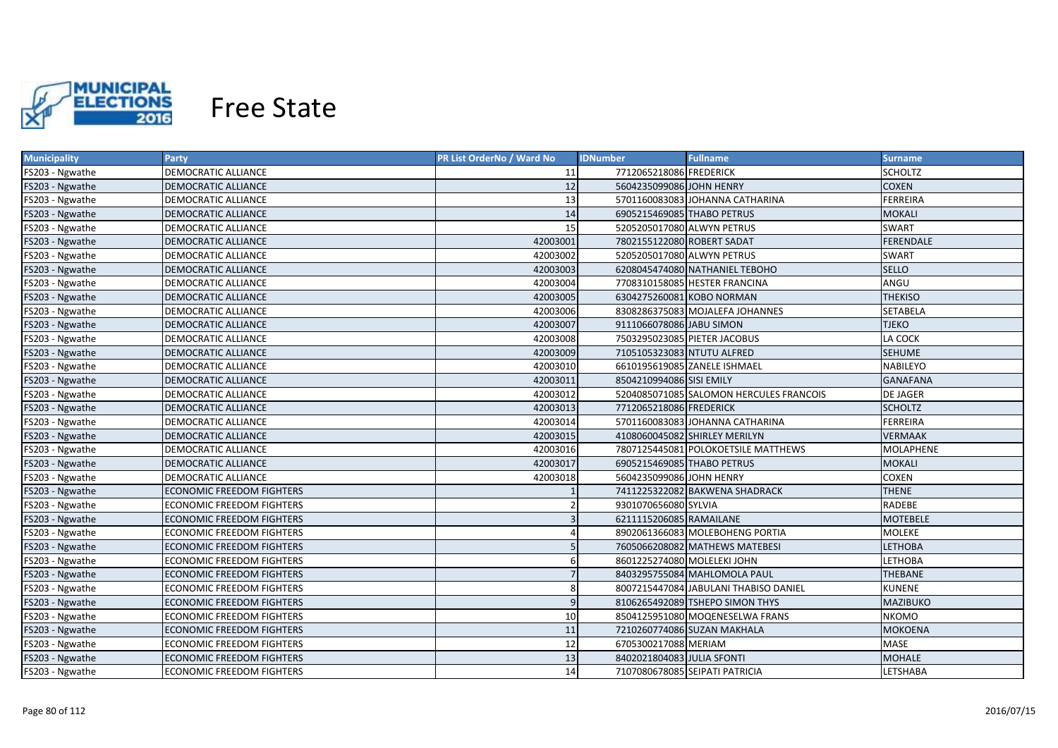

| <b>Municipality</b> | <b>Party</b>                     | <b>PR List OrderNo / Ward No</b> | <b>Fullname</b><br><b>IDNumber</b>      | <b>Surname</b>  |
|---------------------|----------------------------------|----------------------------------|-----------------------------------------|-----------------|
| FS203 - Ngwathe     | DEMOCRATIC ALLIANCE              | 11                               | 7712065218086 FREDERICK                 | SCHOLTZ         |
| FS203 - Ngwathe     | <b>DEMOCRATIC ALLIANCE</b>       | 12                               | 5604235099086 JOHN HENRY                | <b>COXEN</b>    |
| FS203 - Ngwathe     | DEMOCRATIC ALLIANCE              | 13                               | 5701160083083 JOHANNA CATHARINA         | FERREIRA        |
| FS203 - Ngwathe     | <b>DEMOCRATIC ALLIANCE</b>       | 14                               | 6905215469085 THABO PETRUS              | <b>MOKALI</b>   |
| FS203 - Ngwathe     | DEMOCRATIC ALLIANCE              | 15                               | 5205205017080 ALWYN PETRUS              | <b>SWART</b>    |
| FS203 - Ngwathe     | DEMOCRATIC ALLIANCE              | 42003001                         | 7802155122080 ROBERT SADAT              | FERENDALE       |
| FS203 - Ngwathe     | DEMOCRATIC ALLIANCE              | 42003002                         | 5205205017080 ALWYN PETRUS              | SWART           |
| FS203 - Ngwathe     | DEMOCRATIC ALLIANCE              | 42003003                         | 6208045474080 NATHANIEL TEBOHO          | <b>SELLO</b>    |
| FS203 - Ngwathe     | DEMOCRATIC ALLIANCE              | 42003004                         | 7708310158085 HESTER FRANCINA           | ANGU            |
| FS203 - Ngwathe     | DEMOCRATIC ALLIANCE              | 42003005                         | 6304275260081 KOBO NORMAN               | <b>THEKISO</b>  |
| FS203 - Ngwathe     | DEMOCRATIC ALLIANCE              | 42003006                         | 8308286375083 MOJALEFA JOHANNES         | SETABELA        |
| FS203 - Ngwathe     | <b>DEMOCRATIC ALLIANCE</b>       | 42003007                         | 9111066078086 JABU SIMON                | <b>TJEKO</b>    |
| FS203 - Ngwathe     | DEMOCRATIC ALLIANCE              | 42003008                         | 7503295023085 PIETER JACOBUS            | LA COCK         |
| FS203 - Ngwathe     | <b>DEMOCRATIC ALLIANCE</b>       | 42003009                         | 7105105323083 NTUTU ALFRED              | <b>SEHUME</b>   |
| FS203 - Ngwathe     | DEMOCRATIC ALLIANCE              | 42003010                         | 6610195619085 ZANELE ISHMAEL            | <b>NABILEYO</b> |
| FS203 - Ngwathe     | <b>DEMOCRATIC ALLIANCE</b>       | 42003011                         | 8504210994086 SISI EMILY                | <b>GANAFANA</b> |
| FS203 - Ngwathe     | DEMOCRATIC ALLIANCE              | 42003012                         | 5204085071085 SALOMON HERCULES FRANCOIS | <b>DE JAGER</b> |
| FS203 - Ngwathe     | <b>DEMOCRATIC ALLIANCE</b>       | 42003013                         | 7712065218086 FREDERICK                 | <b>SCHOLTZ</b>  |
| FS203 - Ngwathe     | DEMOCRATIC ALLIANCE              | 42003014                         | 5701160083083 JOHANNA CATHARINA         | <b>FERREIRA</b> |
| FS203 - Ngwathe     | <b>DEMOCRATIC ALLIANCE</b>       | 42003015                         | 4108060045082 SHIRLEY MERILYN           | <b>VERMAAK</b>  |
| FS203 - Ngwathe     | DEMOCRATIC ALLIANCE              | 42003016                         | 7807125445081 POLOKOETSILE MATTHEWS     | MOLAPHENE       |
| FS203 - Ngwathe     | DEMOCRATIC ALLIANCE              | 42003017                         | 6905215469085 THABO PETRUS              | <b>MOKALI</b>   |
| FS203 - Ngwathe     | <b>DEMOCRATIC ALLIANCE</b>       | 42003018                         | 5604235099086 JOHN HENRY                | <b>COXEN</b>    |
| FS203 - Ngwathe     | <b>ECONOMIC FREEDOM FIGHTERS</b> |                                  | 7411225322082 BAKWENA SHADRACK          | <b>THENE</b>    |
| FS203 - Ngwathe     | <b>ECONOMIC FREEDOM FIGHTERS</b> | $\overline{2}$                   | 9301070656080 SYLVIA                    | RADEBE          |
| FS203 - Ngwathe     | <b>ECONOMIC FREEDOM FIGHTERS</b> |                                  | 6211115206085 RAMAILANE                 | <b>MOTEBELE</b> |
| FS203 - Ngwathe     | <b>ECONOMIC FREEDOM FIGHTERS</b> |                                  | 8902061366083 MOLEBOHENG PORTIA         | MOLEKE          |
| FS203 - Ngwathe     | <b>ECONOMIC FREEDOM FIGHTERS</b> |                                  | 7605066208082 MATHEWS MATEBESI          | <b>LETHOBA</b>  |
| FS203 - Ngwathe     | ECONOMIC FREEDOM FIGHTERS        |                                  | 8601225274080 MOLELEKI JOHN             | LETHOBA         |
| FS203 - Ngwathe     | ECONOMIC FREEDOM FIGHTERS        |                                  | 8403295755084 MAHLOMOLA PAUL            | THEBANE         |
| FS203 - Ngwathe     | ECONOMIC FREEDOM FIGHTERS        | 8                                | 8007215447084 JABULANI THABISO DANIEL   | KUNENE          |
| FS203 - Ngwathe     | ECONOMIC FREEDOM FIGHTERS        | 9                                | 8106265492089 TSHEPO SIMON THYS         | MAZIBUKO        |
| FS203 - Ngwathe     | ECONOMIC FREEDOM FIGHTERS        | 10                               | 8504125951080 MOQENESELWA FRANS         | <b>NKOMO</b>    |
| FS203 - Ngwathe     | ECONOMIC FREEDOM FIGHTERS        | 11                               | 7210260774086 SUZAN MAKHALA             | <b>MOKOENA</b>  |
| FS203 - Ngwathe     | ECONOMIC FREEDOM FIGHTERS        | 12                               | 6705300217088 MERIAM                    | MASE            |
| FS203 - Ngwathe     | <b>ECONOMIC FREEDOM FIGHTERS</b> | 13                               | 8402021804083 JULIA SFONTI              | <b>MOHALE</b>   |
| FS203 - Ngwathe     | <b>ECONOMIC FREEDOM FIGHTERS</b> | 14                               | 7107080678085 SEIPATI PATRICIA          | LETSHABA        |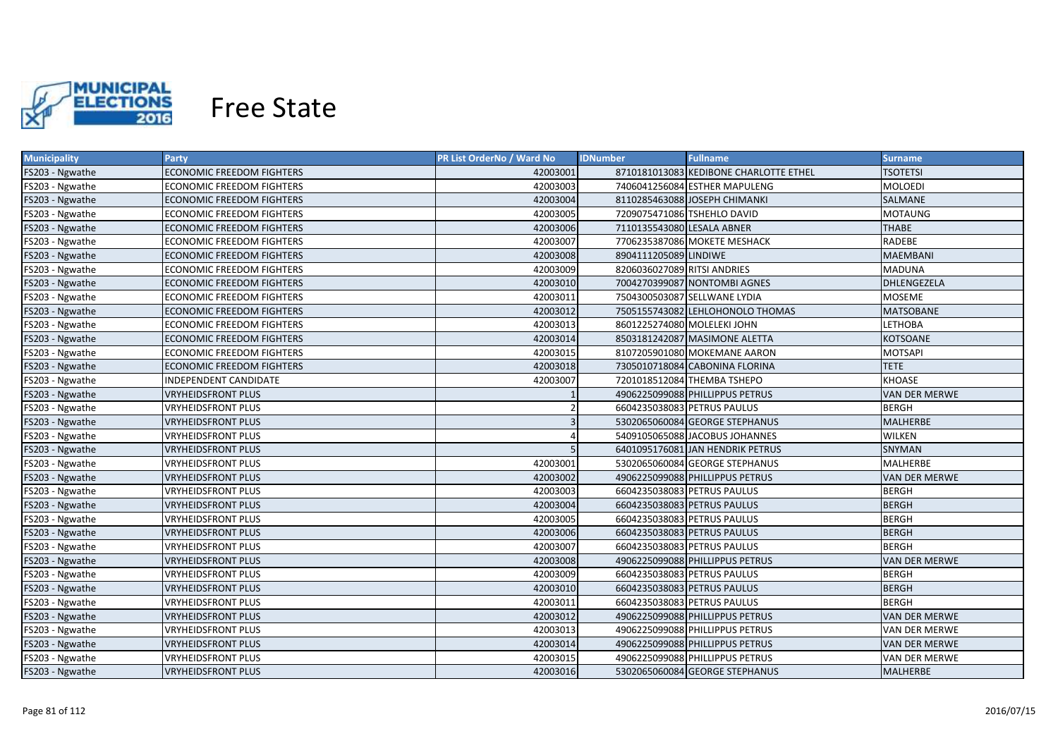

| <b>Municipality</b> | Party                            | <b>PR List OrderNo / Ward No</b> | <b>Fullname</b><br><b>IDNumber</b>     | Surname              |
|---------------------|----------------------------------|----------------------------------|----------------------------------------|----------------------|
| FS203 - Ngwathe     | ECONOMIC FREEDOM FIGHTERS        | 42003001                         | 8710181013083 KEDIBONE CHARLOTTE ETHEL | <b>TSOTETSI</b>      |
| FS203 - Ngwathe     | ECONOMIC FREEDOM FIGHTERS        | 42003003                         | 7406041256084 ESTHER MAPULENG          | <b>MOLOEDI</b>       |
| FS203 - Ngwathe     | <b>ECONOMIC FREEDOM FIGHTERS</b> | 42003004                         | 8110285463088 JOSEPH CHIMANKI          | SALMANE              |
| FS203 - Ngwathe     | ECONOMIC FREEDOM FIGHTERS        | 42003005                         | 7209075471086 TSHEHLO DAVID            | <b>MOTAUNG</b>       |
| FS203 - Ngwathe     | <b>ECONOMIC FREEDOM FIGHTERS</b> | 42003006                         | 7110135543080 LESALA ABNER             | <b>THABE</b>         |
| FS203 - Ngwathe     | ECONOMIC FREEDOM FIGHTERS        | 42003007                         | 7706235387086 MOKETE MESHACK           | RADEBE               |
| FS203 - Ngwathe     | <b>ECONOMIC FREEDOM FIGHTERS</b> | 42003008                         | 8904111205089 LINDIWE                  | <b>MAEMBANI</b>      |
| FS203 - Ngwathe     | <b>ECONOMIC FREEDOM FIGHTERS</b> | 42003009                         | 8206036027089 RITSI ANDRIES            | <b>MADUNA</b>        |
| FS203 - Ngwathe     | <b>ECONOMIC FREEDOM FIGHTERS</b> | 42003010                         | 7004270399087 NONTOMBI AGNES           | DHLENGEZELA          |
| FS203 - Ngwathe     | ECONOMIC FREEDOM FIGHTERS        | 42003011                         | 7504300503087 SELLWANE LYDIA           | <b>MOSEME</b>        |
| FS203 - Ngwathe     | <b>ECONOMIC FREEDOM FIGHTERS</b> | 42003012                         | 7505155743082 LEHLOHONOLO THOMAS       | <b>MATSOBANE</b>     |
| FS203 - Ngwathe     | <b>ECONOMIC FREEDOM FIGHTERS</b> | 42003013                         | 8601225274080 MOLELEKI JOHN            | <b>LETHOBA</b>       |
| FS203 - Ngwathe     | <b>ECONOMIC FREEDOM FIGHTERS</b> | 42003014                         | 8503181242087 MASIMONE ALETTA          | <b>KOTSOANE</b>      |
| FS203 - Ngwathe     | <b>ECONOMIC FREEDOM FIGHTERS</b> | 42003015                         | 8107205901080 MOKEMANE AARON           | <b>MOTSAPI</b>       |
| FS203 - Ngwathe     | <b>ECONOMIC FREEDOM FIGHTERS</b> | 42003018                         | 7305010718084 CABONINA FLORINA         | <b>TETE</b>          |
| FS203 - Ngwathe     | INDEPENDENT CANDIDATE            | 42003007                         | 7201018512084 THEMBA TSHEPO            | <b>KHOASE</b>        |
| FS203 - Ngwathe     | <b>VRYHEIDSFRONT PLUS</b>        |                                  | 4906225099088 PHILLIPPUS PETRUS        | <b>VAN DER MERWE</b> |
| FS203 - Ngwathe     | <b>VRYHEIDSFRONT PLUS</b>        |                                  | 6604235038083 PETRUS PAULUS            | <b>BERGH</b>         |
| FS203 - Ngwathe     | <b>VRYHEIDSFRONT PLUS</b>        |                                  | 5302065060084 GEORGE STEPHANUS         | <b>MALHERBE</b>      |
| FS203 - Ngwathe     | <b>VRYHEIDSFRONT PLUS</b>        |                                  | 5409105065088 JACOBUS JOHANNES         | <b>WILKEN</b>        |
| FS203 - Ngwathe     | <b>VRYHEIDSFRONT PLUS</b>        |                                  | 6401095176081 JAN HENDRIK PETRUS       | <b>SNYMAN</b>        |
| FS203 - Ngwathe     | <b>VRYHEIDSFRONT PLUS</b>        | 42003001                         | 5302065060084 GEORGE STEPHANUS         | <b>MALHERBE</b>      |
| FS203 - Ngwathe     | <b>VRYHEIDSFRONT PLUS</b>        | 42003002                         | 4906225099088 PHILLIPPUS PETRUS        | VAN DER MERWE        |
| FS203 - Ngwathe     | <b>VRYHEIDSFRONT PLUS</b>        | 42003003                         | 6604235038083 PETRUS PAULUS            | <b>BERGH</b>         |
| FS203 - Ngwathe     | <b>VRYHEIDSFRONT PLUS</b>        | 42003004                         | 6604235038083 PETRUS PAULUS            | <b>BERGH</b>         |
| FS203 - Ngwathe     | <b>VRYHEIDSFRONT PLUS</b>        | 42003005                         | 6604235038083 PETRUS PAULUS            | <b>BERGH</b>         |
| FS203 - Ngwathe     | <b>VRYHEIDSFRONT PLUS</b>        | 42003006                         | 6604235038083 PETRUS PAULUS            | <b>BERGH</b>         |
| FS203 - Ngwathe     | VRYHEIDSFRONT PLUS               | 42003007                         | 6604235038083 PETRUS PAULUS            | <b>BERGH</b>         |
| FS203 - Ngwathe     | <b>VRYHEIDSFRONT PLUS</b>        | 42003008                         | 4906225099088 PHILLIPPUS PETRUS        | <b>VAN DER MERWE</b> |
| FS203 - Ngwathe     | VRYHEIDSFRONT PLUS               | 42003009                         | 6604235038083 PETRUS PAULUS            | <b>BERGH</b>         |
| FS203 - Ngwathe     | <b>VRYHEIDSFRONT PLUS</b>        | 42003010                         | 6604235038083 PETRUS PAULUS            | <b>BERGH</b>         |
| FS203 - Ngwathe     | <b>VRYHEIDSFRONT PLUS</b>        | 42003011                         | 6604235038083 PETRUS PAULUS            | <b>BERGH</b>         |
| FS203 - Ngwathe     | <b>VRYHEIDSFRONT PLUS</b>        | 42003012                         | 4906225099088 PHILLIPPUS PETRUS        | <b>VAN DER MERWE</b> |
| FS203 - Ngwathe     | <b>VRYHEIDSFRONT PLUS</b>        | 42003013                         | 4906225099088 PHILLIPPUS PETRUS        | VAN DER MERWE        |
| FS203 - Ngwathe     | <b>VRYHEIDSFRONT PLUS</b>        | 42003014                         | 4906225099088 PHILLIPPUS PETRUS        | <b>VAN DER MERWE</b> |
| FS203 - Ngwathe     | <b>VRYHEIDSFRONT PLUS</b>        | 42003015                         | 4906225099088 PHILLIPPUS PETRUS        | VAN DER MERWE        |
| FS203 - Ngwathe     | <b>VRYHEIDSFRONT PLUS</b>        | 42003016                         | 5302065060084 GEORGE STEPHANUS         | <b>MALHERBE</b>      |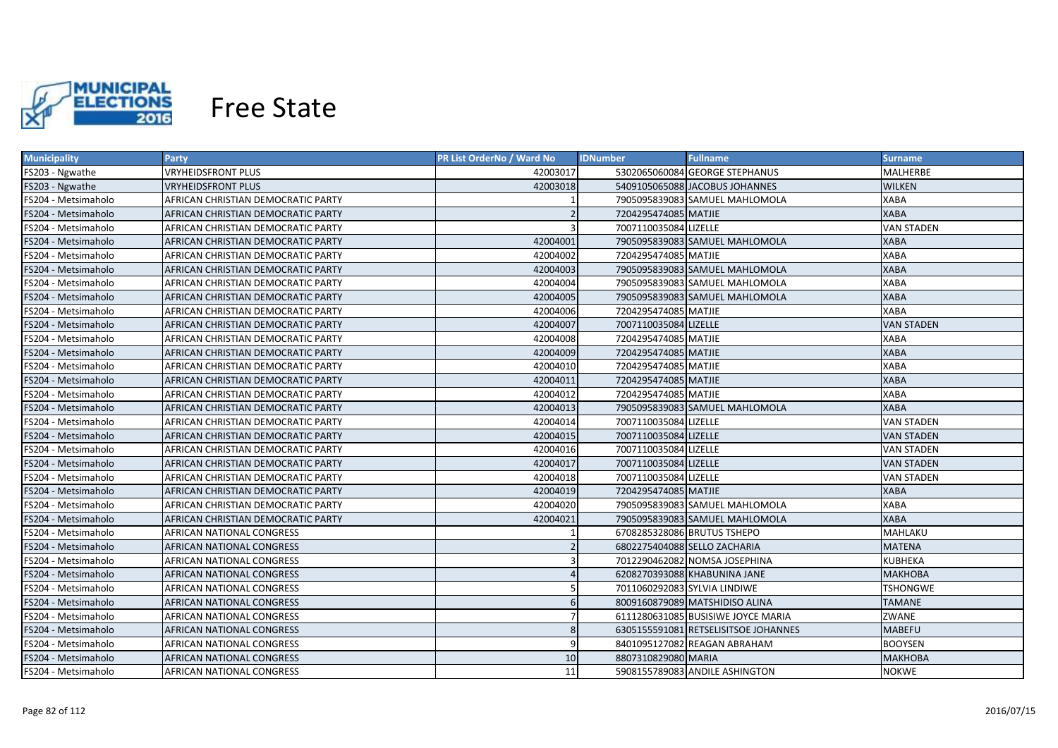

| <b>Municipality</b> | Party                              | <b>PR List OrderNo / Ward No</b> | <b>IDNumber</b>              | <b>Fullname</b>                      | <b>Surname</b>    |
|---------------------|------------------------------------|----------------------------------|------------------------------|--------------------------------------|-------------------|
| FS203 - Ngwathe     | <b>VRYHEIDSFRONT PLUS</b>          | 42003017                         |                              | 5302065060084 GEORGE STEPHANUS       | MALHERBE          |
| FS203 - Ngwathe     | <b>VRYHEIDSFRONT PLUS</b>          | 42003018                         |                              | 5409105065088 JACOBUS JOHANNES       | <b>WILKEN</b>     |
| FS204 - Metsimaholo | AFRICAN CHRISTIAN DEMOCRATIC PARTY |                                  |                              | 7905095839083 SAMUEL MAHLOMOLA       | <b>XABA</b>       |
| FS204 - Metsimaholo | AFRICAN CHRISTIAN DEMOCRATIC PARTY |                                  | 7204295474085 MATJIE         |                                      | <b>XABA</b>       |
| FS204 - Metsimaholo | AFRICAN CHRISTIAN DEMOCRATIC PARTY |                                  | 7007110035084 LIZELLE        |                                      | <b>VAN STADEN</b> |
| FS204 - Metsimaholo | AFRICAN CHRISTIAN DEMOCRATIC PARTY | 42004001                         |                              | 7905095839083 SAMUEL MAHLOMOLA       | <b>XABA</b>       |
| FS204 - Metsimaholo | AFRICAN CHRISTIAN DEMOCRATIC PARTY | 42004002                         | 7204295474085 MATJIE         |                                      | <b>XABA</b>       |
| FS204 - Metsimaholo | AFRICAN CHRISTIAN DEMOCRATIC PARTY | 42004003                         |                              | 7905095839083 SAMUEL MAHLOMOLA       | <b>XABA</b>       |
| FS204 - Metsimaholo | AFRICAN CHRISTIAN DEMOCRATIC PARTY | 42004004                         |                              | 7905095839083 SAMUEL MAHLOMOLA       | <b>XABA</b>       |
| FS204 - Metsimaholo | AFRICAN CHRISTIAN DEMOCRATIC PARTY | 42004005                         |                              | 7905095839083 SAMUEL MAHLOMOLA       | <b>XABA</b>       |
| FS204 - Metsimaholo | AFRICAN CHRISTIAN DEMOCRATIC PARTY | 42004006                         | 7204295474085 MATJIE         |                                      | XABA              |
| FS204 - Metsimaholo | AFRICAN CHRISTIAN DEMOCRATIC PARTY | 42004007                         | 7007110035084 LIZELLE        |                                      | <b>VAN STADEN</b> |
| FS204 - Metsimaholo | AFRICAN CHRISTIAN DEMOCRATIC PARTY | 42004008                         | 7204295474085 MATJIE         |                                      | <b>XABA</b>       |
| FS204 - Metsimaholo | AFRICAN CHRISTIAN DEMOCRATIC PARTY | 42004009                         | 7204295474085 MATJIE         |                                      | <b>XABA</b>       |
| FS204 - Metsimaholo | AFRICAN CHRISTIAN DEMOCRATIC PARTY | 42004010                         | 7204295474085 MATJIE         |                                      | <b>XABA</b>       |
| FS204 - Metsimaholo | AFRICAN CHRISTIAN DEMOCRATIC PARTY | 42004011                         | 7204295474085 MATJIE         |                                      | <b>XABA</b>       |
| FS204 - Metsimaholo | AFRICAN CHRISTIAN DEMOCRATIC PARTY | 42004012                         | 7204295474085 MATJIE         |                                      | <b>XABA</b>       |
| FS204 - Metsimaholo | AFRICAN CHRISTIAN DEMOCRATIC PARTY | 42004013                         |                              | 7905095839083 SAMUEL MAHLOMOLA       | <b>XABA</b>       |
| FS204 - Metsimaholo | AFRICAN CHRISTIAN DEMOCRATIC PARTY | 42004014                         | 7007110035084 LIZELLE        |                                      | <b>VAN STADEN</b> |
| FS204 - Metsimaholo | AFRICAN CHRISTIAN DEMOCRATIC PARTY | 42004015                         | 7007110035084 LIZELLE        |                                      | <b>VAN STADEN</b> |
| FS204 - Metsimaholo | AFRICAN CHRISTIAN DEMOCRATIC PARTY | 42004016                         | 7007110035084 LIZELLE        |                                      | <b>VAN STADEN</b> |
| FS204 - Metsimaholo | AFRICAN CHRISTIAN DEMOCRATIC PARTY | 42004017                         | 7007110035084 LIZELLE        |                                      | <b>VAN STADEN</b> |
| FS204 - Metsimaholo | AFRICAN CHRISTIAN DEMOCRATIC PARTY | 42004018                         | 7007110035084 LIZELLE        |                                      | <b>VAN STADEN</b> |
| FS204 - Metsimaholo | AFRICAN CHRISTIAN DEMOCRATIC PARTY | 42004019                         | 7204295474085 MATJIE         |                                      | <b>XABA</b>       |
| FS204 - Metsimaholo | AFRICAN CHRISTIAN DEMOCRATIC PARTY | 42004020                         |                              | 7905095839083 SAMUEL MAHLOMOLA       | <b>XABA</b>       |
| FS204 - Metsimaholo | AFRICAN CHRISTIAN DEMOCRATIC PARTY | 42004021                         |                              | 7905095839083 SAMUEL MAHLOMOLA       | <b>XABA</b>       |
| FS204 - Metsimaholo | AFRICAN NATIONAL CONGRESS          |                                  |                              | 6708285328086 BRUTUS TSHEPO          | MAHLAKU           |
| FS204 - Metsimaholo | AFRICAN NATIONAL CONGRESS          |                                  |                              | 6802275404088 SELLO ZACHARIA         | <b>MATENA</b>     |
| FS204 - Metsimaholo | AFRICAN NATIONAL CONGRESS          |                                  |                              | 7012290462082 NOMSA JOSEPHINA        | <b>KUBHEKA</b>    |
| FS204 - Metsimaholo | AFRICAN NATIONAL CONGRESS          |                                  |                              | 6208270393088 KHABUNINA JANE         | <b>MAKHOBA</b>    |
| FS204 - Metsimaholo | AFRICAN NATIONAL CONGRESS          |                                  | 7011060292083 SYLVIA LINDIWE |                                      | <b>TSHONGWE</b>   |
| FS204 - Metsimaholo | AFRICAN NATIONAL CONGRESS          | $6\overline{6}$                  |                              | 8009160879089 MATSHIDISO ALINA       | <b>TAMANE</b>     |
| FS204 - Metsimaholo | AFRICAN NATIONAL CONGRESS          |                                  |                              | 6111280631085 BUSISIWE JOYCE MARIA   | ZWANE             |
| FS204 - Metsimaholo | AFRICAN NATIONAL CONGRESS          | 8                                |                              | 6305155591081 RETSELISITSOE JOHANNES | <b>MABEFU</b>     |
| FS204 - Metsimaholo | AFRICAN NATIONAL CONGRESS          | q                                |                              | 8401095127082 REAGAN ABRAHAM         | <b>BOOYSEN</b>    |
| FS204 - Metsimaholo | AFRICAN NATIONAL CONGRESS          | 10                               | 8807310829080 MARIA          |                                      | <b>МАКНОВА</b>    |
| FS204 - Metsimaholo | AFRICAN NATIONAL CONGRESS          | 11                               |                              | 5908155789083 ANDILE ASHINGTON       | <b>NOKWE</b>      |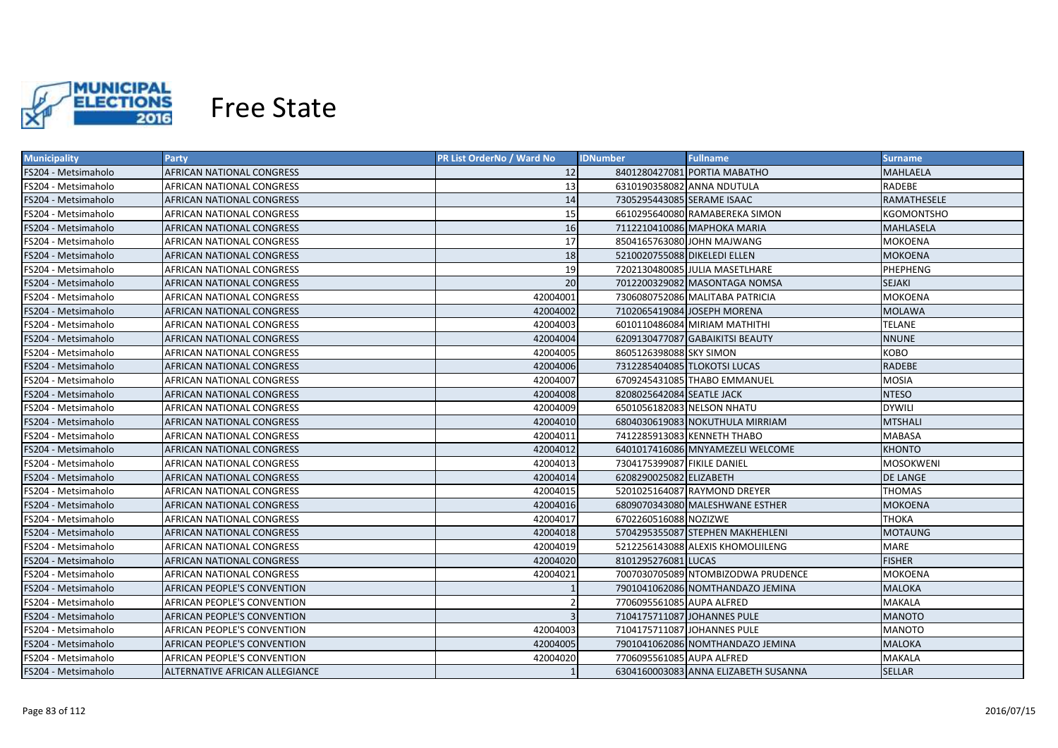

| <b>Municipality</b> | <b>Party</b>                   | PR List OrderNo / Ward No | <b>IDNumber</b>              | <b>Fullname</b>                      | <b>Surname</b>    |
|---------------------|--------------------------------|---------------------------|------------------------------|--------------------------------------|-------------------|
| FS204 - Metsimaholo | AFRICAN NATIONAL CONGRESS      | 12                        |                              | 8401280427081 PORTIA MABATHO         | MAHLAELA          |
| FS204 - Metsimaholo | AFRICAN NATIONAL CONGRESS      | 13                        | 6310190358082 ANNA NDUTULA   |                                      | RADEBE            |
| FS204 - Metsimaholo | AFRICAN NATIONAL CONGRESS      | 14                        | 7305295443085 SERAME ISAAC   |                                      | RAMATHESELE       |
| FS204 - Metsimaholo | AFRICAN NATIONAL CONGRESS      | 15                        |                              | 6610295640080 RAMABEREKA SIMON       | <b>KGOMONTSHO</b> |
| FS204 - Metsimaholo | AFRICAN NATIONAL CONGRESS      | 16                        |                              | 7112210410086 MAPHOKA MARIA          | <b>MAHLASELA</b>  |
| FS204 - Metsimaholo | AFRICAN NATIONAL CONGRESS      | 17                        |                              | 8504165763080 JOHN MAJWANG           | <b>MOKOENA</b>    |
| FS204 - Metsimaholo | AFRICAN NATIONAL CONGRESS      | 18                        | 5210020755088 DIKELEDI ELLEN |                                      | <b>MOKOENA</b>    |
| FS204 - Metsimaholo | AFRICAN NATIONAL CONGRESS      | 19                        |                              | 7202130480085 JULIA MASETLHARE       | PHEPHENG          |
| FS204 - Metsimaholo | AFRICAN NATIONAL CONGRESS      | 20                        |                              | 7012200329082 MASONTAGA NOMSA        | SEJAKI            |
| FS204 - Metsimaholo | AFRICAN NATIONAL CONGRESS      | 42004001                  |                              | 7306080752086 MALITABA PATRICIA      | MOKOENA           |
| FS204 - Metsimaholo | AFRICAN NATIONAL CONGRESS      | 42004002                  |                              | 7102065419084 JOSEPH MORENA          | <b>MOLAWA</b>     |
| FS204 - Metsimaholo | AFRICAN NATIONAL CONGRESS      | 42004003                  |                              | 6010110486084 MIRIAM MATHITHI        | <b>TELANE</b>     |
| FS204 - Metsimaholo | AFRICAN NATIONAL CONGRESS      | 42004004                  |                              | 6209130477087 GABAIKITSI BEAUTY      | <b>NNUNE</b>      |
| FS204 - Metsimaholo | AFRICAN NATIONAL CONGRESS      | 42004005                  | 8605126398088 SKY SIMON      |                                      | КОВО              |
| FS204 - Metsimaholo | AFRICAN NATIONAL CONGRESS      | 42004006                  | 7312285404085 TLOKOTSI LUCAS |                                      | <b>RADEBE</b>     |
| FS204 - Metsimaholo | AFRICAN NATIONAL CONGRESS      | 42004007                  |                              | 6709245431085 THABO EMMANUEL         | <b>MOSIA</b>      |
| FS204 - Metsimaholo | AFRICAN NATIONAL CONGRESS      | 42004008                  | 8208025642084 SEATLE JACK    |                                      | <b>NTESO</b>      |
| FS204 - Metsimaholo | AFRICAN NATIONAL CONGRESS      | 42004009                  | 6501056182083 NELSON NHATU   |                                      | <b>DYWILI</b>     |
| FS204 - Metsimaholo | AFRICAN NATIONAL CONGRESS      | 42004010                  |                              | 6804030619083 NOKUTHULA MIRRIAM      | <b>MTSHALI</b>    |
| FS204 - Metsimaholo | AFRICAN NATIONAL CONGRESS      | 42004011                  |                              | 7412285913083 KENNETH THABO          | <b>MABASA</b>     |
| FS204 - Metsimaholo | AFRICAN NATIONAL CONGRESS      | 42004012                  |                              | 6401017416086 MNYAMEZELI WELCOME     | <b>KHONTO</b>     |
| FS204 - Metsimaholo | AFRICAN NATIONAL CONGRESS      | 42004013                  | 7304175399087 FIKILE DANIEL  |                                      | <b>MOSOKWENI</b>  |
| FS204 - Metsimaholo | AFRICAN NATIONAL CONGRESS      | 42004014                  | 6208290025082 ELIZABETH      |                                      | DE LANGE          |
| FS204 - Metsimaholo | AFRICAN NATIONAL CONGRESS      | 42004015                  |                              | 5201025164087 RAYMOND DREYER         | <b>THOMAS</b>     |
| FS204 - Metsimaholo | AFRICAN NATIONAL CONGRESS      | 42004016                  |                              | 6809070343080 MALESHWANE ESTHER      | MOKOENA           |
| FS204 - Metsimaholo | AFRICAN NATIONAL CONGRESS      | 42004017                  | 6702260516088 NOZIZWE        |                                      | ТНОКА             |
| FS204 - Metsimaholo | AFRICAN NATIONAL CONGRESS      | 42004018                  |                              | 5704295355087 STEPHEN MAKHEHLENI     | MOTAUNG           |
| FS204 - Metsimaholo | AFRICAN NATIONAL CONGRESS      | 42004019                  |                              | 5212256143088 ALEXIS KHOMOLIILENG    | MARE              |
| FS204 - Metsimaholo | AFRICAN NATIONAL CONGRESS      | 42004020                  | 8101295276081 LUCAS          |                                      | <b>FISHER</b>     |
| FS204 - Metsimaholo | AFRICAN NATIONAL CONGRESS      | 42004021                  |                              | 7007030705089 NTOMBIZODWA PRUDENCE   | MOKOENA           |
| FS204 - Metsimaholo | AFRICAN PEOPLE'S CONVENTION    |                           |                              | 7901041062086 NOMTHANDAZO JEMINA     | <b>MALOKA</b>     |
| FS204 - Metsimaholo | AFRICAN PEOPLE'S CONVENTION    |                           | 7706095561085 AUPA ALFRED    |                                      | MAKALA            |
| FS204 - Metsimaholo | AFRICAN PEOPLE'S CONVENTION    |                           | 7104175711087 JOHANNES PULE  |                                      | <b>MANOTO</b>     |
| FS204 - Metsimaholo | AFRICAN PEOPLE'S CONVENTION    | 42004003                  | 7104175711087 JOHANNES PULE  |                                      | MANOTO            |
| FS204 - Metsimaholo | AFRICAN PEOPLE'S CONVENTION    | 42004005                  |                              | 7901041062086 NOMTHANDAZO JEMINA     | <b>MALOKA</b>     |
| FS204 - Metsimaholo | AFRICAN PEOPLE'S CONVENTION    | 42004020                  | 7706095561085 AUPA ALFRED    |                                      | <b>MAKALA</b>     |
| FS204 - Metsimaholo | ALTERNATIVE AFRICAN ALLEGIANCE |                           |                              | 6304160003083 ANNA ELIZABETH SUSANNA | <b>SELLAR</b>     |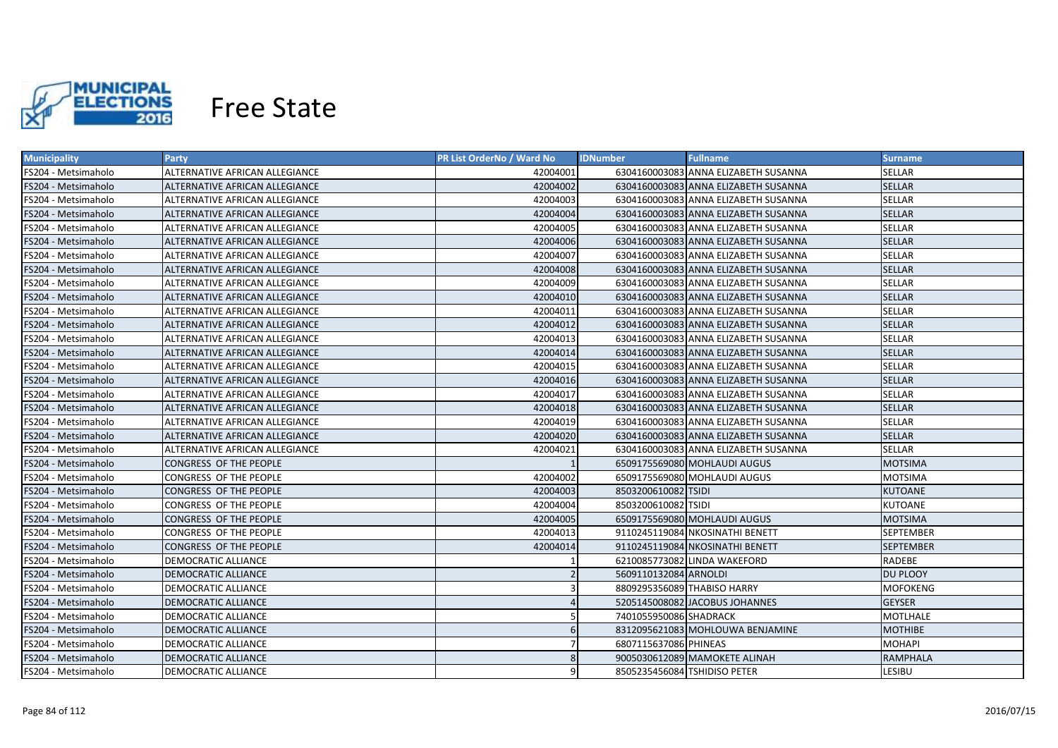

| <b>Municipality</b> | <b>Party</b>                          | PR List OrderNo / Ward No | <b>IDNumber</b>        | <b>Fullname</b>                      | Surname,         |
|---------------------|---------------------------------------|---------------------------|------------------------|--------------------------------------|------------------|
| FS204 - Metsimaholo | ALTERNATIVE AFRICAN ALLEGIANCE        | 42004001                  |                        | 6304160003083 ANNA ELIZABETH SUSANNA | <b>SELLAR</b>    |
| FS204 - Metsimaholo | ALTERNATIVE AFRICAN ALLEGIANCE        | 42004002                  |                        | 6304160003083 ANNA ELIZABETH SUSANNA | <b>SELLAR</b>    |
| FS204 - Metsimaholo | ALTERNATIVE AFRICAN ALLEGIANCE        | 42004003                  |                        | 6304160003083 ANNA ELIZABETH SUSANNA | <b>SELLAR</b>    |
| FS204 - Metsimaholo | ALTERNATIVE AFRICAN ALLEGIANCE        | 42004004                  |                        | 6304160003083 ANNA ELIZABETH SUSANNA | <b>SELLAR</b>    |
| FS204 - Metsimaholo | ALTERNATIVE AFRICAN ALLEGIANCE        | 42004005                  |                        | 6304160003083 ANNA ELIZABETH SUSANNA | <b>SELLAR</b>    |
| FS204 - Metsimaholo | ALTERNATIVE AFRICAN ALLEGIANCE        | 42004006                  |                        | 6304160003083 ANNA ELIZABETH SUSANNA | <b>SELLAR</b>    |
| FS204 - Metsimaholo | ALTERNATIVE AFRICAN ALLEGIANCE        | 42004007                  |                        | 6304160003083 ANNA ELIZABETH SUSANNA | <b>SELLAR</b>    |
| FS204 - Metsimaholo | <b>ALTERNATIVE AFRICAN ALLEGIANCE</b> | 42004008                  |                        | 6304160003083 ANNA ELIZABETH SUSANNA | <b>SELLAR</b>    |
| FS204 - Metsimaholo | ALTERNATIVE AFRICAN ALLEGIANCE        | 42004009                  |                        | 6304160003083 ANNA ELIZABETH SUSANNA | <b>SELLAR</b>    |
| FS204 - Metsimaholo | ALTERNATIVE AFRICAN ALLEGIANCE        | 42004010                  |                        | 6304160003083 ANNA ELIZABETH SUSANNA | <b>SELLAR</b>    |
| FS204 - Metsimaholo | ALTERNATIVE AFRICAN ALLEGIANCE        | 42004011                  |                        | 6304160003083 ANNA ELIZABETH SUSANNA | <b>SELLAR</b>    |
| FS204 - Metsimaholo | ALTERNATIVE AFRICAN ALLEGIANCE        | 42004012                  |                        | 6304160003083 ANNA ELIZABETH SUSANNA | <b>SELLAR</b>    |
| FS204 - Metsimaholo | ALTERNATIVE AFRICAN ALLEGIANCE        | 42004013                  |                        | 6304160003083 ANNA ELIZABETH SUSANNA | <b>SELLAR</b>    |
| FS204 - Metsimaholo | ALTERNATIVE AFRICAN ALLEGIANCE        | 42004014                  |                        | 6304160003083 ANNA ELIZABETH SUSANNA | <b>SELLAR</b>    |
| FS204 - Metsimaholo | ALTERNATIVE AFRICAN ALLEGIANCE        | 42004015                  |                        | 6304160003083 ANNA ELIZABETH SUSANNA | <b>SELLAR</b>    |
| FS204 - Metsimaholo | ALTERNATIVE AFRICAN ALLEGIANCE        | 42004016                  |                        | 6304160003083 ANNA ELIZABETH SUSANNA | <b>SELLAR</b>    |
| FS204 - Metsimaholo | ALTERNATIVE AFRICAN ALLEGIANCE        | 42004017                  |                        | 6304160003083 ANNA ELIZABETH SUSANNA | <b>SELLAR</b>    |
| FS204 - Metsimaholo | ALTERNATIVE AFRICAN ALLEGIANCE        | 42004018                  |                        | 6304160003083 ANNA ELIZABETH SUSANNA | <b>SELLAR</b>    |
| FS204 - Metsimaholo | ALTERNATIVE AFRICAN ALLEGIANCE        | 42004019                  |                        | 6304160003083 ANNA ELIZABETH SUSANNA | <b>SELLAR</b>    |
| FS204 - Metsimaholo | ALTERNATIVE AFRICAN ALLEGIANCE        | 42004020                  |                        | 6304160003083 ANNA ELIZABETH SUSANNA | <b>SELLAR</b>    |
| FS204 - Metsimaholo | ALTERNATIVE AFRICAN ALLEGIANCE        | 42004021                  |                        | 6304160003083 ANNA ELIZABETH SUSANNA | <b>SELLAR</b>    |
| FS204 - Metsimaholo | CONGRESS OF THE PEOPLE                |                           |                        | 6509175569080 MOHLAUDI AUGUS         | <b>MOTSIMA</b>   |
| FS204 - Metsimaholo | CONGRESS OF THE PEOPLE                | 42004002                  |                        | 6509175569080 MOHLAUDI AUGUS         | <b>MOTSIMA</b>   |
| FS204 - Metsimaholo | CONGRESS OF THE PEOPLE                | 42004003                  | 8503200610082 TSIDI    |                                      | <b>KUTOANE</b>   |
| FS204 - Metsimaholo | CONGRESS OF THE PEOPLE                | 42004004                  | 8503200610082 TSIDI    |                                      | KUTOANE          |
| FS204 - Metsimaholo | CONGRESS OF THE PEOPLE                | 42004005                  |                        | 6509175569080 MOHLAUDI AUGUS         | <b>MOTSIMA</b>   |
| FS204 - Metsimaholo | CONGRESS OF THE PEOPLE                | 42004013                  |                        | 9110245119084 NKOSINATHI BENETT      | <b>SEPTEMBER</b> |
| FS204 - Metsimaholo | CONGRESS OF THE PEOPLE                | 42004014                  |                        | 9110245119084 NKOSINATHI BENETT      | <b>SEPTEMBER</b> |
| FS204 - Metsimaholo | <b>DEMOCRATIC ALLIANCE</b>            |                           |                        | 6210085773082 LINDA WAKEFORD         | RADEBE           |
| FS204 - Metsimaholo | DEMOCRATIC ALLIANCE                   |                           | 5609110132084 ARNOLDI  |                                      | <b>DU PLOOY</b>  |
| FS204 - Metsimaholo | DEMOCRATIC ALLIANCE                   |                           |                        | 8809295356089 THABISO HARRY          | <b>MOFOKENG</b>  |
| FS204 - Metsimaholo | DEMOCRATIC ALLIANCE                   |                           |                        | 5205145008082 JACOBUS JOHANNES       | <b>GEYSER</b>    |
| FS204 - Metsimaholo | DEMOCRATIC ALLIANCE                   |                           | 7401055950086 SHADRACK |                                      | <b>MOTLHALE</b>  |
| FS204 - Metsimaholo | DEMOCRATIC ALLIANCE                   |                           |                        | 8312095621083 MOHLOUWA BENJAMINE     | <b>MOTHIBE</b>   |
| FS204 - Metsimaholo | DEMOCRATIC ALLIANCE                   |                           | 6807115637086 PHINEAS  |                                      | <b>MOHAPI</b>    |
| FS204 - Metsimaholo | DEMOCRATIC ALLIANCE                   |                           |                        | 9005030612089 MAMOKETE ALINAH        | <b>RAMPHALA</b>  |
| FS204 - Metsimaholo | <b>DEMOCRATIC ALLIANCE</b>            | q                         |                        | 8505235456084 TSHIDISO PETER         | LESIBU           |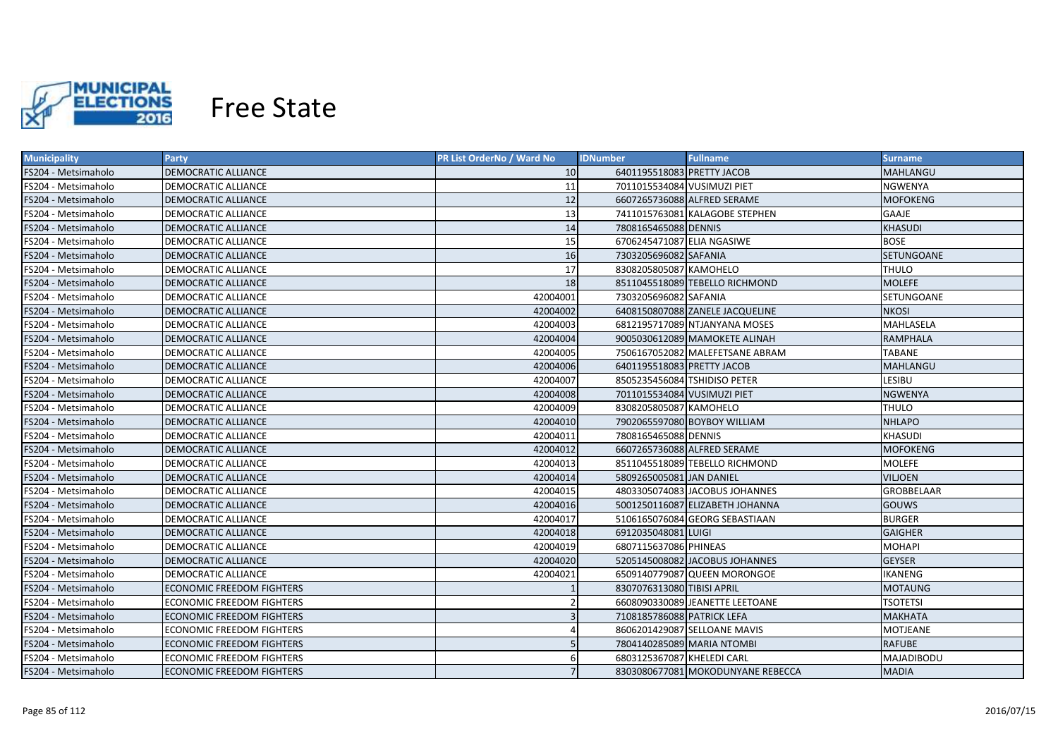

| <b>Municipality</b> | <b>Party</b>                     | PR List OrderNo / Ward No | <b>IDNumber</b>              | <b>Fullname</b>                   | <b>Surname</b>    |
|---------------------|----------------------------------|---------------------------|------------------------------|-----------------------------------|-------------------|
| FS204 - Metsimaholo | DEMOCRATIC ALLIANCE              | 10                        | 6401195518083 PRETTY JACOB   |                                   | MAHLANGU          |
| FS204 - Metsimaholo | DEMOCRATIC ALLIANCE              | 11                        | 7011015534084 VUSIMUZI PIET  |                                   | NGWENYA           |
| FS204 - Metsimaholo | DEMOCRATIC ALLIANCE              | 12                        |                              | 6607265736088 ALFRED SERAME       | MOFOKENG          |
| FS204 - Metsimaholo | DEMOCRATIC ALLIANCE              | 13                        |                              | 7411015763081 KALAGOBE STEPHEN    | GAAJE             |
| FS204 - Metsimaholo | DEMOCRATIC ALLIANCE              | 14                        | 7808165465088 DENNIS         |                                   | <b>KHASUDI</b>    |
| FS204 - Metsimaholo | DEMOCRATIC ALLIANCE              | 15                        | 6706245471087 ELIA NGASIWE   |                                   | <b>BOSE</b>       |
| FS204 - Metsimaholo | DEMOCRATIC ALLIANCE              | 16                        | 7303205696082 SAFANIA        |                                   | SETUNGOANE        |
| FS204 - Metsimaholo | DEMOCRATIC ALLIANCE              | 17                        | 8308205805087 KAMOHELO       |                                   | THULO             |
| FS204 - Metsimaholo | DEMOCRATIC ALLIANCE              | 18                        |                              | 8511045518089 TEBELLO RICHMOND    | <b>MOLEFE</b>     |
| FS204 - Metsimaholo | DEMOCRATIC ALLIANCE              | 42004001                  | 7303205696082 SAFANIA        |                                   | SETUNGOANE        |
| FS204 - Metsimaholo | <b>DEMOCRATIC ALLIANCE</b>       | 42004002                  |                              | 6408150807088 ZANELE JACQUELINE   | <b>NKOSI</b>      |
| FS204 - Metsimaholo | DEMOCRATIC ALLIANCE              | 42004003                  |                              | 6812195717089 NTJANYANA MOSES     | MAHLASELA         |
| FS204 - Metsimaholo | <b>DEMOCRATIC ALLIANCE</b>       | 42004004                  |                              | 9005030612089 MAMOKETE ALINAH     | <b>RAMPHALA</b>   |
| FS204 - Metsimaholo | DEMOCRATIC ALLIANCE              | 42004005                  |                              | 7506167052082 MALEFETSANE ABRAM   | <b>TABANE</b>     |
| FS204 - Metsimaholo | DEMOCRATIC ALLIANCE              | 42004006                  | 6401195518083 PRETTY JACOB   |                                   | MAHLANGU          |
| FS204 - Metsimaholo | DEMOCRATIC ALLIANCE              | 42004007                  | 8505235456084 TSHIDISO PETER |                                   | LESIBU            |
| FS204 - Metsimaholo | DEMOCRATIC ALLIANCE              | 42004008                  | 7011015534084 VUSIMUZI PIET  |                                   | <b>NGWENYA</b>    |
| FS204 - Metsimaholo | DEMOCRATIC ALLIANCE              | 42004009                  | 8308205805087 KAMOHELO       |                                   | <b>THULO</b>      |
| FS204 - Metsimaholo | DEMOCRATIC ALLIANCE              | 42004010                  |                              | 7902065597080 BOYBOY WILLIAM      | <b>NHLAPO</b>     |
| FS204 - Metsimaholo | DEMOCRATIC ALLIANCE              | 42004011                  | 7808165465088 DENNIS         |                                   | <b>KHASUDI</b>    |
| FS204 - Metsimaholo | DEMOCRATIC ALLIANCE              | 42004012                  |                              | 6607265736088 ALFRED SERAME       | <b>MOFOKENG</b>   |
| FS204 - Metsimaholo | DEMOCRATIC ALLIANCE              | 42004013                  |                              | 8511045518089 TEBELLO RICHMOND    | <b>MOLEFE</b>     |
| FS204 - Metsimaholo | DEMOCRATIC ALLIANCE              | 42004014                  | 5809265005081 JAN DANIEL     |                                   | <b>VILJOEN</b>    |
| FS204 - Metsimaholo | DEMOCRATIC ALLIANCE              | 42004015                  |                              | 4803305074083 JACOBUS JOHANNES    | <b>GROBBELAAR</b> |
| FS204 - Metsimaholo | DEMOCRATIC ALLIANCE              | 42004016                  |                              | 5001250116087 ELIZABETH JOHANNA   | <b>GOUWS</b>      |
| FS204 - Metsimaholo | DEMOCRATIC ALLIANCE              | 42004017                  |                              | 5106165076084 GEORG SEBASTIAAN    | <b>BURGER</b>     |
| FS204 - Metsimaholo | DEMOCRATIC ALLIANCE              | 42004018                  | 6912035048081 LUIGI          |                                   | <b>GAIGHER</b>    |
| FS204 - Metsimaholo | DEMOCRATIC ALLIANCE              | 42004019                  | 6807115637086 PHINEAS        |                                   | MOHAPI            |
| FS204 - Metsimaholo | DEMOCRATIC ALLIANCE              | 42004020                  |                              | 5205145008082 JACOBUS JOHANNES    | <b>GEYSER</b>     |
| FS204 - Metsimaholo | DEMOCRATIC ALLIANCE              | 42004021                  |                              | 6509140779087 QUEEN MORONGOE      | IKANENG           |
| FS204 - Metsimaholo | ECONOMIC FREEDOM FIGHTERS        |                           | 8307076313080 TIBISI APRIL   |                                   | MOTAUNG           |
| FS204 - Metsimaholo | ECONOMIC FREEDOM FIGHTERS        |                           |                              | 6608090330089 JEANETTE LEETOANE   | <b>TSOTETSI</b>   |
| FS204 - Metsimaholo | ECONOMIC FREEDOM FIGHTERS        |                           | 7108185786088 PATRICK LEFA   |                                   | <b>MAKHATA</b>    |
| FS204 - Metsimaholo | ECONOMIC FREEDOM FIGHTERS        |                           |                              | 8606201429087 SELLOANE MAVIS      | <b>MOTJEANE</b>   |
| FS204 - Metsimaholo | ECONOMIC FREEDOM FIGHTERS        |                           | 7804140285089 MARIA NTOMBI   |                                   | <b>RAFUBE</b>     |
| FS204 - Metsimaholo | <b>ECONOMIC FREEDOM FIGHTERS</b> |                           | 6803125367087 KHELEDI CARL   |                                   | MAJADIBODU        |
| FS204 - Metsimaholo | <b>ECONOMIC FREEDOM FIGHTERS</b> |                           |                              | 8303080677081 MOKODUNYANE REBECCA | <b>MADIA</b>      |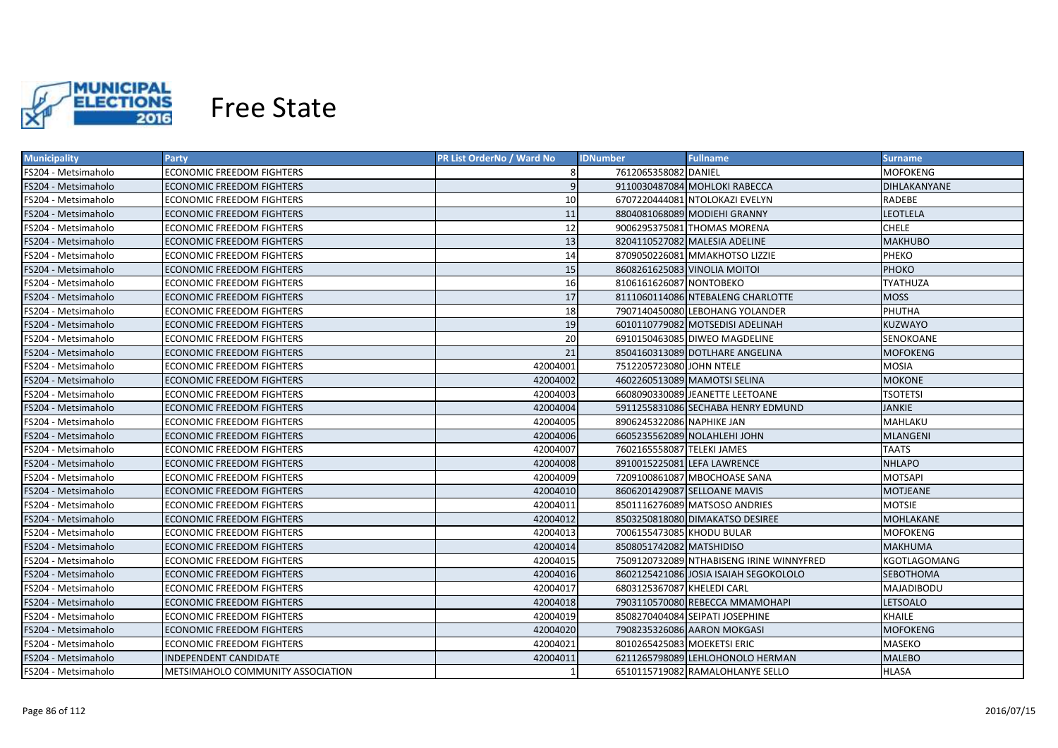

| <b>Municipality</b> | Party                             | <b>PR List OrderNo / Ward No</b> | <b>IDNumber</b>             | <b>Fullname</b>                          | <b>Surname</b>  |
|---------------------|-----------------------------------|----------------------------------|-----------------------------|------------------------------------------|-----------------|
| FS204 - Metsimaholo | <b>ECONOMIC FREEDOM FIGHTERS</b>  | 8                                | 7612065358082 DANIEL        |                                          | MOFOKENG        |
| FS204 - Metsimaholo | ECONOMIC FREEDOM FIGHTERS         | 9                                |                             | 9110030487084 MOHLOKI RABECCA            | DIHLAKANYANE    |
| FS204 - Metsimaholo | ECONOMIC FREEDOM FIGHTERS         | 10                               |                             | 6707220444081 NTOLOKAZI EVELYN           | RADEBE          |
| FS204 - Metsimaholo | ECONOMIC FREEDOM FIGHTERS         | 11                               |                             | 8804081068089 MODIEHI GRANNY             | LEOTLELA        |
| FS204 - Metsimaholo | ECONOMIC FREEDOM FIGHTERS         | 12                               |                             | 9006295375081 THOMAS MORENA              | <b>CHELE</b>    |
| FS204 - Metsimaholo | ECONOMIC FREEDOM FIGHTERS         | 13                               |                             | 8204110527082 MALESIA ADELINE            | <b>MAKHUBO</b>  |
| FS204 - Metsimaholo | ECONOMIC FREEDOM FIGHTERS         | 14                               |                             | 8709050226081 MMAKHOTSO LIZZIE           | PHEKO           |
| FS204 - Metsimaholo | <b>ECONOMIC FREEDOM FIGHTERS</b>  | 15                               |                             | 8608261625083 VINOLIA MOITOI             | <b>PHOKO</b>    |
| FS204 - Metsimaholo | <b>ECONOMIC FREEDOM FIGHTERS</b>  | 16                               | 8106161626087 NONTOBEKO     |                                          | TYATHUZA        |
| FS204 - Metsimaholo | <b>ECONOMIC FREEDOM FIGHTERS</b>  | 17                               |                             | 8111060114086 NTEBALENG CHARLOTTE        | <b>MOSS</b>     |
| FS204 - Metsimaholo | ECONOMIC FREEDOM FIGHTERS         | 18                               |                             | 7907140450080 LEBOHANG YOLANDER          | PHUTHA          |
| FS204 - Metsimaholo | <b>ECONOMIC FREEDOM FIGHTERS</b>  | 19                               |                             | 6010110779082 MOTSEDISI ADELINAH         | <b>KUZWAYO</b>  |
| FS204 - Metsimaholo | ECONOMIC FREEDOM FIGHTERS         | 20                               |                             | 6910150463085 DIWEO MAGDELINE            | SENOKOANE       |
| FS204 - Metsimaholo | <b>ECONOMIC FREEDOM FIGHTERS</b>  | 21                               |                             | 8504160313089 DOTLHARE ANGELINA          | <b>MOFOKENG</b> |
| FS204 - Metsimaholo | <b>ECONOMIC FREEDOM FIGHTERS</b>  | 42004001                         | 7512205723080 JOHN NTELE    |                                          | <b>MOSIA</b>    |
| FS204 - Metsimaholo | ECONOMIC FREEDOM FIGHTERS         | 42004002                         |                             | 4602260513089 MAMOTSI SELINA             | <b>MOKONE</b>   |
| FS204 - Metsimaholo | <b>ECONOMIC FREEDOM FIGHTERS</b>  | 42004003                         |                             | 6608090330089 JEANETTE LEETOANE          | <b>TSOTETSI</b> |
| FS204 - Metsimaholo | <b>ECONOMIC FREEDOM FIGHTERS</b>  | 42004004                         |                             | 5911255831086 SECHABA HENRY EDMUND       | <b>JANKIE</b>   |
| FS204 - Metsimaholo | <b>ECONOMIC FREEDOM FIGHTERS</b>  | 42004005                         | 8906245322086 NAPHIKE JAN   |                                          | MAHLAKU         |
| FS204 - Metsimaholo | <b>ECONOMIC FREEDOM FIGHTERS</b>  | 42004006                         |                             | 6605235562089 NOLAHLEHI JOHN             | <b>MLANGENI</b> |
| FS204 - Metsimaholo | <b>ECONOMIC FREEDOM FIGHTERS</b>  | 42004007                         | 7602165558087 TELEKI JAMES  |                                          | <b>TAATS</b>    |
| FS204 - Metsimaholo | ECONOMIC FREEDOM FIGHTERS         | 42004008                         |                             | 8910015225081 LEFA LAWRENCE              | <b>NHLAPO</b>   |
| FS204 - Metsimaholo | ECONOMIC FREEDOM FIGHTERS         | 42004009                         |                             | 7209100861087 MBOCHOASE SANA             | <b>MOTSAPI</b>  |
| FS204 - Metsimaholo | <b>ECONOMIC FREEDOM FIGHTERS</b>  | 42004010                         |                             | 8606201429087 SELLOANE MAVIS             | <b>MOTJEANE</b> |
| FS204 - Metsimaholo | ECONOMIC FREEDOM FIGHTERS         | 42004011                         |                             | 8501116276089 MATSOSO ANDRIES            | MOTSIE          |
| FS204 - Metsimaholo | ECONOMIC FREEDOM FIGHTERS         | 42004012                         |                             | 8503250818080 DIMAKATSO DESIREE          | MOHLAKANE       |
| FS204 - Metsimaholo | ECONOMIC FREEDOM FIGHTERS         | 42004013                         | 7006155473085 KHODU BULAR   |                                          | MOFOKENG        |
| FS204 - Metsimaholo | ECONOMIC FREEDOM FIGHTERS         | 42004014                         | 8508051742082 MATSHIDISO    |                                          | <b>MAKHUMA</b>  |
| FS204 - Metsimaholo | ECONOMIC FREEDOM FIGHTERS         | 42004015                         |                             | 7509120732089 NTHABISENG IRINE WINNYFRED | KGOTLAGOMANG    |
| FS204 - Metsimaholo | ECONOMIC FREEDOM FIGHTERS         | 42004016                         |                             | 8602125421086 JOSIA ISAIAH SEGOKOLOLO    | SEBOTHOMA       |
| FS204 - Metsimaholo | ECONOMIC FREEDOM FIGHTERS         | 42004017                         | 6803125367087 KHELEDI CARL  |                                          | MAJADIBODU      |
| FS204 - Metsimaholo | ECONOMIC FREEDOM FIGHTERS         | 42004018                         |                             | 7903110570080 REBECCA MMAMOHAPI          | LETSOALO        |
| FS204 - Metsimaholo | ECONOMIC FREEDOM FIGHTERS         | 42004019                         |                             | 8508270404084 SEIPATI JOSEPHINE          | <b>KHAILE</b>   |
| FS204 - Metsimaholo | ECONOMIC FREEDOM FIGHTERS         | 42004020                         |                             | 7908235326086 AARON MOKGASI              | <b>MOFOKENG</b> |
| FS204 - Metsimaholo | ECONOMIC FREEDOM FIGHTERS         | 42004021                         | 8010265425083 MOEKETSI ERIC |                                          | <b>MASEKO</b>   |
| FS204 - Metsimaholo | INDEPENDENT CANDIDATE             | 42004011                         |                             | 6211265798089 LEHLOHONOLO HERMAN         | <b>MALEBO</b>   |
| FS204 - Metsimaholo | METSIMAHOLO COMMUNITY ASSOCIATION |                                  |                             | 6510115719082 RAMALOHLANYE SELLO         | <b>HLASA</b>    |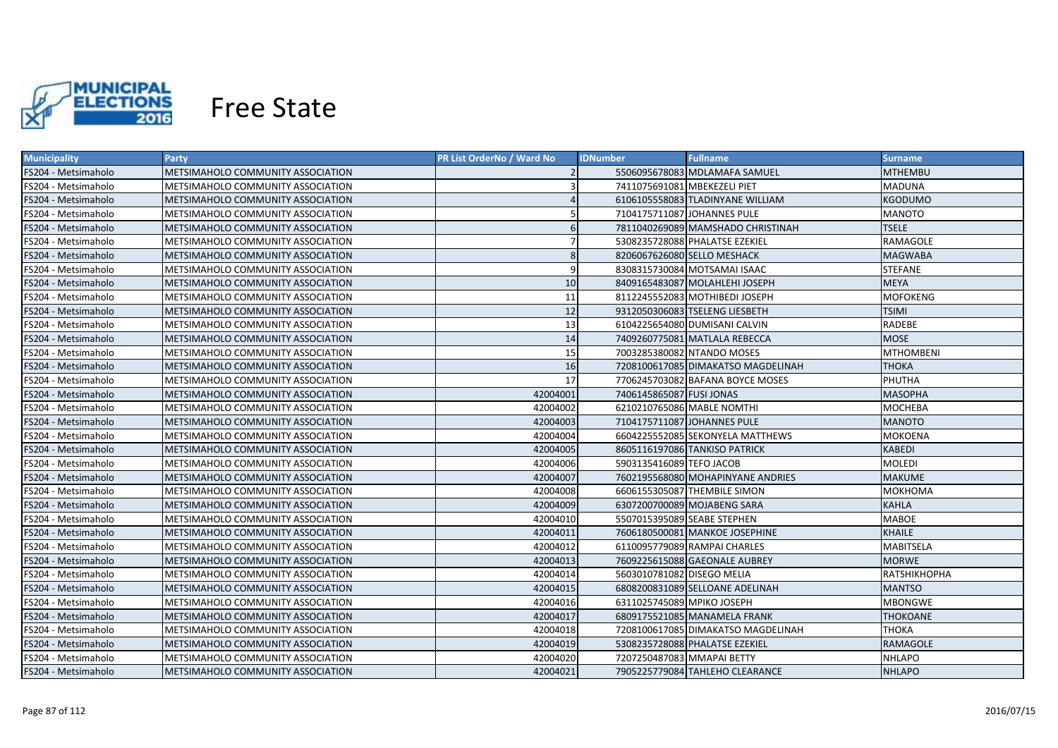

| <b>Municipality</b> | <b>Party</b>                             | PR List OrderNo / Ward No | <b>IDNumber</b>              | <b>Fullname</b>                    | <b>Surname</b>      |
|---------------------|------------------------------------------|---------------------------|------------------------------|------------------------------------|---------------------|
| FS204 - Metsimaholo | METSIMAHOLO COMMUNITY ASSOCIATION        |                           |                              | 5506095678083 MDLAMAFA SAMUEL      | MTHEMBU             |
| FS204 - Metsimaholo | METSIMAHOLO COMMUNITY ASSOCIATION        |                           | 7411075691081 MBEKEZELI PIET |                                    | <b>MADUNA</b>       |
| FS204 - Metsimaholo | METSIMAHOLO COMMUNITY ASSOCIATION        |                           |                              | 6106105558083 TLADINYANE WILLIAM   | <b>KGODUMO</b>      |
| FS204 - Metsimaholo | METSIMAHOLO COMMUNITY ASSOCIATION        |                           |                              | 7104175711087 JOHANNES PULE        | MANOTO              |
| FS204 - Metsimaholo | METSIMAHOLO COMMUNITY ASSOCIATION        | 6                         |                              | 7811040269089 MAMSHADO CHRISTINAH  | <b>TSELE</b>        |
| FS204 - Metsimaholo | METSIMAHOLO COMMUNITY ASSOCIATION        |                           |                              | 5308235728088 PHALATSE EZEKIEL     | RAMAGOLE            |
| FS204 - Metsimaholo | METSIMAHOLO COMMUNITY ASSOCIATION        | 8                         |                              | 8206067626080 SELLO MESHACK        | <b>MAGWABA</b>      |
| FS204 - Metsimaholo | <b>METSIMAHOLO COMMUNITY ASSOCIATION</b> | 9                         |                              | 8308315730084 MOTSAMAI ISAAC       | <b>STEFANE</b>      |
| FS204 - Metsimaholo | <b>METSIMAHOLO COMMUNITY ASSOCIATION</b> | 10                        |                              | 8409165483087 MOLAHLEHI JOSEPH     | <b>MEYA</b>         |
| FS204 - Metsimaholo | <b>METSIMAHOLO COMMUNITY ASSOCIATION</b> | 11                        |                              | 8112245552083 MOTHIBEDI JOSEPH     | <b>MOFOKENG</b>     |
| FS204 - Metsimaholo | METSIMAHOLO COMMUNITY ASSOCIATION        | 12                        |                              | 9312050306083 TSELENG LIESBETH     | TSIMI               |
| FS204 - Metsimaholo | <b>METSIMAHOLO COMMUNITY ASSOCIATION</b> | 13                        |                              | 6104225654080 DUMISANI CALVIN      | <b>RADEBE</b>       |
| FS204 - Metsimaholo | METSIMAHOLO COMMUNITY ASSOCIATION        | 14                        |                              | 7409260775081 MATLALA REBECCA      | <b>MOSE</b>         |
| FS204 - Metsimaholo | METSIMAHOLO COMMUNITY ASSOCIATION        | 15                        |                              | 7003285380082 NTANDO MOSES         | <b>MTHOMBENI</b>    |
| FS204 - Metsimaholo | METSIMAHOLO COMMUNITY ASSOCIATION        | 16                        |                              | 7208100617085 DIMAKATSO MAGDELINAH | <b>THOKA</b>        |
| FS204 - Metsimaholo | METSIMAHOLO COMMUNITY ASSOCIATION        | 17                        |                              | 7706245703082 BAFANA BOYCE MOSES   | PHUTHA              |
| FS204 - Metsimaholo | METSIMAHOLO COMMUNITY ASSOCIATION        | 42004001                  | 7406145865087 FUSI JONAS     |                                    | <b>MASOPHA</b>      |
| FS204 - Metsimaholo | <b>METSIMAHOLO COMMUNITY ASSOCIATION</b> | 42004002                  |                              | 6210210765086 MABLE NOMTHI         | <b>MOCHEBA</b>      |
| FS204 - Metsimaholo | METSIMAHOLO COMMUNITY ASSOCIATION        | 42004003                  |                              | 7104175711087 JOHANNES PULE        | <b>MANOTO</b>       |
| FS204 - Metsimaholo | METSIMAHOLO COMMUNITY ASSOCIATION        | 42004004                  |                              | 6604225552085 SEKONYELA MATTHEWS   | MOKOENA             |
| FS204 - Metsimaholo | METSIMAHOLO COMMUNITY ASSOCIATION        | 42004005                  |                              | 8605116197086 TANKISO PATRICK      | <b>KABEDI</b>       |
| FS204 - Metsimaholo | METSIMAHOLO COMMUNITY ASSOCIATION        | 42004006                  | 5903135416089 TEFO JACOB     |                                    | <b>MOLEDI</b>       |
| FS204 - Metsimaholo | <b>METSIMAHOLO COMMUNITY ASSOCIATION</b> | 42004007                  |                              | 7602195568080 MOHAPINYANE ANDRIES  | <b>MAKUME</b>       |
| FS204 - Metsimaholo | METSIMAHOLO COMMUNITY ASSOCIATION        | 42004008                  |                              | 6606155305087 THEMBILE SIMON       | МОКНОМА             |
| FS204 - Metsimaholo | METSIMAHOLO COMMUNITY ASSOCIATION        | 42004009                  |                              | 6307200700089 MOJABENG SARA        | <b>KAHLA</b>        |
| FS204 - Metsimaholo | METSIMAHOLO COMMUNITY ASSOCIATION        | 42004010                  | 5507015395089 SEABE STEPHEN  |                                    | MABOE               |
| FS204 - Metsimaholo | METSIMAHOLO COMMUNITY ASSOCIATION        | 42004011                  |                              | 7606180500081 MANKOE JOSEPHINE     | <b>KHAILE</b>       |
| FS204 - Metsimaholo | METSIMAHOLO COMMUNITY ASSOCIATION        | 42004012                  |                              | 6110095779089 RAMPAI CHARLES       | MABITSELA           |
| FS204 - Metsimaholo | METSIMAHOLO COMMUNITY ASSOCIATION        | 42004013                  |                              | 7609225615088 GAEONALE AUBREY      | <b>MORWE</b>        |
| FS204 - Metsimaholo | METSIMAHOLO COMMUNITY ASSOCIATION        | 42004014                  | 5603010781082 DISEGO MELIA   |                                    | <b>RATSHIKHOPHA</b> |
| FS204 - Metsimaholo | METSIMAHOLO COMMUNITY ASSOCIATION        | 42004015                  |                              | 6808200831089 SELLOANE ADELINAH    | MANTSO              |
| FS204 - Metsimaholo | METSIMAHOLO COMMUNITY ASSOCIATION        | 42004016                  | 6311025745089 MPIKO JOSEPH   |                                    | <b>MBONGWE</b>      |
| FS204 - Metsimaholo | METSIMAHOLO COMMUNITY ASSOCIATION        | 42004017                  |                              | 6809175521085 MANAMELA FRANK       | <b>THOKOANE</b>     |
| FS204 - Metsimaholo | METSIMAHOLO COMMUNITY ASSOCIATION        | 42004018                  |                              | 7208100617085 DIMAKATSO MAGDELINAH | ТНОКА               |
| FS204 - Metsimaholo | METSIMAHOLO COMMUNITY ASSOCIATION        | 42004019                  |                              | 5308235728088 PHALATSE EZEKIEL     | RAMAGOLE            |
| FS204 - Metsimaholo | METSIMAHOLO COMMUNITY ASSOCIATION        | 42004020                  | 7207250487083 MMAPAI BETTY   |                                    | <b>NHLAPO</b>       |
| FS204 - Metsimaholo | METSIMAHOLO COMMUNITY ASSOCIATION        | 42004021                  |                              | 7905225779084 TAHLEHO CLEARANCE    | <b>NHLAPO</b>       |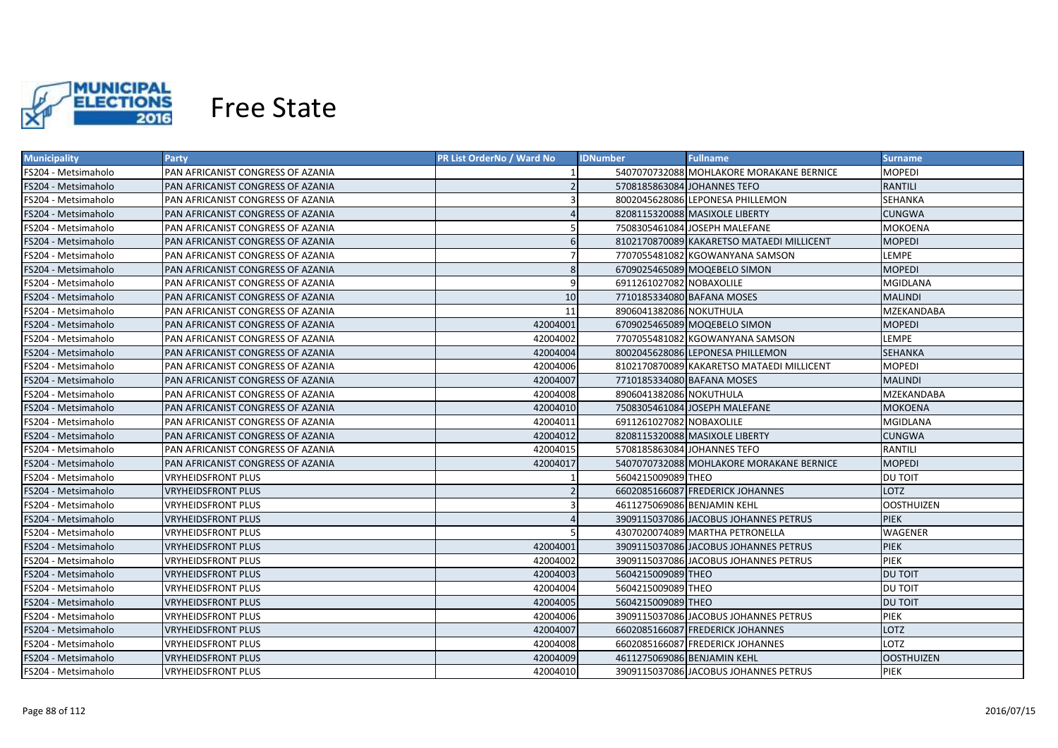

| <b>Municipality</b> | <b>Party</b>                      | <b>PR List OrderNo / Ward No</b> | <b>IDNumber</b>             | <b>Fullname</b>                           | <b>Surname</b>    |
|---------------------|-----------------------------------|----------------------------------|-----------------------------|-------------------------------------------|-------------------|
| FS204 - Metsimaholo | PAN AFRICANIST CONGRESS OF AZANIA |                                  |                             | 5407070732088 MOHLAKORE MORAKANE BERNICE  | <b>MOPEDI</b>     |
| FS204 - Metsimaholo | PAN AFRICANIST CONGRESS OF AZANIA |                                  |                             | 5708185863084 JOHANNES TEFO               | <b>RANTILI</b>    |
| FS204 - Metsimaholo | PAN AFRICANIST CONGRESS OF AZANIA |                                  |                             | 8002045628086 LEPONESA PHILLEMON          | <b>SEHANKA</b>    |
| FS204 - Metsimaholo | PAN AFRICANIST CONGRESS OF AZANIA |                                  |                             | 8208115320088 MASIXOLE LIBERTY            | <b>CUNGWA</b>     |
| FS204 - Metsimaholo | PAN AFRICANIST CONGRESS OF AZANIA |                                  |                             | 7508305461084 JOSEPH MALEFANE             | <b>MOKOENA</b>    |
| FS204 - Metsimaholo | PAN AFRICANIST CONGRESS OF AZANIA | 6                                |                             | 8102170870089 KAKARETSO MATAEDI MILLICENT | <b>MOPEDI</b>     |
| FS204 - Metsimaholo | PAN AFRICANIST CONGRESS OF AZANIA | $\overline{7}$                   |                             | 7707055481082 KGOWANYANA SAMSON           | LEMPE             |
| FS204 - Metsimaholo | PAN AFRICANIST CONGRESS OF AZANIA | 8                                |                             | 6709025465089 MOQEBELO SIMON              | <b>MOPEDI</b>     |
| FS204 - Metsimaholo | PAN AFRICANIST CONGRESS OF AZANIA | 9                                | 6911261027082 NOBAXOLILE    |                                           | <b>MGIDLANA</b>   |
| FS204 - Metsimaholo | PAN AFRICANIST CONGRESS OF AZANIA | 10 <sup>1</sup>                  | 7710185334080 BAFANA MOSES  |                                           | <b>MALINDI</b>    |
| FS204 - Metsimaholo | PAN AFRICANIST CONGRESS OF AZANIA | 11                               | 8906041382086 NOKUTHULA     |                                           | MZEKANDABA        |
| FS204 - Metsimaholo | PAN AFRICANIST CONGRESS OF AZANIA | 42004001                         |                             | 6709025465089 MOQEBELO SIMON              | <b>MOPEDI</b>     |
| FS204 - Metsimaholo | PAN AFRICANIST CONGRESS OF AZANIA | 42004002                         |                             | 7707055481082 KGOWANYANA SAMSON           | LEMPE             |
| FS204 - Metsimaholo | PAN AFRICANIST CONGRESS OF AZANIA | 42004004                         |                             | 8002045628086 LEPONESA PHILLEMON          | <b>SEHANKA</b>    |
| FS204 - Metsimaholo | PAN AFRICANIST CONGRESS OF AZANIA | 42004006                         |                             | 8102170870089 KAKARETSO MATAEDI MILLICENT | <b>MOPEDI</b>     |
| FS204 - Metsimaholo | PAN AFRICANIST CONGRESS OF AZANIA | 42004007                         | 7710185334080 BAFANA MOSES  |                                           | <b>MALINDI</b>    |
| FS204 - Metsimaholo | PAN AFRICANIST CONGRESS OF AZANIA | 42004008                         | 8906041382086 NOKUTHULA     |                                           | <b>MZEKANDABA</b> |
| FS204 - Metsimaholo | PAN AFRICANIST CONGRESS OF AZANIA | 42004010                         |                             | 7508305461084 JOSEPH MALEFANE             | <b>MOKOENA</b>    |
| FS204 - Metsimaholo | PAN AFRICANIST CONGRESS OF AZANIA | 42004011                         | 6911261027082 NOBAXOLILE    |                                           | <b>MGIDLANA</b>   |
| FS204 - Metsimaholo | PAN AFRICANIST CONGRESS OF AZANIA | 42004012                         |                             | 8208115320088 MASIXOLE LIBERTY            | <b>CUNGWA</b>     |
| FS204 - Metsimaholo | PAN AFRICANIST CONGRESS OF AZANIA | 42004015                         |                             | 5708185863084 JOHANNES TEFO               | <b>RANTILI</b>    |
| FS204 - Metsimaholo | PAN AFRICANIST CONGRESS OF AZANIA | 42004017                         |                             | 5407070732088 MOHLAKORE MORAKANE BERNICE  | <b>MOPEDI</b>     |
| FS204 - Metsimaholo | <b>VRYHEIDSFRONT PLUS</b>         |                                  | 5604215009089 THEO          |                                           | DU TOIT           |
| FS204 - Metsimaholo | <b>VRYHEIDSFRONT PLUS</b>         |                                  |                             | 6602085166087 FREDERICK JOHANNES          | <b>LOTZ</b>       |
| FS204 - Metsimaholo | VRYHEIDSFRONT PLUS                | $\mathbf{a}$                     | 4611275069086 BENJAMIN KEHL |                                           | <b>OOSTHUIZEN</b> |
| FS204 - Metsimaholo | <b>VRYHEIDSFRONT PLUS</b>         |                                  |                             | 3909115037086 JACOBUS JOHANNES PETRUS     | <b>PIEK</b>       |
| FS204 - Metsimaholo | VRYHEIDSFRONT PLUS                |                                  |                             | 4307020074089 MARTHA PETRONELLA           | WAGENER           |
| FS204 - Metsimaholo | VRYHEIDSFRONT PLUS                | 42004001                         |                             | 3909115037086 JACOBUS JOHANNES PETRUS     | <b>PIEK</b>       |
| FS204 - Metsimaholo | VRYHEIDSFRONT PLUS                | 42004002                         |                             | 3909115037086 JACOBUS JOHANNES PETRUS     | <b>PIEK</b>       |
| FS204 - Metsimaholo | VRYHEIDSFRONT PLUS                | 42004003                         | 5604215009089 THEO          |                                           | <b>DU TOIT</b>    |
| FS204 - Metsimaholo | <b>VRYHEIDSFRONT PLUS</b>         | 42004004                         | 5604215009089 THEO          |                                           | <b>DU TOIT</b>    |
| FS204 - Metsimaholo | VRYHEIDSFRONT PLUS                | 42004005                         | 5604215009089 THEO          |                                           | <b>DU TOIT</b>    |
| FS204 - Metsimaholo | VRYHEIDSFRONT PLUS                | 42004006                         |                             | 3909115037086 JACOBUS JOHANNES PETRUS     | PIEK              |
| FS204 - Metsimaholo | <b>VRYHEIDSFRONT PLUS</b>         | 42004007                         |                             | 6602085166087 FREDERICK JOHANNES          | LOTZ              |
| FS204 - Metsimaholo | <b>VRYHEIDSFRONT PLUS</b>         | 42004008                         |                             | 6602085166087 FREDERICK JOHANNES          | LOTZ              |
| FS204 - Metsimaholo | <b>VRYHEIDSFRONT PLUS</b>         | 42004009                         | 4611275069086 BENJAMIN KEHL |                                           | <b>OOSTHUIZEN</b> |
| FS204 - Metsimaholo | <b>VRYHEIDSFRONT PLUS</b>         | 42004010                         |                             | 3909115037086 JACOBUS JOHANNES PETRUS     | PIEK              |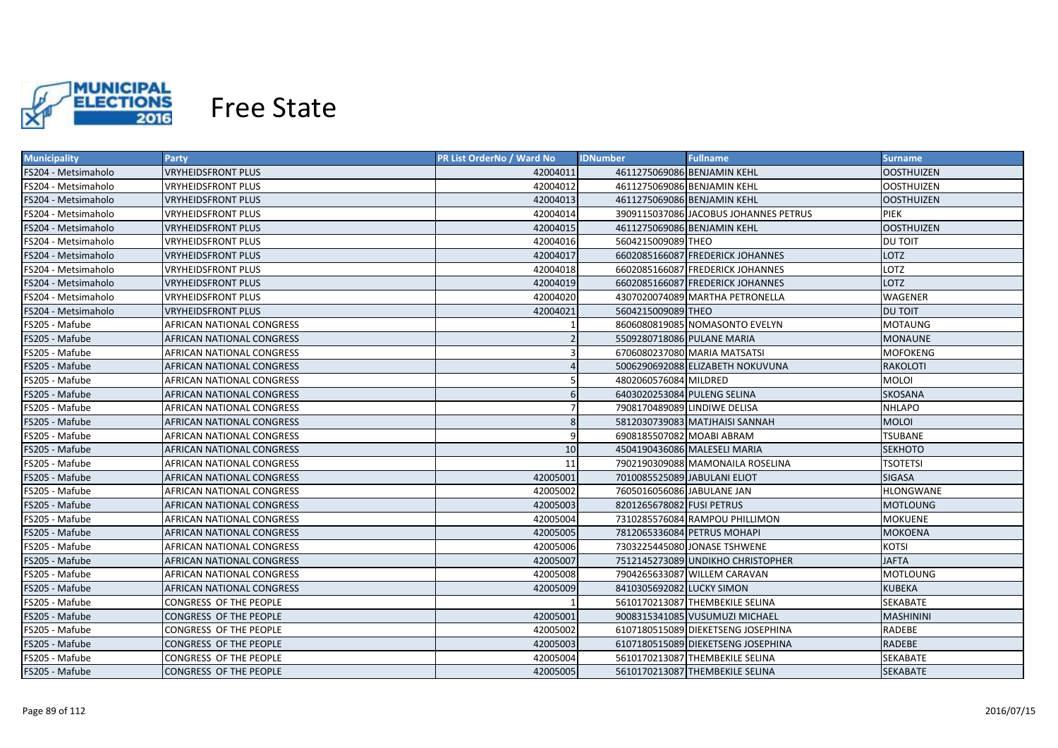

| <b>Municipality</b> | <b>Party</b>              | <b>PR List OrderNo / Ward No</b> | <b>IDNumber</b>              | <b>Fullname</b>                       | <b>Surname</b>    |
|---------------------|---------------------------|----------------------------------|------------------------------|---------------------------------------|-------------------|
| FS204 - Metsimaholo | <b>VRYHEIDSFRONT PLUS</b> | 42004011                         | 4611275069086 BENJAMIN KEHL  |                                       | <b>OOSTHUIZEN</b> |
| FS204 - Metsimaholo | <b>VRYHEIDSFRONT PLUS</b> | 42004012                         | 4611275069086 BENJAMIN KEHL  |                                       | <b>OOSTHUIZEN</b> |
| FS204 - Metsimaholo | <b>VRYHEIDSFRONT PLUS</b> | 42004013                         | 4611275069086 BENJAMIN KEHL  |                                       | <b>OOSTHUIZEN</b> |
| FS204 - Metsimaholo | <b>VRYHEIDSFRONT PLUS</b> | 42004014                         |                              | 3909115037086 JACOBUS JOHANNES PETRUS | <b>PIEK</b>       |
| FS204 - Metsimaholo | <b>VRYHEIDSFRONT PLUS</b> | 42004015                         | 4611275069086 BENJAMIN KEHL  |                                       | <b>OOSTHUIZEN</b> |
| FS204 - Metsimaholo | <b>VRYHEIDSFRONT PLUS</b> | 42004016                         | 5604215009089 THEO           |                                       | <b>DU TOIT</b>    |
| FS204 - Metsimaholo | <b>VRYHEIDSFRONT PLUS</b> | 42004017                         |                              | 6602085166087 FREDERICK JOHANNES      | <b>LOTZ</b>       |
| FS204 - Metsimaholo | <b>VRYHEIDSFRONT PLUS</b> | 42004018                         |                              | 6602085166087 FREDERICK JOHANNES      | <b>LOTZ</b>       |
| FS204 - Metsimaholo | <b>VRYHEIDSFRONT PLUS</b> | 42004019                         |                              | 6602085166087 FREDERICK JOHANNES      | <b>LOTZ</b>       |
| FS204 - Metsimaholo | <b>VRYHEIDSFRONT PLUS</b> | 42004020                         |                              | 4307020074089 MARTHA PETRONELLA       | WAGENER           |
| FS204 - Metsimaholo | <b>VRYHEIDSFRONT PLUS</b> | 42004021                         | 5604215009089 THEO           |                                       | <b>DU TOIT</b>    |
| FS205 - Mafube      | AFRICAN NATIONAL CONGRESS |                                  |                              | 8606080819085 NOMASONTO EVELYN        | <b>MOTAUNG</b>    |
| FS205 - Mafube      | AFRICAN NATIONAL CONGRESS |                                  | 5509280718086 PULANE MARIA   |                                       | <b>MONAUNE</b>    |
| FS205 - Mafube      | AFRICAN NATIONAL CONGRESS | 3                                |                              | 6706080237080 MARIA MATSATSI          | <b>MOFOKENG</b>   |
| FS205 - Mafube      | AFRICAN NATIONAL CONGRESS |                                  |                              | 5006290692088 ELIZABETH NOKUVUNA      | <b>RAKOLOTI</b>   |
| FS205 - Mafube      | AFRICAN NATIONAL CONGRESS | 5                                | 4802060576084 MILDRED        |                                       | <b>MOLOI</b>      |
| FS205 - Mafube      | AFRICAN NATIONAL CONGRESS | 6                                | 6403020253084 PULENG SELINA  |                                       | <b>SKOSANA</b>    |
| FS205 - Mafube      | AFRICAN NATIONAL CONGRESS | $\overline{7}$                   | 7908170489089 LINDIWE DELISA |                                       | <b>NHLAPO</b>     |
| FS205 - Mafube      | AFRICAN NATIONAL CONGRESS | 8                                |                              | 5812030739083 MATJHAISI SANNAH        | <b>MOLOI</b>      |
| FS205 - Mafube      | AFRICAN NATIONAL CONGRESS | 9                                | 6908185507082 MOABI ABRAM    |                                       | <b>TSUBANE</b>    |
| FS205 - Mafube      | AFRICAN NATIONAL CONGRESS | 10                               |                              | 4504190436086 MALESELI MARIA          | <b>SEKHOTO</b>    |
| FS205 - Mafube      | AFRICAN NATIONAL CONGRESS | 11                               |                              | 7902190309088 MAMONAILA ROSELINA      | <b>TSOTETSI</b>   |
| FS205 - Mafube      | AFRICAN NATIONAL CONGRESS | 42005001                         | 7010085525089 JABULANI ELIOT |                                       | <b>SIGASA</b>     |
| FS205 - Mafube      | AFRICAN NATIONAL CONGRESS | 42005002                         | 7605016056086 JABULANE JAN   |                                       | HLONGWANE         |
| FS205 - Mafube      | AFRICAN NATIONAL CONGRESS | 42005003                         | 8201265678082 FUSI PETRUS    |                                       | MOTLOUNG          |
| FS205 - Mafube      | AFRICAN NATIONAL CONGRESS | 42005004                         |                              | 7310285576084 RAMPOU PHILLIMON        | MOKUENE           |
| FS205 - Mafube      | AFRICAN NATIONAL CONGRESS | 42005005                         |                              | 7812065336084 PETRUS MOHAPI           | <b>MOKOENA</b>    |
| FS205 - Mafube      | AFRICAN NATIONAL CONGRESS | 42005006                         |                              | 7303225445080 JONASE TSHWENE          | <b>KOTSI</b>      |
| FS205 - Mafube      | AFRICAN NATIONAL CONGRESS | 42005007                         |                              | 7512145273089 UNDIKHO CHRISTOPHER     | <b>JAFTA</b>      |
| FS205 - Mafube      | AFRICAN NATIONAL CONGRESS | 42005008                         |                              | 7904265633087 WILLEM CARAVAN          | MOTLOUNG          |
| FS205 - Mafube      | AFRICAN NATIONAL CONGRESS | 42005009                         | 8410305692082 LUCKY SIMON    |                                       | <b>KUBEKA</b>     |
| FS205 - Mafube      | CONGRESS OF THE PEOPLE    |                                  |                              | 5610170213087 THEMBEKILE SELINA       | <b>SEKABATE</b>   |
| FS205 - Mafube      | CONGRESS OF THE PEOPLE    | 42005001                         |                              | 9008315341085 VUSUMUZI MICHAEL        | <b>MASHININI</b>  |
| FS205 - Mafube      | CONGRESS OF THE PEOPLE    | 42005002                         |                              | 6107180515089 DIEKETSENG JOSEPHINA    | RADEBE            |
| FS205 - Mafube      | CONGRESS OF THE PEOPLE    | 42005003                         |                              | 6107180515089 DIEKETSENG JOSEPHINA    | <b>RADEBE</b>     |
| FS205 - Mafube      | CONGRESS OF THE PEOPLE    | 42005004                         |                              | 5610170213087 THEMBEKILE SELINA       | <b>SEKABATE</b>   |
| FS205 - Mafube      | CONGRESS OF THE PEOPLE    | 42005005                         |                              | 5610170213087 THEMBEKILE SELINA       | <b>SEKABATE</b>   |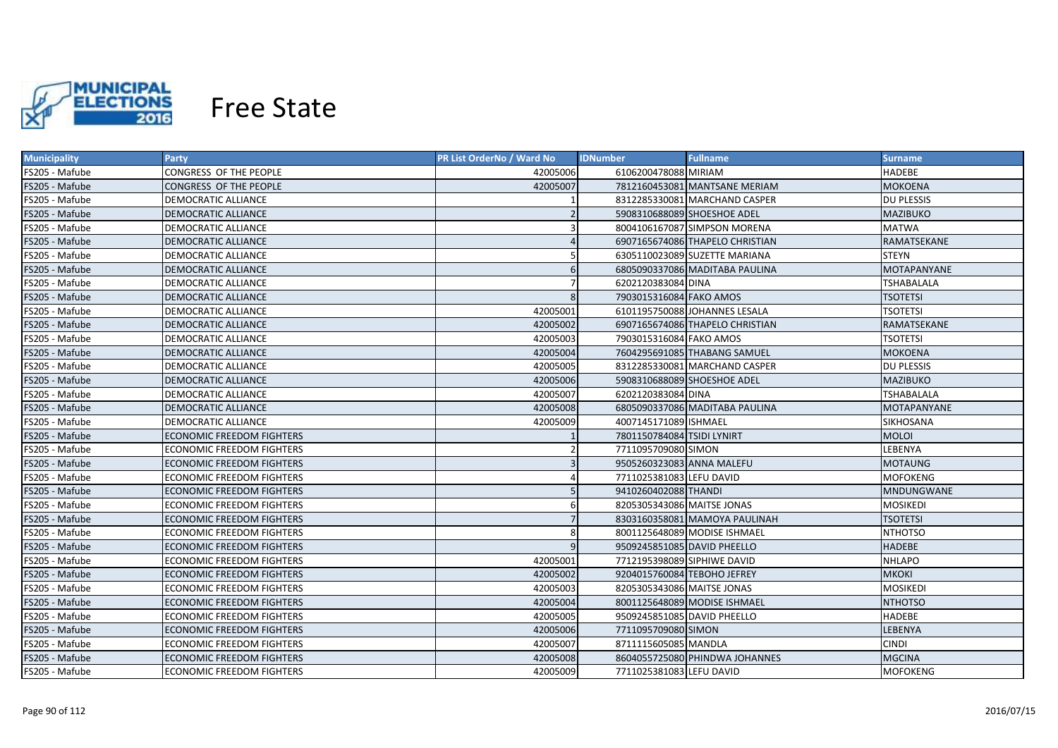

| <b>Municipality</b> | Party                            | <b>PR List OrderNo / Ward No</b> | <b>IDNumber</b><br><b>Fullname</b> | <b>Surname</b>     |
|---------------------|----------------------------------|----------------------------------|------------------------------------|--------------------|
| FS205 - Mafube      | CONGRESS OF THE PEOPLE           | 42005006                         | 6106200478088 MIRIAM               | <b>HADEBE</b>      |
| FS205 - Mafube      | CONGRESS OF THE PEOPLE           | 42005007                         | 7812160453081 MANTSANE MERIAM      | <b>MOKOENA</b>     |
| FS205 - Mafube      | <b>DEMOCRATIC ALLIANCE</b>       |                                  | 8312285330081 MARCHAND CASPER      | <b>DU PLESSIS</b>  |
| FS205 - Mafube      | <b>DEMOCRATIC ALLIANCE</b>       |                                  | 5908310688089 SHOESHOE ADEL        | <b>MAZIBUKO</b>    |
| FS205 - Mafube      | DEMOCRATIC ALLIANCE              | 3                                | 8004106167087 SIMPSON MORENA       | <b>MATWA</b>       |
| FS205 - Mafube      | <b>DEMOCRATIC ALLIANCE</b>       |                                  | 6907165674086 THAPELO CHRISTIAN    | RAMATSEKANE        |
| FS205 - Mafube      | <b>DEMOCRATIC ALLIANCE</b>       |                                  | 6305110023089 SUZETTE MARIANA      | <b>STEYN</b>       |
| FS205 - Mafube      | <b>DEMOCRATIC ALLIANCE</b>       | 6                                | 6805090337086 MADITABA PAULINA     | <b>MOTAPANYANE</b> |
| FS205 - Mafube      | <b>DEMOCRATIC ALLIANCE</b>       |                                  | 6202120383084 DINA                 | <b>TSHABALALA</b>  |
| FS205 - Mafube      | <b>DEMOCRATIC ALLIANCE</b>       | 8                                | 7903015316084 FAKO AMOS            | <b>TSOTETSI</b>    |
| FS205 - Mafube      | DEMOCRATIC ALLIANCE              | 42005001                         | 6101195750088 JOHANNES LESALA      | <b>TSOTETSI</b>    |
| FS205 - Mafube      | DEMOCRATIC ALLIANCE              | 42005002                         | 6907165674086 THAPELO CHRISTIAN    | RAMATSEKANE        |
| FS205 - Mafube      | <b>DEMOCRATIC ALLIANCE</b>       | 42005003                         | 7903015316084 FAKO AMOS            | <b>TSOTETSI</b>    |
| FS205 - Mafube      | <b>DEMOCRATIC ALLIANCE</b>       | 42005004                         | 7604295691085 THABANG SAMUEL       | <b>MOKOENA</b>     |
| FS205 - Mafube      | <b>DEMOCRATIC ALLIANCE</b>       | 42005005                         | 8312285330081 MARCHAND CASPER      | <b>DU PLESSIS</b>  |
| FS205 - Mafube      | <b>DEMOCRATIC ALLIANCE</b>       | 42005006                         | 5908310688089 SHOESHOE ADEL        | <b>MAZIBUKO</b>    |
| FS205 - Mafube      | <b>DEMOCRATIC ALLIANCE</b>       | 42005007                         | 6202120383084 DINA                 | <b>TSHABALALA</b>  |
| FS205 - Mafube      | DEMOCRATIC ALLIANCE              | 42005008                         | 6805090337086 MADITABA PAULINA     | <b>MOTAPANYANE</b> |
| FS205 - Mafube      | <b>DEMOCRATIC ALLIANCE</b>       | 42005009                         | 4007145171089 ISHMAEL              | SIKHOSANA          |
| FS205 - Mafube      | <b>ECONOMIC FREEDOM FIGHTERS</b> |                                  | 7801150784084 TSIDI LYNIRT         | <b>MOLOI</b>       |
| FS205 - Mafube      | <b>ECONOMIC FREEDOM FIGHTERS</b> |                                  | 7711095709080 SIMON                | LEBENYA            |
| FS205 - Mafube      | <b>ECONOMIC FREEDOM FIGHTERS</b> | $\overline{3}$                   | 9505260323083 ANNA MALEFU          | <b>MOTAUNG</b>     |
| FS205 - Mafube      | <b>ECONOMIC FREEDOM FIGHTERS</b> |                                  | 7711025381083 LEFU DAVID           | <b>MOFOKENG</b>    |
| FS205 - Mafube      | <b>ECONOMIC FREEDOM FIGHTERS</b> |                                  | 9410260402088 THANDI               | <b>MNDUNGWANE</b>  |
| FS205 - Mafube      | ECONOMIC FREEDOM FIGHTERS        | 6                                | 8205305343086 MAITSE JONAS         | MOSIKEDI           |
| FS205 - Mafube      | <b>ECONOMIC FREEDOM FIGHTERS</b> |                                  | 8303160358081 MAMOYA PAULINAH      | TSOTETSI           |
| FS205 - Mafube      | ECONOMIC FREEDOM FIGHTERS        |                                  | 8001125648089 MODISE ISHMAEL       | NTHOTSO            |
| FS205 - Mafube      | ECONOMIC FREEDOM FIGHTERS        | 9                                | 9509245851085 DAVID PHEELLO        | <b>HADEBE</b>      |
| FS205 - Mafube      | ECONOMIC FREEDOM FIGHTERS        | 42005001                         | 7712195398089 SIPHIWE DAVID        | <b>NHLAPO</b>      |
| FS205 - Mafube      | <b>ECONOMIC FREEDOM FIGHTERS</b> | 42005002                         | 9204015760084 TEBOHO JEFREY        | <b>MKOKI</b>       |
| FS205 - Mafube      | ECONOMIC FREEDOM FIGHTERS        | 42005003                         | 8205305343086 MAITSE JONAS         | <b>MOSIKEDI</b>    |
| FS205 - Mafube      | ECONOMIC FREEDOM FIGHTERS        | 42005004                         | 8001125648089 MODISE ISHMAEL       | <b>NTHOTSO</b>     |
| FS205 - Mafube      | ECONOMIC FREEDOM FIGHTERS        | 42005005                         | 9509245851085 DAVID PHEELLO        | <b>HADEBE</b>      |
| FS205 - Mafube      | <b>ECONOMIC FREEDOM FIGHTERS</b> | 42005006                         | 7711095709080 SIMON                | LEBENYA            |
| FS205 - Mafube      | ECONOMIC FREEDOM FIGHTERS        | 42005007                         | 8711115605085 MANDLA               | <b>CINDI</b>       |
| FS205 - Mafube      | <b>ECONOMIC FREEDOM FIGHTERS</b> | 42005008                         | 8604055725080 PHINDWA JOHANNES     | <b>MGCINA</b>      |
| FS205 - Mafube      | <b>ECONOMIC FREEDOM FIGHTERS</b> | 42005009                         | 7711025381083 LEFU DAVID           | <b>MOFOKENG</b>    |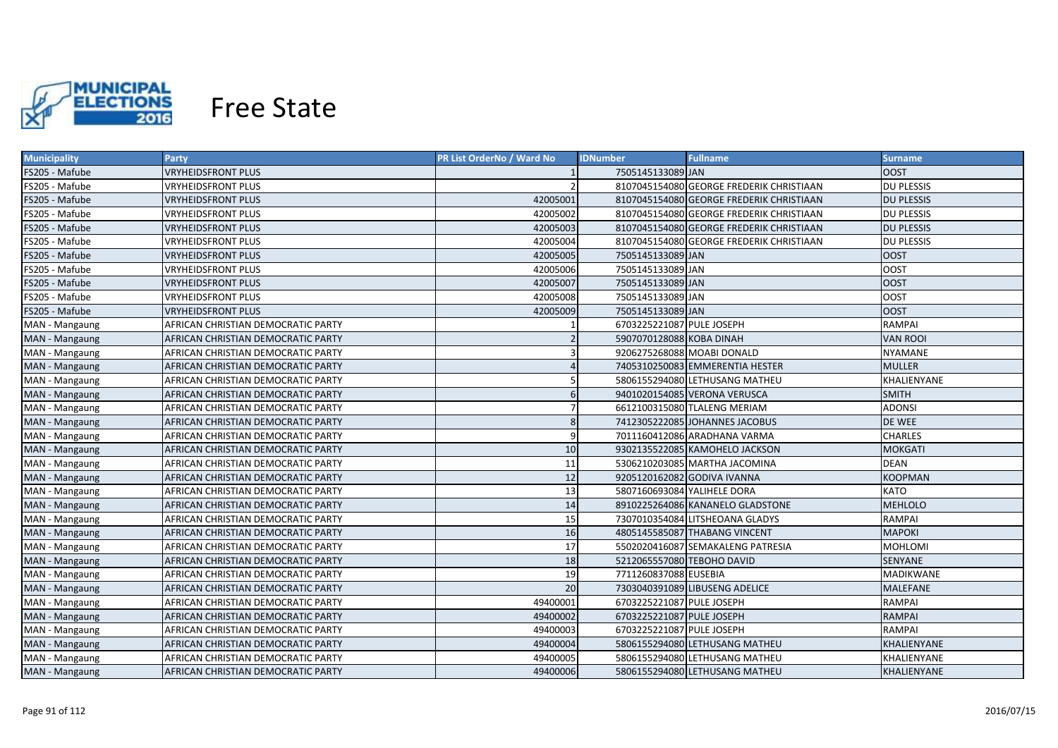

| <b>Municipality</b> | <b>Party</b>                       | PR List OrderNo / Ward No | <b>IDNumber</b>             | <b>Fullname</b>                          | <b>Surname</b>     |
|---------------------|------------------------------------|---------------------------|-----------------------------|------------------------------------------|--------------------|
| FS205 - Mafube      | <b>VRYHEIDSFRONT PLUS</b>          |                           | 7505145133089 JAN           |                                          | <b>OOST</b>        |
| FS205 - Mafube      | <b>VRYHEIDSFRONT PLUS</b>          | $\overline{2}$            |                             | 8107045154080 GEORGE FREDERIK CHRISTIAAN | <b>DU PLESSIS</b>  |
| FS205 - Mafube      | <b>VRYHEIDSFRONT PLUS</b>          | 42005001                  |                             | 8107045154080 GEORGE FREDERIK CHRISTIAAN | <b>DU PLESSIS</b>  |
| FS205 - Mafube      | <b>VRYHEIDSFRONT PLUS</b>          | 42005002                  |                             | 8107045154080 GEORGE FREDERIK CHRISTIAAN | <b>DU PLESSIS</b>  |
| FS205 - Mafube      | <b>VRYHEIDSFRONT PLUS</b>          | 42005003                  |                             | 8107045154080 GEORGE FREDERIK CHRISTIAAN | <b>DU PLESSIS</b>  |
| FS205 - Mafube      | <b>VRYHEIDSFRONT PLUS</b>          | 42005004                  |                             | 8107045154080 GEORGE FREDERIK CHRISTIAAN | <b>DU PLESSIS</b>  |
| FS205 - Mafube      | <b>VRYHEIDSFRONT PLUS</b>          | 42005005                  | 7505145133089 JAN           |                                          | <b>OOST</b>        |
| FS205 - Mafube      | <b>VRYHEIDSFRONT PLUS</b>          | 42005006                  | 7505145133089 JAN           |                                          | <b>OOST</b>        |
| FS205 - Mafube      | <b>VRYHEIDSFRONT PLUS</b>          | 42005007                  | 7505145133089 JAN           |                                          | <b>OOST</b>        |
| FS205 - Mafube      | <b>VRYHEIDSFRONT PLUS</b>          | 42005008                  | 7505145133089 JAN           |                                          | <b>OOST</b>        |
| FS205 - Mafube      | <b>VRYHEIDSFRONT PLUS</b>          | 42005009                  | 7505145133089 JAN           |                                          | <b>OOST</b>        |
| MAN - Mangaung      | AFRICAN CHRISTIAN DEMOCRATIC PARTY |                           | 6703225221087 PULE JOSEPH   |                                          | <b>RAMPAI</b>      |
| MAN - Mangaung      | AFRICAN CHRISTIAN DEMOCRATIC PARTY |                           | 5907070128088 KOBA DINAH    |                                          | <b>VAN ROOI</b>    |
| MAN - Mangaung      | AFRICAN CHRISTIAN DEMOCRATIC PARTY | $\overline{\mathbf{3}}$   | 9206275268088 MOABI DONALD  |                                          | <b>NYAMANE</b>     |
| MAN - Mangaung      | AFRICAN CHRISTIAN DEMOCRATIC PARTY |                           |                             | 7405310250083 EMMERENTIA HESTER          | <b>MULLER</b>      |
| MAN - Mangaung      | AFRICAN CHRISTIAN DEMOCRATIC PARTY | 5                         |                             | 5806155294080 LETHUSANG MATHEU           | KHALIENYANE        |
| MAN - Mangaung      | AFRICAN CHRISTIAN DEMOCRATIC PARTY | 6                         |                             | 9401020154085 VERONA VERUSCA             | <b>SMITH</b>       |
| MAN - Mangaung      | AFRICAN CHRISTIAN DEMOCRATIC PARTY | $\overline{7}$            |                             | 6612100315080 TLALENG MERIAM             | <b>ADONSI</b>      |
| MAN - Mangaung      | AFRICAN CHRISTIAN DEMOCRATIC PARTY | 8                         |                             | 7412305222085 JOHANNES JACOBUS           | DE WEE             |
| MAN - Mangaung      | AFRICAN CHRISTIAN DEMOCRATIC PARTY | 9                         |                             | 7011160412086 ARADHANA VARMA             | <b>CHARLES</b>     |
| MAN - Mangaung      | AFRICAN CHRISTIAN DEMOCRATIC PARTY | 10                        |                             | 9302135522085 KAMOHELO JACKSON           | <b>MOKGATI</b>     |
| MAN - Mangaung      | AFRICAN CHRISTIAN DEMOCRATIC PARTY | 11                        |                             | 5306210203085 MARTHA JACOMINA            | <b>DEAN</b>        |
| MAN - Mangaung      | AFRICAN CHRISTIAN DEMOCRATIC PARTY | 12                        |                             | 9205120162082 GODIVA IVANNA              | <b>KOOPMAN</b>     |
| MAN - Mangaung      | AFRICAN CHRISTIAN DEMOCRATIC PARTY | 13                        | 5807160693084 YALIHELE DORA |                                          | <b>KATO</b>        |
| MAN - Mangaung      | AFRICAN CHRISTIAN DEMOCRATIC PARTY | 14                        |                             | 8910225264086 KANANELO GLADSTONE         | <b>MEHLOLO</b>     |
| MAN - Mangaung      | AFRICAN CHRISTIAN DEMOCRATIC PARTY | 15                        |                             | 7307010354084 LITSHEOANA GLADYS          | RAMPAI             |
| MAN - Mangaung      | AFRICAN CHRISTIAN DEMOCRATIC PARTY | 16                        |                             | 4805145585087 THABANG VINCENT            | <b>MAPOKI</b>      |
| MAN - Mangaung      | AFRICAN CHRISTIAN DEMOCRATIC PARTY | 17                        |                             | 5502020416087 SEMAKALENG PATRESIA        | <b>MOHLOMI</b>     |
| MAN - Mangaung      | AFRICAN CHRISTIAN DEMOCRATIC PARTY | 18                        | 5212065557080 TEBOHO DAVID  |                                          | SENYANE            |
| MAN - Mangaung      | AFRICAN CHRISTIAN DEMOCRATIC PARTY | 19                        | 7711260837088 EUSEBIA       |                                          | MADIKWANE          |
| MAN - Mangaung      | AFRICAN CHRISTIAN DEMOCRATIC PARTY | $\overline{20}$           |                             | 7303040391089 LIBUSENG ADELICE           | MALEFANE           |
| MAN - Mangaung      | AFRICAN CHRISTIAN DEMOCRATIC PARTY | 49400001                  | 6703225221087 PULE JOSEPH   |                                          | RAMPAI             |
| MAN - Mangaung      | AFRICAN CHRISTIAN DEMOCRATIC PARTY | 49400002                  | 6703225221087 PULE JOSEPH   |                                          | <b>RAMPAI</b>      |
| MAN - Mangaung      | AFRICAN CHRISTIAN DEMOCRATIC PARTY | 49400003                  | 6703225221087 PULE JOSEPH   |                                          | <b>RAMPAI</b>      |
| MAN - Mangaung      | AFRICAN CHRISTIAN DEMOCRATIC PARTY | 49400004                  |                             | 5806155294080 LETHUSANG MATHEU           | KHALIENYANE        |
| MAN - Mangaung      | AFRICAN CHRISTIAN DEMOCRATIC PARTY | 49400005                  |                             | 5806155294080 LETHUSANG MATHEU           | KHALIENYANE        |
| MAN - Mangaung      | AFRICAN CHRISTIAN DEMOCRATIC PARTY | 49400006                  |                             | 5806155294080 LETHUSANG MATHEU           | <b>KHALIENYANE</b> |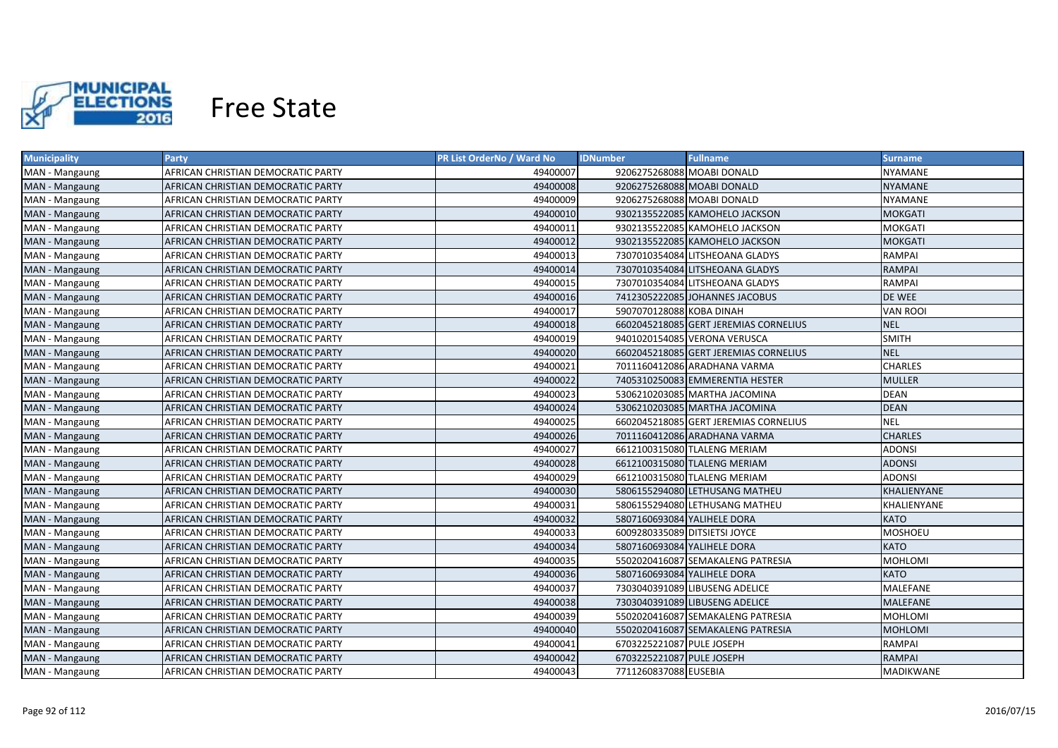

| <b>Municipality</b> | <b>Party</b>                       | PR List OrderNo / Ward No | <b>IDNumber</b>               | <b>Fullname</b>                       | <b>Surname</b>  |
|---------------------|------------------------------------|---------------------------|-------------------------------|---------------------------------------|-----------------|
| MAN - Mangaung      | AFRICAN CHRISTIAN DEMOCRATIC PARTY | 49400007                  | 9206275268088 MOABI DONALD    |                                       | NYAMANE         |
| MAN - Mangaung      | AFRICAN CHRISTIAN DEMOCRATIC PARTY | 49400008                  | 9206275268088 MOABI DONALD    |                                       | NYAMANE         |
| MAN - Mangaung      | AFRICAN CHRISTIAN DEMOCRATIC PARTY | 49400009                  | 9206275268088 MOABI DONALD    |                                       | <b>NYAMANE</b>  |
| MAN - Mangaung      | AFRICAN CHRISTIAN DEMOCRATIC PARTY | 49400010                  |                               | 9302135522085 KAMOHELO JACKSON        | <b>MOKGATI</b>  |
| MAN - Mangaung      | AFRICAN CHRISTIAN DEMOCRATIC PARTY | 49400011                  |                               | 9302135522085 KAMOHELO JACKSON        | <b>MOKGATI</b>  |
| MAN - Mangaung      | AFRICAN CHRISTIAN DEMOCRATIC PARTY | 49400012                  |                               | 9302135522085 KAMOHELO JACKSON        | <b>MOKGATI</b>  |
| MAN - Mangaung      | AFRICAN CHRISTIAN DEMOCRATIC PARTY | 49400013                  |                               | 7307010354084 LITSHEOANA GLADYS       | <b>RAMPAI</b>   |
| MAN - Mangaung      | AFRICAN CHRISTIAN DEMOCRATIC PARTY | 49400014                  |                               | 7307010354084 LITSHEOANA GLADYS       | <b>RAMPAI</b>   |
| MAN - Mangaung      | AFRICAN CHRISTIAN DEMOCRATIC PARTY | 49400015                  |                               | 7307010354084 LITSHEOANA GLADYS       | <b>RAMPAI</b>   |
| MAN - Mangaung      | AFRICAN CHRISTIAN DEMOCRATIC PARTY | 49400016                  |                               | 7412305222085 JOHANNES JACOBUS        | DE WEE          |
| MAN - Mangaung      | AFRICAN CHRISTIAN DEMOCRATIC PARTY | 49400017                  | 5907070128088 KOBA DINAH      |                                       | <b>VAN ROOI</b> |
| MAN - Mangaung      | AFRICAN CHRISTIAN DEMOCRATIC PARTY | 49400018                  |                               | 6602045218085 GERT JEREMIAS CORNELIUS | <b>NEL</b>      |
| MAN - Mangaung      | AFRICAN CHRISTIAN DEMOCRATIC PARTY | 49400019                  |                               | 9401020154085 VERONA VERUSCA          | <b>SMITH</b>    |
| MAN - Mangaung      | AFRICAN CHRISTIAN DEMOCRATIC PARTY | 49400020                  |                               | 6602045218085 GERT JEREMIAS CORNELIUS | <b>NEL</b>      |
| MAN - Mangaung      | AFRICAN CHRISTIAN DEMOCRATIC PARTY | 49400021                  |                               | 7011160412086 ARADHANA VARMA          | <b>CHARLES</b>  |
| MAN - Mangaung      | AFRICAN CHRISTIAN DEMOCRATIC PARTY | 49400022                  |                               | 7405310250083 EMMERENTIA HESTER       | <b>MULLER</b>   |
| MAN - Mangaung      | AFRICAN CHRISTIAN DEMOCRATIC PARTY | 49400023                  |                               | 5306210203085 MARTHA JACOMINA         | <b>DEAN</b>     |
| MAN - Mangaung      | AFRICAN CHRISTIAN DEMOCRATIC PARTY | 49400024                  |                               | 5306210203085 MARTHA JACOMINA         | <b>DEAN</b>     |
| MAN - Mangaung      | AFRICAN CHRISTIAN DEMOCRATIC PARTY | 49400025                  |                               | 6602045218085 GERT JEREMIAS CORNELIUS | <b>NEL</b>      |
| MAN - Mangaung      | AFRICAN CHRISTIAN DEMOCRATIC PARTY | 49400026                  |                               | 7011160412086 ARADHANA VARMA          | <b>CHARLES</b>  |
| MAN - Mangaung      | AFRICAN CHRISTIAN DEMOCRATIC PARTY | 49400027                  |                               | 6612100315080 TLALENG MERIAM          | <b>ADONSI</b>   |
| MAN - Mangaung      | AFRICAN CHRISTIAN DEMOCRATIC PARTY | 49400028                  |                               | 6612100315080 TLALENG MERIAM          | <b>ADONSI</b>   |
| MAN - Mangaung      | AFRICAN CHRISTIAN DEMOCRATIC PARTY | 49400029                  |                               | 6612100315080 TLALENG MERIAM          | <b>ADONSI</b>   |
| MAN - Mangaung      | AFRICAN CHRISTIAN DEMOCRATIC PARTY | 49400030                  |                               | 5806155294080 LETHUSANG MATHEU        | KHALIENYANE     |
| MAN - Mangaung      | AFRICAN CHRISTIAN DEMOCRATIC PARTY | 49400031                  |                               | 5806155294080 LETHUSANG MATHEU        | KHALIENYANE     |
| MAN - Mangaung      | AFRICAN CHRISTIAN DEMOCRATIC PARTY | 49400032                  | 5807160693084 YALIHELE DORA   |                                       | KATO            |
| MAN - Mangaung      | AFRICAN CHRISTIAN DEMOCRATIC PARTY | 49400033                  | 6009280335089 DITSIETSI JOYCE |                                       | <b>MOSHOEU</b>  |
| MAN - Mangaung      | AFRICAN CHRISTIAN DEMOCRATIC PARTY | 49400034                  | 5807160693084 YALIHELE DORA   |                                       | <b>KATO</b>     |
| MAN - Mangaung      | AFRICAN CHRISTIAN DEMOCRATIC PARTY | 49400035                  |                               | 5502020416087 SEMAKALENG PATRESIA     | <b>MOHLOMI</b>  |
| MAN - Mangaung      | AFRICAN CHRISTIAN DEMOCRATIC PARTY | 49400036                  | 5807160693084 YALIHELE DORA   |                                       | <b>KATO</b>     |
| MAN - Mangaung      | AFRICAN CHRISTIAN DEMOCRATIC PARTY | 49400037                  |                               | 7303040391089 LIBUSENG ADELICE        | MALEFANE        |
| MAN - Mangaung      | AFRICAN CHRISTIAN DEMOCRATIC PARTY | 49400038                  |                               | 7303040391089 LIBUSENG ADELICE        | <b>MALEFANE</b> |
| MAN - Mangaung      | AFRICAN CHRISTIAN DEMOCRATIC PARTY | 49400039                  |                               | 5502020416087 SEMAKALENG PATRESIA     | <b>MOHLOMI</b>  |
| MAN - Mangaung      | AFRICAN CHRISTIAN DEMOCRATIC PARTY | 49400040                  |                               | 5502020416087 SEMAKALENG PATRESIA     | <b>MOHLOMI</b>  |
| MAN - Mangaung      | AFRICAN CHRISTIAN DEMOCRATIC PARTY | 49400041                  | 6703225221087 PULE JOSEPH     |                                       | <b>RAMPAI</b>   |
| MAN - Mangaung      | AFRICAN CHRISTIAN DEMOCRATIC PARTY | 49400042                  | 6703225221087 PULE JOSEPH     |                                       | <b>RAMPAI</b>   |
| MAN - Mangaung      | AFRICAN CHRISTIAN DEMOCRATIC PARTY | 49400043                  | 7711260837088 EUSEBIA         |                                       | MADIKWANE       |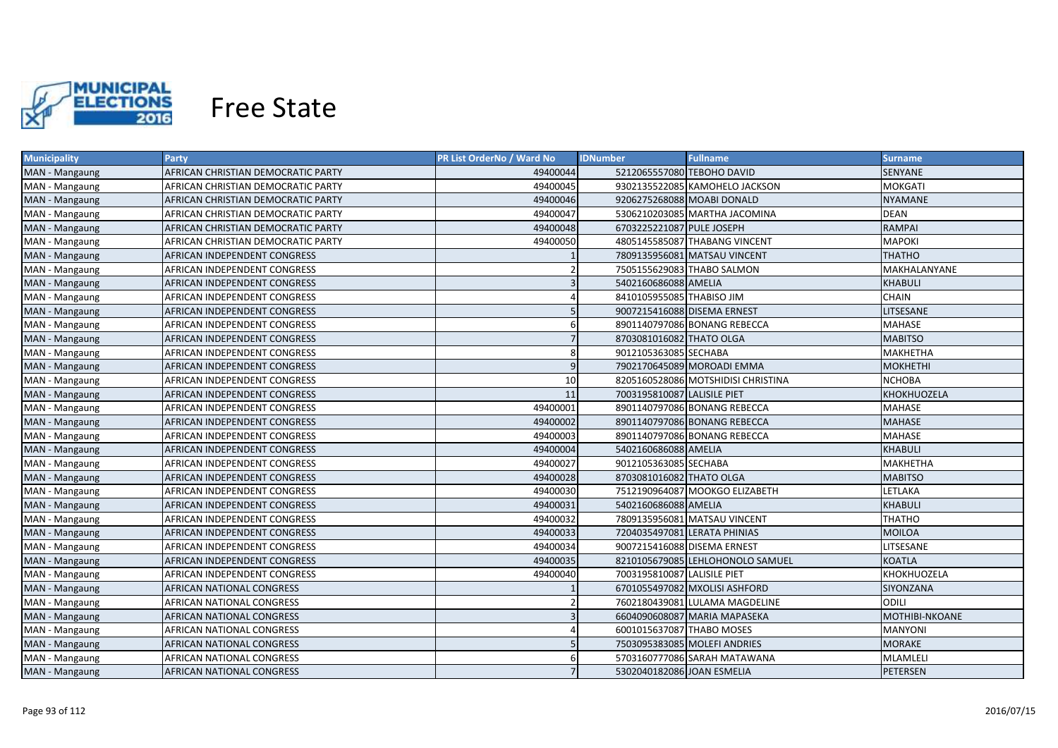

| <b>Municipality</b> | <b>Party</b>                       | PR List OrderNo / Ward No | <b>IDNumber</b>             | <b>Fullname</b>                    | Surname         |
|---------------------|------------------------------------|---------------------------|-----------------------------|------------------------------------|-----------------|
| MAN - Mangaung      | AFRICAN CHRISTIAN DEMOCRATIC PARTY | 49400044                  | 5212065557080 TEBOHO DAVID  |                                    | SENYANE         |
| MAN - Mangaung      | AFRICAN CHRISTIAN DEMOCRATIC PARTY | 49400045                  |                             | 9302135522085 KAMOHELO JACKSON     | <b>MOKGATI</b>  |
| MAN - Mangaung      | AFRICAN CHRISTIAN DEMOCRATIC PARTY | 49400046                  | 9206275268088 MOABI DONALD  |                                    | NYAMANE         |
| MAN - Mangaung      | AFRICAN CHRISTIAN DEMOCRATIC PARTY | 49400047                  |                             | 5306210203085 MARTHA JACOMINA      | <b>DEAN</b>     |
| MAN - Mangaung      | AFRICAN CHRISTIAN DEMOCRATIC PARTY | 49400048                  | 6703225221087 PULE JOSEPH   |                                    | <b>RAMPAI</b>   |
| MAN - Mangaung      | AFRICAN CHRISTIAN DEMOCRATIC PARTY | 49400050                  |                             | 4805145585087 THABANG VINCENT      | <b>MAPOKI</b>   |
| MAN - Mangaung      | AFRICAN INDEPENDENT CONGRESS       |                           |                             | 7809135956081 MATSAU VINCENT       | <b>THATHO</b>   |
| MAN - Mangaung      | AFRICAN INDEPENDENT CONGRESS       |                           | 7505155629083 THABO SALMON  |                                    | MAKHALANYANE    |
| MAN - Mangaung      | AFRICAN INDEPENDENT CONGRESS       | $\overline{\mathbf{3}}$   | 5402160686088 AMELIA        |                                    | <b>KHABULI</b>  |
| MAN - Mangaung      | AFRICAN INDEPENDENT CONGRESS       |                           | 8410105955085 THABISO JIM   |                                    | <b>CHAIN</b>    |
| MAN - Mangaung      | AFRICAN INDEPENDENT CONGRESS       | 5                         | 9007215416088 DISEMA ERNEST |                                    | LITSESANE       |
| MAN - Mangaung      | AFRICAN INDEPENDENT CONGRESS       | 6                         |                             | 8901140797086 BONANG REBECCA       | MAHASE          |
| MAN - Mangaung      | AFRICAN INDEPENDENT CONGRESS       | $\overline{7}$            | 8703081016082 THATO OLGA    |                                    | <b>MABITSO</b>  |
| MAN - Mangaung      | AFRICAN INDEPENDENT CONGRESS       | 8                         | 9012105363085 SECHABA       |                                    | <b>MAKHETHA</b> |
| MAN - Mangaung      | AFRICAN INDEPENDENT CONGRESS       | $\overline{9}$            |                             | 7902170645089 MOROADI EMMA         | <b>MOKHETHI</b> |
| MAN - Mangaung      | AFRICAN INDEPENDENT CONGRESS       | 10                        |                             | 8205160528086 MOTSHIDISI CHRISTINA | <b>NCHOBA</b>   |
| MAN - Mangaung      | AFRICAN INDEPENDENT CONGRESS       | 11                        | 7003195810087 LALISILE PIET |                                    | KHOKHUOZELA     |
| MAN - Mangaung      | AFRICAN INDEPENDENT CONGRESS       | 49400001                  |                             | 8901140797086 BONANG REBECCA       | MAHASE          |
| MAN - Mangaung      | AFRICAN INDEPENDENT CONGRESS       | 49400002                  |                             | 8901140797086 BONANG REBECCA       | <b>MAHASE</b>   |
| MAN - Mangaung      | AFRICAN INDEPENDENT CONGRESS       | 49400003                  |                             | 8901140797086 BONANG REBECCA       | MAHASE          |
| MAN - Mangaung      | AFRICAN INDEPENDENT CONGRESS       | 49400004                  | 5402160686088 AMELIA        |                                    | <b>KHABULI</b>  |
| MAN - Mangaung      | AFRICAN INDEPENDENT CONGRESS       | 49400027                  | 9012105363085 SECHABA       |                                    | MAKHETHA        |
| MAN - Mangaung      | AFRICAN INDEPENDENT CONGRESS       | 49400028                  | 8703081016082 THATO OLGA    |                                    | <b>MABITSO</b>  |
| MAN - Mangaung      | AFRICAN INDEPENDENT CONGRESS       | 49400030                  |                             | 7512190964087 MOOKGO ELIZABETH     | LETLAKA         |
| MAN - Mangaung      | AFRICAN INDEPENDENT CONGRESS       | 49400031                  | 5402160686088 AMELIA        |                                    | <b>KHABULI</b>  |
| MAN - Mangaung      | AFRICAN INDEPENDENT CONGRESS       | 49400032                  |                             | 7809135956081 MATSAU VINCENT       | <b>THATHO</b>   |
| MAN - Mangaung      | AFRICAN INDEPENDENT CONGRESS       | 49400033                  |                             | 7204035497081 LERATA PHINIAS       | <b>MOILOA</b>   |
| MAN - Mangaung      | AFRICAN INDEPENDENT CONGRESS       | 49400034                  | 9007215416088 DISEMA ERNEST |                                    | LITSESANE       |
| MAN - Mangaung      | AFRICAN INDEPENDENT CONGRESS       | 49400035                  |                             | 8210105679085 LEHLOHONOLO SAMUEL   | <b>KOATLA</b>   |
| MAN - Mangaung      | AFRICAN INDEPENDENT CONGRESS       | 49400040                  | 7003195810087 LALISILE PIET |                                    | KHOKHUOZELA     |
| MAN - Mangaung      | AFRICAN NATIONAL CONGRESS          |                           |                             | 6701055497082 MXOLISI ASHFORD      | SIYONZANA       |
| MAN - Mangaung      | AFRICAN NATIONAL CONGRESS          |                           |                             | 7602180439081 LULAMA MAGDELINE     | ODILI           |
| MAN - Mangaung      | AFRICAN NATIONAL CONGRESS          |                           |                             | 6604090608087 MARIA MAPASEKA       | MOTHIBI-NKOANE  |
| MAN - Mangaung      | AFRICAN NATIONAL CONGRESS          |                           | 6001015637087 THABO MOSES   |                                    | <b>MANYONI</b>  |
| MAN - Mangaung      | AFRICAN NATIONAL CONGRESS          |                           |                             | 7503095383085 MOLEFI ANDRIES       | <b>MORAKE</b>   |
| MAN - Mangaung      | AFRICAN NATIONAL CONGRESS          | 6                         |                             | 5703160777086 SARAH MATAWANA       | MLAMLELI        |
| MAN - Mangaung      | AFRICAN NATIONAL CONGRESS          |                           | 5302040182086 JOAN ESMELIA  |                                    | <b>PETERSEN</b> |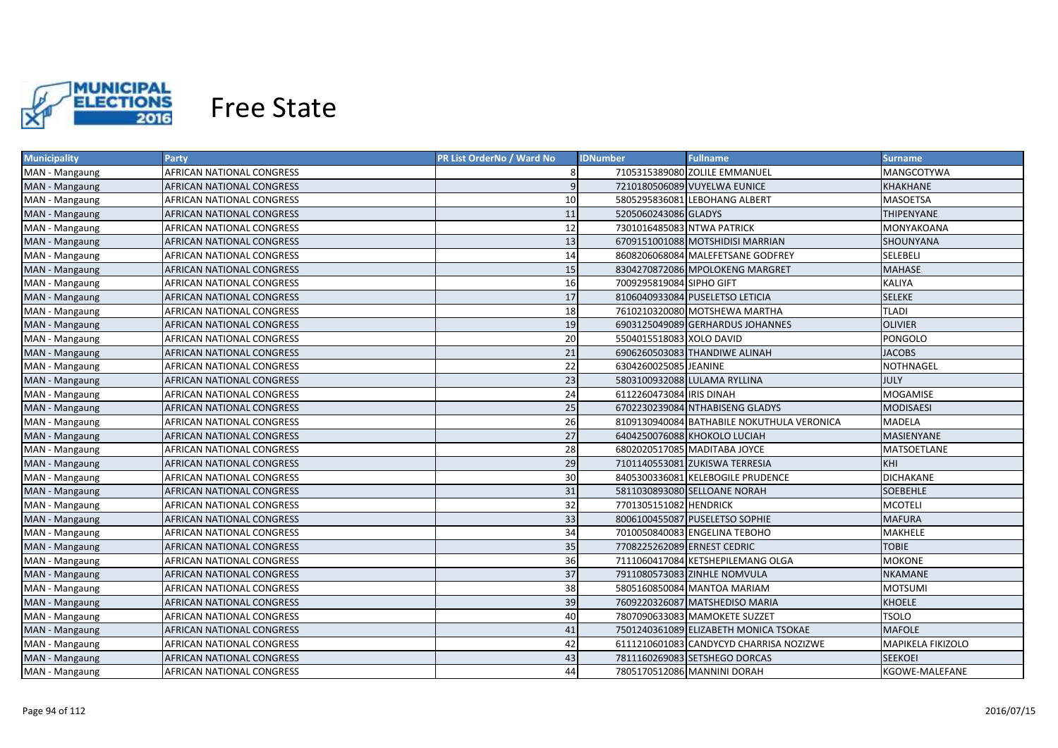

| <b>Municipality</b> | Party                            | PR List OrderNo / Ward No | <b>IDNumber</b><br><b>Fullname</b>         | <b>Surname</b>    |
|---------------------|----------------------------------|---------------------------|--------------------------------------------|-------------------|
| MAN - Mangaung      | AFRICAN NATIONAL CONGRESS        | 8                         | 7105315389080 ZOLILE EMMANUEL              | MANGCOTYWA        |
| MAN - Mangaung      | AFRICAN NATIONAL CONGRESS        | 9                         | 7210180506089 VUYELWA EUNICE               | <b>KHAKHANE</b>   |
| MAN - Mangaung      | AFRICAN NATIONAL CONGRESS        | 10                        | 5805295836081 LEBOHANG ALBERT              | MASOETSA          |
| MAN - Mangaung      | AFRICAN NATIONAL CONGRESS        | 11                        | 5205060243086 GLADYS                       | <b>THIPENYANE</b> |
| MAN - Mangaung      | AFRICAN NATIONAL CONGRESS        | 12                        | 7301016485083 NTWA PATRICK                 | MONYAKOANA        |
| MAN - Mangaung      | AFRICAN NATIONAL CONGRESS        | 13                        | 6709151001088 MOTSHIDISI MARRIAN           | SHOUNYANA         |
| MAN - Mangaung      | AFRICAN NATIONAL CONGRESS        | 14                        | 8608206068084 MALEFETSANE GODFREY          | SELEBELI          |
| MAN - Mangaung      | AFRICAN NATIONAL CONGRESS        | 15                        | 8304270872086 MPOLOKENG MARGRET            | <b>MAHASE</b>     |
| MAN - Mangaung      | AFRICAN NATIONAL CONGRESS        | 16                        | 7009295819084 SIPHO GIFT                   | KALIYA            |
| MAN - Mangaung      | AFRICAN NATIONAL CONGRESS        | 17                        | 8106040933084 PUSELETSO LETICIA            | <b>SELEKE</b>     |
| MAN - Mangaung      | AFRICAN NATIONAL CONGRESS        | 18                        | 7610210320080 MOTSHEWA MARTHA              | <b>TLADI</b>      |
| MAN - Mangaung      | AFRICAN NATIONAL CONGRESS        | 19                        | 6903125049089 GERHARDUS JOHANNES           | <b>OLIVIER</b>    |
| MAN - Mangaung      | <b>AFRICAN NATIONAL CONGRESS</b> | 20                        | 5504015518083 XOLO DAVID                   | PONGOLO           |
| MAN - Mangaung      | <b>AFRICAN NATIONAL CONGRESS</b> | 21                        | 6906260503083 THANDIWE ALINAH              | <b>JACOBS</b>     |
| MAN - Mangaung      | AFRICAN NATIONAL CONGRESS        | 22                        | 6304260025085 JEANINE                      | <b>NOTHNAGEL</b>  |
| MAN - Mangaung      | AFRICAN NATIONAL CONGRESS        | 23                        | 5803100932088 LULAMA RYLLINA               | <b>JULY</b>       |
| MAN - Mangaung      | AFRICAN NATIONAL CONGRESS        | 24                        | 6112260473084 IRIS DINAH                   | <b>MOGAMISE</b>   |
| MAN - Mangaung      | AFRICAN NATIONAL CONGRESS        | 25                        | 6702230239084 NTHABISENG GLADYS            | <b>MODISAESI</b>  |
| MAN - Mangaung      | <b>AFRICAN NATIONAL CONGRESS</b> | 26                        | 8109130940084 BATHABILE NOKUTHULA VERONICA | <b>MADELA</b>     |
| MAN - Mangaung      | AFRICAN NATIONAL CONGRESS        | 27                        | 6404250076088 KHOKOLO LUCIAH               | <b>MASIENYANE</b> |
| MAN - Mangaung      | <b>AFRICAN NATIONAL CONGRESS</b> | 28                        | 6802020517085 MADITABA JOYCE               | MATSOETLANE       |
| MAN - Mangaung      | AFRICAN NATIONAL CONGRESS        | 29                        | 7101140553081 ZUKISWA TERRESIA             | KHI               |
| MAN - Mangaung      | <b>AFRICAN NATIONAL CONGRESS</b> | 30                        | 8405300336081 KELEBOGILE PRUDENCE          | <b>DICHAKANE</b>  |
| MAN - Mangaung      | AFRICAN NATIONAL CONGRESS        | 31                        | 5811030893080 SELLOANE NORAH               | <b>SOEBEHLE</b>   |
| MAN - Mangaung      | AFRICAN NATIONAL CONGRESS        | 32                        | 7701305151082 HENDRICK                     | <b>MCOTELI</b>    |
| MAN - Mangaung      | AFRICAN NATIONAL CONGRESS        | 33                        | 8006100455087 PUSELETSO SOPHIE             | <b>MAFURA</b>     |
| MAN - Mangaung      | AFRICAN NATIONAL CONGRESS        | 34                        | 7010050840083 ENGELINA TEBOHO              | MAKHELE           |
| MAN - Mangaung      | AFRICAN NATIONAL CONGRESS        | 35                        | 7708225262089 ERNEST CEDRIC                | <b>TOBIE</b>      |
| MAN - Mangaung      | AFRICAN NATIONAL CONGRESS        | 36                        | 7111060417084 KETSHEPILEMANG OLGA          | <b>MOKONE</b>     |
| MAN - Mangaung      | AFRICAN NATIONAL CONGRESS        | 37                        | 7911080573083 ZINHLE NOMVULA               | <b>NKAMANE</b>    |
| MAN - Mangaung      | AFRICAN NATIONAL CONGRESS        | 38                        | 5805160850084 MANTOA MARIAM                | <b>MOTSUMI</b>    |
| MAN - Mangaung      | AFRICAN NATIONAL CONGRESS        | 39                        | 7609220326087 MATSHEDISO MARIA             | <b>KHOELE</b>     |
| MAN - Mangaung      | AFRICAN NATIONAL CONGRESS        | 40                        | 7807090633083 MAMOKETE SUZZET              | <b>TSOLO</b>      |
| MAN - Mangaung      | AFRICAN NATIONAL CONGRESS        | 41                        | 7501240361089 ELIZABETH MONICA TSOKAE      | <b>MAFOLE</b>     |
| MAN - Mangaung      | AFRICAN NATIONAL CONGRESS        | 42                        | 6111210601083 CANDYCYD CHARRISA NOZIZWE    | MAPIKELA FIKIZOLO |
| MAN - Mangaung      | AFRICAN NATIONAL CONGRESS        | 43                        | 7811160269083 SETSHEGO DORCAS              | <b>SEEKOEI</b>    |
| MAN - Mangaung      | <b>AFRICAN NATIONAL CONGRESS</b> | 44                        | 7805170512086 MANNINI DORAH                | KGOWE-MALEFANE    |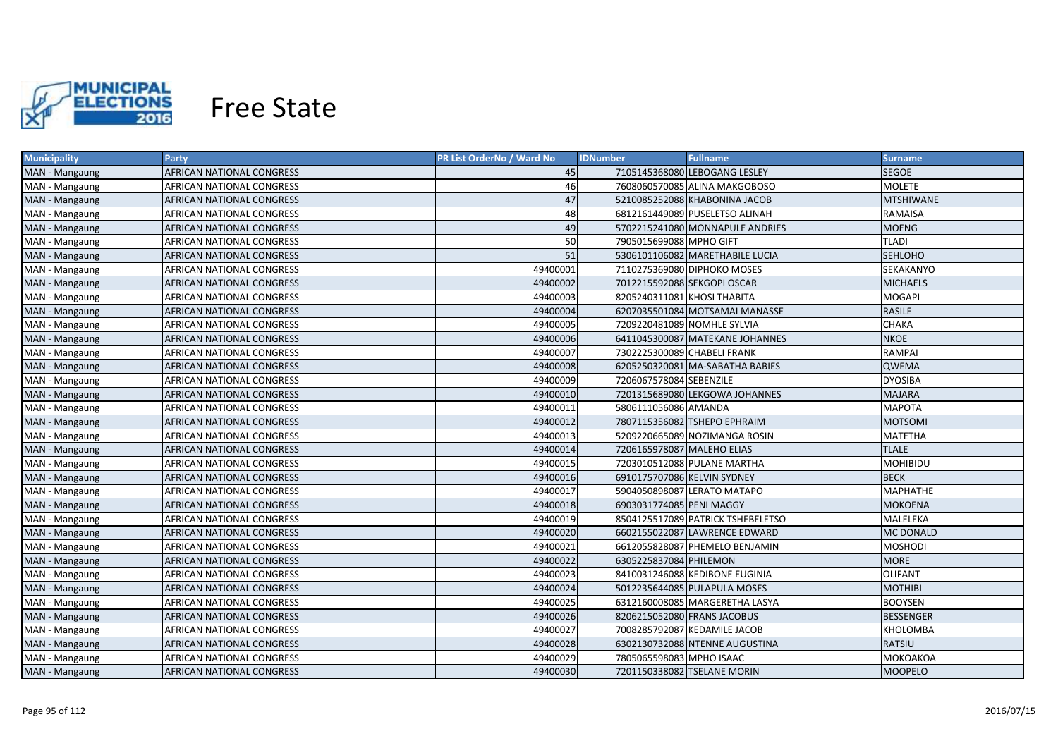

| <b>Municipality</b> | Party                     | PR List OrderNo / Ward No | <b>IDNumber</b>             | <b>Fullname</b>                   | <b>Surname</b>   |
|---------------------|---------------------------|---------------------------|-----------------------------|-----------------------------------|------------------|
| MAN - Mangaung      | AFRICAN NATIONAL CONGRESS | 45                        |                             | 7105145368080 LEBOGANG LESLEY     | SEGOE            |
| MAN - Mangaung      | AFRICAN NATIONAL CONGRESS | 46                        |                             | 7608060570085 ALINA MAKGOBOSO     | <b>MOLETE</b>    |
| MAN - Mangaung      | AFRICAN NATIONAL CONGRESS | 47                        |                             | 5210085252088 KHABONINA JACOB     | <b>MTSHIWANE</b> |
| MAN - Mangaung      | AFRICAN NATIONAL CONGRESS | 48                        |                             | 6812161449089 PUSELETSO ALINAH    | RAMAISA          |
| MAN - Mangaung      | AFRICAN NATIONAL CONGRESS | 49                        |                             | 5702215241080 MONNAPULE ANDRIES   | <b>MOENG</b>     |
| MAN - Mangaung      | AFRICAN NATIONAL CONGRESS | 50                        | 7905015699088 MPHO GIFT     |                                   | <b>TLADI</b>     |
| MAN - Mangaung      | AFRICAN NATIONAL CONGRESS | 51                        |                             | 5306101106082 MARETHABILE LUCIA   | <b>SEHLOHO</b>   |
| MAN - Mangaung      | AFRICAN NATIONAL CONGRESS | 49400001                  |                             | 7110275369080 DIPHOKO MOSES       | SEKAKANYO        |
| MAN - Mangaung      | AFRICAN NATIONAL CONGRESS | 49400002                  | 7012215592088 SEKGOPI OSCAR |                                   | <b>MICHAELS</b>  |
| MAN - Mangaung      | AFRICAN NATIONAL CONGRESS | 49400003                  | 8205240311081 KHOSI THABITA |                                   | <b>MOGAPI</b>    |
| MAN - Mangaung      | AFRICAN NATIONAL CONGRESS | 49400004                  |                             | 6207035501084 MOTSAMAI MANASSE    | <b>RASILE</b>    |
| MAN - Mangaung      | AFRICAN NATIONAL CONGRESS | 49400005                  | 7209220481089 NOMHLE SYLVIA |                                   | <b>CHAKA</b>     |
| MAN - Mangaung      | AFRICAN NATIONAL CONGRESS | 49400006                  |                             | 6411045300087 MATEKANE JOHANNES   | <b>NKOE</b>      |
| MAN - Mangaung      | AFRICAN NATIONAL CONGRESS | 49400007                  | 7302225300089 CHABELI FRANK |                                   | <b>RAMPAI</b>    |
| MAN - Mangaung      | AFRICAN NATIONAL CONGRESS | 49400008                  |                             | 6205250320081 MA-SABATHA BABIES   | <b>QWEMA</b>     |
| MAN - Mangaung      | AFRICAN NATIONAL CONGRESS | 49400009                  | 7206067578084 SEBENZILE     |                                   | <b>DYOSIBA</b>   |
| MAN - Mangaung      | AFRICAN NATIONAL CONGRESS | 49400010                  |                             | 7201315689080 LEKGOWA JOHANNES    | <b>MAJARA</b>    |
| MAN - Mangaung      | AFRICAN NATIONAL CONGRESS | 49400011                  | 5806111056086 AMANDA        |                                   | <b>MAPOTA</b>    |
| MAN - Mangaung      | AFRICAN NATIONAL CONGRESS | 49400012                  |                             | 7807115356082 TSHEPO EPHRAIM      | <b>MOTSOMI</b>   |
| MAN - Mangaung      | AFRICAN NATIONAL CONGRESS | 49400013                  |                             | 5209220665089 NOZIMANGA ROSIN     | <b>MATETHA</b>   |
| MAN - Mangaung      | AFRICAN NATIONAL CONGRESS | 49400014                  | 7206165978087 MALEHO ELIAS  |                                   | <b>TLALE</b>     |
| MAN - Mangaung      | AFRICAN NATIONAL CONGRESS | 49400015                  |                             | 7203010512088 PULANE MARTHA       | <b>MOHIBIDU</b>  |
| MAN - Mangaung      | AFRICAN NATIONAL CONGRESS | 49400016                  | 6910175707086 KELVIN SYDNEY |                                   | <b>BECK</b>      |
| MAN - Mangaung      | AFRICAN NATIONAL CONGRESS | 49400017                  |                             | 5904050898087 LERATO MATAPO       | <b>MAPHATHE</b>  |
| MAN - Mangaung      | AFRICAN NATIONAL CONGRESS | 49400018                  | 6903031774085 PENI MAGGY    |                                   | <b>MOKOENA</b>   |
| MAN - Mangaung      | AFRICAN NATIONAL CONGRESS | 49400019                  |                             | 8504125517089 PATRICK TSHEBELETSO | MALELEKA         |
| MAN - Mangaung      | AFRICAN NATIONAL CONGRESS | 49400020                  |                             | 6602155022087 LAWRENCE EDWARD     | <b>MC DONALD</b> |
| MAN - Mangaung      | AFRICAN NATIONAL CONGRESS | 49400021                  |                             | 6612055828087 PHEMELO BENJAMIN    | MOSHODI          |
| MAN - Mangaung      | AFRICAN NATIONAL CONGRESS | 49400022                  | 6305225837084 PHILEMON      |                                   | <b>MORE</b>      |
| MAN - Mangaung      | AFRICAN NATIONAL CONGRESS | 49400023                  |                             | 8410031246088 KEDIBONE EUGINIA    | <b>OLIFANT</b>   |
| MAN - Mangaung      | AFRICAN NATIONAL CONGRESS | 49400024                  |                             | 5012235644085 PULAPULA MOSES      | <b>MOTHIBI</b>   |
| MAN - Mangaung      | AFRICAN NATIONAL CONGRESS | 49400025                  |                             | 6312160008085 MARGERETHA LASYA    | <b>BOOYSEN</b>   |
| MAN - Mangaung      | AFRICAN NATIONAL CONGRESS | 49400026                  | 8206215052080 FRANS JACOBUS |                                   | <b>BESSENGER</b> |
| MAN - Mangaung      | AFRICAN NATIONAL CONGRESS | 49400027                  |                             | 7008285792087 KEDAMILE JACOB      | KHOLOMBA         |
| MAN - Mangaung      | AFRICAN NATIONAL CONGRESS | 49400028                  |                             | 6302130732088 NTENNE AUGUSTINA    | <b>RATSIU</b>    |
| MAN - Mangaung      | AFRICAN NATIONAL CONGRESS | 49400029                  | 7805065598083 MPHO ISAAC    |                                   | МОКОАКОА         |
| MAN - Mangaung      | AFRICAN NATIONAL CONGRESS | 49400030                  |                             | 7201150338082 TSELANE MORIN       | <b>MOOPELO</b>   |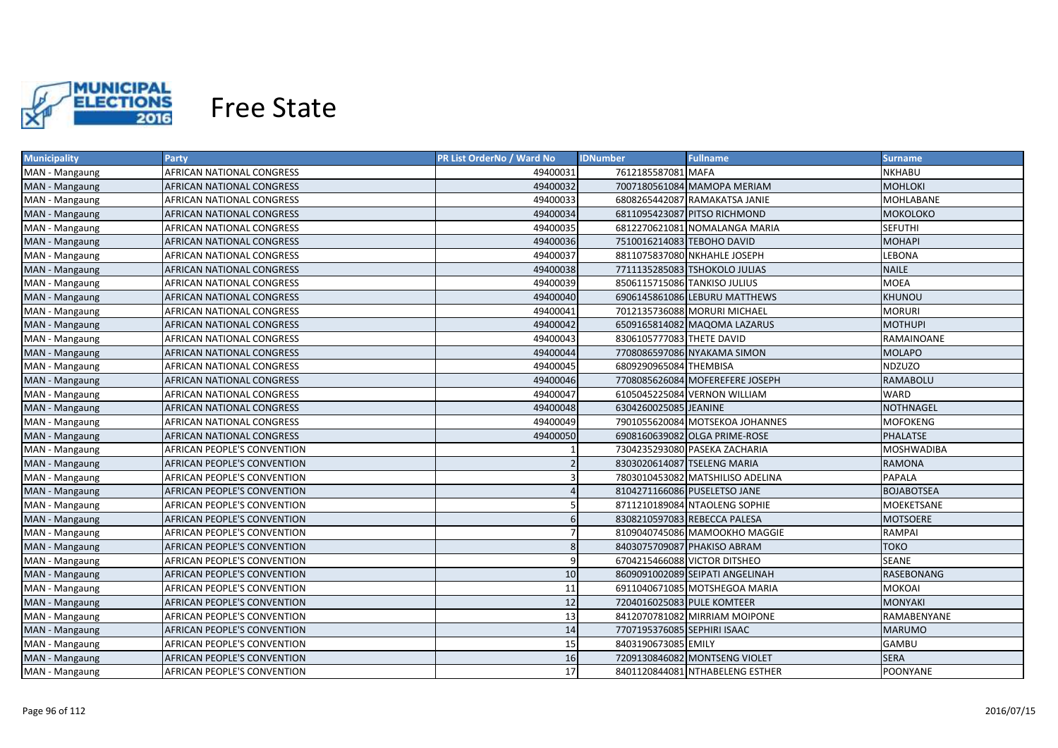

| <b>Municipality</b> | <b>Party</b>                     | PR List OrderNo / Ward No | <b>IDNumber</b>             | <b>Fullname</b>                  | <b>Surname</b>    |
|---------------------|----------------------------------|---------------------------|-----------------------------|----------------------------------|-------------------|
| MAN - Mangaung      | AFRICAN NATIONAL CONGRESS        | 49400031                  | 7612185587081 MAFA          |                                  | NKHABU            |
| MAN - Mangaung      | AFRICAN NATIONAL CONGRESS        | 49400032                  |                             | 7007180561084 MAMOPA MERIAM      | <b>MOHLOKI</b>    |
| MAN - Mangaung      | AFRICAN NATIONAL CONGRESS        | 49400033                  |                             | 6808265442087 RAMAKATSA JANIE    | MOHLABANE         |
| MAN - Mangaung      | AFRICAN NATIONAL CONGRESS        | 49400034                  |                             | 6811095423087 PITSO RICHMOND     | <b>MOKOLOKO</b>   |
| MAN - Mangaung      | AFRICAN NATIONAL CONGRESS        | 49400035                  |                             | 6812270621081 NOMALANGA MARIA    | <b>SEFUTHI</b>    |
| MAN - Mangaung      | AFRICAN NATIONAL CONGRESS        | 49400036                  | 7510016214083 TEBOHO DAVID  |                                  | <b>MOHAPI</b>     |
| MAN - Mangaung      | AFRICAN NATIONAL CONGRESS        | 49400037                  |                             | 8811075837080 NKHAHLE JOSEPH     | LEBONA            |
| MAN - Mangaung      | <b>AFRICAN NATIONAL CONGRESS</b> | 49400038                  |                             | 7711135285083 TSHOKOLO JULIAS    | <b>NAILE</b>      |
| MAN - Mangaung      | AFRICAN NATIONAL CONGRESS        | 49400039                  |                             | 8506115715086 TANKISO JULIUS     | <b>MOEA</b>       |
| MAN - Mangaung      | AFRICAN NATIONAL CONGRESS        | 49400040                  |                             | 6906145861086 LEBURU MATTHEWS    | KHUNOU            |
| MAN - Mangaung      | <b>AFRICAN NATIONAL CONGRESS</b> | 49400041                  |                             | 7012135736088 MORURI MICHAEL     | <b>MORURI</b>     |
| MAN - Mangaung      | AFRICAN NATIONAL CONGRESS        | 49400042                  |                             | 6509165814082 MAQOMA LAZARUS     | <b>MOTHUPI</b>    |
| MAN - Mangaung      | AFRICAN NATIONAL CONGRESS        | 49400043                  | 8306105777083 THETE DAVID   |                                  | RAMAINOANE        |
| MAN - Mangaung      | AFRICAN NATIONAL CONGRESS        | 49400044                  |                             | 7708086597086 NYAKAMA SIMON      | <b>MOLAPO</b>     |
| MAN - Mangaung      | AFRICAN NATIONAL CONGRESS        | 49400045                  | 6809290965084 THEMBISA      |                                  | <b>NDZUZO</b>     |
| MAN - Mangaung      | <b>AFRICAN NATIONAL CONGRESS</b> | 49400046                  |                             | 7708085626084 MOFEREFERE JOSEPH  | <b>RAMABOLU</b>   |
| MAN - Mangaung      | <b>AFRICAN NATIONAL CONGRESS</b> | 49400047                  |                             | 6105045225084 VERNON WILLIAM     | <b>WARD</b>       |
| MAN - Mangaung      | AFRICAN NATIONAL CONGRESS        | 49400048                  | 6304260025085 JEANINE       |                                  | <b>NOTHNAGEL</b>  |
| MAN - Mangaung      | <b>AFRICAN NATIONAL CONGRESS</b> | 49400049                  |                             | 7901055620084 MOTSEKOA JOHANNES  | <b>MOFOKENG</b>   |
| MAN - Mangaung      | AFRICAN NATIONAL CONGRESS        | 49400050                  |                             | 6908160639082 OLGA PRIME-ROSE    | <b>PHALATSE</b>   |
| MAN - Mangaung      | AFRICAN PEOPLE'S CONVENTION      |                           |                             | 7304235293080 PASEKA ZACHARIA    | <b>MOSHWADIBA</b> |
| MAN - Mangaung      | AFRICAN PEOPLE'S CONVENTION      |                           |                             | 8303020614087 TSELENG MARIA      | <b>RAMONA</b>     |
| MAN - Mangaung      | AFRICAN PEOPLE'S CONVENTION      |                           |                             | 7803010453082 MATSHILISO ADELINA | <b>PAPALA</b>     |
| MAN - Mangaung      | AFRICAN PEOPLE'S CONVENTION      |                           |                             | 8104271166086 PUSELETSO JANE     | <b>BOJABOTSEA</b> |
| MAN - Mangaung      | AFRICAN PEOPLE'S CONVENTION      |                           |                             | 8711210189084 NTAOLENG SOPHIE    | MOEKETSANE        |
| MAN - Mangaung      | AFRICAN PEOPLE'S CONVENTION      | 6                         |                             | 8308210597083 REBECCA PALESA     | <b>MOTSOERE</b>   |
| MAN - Mangaung      | AFRICAN PEOPLE'S CONVENTION      |                           |                             | 8109040745086 MAMOOKHO MAGGIE    | RAMPAI            |
| MAN - Mangaung      | AFRICAN PEOPLE'S CONVENTION      | 8                         |                             | 8403075709087 PHAKISO ABRAM      | <b>TOKO</b>       |
| MAN - Mangaung      | AFRICAN PEOPLE'S CONVENTION      |                           |                             | 6704215466088 VICTOR DITSHEO     | <b>SEANE</b>      |
| MAN - Mangaung      | AFRICAN PEOPLE'S CONVENTION      | 10                        |                             | 8609091002089 SEIPATI ANGELINAH  | <b>RASEBONANG</b> |
| MAN - Mangaung      | AFRICAN PEOPLE'S CONVENTION      | 11                        |                             | 6911040671085 MOTSHEGOA MARIA    | MOKOAI            |
| MAN - Mangaung      | AFRICAN PEOPLE'S CONVENTION      | 12                        | 7204016025083 PULE KOMTEER  |                                  | MONYAKI           |
| MAN - Mangaung      | AFRICAN PEOPLE'S CONVENTION      | 13                        |                             | 8412070781082 MIRRIAM MOIPONE    | RAMABENYANE       |
| MAN - Mangaung      | AFRICAN PEOPLE'S CONVENTION      | 14                        | 7707195376085 SEPHIRI ISAAC |                                  | <b>MARUMO</b>     |
| MAN - Mangaung      | AFRICAN PEOPLE'S CONVENTION      | 15                        | 8403190673085 EMILY         |                                  | <b>GAMBU</b>      |
| MAN - Mangaung      | AFRICAN PEOPLE'S CONVENTION      | 16                        |                             | 7209130846082 MONTSENG VIOLET    | <b>SERA</b>       |
| MAN - Mangaung      | AFRICAN PEOPLE'S CONVENTION      | 17                        |                             | 8401120844081 NTHABELENG ESTHER  | <b>POONYANE</b>   |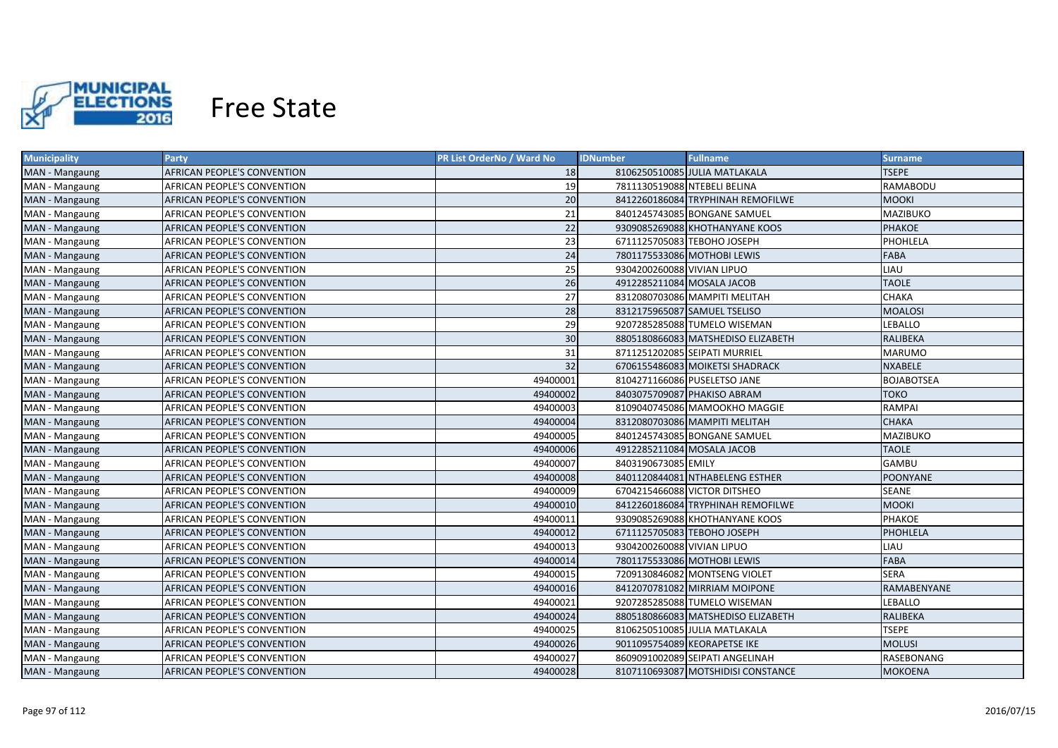

| <b>Municipality</b> | <b>Party</b>                | PR List OrderNo / Ward No | <b>IDNumber</b>              | <b>Fullname</b>                    | <b>Surname</b>    |
|---------------------|-----------------------------|---------------------------|------------------------------|------------------------------------|-------------------|
| MAN - Mangaung      | AFRICAN PEOPLE'S CONVENTION | 18                        |                              | 8106250510085 JULIA MATLAKALA      | <b>TSEPE</b>      |
| MAN - Mangaung      | AFRICAN PEOPLE'S CONVENTION | 19                        | 7811130519088 NTEBELI BELINA |                                    | RAMABODU          |
| MAN - Mangaung      | AFRICAN PEOPLE'S CONVENTION | 20                        |                              | 8412260186084 TRYPHINAH REMOFILWE  | <b>MOOKI</b>      |
| MAN - Mangaung      | AFRICAN PEOPLE'S CONVENTION | 21                        |                              | 8401245743085 BONGANE SAMUEL       | MAZIBUKO          |
| MAN - Mangaung      | AFRICAN PEOPLE'S CONVENTION | 22                        |                              | 9309085269088 KHOTHANYANE KOOS     | <b>PHAKOE</b>     |
| MAN - Mangaung      | AFRICAN PEOPLE'S CONVENTION | 23                        |                              | 6711125705083 TEBOHO JOSEPH        | PHOHLELA          |
| MAN - Mangaung      | AFRICAN PEOPLE'S CONVENTION | 24                        |                              | 7801175533086 MOTHOBI LEWIS        | FABA              |
| MAN - Mangaung      | AFRICAN PEOPLE'S CONVENTION | 25                        | 9304200260088 VIVIAN LIPUO   |                                    | LIAU              |
| MAN - Mangaung      | AFRICAN PEOPLE'S CONVENTION | 26                        | 4912285211084 MOSALA JACOB   |                                    | <b>TAOLE</b>      |
| MAN - Mangaung      | AFRICAN PEOPLE'S CONVENTION | 27                        |                              | 8312080703086 MAMPITI MELITAH      | <b>CHAKA</b>      |
| MAN - Mangaung      | AFRICAN PEOPLE'S CONVENTION | 28                        |                              | 8312175965087 SAMUEL TSELISO       | <b>MOALOSI</b>    |
| MAN - Mangaung      | AFRICAN PEOPLE'S CONVENTION | 29                        |                              | 9207285285088 TUMELO WISEMAN       | LEBALLO           |
| MAN - Mangaung      | AFRICAN PEOPLE'S CONVENTION | 30                        |                              | 8805180866083 MATSHEDISO ELIZABETH | RALIBEKA          |
| MAN - Mangaung      | AFRICAN PEOPLE'S CONVENTION | 31                        |                              | 8711251202085 SEIPATI MURRIEL      | <b>MARUMO</b>     |
| MAN - Mangaung      | AFRICAN PEOPLE'S CONVENTION | 32                        |                              | 6706155486083 MOIKETSI SHADRACK    | <b>NXABELE</b>    |
| MAN - Mangaung      | AFRICAN PEOPLE'S CONVENTION | 49400001                  |                              | 8104271166086 PUSELETSO JANE       | <b>BOJABOTSEA</b> |
| MAN - Mangaung      | AFRICAN PEOPLE'S CONVENTION | 49400002                  |                              | 8403075709087 PHAKISO ABRAM        | <b>TOKO</b>       |
| MAN - Mangaung      | AFRICAN PEOPLE'S CONVENTION | 49400003                  |                              | 8109040745086 MAMOOKHO MAGGIE      | <b>RAMPAI</b>     |
| MAN - Mangaung      | AFRICAN PEOPLE'S CONVENTION | 49400004                  |                              | 8312080703086 MAMPITI MELITAH      | <b>CHAKA</b>      |
| MAN - Mangaung      | AFRICAN PEOPLE'S CONVENTION | 49400005                  |                              | 8401245743085 BONGANE SAMUEL       | <b>MAZIBUKO</b>   |
| MAN - Mangaung      | AFRICAN PEOPLE'S CONVENTION | 49400006                  | 4912285211084 MOSALA JACOB   |                                    | <b>TAOLE</b>      |
| MAN - Mangaung      | AFRICAN PEOPLE'S CONVENTION | 49400007                  | 8403190673085 EMILY          |                                    | <b>GAMBU</b>      |
| MAN - Mangaung      | AFRICAN PEOPLE'S CONVENTION | 49400008                  |                              | 8401120844081 NTHABELENG ESTHER    | <b>POONYANE</b>   |
| MAN - Mangaung      | AFRICAN PEOPLE'S CONVENTION | 49400009                  |                              | 6704215466088 VICTOR DITSHEO       | SEANE             |
| MAN - Mangaung      | AFRICAN PEOPLE'S CONVENTION | 49400010                  |                              | 8412260186084 TRYPHINAH REMOFILWE  | <b>MOOKI</b>      |
| MAN - Mangaung      | AFRICAN PEOPLE'S CONVENTION | 49400011                  |                              | 9309085269088 KHOTHANYANE KOOS     | <b>PHAKOE</b>     |
| MAN - Mangaung      | AFRICAN PEOPLE'S CONVENTION | 49400012                  |                              | 6711125705083 TEBOHO JOSEPH        | PHOHLELA          |
| MAN - Mangaung      | AFRICAN PEOPLE'S CONVENTION | 49400013                  | 9304200260088 VIVIAN LIPUO   |                                    | LIAU              |
| MAN - Mangaung      | AFRICAN PEOPLE'S CONVENTION | 49400014                  |                              | 7801175533086 MOTHOBI LEWIS        | FABA              |
| MAN - Mangaung      | AFRICAN PEOPLE'S CONVENTION | 49400015                  |                              | 7209130846082 MONTSENG VIOLET      | <b>SERA</b>       |
| MAN - Mangaung      | AFRICAN PEOPLE'S CONVENTION | 49400016                  |                              | 8412070781082 MIRRIAM MOIPONE      | RAMABENYANE       |
| MAN - Mangaung      | AFRICAN PEOPLE'S CONVENTION | 49400021                  |                              | 9207285285088 TUMELO WISEMAN       | LEBALLO           |
| MAN - Mangaung      | AFRICAN PEOPLE'S CONVENTION | 49400024                  |                              | 8805180866083 MATSHEDISO ELIZABETH | RALIBEKA          |
| MAN - Mangaung      | AFRICAN PEOPLE'S CONVENTION | 49400025                  |                              | 8106250510085 JULIA MATLAKALA      | <b>TSEPE</b>      |
| MAN - Mangaung      | AFRICAN PEOPLE'S CONVENTION | 49400026                  |                              | 9011095754089 KEORAPETSE IKE       | <b>MOLUSI</b>     |
| MAN - Mangaung      | AFRICAN PEOPLE'S CONVENTION | 49400027                  |                              | 8609091002089 SEIPATI ANGELINAH    | RASEBONANG        |
| MAN - Mangaung      | AFRICAN PEOPLE'S CONVENTION | 49400028                  |                              | 8107110693087 MOTSHIDISI CONSTANCE | <b>MOKOENA</b>    |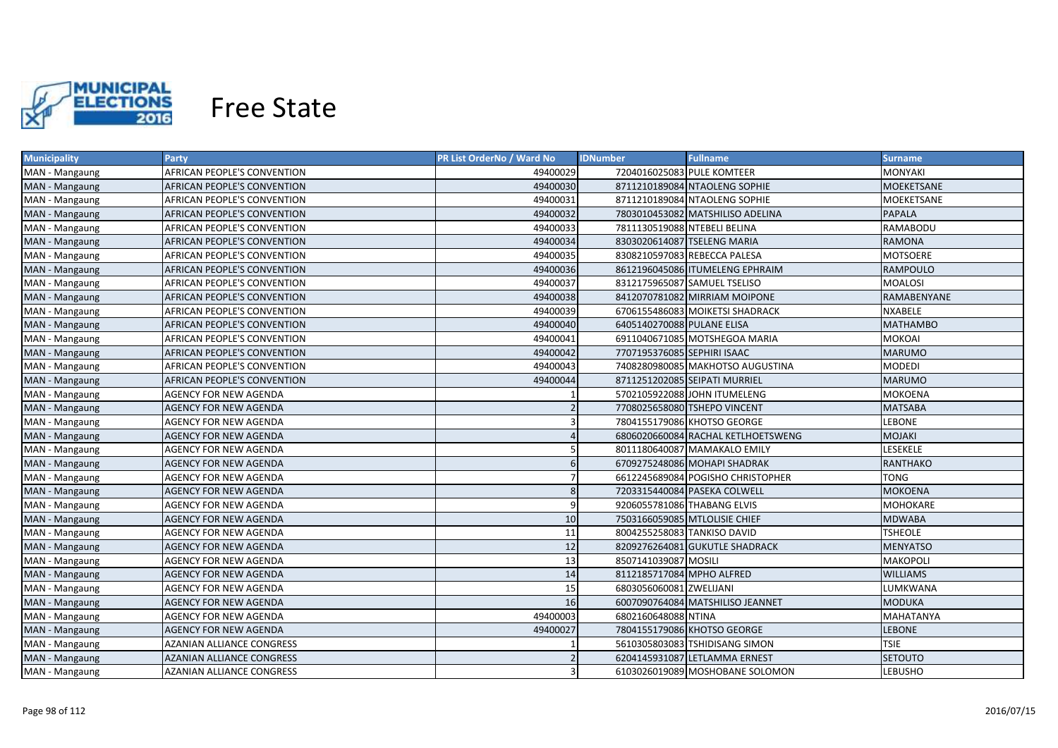

| <b>Municipality</b> | <b>Party</b>                       | PR List OrderNo / Ward No | <b>IDNumber</b>               | <b>Fullname</b>                    | Surname           |
|---------------------|------------------------------------|---------------------------|-------------------------------|------------------------------------|-------------------|
| MAN - Mangaung      | AFRICAN PEOPLE'S CONVENTION        | 49400029                  | 7204016025083 PULE KOMTEER    |                                    | MONYAKI           |
| MAN - Mangaung      | AFRICAN PEOPLE'S CONVENTION        | 49400030                  |                               | 8711210189084 NTAOLENG SOPHIE      | <b>MOEKETSANE</b> |
| MAN - Mangaung      | AFRICAN PEOPLE'S CONVENTION        | 49400031                  |                               | 8711210189084 NTAOLENG SOPHIE      | MOEKETSANE        |
| MAN - Mangaung      | AFRICAN PEOPLE'S CONVENTION        | 49400032                  |                               | 7803010453082 MATSHILISO ADELINA   | <b>PAPALA</b>     |
| MAN - Mangaung      | AFRICAN PEOPLE'S CONVENTION        | 49400033                  | 7811130519088 NTEBELI BELINA  |                                    | RAMABODU          |
| MAN - Mangaung      | AFRICAN PEOPLE'S CONVENTION        | 49400034                  | 8303020614087 TSELENG MARIA   |                                    | <b>RAMONA</b>     |
| MAN - Mangaung      | AFRICAN PEOPLE'S CONVENTION        | 49400035                  | 8308210597083 REBECCA PALESA  |                                    | <b>MOTSOERE</b>   |
| MAN - Mangaung      | AFRICAN PEOPLE'S CONVENTION        | 49400036                  |                               | 8612196045086 ITUMELENG EPHRAIM    | <b>RAMPOULO</b>   |
| MAN - Mangaung      | <b>AFRICAN PEOPLE'S CONVENTION</b> | 49400037                  | 8312175965087 SAMUEL TSELISO  |                                    | <b>MOALOSI</b>    |
| MAN - Mangaung      | AFRICAN PEOPLE'S CONVENTION        | 49400038                  |                               | 8412070781082 MIRRIAM MOIPONE      | RAMABENYANE       |
| MAN - Mangaung      | AFRICAN PEOPLE'S CONVENTION        | 49400039                  |                               | 6706155486083 MOIKETSI SHADRACK    | <b>NXABELE</b>    |
| MAN - Mangaung      | AFRICAN PEOPLE'S CONVENTION        | 49400040                  | 6405140270088 PULANE ELISA    |                                    | <b>MATHAMBO</b>   |
| MAN - Mangaung      | AFRICAN PEOPLE'S CONVENTION        | 49400041                  |                               | 6911040671085 MOTSHEGOA MARIA      | MOKOAI            |
| MAN - Mangaung      | AFRICAN PEOPLE'S CONVENTION        | 49400042                  | 7707195376085 SEPHIRI ISAAC   |                                    | <b>MARUMO</b>     |
| MAN - Mangaung      | AFRICAN PEOPLE'S CONVENTION        | 49400043                  |                               | 7408280980085 MAKHOTSO AUGUSTINA   | <b>MODEDI</b>     |
| MAN - Mangaung      | AFRICAN PEOPLE'S CONVENTION        | 49400044                  |                               | 8711251202085 SEIPATI MURRIEL      | <b>MARUMO</b>     |
| MAN - Mangaung      | AGENCY FOR NEW AGENDA              |                           |                               | 5702105922088 JOHN ITUMELENG       | MOKOENA           |
| MAN - Mangaung      | <b>AGENCY FOR NEW AGENDA</b>       |                           | 7708025658080 TSHEPO VINCENT  |                                    | <b>MATSABA</b>    |
| MAN - Mangaung      | AGENCY FOR NEW AGENDA              | 3                         |                               | 7804155179086 KHOTSO GEORGE        | <b>LEBONE</b>     |
| MAN - Mangaung      | <b>AGENCY FOR NEW AGENDA</b>       | $\Delta$                  |                               | 6806020660084 RACHAL KETLHOETSWENG | <b>MOJAKI</b>     |
| MAN - Mangaung      | AGENCY FOR NEW AGENDA              | 5                         |                               | 8011180640087 MAMAKALO EMILY       | <b>LESEKELE</b>   |
| MAN - Mangaung      | <b>AGENCY FOR NEW AGENDA</b>       | 6                         |                               | 6709275248086 MOHAPI SHADRAK       | <b>RANTHAKO</b>   |
| MAN - Mangaung      | <b>AGENCY FOR NEW AGENDA</b>       | $\overline{7}$            |                               | 6612245689084 POGISHO CHRISTOPHER  | <b>TONG</b>       |
| MAN - Mangaung      | <b>AGENCY FOR NEW AGENDA</b>       | 8                         |                               | 7203315440084 PASEKA COLWELL       | <b>MOKOENA</b>    |
| MAN - Mangaung      | AGENCY FOR NEW AGENDA              | 9                         | 9206055781086 THABANG ELVIS   |                                    | MOHOKARE          |
| MAN - Mangaung      | <b>AGENCY FOR NEW AGENDA</b>       | 10                        | 7503166059085 MTLOLISIE CHIEF |                                    | MDWABA            |
| MAN - Mangaung      | AGENCY FOR NEW AGENDA              | 11                        | 8004255258083 TANKISO DAVID   |                                    | TSHEOLE           |
| MAN - Mangaung      | AGENCY FOR NEW AGENDA              | 12                        |                               | 8209276264081 GUKUTLE SHADRACK     | <b>MENYATSO</b>   |
| MAN - Mangaung      | AGENCY FOR NEW AGENDA              | 13                        | 8507141039087 MOSILI          |                                    | MAKOPOLI          |
| MAN - Mangaung      | AGENCY FOR NEW AGENDA              | 14                        | 8112185717084 MPHO ALFRED     |                                    | <b>WILLIAMS</b>   |
| MAN - Mangaung      | AGENCY FOR NEW AGENDA              | 15                        | 6803056060081 ZWELIJANI       |                                    | LUMKWANA          |
| MAN - Mangaung      | AGENCY FOR NEW AGENDA              | 16                        |                               | 6007090764084 MATSHILISO JEANNET   | MODUKA            |
| MAN - Mangaung      | AGENCY FOR NEW AGENDA              | 49400003                  | 6802160648088 NTINA           |                                    | MAHATANYA         |
| MAN - Mangaung      | AGENCY FOR NEW AGENDA              | 49400027                  |                               | 7804155179086 KHOTSO GEORGE        | <b>LEBONE</b>     |
| MAN - Mangaung      | AZANIAN ALLIANCE CONGRESS          |                           |                               | 5610305803083 TSHIDISANG SIMON     | <b>TSIE</b>       |
| MAN - Mangaung      | <b>AZANIAN ALLIANCE CONGRESS</b>   |                           |                               | 6204145931087 LETLAMMA ERNEST      | <b>SETOUTO</b>    |
| MAN - Mangaung      | <b>AZANIAN ALLIANCE CONGRESS</b>   | З                         |                               | 6103026019089 MOSHOBANE SOLOMON    | <b>LEBUSHO</b>    |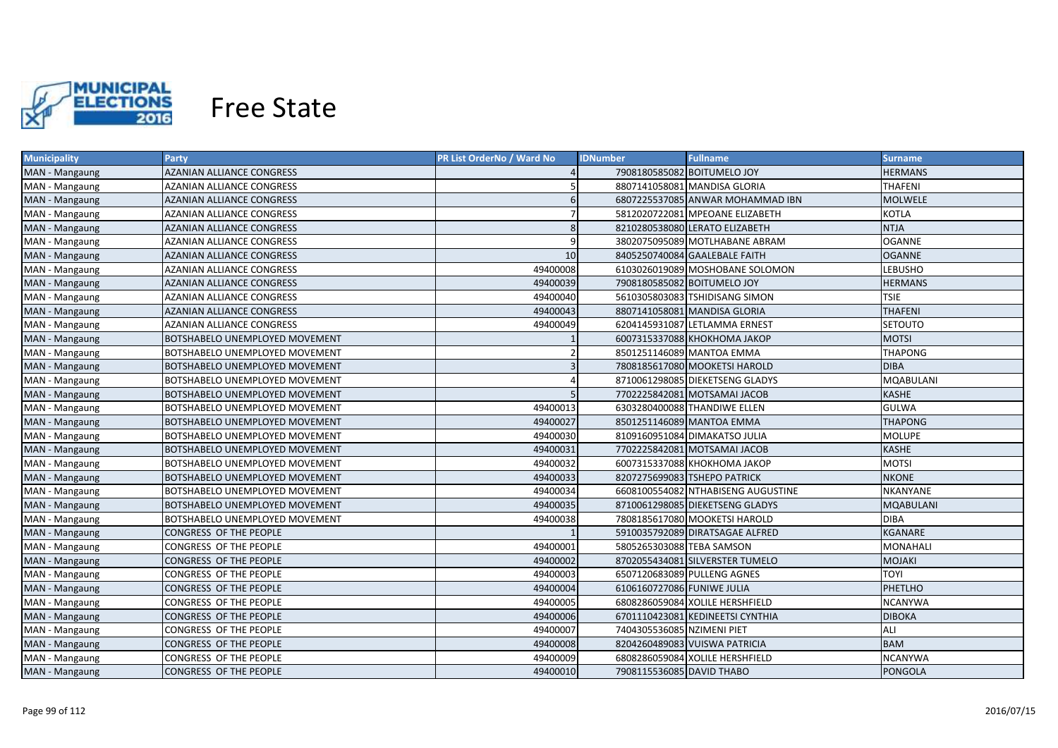

| <b>Municipality</b> | <b>Party</b>                          | PR List OrderNo / Ward No | <b>IDNumber</b>            | <b>Fullname</b>                    | <b>Surname</b>   |
|---------------------|---------------------------------------|---------------------------|----------------------------|------------------------------------|------------------|
| MAN - Mangaung      | AZANIAN ALLIANCE CONGRESS             |                           |                            | 7908180585082 BOITUMELO JOY        | <b>HERMANS</b>   |
| MAN - Mangaung      | AZANIAN ALLIANCE CONGRESS             |                           |                            | 8807141058081 MANDISA GLORIA       | <b>THAFENI</b>   |
| MAN - Mangaung      | AZANIAN ALLIANCE CONGRESS             | 6                         |                            | 6807225537085 ANWAR MOHAMMAD IBN   | <b>MOLWELE</b>   |
| MAN - Mangaung      | <b>AZANIAN ALLIANCE CONGRESS</b>      | -7                        |                            | 5812020722081 MPEOANE ELIZABETH    | KOTLA            |
| MAN - Mangaung      | AZANIAN ALLIANCE CONGRESS             | 8                         |                            | 8210280538080 LERATO ELIZABETH     | <b>NTJA</b>      |
| MAN - Mangaung      | AZANIAN ALLIANCE CONGRESS             |                           |                            | 3802075095089 MOTLHABANE ABRAM     | <b>OGANNE</b>    |
| MAN - Mangaung      | AZANIAN ALLIANCE CONGRESS             | 10                        |                            | 8405250740084 GAALEBALE FAITH      | <b>OGANNE</b>    |
| MAN - Mangaung      | AZANIAN ALLIANCE CONGRESS             | 49400008                  |                            | 6103026019089 MOSHOBANE SOLOMON    | LEBUSHO          |
| MAN - Mangaung      | <b>AZANIAN ALLIANCE CONGRESS</b>      | 49400039                  |                            | 7908180585082 BOITUMELO JOY        | <b>HERMANS</b>   |
| MAN - Mangaung      | <b>AZANIAN ALLIANCE CONGRESS</b>      | 49400040                  |                            | 5610305803083 TSHIDISANG SIMON     | <b>TSIE</b>      |
| MAN - Mangaung      | AZANIAN ALLIANCE CONGRESS             | 49400043                  |                            | 8807141058081 MANDISA GLORIA       | <b>THAFENI</b>   |
| MAN - Mangaung      | <b>AZANIAN ALLIANCE CONGRESS</b>      | 49400049                  |                            | 6204145931087 LETLAMMA ERNEST      | SETOUTO          |
| MAN - Mangaung      | BOTSHABELO UNEMPLOYED MOVEMENT        |                           |                            | 6007315337088 KHOKHOMA JAKOP       | <b>MOTSI</b>     |
| MAN - Mangaung      | BOTSHABELO UNEMPLOYED MOVEMENT        |                           |                            | 8501251146089 MANTOA EMMA          | <b>THAPONG</b>   |
| MAN - Mangaung      | BOTSHABELO UNEMPLOYED MOVEMENT        | 3                         |                            | 7808185617080 MOOKETSI HAROLD      | <b>DIBA</b>      |
| MAN - Mangaung      | BOTSHABELO UNEMPLOYED MOVEMENT        |                           |                            | 8710061298085 DIEKETSENG GLADYS    | <b>MQABULANI</b> |
| MAN - Mangaung      | <b>BOTSHABELO UNEMPLOYED MOVEMENT</b> | .5                        |                            | 7702225842081 MOTSAMAI JACOB       | <b>KASHE</b>     |
| MAN - Mangaung      | BOTSHABELO UNEMPLOYED MOVEMENT        | 49400013                  |                            | 6303280400088 THANDIWE ELLEN       | <b>GULWA</b>     |
| MAN - Mangaung      | <b>BOTSHABELO UNEMPLOYED MOVEMENT</b> | 49400027                  |                            | 8501251146089 MANTOA EMMA          | <b>THAPONG</b>   |
| MAN - Mangaung      | BOTSHABELO UNEMPLOYED MOVEMENT        | 49400030                  |                            | 8109160951084 DIMAKATSO JULIA      | <b>MOLUPE</b>    |
| MAN - Mangaung      | BOTSHABELO UNEMPLOYED MOVEMENT        | 49400031                  |                            | 7702225842081 MOTSAMAI JACOB       | <b>KASHE</b>     |
| MAN - Mangaung      | BOTSHABELO UNEMPLOYED MOVEMENT        | 49400032                  |                            | 6007315337088 КНОКНОМА ЈАКОР       | <b>MOTSI</b>     |
| MAN - Mangaung      | <b>BOTSHABELO UNEMPLOYED MOVEMENT</b> | 49400033                  |                            | 8207275699083 TSHEPO PATRICK       | <b>NKONE</b>     |
| MAN - Mangaung      | BOTSHABELO UNEMPLOYED MOVEMENT        | 49400034                  |                            | 6608100554082 NTHABISENG AUGUSTINE | NKANYANE         |
| MAN - Mangaung      | BOTSHABELO UNEMPLOYED MOVEMENT        | 49400035                  |                            | 8710061298085 DIEKETSENG GLADYS    | MQABULANI        |
| MAN - Mangaung      | BOTSHABELO UNEMPLOYED MOVEMENT        | 49400038                  |                            | 7808185617080 MOOKETSI HAROLD      | <b>DIBA</b>      |
| MAN - Mangaung      | CONGRESS OF THE PEOPLE                |                           |                            | 5910035792089 DIRATSAGAE ALFRED    | KGANARE          |
| MAN - Mangaung      | CONGRESS OF THE PEOPLE                | 49400001                  | 5805265303088 TEBA SAMSON  |                                    | MONAHALI         |
| MAN - Mangaung      | CONGRESS OF THE PEOPLE                | 49400002                  |                            | 8702055434081 SILVERSTER TUMELO    | MOJAKI           |
| MAN - Mangaung      | CONGRESS OF THE PEOPLE                | 49400003                  |                            | 6507120683089 PULLENG AGNES        | <b>TOYI</b>      |
| MAN - Mangaung      | CONGRESS OF THE PEOPLE                | 49400004                  | 6106160727086 FUNIWE JULIA |                                    | PHETLHO          |
| MAN - Mangaung      | CONGRESS OF THE PEOPLE                | 49400005                  |                            | 6808286059084 XOLILE HERSHFIELD    | <b>NCANYWA</b>   |
| MAN - Mangaung      | CONGRESS OF THE PEOPLE                | 49400006                  |                            | 6701110423081 KEDINEETSI CYNTHIA   | <b>DIBOKA</b>    |
| MAN - Mangaung      | CONGRESS OF THE PEOPLE                | 49400007                  | 7404305536085 NZIMENI PIET |                                    | ALI              |
| MAN - Mangaung      | CONGRESS OF THE PEOPLE                | 49400008                  |                            | 8204260489083 VUISWA PATRICIA      | <b>BAM</b>       |
| MAN - Mangaung      | CONGRESS OF THE PEOPLE                | 49400009                  |                            | 6808286059084 XOLILE HERSHFIELD    | <b>NCANYWA</b>   |
| MAN - Mangaung      | CONGRESS OF THE PEOPLE                | 49400010                  | 7908115536085 DAVID THABO  |                                    | <b>PONGOLA</b>   |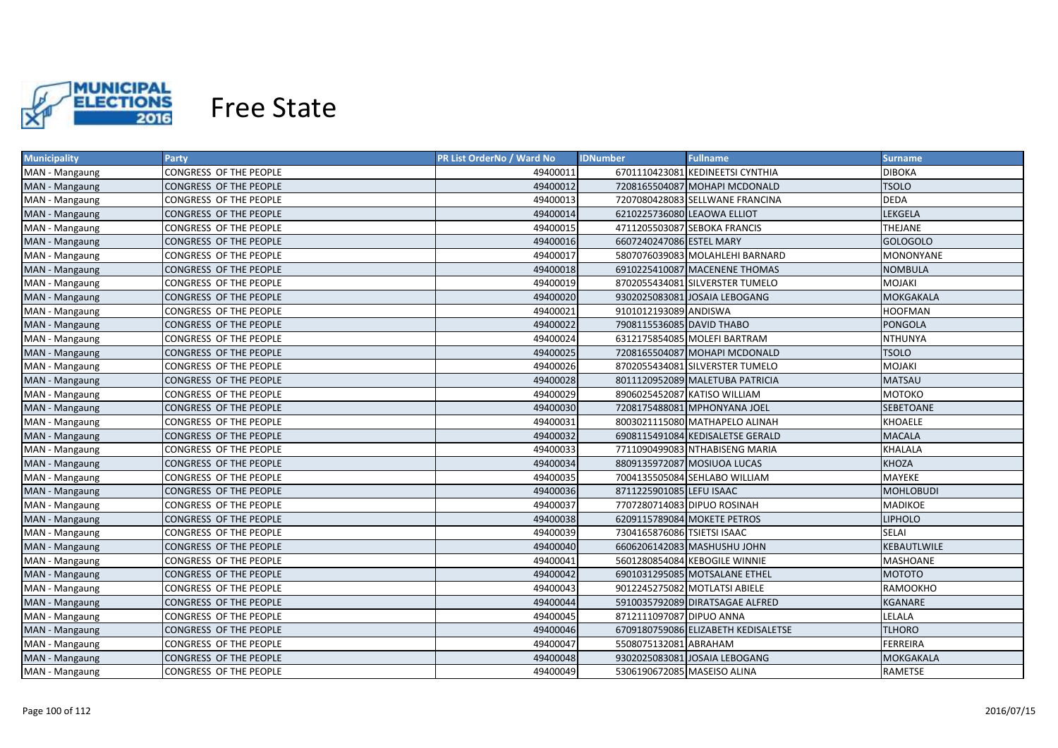

| <b>Municipality</b> | <b>Party</b>           | PR List OrderNo / Ward No | <b>IDNumber</b>             | <b>Fullname</b>                     | <b>Surname</b>   |
|---------------------|------------------------|---------------------------|-----------------------------|-------------------------------------|------------------|
| MAN - Mangaung      | CONGRESS OF THE PEOPLE | 49400011                  |                             | 6701110423081 KEDINEETSI CYNTHIA    | <b>DIBOKA</b>    |
| MAN - Mangaung      | CONGRESS OF THE PEOPLE | 49400012                  |                             | 7208165504087 MOHAPI MCDONALD       | <b>TSOLO</b>     |
| MAN - Mangaung      | CONGRESS OF THE PEOPLE | 49400013                  |                             | 7207080428083 SELLWANE FRANCINA     | <b>DEDA</b>      |
| MAN - Mangaung      | CONGRESS OF THE PEOPLE | 49400014                  | 6210225736080 LEAOWA ELLIOT |                                     | LEKGELA          |
| MAN - Mangaung      | CONGRESS OF THE PEOPLE | 49400015                  |                             | 4711205503087 SEBOKA FRANCIS        | THEJANE          |
| MAN - Mangaung      | CONGRESS OF THE PEOPLE | 49400016                  | 6607240247086 ESTEL MARY    |                                     | <b>GOLOGOLO</b>  |
| MAN - Mangaung      | CONGRESS OF THE PEOPLE | 49400017                  |                             | 5807076039083 MOLAHLEHI BARNARD     | <b>MONONYANE</b> |
| MAN - Mangaung      | CONGRESS OF THE PEOPLE | 49400018                  |                             | 6910225410087 MACENENE THOMAS       | <b>NOMBULA</b>   |
| MAN - Mangaung      | CONGRESS OF THE PEOPLE | 49400019                  |                             | 8702055434081 SILVERSTER TUMELO     | MOJAKI           |
| MAN - Mangaung      | CONGRESS OF THE PEOPLE | 49400020                  |                             | 9302025083081 JOSAIA LEBOGANG       | MOKGAKALA        |
| MAN - Mangaung      | CONGRESS OF THE PEOPLE | 49400021                  | 9101012193089 ANDISWA       |                                     | <b>HOOFMAN</b>   |
| MAN - Mangaung      | CONGRESS OF THE PEOPLE | 49400022                  | 7908115536085 DAVID THABO   |                                     | <b>PONGOLA</b>   |
| MAN - Mangaung      | CONGRESS OF THE PEOPLE | 49400024                  |                             | 6312175854085 MOLEFI BARTRAM        | <b>NTHUNYA</b>   |
| MAN - Mangaung      | CONGRESS OF THE PEOPLE | 49400025                  |                             | 7208165504087 MOHAPI MCDONALD       | <b>TSOLO</b>     |
| MAN - Mangaung      | CONGRESS OF THE PEOPLE | 49400026                  |                             | 8702055434081 SILVERSTER TUMELO     | <b>MOJAKI</b>    |
| MAN - Mangaung      | CONGRESS OF THE PEOPLE | 49400028                  |                             | 8011120952089 MALETUBA PATRICIA     | <b>MATSAU</b>    |
| MAN - Mangaung      | CONGRESS OF THE PEOPLE | 49400029                  |                             | 8906025452087 KATISO WILLIAM        | МОТОКО           |
| MAN - Mangaung      | CONGRESS OF THE PEOPLE | 49400030                  |                             | 7208175488081 MPHONYANA JOEL        | <b>SEBETOANE</b> |
| MAN - Mangaung      | CONGRESS OF THE PEOPLE | 49400031                  |                             | 8003021115080 MATHAPELO ALINAH      | <b>KHOAELE</b>   |
| MAN - Mangaung      | CONGRESS OF THE PEOPLE | 49400032                  |                             | 6908115491084 KEDISALETSE GERALD    | <b>MACALA</b>    |
| MAN - Mangaung      | CONGRESS OF THE PEOPLE | 49400033                  |                             | 7711090499083 NTHABISENG MARIA      | <b>KHALALA</b>   |
| MAN - Mangaung      | CONGRESS OF THE PEOPLE | 49400034                  |                             | 8809135972087 MOSIUOA LUCAS         | <b>KHOZA</b>     |
| MAN - Mangaung      | CONGRESS OF THE PEOPLE | 49400035                  |                             | 7004135505084 SEHLABO WILLIAM       | <b>MAYEKE</b>    |
| MAN - Mangaung      | CONGRESS OF THE PEOPLE | 49400036                  | 8711225901085 LEFU ISAAC    |                                     | <b>MOHLOBUDI</b> |
| MAN - Mangaung      | CONGRESS OF THE PEOPLE | 49400037                  | 7707280714083 DIPUO ROSINAH |                                     | <b>MADIKOE</b>   |
| MAN - Mangaung      | CONGRESS OF THE PEOPLE | 49400038                  |                             | 6209115789084 MOKETE PETROS         | <b>LIPHOLO</b>   |
| MAN - Mangaung      | CONGRESS OF THE PEOPLE | 49400039                  | 7304165876086 TSIETSI ISAAC |                                     | SELAI            |
| MAN - Mangaung      | CONGRESS OF THE PEOPLE | 49400040                  |                             | 6606206142083 MASHUSHU JOHN         | KEBAUTLWILE      |
| MAN - Mangaung      | CONGRESS OF THE PEOPLE | 49400041                  |                             | 5601280854084 KEBOGILE WINNIE       | <b>MASHOANE</b>  |
| MAN - Mangaung      | CONGRESS OF THE PEOPLE | 49400042                  |                             | 6901031295085 MOTSALANE ETHEL       | МОТОТО           |
| MAN - Mangaung      | CONGRESS OF THE PEOPLE | 49400043                  |                             | 9012245275082 MOTLATSI ABIELE       | RAMOOKHO         |
| MAN - Mangaung      | CONGRESS OF THE PEOPLE | 49400044                  |                             | 5910035792089 DIRATSAGAE ALFRED     | KGANARE          |
| MAN - Mangaung      | CONGRESS OF THE PEOPLE | 49400045                  | 8712111097087 DIPUO ANNA    |                                     | LELALA           |
| MAN - Mangaung      | CONGRESS OF THE PEOPLE | 49400046                  |                             | 6709180759086 ELIZABETH KEDISALETSE | <b>TLHORO</b>    |
| MAN - Mangaung      | CONGRESS OF THE PEOPLE | 49400047                  | 5508075132081 ABRAHAM       |                                     | <b>FERREIRA</b>  |
| MAN - Mangaung      | CONGRESS OF THE PEOPLE | 49400048                  |                             | 9302025083081 JOSAIA LEBOGANG       | MOKGAKALA        |
| MAN - Mangaung      | CONGRESS OF THE PEOPLE | 49400049                  | 5306190672085 MASEISO ALINA |                                     | RAMETSE          |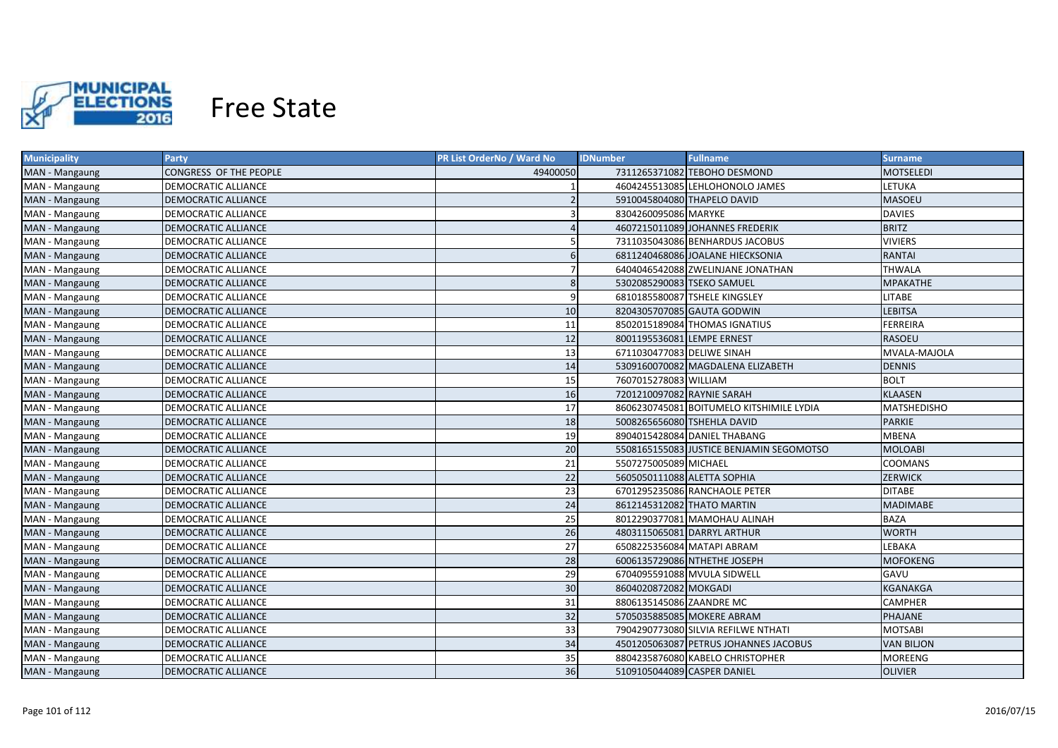

| <b>Municipality</b> | Party                      | PR List OrderNo / Ward No | <b>IDNumber</b>             | <b>Fullname</b>                          | <b>Surname</b>     |
|---------------------|----------------------------|---------------------------|-----------------------------|------------------------------------------|--------------------|
| MAN - Mangaung      | CONGRESS OF THE PEOPLE     | 49400050                  |                             | 7311265371082 TEBOHO DESMOND             | <b>MOTSELEDI</b>   |
| MAN - Mangaung      | DEMOCRATIC ALLIANCE        |                           |                             | 4604245513085 LEHLOHONOLO JAMES          | <b>LETUKA</b>      |
| MAN - Mangaung      | <b>DEMOCRATIC ALLIANCE</b> |                           |                             | 5910045804080 THAPELO DAVID              | <b>MASOEU</b>      |
| MAN - Mangaung      | <b>DEMOCRATIC ALLIANCE</b> |                           | 8304260095086 MARYKE        |                                          | <b>DAVIES</b>      |
| MAN - Mangaung      | <b>DEMOCRATIC ALLIANCE</b> |                           |                             | 4607215011089 JOHANNES FREDERIK          | <b>BRITZ</b>       |
| MAN - Mangaung      | DEMOCRATIC ALLIANCE        |                           |                             | 7311035043086 BENHARDUS JACOBUS          | <b>VIVIERS</b>     |
| MAN - Mangaung      | <b>DEMOCRATIC ALLIANCE</b> | 6                         |                             | 6811240468086 JOALANE HIECKSONIA         | <b>RANTAI</b>      |
| MAN - Mangaung      | <b>DEMOCRATIC ALLIANCE</b> |                           |                             | 6404046542088 ZWELINJANE JONATHAN        | <b>THWALA</b>      |
| MAN - Mangaung      | <b>DEMOCRATIC ALLIANCE</b> | 8                         | 5302085290083 TSEKO SAMUEL  |                                          | <b>MPAKATHE</b>    |
| MAN - Mangaung      | <b>DEMOCRATIC ALLIANCE</b> | $\mathsf{q}$              |                             | 6810185580087 TSHELE KINGSLEY            | <b>LITABE</b>      |
| MAN - Mangaung      | <b>DEMOCRATIC ALLIANCE</b> | 10                        |                             | 8204305707085 GAUTA GODWIN               | <b>LEBITSA</b>     |
| MAN - Mangaung      | <b>DEMOCRATIC ALLIANCE</b> | 11                        |                             | 8502015189084 THOMAS IGNATIUS            | <b>FERREIRA</b>    |
| MAN - Mangaung      | DEMOCRATIC ALLIANCE        | 12                        | 8001195536081 LEMPE ERNEST  |                                          | <b>RASOEU</b>      |
| MAN - Mangaung      | <b>DEMOCRATIC ALLIANCE</b> | 13                        | 6711030477083 DELIWE SINAH  |                                          | MVALA-MAJOLA       |
| MAN - Mangaung      | <b>DEMOCRATIC ALLIANCE</b> | 14                        |                             | 5309160070082 MAGDALENA ELIZABETH        | <b>DENNIS</b>      |
| MAN - Mangaung      | <b>DEMOCRATIC ALLIANCE</b> | 15                        | 7607015278083 WILLIAM       |                                          | <b>BOLT</b>        |
| MAN - Mangaung      | <b>DEMOCRATIC ALLIANCE</b> | 16                        | 7201210097082 RAYNIE SARAH  |                                          | <b>KLAASEN</b>     |
| MAN - Mangaung      | <b>DEMOCRATIC ALLIANCE</b> | 17                        |                             | 8606230745081 BOITUMELO KITSHIMILE LYDIA | <b>MATSHEDISHO</b> |
| MAN - Mangaung      | <b>DEMOCRATIC ALLIANCE</b> | 18                        | 5008265656080 TSHEHLA DAVID |                                          | <b>PARKIE</b>      |
| MAN - Mangaung      | <b>DEMOCRATIC ALLIANCE</b> | 19                        |                             | 8904015428084 DANIEL THABANG             | <b>MBENA</b>       |
| MAN - Mangaung      | <b>DEMOCRATIC ALLIANCE</b> | 20                        |                             | 5508165155083 JUSTICE BENJAMIN SEGOMOTSO | <b>MOLOABI</b>     |
| MAN - Mangaung      | <b>DEMOCRATIC ALLIANCE</b> | 21                        | 5507275005089 MICHAEL       |                                          | <b>COOMANS</b>     |
| MAN - Mangaung      | <b>DEMOCRATIC ALLIANCE</b> | 22                        | 5605050111088 ALETTA SOPHIA |                                          | <b>ZERWICK</b>     |
| MAN - Mangaung      | <b>DEMOCRATIC ALLIANCE</b> | 23                        |                             | 6701295235086 RANCHAOLE PETER            | <b>DITABE</b>      |
| MAN - Mangaung      | DEMOCRATIC ALLIANCE        | 24                        | 8612145312082 THATO MARTIN  |                                          | MADIMABE           |
| MAN - Mangaung      | DEMOCRATIC ALLIANCE        | 25                        |                             | 8012290377081 MAMOHAU ALINAH             | <b>BAZA</b>        |
| MAN - Mangaung      | <b>DEMOCRATIC ALLIANCE</b> | 26                        |                             | 4803115065081 DARRYL ARTHUR              | <b>WORTH</b>       |
| MAN - Mangaung      | DEMOCRATIC ALLIANCE        | 27                        |                             | 6508225356084 MATAPI ABRAM               | LEBAKA             |
| MAN - Mangaung      | DEMOCRATIC ALLIANCE        | 28                        |                             | 6006135729086 NTHETHE JOSEPH             | MOFOKENG           |
| MAN - Mangaung      | DEMOCRATIC ALLIANCE        | 29                        |                             | 6704095591088 MVULA SIDWELL              | GAVU               |
| MAN - Mangaung      | <b>DEMOCRATIC ALLIANCE</b> | 30                        | 8604020872082 MOKGADI       |                                          | KGANAKGA           |
| MAN - Mangaung      | <b>DEMOCRATIC ALLIANCE</b> | 31                        | 8806135145086 ZAANDRE MC    |                                          | CAMPHER            |
| MAN - Mangaung      | <b>DEMOCRATIC ALLIANCE</b> | 32                        |                             | 5705035885085 MOKERE ABRAM               | PHAJANE            |
| MAN - Mangaung      | <b>DEMOCRATIC ALLIANCE</b> | 33                        |                             | 7904290773080 SILVIA REFILWE NTHATI      | <b>MOTSABI</b>     |
| MAN - Mangaung      | <b>DEMOCRATIC ALLIANCE</b> | 34                        |                             | 4501205063087 PETRUS JOHANNES JACOBUS    | <b>VAN BILJON</b>  |
| MAN - Mangaung      | DEMOCRATIC ALLIANCE        | 35                        |                             | 8804235876080 KABELO CHRISTOPHER         | MOREENG            |
| MAN - Mangaung      | <b>DEMOCRATIC ALLIANCE</b> | 36                        | 5109105044089 CASPER DANIEL |                                          | <b>OLIVIER</b>     |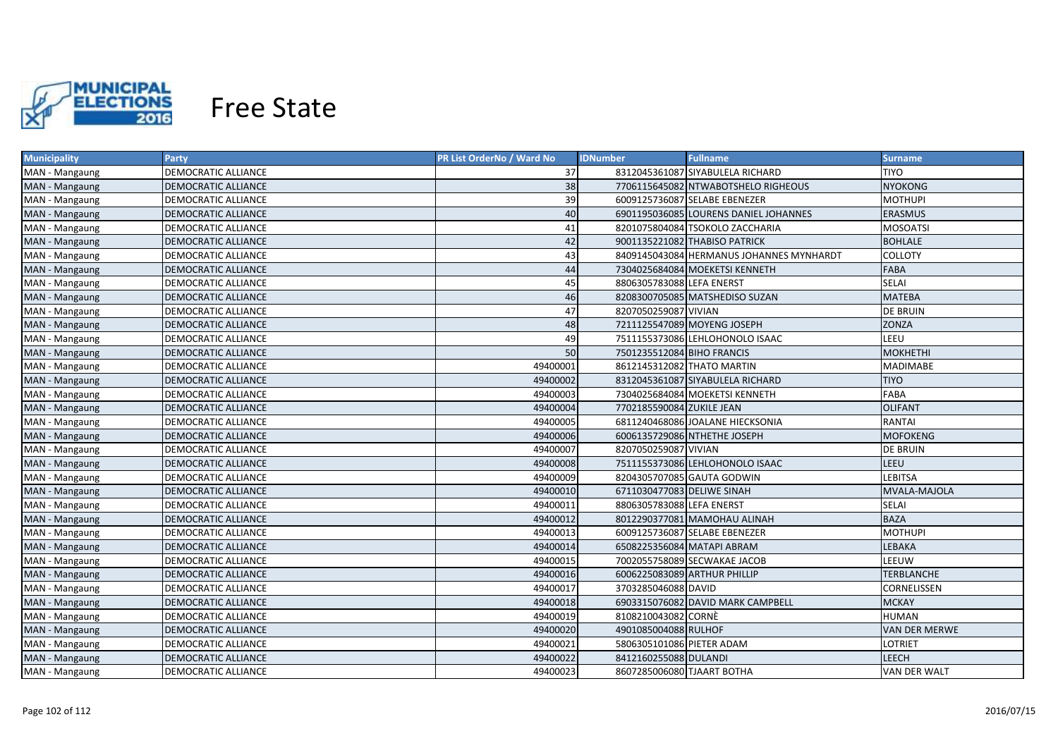

| <b>Municipality</b> | Party                      | PR List OrderNo / Ward No | <b>IDNumber</b>            | <b>Fullname</b>                          | <b>Surname</b>       |
|---------------------|----------------------------|---------------------------|----------------------------|------------------------------------------|----------------------|
| MAN - Mangaung      | DEMOCRATIC ALLIANCE        | 37                        |                            | 8312045361087 SIYABULELA RICHARD         | TIYO                 |
| MAN - Mangaung      | DEMOCRATIC ALLIANCE        | 38                        |                            | 7706115645082 NTWABOTSHELO RIGHEOUS      | <b>NYOKONG</b>       |
| MAN - Mangaung      | DEMOCRATIC ALLIANCE        | 39                        |                            | 6009125736087 SELABE EBENEZER            | <b>MOTHUPI</b>       |
| MAN - Mangaung      | DEMOCRATIC ALLIANCE        | 40                        |                            | 6901195036085 LOURENS DANIEL JOHANNES    | <b>ERASMUS</b>       |
| MAN - Mangaung      | <b>DEMOCRATIC ALLIANCE</b> | 41                        |                            | 8201075804084 TSOKOLO ZACCHARIA          | <b>MOSOATSI</b>      |
| MAN - Mangaung      | DEMOCRATIC ALLIANCE        | 42                        |                            | 9001135221082 THABISO PATRICK            | <b>BOHLALE</b>       |
| MAN - Mangaung      | DEMOCRATIC ALLIANCE        | 43                        |                            | 8409145043084 HERMANUS JOHANNES MYNHARDT | <b>COLLOTY</b>       |
| MAN - Mangaung      | <b>DEMOCRATIC ALLIANCE</b> | 44                        |                            | 7304025684084 MOEKETSI KENNETH           | <b>FABA</b>          |
| MAN - Mangaung      | <b>DEMOCRATIC ALLIANCE</b> | 45                        | 8806305783088 LEFA ENERST  |                                          | SELAI                |
| MAN - Mangaung      | <b>DEMOCRATIC ALLIANCE</b> | 46                        |                            | 8208300705085 MATSHEDISO SUZAN           | <b>MATEBA</b>        |
| MAN - Mangaung      | <b>DEMOCRATIC ALLIANCE</b> | 47                        | 8207050259087 VIVIAN       |                                          | <b>DE BRUIN</b>      |
| MAN - Mangaung      | <b>DEMOCRATIC ALLIANCE</b> | 48                        |                            | 7211125547089 MOYENG JOSEPH              | ZONZA                |
| MAN - Mangaung      | DEMOCRATIC ALLIANCE        | 49                        |                            | 7511155373086 LEHLOHONOLO ISAAC          | LEEU                 |
| MAN - Mangaung      | <b>DEMOCRATIC ALLIANCE</b> | 50                        | 7501235512084 BIHO FRANCIS |                                          | <b>MOKHETHI</b>      |
| MAN - Mangaung      | DEMOCRATIC ALLIANCE        | 49400001                  | 8612145312082 THATO MARTIN |                                          | MADIMABE             |
| MAN - Mangaung      | <b>DEMOCRATIC ALLIANCE</b> | 49400002                  |                            | 8312045361087 SIYABULELA RICHARD         | <b>TIYO</b>          |
| MAN - Mangaung      | <b>DEMOCRATIC ALLIANCE</b> | 49400003                  |                            | 7304025684084 MOEKETSI KENNETH           | FABA                 |
| MAN - Mangaung      | <b>DEMOCRATIC ALLIANCE</b> | 49400004                  | 7702185590084 ZUKILE JEAN  |                                          | <b>OLIFANT</b>       |
| MAN - Mangaung      | <b>DEMOCRATIC ALLIANCE</b> | 49400005                  |                            | 6811240468086 JOALANE HIECKSONIA         | <b>RANTAI</b>        |
| MAN - Mangaung      | <b>DEMOCRATIC ALLIANCE</b> | 49400006                  |                            | 6006135729086 NTHETHE JOSEPH             | <b>MOFOKENG</b>      |
| MAN - Mangaung      | <b>DEMOCRATIC ALLIANCE</b> | 49400007                  | 8207050259087 VIVIAN       |                                          | <b>DE BRUIN</b>      |
| MAN - Mangaung      | <b>DEMOCRATIC ALLIANCE</b> | 49400008                  |                            | 7511155373086 LEHLOHONOLO ISAAC          | LEEU                 |
| MAN - Mangaung      | <b>DEMOCRATIC ALLIANCE</b> | 49400009                  |                            | 8204305707085 GAUTA GODWIN               | <b>LEBITSA</b>       |
| MAN - Mangaung      | <b>DEMOCRATIC ALLIANCE</b> | 49400010                  | 6711030477083 DELIWE SINAH |                                          | MVALA-MAJOLA         |
| MAN - Mangaung      | <b>DEMOCRATIC ALLIANCE</b> | 49400011                  | 8806305783088 LEFA ENERST  |                                          | SELAI                |
| MAN - Mangaung      | <b>DEMOCRATIC ALLIANCE</b> | 49400012                  |                            | 8012290377081 MAMOHAU ALINAH             | <b>BAZA</b>          |
| MAN - Mangaung      | DEMOCRATIC ALLIANCE        | 49400013                  |                            | 6009125736087 SELABE EBENEZER            | MOTHUPI              |
| MAN - Mangaung      | DEMOCRATIC ALLIANCE        | 49400014                  | 6508225356084 MATAPI ABRAM |                                          | LEBAKA               |
| MAN - Mangaung      | DEMOCRATIC ALLIANCE        | 49400015                  |                            | 7002055758089 SECWAKAE JACOB             | LEEUW                |
| MAN - Mangaung      | DEMOCRATIC ALLIANCE        | 49400016                  |                            | 6006225083089 ARTHUR PHILLIP             | TERBLANCHE           |
| MAN - Mangaung      | DEMOCRATIC ALLIANCE        | 49400017                  | 3703285046088 DAVID        |                                          | CORNELISSEN          |
| MAN - Mangaung      | DEMOCRATIC ALLIANCE        | 49400018                  |                            | 6903315076082 DAVID MARK CAMPBELL        | <b>MCKAY</b>         |
| MAN - Mangaung      | DEMOCRATIC ALLIANCE        | 49400019                  | 8108210043082 CORNÈ        |                                          | <b>HUMAN</b>         |
| MAN - Mangaung      | <b>DEMOCRATIC ALLIANCE</b> | 49400020                  | 4901085004088 RULHOF       |                                          | <b>VAN DER MERWE</b> |
| MAN - Mangaung      | DEMOCRATIC ALLIANCE        | 49400021                  | 5806305101086 PIETER ADAM  |                                          | LOTRIET              |
| MAN - Mangaung      | <b>DEMOCRATIC ALLIANCE</b> | 49400022                  | 8412160255088 DULANDI      |                                          | LEECH                |
| MAN - Mangaung      | <b>DEMOCRATIC ALLIANCE</b> | 49400023                  | 8607285006080 TJAART BOTHA |                                          | VAN DER WALT         |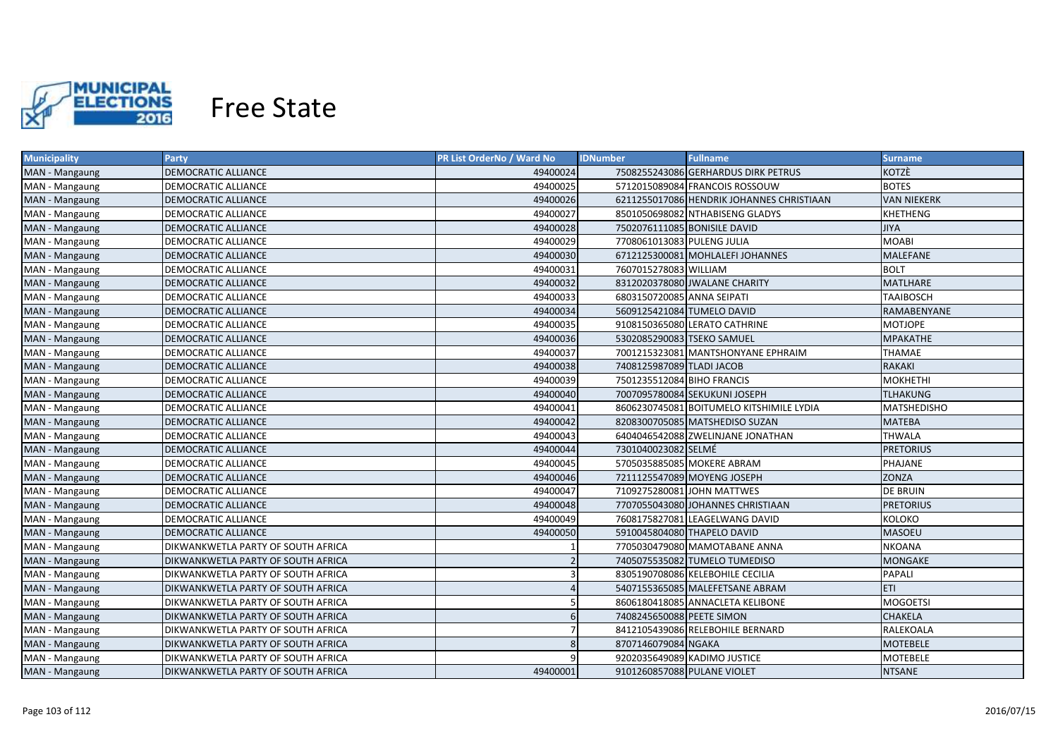

| <b>Municipality</b> | <b>Party</b>                       | PR List OrderNo / Ward No | <b>IDNumber</b>              | <b>Fullname</b>                           | <b>Surname</b>     |
|---------------------|------------------------------------|---------------------------|------------------------------|-------------------------------------------|--------------------|
| MAN - Mangaung      | DEMOCRATIC ALLIANCE                | 49400024                  |                              | 7508255243086 GERHARDUS DIRK PETRUS       | KOTZÈ              |
| MAN - Mangaung      | DEMOCRATIC ALLIANCE                | 49400025                  |                              | 5712015089084 FRANCOIS ROSSOUW            | <b>BOTES</b>       |
| MAN - Mangaung      | DEMOCRATIC ALLIANCE                | 49400026                  |                              | 6211255017086 HENDRIK JOHANNES CHRISTIAAN | <b>VAN NIEKERK</b> |
| MAN - Mangaung      | DEMOCRATIC ALLIANCE                | 49400027                  |                              | 8501050698082 NTHABISENG GLADYS           | KHETHENG           |
| MAN - Mangaung      | DEMOCRATIC ALLIANCE                | 49400028                  | 7502076111085 BONISILE DAVID |                                           | <b>JIYA</b>        |
| MAN - Mangaung      | DEMOCRATIC ALLIANCE                | 49400029                  | 7708061013083 PULENG JULIA   |                                           | <b>MOABI</b>       |
| MAN - Mangaung      | DEMOCRATIC ALLIANCE                | 49400030                  |                              | 6712125300081 MOHLALEFI JOHANNES          | MALEFANE           |
| MAN - Mangaung      | DEMOCRATIC ALLIANCE                | 49400031                  | 7607015278083 WILLIAM        |                                           | <b>BOLT</b>        |
| MAN - Mangaung      | DEMOCRATIC ALLIANCE                | 49400032                  |                              | 8312020378080 JWALANE CHARITY             | <b>MATLHARE</b>    |
| MAN - Mangaung      | DEMOCRATIC ALLIANCE                | 49400033                  | 6803150720085 ANNA SEIPATI   |                                           | <b>TAAIBOSCH</b>   |
| MAN - Mangaung      | DEMOCRATIC ALLIANCE                | 49400034                  | 5609125421084 TUMELO DAVID   |                                           | RAMABENYANE        |
| MAN - Mangaung      | DEMOCRATIC ALLIANCE                | 49400035                  |                              | 9108150365080 LERATO CATHRINE             | <b>MOTJOPE</b>     |
| MAN - Mangaung      | <b>DEMOCRATIC ALLIANCE</b>         | 49400036                  | 5302085290083 TSEKO SAMUEL   |                                           | <b>MPAKATHE</b>    |
| MAN - Mangaung      | DEMOCRATIC ALLIANCE                | 49400037                  |                              | 7001215323081 MANTSHONYANE EPHRAIM        | THAMAE             |
| MAN - Mangaung      | <b>DEMOCRATIC ALLIANCE</b>         | 49400038                  | 7408125987089 TLADI JACOB    |                                           | <b>RAKAKI</b>      |
| MAN - Mangaung      | DEMOCRATIC ALLIANCE                | 49400039                  | 7501235512084 BIHO FRANCIS   |                                           | <b>MOKHETHI</b>    |
| MAN - Mangaung      | DEMOCRATIC ALLIANCE                | 49400040                  |                              | 7007095780084 SEKUKUNI JOSEPH             | <b>TLHAKUNG</b>    |
| MAN - Mangaung      | DEMOCRATIC ALLIANCE                | 49400041                  |                              | 8606230745081 BOITUMELO KITSHIMILE LYDIA  | MATSHEDISHO        |
| MAN - Mangaung      | DEMOCRATIC ALLIANCE                | 49400042                  |                              | 8208300705085 MATSHEDISO SUZAN            | <b>MATEBA</b>      |
| MAN - Mangaung      | DEMOCRATIC ALLIANCE                | 49400043                  |                              | 6404046542088 ZWELINJANE JONATHAN         | <b>THWALA</b>      |
| MAN - Mangaung      | <b>DEMOCRATIC ALLIANCE</b>         | 49400044                  | 7301040023082 SELMÉ          |                                           | <b>PRETORIUS</b>   |
| MAN - Mangaung      | DEMOCRATIC ALLIANCE                | 49400045                  |                              | 5705035885085 MOKERE ABRAM                | PHAJANE            |
| MAN - Mangaung      | <b>DEMOCRATIC ALLIANCE</b>         | 49400046                  |                              | 7211125547089 MOYENG JOSEPH               | ZONZA              |
| MAN - Mangaung      | <b>DEMOCRATIC ALLIANCE</b>         | 49400047                  | 7109275280081 JOHN MATTWES   |                                           | <b>DE BRUIN</b>    |
| MAN - Mangaung      | DEMOCRATIC ALLIANCE                | 49400048                  |                              | 7707055043080 JOHANNES CHRISTIAAN         | <b>PRETORIUS</b>   |
| MAN - Mangaung      | DEMOCRATIC ALLIANCE                | 49400049                  |                              | 7608175827081 LEAGELWANG DAVID            | <b>KOLOKO</b>      |
| MAN - Mangaung      | <b>DEMOCRATIC ALLIANCE</b>         | 49400050                  | 5910045804080 THAPELO DAVID  |                                           | <b>MASOEU</b>      |
| MAN - Mangaung      | DIKWANKWETLA PARTY OF SOUTH AFRICA |                           |                              | 7705030479080 MAMOTABANE ANNA             | <b>NKOANA</b>      |
| MAN - Mangaung      | DIKWANKWETLA PARTY OF SOUTH AFRICA |                           |                              | 7405075535082 TUMELO TUMEDISO             | MONGAKE            |
| MAN - Mangaung      | DIKWANKWETLA PARTY OF SOUTH AFRICA | З                         |                              | 8305190708086 KELEBOHILE CECILIA          | PAPALI             |
| MAN - Mangaung      | DIKWANKWETLA PARTY OF SOUTH AFRICA |                           |                              | 5407155365085 MALEFETSANE ABRAM           | <b>ETI</b>         |
| MAN - Mangaung      | DIKWANKWETLA PARTY OF SOUTH AFRICA |                           |                              | 8606180418085 ANNACLETA KELIBONE          | <b>MOGOETSI</b>    |
| MAN - Mangaung      | DIKWANKWETLA PARTY OF SOUTH AFRICA | 6                         | 7408245650088 PEETE SIMON    |                                           | <b>CHAKELA</b>     |
| MAN - Mangaung      | DIKWANKWETLA PARTY OF SOUTH AFRICA |                           |                              | 8412105439086 RELEBOHILE BERNARD          | RALEKOALA          |
| MAN - Mangaung      | DIKWANKWETLA PARTY OF SOUTH AFRICA | 8                         | 8707146079084 NGAKA          |                                           | MOTEBELE           |
| MAN - Mangaung      | DIKWANKWETLA PARTY OF SOUTH AFRICA |                           |                              | 9202035649089 KADIMO JUSTICE              | MOTEBELE           |
| MAN - Mangaung      | DIKWANKWETLA PARTY OF SOUTH AFRICA | 49400001                  | 9101260857088 PULANE VIOLET  |                                           | <b>NTSANE</b>      |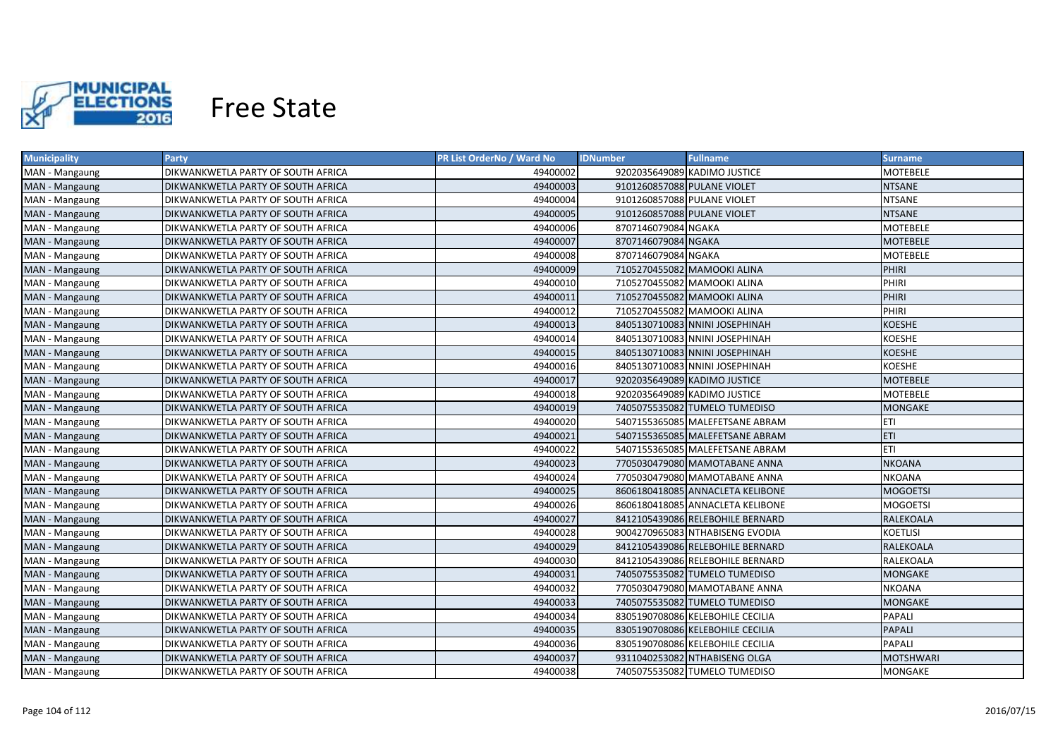

| <b>Municipality</b> | <b>Party</b>                       | PR List OrderNo / Ward No | <b>IDNumber</b>             | <b>Fullname</b>                  | <b>Surname</b>   |
|---------------------|------------------------------------|---------------------------|-----------------------------|----------------------------------|------------------|
| MAN - Mangaung      | DIKWANKWETLA PARTY OF SOUTH AFRICA | 49400002                  |                             | 9202035649089 KADIMO JUSTICE     | MOTEBELE         |
| MAN - Mangaung      | DIKWANKWETLA PARTY OF SOUTH AFRICA | 49400003                  | 9101260857088 PULANE VIOLET |                                  | <b>NTSANE</b>    |
| MAN - Mangaung      | DIKWANKWETLA PARTY OF SOUTH AFRICA | 49400004                  | 9101260857088 PULANE VIOLET |                                  | <b>NTSANE</b>    |
| MAN - Mangaung      | DIKWANKWETLA PARTY OF SOUTH AFRICA | 49400005                  | 9101260857088 PULANE VIOLET |                                  | <b>NTSANE</b>    |
| MAN - Mangaung      | DIKWANKWETLA PARTY OF SOUTH AFRICA | 49400006                  | 8707146079084 NGAKA         |                                  | MOTEBELE         |
| MAN - Mangaung      | DIKWANKWETLA PARTY OF SOUTH AFRICA | 49400007                  | 8707146079084 NGAKA         |                                  | <b>MOTEBELE</b>  |
| MAN - Mangaung      | DIKWANKWETLA PARTY OF SOUTH AFRICA | 49400008                  | 8707146079084 NGAKA         |                                  | MOTEBELE         |
| MAN - Mangaung      | DIKWANKWETLA PARTY OF SOUTH AFRICA | 49400009                  |                             | 7105270455082 MAMOOKI ALINA      | PHIRI            |
| MAN - Mangaung      | DIKWANKWETLA PARTY OF SOUTH AFRICA | 49400010                  |                             | 7105270455082 MAMOOKI ALINA      | PHIRI            |
| MAN - Mangaung      | DIKWANKWETLA PARTY OF SOUTH AFRICA | 49400011                  |                             | 7105270455082 MAMOOKI ALINA      | PHIRI            |
| MAN - Mangaung      | DIKWANKWETLA PARTY OF SOUTH AFRICA | 49400012                  |                             | 7105270455082 MAMOOKI ALINA      | PHIRI            |
| MAN - Mangaung      | DIKWANKWETLA PARTY OF SOUTH AFRICA | 49400013                  |                             | 8405130710083 NNINI JOSEPHINAH   | <b>KOESHE</b>    |
| MAN - Mangaung      | DIKWANKWETLA PARTY OF SOUTH AFRICA | 49400014                  |                             | 8405130710083 NNINI JOSEPHINAH   | <b>KOESHE</b>    |
| MAN - Mangaung      | DIKWANKWETLA PARTY OF SOUTH AFRICA | 49400015                  |                             | 8405130710083 NNINI JOSEPHINAH   | <b>KOESHE</b>    |
| MAN - Mangaung      | DIKWANKWETLA PARTY OF SOUTH AFRICA | 49400016                  |                             | 8405130710083 NNINI JOSEPHINAH   | <b>KOESHE</b>    |
| MAN - Mangaung      | DIKWANKWETLA PARTY OF SOUTH AFRICA | 49400017                  |                             | 9202035649089 KADIMO JUSTICE     | <b>MOTEBELE</b>  |
| MAN - Mangaung      | DIKWANKWETLA PARTY OF SOUTH AFRICA | 49400018                  |                             | 9202035649089 KADIMO JUSTICE     | <b>MOTEBELE</b>  |
| MAN - Mangaung      | DIKWANKWETLA PARTY OF SOUTH AFRICA | 49400019                  |                             | 7405075535082 TUMELO TUMEDISO    | <b>MONGAKE</b>   |
| MAN - Mangaung      | DIKWANKWETLA PARTY OF SOUTH AFRICA | 49400020                  |                             | 5407155365085 MALEFETSANE ABRAM  | <b>ETI</b>       |
| MAN - Mangaung      | DIKWANKWETLA PARTY OF SOUTH AFRICA | 49400021                  |                             | 5407155365085 MALEFETSANE ABRAM  | <b>ETI</b>       |
| MAN - Mangaung      | DIKWANKWETLA PARTY OF SOUTH AFRICA | 49400022                  |                             | 5407155365085 MALEFETSANE ABRAM  | <b>ETI</b>       |
| MAN - Mangaung      | DIKWANKWETLA PARTY OF SOUTH AFRICA | 49400023                  |                             | 7705030479080 MAMOTABANE ANNA    | <b>NKOANA</b>    |
| MAN - Mangaung      | DIKWANKWETLA PARTY OF SOUTH AFRICA | 49400024                  |                             | 7705030479080 MAMOTABANE ANNA    | <b>NKOANA</b>    |
| MAN - Mangaung      | DIKWANKWETLA PARTY OF SOUTH AFRICA | 49400025                  |                             | 8606180418085 ANNACLETA KELIBONE | <b>MOGOETSI</b>  |
| MAN - Mangaung      | DIKWANKWETLA PARTY OF SOUTH AFRICA | 49400026                  |                             | 8606180418085 ANNACLETA KELIBONE | <b>MOGOETSI</b>  |
| MAN - Mangaung      | DIKWANKWETLA PARTY OF SOUTH AFRICA | 49400027                  |                             | 8412105439086 RELEBOHILE BERNARD | <b>RALEKOALA</b> |
| MAN - Mangaung      | DIKWANKWETLA PARTY OF SOUTH AFRICA | 49400028                  |                             | 9004270965083 NTHABISENG EVODIA  | <b>KOETLISI</b>  |
| MAN - Mangaung      | DIKWANKWETLA PARTY OF SOUTH AFRICA | 49400029                  |                             | 8412105439086 RELEBOHILE BERNARD | <b>RALEKOALA</b> |
| MAN - Mangaung      | DIKWANKWETLA PARTY OF SOUTH AFRICA | 49400030                  |                             | 8412105439086 RELEBOHILE BERNARD | RALEKOALA        |
| MAN - Mangaung      | DIKWANKWETLA PARTY OF SOUTH AFRICA | 49400031                  |                             | 7405075535082 TUMELO TUMEDISO    | MONGAKE          |
| MAN - Mangaung      | DIKWANKWETLA PARTY OF SOUTH AFRICA | 49400032                  |                             | 7705030479080 MAMOTABANE ANNA    | <b>NKOANA</b>    |
| MAN - Mangaung      | DIKWANKWETLA PARTY OF SOUTH AFRICA | 49400033                  |                             | 7405075535082 TUMELO TUMEDISO    | MONGAKE          |
| MAN - Mangaung      | DIKWANKWETLA PARTY OF SOUTH AFRICA | 49400034                  |                             | 8305190708086 KELEBOHILE CECILIA | PAPALI           |
| MAN - Mangaung      | DIKWANKWETLA PARTY OF SOUTH AFRICA | 49400035                  |                             | 8305190708086 KELEBOHILE CECILIA | <b>PAPALI</b>    |
| MAN - Mangaung      | DIKWANKWETLA PARTY OF SOUTH AFRICA | 49400036                  |                             | 8305190708086 KELEBOHILE CECILIA | PAPALI           |
| MAN - Mangaung      | DIKWANKWETLA PARTY OF SOUTH AFRICA | 49400037                  |                             | 9311040253082 NTHABISENG OLGA    | MOTSHWARI        |
| MAN - Mangaung      | DIKWANKWETLA PARTY OF SOUTH AFRICA | 49400038                  |                             | 7405075535082 TUMELO TUMEDISO    | <b>MONGAKE</b>   |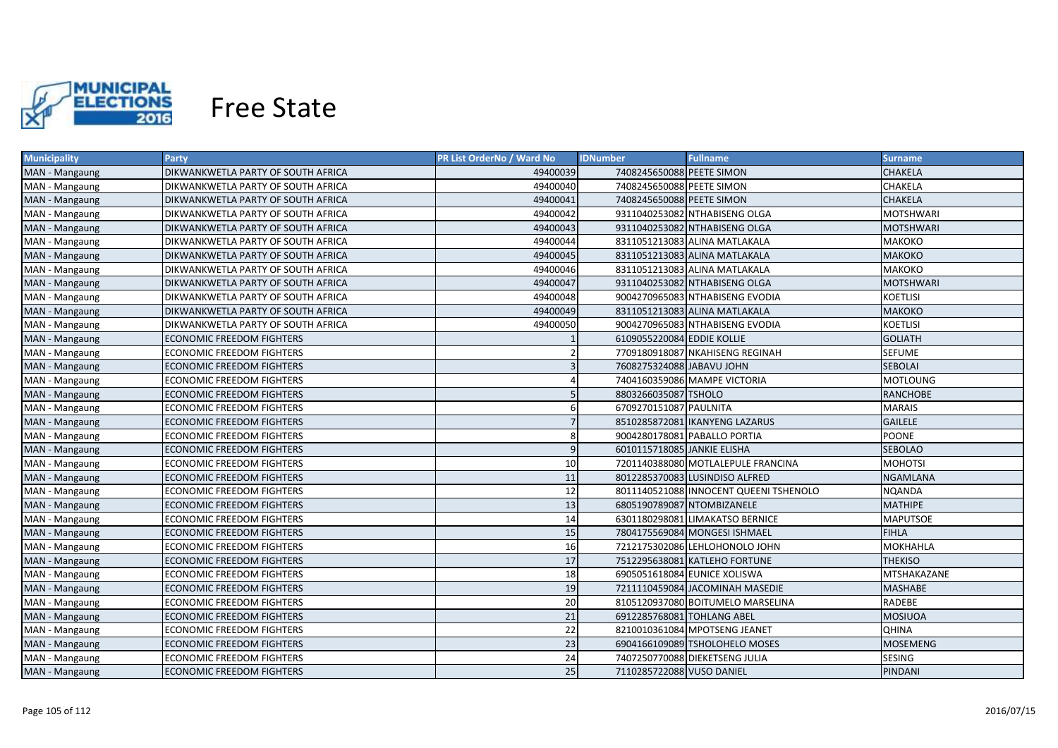

| <b>Municipality</b> | <b>Party</b>                       | PR List OrderNo / Ward No | <b>IDNumber</b>             | <b>Fullname</b>                        | <b>Surname</b>   |
|---------------------|------------------------------------|---------------------------|-----------------------------|----------------------------------------|------------------|
| MAN - Mangaung      | DIKWANKWETLA PARTY OF SOUTH AFRICA | 49400039                  | 7408245650088 PEETE SIMON   |                                        | <b>CHAKELA</b>   |
| MAN - Mangaung      | DIKWANKWETLA PARTY OF SOUTH AFRICA | 49400040                  | 7408245650088 PEETE SIMON   |                                        | CHAKELA          |
| MAN - Mangaung      | DIKWANKWETLA PARTY OF SOUTH AFRICA | 49400041                  | 7408245650088 PEETE SIMON   |                                        | <b>CHAKELA</b>   |
| MAN - Mangaung      | DIKWANKWETLA PARTY OF SOUTH AFRICA | 49400042                  |                             | 9311040253082 NTHABISENG OLGA          | <b>MOTSHWARI</b> |
| MAN - Mangaung      | DIKWANKWETLA PARTY OF SOUTH AFRICA | 49400043                  |                             | 9311040253082 NTHABISENG OLGA          | MOTSHWARI        |
| MAN - Mangaung      | DIKWANKWETLA PARTY OF SOUTH AFRICA | 49400044                  |                             | 8311051213083 ALINA MATLAKALA          | МАКОКО           |
| MAN - Mangaung      | DIKWANKWETLA PARTY OF SOUTH AFRICA | 49400045                  |                             | 8311051213083 ALINA MATLAKALA          | <b>МАКОКО</b>    |
| MAN - Mangaung      | DIKWANKWETLA PARTY OF SOUTH AFRICA | 49400046                  |                             | 8311051213083 ALINA MATLAKALA          | МАКОКО           |
| MAN - Mangaung      | DIKWANKWETLA PARTY OF SOUTH AFRICA | 49400047                  |                             | 9311040253082 NTHABISENG OLGA          | <b>MOTSHWARI</b> |
| MAN - Mangaung      | DIKWANKWETLA PARTY OF SOUTH AFRICA | 49400048                  |                             | 9004270965083 NTHABISENG EVODIA        | <b>KOETLISI</b>  |
| MAN - Mangaung      | DIKWANKWETLA PARTY OF SOUTH AFRICA | 49400049                  |                             | 8311051213083 ALINA MATLAKALA          | <b>МАКОКО</b>    |
| MAN - Mangaung      | DIKWANKWETLA PARTY OF SOUTH AFRICA | 49400050                  |                             | 9004270965083 NTHABISENG EVODIA        | <b>KOETLISI</b>  |
| MAN - Mangaung      | <b>ECONOMIC FREEDOM FIGHTERS</b>   |                           | 6109055220084 EDDIE KOLLIE  |                                        | <b>GOLIATH</b>   |
| MAN - Mangaung      | <b>ECONOMIC FREEDOM FIGHTERS</b>   | $\mathcal{P}$             |                             | 7709180918087 NKAHISENG REGINAH        | <b>SEFUME</b>    |
| MAN - Mangaung      | <b>ECONOMIC FREEDOM FIGHTERS</b>   | $\overline{3}$            | 7608275324088 JABAVU JOHN   |                                        | <b>SEBOLAI</b>   |
| MAN - Mangaung      | <b>ECONOMIC FREEDOM FIGHTERS</b>   | $\Delta$                  |                             | 7404160359086 MAMPE VICTORIA           | <b>MOTLOUNG</b>  |
| MAN - Mangaung      | <b>ECONOMIC FREEDOM FIGHTERS</b>   | 5                         | 8803266035087 TSHOLO        |                                        | <b>RANCHOBE</b>  |
| MAN - Mangaung      | <b>ECONOMIC FREEDOM FIGHTERS</b>   | 6                         | 6709270151087 PAULNITA      |                                        | <b>MARAIS</b>    |
| MAN - Mangaung      | <b>ECONOMIC FREEDOM FIGHTERS</b>   | $\overline{7}$            |                             | 8510285872081 IKANYENG LAZARUS         | <b>GAILELE</b>   |
| MAN - Mangaung      | <b>ECONOMIC FREEDOM FIGHTERS</b>   | 8                         |                             | 9004280178081 PABALLO PORTIA           | <b>POONE</b>     |
| MAN - Mangaung      | <b>ECONOMIC FREEDOM FIGHTERS</b>   | 9                         | 6010115718085 JANKIE ELISHA |                                        | <b>SEBOLAO</b>   |
| MAN - Mangaung      | <b>ECONOMIC FREEDOM FIGHTERS</b>   | 10                        |                             | 7201140388080 MOTLALEPULE FRANCINA     | <b>MOHOTSI</b>   |
| MAN - Mangaung      | <b>ECONOMIC FREEDOM FIGHTERS</b>   | 11                        |                             | 8012285370083 LUSINDISO ALFRED         | <b>NGAMLANA</b>  |
| MAN - Mangaung      | <b>ECONOMIC FREEDOM FIGHTERS</b>   | 12                        |                             | 8011140521088 INNOCENT QUEENI TSHENOLO | <b>NQANDA</b>    |
| MAN - Mangaung      | <b>ECONOMIC FREEDOM FIGHTERS</b>   | 13                        | 6805190789087 NTOMBIZANELE  |                                        | <b>MATHIPE</b>   |
| MAN - Mangaung      | <b>ECONOMIC FREEDOM FIGHTERS</b>   | 14                        |                             | 6301180298081 LIMAKATSO BERNICE        | <b>MAPUTSOE</b>  |
| MAN - Mangaung      | <b>ECONOMIC FREEDOM FIGHTERS</b>   | 15                        |                             | 7804175569084 MONGESI ISHMAEL          | <b>FIHLA</b>     |
| MAN - Mangaung      | <b>ECONOMIC FREEDOM FIGHTERS</b>   | 16                        |                             | 7212175302086 LEHLOHONOLO JOHN         | <b>MOKHAHLA</b>  |
| MAN - Mangaung      | ECONOMIC FREEDOM FIGHTERS          | 17                        |                             | 7512295638081 KATLEHO FORTUNE          | <b>THEKISO</b>   |
| MAN - Mangaung      | ECONOMIC FREEDOM FIGHTERS          | 18                        |                             | 6905051618084 EUNICE XOLISWA           | MTSHAKAZANE      |
| MAN - Mangaung      | ECONOMIC FREEDOM FIGHTERS          | 19                        |                             | 7211110459084 JACOMINAH MASEDIE        | <b>MASHABE</b>   |
| MAN - Mangaung      | ECONOMIC FREEDOM FIGHTERS          | 20                        |                             | 8105120937080 BOITUMELO MARSELINA      | RADEBE           |
| MAN - Mangaung      | ECONOMIC FREEDOM FIGHTERS          | 21                        | 6912285768081 TOHLANG ABEL  |                                        | <b>MOSIUOA</b>   |
| MAN - Mangaung      | <b>ECONOMIC FREEDOM FIGHTERS</b>   | 22                        |                             | 8210010361084 MPOTSENG JEANET          | <b>QHINA</b>     |
| MAN - Mangaung      | ECONOMIC FREEDOM FIGHTERS          | 23                        |                             | 6904166109089 TSHOLOHELO MOSES         | <b>MOSEMENG</b>  |
| MAN - Mangaung      | <b>ECONOMIC FREEDOM FIGHTERS</b>   | 24                        |                             | 7407250770088 DIEKETSENG JULIA         | SESING           |
| MAN - Mangaung      | <b>ECONOMIC FREEDOM FIGHTERS</b>   | 25                        | 7110285722088 VUSO DANIEL   |                                        | PINDANI          |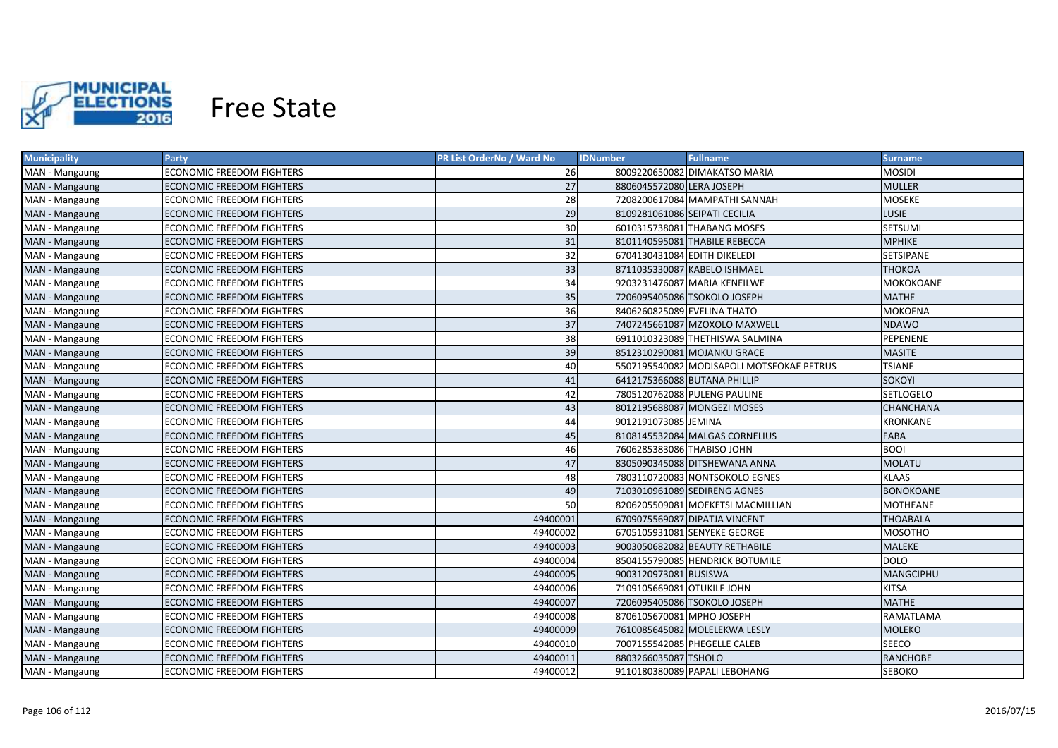

| <b>Municipality</b> | <b>Party</b>                     | PR List OrderNo / Ward No | <b>IDNumber</b>               | <b>Fullname</b>                           | <b>Surname</b>   |
|---------------------|----------------------------------|---------------------------|-------------------------------|-------------------------------------------|------------------|
| MAN - Mangaung      | ECONOMIC FREEDOM FIGHTERS        | 26                        |                               | 8009220650082 DIMAKATSO MARIA             | MOSIDI           |
| MAN - Mangaung      | ECONOMIC FREEDOM FIGHTERS        | 27                        | 8806045572080 LERA JOSEPH     |                                           | <b>MULLER</b>    |
| MAN - Mangaung      | <b>ECONOMIC FREEDOM FIGHTERS</b> | 28                        |                               | 7208200617084 MAMPATHI SANNAH             | MOSEKE           |
| MAN - Mangaung      | <b>ECONOMIC FREEDOM FIGHTERS</b> | 29                        | 8109281061086 SEIPATI CECILIA |                                           | <b>LUSIE</b>     |
| MAN - Mangaung      | ECONOMIC FREEDOM FIGHTERS        | 30                        |                               | 6010315738081 THABANG MOSES               | <b>SETSUMI</b>   |
| MAN - Mangaung      | <b>ECONOMIC FREEDOM FIGHTERS</b> | 31                        |                               | 8101140595081 THABILE REBECCA             | <b>MPHIKE</b>    |
| MAN - Mangaung      | ECONOMIC FREEDOM FIGHTERS        | 32                        | 6704130431084 EDITH DIKELEDI  |                                           | SETSIPANE        |
| MAN - Mangaung      | <b>ECONOMIC FREEDOM FIGHTERS</b> | 33                        |                               | 8711035330087 KABELO ISHMAEL              | ТНОКОА           |
| MAN - Mangaung      | <b>ECONOMIC FREEDOM FIGHTERS</b> | 34                        |                               | 9203231476087 MARIA KENEILWE              | MOKOKOANE        |
| MAN - Mangaung      | <b>ECONOMIC FREEDOM FIGHTERS</b> | 35                        |                               | 7206095405086 TSOKOLO JOSEPH              | <b>MATHE</b>     |
| MAN - Mangaung      | <b>ECONOMIC FREEDOM FIGHTERS</b> | 36                        | 8406260825089 EVELINA THATO   |                                           | MOKOENA          |
| MAN - Mangaung      | <b>ECONOMIC FREEDOM FIGHTERS</b> | 37                        |                               | 7407245661087 MZOXOLO MAXWELL             | <b>NDAWO</b>     |
| MAN - Mangaung      | <b>ECONOMIC FREEDOM FIGHTERS</b> | 38                        |                               | 6911010323089 THETHISWA SALMINA           | PEPENENE         |
| MAN - Mangaung      | <b>ECONOMIC FREEDOM FIGHTERS</b> | 39                        |                               | 8512310290081 MOJANKU GRACE               | <b>MASITE</b>    |
| MAN - Mangaung      | <b>ECONOMIC FREEDOM FIGHTERS</b> | 40                        |                               | 5507195540082 MODISAPOLI MOTSEOKAE PETRUS | <b>TSIANE</b>    |
| MAN - Mangaung      | <b>ECONOMIC FREEDOM FIGHTERS</b> | 41                        |                               | 6412175366088 BUTANA PHILLIP              | <b>SOKOYI</b>    |
| MAN - Mangaung      | <b>ECONOMIC FREEDOM FIGHTERS</b> | 42                        |                               | 7805120762088 PULENG PAULINE              | <b>SETLOGELO</b> |
| MAN - Mangaung      | <b>ECONOMIC FREEDOM FIGHTERS</b> | 43                        |                               | 8012195688087 MONGEZI MOSES               | CHANCHANA        |
| MAN - Mangaung      | <b>ECONOMIC FREEDOM FIGHTERS</b> | 44                        | 9012191073085 JEMINA          |                                           | <b>KRONKANE</b>  |
| MAN - Mangaung      | <b>ECONOMIC FREEDOM FIGHTERS</b> | 45                        |                               | 8108145532084 MALGAS CORNELIUS            | <b>FABA</b>      |
| MAN - Mangaung      | <b>ECONOMIC FREEDOM FIGHTERS</b> | 46                        | 7606285383086 THABISO JOHN    |                                           | <b>BOOI</b>      |
| MAN - Mangaung      | <b>ECONOMIC FREEDOM FIGHTERS</b> | 47                        |                               | 8305090345088 DITSHEWANA ANNA             | <b>MOLATU</b>    |
| MAN - Mangaung      | <b>ECONOMIC FREEDOM FIGHTERS</b> | 48                        |                               | 7803110720083 NONTSOKOLO EGNES            | <b>KLAAS</b>     |
| MAN - Mangaung      | <b>ECONOMIC FREEDOM FIGHTERS</b> | 49                        |                               | 7103010961089 SEDIRENG AGNES              | <b>BONOKOANE</b> |
| MAN - Mangaung      | <b>ECONOMIC FREEDOM FIGHTERS</b> | 50                        |                               | 8206205509081 MOEKETSI MACMILLIAN         | MOTHEANE         |
| MAN - Mangaung      | <b>ECONOMIC FREEDOM FIGHTERS</b> | 49400001                  |                               | 6709075569087 DIPATJA VINCENT             | <b>THOABALA</b>  |
| MAN - Mangaung      | <b>ECONOMIC FREEDOM FIGHTERS</b> | 49400002                  |                               | 6705105931081 SENYEKE GEORGE              | MOSOTHO          |
| MAN - Mangaung      | <b>ECONOMIC FREEDOM FIGHTERS</b> | 49400003                  |                               | 9003050682082 BEAUTY RETHABILE            | MALEKE           |
| MAN - Mangaung      | <b>ECONOMIC FREEDOM FIGHTERS</b> | 49400004                  |                               | 8504155790085 HENDRICK BOTUMILE           | <b>DOLO</b>      |
| MAN - Mangaung      | <b>ECONOMIC FREEDOM FIGHTERS</b> | 49400005                  | 9003120973081 BUSISWA         |                                           | MANGCIPHU        |
| MAN - Mangaung      | <b>ECONOMIC FREEDOM FIGHTERS</b> | 49400006                  | 7109105669081 OTUKILE JOHN    |                                           | <b>KITSA</b>     |
| MAN - Mangaung      | <b>ECONOMIC FREEDOM FIGHTERS</b> | 49400007                  |                               | 7206095405086 TSOKOLO JOSEPH              | <b>MATHE</b>     |
| MAN - Mangaung      | <b>ECONOMIC FREEDOM FIGHTERS</b> | 49400008                  | 8706105670081 MPHO JOSEPH     |                                           | RAMATLAMA        |
| MAN - Mangaung      | <b>ECONOMIC FREEDOM FIGHTERS</b> | 49400009                  |                               | 7610085645082 MOLELEKWA LESLY             | <b>MOLEKO</b>    |
| MAN - Mangaung      | ECONOMIC FREEDOM FIGHTERS        | 49400010                  |                               | 7007155542085 PHEGELLE CALEB              | <b>SEECO</b>     |
| MAN - Mangaung      | <b>ECONOMIC FREEDOM FIGHTERS</b> | 49400011                  | 8803266035087 TSHOLO          |                                           | <b>RANCHOBE</b>  |
| MAN - Mangaung      | <b>ECONOMIC FREEDOM FIGHTERS</b> | 49400012                  |                               | 9110180380089 PAPALI LEBOHANG             | <b>SEBOKO</b>    |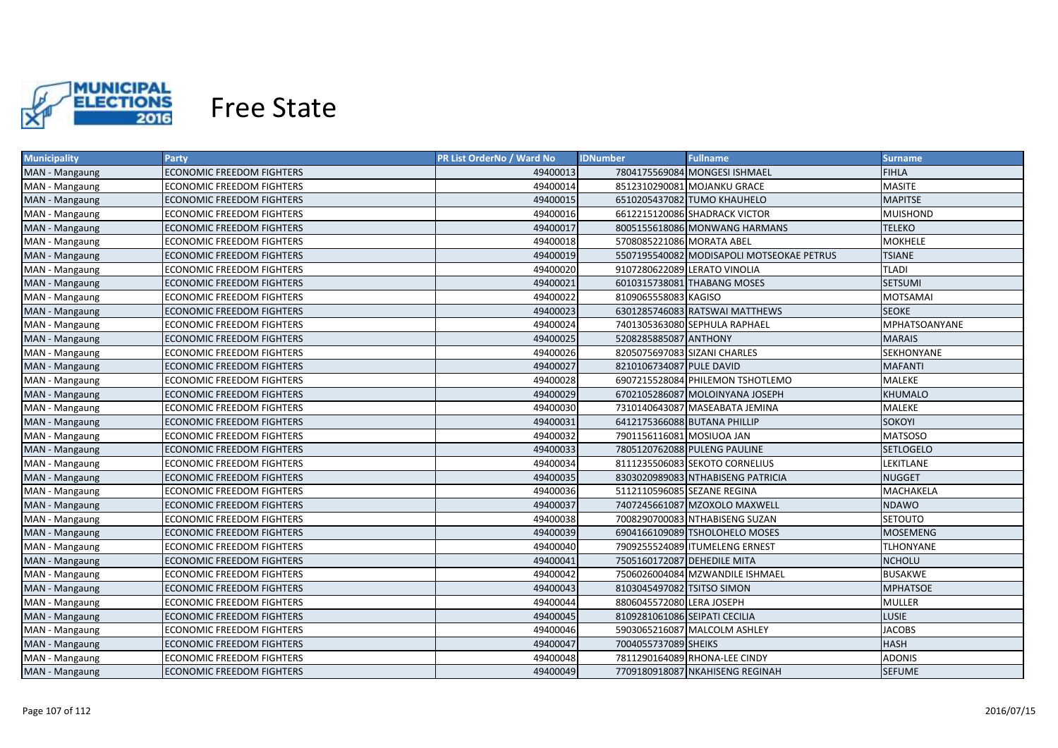

| <b>Municipality</b> | <b>Party</b>                     | PR List OrderNo / Ward No | <b>IDNumber</b>               | <b>Fullname</b>                           | <b>Surname</b>       |
|---------------------|----------------------------------|---------------------------|-------------------------------|-------------------------------------------|----------------------|
| MAN - Mangaung      | ECONOMIC FREEDOM FIGHTERS        | 49400013                  |                               | 7804175569084 MONGESI ISHMAEL             | <b>FIHLA</b>         |
| MAN - Mangaung      | ECONOMIC FREEDOM FIGHTERS        | 49400014                  |                               | 8512310290081 MOJANKU GRACE               | <b>MASITE</b>        |
| MAN - Mangaung      | ECONOMIC FREEDOM FIGHTERS        | 49400015                  |                               | 6510205437082 TUMO KHAUHELO               | <b>MAPITSE</b>       |
| MAN - Mangaung      | ECONOMIC FREEDOM FIGHTERS        | 49400016                  |                               | 6612215120086 SHADRACK VICTOR             | <b>MUISHOND</b>      |
| MAN - Mangaung      | ECONOMIC FREEDOM FIGHTERS        | 49400017                  |                               | 8005155618086 MONWANG HARMANS             | <b>TELEKO</b>        |
| MAN - Mangaung      | ECONOMIC FREEDOM FIGHTERS        | 49400018                  | 5708085221086 MORATA ABEL     |                                           | <b>MOKHELE</b>       |
| MAN - Mangaung      | <b>ECONOMIC FREEDOM FIGHTERS</b> | 49400019                  |                               | 5507195540082 MODISAPOLI MOTSEOKAE PETRUS | <b>TSIANE</b>        |
| MAN - Mangaung      | ECONOMIC FREEDOM FIGHTERS        | 49400020                  |                               | 9107280622089 LERATO VINOLIA              | <b>TLADI</b>         |
| MAN - Mangaung      | <b>ECONOMIC FREEDOM FIGHTERS</b> | 49400021                  |                               | 6010315738081 THABANG MOSES               | <b>SETSUMI</b>       |
| MAN - Mangaung      | <b>ECONOMIC FREEDOM FIGHTERS</b> | 49400022                  | 8109065558083 KAGISO          |                                           | <b>MOTSAMAI</b>      |
| MAN - Mangaung      | <b>ECONOMIC FREEDOM FIGHTERS</b> | 49400023                  |                               | 6301285746083 RATSWAI MATTHEWS            | <b>SEOKE</b>         |
| MAN - Mangaung      | <b>ECONOMIC FREEDOM FIGHTERS</b> | 49400024                  |                               | 7401305363080 SEPHULA RAPHAEL             | <b>MPHATSOANYANE</b> |
| MAN - Mangaung      | <b>ECONOMIC FREEDOM FIGHTERS</b> | 49400025                  | 5208285885087 ANTHONY         |                                           | <b>MARAIS</b>        |
| MAN - Mangaung      | <b>ECONOMIC FREEDOM FIGHTERS</b> | 49400026                  | 8205075697083 SIZANI CHARLES  |                                           | SEKHONYANE           |
| MAN - Mangaung      | <b>ECONOMIC FREEDOM FIGHTERS</b> | 49400027                  | 8210106734087 PULE DAVID      |                                           | <b>MAFANTI</b>       |
| MAN - Mangaung      | <b>ECONOMIC FREEDOM FIGHTERS</b> | 49400028                  |                               | 6907215528084 PHILEMON TSHOTLEMO          | <b>MALEKE</b>        |
| MAN - Mangaung      | <b>ECONOMIC FREEDOM FIGHTERS</b> | 49400029                  |                               | 6702105286087 MOLOINYANA JOSEPH           | <b>KHUMALO</b>       |
| MAN - Mangaung      | <b>ECONOMIC FREEDOM FIGHTERS</b> | 49400030                  |                               | 7310140643087 MASEABATA JEMINA            | <b>MALEKE</b>        |
| MAN - Mangaung      | <b>ECONOMIC FREEDOM FIGHTERS</b> | 49400031                  |                               | 6412175366088 BUTANA PHILLIP              | <b>SOKOYI</b>        |
| MAN - Mangaung      | ECONOMIC FREEDOM FIGHTERS        | 49400032                  | 7901156116081 MOSIUOA JAN     |                                           | <b>MATSOSO</b>       |
| MAN - Mangaung      | <b>ECONOMIC FREEDOM FIGHTERS</b> | 49400033                  |                               | 7805120762088 PULENG PAULINE              | <b>SETLOGELO</b>     |
| MAN - Mangaung      | <b>ECONOMIC FREEDOM FIGHTERS</b> | 49400034                  |                               | 8111235506083 SEKOTO CORNELIUS            | LEKITLANE            |
| MAN - Mangaung      | <b>ECONOMIC FREEDOM FIGHTERS</b> | 49400035                  |                               | 8303020989083 NTHABISENG PATRICIA         | <b>NUGGET</b>        |
| MAN - Mangaung      | <b>ECONOMIC FREEDOM FIGHTERS</b> | 49400036                  | 5112110596085 SEZANE REGINA   |                                           | MACHAKELA            |
| MAN - Mangaung      | <b>ECONOMIC FREEDOM FIGHTERS</b> | 49400037                  |                               | 7407245661087 MZOXOLO MAXWELL             | <b>NDAWO</b>         |
| MAN - Mangaung      | <b>ECONOMIC FREEDOM FIGHTERS</b> | 49400038                  |                               | 7008290700083 NTHABISENG SUZAN            | SETOUTO              |
| MAN - Mangaung      | <b>ECONOMIC FREEDOM FIGHTERS</b> | 49400039                  |                               | 6904166109089 TSHOLOHELO MOSES            | MOSEMENG             |
| MAN - Mangaung      | ECONOMIC FREEDOM FIGHTERS        | 49400040                  |                               | 7909255524089 ITUMELENG ERNEST            | TLHONYANE            |
| MAN - Mangaung      | ECONOMIC FREEDOM FIGHTERS        | 49400041                  | 7505160172087 DEHEDILE MITA   |                                           | <b>NCHOLU</b>        |
| MAN - Mangaung      | ECONOMIC FREEDOM FIGHTERS        | 49400042                  |                               | 7506026004084 MZWANDILE ISHMAEL           | <b>BUSAKWE</b>       |
| MAN - Mangaung      | <b>ECONOMIC FREEDOM FIGHTERS</b> | 49400043                  | 8103045497082 TSITSO SIMON    |                                           | <b>MPHATSOE</b>      |
| MAN - Mangaung      | ECONOMIC FREEDOM FIGHTERS        | 49400044                  | 8806045572080 LERA JOSEPH     |                                           | <b>MULLER</b>        |
| MAN - Mangaung      | <b>ECONOMIC FREEDOM FIGHTERS</b> | 49400045                  | 8109281061086 SEIPATI CECILIA |                                           | <b>LUSIE</b>         |
| MAN - Mangaung      | <b>ECONOMIC FREEDOM FIGHTERS</b> | 49400046                  |                               | 5903065216087 MALCOLM ASHLEY              | <b>JACOBS</b>        |
| MAN - Mangaung      | ECONOMIC FREEDOM FIGHTERS        | 49400047                  | 7004055737089 SHEIKS          |                                           | <b>HASH</b>          |
| MAN - Mangaung      | <b>ECONOMIC FREEDOM FIGHTERS</b> | 49400048                  |                               | 7811290164089 RHONA-LEE CINDY             | <b>ADONIS</b>        |
| MAN - Mangaung      | <b>ECONOMIC FREEDOM FIGHTERS</b> | 49400049                  |                               | 7709180918087 NKAHISENG REGINAH           | <b>SEFUME</b>        |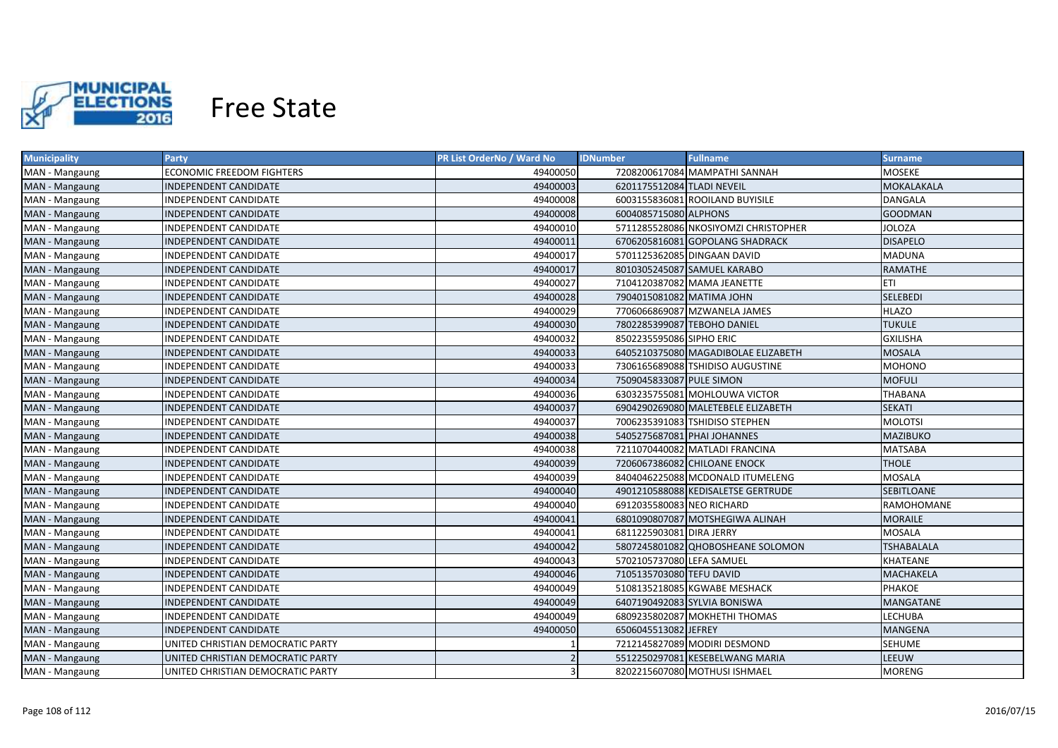

| <b>Municipality</b> | Party                             | PR List OrderNo / Ward No | <b>IDNumber</b>             | <b>Fullname</b>                      | <b>Surname</b>    |
|---------------------|-----------------------------------|---------------------------|-----------------------------|--------------------------------------|-------------------|
| MAN - Mangaung      | ECONOMIC FREEDOM FIGHTERS         | 49400050                  |                             | 7208200617084 MAMPATHI SANNAH        | MOSEKE            |
| MAN - Mangaung      | INDEPENDENT CANDIDATE             | 49400003                  | 6201175512084 TLADI NEVEIL  |                                      | MOKALAKALA        |
| MAN - Mangaung      | INDEPENDENT CANDIDATE             | 49400008                  |                             | 6003155836081 ROOILAND BUYISILE      | <b>DANGALA</b>    |
| MAN - Mangaung      | INDEPENDENT CANDIDATE             | 49400008                  | 6004085715080 ALPHONS       |                                      | <b>GOODMAN</b>    |
| MAN - Mangaung      | INDEPENDENT CANDIDATE             | 49400010                  |                             | 5711285528086 NKOSIYOMZI CHRISTOPHER | <b>JOLOZA</b>     |
| MAN - Mangaung      | INDEPENDENT CANDIDATE             | 49400011                  |                             | 6706205816081 GOPOLANG SHADRACK      | <b>DISAPELO</b>   |
| MAN - Mangaung      | INDEPENDENT CANDIDATE             | 49400017                  |                             | 5701125362085 DINGAAN DAVID          | <b>MADUNA</b>     |
| MAN - Mangaung      | INDEPENDENT CANDIDATE             | 49400017                  |                             | 8010305245087 SAMUEL KARABO          | RAMATHE           |
| MAN - Mangaung      | INDEPENDENT CANDIDATE             | 49400027                  |                             | 7104120387082 MAMA JEANETTE          | <b>ETI</b>        |
| MAN - Mangaung      | INDEPENDENT CANDIDATE             | 49400028                  | 7904015081082 MATIMA JOHN   |                                      | <b>SELEBEDI</b>   |
| MAN - Mangaung      | INDEPENDENT CANDIDATE             | 49400029                  |                             | 7706066869087 MZWANELA JAMES         | <b>HLAZO</b>      |
| MAN - Mangaung      | INDEPENDENT CANDIDATE             | 49400030                  | 7802285399087 TEBOHO DANIEL |                                      | <b>TUKULE</b>     |
| MAN - Mangaung      | INDEPENDENT CANDIDATE             | 49400032                  | 8502235595086 SIPHO ERIC    |                                      | <b>GXILISHA</b>   |
| MAN - Mangaung      | INDEPENDENT CANDIDATE             | 49400033                  |                             | 6405210375080 MAGADIBOLAE ELIZABETH  | <b>MOSALA</b>     |
| MAN - Mangaung      | <b>INDEPENDENT CANDIDATE</b>      | 49400033                  |                             | 7306165689088 TSHIDISO AUGUSTINE     | <b>MOHONO</b>     |
| MAN - Mangaung      | INDEPENDENT CANDIDATE             | 49400034                  | 7509045833087 PULE SIMON    |                                      | <b>MOFULI</b>     |
| MAN - Mangaung      | <b>INDEPENDENT CANDIDATE</b>      | 49400036                  |                             | 6303235755081 MOHLOUWA VICTOR        | THABANA           |
| MAN - Mangaung      | INDEPENDENT CANDIDATE             | 49400037                  |                             | 6904290269080 MALETEBELE ELIZABETH   | <b>SEKATI</b>     |
| MAN - Mangaung      | INDEPENDENT CANDIDATE             | 49400037                  |                             | 7006235391083 TSHIDISO STEPHEN       | <b>MOLOTSI</b>    |
| MAN - Mangaung      | INDEPENDENT CANDIDATE             | 49400038                  | 5405275687081 PHAI JOHANNES |                                      | <b>MAZIBUKO</b>   |
| MAN - Mangaung      | INDEPENDENT CANDIDATE             | 49400038                  |                             | 7211070440082 MATLADI FRANCINA       | <b>MATSABA</b>    |
| MAN - Mangaung      | INDEPENDENT CANDIDATE             | 49400039                  |                             | 7206067386082 CHILOANE ENOCK         | <b>THOLE</b>      |
| MAN - Mangaung      | <b>INDEPENDENT CANDIDATE</b>      | 49400039                  |                             | 8404046225088 MCDONALD ITUMELENG     | <b>MOSALA</b>     |
| MAN - Mangaung      | INDEPENDENT CANDIDATE             | 49400040                  |                             | 4901210588088 KEDISALETSE GERTRUDE   | <b>SEBITLOANE</b> |
| MAN - Mangaung      | INDEPENDENT CANDIDATE             | 49400040                  | 6912035580083 NEO RICHARD   |                                      | RAMOHOMANE        |
| MAN - Mangaung      | INDEPENDENT CANDIDATE             | 49400041                  |                             | 6801090807087 MOTSHEGIWA ALINAH      | MORAILE           |
| MAN - Mangaung      | INDEPENDENT CANDIDATE             | 49400041                  | 6811225903081 DIRA JERRY    |                                      | <b>MOSALA</b>     |
| MAN - Mangaung      | INDEPENDENT CANDIDATE             | 49400042                  |                             | 5807245801082 QHOBOSHEANE SOLOMON    | TSHABALALA        |
| MAN - Mangaung      | INDEPENDENT CANDIDATE             | 49400043                  | 5702105737080 LEFA SAMUEL   |                                      | KHATEANE          |
| MAN - Mangaung      | INDEPENDENT CANDIDATE             | 49400046                  | 7105135703080 TEFU DAVID    |                                      | MACHAKELA         |
| MAN - Mangaung      | INDEPENDENT CANDIDATE             | 49400049                  |                             | 5108135218085 KGWABE MESHACK         | PHAKOE            |
| MAN - Mangaung      | INDEPENDENT CANDIDATE             | 49400049                  |                             | 6407190492083 SYLVIA BONISWA         | <b>MANGATANE</b>  |
| MAN - Mangaung      | INDEPENDENT CANDIDATE             | 49400049                  |                             | 6809235802087 MOKHETHI THOMAS        | <b>LECHUBA</b>    |
| MAN - Mangaung      | INDEPENDENT CANDIDATE             | 49400050                  | 6506045513082 JEFREY        |                                      | <b>MANGENA</b>    |
| MAN - Mangaung      | UNITED CHRISTIAN DEMOCRATIC PARTY |                           |                             | 7212145827089 MODIRI DESMOND         | <b>SEHUME</b>     |
| MAN - Mangaung      | UNITED CHRISTIAN DEMOCRATIC PARTY |                           |                             | 5512250297081 KESEBELWANG MARIA      | LEEUW             |
| MAN - Mangaung      | UNITED CHRISTIAN DEMOCRATIC PARTY | 3                         |                             | 8202215607080 MOTHUSI ISHMAEL        | <b>MORENG</b>     |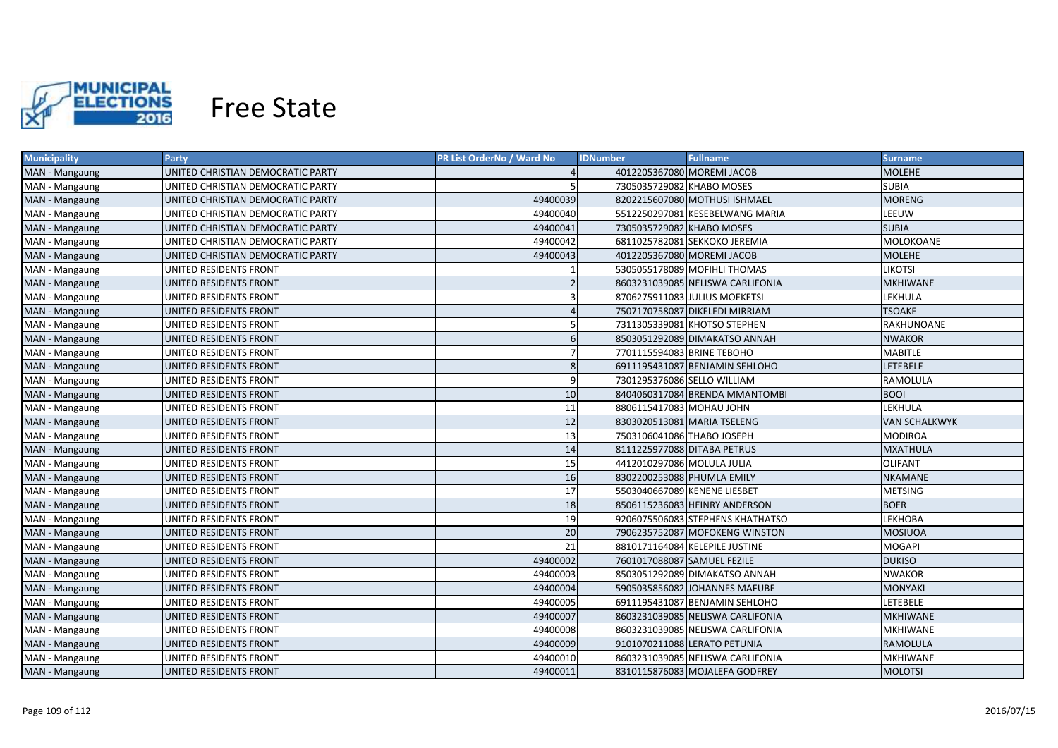

| <b>Municipality</b> | <b>Party</b>                      | PR List OrderNo / Ward No | <b>IDNumber</b>              | <b>Fullname</b>                  | <b>Surname</b>       |
|---------------------|-----------------------------------|---------------------------|------------------------------|----------------------------------|----------------------|
| MAN - Mangaung      | UNITED CHRISTIAN DEMOCRATIC PARTY |                           | 4012205367080 MOREMI JACOB   |                                  | MOLEHE               |
| MAN - Mangaung      | UNITED CHRISTIAN DEMOCRATIC PARTY |                           | 7305035729082 KHABO MOSES    |                                  | <b>SUBIA</b>         |
| MAN - Mangaung      | UNITED CHRISTIAN DEMOCRATIC PARTY | 49400039                  |                              | 8202215607080 MOTHUSI ISHMAEL    | <b>MORENG</b>        |
| MAN - Mangaung      | UNITED CHRISTIAN DEMOCRATIC PARTY | 49400040                  |                              | 5512250297081 KESEBELWANG MARIA  | LEEUW                |
| MAN - Mangaung      | UNITED CHRISTIAN DEMOCRATIC PARTY | 49400041                  | 7305035729082 KHABO MOSES    |                                  | <b>SUBIA</b>         |
| MAN - Mangaung      | UNITED CHRISTIAN DEMOCRATIC PARTY | 49400042                  |                              | 6811025782081 SEKKOKO JEREMIA    | MOLOKOANE            |
| MAN - Mangaung      | UNITED CHRISTIAN DEMOCRATIC PARTY | 49400043                  | 4012205367080 MOREMI JACOB   |                                  | <b>MOLEHE</b>        |
| MAN - Mangaung      | UNITED RESIDENTS FRONT            |                           |                              | 5305055178089 MOFIHLI THOMAS     | <b>LIKOTSI</b>       |
| MAN - Mangaung      | UNITED RESIDENTS FRONT            |                           |                              | 8603231039085 NELISWA CARLIFONIA | <b>MKHIWANE</b>      |
| MAN - Mangaung      | UNITED RESIDENTS FRONT            |                           |                              | 8706275911083 JULIUS MOEKETSI    | LEKHULA              |
| MAN - Mangaung      | UNITED RESIDENTS FRONT            |                           |                              | 7507170758087 DIKELEDI MIRRIAM   | <b>TSOAKE</b>        |
| MAN - Mangaung      | UNITED RESIDENTS FRONT            |                           |                              | 7311305339081 KHOTSO STEPHEN     | RAKHUNOANE           |
| MAN - Mangaung      | UNITED RESIDENTS FRONT            | 6                         |                              | 8503051292089 DIMAKATSO ANNAH    | <b>NWAKOR</b>        |
| MAN - Mangaung      | UNITED RESIDENTS FRONT            |                           | 7701115594083 BRINE TEBOHO   |                                  | <b>MABITLE</b>       |
| MAN - Mangaung      | UNITED RESIDENTS FRONT            | 8                         |                              | 6911195431087 BENJAMIN SEHLOHO   | <b>LETEBELE</b>      |
| MAN - Mangaung      | UNITED RESIDENTS FRONT            | q                         | 7301295376086 SELLO WILLIAM  |                                  | RAMOLULA             |
| MAN - Mangaung      | UNITED RESIDENTS FRONT            | 10                        |                              | 8404060317084 BRENDA MMANTOMBI   | <b>BOOI</b>          |
| MAN - Mangaung      | UNITED RESIDENTS FRONT            | 11                        | 8806115417083 MOHAU JOHN     |                                  | LEKHULA              |
| MAN - Mangaung      | UNITED RESIDENTS FRONT            | 12                        |                              | 8303020513081 MARIA TSELENG      | <b>VAN SCHALKWYK</b> |
| MAN - Mangaung      | UNITED RESIDENTS FRONT            | 13                        | 7503106041086 THABO JOSEPH   |                                  | <b>MODIROA</b>       |
| MAN - Mangaung      | UNITED RESIDENTS FRONT            | 14                        | 8111225977088 DITABA PETRUS  |                                  | <b>MXATHULA</b>      |
| MAN - Mangaung      | UNITED RESIDENTS FRONT            | 15                        | 4412010297086 MOLULA JULIA   |                                  | <b>OLIFANT</b>       |
| MAN - Mangaung      | UNITED RESIDENTS FRONT            | 16                        | 8302200253088 PHUMLA EMILY   |                                  | NKAMANE              |
| MAN - Mangaung      | UNITED RESIDENTS FRONT            | 17                        | 5503040667089 KENENE LIESBET |                                  | <b>METSING</b>       |
| MAN - Mangaung      | UNITED RESIDENTS FRONT            | 18                        |                              | 8506115236083 HEINRY ANDERSON    | <b>BOER</b>          |
| MAN - Mangaung      | UNITED RESIDENTS FRONT            | 19                        |                              | 9206075506083 STEPHENS KHATHATSO | LEKHOBA              |
| MAN - Mangaung      | UNITED RESIDENTS FRONT            | 20                        |                              | 7906235752087 MOFOKENG WINSTON   | <b>MOSIUOA</b>       |
| MAN - Mangaung      | UNITED RESIDENTS FRONT            | 21                        |                              | 8810171164084 KELEPILE JUSTINE   | MOGAPI               |
| MAN - Mangaung      | UNITED RESIDENTS FRONT            | 49400002                  | 7601017088087 SAMUEL FEZILE  |                                  | <b>DUKISO</b>        |
| MAN - Mangaung      | UNITED RESIDENTS FRONT            | 49400003                  |                              | 8503051292089 DIMAKATSO ANNAH    | <b>NWAKOR</b>        |
| MAN - Mangaung      | UNITED RESIDENTS FRONT            | 49400004                  |                              | 5905035856082 JOHANNES MAFUBE    | MONYAKI              |
| MAN - Mangaung      | UNITED RESIDENTS FRONT            | 49400005                  |                              | 6911195431087 BENJAMIN SEHLOHO   | LETEBELE             |
| MAN - Mangaung      | UNITED RESIDENTS FRONT            | 49400007                  |                              | 8603231039085 NELISWA CARLIFONIA | <b>MKHIWANE</b>      |
| MAN - Mangaung      | UNITED RESIDENTS FRONT            | 49400008                  |                              | 8603231039085 NELISWA CARLIFONIA | <b>MKHIWANE</b>      |
| MAN - Mangaung      | UNITED RESIDENTS FRONT            | 49400009                  |                              | 9101070211088 LERATO PETUNIA     | RAMOLULA             |
| MAN - Mangaung      | UNITED RESIDENTS FRONT            | 49400010                  |                              | 8603231039085 NELISWA CARLIFONIA | <b>MKHIWANE</b>      |
| MAN - Mangaung      | UNITED RESIDENTS FRONT            | 49400011                  |                              | 8310115876083 MOJALEFA GODFREY   | <b>MOLOTSI</b>       |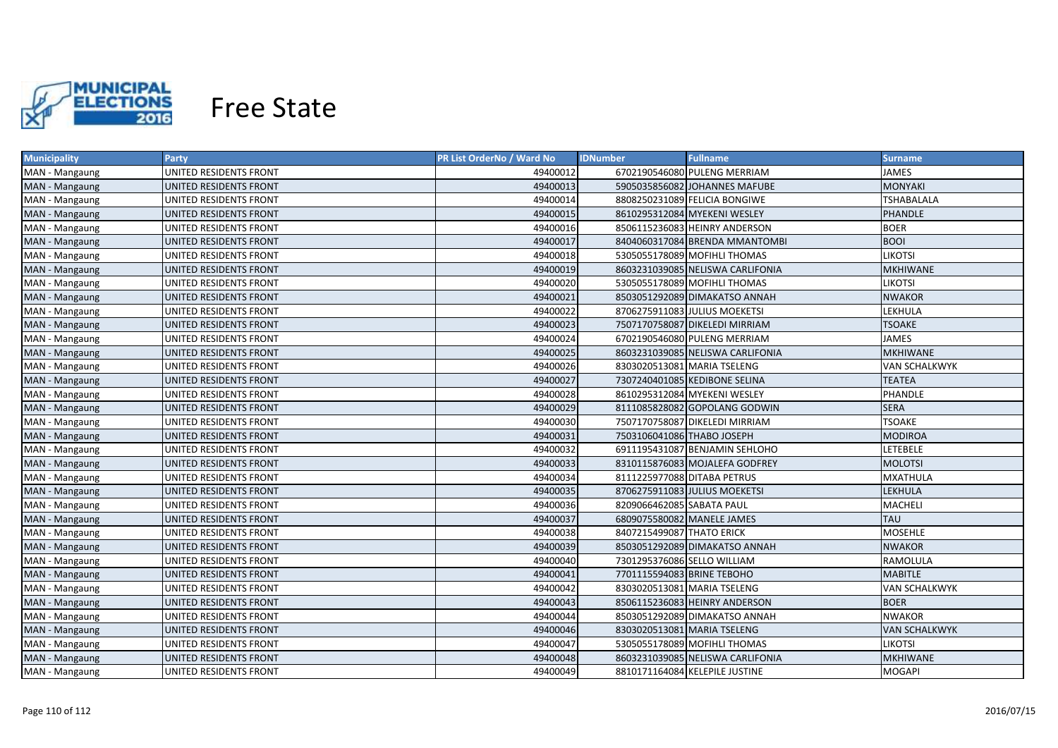

| <b>Municipality</b> | <b>Party</b>           | PR List OrderNo / Ward No | <b>IDNumber</b>             | <b>Fullname</b>                  | <b>Surname</b>       |
|---------------------|------------------------|---------------------------|-----------------------------|----------------------------------|----------------------|
| MAN - Mangaung      | UNITED RESIDENTS FRONT | 49400012                  |                             | 6702190546080 PULENG MERRIAM     | <b>JAMES</b>         |
| MAN - Mangaung      | UNITED RESIDENTS FRONT | 49400013                  |                             | 5905035856082 JOHANNES MAFUBE    | <b>MONYAKI</b>       |
| MAN - Mangaung      | UNITED RESIDENTS FRONT | 49400014                  |                             | 8808250231089 FELICIA BONGIWE    | <b>TSHABALALA</b>    |
| MAN - Mangaung      | UNITED RESIDENTS FRONT | 49400015                  |                             | 8610295312084 MYEKENI WESLEY     | <b>PHANDLE</b>       |
| MAN - Mangaung      | UNITED RESIDENTS FRONT | 49400016                  |                             | 8506115236083 HEINRY ANDERSON    | <b>BOER</b>          |
| MAN - Mangaung      | UNITED RESIDENTS FRONT | 49400017                  |                             | 8404060317084 BRENDA MMANTOMBI   | <b>BOOI</b>          |
| MAN - Mangaung      | UNITED RESIDENTS FRONT | 49400018                  |                             | 5305055178089 MOFIHLI THOMAS     | <b>LIKOTSI</b>       |
| MAN - Mangaung      | UNITED RESIDENTS FRONT | 49400019                  |                             | 8603231039085 NELISWA CARLIFONIA | <b>MKHIWANE</b>      |
| MAN - Mangaung      | UNITED RESIDENTS FRONT | 49400020                  |                             | 5305055178089 MOFIHLI THOMAS     | <b>LIKOTSI</b>       |
| MAN - Mangaung      | UNITED RESIDENTS FRONT | 49400021                  |                             | 8503051292089 DIMAKATSO ANNAH    | <b>NWAKOR</b>        |
| MAN - Mangaung      | UNITED RESIDENTS FRONT | 49400022                  |                             | 8706275911083 JULIUS MOEKETSI    | LEKHULA              |
| MAN - Mangaung      | UNITED RESIDENTS FRONT | 49400023                  |                             | 7507170758087 DIKELEDI MIRRIAM   | <b>TSOAKE</b>        |
| MAN - Mangaung      | UNITED RESIDENTS FRONT | 49400024                  |                             | 6702190546080 PULENG MERRIAM     | <b>JAMES</b>         |
| MAN - Mangaung      | UNITED RESIDENTS FRONT | 49400025                  |                             | 8603231039085 NELISWA CARLIFONIA | <b>MKHIWANE</b>      |
| MAN - Mangaung      | UNITED RESIDENTS FRONT | 49400026                  |                             | 8303020513081 MARIA TSELENG      | <b>VAN SCHALKWYK</b> |
| MAN - Mangaung      | UNITED RESIDENTS FRONT | 49400027                  |                             | 7307240401085 KEDIBONE SELINA    | <b>TEATEA</b>        |
| MAN - Mangaung      | UNITED RESIDENTS FRONT | 49400028                  |                             | 8610295312084 MYEKENI WESLEY     | PHANDLE              |
| MAN - Mangaung      | UNITED RESIDENTS FRONT | 49400029                  |                             | 8111085828082 GOPOLANG GODWIN    | <b>SERA</b>          |
| MAN - Mangaung      | UNITED RESIDENTS FRONT | 49400030                  |                             | 7507170758087 DIKELEDI MIRRIAM   | <b>TSOAKE</b>        |
| MAN - Mangaung      | UNITED RESIDENTS FRONT | 49400031                  | 7503106041086 THABO JOSEPH  |                                  | <b>MODIROA</b>       |
| MAN - Mangaung      | UNITED RESIDENTS FRONT | 49400032                  |                             | 6911195431087 BENJAMIN SEHLOHO   | LETEBELE             |
| MAN - Mangaung      | UNITED RESIDENTS FRONT | 49400033                  |                             | 8310115876083 MOJALEFA GODFREY   | <b>MOLOTSI</b>       |
| MAN - Mangaung      | UNITED RESIDENTS FRONT | 49400034                  | 8111225977088 DITABA PETRUS |                                  | <b>MXATHULA</b>      |
| MAN - Mangaung      | UNITED RESIDENTS FRONT | 49400035                  |                             | 8706275911083 JULIUS MOEKETSI    | <b>LEKHULA</b>       |
| MAN - Mangaung      | UNITED RESIDENTS FRONT | 49400036                  | 8209066462085 SABATA PAUL   |                                  | <b>MACHELI</b>       |
| MAN - Mangaung      | UNITED RESIDENTS FRONT | 49400037                  | 6809075580082 MANELE JAMES  |                                  | <b>TAU</b>           |
| MAN - Mangaung      | UNITED RESIDENTS FRONT | 49400038                  | 8407215499087 THATO ERICK   |                                  | <b>MOSEHLE</b>       |
| MAN - Mangaung      | UNITED RESIDENTS FRONT | 49400039                  |                             | 8503051292089 DIMAKATSO ANNAH    | <b>NWAKOR</b>        |
| MAN - Mangaung      | UNITED RESIDENTS FRONT | 49400040                  | 7301295376086 SELLO WILLIAM |                                  | RAMOLULA             |
| MAN - Mangaung      | UNITED RESIDENTS FRONT | 49400041                  | 7701115594083 BRINE TEBOHO  |                                  | <b>MABITLE</b>       |
| MAN - Mangaung      | UNITED RESIDENTS FRONT | 49400042                  |                             | 8303020513081 MARIA TSELENG      | <b>VAN SCHALKWYK</b> |
| MAN - Mangaung      | UNITED RESIDENTS FRONT | 49400043                  |                             | 8506115236083 HEINRY ANDERSON    | <b>BOER</b>          |
| MAN - Mangaung      | UNITED RESIDENTS FRONT | 49400044                  |                             | 8503051292089 DIMAKATSO ANNAH    | <b>NWAKOR</b>        |
| MAN - Mangaung      | UNITED RESIDENTS FRONT | 49400046                  |                             | 8303020513081 MARIA TSELENG      | <b>VAN SCHALKWYK</b> |
| MAN - Mangaung      | UNITED RESIDENTS FRONT | 49400047                  |                             | 5305055178089 MOFIHLI THOMAS     | <b>LIKOTSI</b>       |
| MAN - Mangaung      | UNITED RESIDENTS FRONT | 49400048                  |                             | 8603231039085 NELISWA CARLIFONIA | <b>MKHIWANE</b>      |
| MAN - Mangaung      | UNITED RESIDENTS FRONT | 49400049                  |                             | 8810171164084 KELEPILE JUSTINE   | <b>MOGAPI</b>        |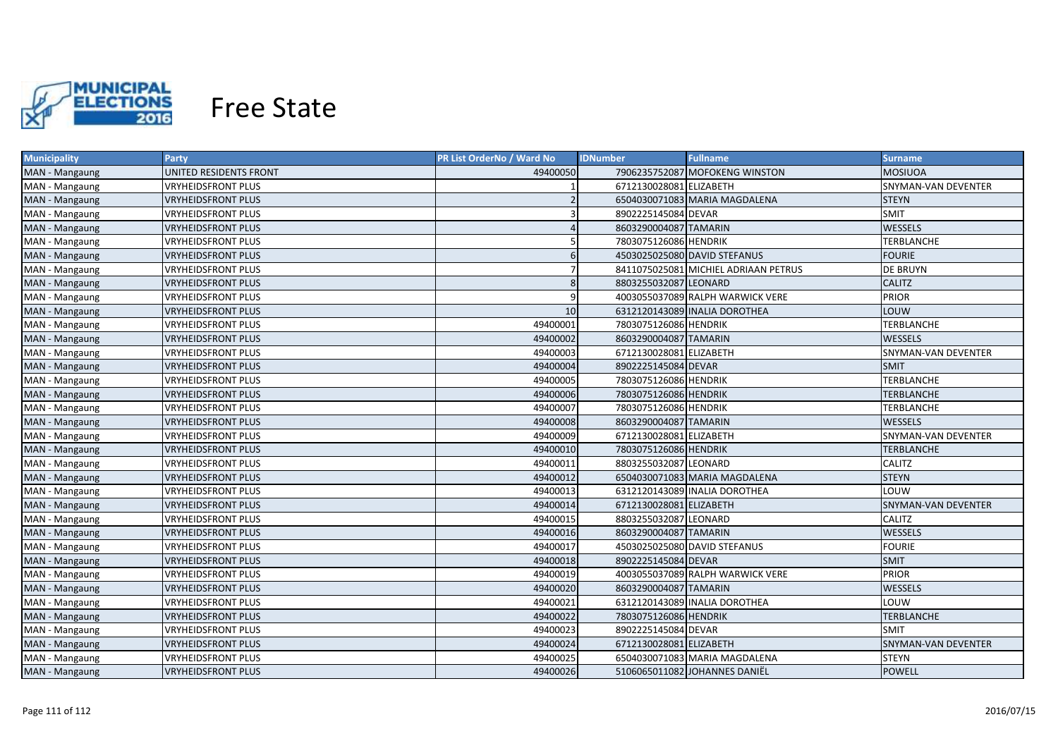

| <b>Municipality</b> | <b>Party</b>              | PR List OrderNo / Ward No | <b>Fullname</b><br><b>IDNumber</b>   | <b>Surname</b>             |
|---------------------|---------------------------|---------------------------|--------------------------------------|----------------------------|
| MAN - Mangaung      | UNITED RESIDENTS FRONT    | 49400050                  | 7906235752087 MOFOKENG WINSTON       | MOSIUOA                    |
| MAN - Mangaung      | <b>VRYHEIDSFRONT PLUS</b> |                           | 6712130028081 ELIZABETH              | SNYMAN-VAN DEVENTER        |
| MAN - Mangaung      | <b>VRYHEIDSFRONT PLUS</b> |                           | 6504030071083 MARIA MAGDALENA        | <b>STEYN</b>               |
| MAN - Mangaung      | <b>VRYHEIDSFRONT PLUS</b> |                           | 8902225145084 DEVAR                  | <b>SMIT</b>                |
| MAN - Mangaung      | <b>VRYHEIDSFRONT PLUS</b> |                           | 8603290004087 TAMARIN                | <b>WESSELS</b>             |
| MAN - Mangaung      | <b>VRYHEIDSFRONT PLUS</b> |                           | 7803075126086 HENDRIK                | <b>TERBLANCHE</b>          |
| MAN - Mangaung      | <b>VRYHEIDSFRONT PLUS</b> | 6                         | 4503025025080 DAVID STEFANUS         | <b>FOURIE</b>              |
| MAN - Mangaung      | <b>VRYHEIDSFRONT PLUS</b> |                           | 8411075025081 MICHIEL ADRIAAN PETRUS | <b>DE BRUYN</b>            |
| MAN - Mangaung      | <b>VRYHEIDSFRONT PLUS</b> | 8                         | 8803255032087 LEONARD                | <b>CALITZ</b>              |
| MAN - Mangaung      | <b>VRYHEIDSFRONT PLUS</b> | 9                         | 4003055037089 RALPH WARWICK VERE     | <b>PRIOR</b>               |
| MAN - Mangaung      | <b>VRYHEIDSFRONT PLUS</b> | 10                        | 6312120143089 INALIA DOROTHEA        | LOUW                       |
| MAN - Mangaung      | <b>VRYHEIDSFRONT PLUS</b> | 49400001                  | 7803075126086 HENDRIK                | <b>TERBLANCHE</b>          |
| MAN - Mangaung      | <b>VRYHEIDSFRONT PLUS</b> | 49400002                  | 8603290004087 TAMARIN                | <b>WESSELS</b>             |
| MAN - Mangaung      | <b>VRYHEIDSFRONT PLUS</b> | 49400003                  | 6712130028081 ELIZABETH              | <b>SNYMAN-VAN DEVENTER</b> |
| MAN - Mangaung      | <b>VRYHEIDSFRONT PLUS</b> | 49400004                  | 8902225145084 DEVAR                  | <b>SMIT</b>                |
| MAN - Mangaung      | <b>VRYHEIDSFRONT PLUS</b> | 49400005                  | 7803075126086 HENDRIK                | <b>TERBLANCHE</b>          |
| MAN - Mangaung      | <b>VRYHEIDSFRONT PLUS</b> | 49400006                  | 7803075126086 HENDRIK                | <b>TERBLANCHE</b>          |
| MAN - Mangaung      | <b>VRYHEIDSFRONT PLUS</b> | 49400007                  | 7803075126086 HENDRIK                | <b>TERBLANCHE</b>          |
| MAN - Mangaung      | <b>VRYHEIDSFRONT PLUS</b> | 49400008                  | 8603290004087 TAMARIN                | WESSELS                    |
| MAN - Mangaung      | <b>VRYHEIDSFRONT PLUS</b> | 49400009                  | 6712130028081 ELIZABETH              | SNYMAN-VAN DEVENTER        |
| MAN - Mangaung      | <b>VRYHEIDSFRONT PLUS</b> | 49400010                  | 7803075126086 HENDRIK                | <b>TERBLANCHE</b>          |
| MAN - Mangaung      | <b>VRYHEIDSFRONT PLUS</b> | 49400011                  | 8803255032087 LEONARD                | CALITZ                     |
| MAN - Mangaung      | <b>VRYHEIDSFRONT PLUS</b> | 49400012                  | 6504030071083 MARIA MAGDALENA        | <b>STEYN</b>               |
| MAN - Mangaung      | <b>VRYHEIDSFRONT PLUS</b> | 49400013                  | 6312120143089 INALIA DOROTHEA        | LOUW                       |
| MAN - Mangaung      | <b>VRYHEIDSFRONT PLUS</b> | 49400014                  | 6712130028081 ELIZABETH              | <b>SNYMAN-VAN DEVENTER</b> |
| MAN - Mangaung      | VRYHEIDSFRONT PLUS        | 49400015                  | 8803255032087 LEONARD                | CALITZ                     |
| MAN - Mangaung      | <b>VRYHEIDSFRONT PLUS</b> | 49400016                  | 8603290004087 TAMARIN                | <b>WESSELS</b>             |
| MAN - Mangaung      | VRYHEIDSFRONT PLUS        | 49400017                  | 4503025025080 DAVID STEFANUS         | <b>FOURIE</b>              |
| MAN - Mangaung      | <b>VRYHEIDSFRONT PLUS</b> | 49400018                  | 8902225145084 DEVAR                  | <b>SMIT</b>                |
| MAN - Mangaung      | <b>VRYHEIDSFRONT PLUS</b> | 49400019                  | 4003055037089 RALPH WARWICK VERE     | <b>PRIOR</b>               |
| MAN - Mangaung      | <b>VRYHEIDSFRONT PLUS</b> | 49400020                  | 8603290004087 TAMARIN                | <b>WESSELS</b>             |
| MAN - Mangaung      | <b>VRYHEIDSFRONT PLUS</b> | 49400021                  | 6312120143089 INALIA DOROTHEA        | LOUW                       |
| MAN - Mangaung      | <b>VRYHEIDSFRONT PLUS</b> | 49400022                  | 7803075126086 HENDRIK                | <b>TERBLANCHE</b>          |
| MAN - Mangaung      | <b>VRYHEIDSFRONT PLUS</b> | 49400023                  | 8902225145084 DEVAR                  | SMIT                       |
| MAN - Mangaung      | <b>VRYHEIDSFRONT PLUS</b> | 49400024                  | 6712130028081 ELIZABETH              | SNYMAN-VAN DEVENTER        |
| MAN - Mangaung      | <b>VRYHEIDSFRONT PLUS</b> | 49400025                  | 6504030071083 MARIA MAGDALENA        | <b>STEYN</b>               |
| MAN - Mangaung      | <b>VRYHEIDSFRONT PLUS</b> | 49400026                  | 5106065011082 JOHANNES DANIËL        | <b>POWELL</b>              |